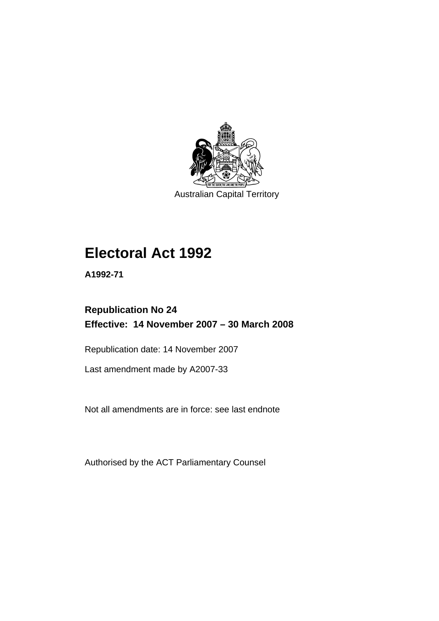

Australian Capital Territory

# **[Electoral Act 1992](#page-18-0)**

**A1992-71** 

# **Republication No 24 Effective: 14 November 2007 – 30 March 2008**

Republication date: 14 November 2007

Last amendment made by A2007-33

Not all amendments are in force: see last endnote

Authorised by the ACT Parliamentary Counsel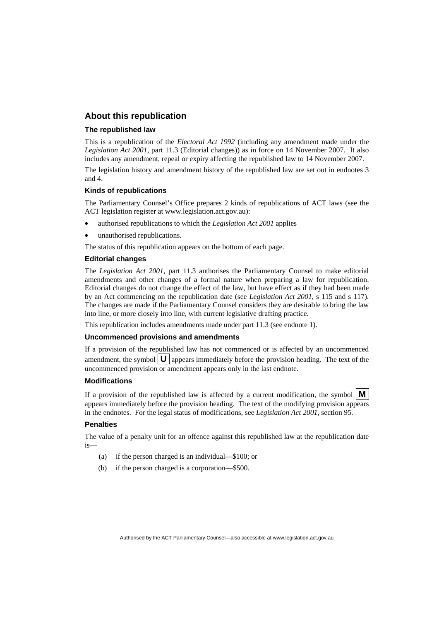#### **About this republication**

#### **The republished law**

This is a republication of the *Electoral Act 1992* (including any amendment made under the *Legislation Act 2001*, part 11.3 (Editorial changes)) as in force on 14 November 2007*.* It also includes any amendment, repeal or expiry affecting the republished law to 14 November 2007.

The legislation history and amendment history of the republished law are set out in endnotes 3 and 4.

#### **Kinds of republications**

The Parliamentary Counsel's Office prepares 2 kinds of republications of ACT laws (see the ACT legislation register at www.legislation.act.gov.au):

- authorised republications to which the *Legislation Act 2001* applies
- unauthorised republications.

The status of this republication appears on the bottom of each page.

#### **Editorial changes**

The *Legislation Act 2001*, part 11.3 authorises the Parliamentary Counsel to make editorial amendments and other changes of a formal nature when preparing a law for republication. Editorial changes do not change the effect of the law, but have effect as if they had been made by an Act commencing on the republication date (see *Legislation Act 2001*, s 115 and s 117). The changes are made if the Parliamentary Counsel considers they are desirable to bring the law into line, or more closely into line, with current legislative drafting practice.

This republication includes amendments made under part 11.3 (see endnote 1).

#### **Uncommenced provisions and amendments**

If a provision of the republished law has not commenced or is affected by an uncommenced amendment, the symbol  $\mathbf{U}$  appears immediately before the provision heading. The text of the uncommenced provision or amendment appears only in the last endnote.

#### **Modifications**

If a provision of the republished law is affected by a current modification, the symbol  $\mathbf{M}$ appears immediately before the provision heading. The text of the modifying provision appears in the endnotes. For the legal status of modifications, see *Legislation Act 2001*, section 95.

#### **Penalties**

The value of a penalty unit for an offence against this republished law at the republication date is—

- (a) if the person charged is an individual—\$100; or
- (b) if the person charged is a corporation—\$500.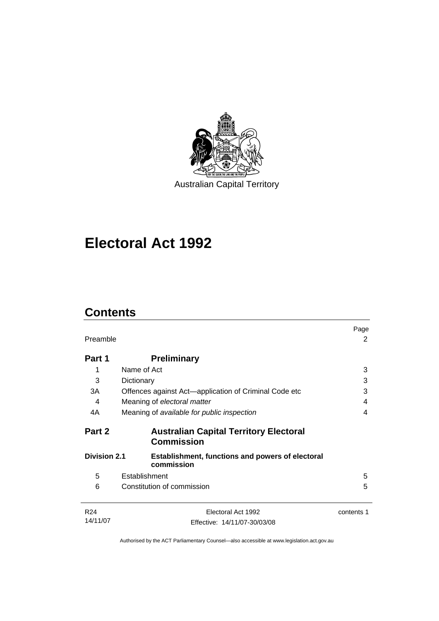

Australian Capital Territory

# **[Electoral Act 1992](#page-18-0)**

# **Contents**

| Preamble                                                                                     |                                                                    | Page<br>2  |
|----------------------------------------------------------------------------------------------|--------------------------------------------------------------------|------------|
| Part 1                                                                                       | <b>Preliminary</b>                                                 |            |
| 1                                                                                            | Name of Act                                                        | 3          |
| 3                                                                                            | Dictionary                                                         | 3          |
| 3A                                                                                           | Offences against Act—application of Criminal Code etc              | 3          |
| 4                                                                                            | Meaning of electoral matter                                        | 4          |
| 4A                                                                                           | Meaning of available for public inspection                         | 4          |
| Part 2                                                                                       | <b>Australian Capital Territory Electoral</b><br><b>Commission</b> |            |
| <b>Division 2.1</b><br><b>Establishment, functions and powers of electoral</b><br>commission |                                                                    |            |
| 5                                                                                            | Establishment                                                      | 5          |
| 6                                                                                            | Constitution of commission                                         | 5          |
| R <sub>24</sub>                                                                              | Electoral Act 1992                                                 | contents 1 |
| 14/11/07                                                                                     | Effective: 14/11/07-30/03/08                                       |            |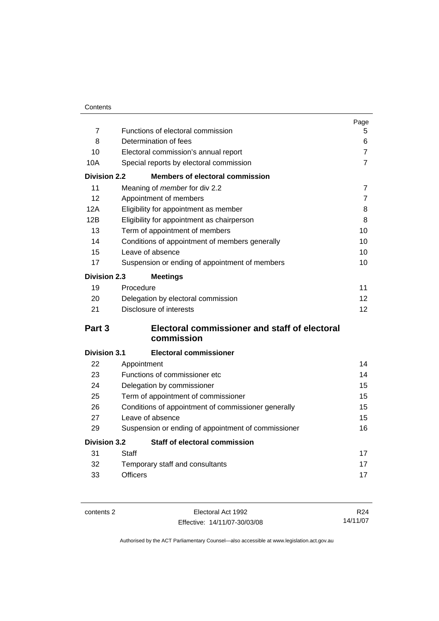|                     |                                                     | Page            |  |
|---------------------|-----------------------------------------------------|-----------------|--|
| $\overline{7}$      | Functions of electoral commission                   | 5               |  |
| 8                   | Determination of fees                               | 6               |  |
| 10                  | Electoral commission's annual report                | 7               |  |
| 10A                 | Special reports by electoral commission             | $\overline{7}$  |  |
| <b>Division 2.2</b> | <b>Members of electoral commission</b>              |                 |  |
| 11                  | Meaning of <i>member</i> for div 2.2                | $\overline{7}$  |  |
| 12                  | Appointment of members                              | $\overline{7}$  |  |
| 12A                 | Eligibility for appointment as member               | 8               |  |
| 12B                 | Eligibility for appointment as chairperson          | 8               |  |
| 13                  | Term of appointment of members                      | 10              |  |
| 14                  | Conditions of appointment of members generally      | 10              |  |
| 15                  | Leave of absence                                    | 10              |  |
| 17                  | Suspension or ending of appointment of members      | 10              |  |
| <b>Division 2.3</b> | <b>Meetings</b>                                     |                 |  |
| 19                  | Procedure                                           | 11              |  |
| 20                  | Delegation by electoral commission                  | 12              |  |
| 21                  | Disclosure of interests                             | 12 <sup>2</sup> |  |
| Part 3              | Electoral commissioner and staff of electoral       |                 |  |
|                     | commission                                          |                 |  |
| <b>Division 3.1</b> | <b>Electoral commissioner</b>                       |                 |  |
| 22                  | Appointment                                         | 14              |  |
| 23                  | Functions of commissioner etc                       | 14              |  |
| 24                  | Delegation by commissioner                          | 15              |  |
| 25                  | Term of appointment of commissioner                 | 15              |  |
| 26                  | Conditions of appointment of commissioner generally |                 |  |
| 27                  | Leave of absence                                    |                 |  |
| 29                  | Suspension or ending of appointment of commissioner | 16              |  |
| <b>Division 3.2</b> | <b>Staff of electoral commission</b>                |                 |  |
| 31                  | Staff                                               | 17              |  |
| 32                  | Temporary staff and consultants                     | 17              |  |
| 33                  | <b>Officers</b>                                     | 17              |  |

contents 2 Electoral Act 1992 Effective: 14/11/07-30/03/08

R24 14/11/07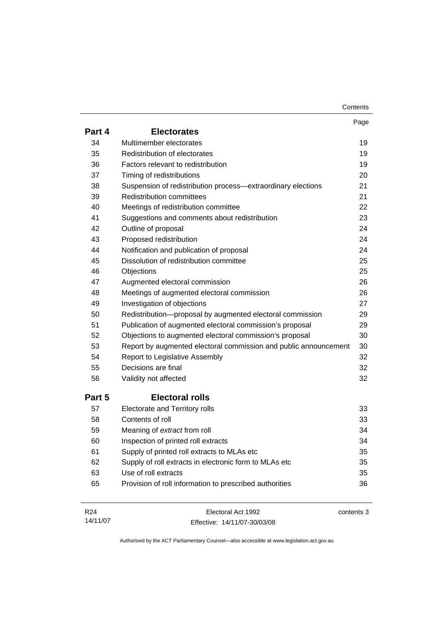| Contents |
|----------|
|----------|

|                 |                                                                  | Page       |
|-----------------|------------------------------------------------------------------|------------|
| Part 4          | <b>Electorates</b>                                               |            |
| 34              | Multimember electorates                                          | 19         |
| 35              | Redistribution of electorates                                    | 19         |
| 36              | Factors relevant to redistribution                               | 19         |
| 37              | Timing of redistributions                                        | 20         |
| 38              | Suspension of redistribution process-extraordinary elections     | 21         |
| 39              | <b>Redistribution committees</b>                                 | 21         |
| 40              | Meetings of redistribution committee                             | 22         |
| 41              | Suggestions and comments about redistribution                    | 23         |
| 42              | Outline of proposal                                              | 24         |
| 43              | Proposed redistribution                                          | 24         |
| 44              | Notification and publication of proposal                         | 24         |
| 45              | Dissolution of redistribution committee                          | 25         |
| 46              | Objections                                                       | 25         |
| 47              | Augmented electoral commission                                   | 26         |
| 48              | Meetings of augmented electoral commission                       | 26         |
| 49              | Investigation of objections                                      | 27         |
| 50              | Redistribution-proposal by augmented electoral commission        | 29         |
| 51              | Publication of augmented electoral commission's proposal         | 29         |
| 52              | Objections to augmented electoral commission's proposal          | 30         |
| 53              | Report by augmented electoral commission and public announcement | 30         |
| 54              | Report to Legislative Assembly                                   | 32         |
| 55              | Decisions are final                                              | 32         |
| 56              | Validity not affected                                            | 32         |
| Part 5          | <b>Electoral rolls</b>                                           |            |
| 57              | Electorate and Territory rolls                                   | 33         |
| 58              | Contents of roll                                                 | 33         |
| 59              | Meaning of extract from roll                                     | 34         |
| 60              | Inspection of printed roll extracts                              | 34         |
| 61              | Supply of printed roll extracts to MLAs etc                      | 35         |
| 62              | Supply of roll extracts in electronic form to MLAs etc           | 35         |
| 63              | Use of roll extracts                                             | 35         |
| 65              | Provision of roll information to prescribed authorities          | 36         |
|                 |                                                                  |            |
| R <sub>24</sub> | Electoral Act 1992                                               | contents 3 |

Effective: 14/11/07-30/03/08

14/11/07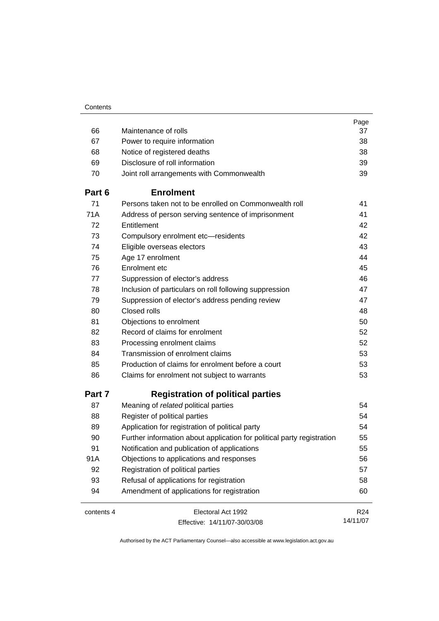|            |                                                                        | Page            |
|------------|------------------------------------------------------------------------|-----------------|
| 66         | Maintenance of rolls                                                   | 37              |
| 67         | Power to require information                                           | 38              |
| 68         | Notice of registered deaths                                            | 38              |
| 69         | Disclosure of roll information                                         | 39              |
| 70         | Joint roll arrangements with Commonwealth                              | 39              |
| Part 6     | <b>Enrolment</b>                                                       |                 |
| 71         | Persons taken not to be enrolled on Commonwealth roll                  | 41              |
| 71A        | Address of person serving sentence of imprisonment                     | 41              |
| 72         | Entitlement                                                            | 42              |
| 73         | Compulsory enrolment etc-residents                                     | 42              |
| 74         | Eligible overseas electors                                             | 43              |
| 75         | Age 17 enrolment                                                       | 44              |
| 76         | Enrolment etc                                                          | 45              |
| 77         | Suppression of elector's address                                       | 46              |
| 78         | Inclusion of particulars on roll following suppression                 | 47              |
| 79         | Suppression of elector's address pending review                        | 47              |
| 80         | Closed rolls                                                           | 48              |
| 81         | Objections to enrolment                                                | 50              |
| 82         | Record of claims for enrolment                                         | 52              |
| 83         | Processing enrolment claims                                            | 52              |
| 84         | Transmission of enrolment claims                                       | 53              |
| 85         | Production of claims for enrolment before a court                      | 53              |
| 86         | Claims for enrolment not subject to warrants                           | 53              |
| Part 7     | <b>Registration of political parties</b>                               |                 |
| 87         | Meaning of related political parties                                   | 54              |
| 88         | Register of political parties                                          | 54              |
| 89         | Application for registration of political party                        | 54              |
| 90         | Further information about application for political party registration | 55              |
| 91         | Notification and publication of applications                           | 55              |
| 91A        | Objections to applications and responses                               | 56              |
| 92         | Registration of political parties                                      | 57              |
| 93         | Refusal of applications for registration                               | 58              |
| 94         | Amendment of applications for registration                             | 60              |
| contents 4 | Electoral Act 1992                                                     | R <sub>24</sub> |
|            | Effective: 14/11/07-30/03/08                                           | 14/11/07        |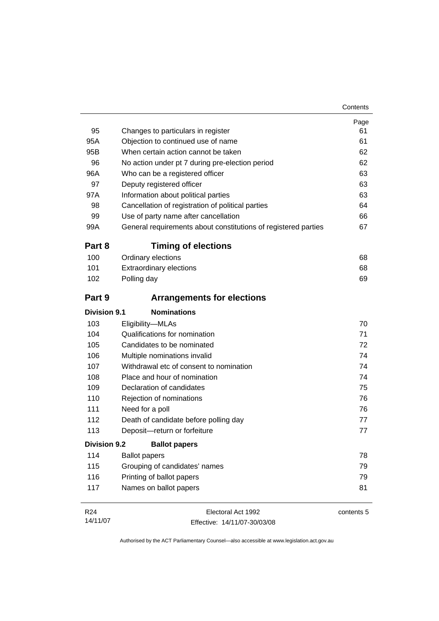| 95                  | Changes to particulars in register                             | Page<br>61 |
|---------------------|----------------------------------------------------------------|------------|
| 95A                 | Objection to continued use of name                             | 61         |
| 95B                 | When certain action cannot be taken                            | 62         |
| 96                  | No action under pt 7 during pre-election period                | 62         |
| 96A                 | Who can be a registered officer                                | 63         |
| 97                  | Deputy registered officer                                      | 63         |
| 97A                 | Information about political parties                            | 63         |
| 98                  | Cancellation of registration of political parties              | 64         |
| 99                  | Use of party name after cancellation                           | 66         |
| 99A                 | General requirements about constitutions of registered parties | 67         |
| Part 8              | <b>Timing of elections</b>                                     |            |
| 100                 | Ordinary elections                                             | 68         |
| 101                 | <b>Extraordinary elections</b>                                 | 68         |
| 102                 | Polling day                                                    | 69         |
| Part 9              | <b>Arrangements for elections</b>                              |            |
| <b>Division 9.1</b> | <b>Nominations</b>                                             |            |
| 103                 | Eligibility-MLAs                                               | 70         |
| 104                 | Qualifications for nomination                                  | 71         |
| 105                 | Candidates to be nominated                                     | 72         |
| 106                 | Multiple nominations invalid                                   | 74         |
| 107                 | Withdrawal etc of consent to nomination                        | 74         |
| 108                 | Place and hour of nomination                                   | 74         |
| 109                 | Declaration of candidates                                      | 75         |
| 110                 | Rejection of nominations                                       | 76         |
| 111                 | Need for a poll                                                | 76         |
| 112                 | Death of candidate before polling day                          | 77         |
| 113                 | Deposit-return or forfeiture                                   | 77         |
| Division 9.2        | <b>Ballot papers</b>                                           |            |
| 114                 | <b>Ballot papers</b>                                           | 78         |
| 115                 | Grouping of candidates' names                                  | 79         |
| 116                 | Printing of ballot papers                                      | 79         |
| 117                 | Names on ballot papers                                         | 81         |
|                     |                                                                |            |

| R <sub>24</sub> | Electoral Act 1992           | contents 5 |
|-----------------|------------------------------|------------|
| 14/11/07        | Effective: 14/11/07-30/03/08 |            |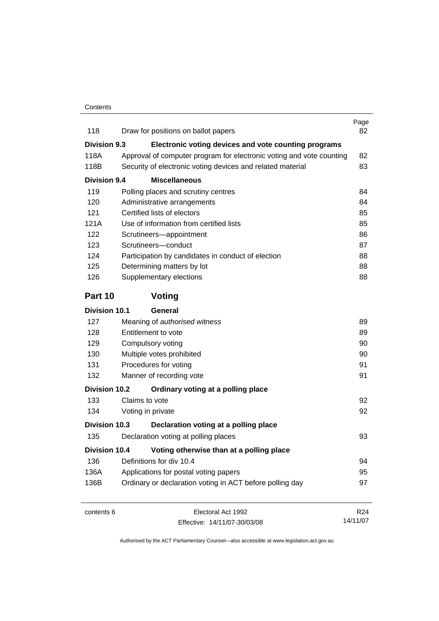| 118                             |                                                                       | Draw for positions on ballot papers                        | Page<br>82      |
|---------------------------------|-----------------------------------------------------------------------|------------------------------------------------------------|-----------------|
| Division 9.3                    |                                                                       | Electronic voting devices and vote counting programs       |                 |
| 118A                            | Approval of computer program for electronic voting and vote counting  |                                                            |                 |
| 118B                            |                                                                       | Security of electronic voting devices and related material | 83              |
| <b>Division 9.4</b>             |                                                                       | <b>Miscellaneous</b>                                       |                 |
| 119                             |                                                                       | Polling places and scrutiny centres                        | 84              |
| 120                             |                                                                       | Administrative arrangements                                | 84              |
| 121                             | Certified lists of electors                                           | 85                                                         |                 |
| 121A                            |                                                                       | Use of information from certified lists                    | 85              |
| 122                             |                                                                       | Scrutineers-appointment                                    | 86              |
| 123                             |                                                                       | Scrutineers-conduct                                        | 87              |
| 124                             |                                                                       | Participation by candidates in conduct of election         | 88              |
| 125                             |                                                                       | Determining matters by lot                                 | 88              |
| 126                             |                                                                       | Supplementary elections                                    | 88              |
| Part 10                         |                                                                       | Voting                                                     |                 |
| <b>Division 10.1</b>            |                                                                       | General                                                    |                 |
| 127                             |                                                                       | Meaning of authorised witness                              | 89              |
| 128                             | Entitlement to vote<br>Compulsory voting<br>Multiple votes prohibited | 89<br>90<br>90                                             |                 |
| 129                             |                                                                       |                                                            |                 |
| 130                             |                                                                       |                                                            |                 |
| 131                             |                                                                       | Procedures for voting                                      | 91              |
| 132                             |                                                                       | Manner of recording vote                                   | 91              |
| Division 10.2                   |                                                                       | Ordinary voting at a polling place                         |                 |
| 133                             |                                                                       | Claims to vote                                             | 92              |
| 134                             |                                                                       | Voting in private                                          | 92              |
| Division 10.3                   |                                                                       | Declaration voting at a polling place                      |                 |
| 135                             |                                                                       | Declaration voting at polling places                       | 93              |
| <b>Division 10.4</b>            |                                                                       | Voting otherwise than at a polling place                   |                 |
| Definitions for div 10.4<br>136 |                                                                       |                                                            | 94              |
| 136A                            |                                                                       | Applications for postal voting papers                      | 95              |
| 136B                            | Ordinary or declaration voting in ACT before polling day              |                                                            |                 |
| contents 6                      |                                                                       | Electoral Act 1992                                         | R <sub>24</sub> |
|                                 |                                                                       | Effective: 14/11/07-30/03/08                               | 14/11/07        |

Effective: 14/11/07-30/03/08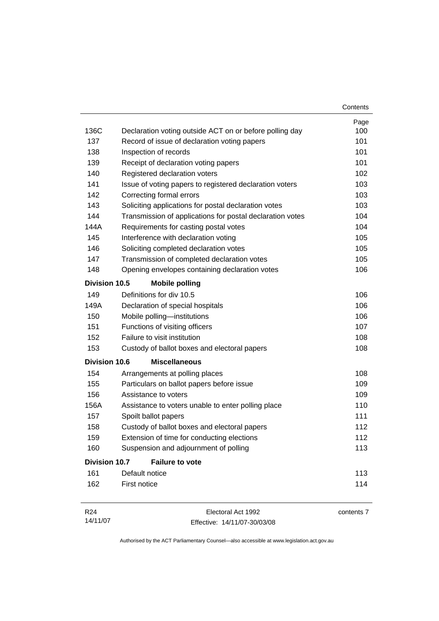|                      |                                                           | Contents   |
|----------------------|-----------------------------------------------------------|------------|
|                      |                                                           | Page       |
| 136C                 | Declaration voting outside ACT on or before polling day   | 100        |
| 137                  | Record of issue of declaration voting papers              | 101        |
| 138                  | Inspection of records                                     | 101        |
| 139                  | Receipt of declaration voting papers                      | 101        |
| 140                  | Registered declaration voters                             | 102        |
| 141                  | Issue of voting papers to registered declaration voters   | 103        |
| 142                  | Correcting formal errors                                  | 103        |
| 143                  | Soliciting applications for postal declaration votes      | 103        |
| 144                  | Transmission of applications for postal declaration votes | 104        |
| 144A                 | Requirements for casting postal votes                     | 104        |
| 145                  | Interference with declaration voting                      | 105        |
| 146                  | Soliciting completed declaration votes                    | 105        |
| 147                  | Transmission of completed declaration votes               | 105        |
| 148                  | Opening envelopes containing declaration votes            | 106        |
| Division 10.5        | <b>Mobile polling</b>                                     |            |
| 149                  | Definitions for div 10.5                                  | 106        |
| 149A                 | Declaration of special hospitals                          | 106        |
| 150                  | Mobile polling-institutions                               | 106        |
| 151                  | Functions of visiting officers                            | 107        |
| 152                  | Failure to visit institution                              | 108        |
| 153                  | Custody of ballot boxes and electoral papers              | 108        |
| <b>Division 10.6</b> | <b>Miscellaneous</b>                                      |            |
| 154                  | Arrangements at polling places                            | 108        |
| 155                  | Particulars on ballot papers before issue                 | 109        |
| 156                  | Assistance to voters                                      | 109        |
| 156A                 | Assistance to voters unable to enter polling place        | 110        |
| 157                  | Spoilt ballot papers                                      | 111        |
| 158                  | Custody of ballot boxes and electoral papers              | 112        |
| 159                  | Extension of time for conducting elections                | 112        |
| 160                  | Suspension and adjournment of polling                     | 113        |
| <b>Division 10.7</b> | <b>Failure to vote</b>                                    |            |
| 161                  | Default notice                                            | 113        |
| 162                  | First notice                                              | 114        |
| R <sub>24</sub>      | Electoral Act 1992                                        | contents 7 |

Effective: 14/11/07-30/03/08

14/11/07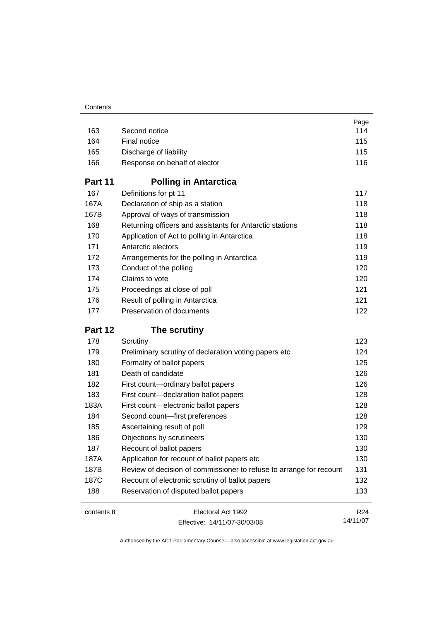|            |                                                                     | Page            |
|------------|---------------------------------------------------------------------|-----------------|
| 163        | Second notice                                                       | 114             |
| 164        | Final notice                                                        | 115             |
| 165        | Discharge of liability                                              | 115             |
| 166        | Response on behalf of elector                                       |                 |
| Part 11    | <b>Polling in Antarctica</b>                                        |                 |
| 167        | Definitions for pt 11                                               | 117             |
| 167A       | Declaration of ship as a station                                    | 118             |
| 167B       | Approval of ways of transmission                                    | 118             |
| 168        | Returning officers and assistants for Antarctic stations            | 118             |
| 170        | Application of Act to polling in Antarctica                         | 118             |
| 171        | Antarctic electors                                                  | 119             |
| 172        | Arrangements for the polling in Antarctica                          | 119             |
| 173        | Conduct of the polling                                              | 120             |
| 174        | Claims to vote                                                      | 120             |
| 175        | Proceedings at close of poll                                        | 121             |
| 176        | Result of polling in Antarctica                                     | 121             |
| 177        | Preservation of documents                                           | 122             |
| Part 12    | The scrutiny                                                        |                 |
| 178        | Scrutiny                                                            | 123             |
| 179        | Preliminary scrutiny of declaration voting papers etc               | 124             |
| 180        | Formality of ballot papers                                          | 125             |
| 181        | Death of candidate                                                  | 126             |
| 182        | First count-ordinary ballot papers                                  | 126             |
| 183        | First count-declaration ballot papers                               | 128             |
| 183A       | First count-electronic ballot papers                                | 128             |
| 184        | Second count-first preferences                                      | 128             |
| 185        | Ascertaining result of poll                                         | 129             |
| 186        | Objections by scrutineers                                           | 130             |
| 187        | Recount of ballot papers                                            | 130             |
| 187A       | Application for recount of ballot papers etc                        | 130             |
| 187B       | Review of decision of commissioner to refuse to arrange for recount | 131             |
| 187C       | Recount of electronic scrutiny of ballot papers                     | 132             |
| 188        | Reservation of disputed ballot papers                               | 133             |
| contents 8 | Electoral Act 1992                                                  | R <sub>24</sub> |
|            | Effective: 14/11/07-30/03/08                                        | 14/11/07        |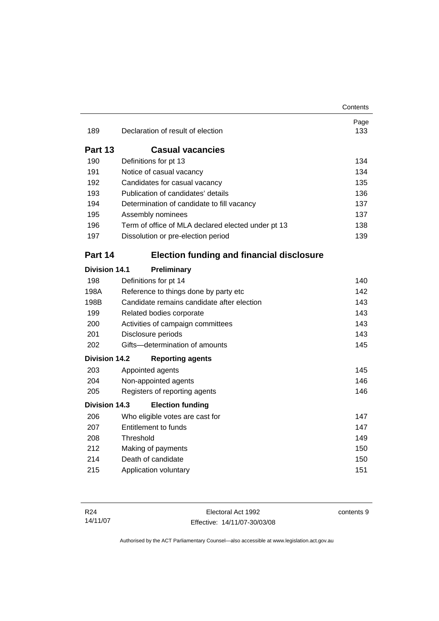|                      |                                                    | Contents    |  |
|----------------------|----------------------------------------------------|-------------|--|
| 189                  | Declaration of result of election                  | Page<br>133 |  |
| <b>Part 13</b>       | <b>Casual vacancies</b>                            |             |  |
| 190                  | Definitions for pt 13                              | 134         |  |
| 191                  | Notice of casual vacancy                           | 134         |  |
| 192                  | Candidates for casual vacancy                      | 135         |  |
| 193                  | Publication of candidates' details                 | 136         |  |
| 194                  | Determination of candidate to fill vacancy         | 137         |  |
| 195                  | Assembly nominees                                  | 137         |  |
| 196                  | Term of office of MLA declared elected under pt 13 | 138         |  |
| 197                  | Dissolution or pre-election period                 | 139         |  |
| Part 14              | <b>Election funding and financial disclosure</b>   |             |  |
| <b>Division 14.1</b> | Preliminary                                        |             |  |
| 198                  | Definitions for pt 14                              | 140         |  |
| 198A                 | Reference to things done by party etc              | 142         |  |
| 198B                 | Candidate remains candidate after election         | 143         |  |
| 199                  | Related bodies corporate                           | 143         |  |
| 200                  | Activities of campaign committees                  | 143         |  |
| 201                  | Disclosure periods                                 | 143         |  |
| 202                  | Gifts-determination of amounts                     | 145         |  |
| <b>Division 14.2</b> | <b>Reporting agents</b>                            |             |  |
| 203                  | Appointed agents                                   | 145         |  |
| 204                  | Non-appointed agents                               | 146         |  |
| 205                  | Registers of reporting agents                      | 146         |  |
| <b>Division 14.3</b> | <b>Election funding</b>                            |             |  |
| 206                  | Who eligible votes are cast for                    | 147         |  |
| 207                  | <b>Entitlement to funds</b>                        |             |  |
| 208                  | Threshold                                          | 149         |  |
| 212                  | Making of payments                                 | 150<br>150  |  |
| 214                  | Death of candidate                                 |             |  |
| 215                  | Application voluntary                              | 151         |  |

Electoral Act 1992 Effective: 14/11/07-30/03/08 contents 9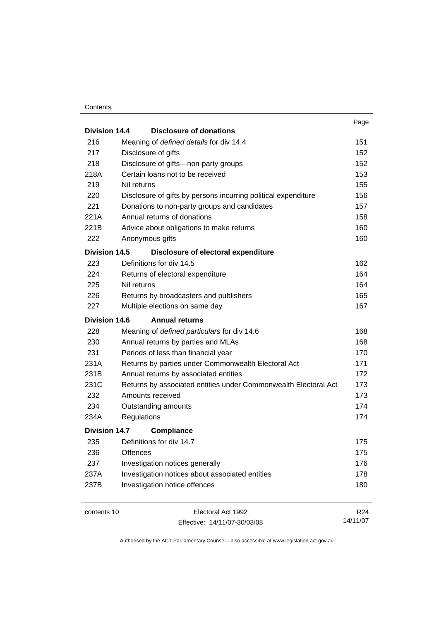#### **Contents**

|                      |                                                                 | Page            |
|----------------------|-----------------------------------------------------------------|-----------------|
| Division 14.4        | Disclosure of donations                                         |                 |
| 216                  | Meaning of defined details for div 14.4                         | 151<br>152      |
| 217                  | Disclosure of gifts                                             |                 |
| 218                  | Disclosure of gifts-non-party groups                            | 152             |
| 218A                 | Certain loans not to be received                                | 153             |
| 219                  | Nil returns                                                     | 155             |
| 220                  | Disclosure of gifts by persons incurring political expenditure  | 156             |
| 221                  | Donations to non-party groups and candidates                    | 157             |
| 221A                 | Annual returns of donations                                     | 158             |
| 221B                 | Advice about obligations to make returns                        | 160             |
| 222                  | Anonymous gifts                                                 | 160             |
| <b>Division 14.5</b> | Disclosure of electoral expenditure                             |                 |
| 223                  | Definitions for div 14.5                                        | 162             |
| 224                  | Returns of electoral expenditure                                | 164             |
| 225                  | Nil returns                                                     | 164             |
| 226                  | Returns by broadcasters and publishers                          | 165             |
| 227                  | Multiple elections on same day                                  | 167             |
| <b>Division 14.6</b> | <b>Annual returns</b>                                           |                 |
| 228                  | Meaning of defined particulars for div 14.6                     | 168             |
| 230                  | Annual returns by parties and MLAs                              | 168             |
| 231                  | Periods of less than financial year                             | 170             |
| 231A                 | Returns by parties under Commonwealth Electoral Act             | 171             |
| 231B                 | Annual returns by associated entities                           | 172             |
| 231C                 | Returns by associated entities under Commonwealth Electoral Act | 173             |
| 232                  | Amounts received                                                | 173             |
| 234                  | Outstanding amounts                                             | 174             |
| 234A                 | Regulations                                                     | 174             |
| Division 14.7        | <b>Compliance</b>                                               |                 |
| 235                  | Definitions for div 14.7                                        | 175             |
| 236                  | Offences                                                        | 175             |
| 237                  | Investigation notices generally                                 | 176             |
| 237A                 | Investigation notices about associated entities                 | 178             |
| 237B                 | Investigation notice offences                                   | 180             |
| contents 10          | Electoral Act 1992                                              | R <sub>24</sub> |
|                      |                                                                 |                 |

Effective: 14/11/07-30/03/08

14/11/07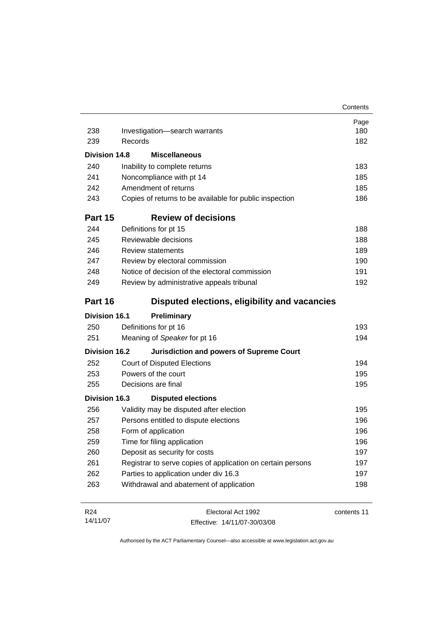|                      |                                                             | Contents    |
|----------------------|-------------------------------------------------------------|-------------|
|                      |                                                             | Page        |
| 238                  | Investigation-search warrants                               | 180         |
| 239                  | Records                                                     | 182         |
| Division 14.8        | <b>Miscellaneous</b>                                        |             |
| 240                  | Inability to complete returns                               | 183         |
| 241                  | Noncompliance with pt 14                                    | 185         |
| 242                  | Amendment of returns                                        | 185         |
| 243                  | Copies of returns to be available for public inspection     | 186         |
| Part 15              | <b>Review of decisions</b>                                  |             |
| 244                  | Definitions for pt 15                                       | 188         |
| 245                  | Reviewable decisions                                        | 188         |
| 246                  | <b>Review statements</b>                                    | 189         |
| 247                  | Review by electoral commission                              | 190         |
| 248                  | Notice of decision of the electoral commission              | 191         |
| 249                  | Review by administrative appeals tribunal                   | 192         |
| Part 16              | Disputed elections, eligibility and vacancies               |             |
| <b>Division 16.1</b> | <b>Preliminary</b>                                          |             |
| 250                  | Definitions for pt 16                                       | 193         |
| 251                  | Meaning of Speaker for pt 16                                | 194         |
| Division 16.2        | <b>Jurisdiction and powers of Supreme Court</b>             |             |
| 252                  | <b>Court of Disputed Elections</b>                          | 194         |
| 253                  | Powers of the court                                         | 195         |
| 255                  | Decisions are final                                         | 195         |
| <b>Division 16.3</b> | <b>Disputed elections</b>                                   |             |
| 256                  | Validity may be disputed after election                     | 195         |
| 257                  | Persons entitled to dispute elections                       | 196         |
| 258                  | Form of application                                         | 196         |
| 259                  | Time for filing application                                 | 196         |
| 260                  | Deposit as security for costs                               | 197         |
| 261                  | Registrar to serve copies of application on certain persons | 197         |
| 262                  | Parties to application under div 16.3                       | 197         |
| 263                  | Withdrawal and abatement of application                     | 198         |
| R <sub>24</sub>      | Electoral Act 1992                                          | contents 11 |
| 14/11/07             | Effective: 14/11/07-30/03/08                                |             |

Effective: 14/11/07-30/03/08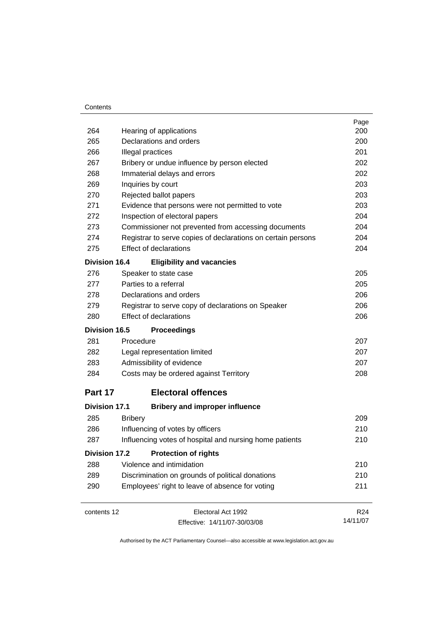#### **Contents**

|                      |                                                              | Page            |
|----------------------|--------------------------------------------------------------|-----------------|
| 264                  | Hearing of applications                                      | 200             |
| 265                  | Declarations and orders                                      | 200             |
| 266                  | Illegal practices                                            | 201             |
| 267                  | Bribery or undue influence by person elected                 | 202             |
| 268                  | Immaterial delays and errors                                 | 202             |
| 269                  | Inquiries by court                                           | 203             |
| 270                  | Rejected ballot papers                                       | 203             |
| 271                  | Evidence that persons were not permitted to vote             | 203             |
| 272                  | Inspection of electoral papers                               | 204             |
| 273                  | Commissioner not prevented from accessing documents          | 204             |
| 274                  | Registrar to serve copies of declarations on certain persons | 204             |
| 275                  | <b>Effect of declarations</b>                                | 204             |
| <b>Division 16.4</b> | <b>Eligibility and vacancies</b>                             |                 |
| 276                  | Speaker to state case                                        | 205             |
| 277                  | Parties to a referral                                        | 205             |
| 278                  | Declarations and orders                                      | 206             |
| 279                  | Registrar to serve copy of declarations on Speaker           | 206             |
| 280                  | <b>Effect of declarations</b>                                | 206             |
| <b>Division 16.5</b> | <b>Proceedings</b>                                           |                 |
| 281                  | Procedure                                                    | 207             |
| 282                  | Legal representation limited                                 | 207             |
| 283                  | Admissibility of evidence                                    | 207             |
| 284                  | Costs may be ordered against Territory                       | 208             |
| Part 17              | <b>Electoral offences</b>                                    |                 |
| <b>Division 17.1</b> | <b>Bribery and improper influence</b>                        |                 |
| 285                  | <b>Bribery</b>                                               | 209             |
| 286                  | Influencing of votes by officers                             | 210             |
| 287                  | Influencing votes of hospital and nursing home patients      | 210             |
| <b>Division 17.2</b> | <b>Protection of rights</b>                                  |                 |
| 288                  | Violence and intimidation                                    | 210             |
| 289                  | Discrimination on grounds of political donations             |                 |
| 290                  | Employees' right to leave of absence for voting              | 211             |
| contents 12          | Electoral Act 1992                                           | R <sub>24</sub> |
|                      | Effective: 14/11/07-30/03/08                                 | 14/11/07        |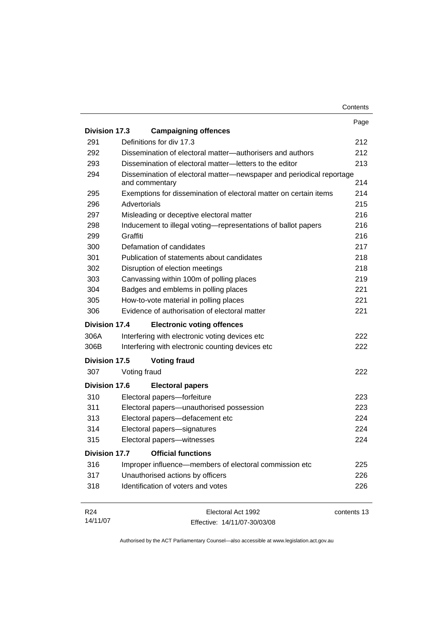| Division 17.3        | <b>Campaigning offences</b>                                                            | Page        |
|----------------------|----------------------------------------------------------------------------------------|-------------|
|                      |                                                                                        |             |
|                      |                                                                                        |             |
| 291                  | Definitions for div 17.3                                                               | 212         |
| 292                  | Dissemination of electoral matter—authorisers and authors                              | 212         |
| 293                  | Dissemination of electoral matter-letters to the editor                                | 213         |
| 294                  | Dissemination of electoral matter-newspaper and periodical reportage<br>and commentary | 214         |
| 295                  | Exemptions for dissemination of electoral matter on certain items                      | 214         |
| 296                  | Advertorials                                                                           | 215         |
| 297                  | Misleading or deceptive electoral matter                                               | 216         |
| 298                  | Inducement to illegal voting-representations of ballot papers                          | 216         |
| 299                  | Graffiti                                                                               | 216         |
| 300                  | Defamation of candidates                                                               | 217         |
| 301                  | Publication of statements about candidates                                             | 218         |
| 302                  | Disruption of election meetings                                                        | 218         |
| 303                  | Canvassing within 100m of polling places                                               | 219         |
| 304                  | Badges and emblems in polling places                                                   | 221         |
| 305                  | How-to-vote material in polling places                                                 | 221         |
| 306                  | Evidence of authorisation of electoral matter                                          | 221         |
| Division 17.4        | <b>Electronic voting offences</b>                                                      |             |
| 306A                 | Interfering with electronic voting devices etc                                         | 222         |
| 306B                 | Interfering with electronic counting devices etc                                       | 222         |
| Division 17.5        | <b>Voting fraud</b>                                                                    |             |
| 307                  | Voting fraud                                                                           | 222         |
| <b>Division 17.6</b> | <b>Electoral papers</b>                                                                |             |
| 310                  | Electoral papers-forfeiture                                                            | 223         |
| 311                  | Electoral papers-unauthorised possession                                               | 223         |
| 313                  | Electoral papers-defacement etc                                                        | 224         |
| 314                  | Electoral papers-signatures                                                            | 224         |
| 315                  | Electoral papers-witnesses                                                             | 224         |
| <b>Division 17.7</b> | <b>Official functions</b>                                                              |             |
| 316                  | Improper influence—members of electoral commission etc                                 | 225         |
| 317                  | Unauthorised actions by officers                                                       | 226         |
| 318                  | Identification of voters and votes                                                     | 226         |
| R <sub>24</sub>      | Electoral Act 1992                                                                     | contents 13 |

Effective: 14/11/07-30/03/08

14/11/07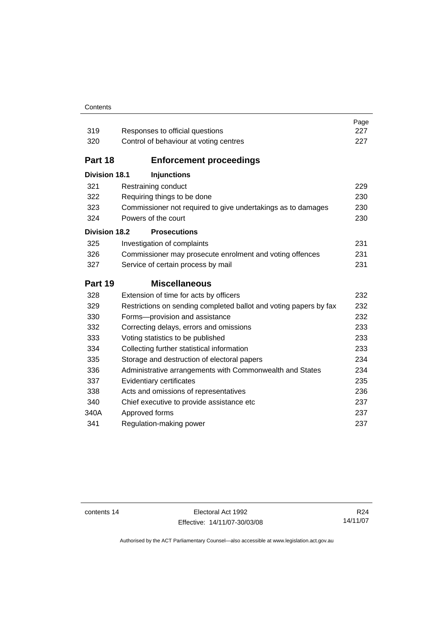#### **Contents**

| 319                  | Responses to official questions                                   | Page<br>227 |  |  |
|----------------------|-------------------------------------------------------------------|-------------|--|--|
| 320                  | Control of behaviour at voting centres                            |             |  |  |
|                      | 227                                                               |             |  |  |
| Part 18              | <b>Enforcement proceedings</b>                                    |             |  |  |
| <b>Division 18.1</b> | <b>Injunctions</b>                                                |             |  |  |
| 321                  | Restraining conduct                                               | 229         |  |  |
| 322                  | Requiring things to be done<br>230                                |             |  |  |
| 323                  | Commissioner not required to give undertakings as to damages      | 230         |  |  |
| 324                  | Powers of the court                                               | 230         |  |  |
| <b>Division 18.2</b> | <b>Prosecutions</b>                                               |             |  |  |
| 325                  | Investigation of complaints                                       | 231         |  |  |
| 326                  | Commissioner may prosecute enrolment and voting offences          | 231         |  |  |
| 327                  | Service of certain process by mail                                | 231         |  |  |
| Part 19              | <b>Miscellaneous</b>                                              |             |  |  |
|                      |                                                                   |             |  |  |
| 328                  | Extension of time for acts by officers                            | 232         |  |  |
| 329                  | Restrictions on sending completed ballot and voting papers by fax | 232         |  |  |
| 330                  | Forms-provision and assistance                                    | 232         |  |  |
| 332                  | Correcting delays, errors and omissions                           | 233         |  |  |
| 333                  | Voting statistics to be published                                 | 233         |  |  |
| 334                  | Collecting further statistical information                        | 233         |  |  |
| 335                  | Storage and destruction of electoral papers                       | 234         |  |  |
| 336                  | Administrative arrangements with Commonwealth and States          | 234         |  |  |
| 337                  | Evidentiary certificates                                          | 235         |  |  |
| 338                  | Acts and omissions of representatives                             | 236         |  |  |
| 340                  | Chief executive to provide assistance etc                         | 237         |  |  |
| 340A                 | Approved forms                                                    | 237         |  |  |
| 341                  | Regulation-making power                                           | 237         |  |  |

contents 14 Electoral Act 1992 Effective: 14/11/07-30/03/08

R24 14/11/07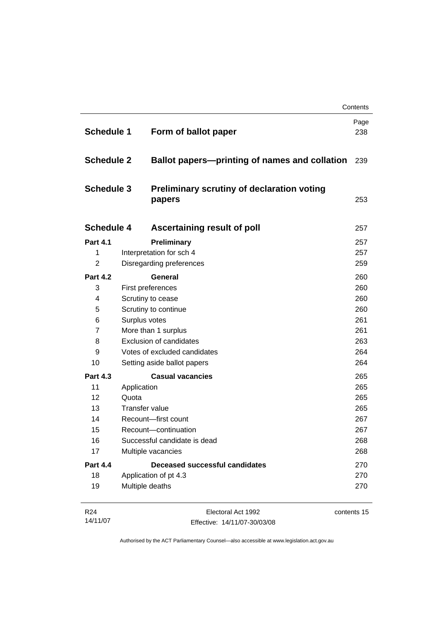|                   |                                                                           |                                                             | Contents    |
|-------------------|---------------------------------------------------------------------------|-------------------------------------------------------------|-------------|
| <b>Schedule 1</b> |                                                                           | Form of ballot paper                                        | Page<br>238 |
|                   | <b>Schedule 2</b><br><b>Ballot papers—printing of names and collation</b> |                                                             | 239         |
| <b>Schedule 3</b> |                                                                           | <b>Preliminary scrutiny of declaration voting</b><br>papers | 253         |
| <b>Schedule 4</b> |                                                                           | <b>Ascertaining result of poll</b>                          | 257         |
| <b>Part 4.1</b>   |                                                                           | Preliminary                                                 | 257         |
| 1                 |                                                                           | Interpretation for sch 4                                    | 257         |
| $\overline{2}$    |                                                                           | Disregarding preferences                                    | 259         |
| <b>Part 4.2</b>   |                                                                           | <b>General</b>                                              | 260         |
| 3                 |                                                                           | First preferences                                           | 260         |
| 4                 | Scrutiny to cease                                                         |                                                             | 260         |
| 5                 |                                                                           | Scrutiny to continue                                        | 260         |
| 6                 |                                                                           | Surplus votes                                               | 261         |
| $\overline{7}$    |                                                                           | More than 1 surplus                                         | 261         |
| 8                 |                                                                           | <b>Exclusion of candidates</b>                              | 263         |
| 9                 |                                                                           | Votes of excluded candidates                                | 264         |
| 10                |                                                                           | Setting aside ballot papers                                 | 264         |
| <b>Part 4.3</b>   |                                                                           | <b>Casual vacancies</b>                                     | 265         |
| 11                | Application                                                               |                                                             | 265         |
| 12                | Quota                                                                     |                                                             | 265         |
| 13                |                                                                           | <b>Transfer value</b>                                       | 265         |
| 14                |                                                                           | Recount-first count                                         | 267         |
| 15                |                                                                           | Recount-continuation                                        | 267         |
| 16                |                                                                           | Successful candidate is dead                                | 268         |
| 17                |                                                                           | Multiple vacancies                                          | 268         |
| <b>Part 4.4</b>   |                                                                           | Deceased successful candidates                              | 270         |
| 18                |                                                                           | Application of pt 4.3                                       | 270         |
| 19                |                                                                           | Multiple deaths                                             | 270         |
| R <sub>24</sub>   |                                                                           | Electoral Act 1992                                          | contents 15 |

| 14/11/07 | Effective: 14/11/07-30/03/08 |
|----------|------------------------------|
|          |                              |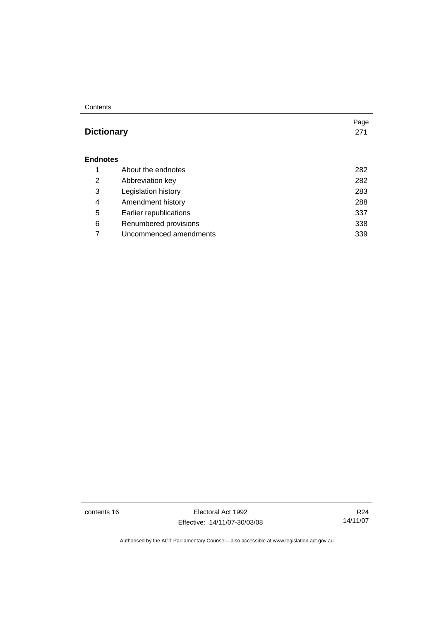#### **Contents**

# **Dictionary** [271](#page-288-0)

#### **Endnotes**

|   | About the endnotes     | 282 |
|---|------------------------|-----|
| 2 | Abbreviation key       | 282 |
| 3 | Legislation history    | 283 |
| 4 | Amendment history      | 288 |
| 5 | Earlier republications | 337 |
| 6 | Renumbered provisions  | 338 |
|   | Uncommenced amendments | 339 |

contents 16 Electoral Act 1992 Effective: 14/11/07-30/03/08

R24 14/11/07

Page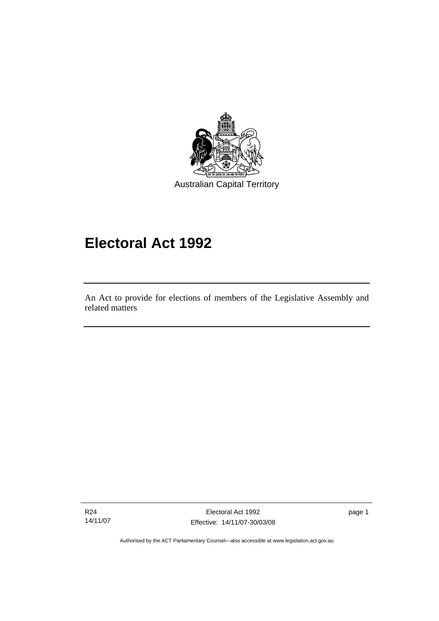<span id="page-18-0"></span>

# **Electoral Act 1992**

An Act to provide for elections of members of the Legislative Assembly and related matters

R24 14/11/07

l

Electoral Act 1992 Effective: 14/11/07-30/03/08 page 1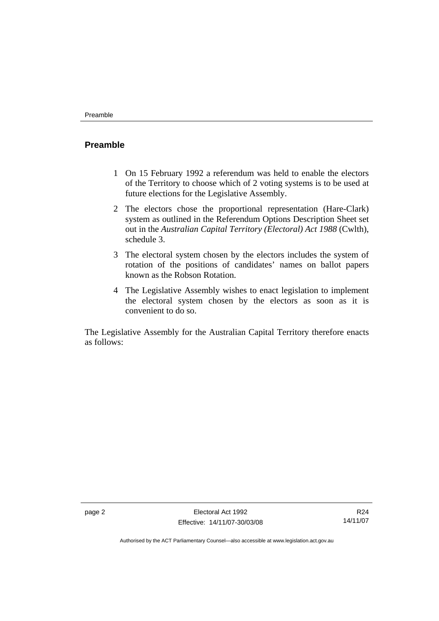### <span id="page-19-0"></span>**Preamble**

- 1 On 15 February 1992 a referendum was held to enable the electors of the Territory to choose which of 2 voting systems is to be used at future elections for the Legislative Assembly.
- 2 The electors chose the proportional representation (Hare-Clark) system as outlined in the Referendum Options Description Sheet set out in the *Australian Capital Territory (Electoral) Act 1988* (Cwlth), schedule 3.
- 3 The electoral system chosen by the electors includes the system of rotation of the positions of candidates' names on ballot papers known as the Robson Rotation.
- 4 The Legislative Assembly wishes to enact legislation to implement the electoral system chosen by the electors as soon as it is convenient to do so.

The Legislative Assembly for the Australian Capital Territory therefore enacts as follows:

R24 14/11/07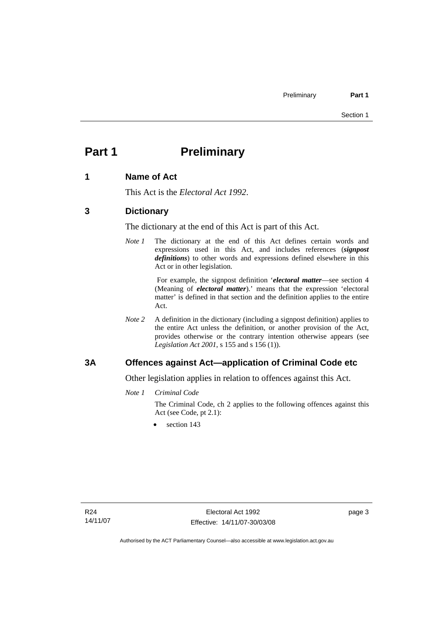# <span id="page-20-0"></span>**Part 1** Preliminary

### **1 Name of Act**

This Act is the *Electoral Act 1992*.

### **3 Dictionary**

The dictionary at the end of this Act is part of this Act.

*Note 1* The dictionary at the end of this Act defines certain words and expressions used in this Act, and includes references (*signpost definitions*) to other words and expressions defined elsewhere in this Act or in other legislation.

> For example, the signpost definition '*electoral matter*—see section 4 (Meaning of *electoral matter*).' means that the expression 'electoral matter' is defined in that section and the definition applies to the entire Act.

*Note 2* A definition in the dictionary (including a signpost definition) applies to the entire Act unless the definition, or another provision of the Act, provides otherwise or the contrary intention otherwise appears (see *Legislation Act 2001*, s 155 and s 156 (1)).

### **3A Offences against Act—application of Criminal Code etc**

Other legislation applies in relation to offences against this Act.

*Note 1 Criminal Code*

The Criminal Code, ch 2 applies to the following offences against this Act (see Code, pt 2.1):

section 143

page 3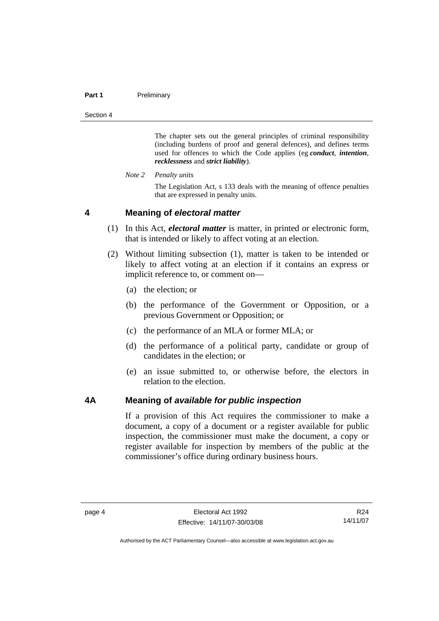#### <span id="page-21-0"></span>**Part 1** Preliminary

Section 4

The chapter sets out the general principles of criminal responsibility (including burdens of proof and general defences), and defines terms used for offences to which the Code applies (eg *conduct*, *intention*, *recklessness* and *strict liability*).

*Note 2 Penalty units* 

The Legislation Act, s 133 deals with the meaning of offence penalties that are expressed in penalty units.

#### **4 Meaning of** *electoral matter*

- (1) In this Act, *electoral matter* is matter, in printed or electronic form, that is intended or likely to affect voting at an election.
- (2) Without limiting subsection (1), matter is taken to be intended or likely to affect voting at an election if it contains an express or implicit reference to, or comment on—
	- (a) the election; or
	- (b) the performance of the Government or Opposition, or a previous Government or Opposition; or
	- (c) the performance of an MLA or former MLA; or
	- (d) the performance of a political party, candidate or group of candidates in the election; or
	- (e) an issue submitted to, or otherwise before, the electors in relation to the election.

#### **4A Meaning of** *available for public inspection*

If a provision of this Act requires the commissioner to make a document, a copy of a document or a register available for public inspection, the commissioner must make the document, a copy or register available for inspection by members of the public at the commissioner's office during ordinary business hours.

R24 14/11/07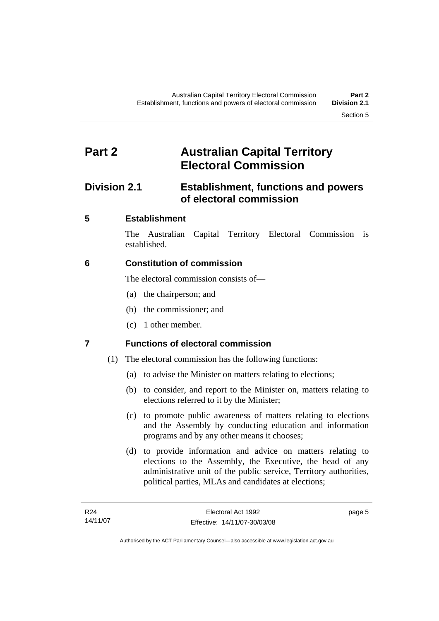# <span id="page-22-0"></span>**Part 2 Australian Capital Territory Electoral Commission**

# **Division 2.1 Establishment, functions and powers of electoral commission**

# **5 Establishment**

The Australian Capital Territory Electoral Commission is established.

# **6 Constitution of commission**

The electoral commission consists of—

- (a) the chairperson; and
- (b) the commissioner; and
- (c) 1 other member.

# **7 Functions of electoral commission**

- (1) The electoral commission has the following functions:
	- (a) to advise the Minister on matters relating to elections;
	- (b) to consider, and report to the Minister on, matters relating to elections referred to it by the Minister;
	- (c) to promote public awareness of matters relating to elections and the Assembly by conducting education and information programs and by any other means it chooses;
	- (d) to provide information and advice on matters relating to elections to the Assembly, the Executive, the head of any administrative unit of the public service, Territory authorities, political parties, MLAs and candidates at elections;

page 5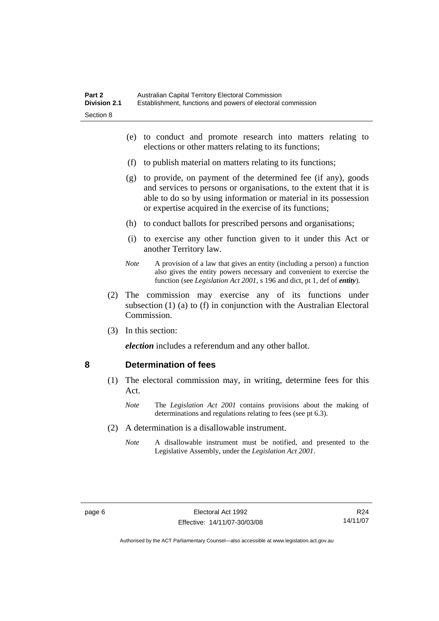- <span id="page-23-0"></span> (e) to conduct and promote research into matters relating to elections or other matters relating to its functions;
- (f) to publish material on matters relating to its functions;
- (g) to provide, on payment of the determined fee (if any), goods and services to persons or organisations, to the extent that it is able to do so by using information or material in its possession or expertise acquired in the exercise of its functions;
- (h) to conduct ballots for prescribed persons and organisations;
- (i) to exercise any other function given to it under this Act or another Territory law.
- *Note* A provision of a law that gives an entity (including a person) a function also gives the entity powers necessary and convenient to exercise the function (see *Legislation Act 2001*, s 196 and dict, pt 1, def of *entity*).
- (2) The commission may exercise any of its functions under subsection (1) (a) to (f) in conjunction with the Australian Electoral Commission.
- (3) In this section:

*election* includes a referendum and any other ballot.

#### **8 Determination of fees**

- (1) The electoral commission may, in writing, determine fees for this Act.
	- *Note* The *Legislation Act 2001* contains provisions about the making of determinations and regulations relating to fees (see pt 6.3).
- (2) A determination is a disallowable instrument.
	- *Note* A disallowable instrument must be notified, and presented to the Legislative Assembly, under the *Legislation Act 2001*.

R24 14/11/07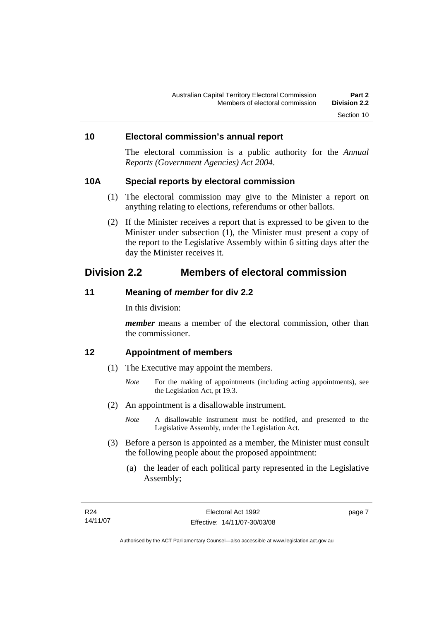#### <span id="page-24-0"></span>**10 Electoral commission's annual report**

The electoral commission is a public authority for the *Annual Reports (Government Agencies) Act 2004*.

#### **10A Special reports by electoral commission**

- (1) The electoral commission may give to the Minister a report on anything relating to elections, referendums or other ballots.
- (2) If the Minister receives a report that is expressed to be given to the Minister under subsection (1), the Minister must present a copy of the report to the Legislative Assembly within 6 sitting days after the day the Minister receives it.

# **Division 2.2 Members of electoral commission**

#### **11 Meaning of** *member* **for div 2.2**

In this division:

*member* means a member of the electoral commission, other than the commissioner.

### **12 Appointment of members**

- (1) The Executive may appoint the members.
	- *Note* For the making of appointments (including acting appointments), see the Legislation Act, pt 19.3.
- (2) An appointment is a disallowable instrument.
	- *Note* A disallowable instrument must be notified, and presented to the Legislative Assembly, under the Legislation Act.
- (3) Before a person is appointed as a member, the Minister must consult the following people about the proposed appointment:
	- (a) the leader of each political party represented in the Legislative Assembly;

page 7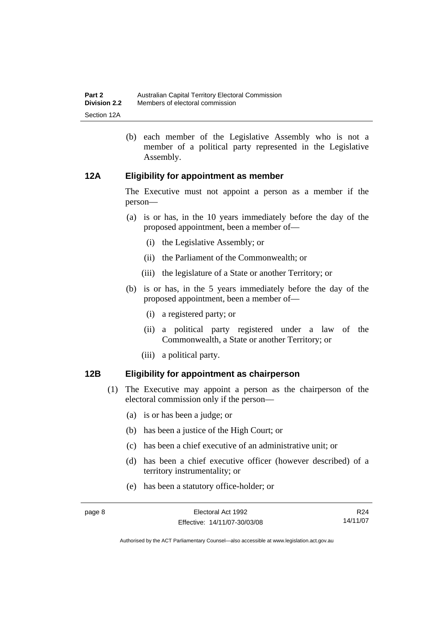<span id="page-25-0"></span> (b) each member of the Legislative Assembly who is not a member of a political party represented in the Legislative Assembly.

### **12A Eligibility for appointment as member**

The Executive must not appoint a person as a member if the person—

- (a) is or has, in the 10 years immediately before the day of the proposed appointment, been a member of—
	- (i) the Legislative Assembly; or
	- (ii) the Parliament of the Commonwealth; or
	- (iii) the legislature of a State or another Territory; or
- (b) is or has, in the 5 years immediately before the day of the proposed appointment, been a member of—
	- (i) a registered party; or
	- (ii) a political party registered under a law of the Commonwealth, a State or another Territory; or
	- (iii) a political party.

#### **12B Eligibility for appointment as chairperson**

- (1) The Executive may appoint a person as the chairperson of the electoral commission only if the person—
	- (a) is or has been a judge; or
	- (b) has been a justice of the High Court; or
	- (c) has been a chief executive of an administrative unit; or
	- (d) has been a chief executive officer (however described) of a territory instrumentality; or
	- (e) has been a statutory office-holder; or

page 8 Electoral Act 1992 Effective: 14/11/07-30/03/08 R24 14/11/07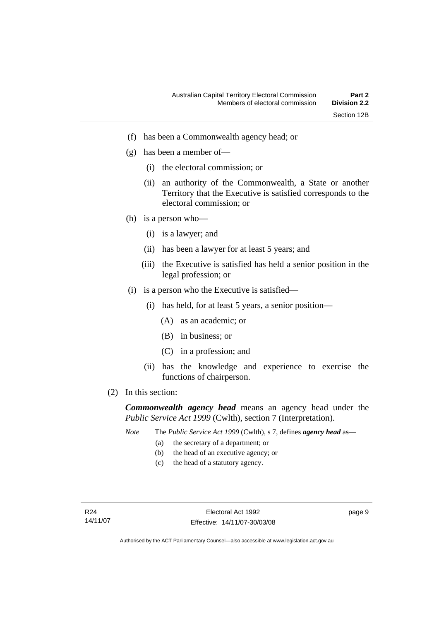- (f) has been a Commonwealth agency head; or
- (g) has been a member of—
	- (i) the electoral commission; or
	- (ii) an authority of the Commonwealth, a State or another Territory that the Executive is satisfied corresponds to the electoral commission; or
- (h) is a person who—
	- (i) is a lawyer; and
	- (ii) has been a lawyer for at least 5 years; and
	- (iii) the Executive is satisfied has held a senior position in the legal profession; or
- (i) is a person who the Executive is satisfied—
	- (i) has held, for at least 5 years, a senior position—
		- (A) as an academic; or
		- (B) in business; or
		- (C) in a profession; and
	- (ii) has the knowledge and experience to exercise the functions of chairperson.
- (2) In this section:

*Commonwealth agency head* means an agency head under the *Public Service Act 1999* (Cwlth), section 7 (Interpretation).

- *Note* The *Public Service Act 1999* (Cwlth), s 7, defines *agency head* as—
	- (a) the secretary of a department; or
	- (b) the head of an executive agency; or
	- (c) the head of a statutory agency.

page 9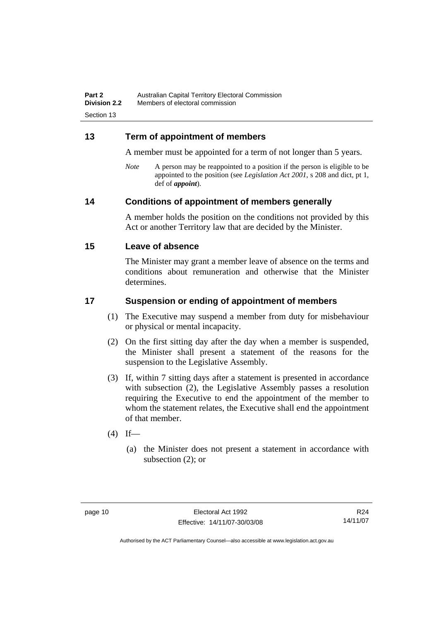### <span id="page-27-0"></span>**13 Term of appointment of members**

A member must be appointed for a term of not longer than 5 years.

*Note* A person may be reappointed to a position if the person is eligible to be appointed to the position (see *Legislation Act 2001*, s 208 and dict, pt 1, def of *appoint*).

### **14 Conditions of appointment of members generally**

A member holds the position on the conditions not provided by this Act or another Territory law that are decided by the Minister.

#### **15 Leave of absence**

The Minister may grant a member leave of absence on the terms and conditions about remuneration and otherwise that the Minister determines.

### **17 Suspension or ending of appointment of members**

- (1) The Executive may suspend a member from duty for misbehaviour or physical or mental incapacity.
- (2) On the first sitting day after the day when a member is suspended, the Minister shall present a statement of the reasons for the suspension to the Legislative Assembly.
- (3) If, within 7 sitting days after a statement is presented in accordance with subsection (2), the Legislative Assembly passes a resolution requiring the Executive to end the appointment of the member to whom the statement relates, the Executive shall end the appointment of that member.
- $(4)$  If—
	- (a) the Minister does not present a statement in accordance with subsection (2); or

R24 14/11/07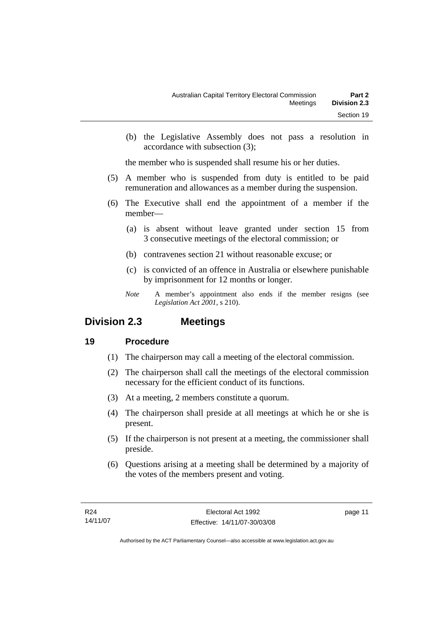<span id="page-28-0"></span> (b) the Legislative Assembly does not pass a resolution in accordance with subsection (3);

the member who is suspended shall resume his or her duties.

- (5) A member who is suspended from duty is entitled to be paid remuneration and allowances as a member during the suspension.
- (6) The Executive shall end the appointment of a member if the member—
	- (a) is absent without leave granted under section 15 from 3 consecutive meetings of the electoral commission; or
	- (b) contravenes section 21 without reasonable excuse; or
	- (c) is convicted of an offence in Australia or elsewhere punishable by imprisonment for 12 months or longer.
	- *Note* A member's appointment also ends if the member resigns (see *Legislation Act 2001*, s 210).

# **Division 2.3 Meetings**

# **19 Procedure**

- (1) The chairperson may call a meeting of the electoral commission.
- (2) The chairperson shall call the meetings of the electoral commission necessary for the efficient conduct of its functions.
- (3) At a meeting, 2 members constitute a quorum.
- (4) The chairperson shall preside at all meetings at which he or she is present.
- (5) If the chairperson is not present at a meeting, the commissioner shall preside.
- (6) Questions arising at a meeting shall be determined by a majority of the votes of the members present and voting.

page 11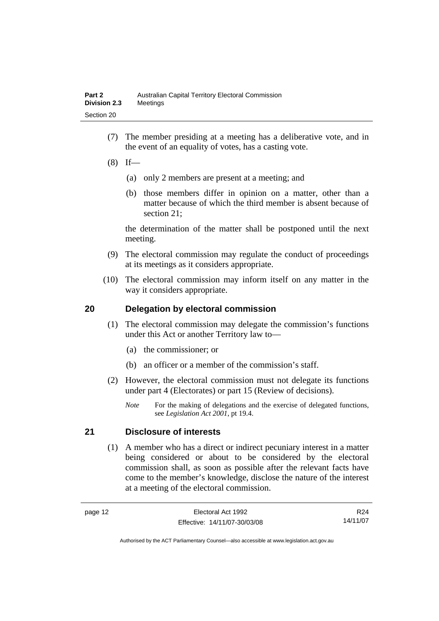- <span id="page-29-0"></span> (7) The member presiding at a meeting has a deliberative vote, and in the event of an equality of votes, has a casting vote.
- $(8)$  If—
	- (a) only 2 members are present at a meeting; and
	- (b) those members differ in opinion on a matter, other than a matter because of which the third member is absent because of section 21;

the determination of the matter shall be postponed until the next meeting.

- (9) The electoral commission may regulate the conduct of proceedings at its meetings as it considers appropriate.
- (10) The electoral commission may inform itself on any matter in the way it considers appropriate.

### **20 Delegation by electoral commission**

- (1) The electoral commission may delegate the commission's functions under this Act or another Territory law to—
	- (a) the commissioner; or
	- (b) an officer or a member of the commission's staff.
- (2) However, the electoral commission must not delegate its functions under part 4 (Electorates) or part 15 (Review of decisions).
	- *Note* For the making of delegations and the exercise of delegated functions, see *Legislation Act 2001*, pt 19.4.

# **21 Disclosure of interests**

 (1) A member who has a direct or indirect pecuniary interest in a matter being considered or about to be considered by the electoral commission shall, as soon as possible after the relevant facts have come to the member's knowledge, disclose the nature of the interest at a meeting of the electoral commission.

R24 14/11/07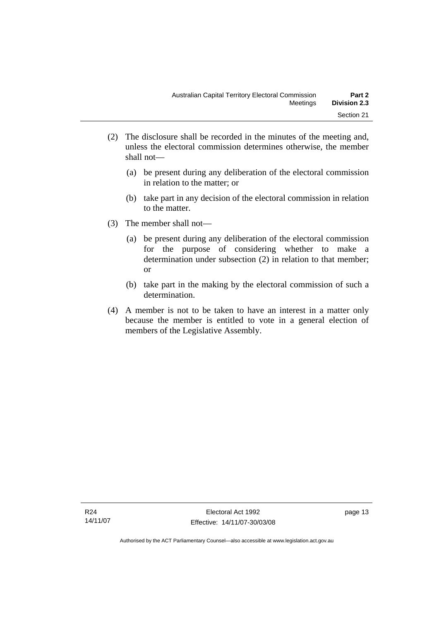- (2) The disclosure shall be recorded in the minutes of the meeting and, unless the electoral commission determines otherwise, the member shall not—
	- (a) be present during any deliberation of the electoral commission in relation to the matter; or
	- (b) take part in any decision of the electoral commission in relation to the matter.
- (3) The member shall not—
	- (a) be present during any deliberation of the electoral commission for the purpose of considering whether to make a determination under subsection (2) in relation to that member; or
	- (b) take part in the making by the electoral commission of such a determination.
- (4) A member is not to be taken to have an interest in a matter only because the member is entitled to vote in a general election of members of the Legislative Assembly.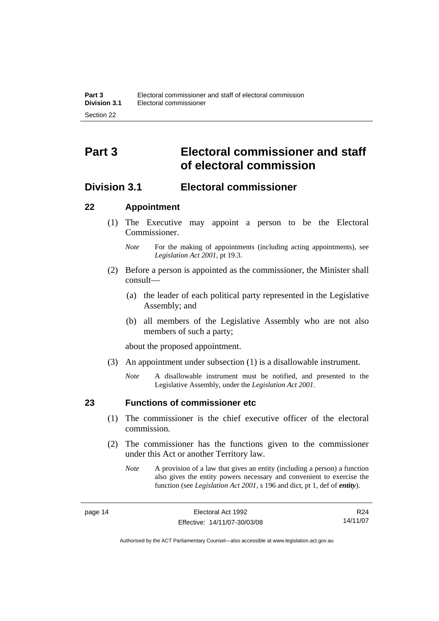# <span id="page-31-0"></span>**Part 3 Electoral commissioner and staff of electoral commission**

# **Division 3.1 Electoral commissioner**

#### **22 Appointment**

- (1) The Executive may appoint a person to be the Electoral Commissioner.
	- *Note* For the making of appointments (including acting appointments), see *Legislation Act 2001*, pt 19.3.
- (2) Before a person is appointed as the commissioner, the Minister shall consult—
	- (a) the leader of each political party represented in the Legislative Assembly; and
	- (b) all members of the Legislative Assembly who are not also members of such a party;

about the proposed appointment.

- (3) An appointment under subsection (1) is a disallowable instrument.
	- *Note* A disallowable instrument must be notified, and presented to the Legislative Assembly, under the *Legislation Act 2001*.

# **23 Functions of commissioner etc**

- (1) The commissioner is the chief executive officer of the electoral commission.
- (2) The commissioner has the functions given to the commissioner under this Act or another Territory law.
	- *Note* A provision of a law that gives an entity (including a person) a function also gives the entity powers necessary and convenient to exercise the function (see *Legislation Act 2001*, s 196 and dict, pt 1, def of *entity*).

R24 14/11/07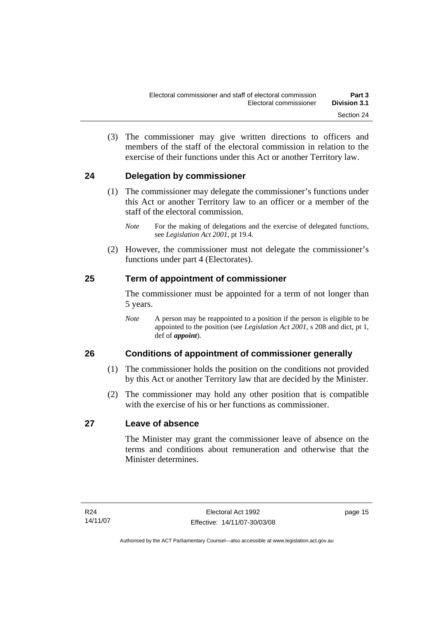<span id="page-32-0"></span> (3) The commissioner may give written directions to officers and members of the staff of the electoral commission in relation to the exercise of their functions under this Act or another Territory law.

# **24 Delegation by commissioner**

- (1) The commissioner may delegate the commissioner's functions under this Act or another Territory law to an officer or a member of the staff of the electoral commission.
	- *Note* For the making of delegations and the exercise of delegated functions, see *Legislation Act 2001*, pt 19.4.
- (2) However, the commissioner must not delegate the commissioner's functions under part 4 (Electorates).

# **25 Term of appointment of commissioner**

The commissioner must be appointed for a term of not longer than 5 years.

*Note* A person may be reappointed to a position if the person is eligible to be appointed to the position (see *Legislation Act 2001*, s 208 and dict, pt 1, def of *appoint*).

# **26 Conditions of appointment of commissioner generally**

- (1) The commissioner holds the position on the conditions not provided by this Act or another Territory law that are decided by the Minister.
- (2) The commissioner may hold any other position that is compatible with the exercise of his or her functions as commissioner.

# **27 Leave of absence**

The Minister may grant the commissioner leave of absence on the terms and conditions about remuneration and otherwise that the Minister determines.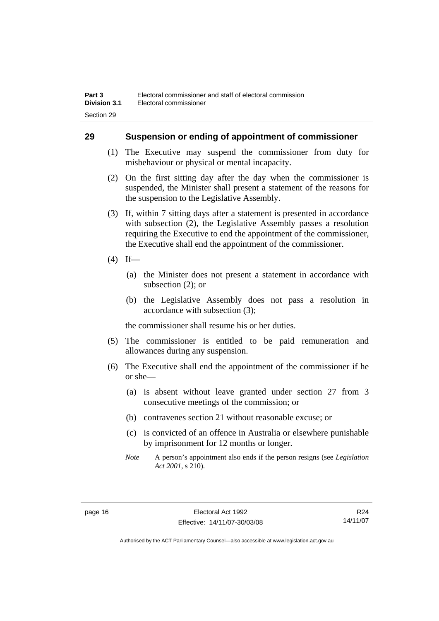### <span id="page-33-0"></span>**29 Suspension or ending of appointment of commissioner**

- (1) The Executive may suspend the commissioner from duty for misbehaviour or physical or mental incapacity.
- (2) On the first sitting day after the day when the commissioner is suspended, the Minister shall present a statement of the reasons for the suspension to the Legislative Assembly.
- (3) If, within 7 sitting days after a statement is presented in accordance with subsection (2), the Legislative Assembly passes a resolution requiring the Executive to end the appointment of the commissioner, the Executive shall end the appointment of the commissioner.
- $(4)$  If—
	- (a) the Minister does not present a statement in accordance with subsection (2); or
	- (b) the Legislative Assembly does not pass a resolution in accordance with subsection (3);

the commissioner shall resume his or her duties.

- (5) The commissioner is entitled to be paid remuneration and allowances during any suspension.
- (6) The Executive shall end the appointment of the commissioner if he or she—
	- (a) is absent without leave granted under section 27 from 3 consecutive meetings of the commission; or
	- (b) contravenes section 21 without reasonable excuse; or
	- (c) is convicted of an offence in Australia or elsewhere punishable by imprisonment for 12 months or longer.
	- *Note* A person's appointment also ends if the person resigns (see *Legislation Act 2001*, s 210).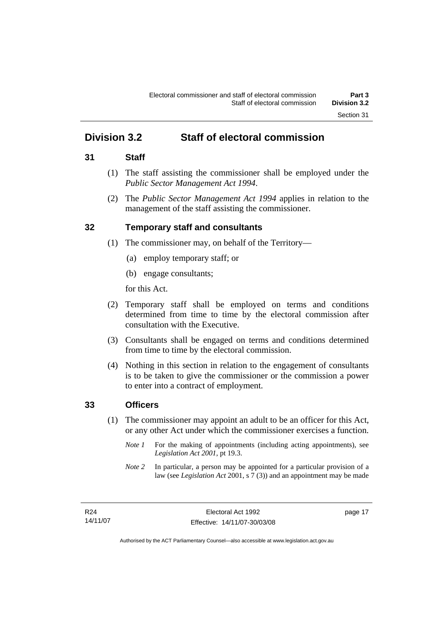# <span id="page-34-0"></span>**Division 3.2 Staff of electoral commission**

### **31 Staff**

- (1) The staff assisting the commissioner shall be employed under the *Public Sector Management Act 1994*.
- (2) The *Public Sector Management Act 1994* applies in relation to the management of the staff assisting the commissioner.

# **32 Temporary staff and consultants**

- (1) The commissioner may, on behalf of the Territory—
	- (a) employ temporary staff; or
	- (b) engage consultants;

for this Act.

- (2) Temporary staff shall be employed on terms and conditions determined from time to time by the electoral commission after consultation with the Executive.
- (3) Consultants shall be engaged on terms and conditions determined from time to time by the electoral commission.
- (4) Nothing in this section in relation to the engagement of consultants is to be taken to give the commissioner or the commission a power to enter into a contract of employment.

# **33 Officers**

- (1) The commissioner may appoint an adult to be an officer for this Act, or any other Act under which the commissioner exercises a function.
	- *Note 1* For the making of appointments (including acting appointments), see *Legislation Act 2001*, pt 19.3.
	- *Note 2* In particular, a person may be appointed for a particular provision of a law (see *Legislation Act* 2001, s 7 (3)) and an appointment may be made

page 17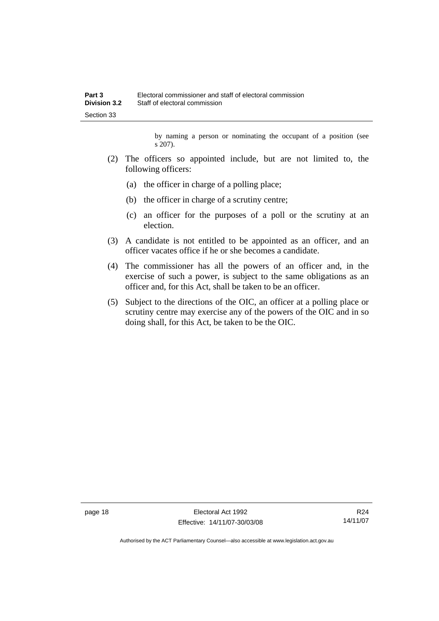by naming a person or nominating the occupant of a position (see s 207).

- (2) The officers so appointed include, but are not limited to, the following officers:
	- (a) the officer in charge of a polling place;
	- (b) the officer in charge of a scrutiny centre;
	- (c) an officer for the purposes of a poll or the scrutiny at an election.
- (3) A candidate is not entitled to be appointed as an officer, and an officer vacates office if he or she becomes a candidate.
- (4) The commissioner has all the powers of an officer and, in the exercise of such a power, is subject to the same obligations as an officer and, for this Act, shall be taken to be an officer.
- (5) Subject to the directions of the OIC, an officer at a polling place or scrutiny centre may exercise any of the powers of the OIC and in so doing shall, for this Act, be taken to be the OIC.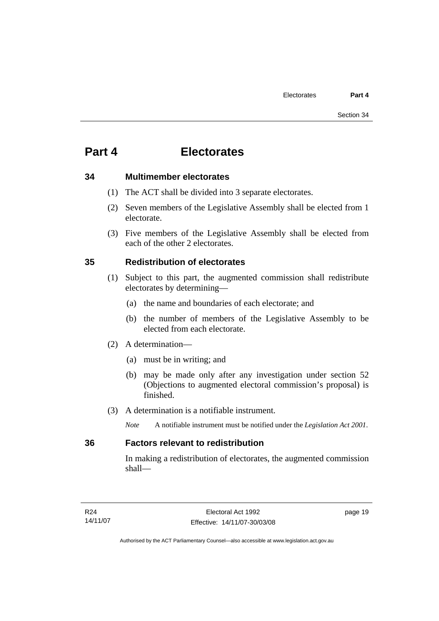# **34 Multimember electorates**

- (1) The ACT shall be divided into 3 separate electorates.
- (2) Seven members of the Legislative Assembly shall be elected from 1 electorate.
- (3) Five members of the Legislative Assembly shall be elected from each of the other 2 electorates.

# **35 Redistribution of electorates**

- (1) Subject to this part, the augmented commission shall redistribute electorates by determining—
	- (a) the name and boundaries of each electorate; and
	- (b) the number of members of the Legislative Assembly to be elected from each electorate.
- (2) A determination—
	- (a) must be in writing; and
	- (b) may be made only after any investigation under section 52 (Objections to augmented electoral commission's proposal) is finished.
- (3) A determination is a notifiable instrument.
	- *Note* A notifiable instrument must be notified under the *Legislation Act 2001*.

# **36 Factors relevant to redistribution**

In making a redistribution of electorates, the augmented commission shall—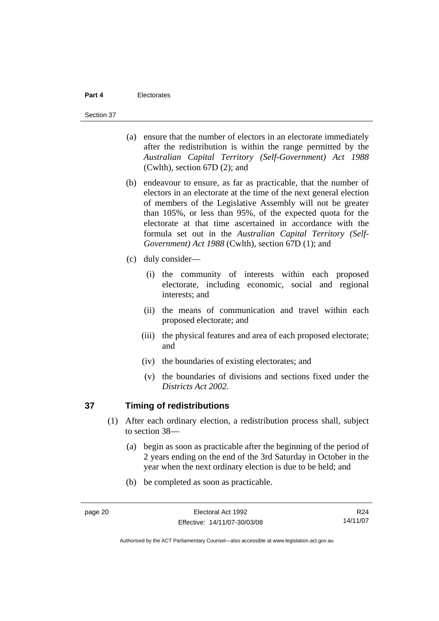#### Section 37

- (a) ensure that the number of electors in an electorate immediately after the redistribution is within the range permitted by the *Australian Capital Territory (Self-Government) Act 1988*  (Cwlth), section 67D (2); and
- (b) endeavour to ensure, as far as practicable, that the number of electors in an electorate at the time of the next general election of members of the Legislative Assembly will not be greater than 105%, or less than 95%, of the expected quota for the electorate at that time ascertained in accordance with the formula set out in the *Australian Capital Territory (Self-Government) Act 1988* (Cwlth), section 67D (1); and
- (c) duly consider—
	- (i) the community of interests within each proposed electorate, including economic, social and regional interests; and
	- (ii) the means of communication and travel within each proposed electorate; and
	- (iii) the physical features and area of each proposed electorate; and
	- (iv) the boundaries of existing electorates; and
	- (v) the boundaries of divisions and sections fixed under the *Districts Act 2002*.

# **37 Timing of redistributions**

- (1) After each ordinary election, a redistribution process shall, subject to section 38—
	- (a) begin as soon as practicable after the beginning of the period of 2 years ending on the end of the 3rd Saturday in October in the year when the next ordinary election is due to be held; and
	- (b) be completed as soon as practicable.

R24 14/11/07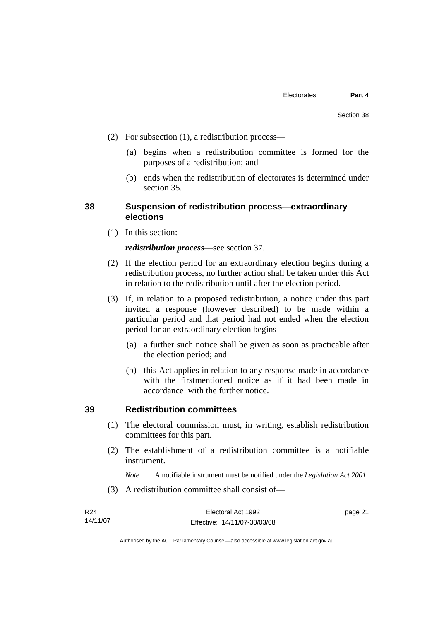- (2) For subsection (1), a redistribution process—
	- (a) begins when a redistribution committee is formed for the purposes of a redistribution; and
	- (b) ends when the redistribution of electorates is determined under section 35.

# **38 Suspension of redistribution process—extraordinary elections**

(1) In this section:

#### *redistribution process*—see section 37.

- (2) If the election period for an extraordinary election begins during a redistribution process, no further action shall be taken under this Act in relation to the redistribution until after the election period.
- (3) If, in relation to a proposed redistribution, a notice under this part invited a response (however described) to be made within a particular period and that period had not ended when the election period for an extraordinary election begins—
	- (a) a further such notice shall be given as soon as practicable after the election period; and
	- (b) this Act applies in relation to any response made in accordance with the firstmentioned notice as if it had been made in accordance with the further notice.

# **39 Redistribution committees**

- (1) The electoral commission must, in writing, establish redistribution committees for this part.
- (2) The establishment of a redistribution committee is a notifiable instrument.

*Note* A notifiable instrument must be notified under the *Legislation Act 2001*.

(3) A redistribution committee shall consist of—

| R24      | Electoral Act 1992           | page 21 |
|----------|------------------------------|---------|
| 14/11/07 | Effective: 14/11/07-30/03/08 |         |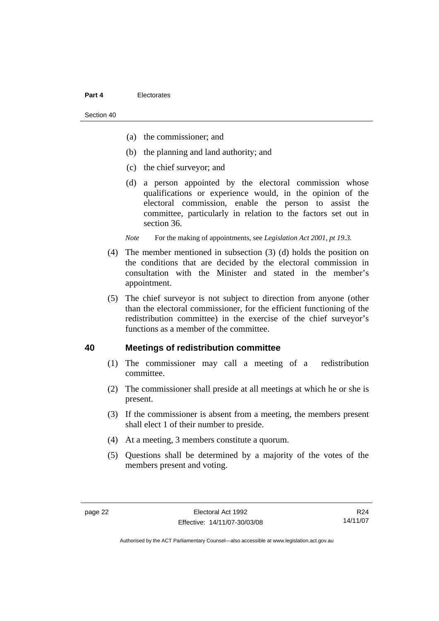Section 40

- (a) the commissioner; and
- (b) the planning and land authority; and
- (c) the chief surveyor; and
- (d) a person appointed by the electoral commission whose qualifications or experience would, in the opinion of the electoral commission, enable the person to assist the committee, particularly in relation to the factors set out in section 36.

*Note* For the making of appointments, see *Legislation Act 2001*, pt 19.3.

- (4) The member mentioned in subsection (3) (d) holds the position on the conditions that are decided by the electoral commission in consultation with the Minister and stated in the member's appointment.
- (5) The chief surveyor is not subject to direction from anyone (other than the electoral commissioner, for the efficient functioning of the redistribution committee) in the exercise of the chief surveyor's functions as a member of the committee.

#### **40 Meetings of redistribution committee**

- (1) The commissioner may call a meeting of a redistribution committee.
- (2) The commissioner shall preside at all meetings at which he or she is present.
- (3) If the commissioner is absent from a meeting, the members present shall elect 1 of their number to preside.
- (4) At a meeting, 3 members constitute a quorum.
- (5) Questions shall be determined by a majority of the votes of the members present and voting.

R24 14/11/07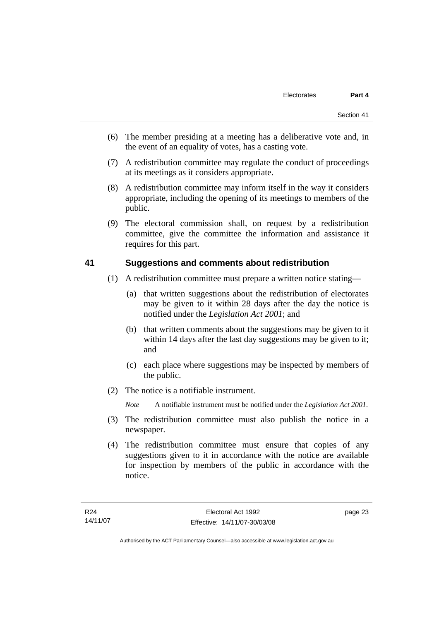- (6) The member presiding at a meeting has a deliberative vote and, in the event of an equality of votes, has a casting vote.
- (7) A redistribution committee may regulate the conduct of proceedings at its meetings as it considers appropriate.
- (8) A redistribution committee may inform itself in the way it considers appropriate, including the opening of its meetings to members of the public.
- (9) The electoral commission shall, on request by a redistribution committee, give the committee the information and assistance it requires for this part.

#### **41 Suggestions and comments about redistribution**

- (1) A redistribution committee must prepare a written notice stating—
	- (a) that written suggestions about the redistribution of electorates may be given to it within 28 days after the day the notice is notified under the *Legislation Act 2001*; and
	- (b) that written comments about the suggestions may be given to it within 14 days after the last day suggestions may be given to it; and
	- (c) each place where suggestions may be inspected by members of the public.
- (2) The notice is a notifiable instrument.

*Note* A notifiable instrument must be notified under the *Legislation Act 2001*.

- (3) The redistribution committee must also publish the notice in a newspaper.
- (4) The redistribution committee must ensure that copies of any suggestions given to it in accordance with the notice are available for inspection by members of the public in accordance with the notice.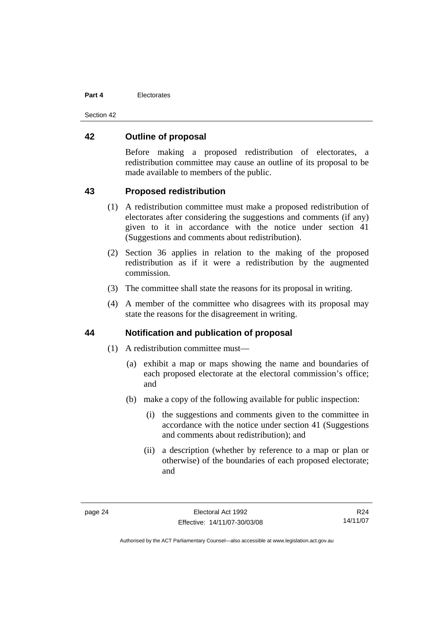Section 42

#### **42 Outline of proposal**

Before making a proposed redistribution of electorates, a redistribution committee may cause an outline of its proposal to be made available to members of the public.

# **43 Proposed redistribution**

- (1) A redistribution committee must make a proposed redistribution of electorates after considering the suggestions and comments (if any) given to it in accordance with the notice under section 41 (Suggestions and comments about redistribution).
- (2) Section 36 applies in relation to the making of the proposed redistribution as if it were a redistribution by the augmented commission.
- (3) The committee shall state the reasons for its proposal in writing.
- (4) A member of the committee who disagrees with its proposal may state the reasons for the disagreement in writing.

#### **44 Notification and publication of proposal**

- (1) A redistribution committee must—
	- (a) exhibit a map or maps showing the name and boundaries of each proposed electorate at the electoral commission's office; and
	- (b) make a copy of the following available for public inspection:
		- (i) the suggestions and comments given to the committee in accordance with the notice under section 41 (Suggestions and comments about redistribution); and
		- (ii) a description (whether by reference to a map or plan or otherwise) of the boundaries of each proposed electorate; and

R24 14/11/07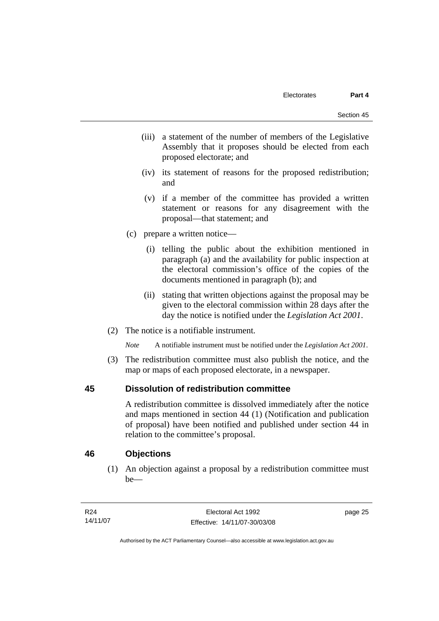- (iii) a statement of the number of members of the Legislative Assembly that it proposes should be elected from each proposed electorate; and
- (iv) its statement of reasons for the proposed redistribution; and
- (v) if a member of the committee has provided a written statement or reasons for any disagreement with the proposal—that statement; and
- (c) prepare a written notice—
	- (i) telling the public about the exhibition mentioned in paragraph (a) and the availability for public inspection at the electoral commission's office of the copies of the documents mentioned in paragraph (b); and
	- (ii) stating that written objections against the proposal may be given to the electoral commission within 28 days after the day the notice is notified under the *Legislation Act 2001*.
- (2) The notice is a notifiable instrument.

*Note* A notifiable instrument must be notified under the *Legislation Act 2001*.

 (3) The redistribution committee must also publish the notice, and the map or maps of each proposed electorate, in a newspaper.

# **45 Dissolution of redistribution committee**

A redistribution committee is dissolved immediately after the notice and maps mentioned in section 44 (1) (Notification and publication of proposal) have been notified and published under section 44 in relation to the committee's proposal.

# **46 Objections**

 (1) An objection against a proposal by a redistribution committee must be—

page 25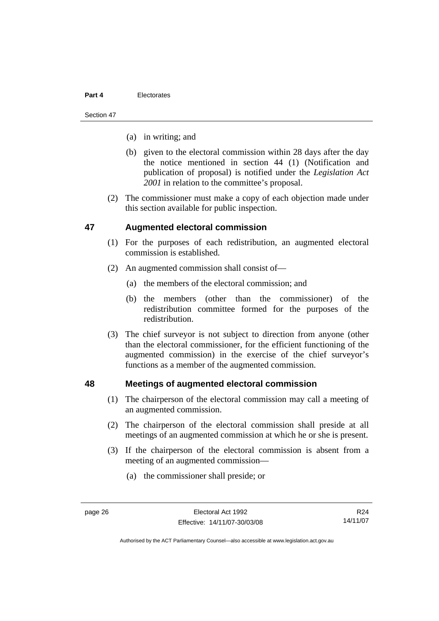#### Section 47

- (a) in writing; and
- (b) given to the electoral commission within 28 days after the day the notice mentioned in section 44 (1) (Notification and publication of proposal) is notified under the *Legislation Act 2001* in relation to the committee's proposal.
- (2) The commissioner must make a copy of each objection made under this section available for public inspection.

# **47 Augmented electoral commission**

- (1) For the purposes of each redistribution, an augmented electoral commission is established.
- (2) An augmented commission shall consist of—
	- (a) the members of the electoral commission; and
	- (b) the members (other than the commissioner) of the redistribution committee formed for the purposes of the redistribution.
- (3) The chief surveyor is not subject to direction from anyone (other than the electoral commissioner, for the efficient functioning of the augmented commission) in the exercise of the chief surveyor's functions as a member of the augmented commission.

# **48 Meetings of augmented electoral commission**

- (1) The chairperson of the electoral commission may call a meeting of an augmented commission.
- (2) The chairperson of the electoral commission shall preside at all meetings of an augmented commission at which he or she is present.
- (3) If the chairperson of the electoral commission is absent from a meeting of an augmented commission—
	- (a) the commissioner shall preside; or

R24 14/11/07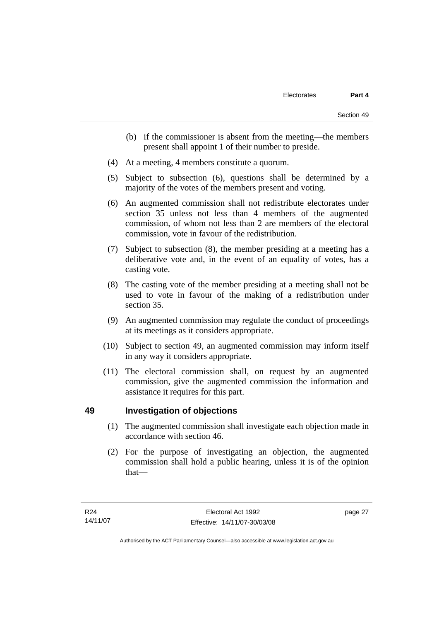- (b) if the commissioner is absent from the meeting—the members present shall appoint 1 of their number to preside.
- (4) At a meeting, 4 members constitute a quorum.
- (5) Subject to subsection (6), questions shall be determined by a majority of the votes of the members present and voting.
- (6) An augmented commission shall not redistribute electorates under section 35 unless not less than 4 members of the augmented commission, of whom not less than 2 are members of the electoral commission, vote in favour of the redistribution.
- (7) Subject to subsection (8), the member presiding at a meeting has a deliberative vote and, in the event of an equality of votes, has a casting vote.
- (8) The casting vote of the member presiding at a meeting shall not be used to vote in favour of the making of a redistribution under section 35.
- (9) An augmented commission may regulate the conduct of proceedings at its meetings as it considers appropriate.
- (10) Subject to section 49, an augmented commission may inform itself in any way it considers appropriate.
- (11) The electoral commission shall, on request by an augmented commission, give the augmented commission the information and assistance it requires for this part.

# **49 Investigation of objections**

- (1) The augmented commission shall investigate each objection made in accordance with section 46.
- (2) For the purpose of investigating an objection, the augmented commission shall hold a public hearing, unless it is of the opinion that—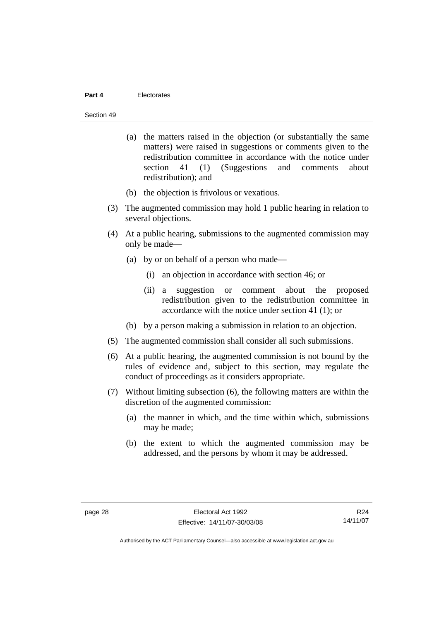#### Section 49

- (a) the matters raised in the objection (or substantially the same matters) were raised in suggestions or comments given to the redistribution committee in accordance with the notice under section 41 (1) (Suggestions and comments about redistribution); and
- (b) the objection is frivolous or vexatious.
- (3) The augmented commission may hold 1 public hearing in relation to several objections.
- (4) At a public hearing, submissions to the augmented commission may only be made—
	- (a) by or on behalf of a person who made—
		- (i) an objection in accordance with section 46; or
		- (ii) a suggestion or comment about the proposed redistribution given to the redistribution committee in accordance with the notice under section 41 (1); or
	- (b) by a person making a submission in relation to an objection.
- (5) The augmented commission shall consider all such submissions.
- (6) At a public hearing, the augmented commission is not bound by the rules of evidence and, subject to this section, may regulate the conduct of proceedings as it considers appropriate.
- (7) Without limiting subsection (6), the following matters are within the discretion of the augmented commission:
	- (a) the manner in which, and the time within which, submissions may be made;
	- (b) the extent to which the augmented commission may be addressed, and the persons by whom it may be addressed.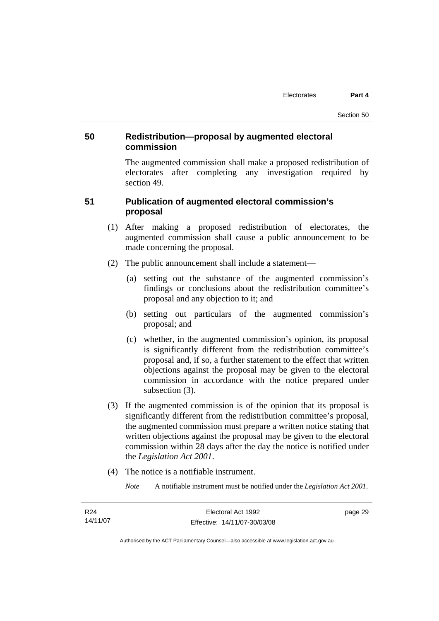# **50 Redistribution—proposal by augmented electoral commission**

The augmented commission shall make a proposed redistribution of electorates after completing any investigation required by section 49.

# **51 Publication of augmented electoral commission's proposal**

- (1) After making a proposed redistribution of electorates, the augmented commission shall cause a public announcement to be made concerning the proposal.
- (2) The public announcement shall include a statement—
	- (a) setting out the substance of the augmented commission's findings or conclusions about the redistribution committee's proposal and any objection to it; and
	- (b) setting out particulars of the augmented commission's proposal; and
	- (c) whether, in the augmented commission's opinion, its proposal is significantly different from the redistribution committee's proposal and, if so, a further statement to the effect that written objections against the proposal may be given to the electoral commission in accordance with the notice prepared under subsection (3).
- (3) If the augmented commission is of the opinion that its proposal is significantly different from the redistribution committee's proposal, the augmented commission must prepare a written notice stating that written objections against the proposal may be given to the electoral commission within 28 days after the day the notice is notified under the *Legislation Act 2001*.
- (4) The notice is a notifiable instrument.
	- *Note* A notifiable instrument must be notified under the *Legislation Act 2001*.

| R24      | Electoral Act 1992           | page 29 |
|----------|------------------------------|---------|
| 14/11/07 | Effective: 14/11/07-30/03/08 |         |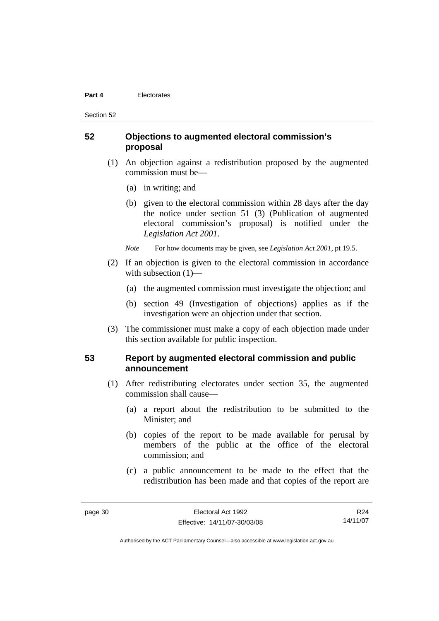Section 52

# **52 Objections to augmented electoral commission's proposal**

- (1) An objection against a redistribution proposed by the augmented commission must be—
	- (a) in writing; and
	- (b) given to the electoral commission within 28 days after the day the notice under section 51 (3) (Publication of augmented electoral commission's proposal) is notified under the *Legislation Act 2001*.
	- *Note* For how documents may be given, see *Legislation Act 2001*, pt 19.5.
- (2) If an objection is given to the electoral commission in accordance with subsection  $(1)$ —
	- (a) the augmented commission must investigate the objection; and
	- (b) section 49 (Investigation of objections) applies as if the investigation were an objection under that section.
- (3) The commissioner must make a copy of each objection made under this section available for public inspection.

# **53 Report by augmented electoral commission and public announcement**

- (1) After redistributing electorates under section 35, the augmented commission shall cause—
	- (a) a report about the redistribution to be submitted to the Minister; and
	- (b) copies of the report to be made available for perusal by members of the public at the office of the electoral commission; and
	- (c) a public announcement to be made to the effect that the redistribution has been made and that copies of the report are

R24 14/11/07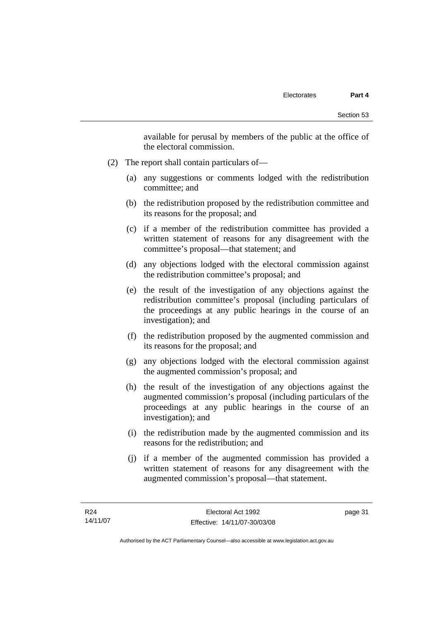available for perusal by members of the public at the office of the electoral commission.

- (2) The report shall contain particulars of—
	- (a) any suggestions or comments lodged with the redistribution committee; and
	- (b) the redistribution proposed by the redistribution committee and its reasons for the proposal; and
	- (c) if a member of the redistribution committee has provided a written statement of reasons for any disagreement with the committee's proposal—that statement; and
	- (d) any objections lodged with the electoral commission against the redistribution committee's proposal; and
	- (e) the result of the investigation of any objections against the redistribution committee's proposal (including particulars of the proceedings at any public hearings in the course of an investigation); and
	- (f) the redistribution proposed by the augmented commission and its reasons for the proposal; and
	- (g) any objections lodged with the electoral commission against the augmented commission's proposal; and
	- (h) the result of the investigation of any objections against the augmented commission's proposal (including particulars of the proceedings at any public hearings in the course of an investigation); and
	- (i) the redistribution made by the augmented commission and its reasons for the redistribution; and
	- (j) if a member of the augmented commission has provided a written statement of reasons for any disagreement with the augmented commission's proposal—that statement.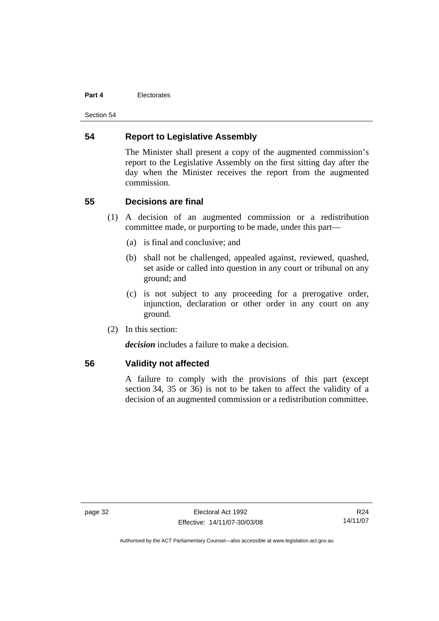Section 54

# **54 Report to Legislative Assembly**

The Minister shall present a copy of the augmented commission's report to the Legislative Assembly on the first sitting day after the day when the Minister receives the report from the augmented commission.

#### **55 Decisions are final**

- (1) A decision of an augmented commission or a redistribution committee made, or purporting to be made, under this part—
	- (a) is final and conclusive; and
	- (b) shall not be challenged, appealed against, reviewed, quashed, set aside or called into question in any court or tribunal on any ground; and
	- (c) is not subject to any proceeding for a prerogative order, injunction, declaration or other order in any court on any ground.
- (2) In this section:

*decision* includes a failure to make a decision.

#### **56 Validity not affected**

A failure to comply with the provisions of this part (except section 34, 35 or 36) is not to be taken to affect the validity of a decision of an augmented commission or a redistribution committee.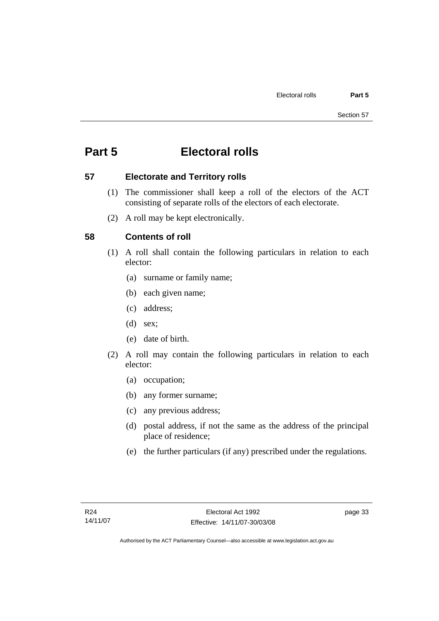# **Part 5 Electoral rolls**

# **57 Electorate and Territory rolls**

- (1) The commissioner shall keep a roll of the electors of the ACT consisting of separate rolls of the electors of each electorate.
- (2) A roll may be kept electronically.

# **58 Contents of roll**

- (1) A roll shall contain the following particulars in relation to each elector:
	- (a) surname or family name;
	- (b) each given name;
	- (c) address;
	- (d) sex;
	- (e) date of birth.
- (2) A roll may contain the following particulars in relation to each elector:
	- (a) occupation;
	- (b) any former surname;
	- (c) any previous address;
	- (d) postal address, if not the same as the address of the principal place of residence;
	- (e) the further particulars (if any) prescribed under the regulations.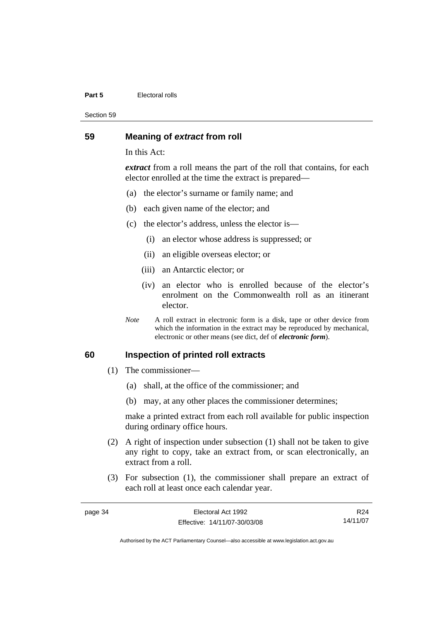#### **Part 5 Electoral rolls**

Section 59

#### **59 Meaning of** *extract* **from roll**

In this Act:

*extract* from a roll means the part of the roll that contains, for each elector enrolled at the time the extract is prepared—

- (a) the elector's surname or family name; and
- (b) each given name of the elector; and
- (c) the elector's address, unless the elector is—
	- (i) an elector whose address is suppressed; or
	- (ii) an eligible overseas elector; or
	- (iii) an Antarctic elector; or
	- (iv) an elector who is enrolled because of the elector's enrolment on the Commonwealth roll as an itinerant elector.
- *Note* A roll extract in electronic form is a disk, tape or other device from which the information in the extract may be reproduced by mechanical, electronic or other means (see dict, def of *electronic form*).

#### **60 Inspection of printed roll extracts**

- (1) The commissioner—
	- (a) shall, at the office of the commissioner; and
	- (b) may, at any other places the commissioner determines;

make a printed extract from each roll available for public inspection during ordinary office hours.

- (2) A right of inspection under subsection (1) shall not be taken to give any right to copy, take an extract from, or scan electronically, an extract from a roll.
- (3) For subsection (1), the commissioner shall prepare an extract of each roll at least once each calendar year.

| page 34 | Electoral Act 1992           | R24      |
|---------|------------------------------|----------|
|         | Effective: 14/11/07-30/03/08 | 14/11/07 |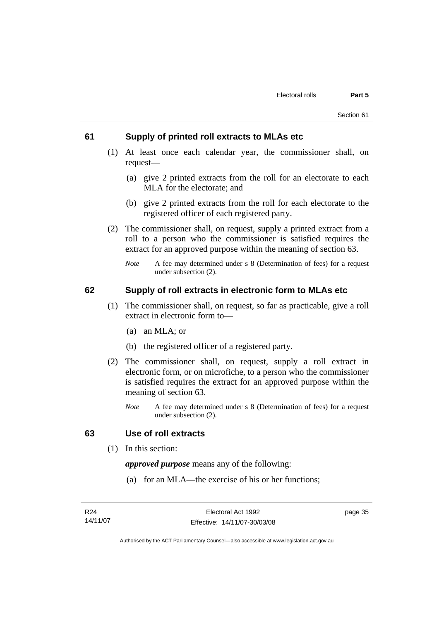#### **61 Supply of printed roll extracts to MLAs etc**

- (1) At least once each calendar year, the commissioner shall, on request—
	- (a) give 2 printed extracts from the roll for an electorate to each MLA for the electorate; and
	- (b) give 2 printed extracts from the roll for each electorate to the registered officer of each registered party.
- (2) The commissioner shall, on request, supply a printed extract from a roll to a person who the commissioner is satisfied requires the extract for an approved purpose within the meaning of section 63.
	- *Note* A fee may determined under s 8 (Determination of fees) for a request under subsection (2).

# **62 Supply of roll extracts in electronic form to MLAs etc**

- (1) The commissioner shall, on request, so far as practicable, give a roll extract in electronic form to—
	- (a) an MLA; or
	- (b) the registered officer of a registered party.
- (2) The commissioner shall, on request, supply a roll extract in electronic form, or on microfiche, to a person who the commissioner is satisfied requires the extract for an approved purpose within the meaning of section 63.
	- *Note* A fee may determined under s 8 (Determination of fees) for a request under subsection (2).

#### **63 Use of roll extracts**

(1) In this section:

*approved purpose* means any of the following:

(a) for an MLA—the exercise of his or her functions;

page 35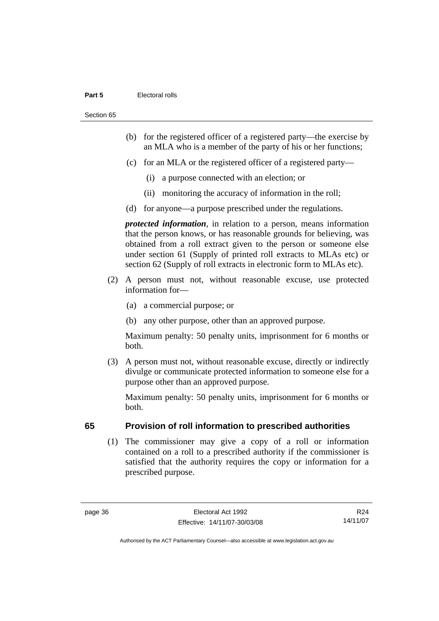#### **Part 5 Electoral rolls**

Section 65

- (b) for the registered officer of a registered party—the exercise by an MLA who is a member of the party of his or her functions;
- (c) for an MLA or the registered officer of a registered party—
	- (i) a purpose connected with an election; or
	- (ii) monitoring the accuracy of information in the roll;
- (d) for anyone—a purpose prescribed under the regulations.

*protected information*, in relation to a person, means information that the person knows, or has reasonable grounds for believing, was obtained from a roll extract given to the person or someone else under section 61 (Supply of printed roll extracts to MLAs etc) or section 62 (Supply of roll extracts in electronic form to MLAs etc).

- (2) A person must not, without reasonable excuse, use protected information for—
	- (a) a commercial purpose; or
	- (b) any other purpose, other than an approved purpose.

Maximum penalty: 50 penalty units, imprisonment for 6 months or both.

 (3) A person must not, without reasonable excuse, directly or indirectly divulge or communicate protected information to someone else for a purpose other than an approved purpose.

Maximum penalty: 50 penalty units, imprisonment for 6 months or both.

# **65 Provision of roll information to prescribed authorities**

 (1) The commissioner may give a copy of a roll or information contained on a roll to a prescribed authority if the commissioner is satisfied that the authority requires the copy or information for a prescribed purpose.

R24 14/11/07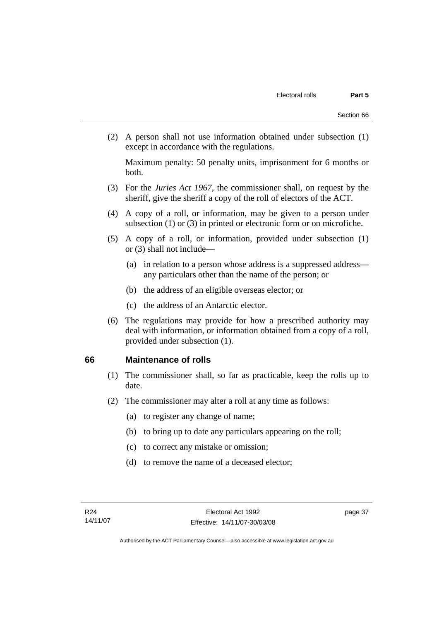(2) A person shall not use information obtained under subsection (1) except in accordance with the regulations.

Maximum penalty: 50 penalty units, imprisonment for 6 months or both.

- (3) For the *Juries Act 1967*, the commissioner shall, on request by the sheriff, give the sheriff a copy of the roll of electors of the ACT.
- (4) A copy of a roll, or information, may be given to a person under subsection (1) or (3) in printed or electronic form or on microfiche.
- (5) A copy of a roll, or information, provided under subsection (1) or (3) shall not include—
	- (a) in relation to a person whose address is a suppressed address any particulars other than the name of the person; or
	- (b) the address of an eligible overseas elector; or
	- (c) the address of an Antarctic elector.
- (6) The regulations may provide for how a prescribed authority may deal with information, or information obtained from a copy of a roll, provided under subsection (1).

# **66 Maintenance of rolls**

- (1) The commissioner shall, so far as practicable, keep the rolls up to date.
- (2) The commissioner may alter a roll at any time as follows:
	- (a) to register any change of name;
	- (b) to bring up to date any particulars appearing on the roll;
	- (c) to correct any mistake or omission;
	- (d) to remove the name of a deceased elector;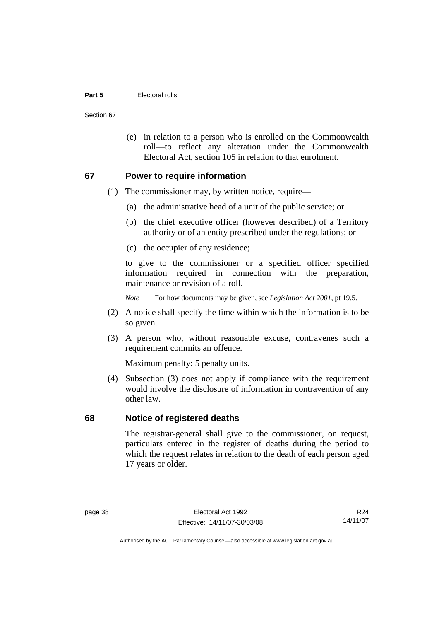#### **Part 5 Electoral rolls**

Section 67

 (e) in relation to a person who is enrolled on the Commonwealth roll—to reflect any alteration under the Commonwealth Electoral Act, section 105 in relation to that enrolment.

#### **67 Power to require information**

- (1) The commissioner may, by written notice, require—
	- (a) the administrative head of a unit of the public service; or
	- (b) the chief executive officer (however described) of a Territory authority or of an entity prescribed under the regulations; or
	- (c) the occupier of any residence;

to give to the commissioner or a specified officer specified information required in connection with the preparation, maintenance or revision of a roll.

*Note* For how documents may be given, see *Legislation Act 2001*, pt 19.5.

- (2) A notice shall specify the time within which the information is to be so given.
- (3) A person who, without reasonable excuse, contravenes such a requirement commits an offence.

Maximum penalty: 5 penalty units.

 (4) Subsection (3) does not apply if compliance with the requirement would involve the disclosure of information in contravention of any other law.

#### **68 Notice of registered deaths**

The registrar-general shall give to the commissioner, on request, particulars entered in the register of deaths during the period to which the request relates in relation to the death of each person aged 17 years or older.

R24 14/11/07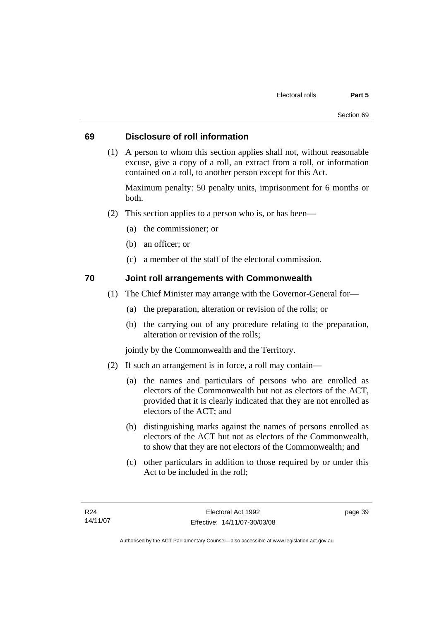# **69 Disclosure of roll information**

 (1) A person to whom this section applies shall not, without reasonable excuse, give a copy of a roll, an extract from a roll, or information contained on a roll, to another person except for this Act.

Maximum penalty: 50 penalty units, imprisonment for 6 months or both.

- (2) This section applies to a person who is, or has been—
	- (a) the commissioner; or
	- (b) an officer; or
	- (c) a member of the staff of the electoral commission.

# **70 Joint roll arrangements with Commonwealth**

- (1) The Chief Minister may arrange with the Governor-General for—
	- (a) the preparation, alteration or revision of the rolls; or
	- (b) the carrying out of any procedure relating to the preparation, alteration or revision of the rolls;

jointly by the Commonwealth and the Territory.

- (2) If such an arrangement is in force, a roll may contain—
	- (a) the names and particulars of persons who are enrolled as electors of the Commonwealth but not as electors of the ACT, provided that it is clearly indicated that they are not enrolled as electors of the ACT; and
	- (b) distinguishing marks against the names of persons enrolled as electors of the ACT but not as electors of the Commonwealth, to show that they are not electors of the Commonwealth; and
	- (c) other particulars in addition to those required by or under this Act to be included in the roll;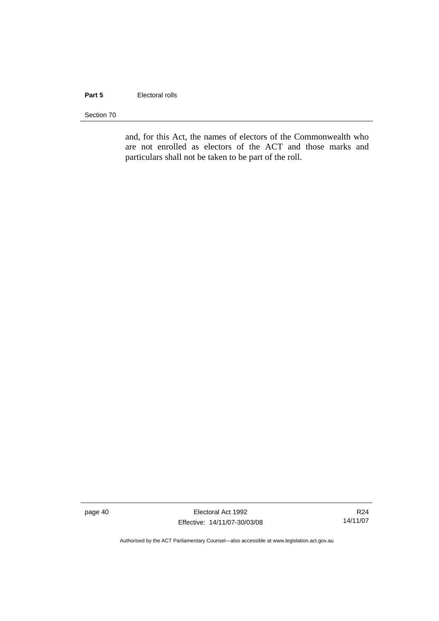#### **Part 5 Electoral rolls**

Section 70

and, for this Act, the names of electors of the Commonwealth who are not enrolled as electors of the ACT and those marks and particulars shall not be taken to be part of the roll.

page 40 Electoral Act 1992 Effective: 14/11/07-30/03/08

R24 14/11/07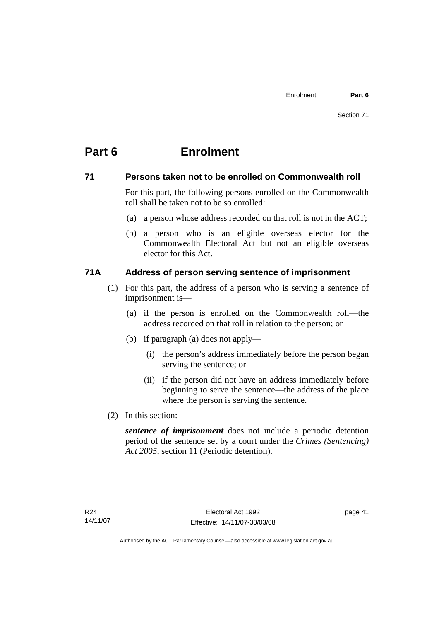# **71 Persons taken not to be enrolled on Commonwealth roll**

For this part, the following persons enrolled on the Commonwealth roll shall be taken not to be so enrolled:

- (a) a person whose address recorded on that roll is not in the ACT;
- (b) a person who is an eligible overseas elector for the Commonwealth Electoral Act but not an eligible overseas elector for this Act.

# **71A Address of person serving sentence of imprisonment**

- (1) For this part, the address of a person who is serving a sentence of imprisonment is—
	- (a) if the person is enrolled on the Commonwealth roll—the address recorded on that roll in relation to the person; or
	- (b) if paragraph (a) does not apply—
		- (i) the person's address immediately before the person began serving the sentence; or
		- (ii) if the person did not have an address immediately before beginning to serve the sentence—the address of the place where the person is serving the sentence.
- (2) In this section:

*sentence of imprisonment* does not include a periodic detention period of the sentence set by a court under the *Crimes (Sentencing) Act 2005*, section 11 (Periodic detention).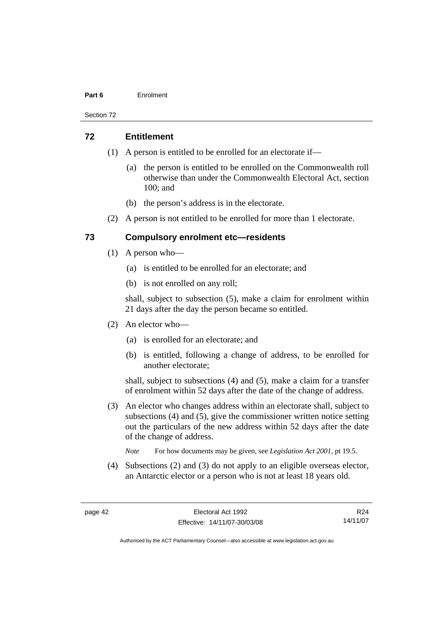Section 72

#### **72 Entitlement**

- (1) A person is entitled to be enrolled for an electorate if—
	- (a) the person is entitled to be enrolled on the Commonwealth roll otherwise than under the Commonwealth Electoral Act, section 100; and
	- (b) the person's address is in the electorate.
- (2) A person is not entitled to be enrolled for more than 1 electorate.

# **73 Compulsory enrolment etc—residents**

- (1) A person who—
	- (a) is entitled to be enrolled for an electorate; and
	- (b) is not enrolled on any roll;

shall, subject to subsection (5), make a claim for enrolment within 21 days after the day the person became so entitled.

- (2) An elector who—
	- (a) is enrolled for an electorate; and
	- (b) is entitled, following a change of address, to be enrolled for another electorate;

shall, subject to subsections (4) and (5), make a claim for a transfer of enrolment within 52 days after the date of the change of address.

- (3) An elector who changes address within an electorate shall, subject to subsections (4) and (5), give the commissioner written notice setting out the particulars of the new address within 52 days after the date of the change of address.
	- *Note* For how documents may be given, see *Legislation Act 2001*, pt 19.5.
- (4) Subsections (2) and (3) do not apply to an eligible overseas elector, an Antarctic elector or a person who is not at least 18 years old.

R24 14/11/07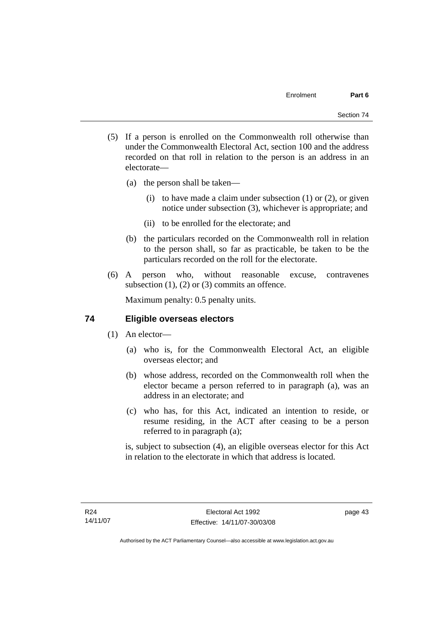- (5) If a person is enrolled on the Commonwealth roll otherwise than under the Commonwealth Electoral Act, section 100 and the address recorded on that roll in relation to the person is an address in an electorate—
	- (a) the person shall be taken—
		- (i) to have made a claim under subsection  $(1)$  or  $(2)$ , or given notice under subsection (3), whichever is appropriate; and
		- (ii) to be enrolled for the electorate; and
	- (b) the particulars recorded on the Commonwealth roll in relation to the person shall, so far as practicable, be taken to be the particulars recorded on the roll for the electorate.
- (6) A person who, without reasonable excuse, contravenes subsection  $(1)$ ,  $(2)$  or  $(3)$  commits an offence.

Maximum penalty: 0.5 penalty units.

# **74 Eligible overseas electors**

- (1) An elector—
	- (a) who is, for the Commonwealth Electoral Act, an eligible overseas elector; and
	- (b) whose address, recorded on the Commonwealth roll when the elector became a person referred to in paragraph (a), was an address in an electorate; and
	- (c) who has, for this Act, indicated an intention to reside, or resume residing, in the ACT after ceasing to be a person referred to in paragraph (a);

is, subject to subsection (4), an eligible overseas elector for this Act in relation to the electorate in which that address is located.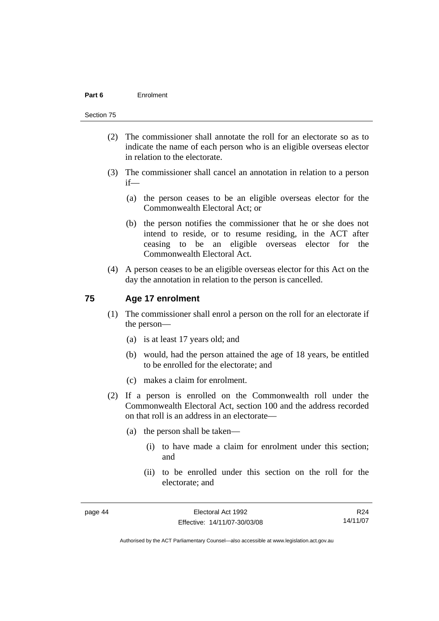#### Section 75

- (2) The commissioner shall annotate the roll for an electorate so as to indicate the name of each person who is an eligible overseas elector in relation to the electorate.
- (3) The commissioner shall cancel an annotation in relation to a person if—
	- (a) the person ceases to be an eligible overseas elector for the Commonwealth Electoral Act; or
	- (b) the person notifies the commissioner that he or she does not intend to reside, or to resume residing, in the ACT after ceasing to be an eligible overseas elector for the Commonwealth Electoral Act.
- (4) A person ceases to be an eligible overseas elector for this Act on the day the annotation in relation to the person is cancelled.

#### **75 Age 17 enrolment**

- (1) The commissioner shall enrol a person on the roll for an electorate if the person—
	- (a) is at least 17 years old; and
	- (b) would, had the person attained the age of 18 years, be entitled to be enrolled for the electorate; and
	- (c) makes a claim for enrolment.
- (2) If a person is enrolled on the Commonwealth roll under the Commonwealth Electoral Act, section 100 and the address recorded on that roll is an address in an electorate—
	- (a) the person shall be taken—
		- (i) to have made a claim for enrolment under this section; and
		- (ii) to be enrolled under this section on the roll for the electorate; and

R24 14/11/07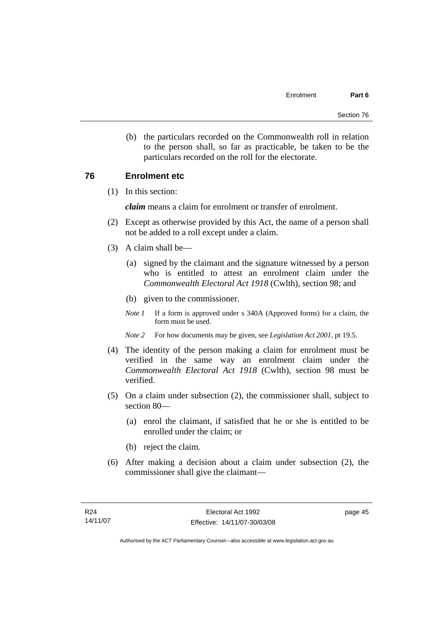(b) the particulars recorded on the Commonwealth roll in relation to the person shall, so far as practicable, be taken to be the particulars recorded on the roll for the electorate.

# **76 Enrolment etc**

(1) In this section:

*claim* means a claim for enrolment or transfer of enrolment.

- (2) Except as otherwise provided by this Act, the name of a person shall not be added to a roll except under a claim.
- (3) A claim shall be—
	- (a) signed by the claimant and the signature witnessed by a person who is entitled to attest an enrolment claim under the *Commonwealth Electoral Act 1918* (Cwlth), section 98; and
	- (b) given to the commissioner.
	- *Note 1* If a form is approved under s 340A (Approved forms) for a claim, the form must be used.
	- *Note 2* For how documents may be given, see *Legislation Act 2001*, pt 19.5.
- (4) The identity of the person making a claim for enrolment must be verified in the same way an enrolment claim under the *Commonwealth Electoral Act 1918* (Cwlth), section 98 must be verified.
- (5) On a claim under subsection (2), the commissioner shall, subject to section 80—
	- (a) enrol the claimant, if satisfied that he or she is entitled to be enrolled under the claim; or
	- (b) reject the claim.
- (6) After making a decision about a claim under subsection (2), the commissioner shall give the claimant—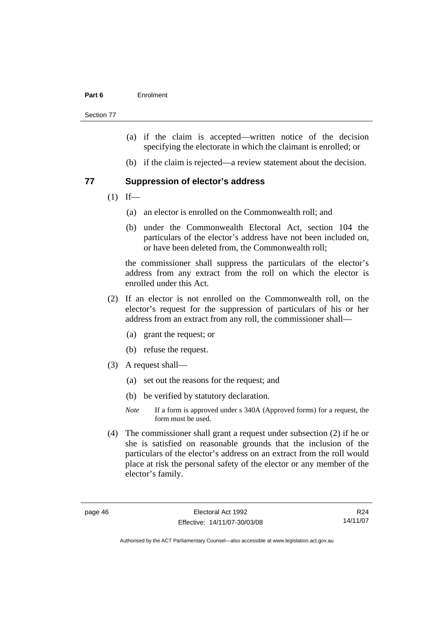Section 77

- (a) if the claim is accepted—written notice of the decision specifying the electorate in which the claimant is enrolled; or
- (b) if the claim is rejected—a review statement about the decision.

#### **77 Suppression of elector's address**

- $(1)$  If—
	- (a) an elector is enrolled on the Commonwealth roll; and
	- (b) under the Commonwealth Electoral Act, section 104 the particulars of the elector's address have not been included on, or have been deleted from, the Commonwealth roll;

the commissioner shall suppress the particulars of the elector's address from any extract from the roll on which the elector is enrolled under this Act.

- (2) If an elector is not enrolled on the Commonwealth roll, on the elector's request for the suppression of particulars of his or her address from an extract from any roll, the commissioner shall—
	- (a) grant the request; or
	- (b) refuse the request.
- (3) A request shall—
	- (a) set out the reasons for the request; and
	- (b) be verified by statutory declaration.
	- *Note* If a form is approved under s 340A (Approved forms) for a request, the form must be used.
- (4) The commissioner shall grant a request under subsection (2) if he or she is satisfied on reasonable grounds that the inclusion of the particulars of the elector's address on an extract from the roll would place at risk the personal safety of the elector or any member of the elector's family.

R24 14/11/07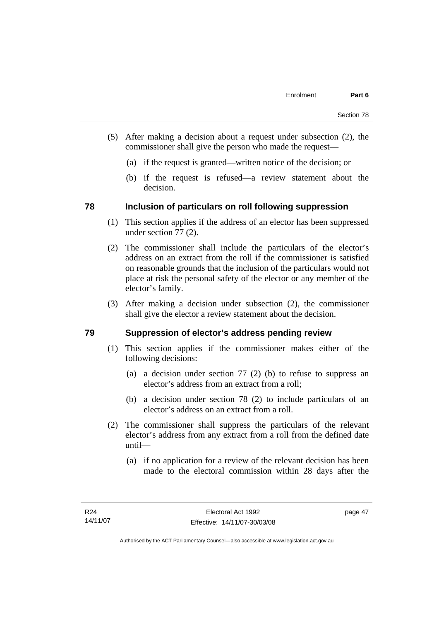- (5) After making a decision about a request under subsection (2), the commissioner shall give the person who made the request—
	- (a) if the request is granted—written notice of the decision; or
	- (b) if the request is refused—a review statement about the decision.

# **78 Inclusion of particulars on roll following suppression**

- (1) This section applies if the address of an elector has been suppressed under section 77 (2).
- (2) The commissioner shall include the particulars of the elector's address on an extract from the roll if the commissioner is satisfied on reasonable grounds that the inclusion of the particulars would not place at risk the personal safety of the elector or any member of the elector's family.
- (3) After making a decision under subsection (2), the commissioner shall give the elector a review statement about the decision.

# **79 Suppression of elector's address pending review**

- (1) This section applies if the commissioner makes either of the following decisions:
	- (a) a decision under section 77 (2) (b) to refuse to suppress an elector's address from an extract from a roll;
	- (b) a decision under section 78 (2) to include particulars of an elector's address on an extract from a roll.
- (2) The commissioner shall suppress the particulars of the relevant elector's address from any extract from a roll from the defined date until—
	- (a) if no application for a review of the relevant decision has been made to the electoral commission within 28 days after the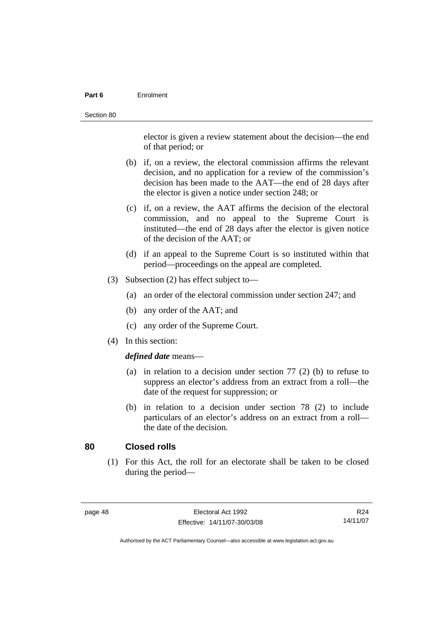elector is given a review statement about the decision—the end of that period; or

- (b) if, on a review, the electoral commission affirms the relevant decision, and no application for a review of the commission's decision has been made to the AAT—the end of 28 days after the elector is given a notice under section 248; or
- (c) if, on a review, the AAT affirms the decision of the electoral commission, and no appeal to the Supreme Court is instituted—the end of 28 days after the elector is given notice of the decision of the AAT; or
- (d) if an appeal to the Supreme Court is so instituted within that period—proceedings on the appeal are completed.
- (3) Subsection (2) has effect subject to—
	- (a) an order of the electoral commission under section 247; and
	- (b) any order of the AAT; and
	- (c) any order of the Supreme Court.
- (4) In this section:

#### *defined date* means—

- (a) in relation to a decision under section 77 (2) (b) to refuse to suppress an elector's address from an extract from a roll—the date of the request for suppression; or
- (b) in relation to a decision under section 78 (2) to include particulars of an elector's address on an extract from a roll the date of the decision.

# **80 Closed rolls**

 (1) For this Act, the roll for an electorate shall be taken to be closed during the period—

| page | 48 |
|------|----|
|------|----|

R24 14/11/07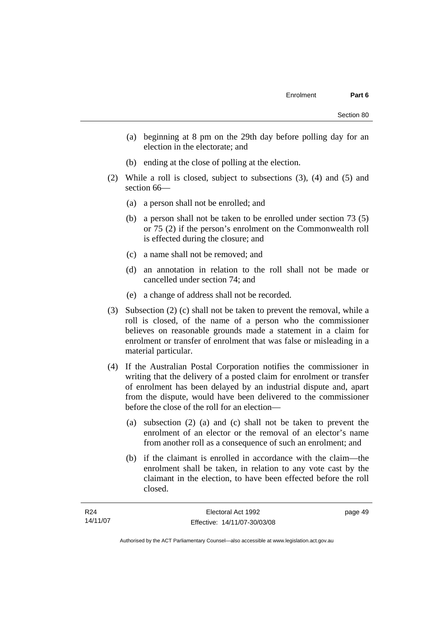- (a) beginning at 8 pm on the 29th day before polling day for an election in the electorate; and
- (b) ending at the close of polling at the election.
- (2) While a roll is closed, subject to subsections (3), (4) and (5) and section 66—
	- (a) a person shall not be enrolled; and
	- (b) a person shall not be taken to be enrolled under section 73 (5) or 75 (2) if the person's enrolment on the Commonwealth roll is effected during the closure; and
	- (c) a name shall not be removed; and
	- (d) an annotation in relation to the roll shall not be made or cancelled under section 74; and
	- (e) a change of address shall not be recorded.
- (3) Subsection (2) (c) shall not be taken to prevent the removal, while a roll is closed, of the name of a person who the commissioner believes on reasonable grounds made a statement in a claim for enrolment or transfer of enrolment that was false or misleading in a material particular.
- (4) If the Australian Postal Corporation notifies the commissioner in writing that the delivery of a posted claim for enrolment or transfer of enrolment has been delayed by an industrial dispute and, apart from the dispute, would have been delivered to the commissioner before the close of the roll for an election—
	- (a) subsection (2) (a) and (c) shall not be taken to prevent the enrolment of an elector or the removal of an elector's name from another roll as a consequence of such an enrolment; and
	- (b) if the claimant is enrolled in accordance with the claim—the enrolment shall be taken, in relation to any vote cast by the claimant in the election, to have been effected before the roll closed.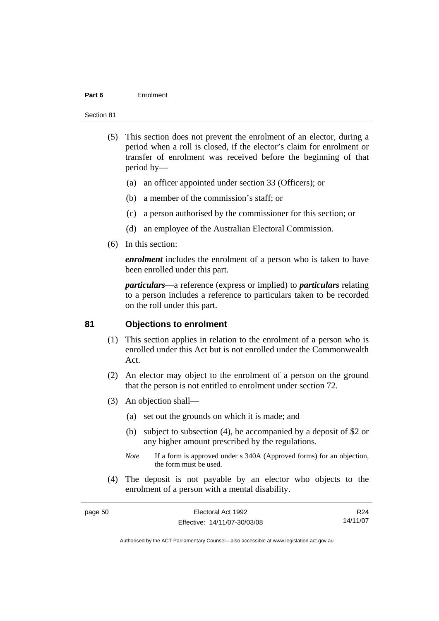#### Section 81

- (5) This section does not prevent the enrolment of an elector, during a period when a roll is closed, if the elector's claim for enrolment or transfer of enrolment was received before the beginning of that period by—
	- (a) an officer appointed under section 33 (Officers); or
	- (b) a member of the commission's staff; or
	- (c) a person authorised by the commissioner for this section; or
	- (d) an employee of the Australian Electoral Commission.
- (6) In this section:

*enrolment* includes the enrolment of a person who is taken to have been enrolled under this part.

*particulars*—a reference (express or implied) to *particulars* relating to a person includes a reference to particulars taken to be recorded on the roll under this part.

# **81 Objections to enrolment**

- (1) This section applies in relation to the enrolment of a person who is enrolled under this Act but is not enrolled under the Commonwealth Act.
- (2) An elector may object to the enrolment of a person on the ground that the person is not entitled to enrolment under section 72.
- (3) An objection shall—
	- (a) set out the grounds on which it is made; and
	- (b) subject to subsection (4), be accompanied by a deposit of \$2 or any higher amount prescribed by the regulations.
	- *Note* If a form is approved under s 340A (Approved forms) for an objection, the form must be used.
- (4) The deposit is not payable by an elector who objects to the enrolment of a person with a mental disability.

| page 50 | Electoral Act 1992           | R <sub>24</sub> |
|---------|------------------------------|-----------------|
|         | Effective: 14/11/07-30/03/08 | 14/11/07        |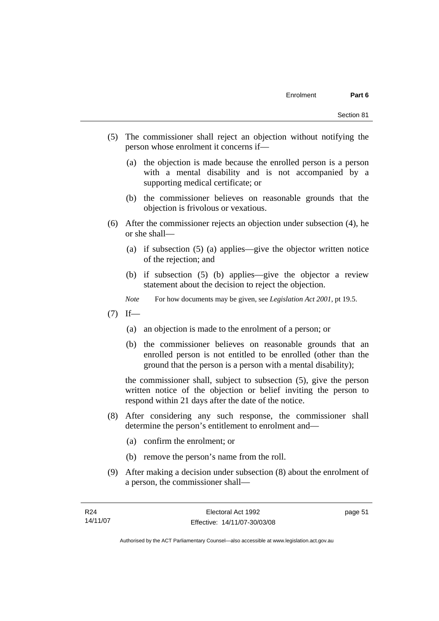- (5) The commissioner shall reject an objection without notifying the person whose enrolment it concerns if—
	- (a) the objection is made because the enrolled person is a person with a mental disability and is not accompanied by a supporting medical certificate; or
	- (b) the commissioner believes on reasonable grounds that the objection is frivolous or vexatious.
- (6) After the commissioner rejects an objection under subsection (4), he or she shall—
	- (a) if subsection (5) (a) applies—give the objector written notice of the rejection; and
	- (b) if subsection (5) (b) applies—give the objector a review statement about the decision to reject the objection.
	- *Note* For how documents may be given, see *Legislation Act 2001*, pt 19.5.
- $(7)$  If—
	- (a) an objection is made to the enrolment of a person; or
	- (b) the commissioner believes on reasonable grounds that an enrolled person is not entitled to be enrolled (other than the ground that the person is a person with a mental disability);

the commissioner shall, subject to subsection (5), give the person written notice of the objection or belief inviting the person to respond within 21 days after the date of the notice.

- (8) After considering any such response, the commissioner shall determine the person's entitlement to enrolment and—
	- (a) confirm the enrolment; or
	- (b) remove the person's name from the roll.
- (9) After making a decision under subsection (8) about the enrolment of a person, the commissioner shall—

page 51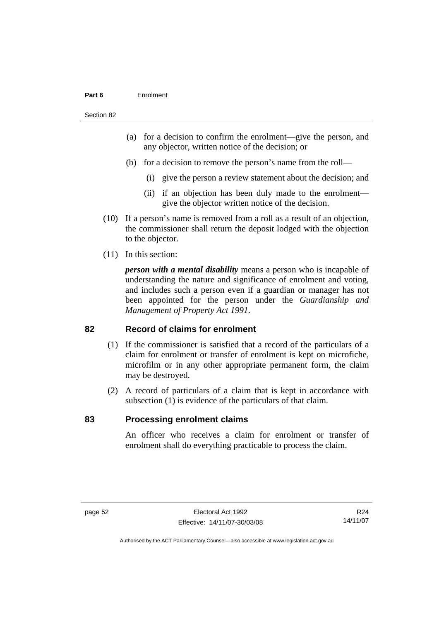#### Section 82

- (a) for a decision to confirm the enrolment—give the person, and any objector, written notice of the decision; or
- (b) for a decision to remove the person's name from the roll—
	- (i) give the person a review statement about the decision; and
	- (ii) if an objection has been duly made to the enrolment give the objector written notice of the decision.
- (10) If a person's name is removed from a roll as a result of an objection, the commissioner shall return the deposit lodged with the objection to the objector.
- (11) In this section:

*person with a mental disability* means a person who is incapable of understanding the nature and significance of enrolment and voting, and includes such a person even if a guardian or manager has not been appointed for the person under the *Guardianship and Management of Property Act 1991*.

#### **82 Record of claims for enrolment**

- (1) If the commissioner is satisfied that a record of the particulars of a claim for enrolment or transfer of enrolment is kept on microfiche, microfilm or in any other appropriate permanent form, the claim may be destroyed.
- (2) A record of particulars of a claim that is kept in accordance with subsection (1) is evidence of the particulars of that claim.

#### **83 Processing enrolment claims**

An officer who receives a claim for enrolment or transfer of enrolment shall do everything practicable to process the claim.

R24 14/11/07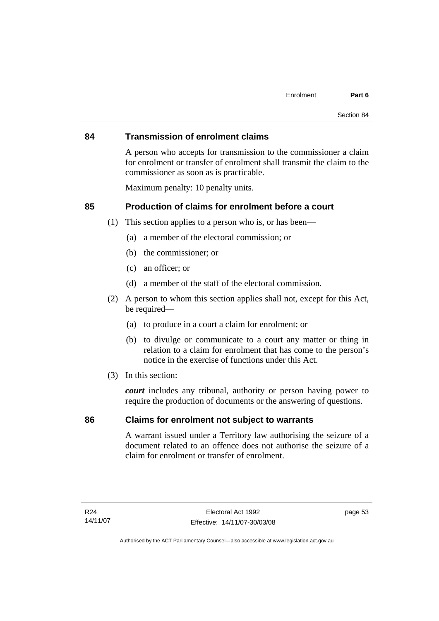#### **84 Transmission of enrolment claims**

A person who accepts for transmission to the commissioner a claim for enrolment or transfer of enrolment shall transmit the claim to the commissioner as soon as is practicable.

Maximum penalty: 10 penalty units.

# **85 Production of claims for enrolment before a court**

- (1) This section applies to a person who is, or has been—
	- (a) a member of the electoral commission; or
	- (b) the commissioner; or
	- (c) an officer; or
	- (d) a member of the staff of the electoral commission.
- (2) A person to whom this section applies shall not, except for this Act, be required—
	- (a) to produce in a court a claim for enrolment; or
	- (b) to divulge or communicate to a court any matter or thing in relation to a claim for enrolment that has come to the person's notice in the exercise of functions under this Act.
- (3) In this section:

*court* includes any tribunal, authority or person having power to require the production of documents or the answering of questions.

#### **86 Claims for enrolment not subject to warrants**

A warrant issued under a Territory law authorising the seizure of a document related to an offence does not authorise the seizure of a claim for enrolment or transfer of enrolment.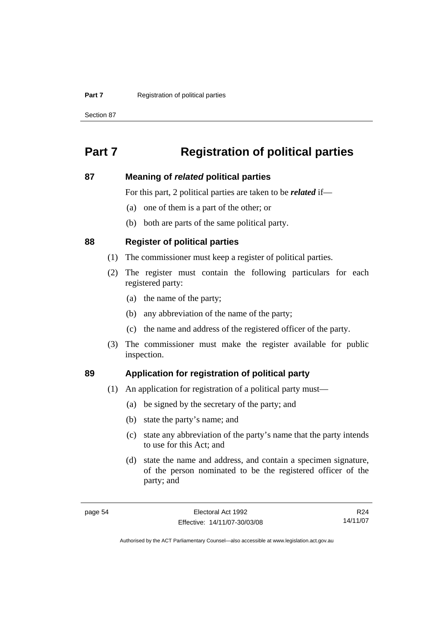#### **Part 7 Registration of political parties**

Section 87

# **Part 7 Registration of political parties**

#### **87 Meaning of** *related* **political parties**

For this part, 2 political parties are taken to be *related* if—

- (a) one of them is a part of the other; or
- (b) both are parts of the same political party.

#### **88 Register of political parties**

- (1) The commissioner must keep a register of political parties.
- (2) The register must contain the following particulars for each registered party:
	- (a) the name of the party;
	- (b) any abbreviation of the name of the party;
	- (c) the name and address of the registered officer of the party.
- (3) The commissioner must make the register available for public inspection.

# **89 Application for registration of political party**

- (1) An application for registration of a political party must—
	- (a) be signed by the secretary of the party; and
	- (b) state the party's name; and
	- (c) state any abbreviation of the party's name that the party intends to use for this Act; and
	- (d) state the name and address, and contain a specimen signature, of the person nominated to be the registered officer of the party; and

R24 14/11/07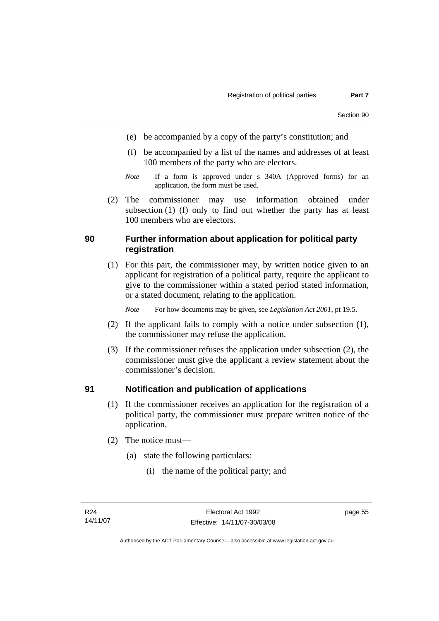- (e) be accompanied by a copy of the party's constitution; and
- (f) be accompanied by a list of the names and addresses of at least 100 members of the party who are electors.
- *Note* If a form is approved under s 340A (Approved forms) for an application, the form must be used.
- (2) The commissioner may use information obtained under subsection (1) (f) only to find out whether the party has at least 100 members who are electors.

### **90 Further information about application for political party registration**

 (1) For this part, the commissioner may, by written notice given to an applicant for registration of a political party, require the applicant to give to the commissioner within a stated period stated information, or a stated document, relating to the application.

*Note* For how documents may be given, see *Legislation Act 2001*, pt 19.5.

- (2) If the applicant fails to comply with a notice under subsection (1), the commissioner may refuse the application.
- (3) If the commissioner refuses the application under subsection (2), the commissioner must give the applicant a review statement about the commissioner's decision.

### **91 Notification and publication of applications**

- (1) If the commissioner receives an application for the registration of a political party, the commissioner must prepare written notice of the application.
- (2) The notice must—
	- (a) state the following particulars:
		- (i) the name of the political party; and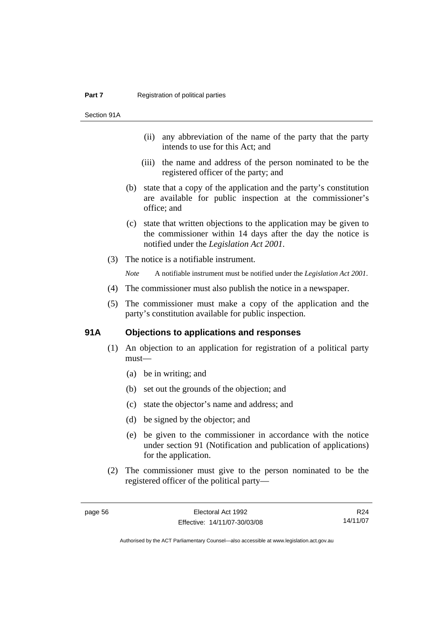Section 91A

- (ii) any abbreviation of the name of the party that the party intends to use for this Act; and
- (iii) the name and address of the person nominated to be the registered officer of the party; and
- (b) state that a copy of the application and the party's constitution are available for public inspection at the commissioner's office; and
- (c) state that written objections to the application may be given to the commissioner within 14 days after the day the notice is notified under the *Legislation Act 2001*.
- (3) The notice is a notifiable instrument.

*Note* A notifiable instrument must be notified under the *Legislation Act 2001*.

- (4) The commissioner must also publish the notice in a newspaper.
- (5) The commissioner must make a copy of the application and the party's constitution available for public inspection.

### **91A Objections to applications and responses**

- (1) An objection to an application for registration of a political party must—
	- (a) be in writing; and
	- (b) set out the grounds of the objection; and
	- (c) state the objector's name and address; and
	- (d) be signed by the objector; and
	- (e) be given to the commissioner in accordance with the notice under section 91 (Notification and publication of applications) for the application.
- (2) The commissioner must give to the person nominated to be the registered officer of the political party—

R24 14/11/07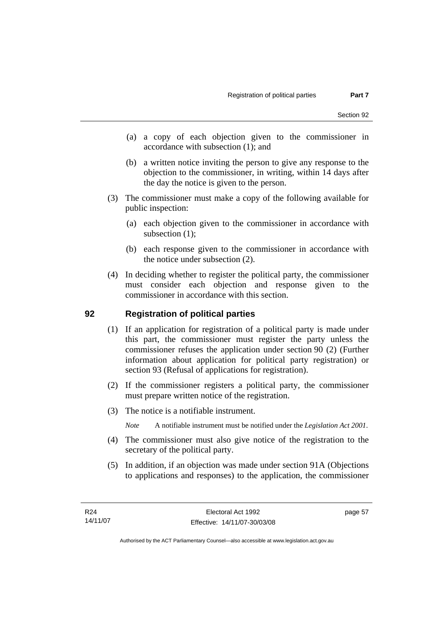- (a) a copy of each objection given to the commissioner in accordance with subsection (1); and
- (b) a written notice inviting the person to give any response to the objection to the commissioner, in writing, within 14 days after the day the notice is given to the person.
- (3) The commissioner must make a copy of the following available for public inspection:
	- (a) each objection given to the commissioner in accordance with subsection (1);
	- (b) each response given to the commissioner in accordance with the notice under subsection (2).
- (4) In deciding whether to register the political party, the commissioner must consider each objection and response given to the commissioner in accordance with this section.

### **92 Registration of political parties**

- (1) If an application for registration of a political party is made under this part, the commissioner must register the party unless the commissioner refuses the application under section 90 (2) (Further information about application for political party registration) or section 93 (Refusal of applications for registration).
- (2) If the commissioner registers a political party, the commissioner must prepare written notice of the registration.
- (3) The notice is a notifiable instrument.
	- *Note* A notifiable instrument must be notified under the *Legislation Act 2001*.
- (4) The commissioner must also give notice of the registration to the secretary of the political party.
- (5) In addition, if an objection was made under section 91A (Objections to applications and responses) to the application, the commissioner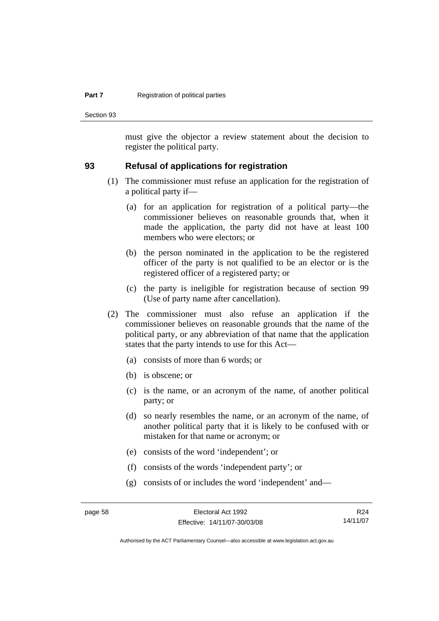#### **Part 7 Registration of political parties**

Section 93

must give the objector a review statement about the decision to register the political party.

#### **93 Refusal of applications for registration**

- (1) The commissioner must refuse an application for the registration of a political party if—
	- (a) for an application for registration of a political party—the commissioner believes on reasonable grounds that, when it made the application, the party did not have at least 100 members who were electors; or
	- (b) the person nominated in the application to be the registered officer of the party is not qualified to be an elector or is the registered officer of a registered party; or
	- (c) the party is ineligible for registration because of section 99 (Use of party name after cancellation).
- (2) The commissioner must also refuse an application if the commissioner believes on reasonable grounds that the name of the political party, or any abbreviation of that name that the application states that the party intends to use for this Act—
	- (a) consists of more than 6 words; or
	- (b) is obscene; or
	- (c) is the name, or an acronym of the name, of another political party; or
	- (d) so nearly resembles the name, or an acronym of the name, of another political party that it is likely to be confused with or mistaken for that name or acronym; or
	- (e) consists of the word 'independent'; or
	- (f) consists of the words 'independent party'; or
	- (g) consists of or includes the word 'independent' and—

R24 14/11/07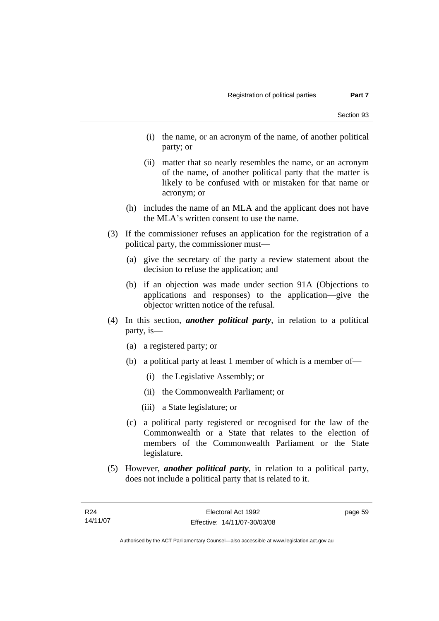- (i) the name, or an acronym of the name, of another political party; or
- (ii) matter that so nearly resembles the name, or an acronym of the name, of another political party that the matter is likely to be confused with or mistaken for that name or acronym; or
- (h) includes the name of an MLA and the applicant does not have the MLA's written consent to use the name.
- (3) If the commissioner refuses an application for the registration of a political party, the commissioner must—
	- (a) give the secretary of the party a review statement about the decision to refuse the application; and
	- (b) if an objection was made under section 91A (Objections to applications and responses) to the application—give the objector written notice of the refusal.
- (4) In this section, *another political party*, in relation to a political party, is—
	- (a) a registered party; or
	- (b) a political party at least 1 member of which is a member of—
		- (i) the Legislative Assembly; or
		- (ii) the Commonwealth Parliament; or
		- (iii) a State legislature; or
	- (c) a political party registered or recognised for the law of the Commonwealth or a State that relates to the election of members of the Commonwealth Parliament or the State legislature.
- (5) However, *another political party*, in relation to a political party, does not include a political party that is related to it.

page 59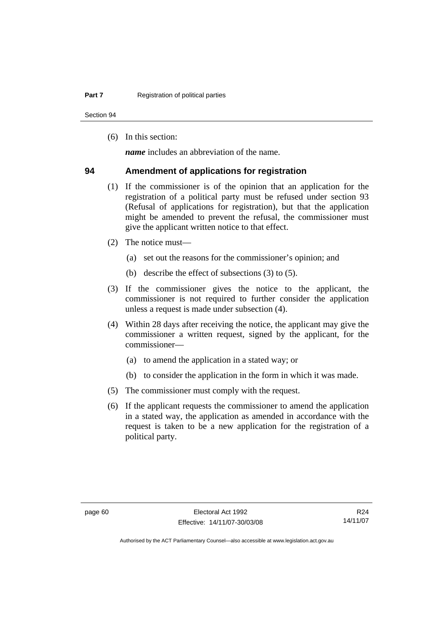Section 94

(6) In this section:

*name* includes an abbreviation of the name.

#### **94 Amendment of applications for registration**

- (1) If the commissioner is of the opinion that an application for the registration of a political party must be refused under section 93 (Refusal of applications for registration), but that the application might be amended to prevent the refusal, the commissioner must give the applicant written notice to that effect.
- (2) The notice must—
	- (a) set out the reasons for the commissioner's opinion; and
	- (b) describe the effect of subsections (3) to (5).
- (3) If the commissioner gives the notice to the applicant, the commissioner is not required to further consider the application unless a request is made under subsection (4).
- (4) Within 28 days after receiving the notice, the applicant may give the commissioner a written request, signed by the applicant, for the commissioner—
	- (a) to amend the application in a stated way; or
	- (b) to consider the application in the form in which it was made.
- (5) The commissioner must comply with the request.
- (6) If the applicant requests the commissioner to amend the application in a stated way, the application as amended in accordance with the request is taken to be a new application for the registration of a political party.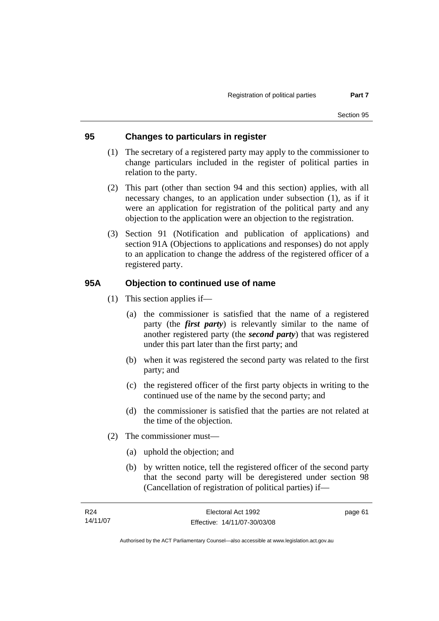### **95 Changes to particulars in register**

- (1) The secretary of a registered party may apply to the commissioner to change particulars included in the register of political parties in relation to the party.
- (2) This part (other than section 94 and this section) applies, with all necessary changes, to an application under subsection (1), as if it were an application for registration of the political party and any objection to the application were an objection to the registration.
- (3) Section 91 (Notification and publication of applications) and section 91A (Objections to applications and responses) do not apply to an application to change the address of the registered officer of a registered party.

### **95A Objection to continued use of name**

- (1) This section applies if—
	- (a) the commissioner is satisfied that the name of a registered party (the *first party*) is relevantly similar to the name of another registered party (the *second party*) that was registered under this part later than the first party; and
	- (b) when it was registered the second party was related to the first party; and
	- (c) the registered officer of the first party objects in writing to the continued use of the name by the second party; and
	- (d) the commissioner is satisfied that the parties are not related at the time of the objection.
- (2) The commissioner must—
	- (a) uphold the objection; and
	- (b) by written notice, tell the registered officer of the second party that the second party will be deregistered under section 98 (Cancellation of registration of political parties) if—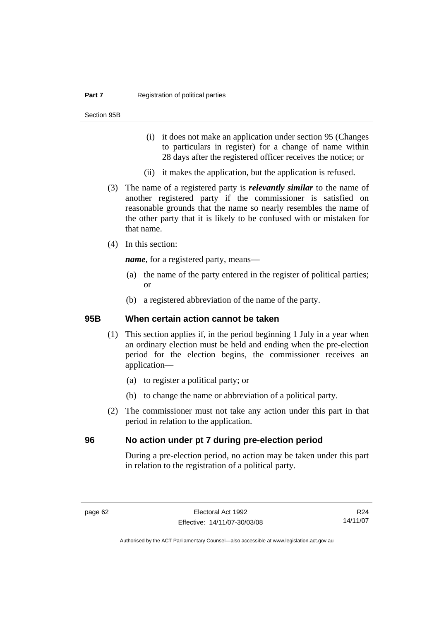#### **Part 7 Registration of political parties**

Section 95B

- (i) it does not make an application under section 95 (Changes to particulars in register) for a change of name within 28 days after the registered officer receives the notice; or
- (ii) it makes the application, but the application is refused.
- (3) The name of a registered party is *relevantly similar* to the name of another registered party if the commissioner is satisfied on reasonable grounds that the name so nearly resembles the name of the other party that it is likely to be confused with or mistaken for that name.
- (4) In this section:

*name*, for a registered party, means—

- (a) the name of the party entered in the register of political parties; or
- (b) a registered abbreviation of the name of the party.

#### **95B When certain action cannot be taken**

- (1) This section applies if, in the period beginning 1 July in a year when an ordinary election must be held and ending when the pre-election period for the election begins, the commissioner receives an application—
	- (a) to register a political party; or
	- (b) to change the name or abbreviation of a political party.
- (2) The commissioner must not take any action under this part in that period in relation to the application.

### **96 No action under pt 7 during pre-election period**

During a pre-election period, no action may be taken under this part in relation to the registration of a political party.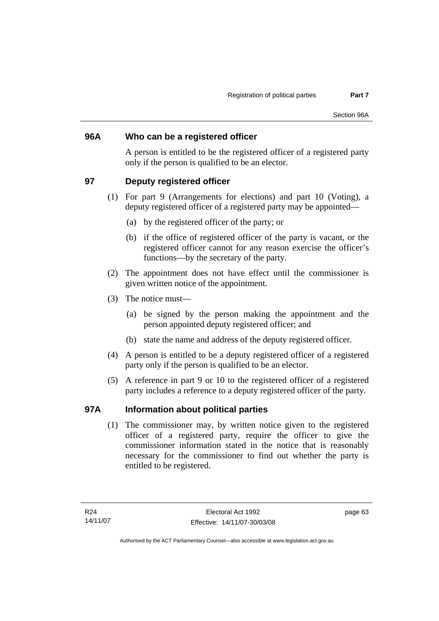### **96A Who can be a registered officer**

A person is entitled to be the registered officer of a registered party only if the person is qualified to be an elector.

### **97 Deputy registered officer**

- (1) For part 9 (Arrangements for elections) and part 10 (Voting), a deputy registered officer of a registered party may be appointed—
	- (a) by the registered officer of the party; or
	- (b) if the office of registered officer of the party is vacant, or the registered officer cannot for any reason exercise the officer's functions—by the secretary of the party.
- (2) The appointment does not have effect until the commissioner is given written notice of the appointment.
- (3) The notice must—
	- (a) be signed by the person making the appointment and the person appointed deputy registered officer; and
	- (b) state the name and address of the deputy registered officer.
- (4) A person is entitled to be a deputy registered officer of a registered party only if the person is qualified to be an elector.
- (5) A reference in part 9 or 10 to the registered officer of a registered party includes a reference to a deputy registered officer of the party.

### **97A Information about political parties**

 (1) The commissioner may, by written notice given to the registered officer of a registered party, require the officer to give the commissioner information stated in the notice that is reasonably necessary for the commissioner to find out whether the party is entitled to be registered.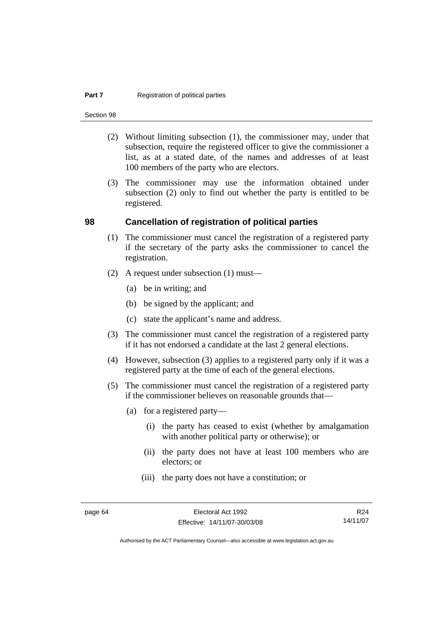#### **Part 7 Registration of political parties**

Section 98

- (2) Without limiting subsection (1), the commissioner may, under that subsection, require the registered officer to give the commissioner a list, as at a stated date, of the names and addresses of at least 100 members of the party who are electors.
- (3) The commissioner may use the information obtained under subsection (2) only to find out whether the party is entitled to be registered.

#### **98 Cancellation of registration of political parties**

- (1) The commissioner must cancel the registration of a registered party if the secretary of the party asks the commissioner to cancel the registration.
- (2) A request under subsection (1) must—
	- (a) be in writing; and
	- (b) be signed by the applicant; and
	- (c) state the applicant's name and address.
- (3) The commissioner must cancel the registration of a registered party if it has not endorsed a candidate at the last 2 general elections.
- (4) However, subsection (3) applies to a registered party only if it was a registered party at the time of each of the general elections.
- (5) The commissioner must cancel the registration of a registered party if the commissioner believes on reasonable grounds that—
	- (a) for a registered party—
		- (i) the party has ceased to exist (whether by amalgamation with another political party or otherwise); or
		- (ii) the party does not have at least 100 members who are electors; or
		- (iii) the party does not have a constitution; or

R24 14/11/07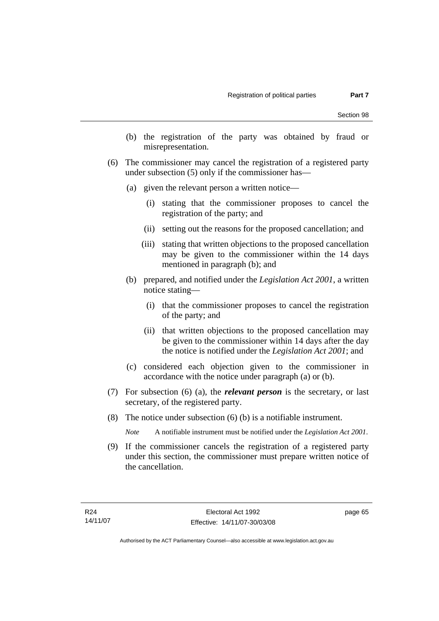- (b) the registration of the party was obtained by fraud or misrepresentation.
- (6) The commissioner may cancel the registration of a registered party under subsection (5) only if the commissioner has—
	- (a) given the relevant person a written notice—
		- (i) stating that the commissioner proposes to cancel the registration of the party; and
		- (ii) setting out the reasons for the proposed cancellation; and
		- (iii) stating that written objections to the proposed cancellation may be given to the commissioner within the 14 days mentioned in paragraph (b); and
	- (b) prepared, and notified under the *Legislation Act 2001*, a written notice stating—
		- (i) that the commissioner proposes to cancel the registration of the party; and
		- (ii) that written objections to the proposed cancellation may be given to the commissioner within 14 days after the day the notice is notified under the *Legislation Act 2001*; and
	- (c) considered each objection given to the commissioner in accordance with the notice under paragraph (a) or (b).
- (7) For subsection (6) (a), the *relevant person* is the secretary, or last secretary, of the registered party.
- (8) The notice under subsection (6) (b) is a notifiable instrument.

*Note* A notifiable instrument must be notified under the *Legislation Act 2001*.

 (9) If the commissioner cancels the registration of a registered party under this section, the commissioner must prepare written notice of the cancellation.

page 65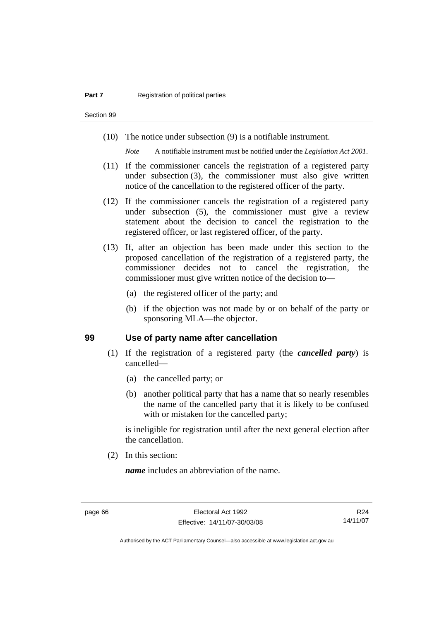Section 99

(10) The notice under subsection (9) is a notifiable instrument.

*Note* A notifiable instrument must be notified under the *Legislation Act 2001*.

- (11) If the commissioner cancels the registration of a registered party under subsection (3), the commissioner must also give written notice of the cancellation to the registered officer of the party.
- (12) If the commissioner cancels the registration of a registered party under subsection (5), the commissioner must give a review statement about the decision to cancel the registration to the registered officer, or last registered officer, of the party.
- (13) If, after an objection has been made under this section to the proposed cancellation of the registration of a registered party, the commissioner decides not to cancel the registration, the commissioner must give written notice of the decision to—
	- (a) the registered officer of the party; and
	- (b) if the objection was not made by or on behalf of the party or sponsoring MLA—the objector.

#### **99 Use of party name after cancellation**

- (1) If the registration of a registered party (the *cancelled party*) is cancelled—
	- (a) the cancelled party; or
	- (b) another political party that has a name that so nearly resembles the name of the cancelled party that it is likely to be confused with or mistaken for the cancelled party;

is ineligible for registration until after the next general election after the cancellation.

(2) In this section:

*name* includes an abbreviation of the name.

R24 14/11/07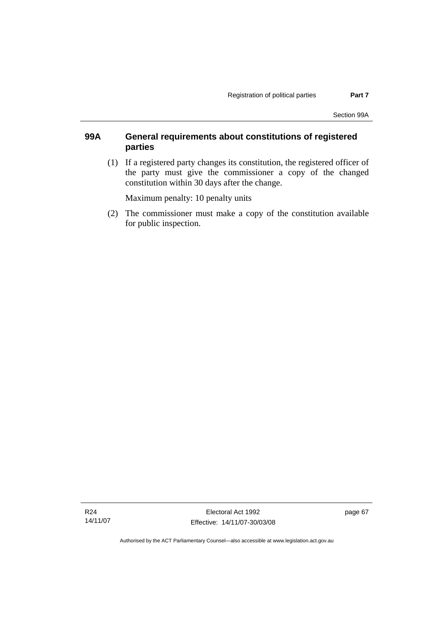### **99A General requirements about constitutions of registered parties**

 (1) If a registered party changes its constitution, the registered officer of the party must give the commissioner a copy of the changed constitution within 30 days after the change.

Maximum penalty: 10 penalty units

 (2) The commissioner must make a copy of the constitution available for public inspection.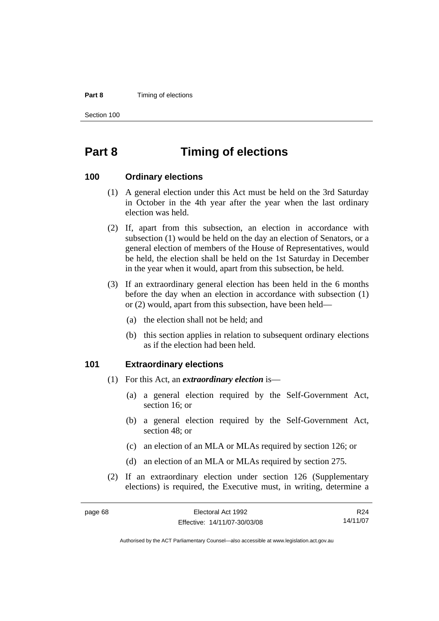#### **Part 8 Timing of elections**

Section 100

# **Part 8 Timing of elections**

#### **100 Ordinary elections**

- (1) A general election under this Act must be held on the 3rd Saturday in October in the 4th year after the year when the last ordinary election was held.
- (2) If, apart from this subsection, an election in accordance with subsection (1) would be held on the day an election of Senators, or a general election of members of the House of Representatives, would be held, the election shall be held on the 1st Saturday in December in the year when it would, apart from this subsection, be held.
- (3) If an extraordinary general election has been held in the 6 months before the day when an election in accordance with subsection (1) or (2) would, apart from this subsection, have been held—
	- (a) the election shall not be held; and
	- (b) this section applies in relation to subsequent ordinary elections as if the election had been held.

#### **101 Extraordinary elections**

- (1) For this Act, an *extraordinary election* is—
	- (a) a general election required by the Self-Government Act, section 16; or
	- (b) a general election required by the Self-Government Act, section 48; or
	- (c) an election of an MLA or MLAs required by section 126; or
	- (d) an election of an MLA or MLAs required by section 275.
- (2) If an extraordinary election under section 126 (Supplementary elections) is required, the Executive must, in writing, determine a

| page 68 | Electoral Act 1992           | R24      |
|---------|------------------------------|----------|
|         | Effective: 14/11/07-30/03/08 | 14/11/07 |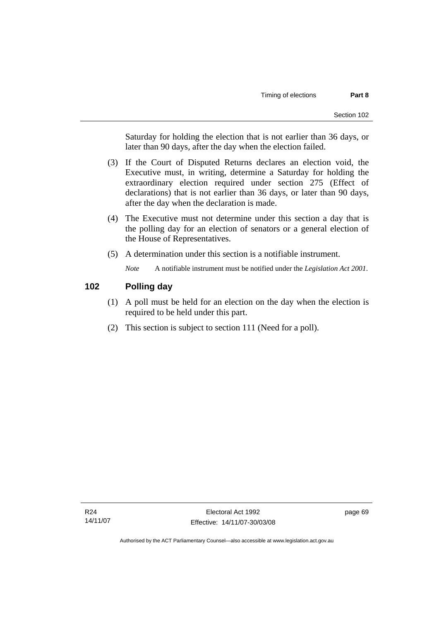Saturday for holding the election that is not earlier than 36 days, or later than 90 days, after the day when the election failed.

- (3) If the Court of Disputed Returns declares an election void, the Executive must, in writing, determine a Saturday for holding the extraordinary election required under section 275 (Effect of declarations) that is not earlier than 36 days, or later than 90 days, after the day when the declaration is made.
- (4) The Executive must not determine under this section a day that is the polling day for an election of senators or a general election of the House of Representatives.
- (5) A determination under this section is a notifiable instrument.

*Note* A notifiable instrument must be notified under the *Legislation Act 2001*.

### **102 Polling day**

- (1) A poll must be held for an election on the day when the election is required to be held under this part.
- (2) This section is subject to section 111 (Need for a poll).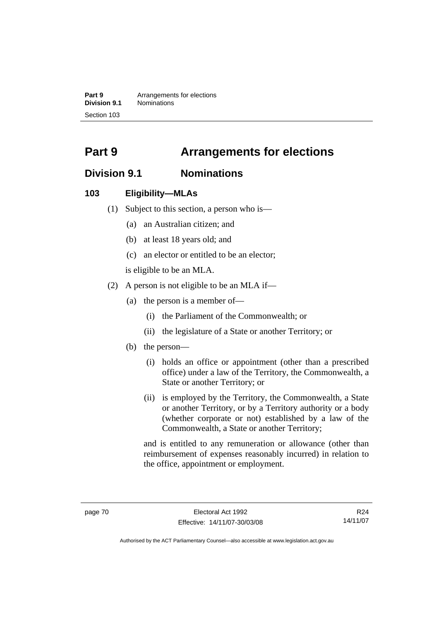**Part 9 Arrangements for elections Division 9.1** Nominations Section 103

# **Part 9 Arrangements for elections**

# **Division 9.1 Nominations**

### **103 Eligibility—MLAs**

- (1) Subject to this section, a person who is—
	- (a) an Australian citizen; and
	- (b) at least 18 years old; and
	- (c) an elector or entitled to be an elector;

is eligible to be an MLA.

- (2) A person is not eligible to be an MLA if—
	- (a) the person is a member of—
		- (i) the Parliament of the Commonwealth; or
		- (ii) the legislature of a State or another Territory; or
	- (b) the person—
		- (i) holds an office or appointment (other than a prescribed office) under a law of the Territory, the Commonwealth, a State or another Territory; or
		- (ii) is employed by the Territory, the Commonwealth, a State or another Territory, or by a Territory authority or a body (whether corporate or not) established by a law of the Commonwealth, a State or another Territory;

and is entitled to any remuneration or allowance (other than reimbursement of expenses reasonably incurred) in relation to the office, appointment or employment.

R24 14/11/07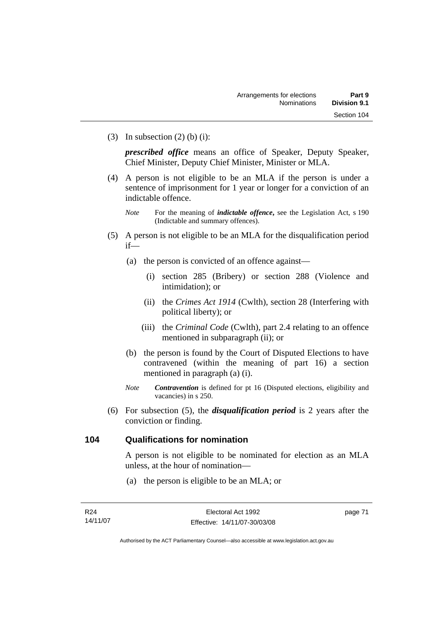(3) In subsection  $(2)$  (b) (i):

*prescribed office* means an office of Speaker, Deputy Speaker, Chief Minister, Deputy Chief Minister, Minister or MLA.

- (4) A person is not eligible to be an MLA if the person is under a sentence of imprisonment for 1 year or longer for a conviction of an indictable offence.
	- *Note* For the meaning of *indictable offence*, see the Legislation Act, s 190 (Indictable and summary offences).
- (5) A person is not eligible to be an MLA for the disqualification period if—
	- (a) the person is convicted of an offence against—
		- (i) section 285 (Bribery) or section 288 (Violence and intimidation); or
		- (ii) the *Crimes Act 1914* (Cwlth), section 28 (Interfering with political liberty); or
		- (iii) the *Criminal Code* (Cwlth), part 2.4 relating to an offence mentioned in subparagraph (ii); or
	- (b) the person is found by the Court of Disputed Elections to have contravened (within the meaning of part 16) a section mentioned in paragraph (a) (i).
	- *Note Contravention* is defined for pt 16 (Disputed elections, eligibility and vacancies) in s 250.
- (6) For subsection (5), the *disqualification period* is 2 years after the conviction or finding.

### **104 Qualifications for nomination**

A person is not eligible to be nominated for election as an MLA unless, at the hour of nomination—

(a) the person is eligible to be an MLA; or

page 71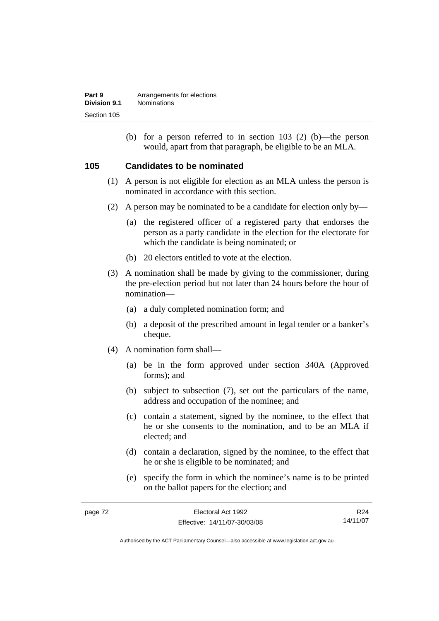| Part 9       | Arrangements for elections |
|--------------|----------------------------|
| Division 9.1 | <b>Nominations</b>         |
| Section 105  |                            |

 (b) for a person referred to in section 103 (2) (b)—the person would, apart from that paragraph, be eligible to be an MLA.

### **105 Candidates to be nominated**

- (1) A person is not eligible for election as an MLA unless the person is nominated in accordance with this section.
- (2) A person may be nominated to be a candidate for election only by—
	- (a) the registered officer of a registered party that endorses the person as a party candidate in the election for the electorate for which the candidate is being nominated; or
	- (b) 20 electors entitled to vote at the election.
- (3) A nomination shall be made by giving to the commissioner, during the pre-election period but not later than 24 hours before the hour of nomination—
	- (a) a duly completed nomination form; and
	- (b) a deposit of the prescribed amount in legal tender or a banker's cheque.
- (4) A nomination form shall—
	- (a) be in the form approved under section 340A (Approved forms); and
	- (b) subject to subsection (7), set out the particulars of the name, address and occupation of the nominee; and
	- (c) contain a statement, signed by the nominee, to the effect that he or she consents to the nomination, and to be an MLA if elected; and
	- (d) contain a declaration, signed by the nominee, to the effect that he or she is eligible to be nominated; and
	- (e) specify the form in which the nominee's name is to be printed on the ballot papers for the election; and

| page 72 | Electoral Act 1992           | R24      |
|---------|------------------------------|----------|
|         | Effective: 14/11/07-30/03/08 | 14/11/07 |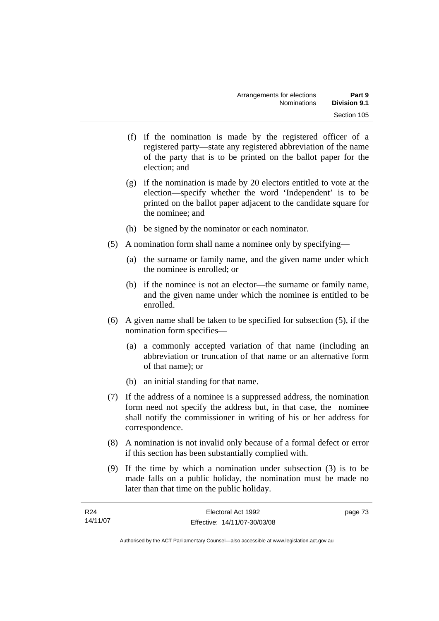- (f) if the nomination is made by the registered officer of a registered party—state any registered abbreviation of the name of the party that is to be printed on the ballot paper for the election; and
- (g) if the nomination is made by 20 electors entitled to vote at the election—specify whether the word 'Independent' is to be printed on the ballot paper adjacent to the candidate square for the nominee; and
- (h) be signed by the nominator or each nominator.
- (5) A nomination form shall name a nominee only by specifying—
	- (a) the surname or family name, and the given name under which the nominee is enrolled; or
	- (b) if the nominee is not an elector—the surname or family name, and the given name under which the nominee is entitled to be enrolled.
- (6) A given name shall be taken to be specified for subsection (5), if the nomination form specifies—
	- (a) a commonly accepted variation of that name (including an abbreviation or truncation of that name or an alternative form of that name); or
	- (b) an initial standing for that name.
- (7) If the address of a nominee is a suppressed address, the nomination form need not specify the address but, in that case, the nominee shall notify the commissioner in writing of his or her address for correspondence.
- (8) A nomination is not invalid only because of a formal defect or error if this section has been substantially complied with.
- (9) If the time by which a nomination under subsection (3) is to be made falls on a public holiday, the nomination must be made no later than that time on the public holiday.

| R24      | Electoral Act 1992           | page 73 |
|----------|------------------------------|---------|
| 14/11/07 | Effective: 14/11/07-30/03/08 |         |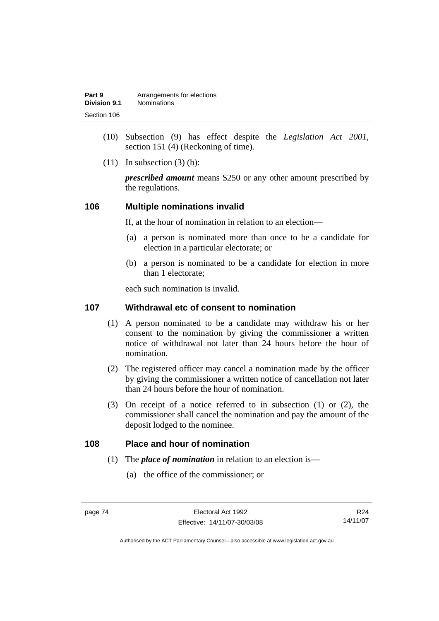| Part 9       | Arrangements for elections |
|--------------|----------------------------|
| Division 9.1 | <b>Nominations</b>         |
| Section 106  |                            |

- (10) Subsection (9) has effect despite the *Legislation Act 2001*, section 151 (4) (Reckoning of time).
- $(11)$  In subsection  $(3)$  (b):

*prescribed amount* means \$250 or any other amount prescribed by the regulations.

#### **106 Multiple nominations invalid**

If, at the hour of nomination in relation to an election—

- (a) a person is nominated more than once to be a candidate for election in a particular electorate; or
- (b) a person is nominated to be a candidate for election in more than 1 electorate;

each such nomination is invalid.

### **107 Withdrawal etc of consent to nomination**

- (1) A person nominated to be a candidate may withdraw his or her consent to the nomination by giving the commissioner a written notice of withdrawal not later than 24 hours before the hour of nomination.
- (2) The registered officer may cancel a nomination made by the officer by giving the commissioner a written notice of cancellation not later than 24 hours before the hour of nomination.
- (3) On receipt of a notice referred to in subsection (1) or (2), the commissioner shall cancel the nomination and pay the amount of the deposit lodged to the nominee.

### **108 Place and hour of nomination**

- (1) The *place of nomination* in relation to an election is—
	- (a) the office of the commissioner; or

R24 14/11/07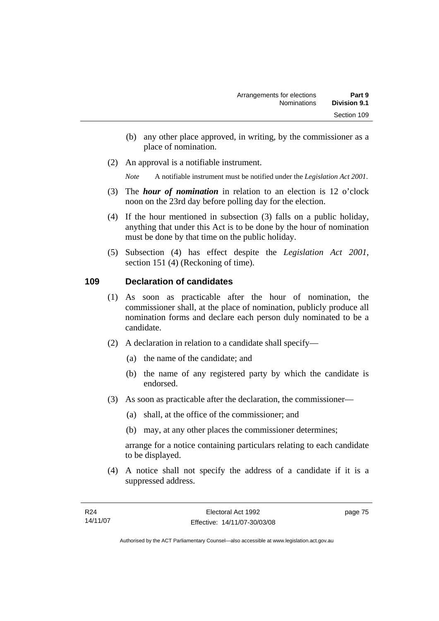- (b) any other place approved, in writing, by the commissioner as a place of nomination.
- (2) An approval is a notifiable instrument.

*Note* A notifiable instrument must be notified under the *Legislation Act 2001*.

- (3) The *hour of nomination* in relation to an election is 12 o'clock noon on the 23rd day before polling day for the election.
- (4) If the hour mentioned in subsection (3) falls on a public holiday, anything that under this Act is to be done by the hour of nomination must be done by that time on the public holiday.
- (5) Subsection (4) has effect despite the *Legislation Act 2001*, section 151 (4) (Reckoning of time).

### **109 Declaration of candidates**

- (1) As soon as practicable after the hour of nomination, the commissioner shall, at the place of nomination, publicly produce all nomination forms and declare each person duly nominated to be a candidate.
- (2) A declaration in relation to a candidate shall specify—
	- (a) the name of the candidate; and
	- (b) the name of any registered party by which the candidate is endorsed.
- (3) As soon as practicable after the declaration, the commissioner—
	- (a) shall, at the office of the commissioner; and
	- (b) may, at any other places the commissioner determines;

arrange for a notice containing particulars relating to each candidate to be displayed.

 (4) A notice shall not specify the address of a candidate if it is a suppressed address.

page 75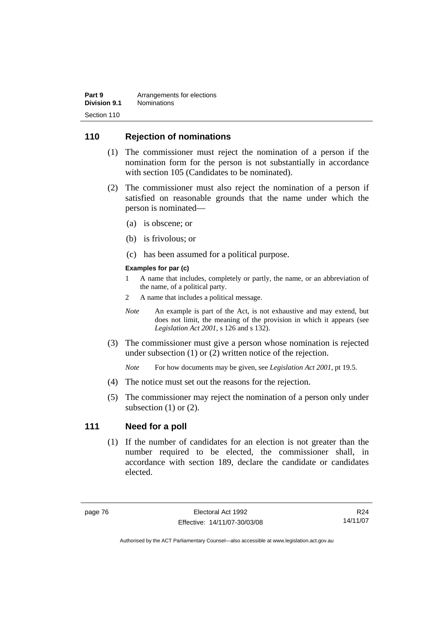| Part 9       | Arrangements for elections |
|--------------|----------------------------|
| Division 9.1 | <b>Nominations</b>         |
| Section 110  |                            |

### **110 Rejection of nominations**

- (1) The commissioner must reject the nomination of a person if the nomination form for the person is not substantially in accordance with section 105 (Candidates to be nominated).
- (2) The commissioner must also reject the nomination of a person if satisfied on reasonable grounds that the name under which the person is nominated—
	- (a) is obscene; or
	- (b) is frivolous; or
	- (c) has been assumed for a political purpose.

#### **Examples for par (c)**

- 1 A name that includes, completely or partly, the name, or an abbreviation of the name, of a political party.
- 2 A name that includes a political message.
- *Note* An example is part of the Act, is not exhaustive and may extend, but does not limit, the meaning of the provision in which it appears (see *Legislation Act 2001*, s 126 and s 132).
- (3) The commissioner must give a person whose nomination is rejected under subsection (1) or (2) written notice of the rejection.

*Note* For how documents may be given, see *Legislation Act 2001*, pt 19.5.

- (4) The notice must set out the reasons for the rejection.
- (5) The commissioner may reject the nomination of a person only under subsection  $(1)$  or  $(2)$ .

#### **111 Need for a poll**

 (1) If the number of candidates for an election is not greater than the number required to be elected, the commissioner shall, in accordance with section 189, declare the candidate or candidates elected.

R24 14/11/07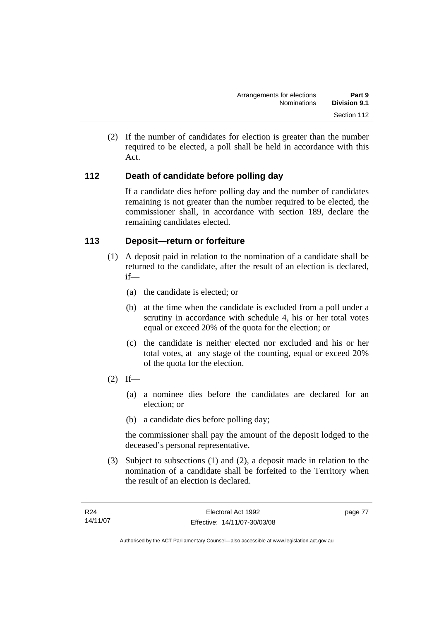(2) If the number of candidates for election is greater than the number required to be elected, a poll shall be held in accordance with this Act.

### **112 Death of candidate before polling day**

If a candidate dies before polling day and the number of candidates remaining is not greater than the number required to be elected, the commissioner shall, in accordance with section 189, declare the remaining candidates elected.

### **113 Deposit—return or forfeiture**

- (1) A deposit paid in relation to the nomination of a candidate shall be returned to the candidate, after the result of an election is declared, if—
	- (a) the candidate is elected; or
	- (b) at the time when the candidate is excluded from a poll under a scrutiny in accordance with schedule 4, his or her total votes equal or exceed 20% of the quota for the election; or
	- (c) the candidate is neither elected nor excluded and his or her total votes, at any stage of the counting, equal or exceed 20% of the quota for the election.
- $(2)$  If—
	- (a) a nominee dies before the candidates are declared for an election; or
	- (b) a candidate dies before polling day;

the commissioner shall pay the amount of the deposit lodged to the deceased's personal representative.

 (3) Subject to subsections (1) and (2), a deposit made in relation to the nomination of a candidate shall be forfeited to the Territory when the result of an election is declared.

page 77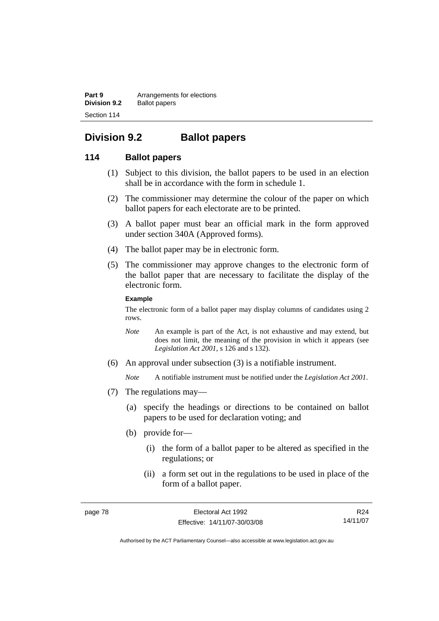**Part 9 Arrangements for elections Division 9.2** Ballot papers Section 114

# **Division 9.2 Ballot papers**

### **114 Ballot papers**

- (1) Subject to this division, the ballot papers to be used in an election shall be in accordance with the form in schedule 1.
- (2) The commissioner may determine the colour of the paper on which ballot papers for each electorate are to be printed.
- (3) A ballot paper must bear an official mark in the form approved under section 340A (Approved forms).
- (4) The ballot paper may be in electronic form.
- (5) The commissioner may approve changes to the electronic form of the ballot paper that are necessary to facilitate the display of the electronic form.

#### **Example**

The electronic form of a ballot paper may display columns of candidates using 2 rows.

- *Note* An example is part of the Act, is not exhaustive and may extend, but does not limit, the meaning of the provision in which it appears (see *Legislation Act 2001*, s 126 and s 132).
- (6) An approval under subsection (3) is a notifiable instrument.

*Note* A notifiable instrument must be notified under the *Legislation Act 2001*.

- (7) The regulations may—
	- (a) specify the headings or directions to be contained on ballot papers to be used for declaration voting; and
	- (b) provide for—
		- (i) the form of a ballot paper to be altered as specified in the regulations; or
		- (ii) a form set out in the regulations to be used in place of the form of a ballot paper.

R24 14/11/07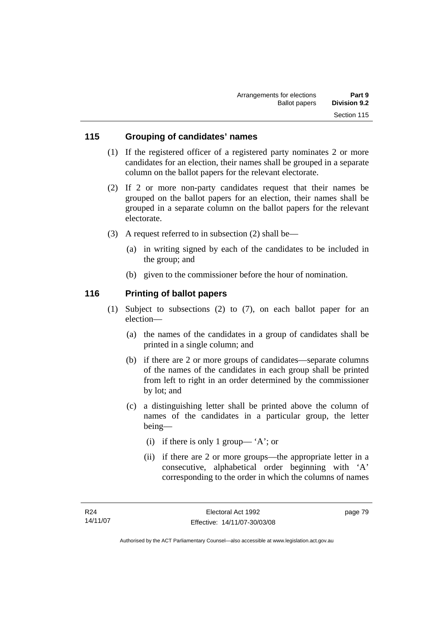### **115 Grouping of candidates' names**

- (1) If the registered officer of a registered party nominates 2 or more candidates for an election, their names shall be grouped in a separate column on the ballot papers for the relevant electorate.
- (2) If 2 or more non-party candidates request that their names be grouped on the ballot papers for an election, their names shall be grouped in a separate column on the ballot papers for the relevant electorate.
- (3) A request referred to in subsection (2) shall be—
	- (a) in writing signed by each of the candidates to be included in the group; and
	- (b) given to the commissioner before the hour of nomination.

### **116 Printing of ballot papers**

- (1) Subject to subsections (2) to (7), on each ballot paper for an election—
	- (a) the names of the candidates in a group of candidates shall be printed in a single column; and
	- (b) if there are 2 or more groups of candidates—separate columns of the names of the candidates in each group shall be printed from left to right in an order determined by the commissioner by lot; and
	- (c) a distinguishing letter shall be printed above the column of names of the candidates in a particular group, the letter being—
		- (i) if there is only 1 group— 'A'; or
		- (ii) if there are 2 or more groups—the appropriate letter in a consecutive, alphabetical order beginning with 'A' corresponding to the order in which the columns of names

page 79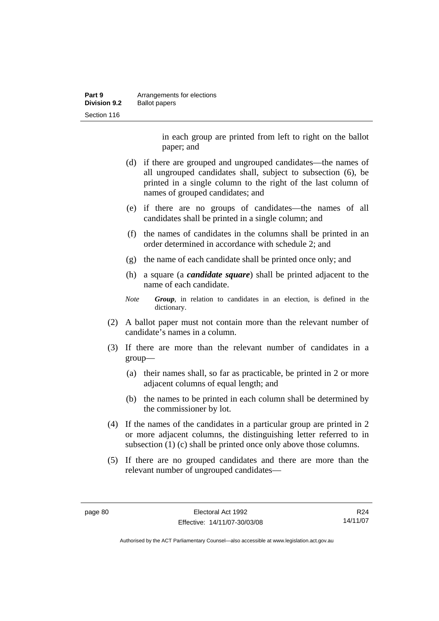| Part 9              | Arrangements for elections |
|---------------------|----------------------------|
| <b>Division 9.2</b> | <b>Ballot papers</b>       |
| Section 116         |                            |

in each group are printed from left to right on the ballot paper; and

- (d) if there are grouped and ungrouped candidates—the names of all ungrouped candidates shall, subject to subsection (6), be printed in a single column to the right of the last column of names of grouped candidates; and
- (e) if there are no groups of candidates—the names of all candidates shall be printed in a single column; and
- (f) the names of candidates in the columns shall be printed in an order determined in accordance with schedule 2; and
- (g) the name of each candidate shall be printed once only; and
- (h) a square (a *candidate square*) shall be printed adjacent to the name of each candidate.
- *Note Group*, in relation to candidates in an election, is defined in the dictionary.
- (2) A ballot paper must not contain more than the relevant number of candidate's names in a column.
- (3) If there are more than the relevant number of candidates in a group—
	- (a) their names shall, so far as practicable, be printed in 2 or more adjacent columns of equal length; and
	- (b) the names to be printed in each column shall be determined by the commissioner by lot.
- (4) If the names of the candidates in a particular group are printed in 2 or more adjacent columns, the distinguishing letter referred to in subsection (1) (c) shall be printed once only above those columns.
- (5) If there are no grouped candidates and there are more than the relevant number of ungrouped candidates—

R24 14/11/07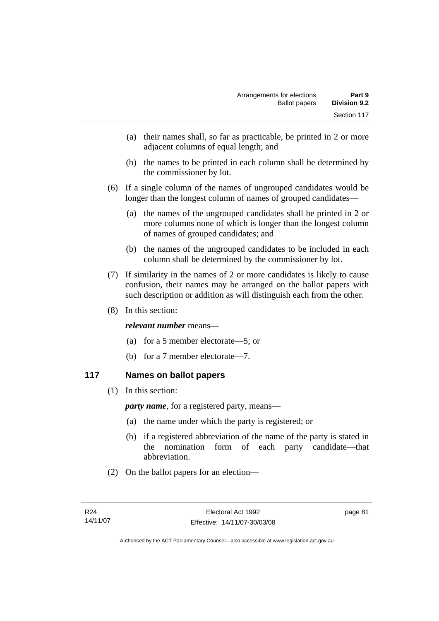- (a) their names shall, so far as practicable, be printed in 2 or more adjacent columns of equal length; and
- (b) the names to be printed in each column shall be determined by the commissioner by lot.
- (6) If a single column of the names of ungrouped candidates would be longer than the longest column of names of grouped candidates—
	- (a) the names of the ungrouped candidates shall be printed in 2 or more columns none of which is longer than the longest column of names of grouped candidates; and
	- (b) the names of the ungrouped candidates to be included in each column shall be determined by the commissioner by lot.
- (7) If similarity in the names of 2 or more candidates is likely to cause confusion, their names may be arranged on the ballot papers with such description or addition as will distinguish each from the other.
- (8) In this section:

### *relevant number* means—

- (a) for a 5 member electorate—5; or
- (b) for a 7 member electorate—7.

### **117 Names on ballot papers**

(1) In this section:

*party name*, for a registered party, means—

- (a) the name under which the party is registered; or
- (b) if a registered abbreviation of the name of the party is stated in the nomination form of each party candidate—that abbreviation.
- (2) On the ballot papers for an election—

page 81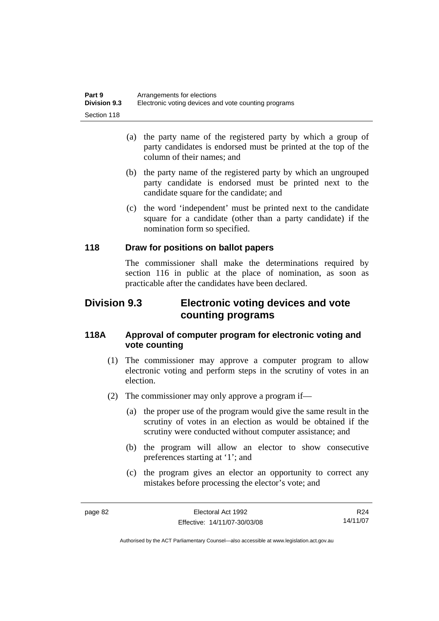| Part 9              | Arrangements for elections                           |
|---------------------|------------------------------------------------------|
| <b>Division 9.3</b> | Electronic voting devices and vote counting programs |
| Section 118         |                                                      |

- (a) the party name of the registered party by which a group of party candidates is endorsed must be printed at the top of the column of their names; and
- (b) the party name of the registered party by which an ungrouped party candidate is endorsed must be printed next to the candidate square for the candidate; and
- (c) the word 'independent' must be printed next to the candidate square for a candidate (other than a party candidate) if the nomination form so specified.

### **118 Draw for positions on ballot papers**

The commissioner shall make the determinations required by section 116 in public at the place of nomination, as soon as practicable after the candidates have been declared.

## **Division 9.3 Electronic voting devices and vote counting programs**

### **118A Approval of computer program for electronic voting and vote counting**

- (1) The commissioner may approve a computer program to allow electronic voting and perform steps in the scrutiny of votes in an election.
- (2) The commissioner may only approve a program if—
	- (a) the proper use of the program would give the same result in the scrutiny of votes in an election as would be obtained if the scrutiny were conducted without computer assistance; and
	- (b) the program will allow an elector to show consecutive preferences starting at '1'; and
	- (c) the program gives an elector an opportunity to correct any mistakes before processing the elector's vote; and

R24 14/11/07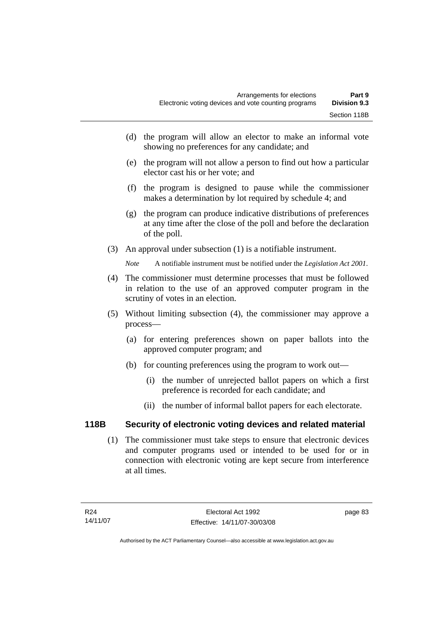- (d) the program will allow an elector to make an informal vote showing no preferences for any candidate; and
- (e) the program will not allow a person to find out how a particular elector cast his or her vote; and
- (f) the program is designed to pause while the commissioner makes a determination by lot required by schedule 4; and
- (g) the program can produce indicative distributions of preferences at any time after the close of the poll and before the declaration of the poll.
- (3) An approval under subsection (1) is a notifiable instrument.

*Note* A notifiable instrument must be notified under the *Legislation Act 2001*.

- (4) The commissioner must determine processes that must be followed in relation to the use of an approved computer program in the scrutiny of votes in an election.
- (5) Without limiting subsection (4), the commissioner may approve a process—
	- (a) for entering preferences shown on paper ballots into the approved computer program; and
	- (b) for counting preferences using the program to work out—
		- (i) the number of unrejected ballot papers on which a first preference is recorded for each candidate; and
		- (ii) the number of informal ballot papers for each electorate.

## **118B Security of electronic voting devices and related material**

 (1) The commissioner must take steps to ensure that electronic devices and computer programs used or intended to be used for or in connection with electronic voting are kept secure from interference at all times.

page 83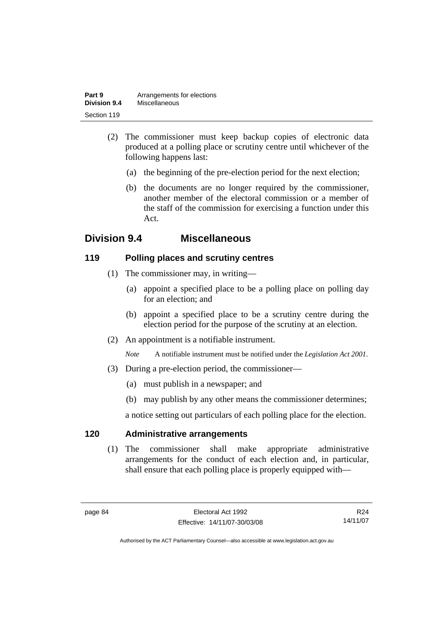| Part 9              | Arrangements for elections |
|---------------------|----------------------------|
| <b>Division 9.4</b> | Miscellaneous              |
| Section 119         |                            |

- (2) The commissioner must keep backup copies of electronic data produced at a polling place or scrutiny centre until whichever of the following happens last:
	- (a) the beginning of the pre-election period for the next election;
	- (b) the documents are no longer required by the commissioner, another member of the electoral commission or a member of the staff of the commission for exercising a function under this Act.

# **Division 9.4 Miscellaneous**

### **119 Polling places and scrutiny centres**

- (1) The commissioner may, in writing—
	- (a) appoint a specified place to be a polling place on polling day for an election; and
	- (b) appoint a specified place to be a scrutiny centre during the election period for the purpose of the scrutiny at an election.
- (2) An appointment is a notifiable instrument.

*Note* A notifiable instrument must be notified under the *Legislation Act 2001*.

- (3) During a pre-election period, the commissioner—
	- (a) must publish in a newspaper; and
	- (b) may publish by any other means the commissioner determines;

a notice setting out particulars of each polling place for the election.

### **120 Administrative arrangements**

 (1) The commissioner shall make appropriate administrative arrangements for the conduct of each election and, in particular, shall ensure that each polling place is properly equipped with—

R24 14/11/07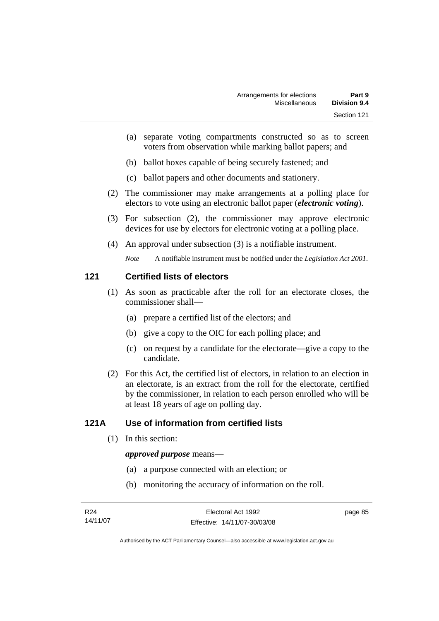- (a) separate voting compartments constructed so as to screen voters from observation while marking ballot papers; and
- (b) ballot boxes capable of being securely fastened; and
- (c) ballot papers and other documents and stationery.
- (2) The commissioner may make arrangements at a polling place for electors to vote using an electronic ballot paper (*electronic voting*).
- (3) For subsection (2), the commissioner may approve electronic devices for use by electors for electronic voting at a polling place.
- (4) An approval under subsection (3) is a notifiable instrument.

*Note* A notifiable instrument must be notified under the *Legislation Act 2001*.

### **121 Certified lists of electors**

- (1) As soon as practicable after the roll for an electorate closes, the commissioner shall—
	- (a) prepare a certified list of the electors; and
	- (b) give a copy to the OIC for each polling place; and
	- (c) on request by a candidate for the electorate—give a copy to the candidate.
- (2) For this Act, the certified list of electors, in relation to an election in an electorate, is an extract from the roll for the electorate, certified by the commissioner, in relation to each person enrolled who will be at least 18 years of age on polling day.

### **121A Use of information from certified lists**

(1) In this section:

#### *approved purpose* means—

- (a) a purpose connected with an election; or
- (b) monitoring the accuracy of information on the roll.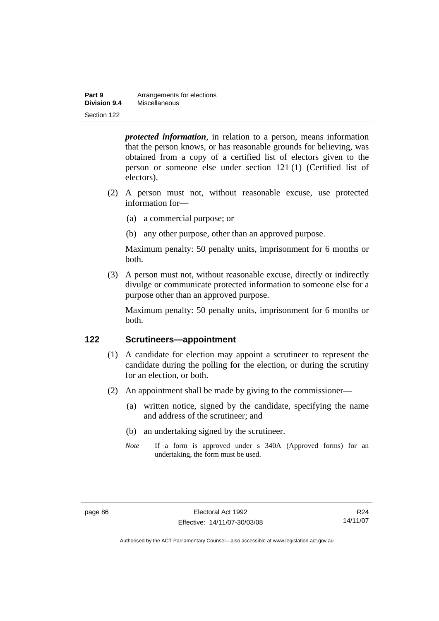| Part 9       | Arrangements for elections |
|--------------|----------------------------|
| Division 9.4 | Miscellaneous              |
| Section 122  |                            |

*protected information*, in relation to a person, means information that the person knows, or has reasonable grounds for believing, was obtained from a copy of a certified list of electors given to the person or someone else under section 121 (1) (Certified list of electors).

- (2) A person must not, without reasonable excuse, use protected information for—
	- (a) a commercial purpose; or
	- (b) any other purpose, other than an approved purpose.

Maximum penalty: 50 penalty units, imprisonment for 6 months or both.

 (3) A person must not, without reasonable excuse, directly or indirectly divulge or communicate protected information to someone else for a purpose other than an approved purpose.

Maximum penalty: 50 penalty units, imprisonment for 6 months or both.

### **122 Scrutineers—appointment**

- (1) A candidate for election may appoint a scrutineer to represent the candidate during the polling for the election, or during the scrutiny for an election, or both.
- (2) An appointment shall be made by giving to the commissioner—
	- (a) written notice, signed by the candidate, specifying the name and address of the scrutineer; and
	- (b) an undertaking signed by the scrutineer.
	- *Note* If a form is approved under s 340A (Approved forms) for an undertaking, the form must be used.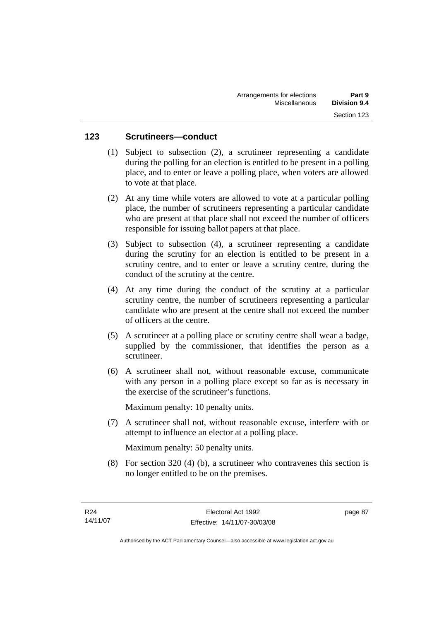### **123 Scrutineers—conduct**

- (1) Subject to subsection (2), a scrutineer representing a candidate during the polling for an election is entitled to be present in a polling place, and to enter or leave a polling place, when voters are allowed to vote at that place.
- (2) At any time while voters are allowed to vote at a particular polling place, the number of scrutineers representing a particular candidate who are present at that place shall not exceed the number of officers responsible for issuing ballot papers at that place.
- (3) Subject to subsection (4), a scrutineer representing a candidate during the scrutiny for an election is entitled to be present in a scrutiny centre, and to enter or leave a scrutiny centre, during the conduct of the scrutiny at the centre.
- (4) At any time during the conduct of the scrutiny at a particular scrutiny centre, the number of scrutineers representing a particular candidate who are present at the centre shall not exceed the number of officers at the centre.
- (5) A scrutineer at a polling place or scrutiny centre shall wear a badge, supplied by the commissioner, that identifies the person as a scrutineer.
- (6) A scrutineer shall not, without reasonable excuse, communicate with any person in a polling place except so far as is necessary in the exercise of the scrutineer's functions.

Maximum penalty: 10 penalty units.

 (7) A scrutineer shall not, without reasonable excuse, interfere with or attempt to influence an elector at a polling place.

Maximum penalty: 50 penalty units.

 (8) For section 320 (4) (b), a scrutineer who contravenes this section is no longer entitled to be on the premises.

page 87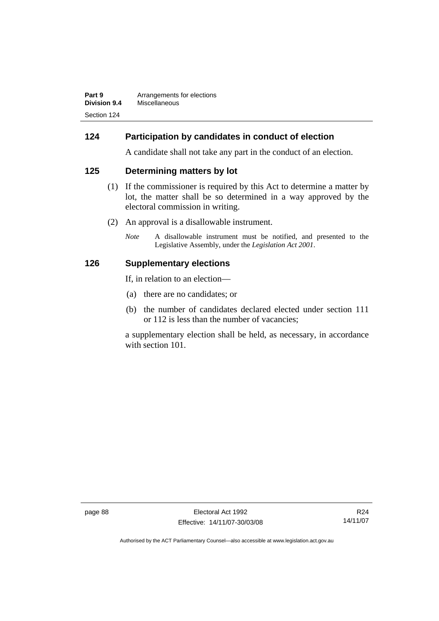| Part 9       | Arrangements for elections |
|--------------|----------------------------|
| Division 9.4 | Miscellaneous              |
| Section 124  |                            |

### **124 Participation by candidates in conduct of election**

A candidate shall not take any part in the conduct of an election.

### **125 Determining matters by lot**

- (1) If the commissioner is required by this Act to determine a matter by lot, the matter shall be so determined in a way approved by the electoral commission in writing.
- (2) An approval is a disallowable instrument.
	- *Note* A disallowable instrument must be notified, and presented to the Legislative Assembly, under the *Legislation Act 2001*.

### **126 Supplementary elections**

If, in relation to an election—

- (a) there are no candidates; or
- (b) the number of candidates declared elected under section 111 or 112 is less than the number of vacancies;

a supplementary election shall be held, as necessary, in accordance with section 101.

page 88 Electoral Act 1992 Effective: 14/11/07-30/03/08

R24 14/11/07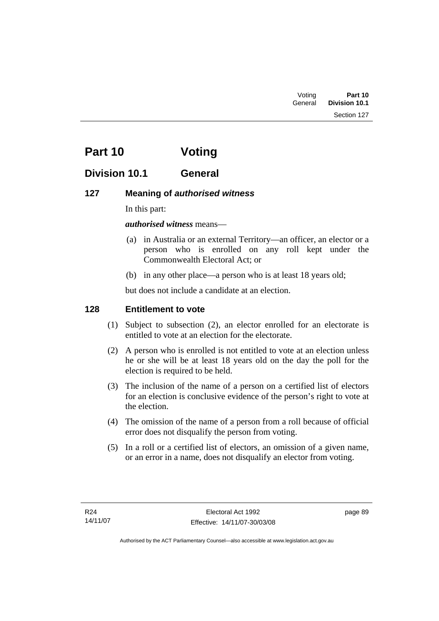Section 127

# **Part 10 Voting**

# **Division 10.1 General**

## **127 Meaning of** *authorised witness*

In this part:

### *authorised witness* means—

- (a) in Australia or an external Territory—an officer, an elector or a person who is enrolled on any roll kept under the Commonwealth Electoral Act; or
- (b) in any other place—a person who is at least 18 years old;

but does not include a candidate at an election.

### **128 Entitlement to vote**

- (1) Subject to subsection (2), an elector enrolled for an electorate is entitled to vote at an election for the electorate.
- (2) A person who is enrolled is not entitled to vote at an election unless he or she will be at least 18 years old on the day the poll for the election is required to be held.
- (3) The inclusion of the name of a person on a certified list of electors for an election is conclusive evidence of the person's right to vote at the election.
- (4) The omission of the name of a person from a roll because of official error does not disqualify the person from voting.
- (5) In a roll or a certified list of electors, an omission of a given name, or an error in a name, does not disqualify an elector from voting.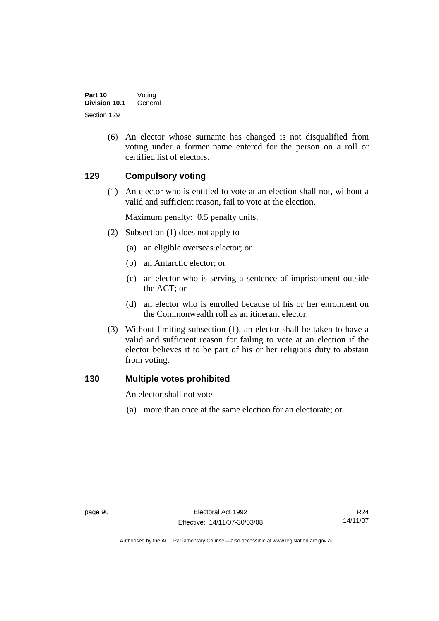(6) An elector whose surname has changed is not disqualified from voting under a former name entered for the person on a roll or certified list of electors.

### **129 Compulsory voting**

 (1) An elector who is entitled to vote at an election shall not, without a valid and sufficient reason, fail to vote at the election.

Maximum penalty: 0.5 penalty units.

- (2) Subsection (1) does not apply to—
	- (a) an eligible overseas elector; or
	- (b) an Antarctic elector; or
	- (c) an elector who is serving a sentence of imprisonment outside the ACT; or
	- (d) an elector who is enrolled because of his or her enrolment on the Commonwealth roll as an itinerant elector.
- (3) Without limiting subsection (1), an elector shall be taken to have a valid and sufficient reason for failing to vote at an election if the elector believes it to be part of his or her religious duty to abstain from voting.

### **130 Multiple votes prohibited**

An elector shall not vote—

(a) more than once at the same election for an electorate; or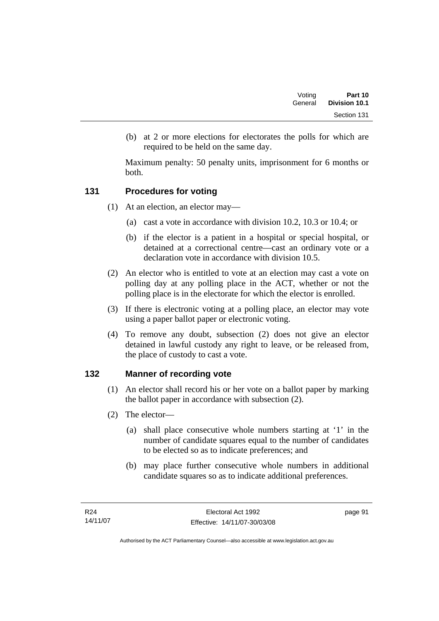(b) at 2 or more elections for electorates the polls for which are required to be held on the same day.

Maximum penalty: 50 penalty units, imprisonment for 6 months or both.

# **131 Procedures for voting**

- (1) At an election, an elector may—
	- (a) cast a vote in accordance with division 10.2, 10.3 or 10.4; or
	- (b) if the elector is a patient in a hospital or special hospital, or detained at a correctional centre—cast an ordinary vote or a declaration vote in accordance with division 10.5.
- (2) An elector who is entitled to vote at an election may cast a vote on polling day at any polling place in the ACT, whether or not the polling place is in the electorate for which the elector is enrolled.
- (3) If there is electronic voting at a polling place, an elector may vote using a paper ballot paper or electronic voting.
- (4) To remove any doubt, subsection (2) does not give an elector detained in lawful custody any right to leave, or be released from, the place of custody to cast a vote.

# **132 Manner of recording vote**

- (1) An elector shall record his or her vote on a ballot paper by marking the ballot paper in accordance with subsection (2).
- (2) The elector—
	- (a) shall place consecutive whole numbers starting at '1' in the number of candidate squares equal to the number of candidates to be elected so as to indicate preferences; and
	- (b) may place further consecutive whole numbers in additional candidate squares so as to indicate additional preferences.

page 91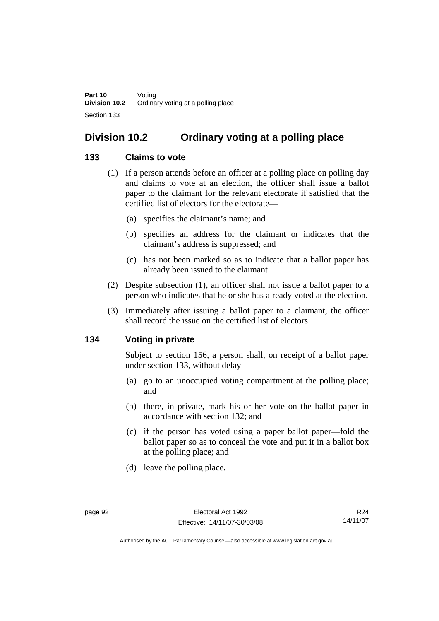# **Division 10.2 Ordinary voting at a polling place**

# **133 Claims to vote**

- (1) If a person attends before an officer at a polling place on polling day and claims to vote at an election, the officer shall issue a ballot paper to the claimant for the relevant electorate if satisfied that the certified list of electors for the electorate—
	- (a) specifies the claimant's name; and
	- (b) specifies an address for the claimant or indicates that the claimant's address is suppressed; and
	- (c) has not been marked so as to indicate that a ballot paper has already been issued to the claimant.
- (2) Despite subsection (1), an officer shall not issue a ballot paper to a person who indicates that he or she has already voted at the election.
- (3) Immediately after issuing a ballot paper to a claimant, the officer shall record the issue on the certified list of electors.

# **134 Voting in private**

Subject to section 156, a person shall, on receipt of a ballot paper under section 133, without delay—

- (a) go to an unoccupied voting compartment at the polling place; and
- (b) there, in private, mark his or her vote on the ballot paper in accordance with section 132; and
- (c) if the person has voted using a paper ballot paper—fold the ballot paper so as to conceal the vote and put it in a ballot box at the polling place; and
- (d) leave the polling place.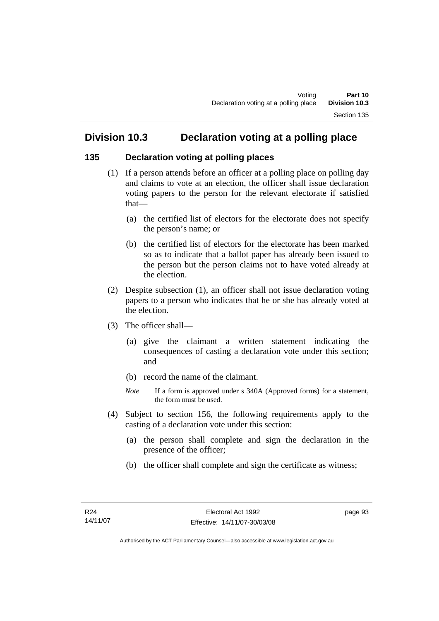# **Division 10.3 Declaration voting at a polling place**

# **135 Declaration voting at polling places**

- (1) If a person attends before an officer at a polling place on polling day and claims to vote at an election, the officer shall issue declaration voting papers to the person for the relevant electorate if satisfied that—
	- (a) the certified list of electors for the electorate does not specify the person's name; or
	- (b) the certified list of electors for the electorate has been marked so as to indicate that a ballot paper has already been issued to the person but the person claims not to have voted already at the election.
- (2) Despite subsection (1), an officer shall not issue declaration voting papers to a person who indicates that he or she has already voted at the election.
- (3) The officer shall—
	- (a) give the claimant a written statement indicating the consequences of casting a declaration vote under this section; and
	- (b) record the name of the claimant.
	- *Note* If a form is approved under s 340A (Approved forms) for a statement, the form must be used.
- (4) Subject to section 156, the following requirements apply to the casting of a declaration vote under this section:
	- (a) the person shall complete and sign the declaration in the presence of the officer;
	- (b) the officer shall complete and sign the certificate as witness;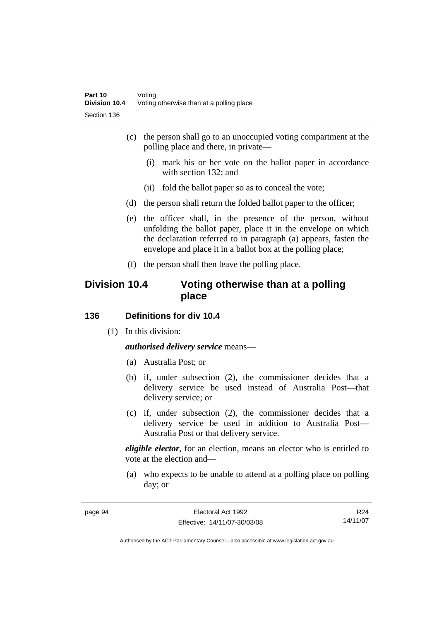- (c) the person shall go to an unoccupied voting compartment at the polling place and there, in private—
	- (i) mark his or her vote on the ballot paper in accordance with section 132; and
	- (ii) fold the ballot paper so as to conceal the vote;
- (d) the person shall return the folded ballot paper to the officer;
- (e) the officer shall, in the presence of the person, without unfolding the ballot paper, place it in the envelope on which the declaration referred to in paragraph (a) appears, fasten the envelope and place it in a ballot box at the polling place;
- (f) the person shall then leave the polling place.

# **Division 10.4 Voting otherwise than at a polling place**

#### **136 Definitions for div 10.4**

(1) In this division:

*authorised delivery service* means—

- (a) Australia Post; or
- (b) if, under subsection (2), the commissioner decides that a delivery service be used instead of Australia Post—that delivery service; or
- (c) if, under subsection (2), the commissioner decides that a delivery service be used in addition to Australia Post— Australia Post or that delivery service.

*eligible elector*, for an election, means an elector who is entitled to vote at the election and—

 (a) who expects to be unable to attend at a polling place on polling day; or

| page | a, |
|------|----|
|------|----|

R24 14/11/07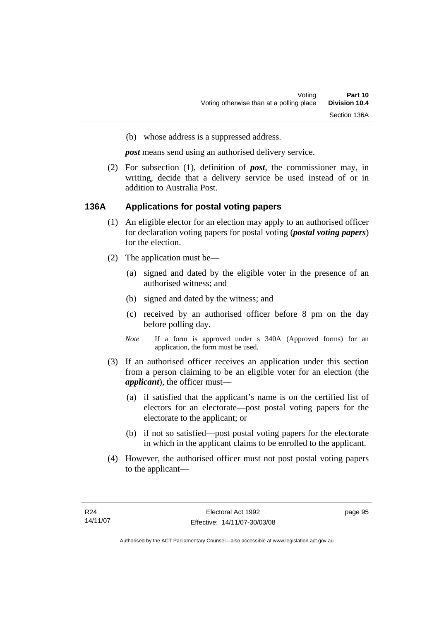(b) whose address is a suppressed address.

*post* means send using an authorised delivery service.

 (2) For subsection (1), definition of *post*, the commissioner may, in writing, decide that a delivery service be used instead of or in addition to Australia Post.

#### **136A Applications for postal voting papers**

- (1) An eligible elector for an election may apply to an authorised officer for declaration voting papers for postal voting (*postal voting papers*) for the election.
- (2) The application must be—
	- (a) signed and dated by the eligible voter in the presence of an authorised witness; and
	- (b) signed and dated by the witness; and
	- (c) received by an authorised officer before 8 pm on the day before polling day.
	- *Note* If a form is approved under s 340A (Approved forms) for an application, the form must be used.
- (3) If an authorised officer receives an application under this section from a person claiming to be an eligible voter for an election (the *applicant*), the officer must—
	- (a) if satisfied that the applicant's name is on the certified list of electors for an electorate—post postal voting papers for the electorate to the applicant; or
	- (b) if not so satisfied—post postal voting papers for the electorate in which in the applicant claims to be enrolled to the applicant.
- (4) However, the authorised officer must not post postal voting papers to the applicant—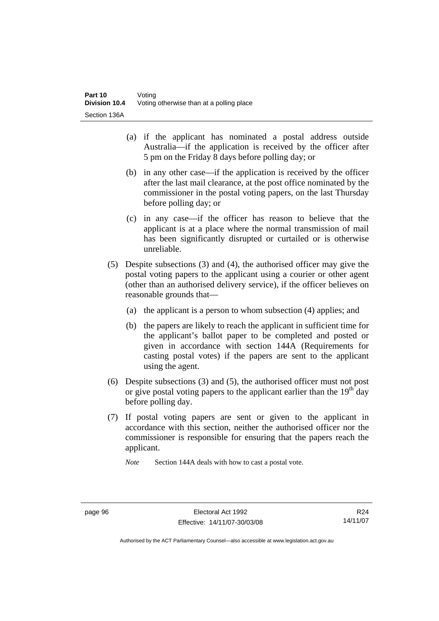- (a) if the applicant has nominated a postal address outside Australia—if the application is received by the officer after 5 pm on the Friday 8 days before polling day; or
- (b) in any other case—if the application is received by the officer after the last mail clearance, at the post office nominated by the commissioner in the postal voting papers, on the last Thursday before polling day; or
- (c) in any case—if the officer has reason to believe that the applicant is at a place where the normal transmission of mail has been significantly disrupted or curtailed or is otherwise unreliable.
- (5) Despite subsections (3) and (4), the authorised officer may give the postal voting papers to the applicant using a courier or other agent (other than an authorised delivery service), if the officer believes on reasonable grounds that—
	- (a) the applicant is a person to whom subsection (4) applies; and
	- (b) the papers are likely to reach the applicant in sufficient time for the applicant's ballot paper to be completed and posted or given in accordance with section 144A (Requirements for casting postal votes) if the papers are sent to the applicant using the agent.
- (6) Despite subsections (3) and (5), the authorised officer must not post or give postal voting papers to the applicant earlier than the  $19<sup>th</sup>$  day before polling day.
- (7) If postal voting papers are sent or given to the applicant in accordance with this section, neither the authorised officer nor the commissioner is responsible for ensuring that the papers reach the applicant.

*Note* Section 144A deals with how to cast a postal vote.

R24 14/11/07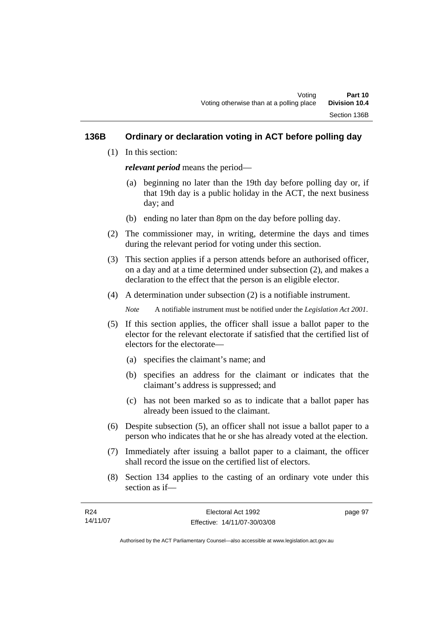## **136B Ordinary or declaration voting in ACT before polling day**

(1) In this section:

*relevant period* means the period—

- (a) beginning no later than the 19th day before polling day or, if that 19th day is a public holiday in the ACT, the next business day; and
- (b) ending no later than 8pm on the day before polling day.
- (2) The commissioner may, in writing, determine the days and times during the relevant period for voting under this section.
- (3) This section applies if a person attends before an authorised officer, on a day and at a time determined under subsection (2), and makes a declaration to the effect that the person is an eligible elector.
- (4) A determination under subsection (2) is a notifiable instrument.

*Note* A notifiable instrument must be notified under the *Legislation Act 2001*.

- (5) If this section applies, the officer shall issue a ballot paper to the elector for the relevant electorate if satisfied that the certified list of electors for the electorate—
	- (a) specifies the claimant's name; and
	- (b) specifies an address for the claimant or indicates that the claimant's address is suppressed; and
	- (c) has not been marked so as to indicate that a ballot paper has already been issued to the claimant.
- (6) Despite subsection (5), an officer shall not issue a ballot paper to a person who indicates that he or she has already voted at the election.
- (7) Immediately after issuing a ballot paper to a claimant, the officer shall record the issue on the certified list of electors.
- (8) Section 134 applies to the casting of an ordinary vote under this section as if—

| R24      | Electoral Act 1992           | page 97 |
|----------|------------------------------|---------|
| 14/11/07 | Effective: 14/11/07-30/03/08 |         |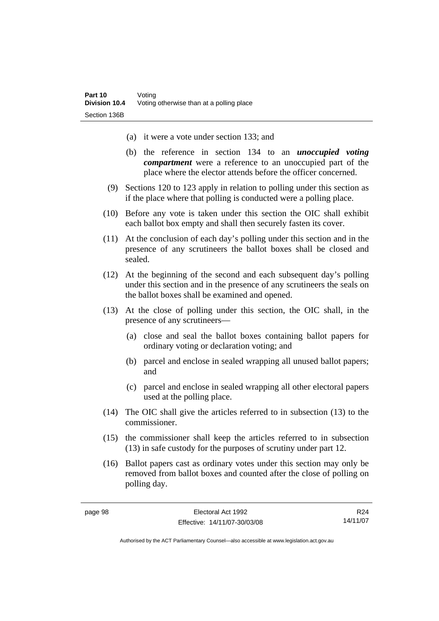- (a) it were a vote under section 133; and
- (b) the reference in section 134 to an *unoccupied voting compartment* were a reference to an unoccupied part of the place where the elector attends before the officer concerned.
- (9) Sections 120 to 123 apply in relation to polling under this section as if the place where that polling is conducted were a polling place.
- (10) Before any vote is taken under this section the OIC shall exhibit each ballot box empty and shall then securely fasten its cover.
- (11) At the conclusion of each day's polling under this section and in the presence of any scrutineers the ballot boxes shall be closed and sealed.
- (12) At the beginning of the second and each subsequent day's polling under this section and in the presence of any scrutineers the seals on the ballot boxes shall be examined and opened.
- (13) At the close of polling under this section, the OIC shall, in the presence of any scrutineers—
	- (a) close and seal the ballot boxes containing ballot papers for ordinary voting or declaration voting; and
	- (b) parcel and enclose in sealed wrapping all unused ballot papers; and
	- (c) parcel and enclose in sealed wrapping all other electoral papers used at the polling place.
- (14) The OIC shall give the articles referred to in subsection (13) to the commissioner.
- (15) the commissioner shall keep the articles referred to in subsection (13) in safe custody for the purposes of scrutiny under part 12.
- (16) Ballot papers cast as ordinary votes under this section may only be removed from ballot boxes and counted after the close of polling on polling day.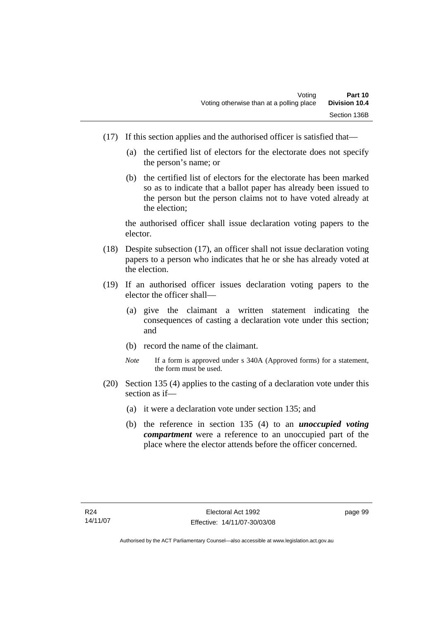- (17) If this section applies and the authorised officer is satisfied that—
	- (a) the certified list of electors for the electorate does not specify the person's name; or
	- (b) the certified list of electors for the electorate has been marked so as to indicate that a ballot paper has already been issued to the person but the person claims not to have voted already at the election;

the authorised officer shall issue declaration voting papers to the elector.

- (18) Despite subsection (17), an officer shall not issue declaration voting papers to a person who indicates that he or she has already voted at the election.
- (19) If an authorised officer issues declaration voting papers to the elector the officer shall—
	- (a) give the claimant a written statement indicating the consequences of casting a declaration vote under this section; and
	- (b) record the name of the claimant.
	- *Note* If a form is approved under s 340A (Approved forms) for a statement, the form must be used.
- (20) Section 135 (4) applies to the casting of a declaration vote under this section as if—
	- (a) it were a declaration vote under section 135; and
	- (b) the reference in section 135 (4) to an *unoccupied voting compartment* were a reference to an unoccupied part of the place where the elector attends before the officer concerned.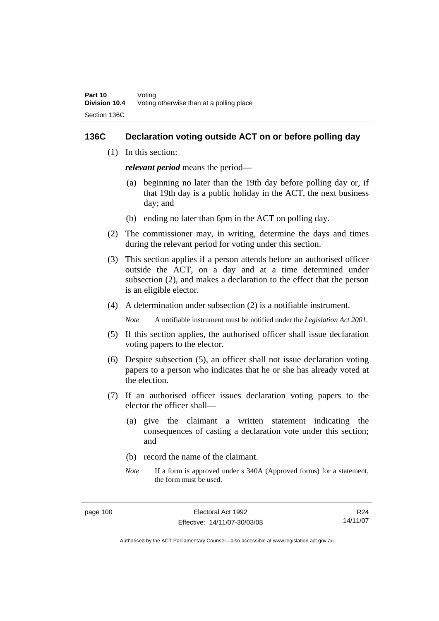#### **136C Declaration voting outside ACT on or before polling day**

(1) In this section:

*relevant period* means the period—

- (a) beginning no later than the 19th day before polling day or, if that 19th day is a public holiday in the ACT, the next business day; and
- (b) ending no later than 6pm in the ACT on polling day.
- (2) The commissioner may, in writing, determine the days and times during the relevant period for voting under this section.
- (3) This section applies if a person attends before an authorised officer outside the ACT, on a day and at a time determined under subsection (2), and makes a declaration to the effect that the person is an eligible elector.
- (4) A determination under subsection (2) is a notifiable instrument.

*Note* A notifiable instrument must be notified under the *Legislation Act 2001*.

- (5) If this section applies, the authorised officer shall issue declaration voting papers to the elector.
- (6) Despite subsection (5), an officer shall not issue declaration voting papers to a person who indicates that he or she has already voted at the election.
- (7) If an authorised officer issues declaration voting papers to the elector the officer shall—
	- (a) give the claimant a written statement indicating the consequences of casting a declaration vote under this section; and
	- (b) record the name of the claimant.
	- *Note* If a form is approved under s 340A (Approved forms) for a statement, the form must be used.

R24 14/11/07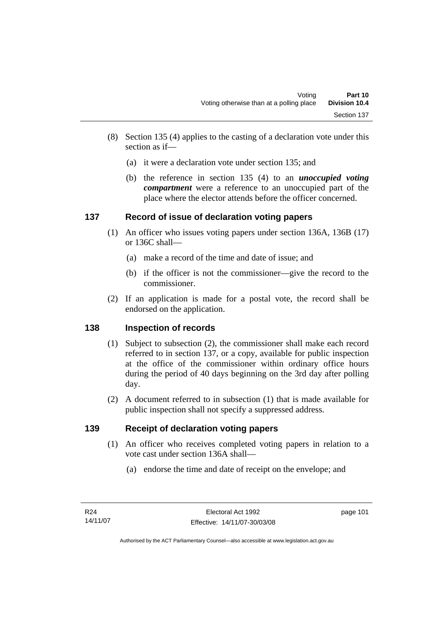- (8) Section 135 (4) applies to the casting of a declaration vote under this section as if—
	- (a) it were a declaration vote under section 135; and
	- (b) the reference in section 135 (4) to an *unoccupied voting compartment* were a reference to an unoccupied part of the place where the elector attends before the officer concerned.

# **137 Record of issue of declaration voting papers**

- (1) An officer who issues voting papers under section 136A, 136B (17) or 136C shall—
	- (a) make a record of the time and date of issue; and
	- (b) if the officer is not the commissioner—give the record to the commissioner.
- (2) If an application is made for a postal vote, the record shall be endorsed on the application.

# **138 Inspection of records**

- (1) Subject to subsection (2), the commissioner shall make each record referred to in section 137, or a copy, available for public inspection at the office of the commissioner within ordinary office hours during the period of 40 days beginning on the 3rd day after polling day.
- (2) A document referred to in subsection (1) that is made available for public inspection shall not specify a suppressed address.

# **139 Receipt of declaration voting papers**

- (1) An officer who receives completed voting papers in relation to a vote cast under section 136A shall—
	- (a) endorse the time and date of receipt on the envelope; and

page 101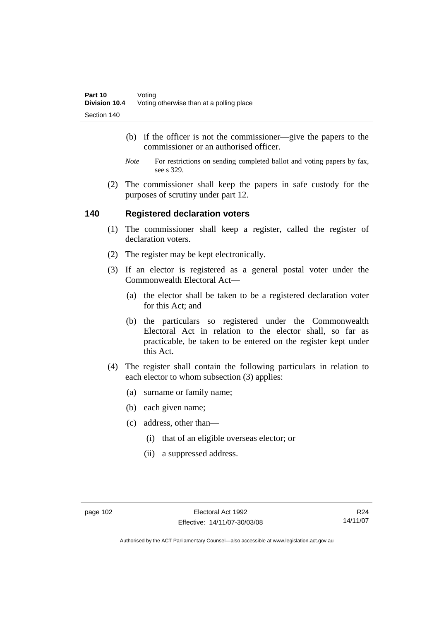- (b) if the officer is not the commissioner—give the papers to the commissioner or an authorised officer.
- *Note* For restrictions on sending completed ballot and voting papers by fax, see s 329.
- (2) The commissioner shall keep the papers in safe custody for the purposes of scrutiny under part 12.

#### **140 Registered declaration voters**

- (1) The commissioner shall keep a register, called the register of declaration voters.
- (2) The register may be kept electronically.
- (3) If an elector is registered as a general postal voter under the Commonwealth Electoral Act—
	- (a) the elector shall be taken to be a registered declaration voter for this Act; and
	- (b) the particulars so registered under the Commonwealth Electoral Act in relation to the elector shall, so far as practicable, be taken to be entered on the register kept under this Act.
- (4) The register shall contain the following particulars in relation to each elector to whom subsection (3) applies:
	- (a) surname or family name;
	- (b) each given name;
	- (c) address, other than—
		- (i) that of an eligible overseas elector; or
		- (ii) a suppressed address.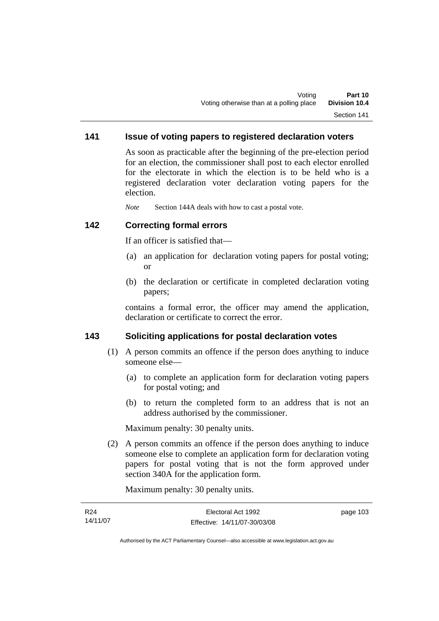# **141 Issue of voting papers to registered declaration voters**

As soon as practicable after the beginning of the pre-election period for an election, the commissioner shall post to each elector enrolled for the electorate in which the election is to be held who is a registered declaration voter declaration voting papers for the election.

*Note* Section 144A deals with how to cast a postal vote.

#### **142 Correcting formal errors**

If an officer is satisfied that—

- (a) an application for declaration voting papers for postal voting; or
- (b) the declaration or certificate in completed declaration voting papers;

contains a formal error, the officer may amend the application, declaration or certificate to correct the error.

### **143 Soliciting applications for postal declaration votes**

- (1) A person commits an offence if the person does anything to induce someone else—
	- (a) to complete an application form for declaration voting papers for postal voting; and
	- (b) to return the completed form to an address that is not an address authorised by the commissioner.

Maximum penalty: 30 penalty units.

 (2) A person commits an offence if the person does anything to induce someone else to complete an application form for declaration voting papers for postal voting that is not the form approved under section 340A for the application form.

Maximum penalty: 30 penalty units.

| R24      | Electoral Act 1992           | page 103 |
|----------|------------------------------|----------|
| 14/11/07 | Effective: 14/11/07-30/03/08 |          |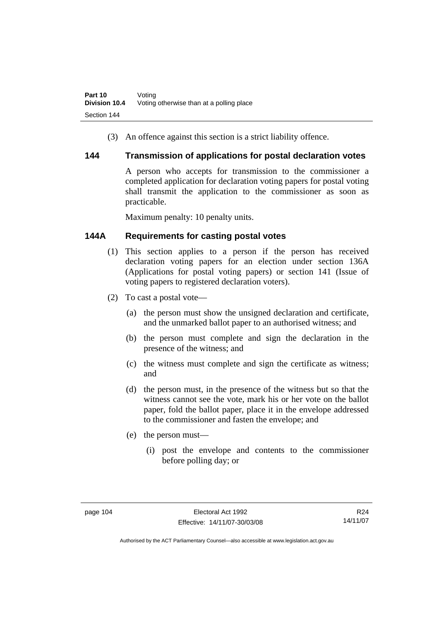(3) An offence against this section is a strict liability offence.

#### **144 Transmission of applications for postal declaration votes**

A person who accepts for transmission to the commissioner a completed application for declaration voting papers for postal voting shall transmit the application to the commissioner as soon as practicable.

Maximum penalty: 10 penalty units.

# **144A Requirements for casting postal votes**

- (1) This section applies to a person if the person has received declaration voting papers for an election under section 136A (Applications for postal voting papers) or section 141 (Issue of voting papers to registered declaration voters).
- (2) To cast a postal vote—
	- (a) the person must show the unsigned declaration and certificate, and the unmarked ballot paper to an authorised witness; and
	- (b) the person must complete and sign the declaration in the presence of the witness; and
	- (c) the witness must complete and sign the certificate as witness; and
	- (d) the person must, in the presence of the witness but so that the witness cannot see the vote, mark his or her vote on the ballot paper, fold the ballot paper, place it in the envelope addressed to the commissioner and fasten the envelope; and
	- (e) the person must—
		- (i) post the envelope and contents to the commissioner before polling day; or

R24 14/11/07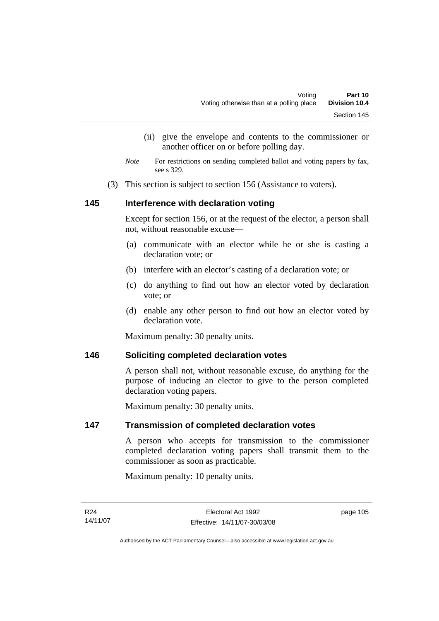- (ii) give the envelope and contents to the commissioner or another officer on or before polling day.
- *Note* For restrictions on sending completed ballot and voting papers by fax, see s 329.
- (3) This section is subject to section 156 (Assistance to voters).

## **145 Interference with declaration voting**

Except for section 156, or at the request of the elector, a person shall not, without reasonable excuse—

- (a) communicate with an elector while he or she is casting a declaration vote; or
- (b) interfere with an elector's casting of a declaration vote; or
- (c) do anything to find out how an elector voted by declaration vote; or
- (d) enable any other person to find out how an elector voted by declaration vote.

Maximum penalty: 30 penalty units.

#### **146 Soliciting completed declaration votes**

A person shall not, without reasonable excuse, do anything for the purpose of inducing an elector to give to the person completed declaration voting papers.

Maximum penalty: 30 penalty units.

#### **147 Transmission of completed declaration votes**

A person who accepts for transmission to the commissioner completed declaration voting papers shall transmit them to the commissioner as soon as practicable.

Maximum penalty: 10 penalty units.

page 105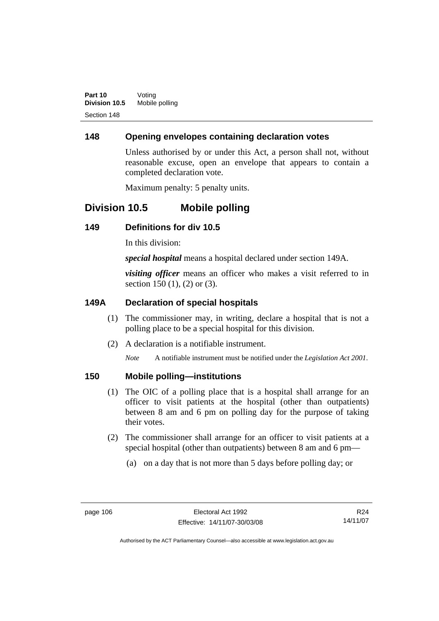# **148 Opening envelopes containing declaration votes**

Unless authorised by or under this Act, a person shall not, without reasonable excuse, open an envelope that appears to contain a completed declaration vote.

Maximum penalty: 5 penalty units.

# **Division 10.5 Mobile polling**

## **149 Definitions for div 10.5**

In this division:

*special hospital* means a hospital declared under section 149A.

*visiting officer* means an officer who makes a visit referred to in section 150 (1), (2) or (3).

## **149A Declaration of special hospitals**

- (1) The commissioner may, in writing, declare a hospital that is not a polling place to be a special hospital for this division.
- (2) A declaration is a notifiable instrument.

*Note* A notifiable instrument must be notified under the *Legislation Act 2001*.

### **150 Mobile polling—institutions**

- (1) The OIC of a polling place that is a hospital shall arrange for an officer to visit patients at the hospital (other than outpatients) between 8 am and 6 pm on polling day for the purpose of taking their votes.
- (2) The commissioner shall arrange for an officer to visit patients at a special hospital (other than outpatients) between 8 am and 6 pm—
	- (a) on a day that is not more than 5 days before polling day; or

R24 14/11/07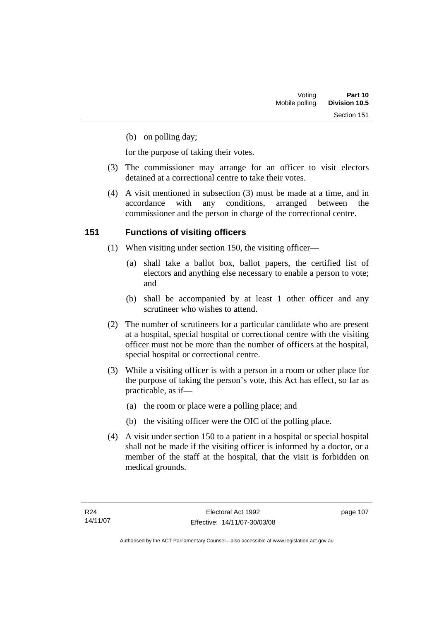(b) on polling day;

for the purpose of taking their votes.

- (3) The commissioner may arrange for an officer to visit electors detained at a correctional centre to take their votes.
- (4) A visit mentioned in subsection (3) must be made at a time, and in accordance with any conditions, arranged between the commissioner and the person in charge of the correctional centre.

# **151 Functions of visiting officers**

- (1) When visiting under section 150, the visiting officer—
	- (a) shall take a ballot box, ballot papers, the certified list of electors and anything else necessary to enable a person to vote; and
	- (b) shall be accompanied by at least 1 other officer and any scrutineer who wishes to attend.
- (2) The number of scrutineers for a particular candidate who are present at a hospital, special hospital or correctional centre with the visiting officer must not be more than the number of officers at the hospital, special hospital or correctional centre.
- (3) While a visiting officer is with a person in a room or other place for the purpose of taking the person's vote, this Act has effect, so far as practicable, as if—
	- (a) the room or place were a polling place; and
	- (b) the visiting officer were the OIC of the polling place.
- (4) A visit under section 150 to a patient in a hospital or special hospital shall not be made if the visiting officer is informed by a doctor, or a member of the staff at the hospital, that the visit is forbidden on medical grounds.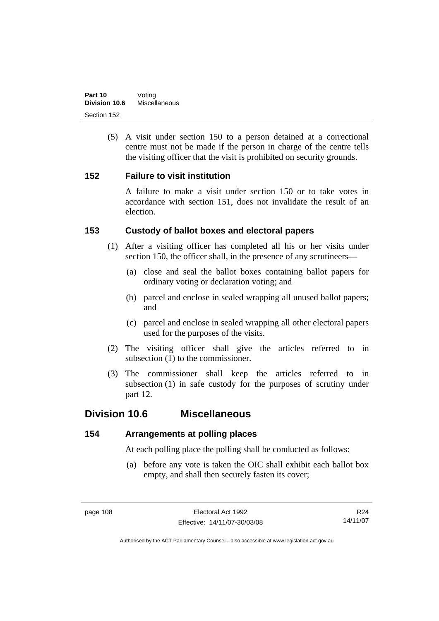(5) A visit under section 150 to a person detained at a correctional centre must not be made if the person in charge of the centre tells the visiting officer that the visit is prohibited on security grounds.

## **152 Failure to visit institution**

A failure to make a visit under section 150 or to take votes in accordance with section 151, does not invalidate the result of an election.

# **153 Custody of ballot boxes and electoral papers**

- (1) After a visiting officer has completed all his or her visits under section 150, the officer shall, in the presence of any scrutineers—
	- (a) close and seal the ballot boxes containing ballot papers for ordinary voting or declaration voting; and
	- (b) parcel and enclose in sealed wrapping all unused ballot papers; and
	- (c) parcel and enclose in sealed wrapping all other electoral papers used for the purposes of the visits.
- (2) The visiting officer shall give the articles referred to in subsection (1) to the commissioner.
- (3) The commissioner shall keep the articles referred to in subsection (1) in safe custody for the purposes of scrutiny under part 12.

# **Division 10.6 Miscellaneous**

#### **154 Arrangements at polling places**

At each polling place the polling shall be conducted as follows:

 (a) before any vote is taken the OIC shall exhibit each ballot box empty, and shall then securely fasten its cover;

R24 14/11/07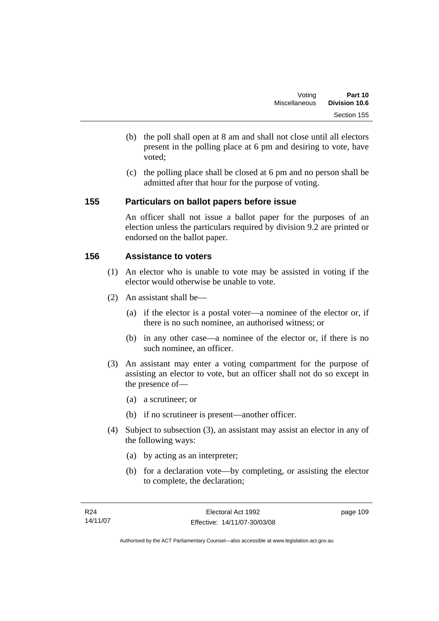- (b) the poll shall open at 8 am and shall not close until all electors present in the polling place at 6 pm and desiring to vote, have voted;
- (c) the polling place shall be closed at 6 pm and no person shall be admitted after that hour for the purpose of voting.

## **155 Particulars on ballot papers before issue**

An officer shall not issue a ballot paper for the purposes of an election unless the particulars required by division 9.2 are printed or endorsed on the ballot paper.

# **156 Assistance to voters**

- (1) An elector who is unable to vote may be assisted in voting if the elector would otherwise be unable to vote.
- (2) An assistant shall be—
	- (a) if the elector is a postal voter—a nominee of the elector or, if there is no such nominee, an authorised witness; or
	- (b) in any other case—a nominee of the elector or, if there is no such nominee, an officer.
- (3) An assistant may enter a voting compartment for the purpose of assisting an elector to vote, but an officer shall not do so except in the presence of—
	- (a) a scrutineer; or
	- (b) if no scrutineer is present—another officer.
- (4) Subject to subsection (3), an assistant may assist an elector in any of the following ways:
	- (a) by acting as an interpreter;
	- (b) for a declaration vote—by completing, or assisting the elector to complete, the declaration;

page 109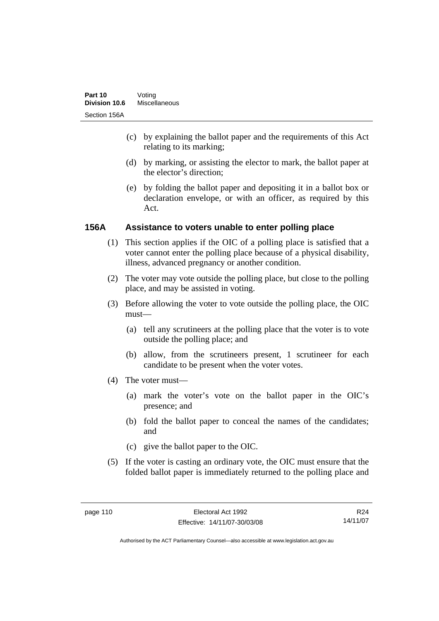- (c) by explaining the ballot paper and the requirements of this Act relating to its marking;
- (d) by marking, or assisting the elector to mark, the ballot paper at the elector's direction;
- (e) by folding the ballot paper and depositing it in a ballot box or declaration envelope, or with an officer, as required by this Act.

## **156A Assistance to voters unable to enter polling place**

- (1) This section applies if the OIC of a polling place is satisfied that a voter cannot enter the polling place because of a physical disability, illness, advanced pregnancy or another condition.
- (2) The voter may vote outside the polling place, but close to the polling place, and may be assisted in voting.
- (3) Before allowing the voter to vote outside the polling place, the OIC must—
	- (a) tell any scrutineers at the polling place that the voter is to vote outside the polling place; and
	- (b) allow, from the scrutineers present, 1 scrutineer for each candidate to be present when the voter votes.
- (4) The voter must—
	- (a) mark the voter's vote on the ballot paper in the OIC's presence; and
	- (b) fold the ballot paper to conceal the names of the candidates; and
	- (c) give the ballot paper to the OIC.
- (5) If the voter is casting an ordinary vote, the OIC must ensure that the folded ballot paper is immediately returned to the polling place and

R24 14/11/07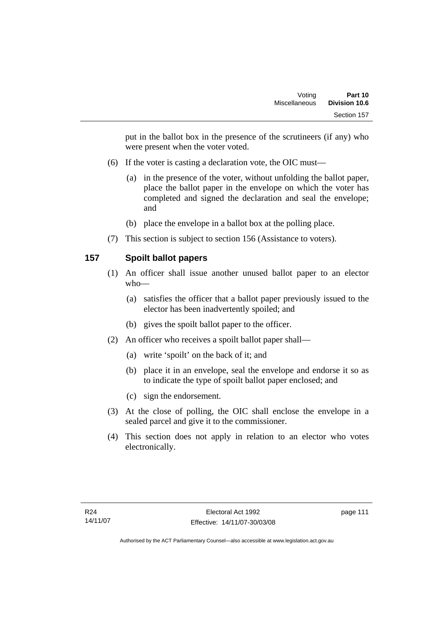put in the ballot box in the presence of the scrutineers (if any) who were present when the voter voted.

- (6) If the voter is casting a declaration vote, the OIC must—
	- (a) in the presence of the voter, without unfolding the ballot paper, place the ballot paper in the envelope on which the voter has completed and signed the declaration and seal the envelope; and
	- (b) place the envelope in a ballot box at the polling place.
- (7) This section is subject to section 156 (Assistance to voters).

# **157 Spoilt ballot papers**

- (1) An officer shall issue another unused ballot paper to an elector who—
	- (a) satisfies the officer that a ballot paper previously issued to the elector has been inadvertently spoiled; and
	- (b) gives the spoilt ballot paper to the officer.
- (2) An officer who receives a spoilt ballot paper shall—
	- (a) write 'spoilt' on the back of it; and
	- (b) place it in an envelope, seal the envelope and endorse it so as to indicate the type of spoilt ballot paper enclosed; and
	- (c) sign the endorsement.
- (3) At the close of polling, the OIC shall enclose the envelope in a sealed parcel and give it to the commissioner.
- (4) This section does not apply in relation to an elector who votes electronically.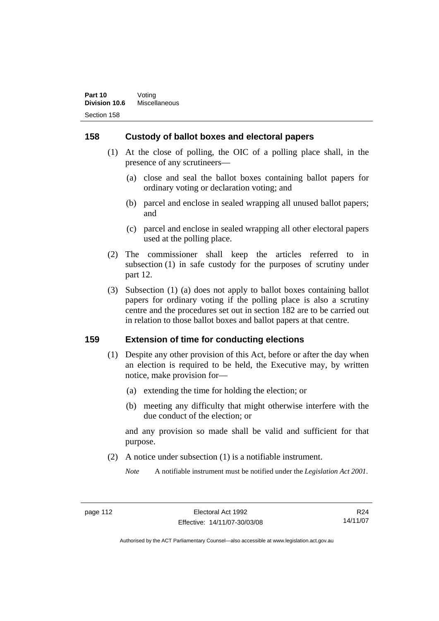## **158 Custody of ballot boxes and electoral papers**

- (1) At the close of polling, the OIC of a polling place shall, in the presence of any scrutineers—
	- (a) close and seal the ballot boxes containing ballot papers for ordinary voting or declaration voting; and
	- (b) parcel and enclose in sealed wrapping all unused ballot papers; and
	- (c) parcel and enclose in sealed wrapping all other electoral papers used at the polling place.
- (2) The commissioner shall keep the articles referred to in subsection (1) in safe custody for the purposes of scrutiny under part 12.
- (3) Subsection (1) (a) does not apply to ballot boxes containing ballot papers for ordinary voting if the polling place is also a scrutiny centre and the procedures set out in section 182 are to be carried out in relation to those ballot boxes and ballot papers at that centre.

#### **159 Extension of time for conducting elections**

- (1) Despite any other provision of this Act, before or after the day when an election is required to be held, the Executive may, by written notice, make provision for—
	- (a) extending the time for holding the election; or
	- (b) meeting any difficulty that might otherwise interfere with the due conduct of the election; or

and any provision so made shall be valid and sufficient for that purpose.

(2) A notice under subsection (1) is a notifiable instrument.

*Note* A notifiable instrument must be notified under the *Legislation Act 2001*.

R24 14/11/07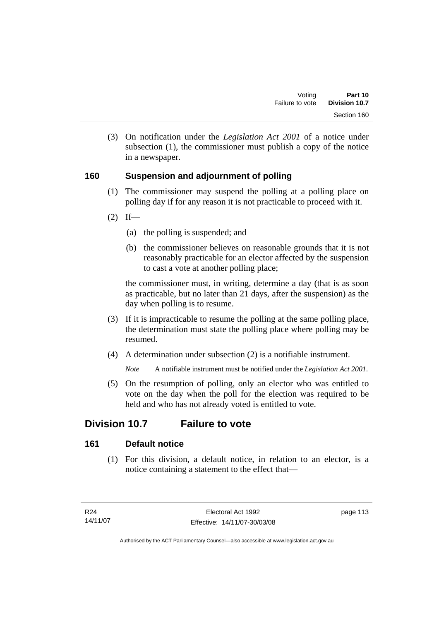(3) On notification under the *Legislation Act 2001* of a notice under subsection (1), the commissioner must publish a copy of the notice in a newspaper.

# **160 Suspension and adjournment of polling**

- (1) The commissioner may suspend the polling at a polling place on polling day if for any reason it is not practicable to proceed with it.
- $(2)$  If—
	- (a) the polling is suspended; and
	- (b) the commissioner believes on reasonable grounds that it is not reasonably practicable for an elector affected by the suspension to cast a vote at another polling place;

the commissioner must, in writing, determine a day (that is as soon as practicable, but no later than 21 days, after the suspension) as the day when polling is to resume.

- (3) If it is impracticable to resume the polling at the same polling place, the determination must state the polling place where polling may be resumed.
- (4) A determination under subsection (2) is a notifiable instrument.

*Note* A notifiable instrument must be notified under the *Legislation Act 2001*.

 (5) On the resumption of polling, only an elector who was entitled to vote on the day when the poll for the election was required to be held and who has not already voted is entitled to vote.

# **Division 10.7 Failure to vote**

# **161 Default notice**

 (1) For this division, a default notice, in relation to an elector, is a notice containing a statement to the effect that—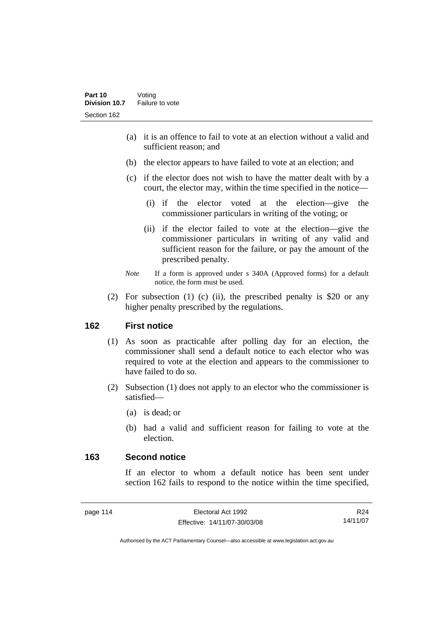- (a) it is an offence to fail to vote at an election without a valid and sufficient reason; and
- (b) the elector appears to have failed to vote at an election; and
- (c) if the elector does not wish to have the matter dealt with by a court, the elector may, within the time specified in the notice—
	- (i) if the elector voted at the election—give the commissioner particulars in writing of the voting; or
	- (ii) if the elector failed to vote at the election—give the commissioner particulars in writing of any valid and sufficient reason for the failure, or pay the amount of the prescribed penalty.
- *Note* If a form is approved under s 340A (Approved forms) for a default notice, the form must be used.
- (2) For subsection (1) (c) (ii), the prescribed penalty is \$20 or any higher penalty prescribed by the regulations.

# **162 First notice**

- (1) As soon as practicable after polling day for an election, the commissioner shall send a default notice to each elector who was required to vote at the election and appears to the commissioner to have failed to do so.
- (2) Subsection (1) does not apply to an elector who the commissioner is satisfied—
	- (a) is dead; or
	- (b) had a valid and sufficient reason for failing to vote at the election.

## **163 Second notice**

If an elector to whom a default notice has been sent under section 162 fails to respond to the notice within the time specified,

R24 14/11/07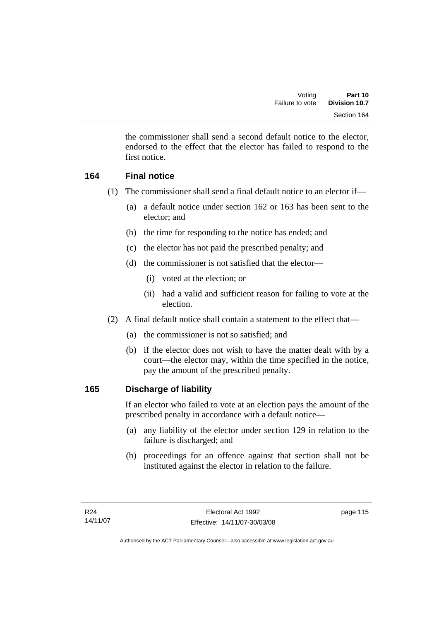the commissioner shall send a second default notice to the elector, endorsed to the effect that the elector has failed to respond to the first notice.

# **164 Final notice**

- (1) The commissioner shall send a final default notice to an elector if—
	- (a) a default notice under section 162 or 163 has been sent to the elector; and
	- (b) the time for responding to the notice has ended; and
	- (c) the elector has not paid the prescribed penalty; and
	- (d) the commissioner is not satisfied that the elector—
		- (i) voted at the election; or
		- (ii) had a valid and sufficient reason for failing to vote at the election.
- (2) A final default notice shall contain a statement to the effect that—
	- (a) the commissioner is not so satisfied; and
	- (b) if the elector does not wish to have the matter dealt with by a court—the elector may, within the time specified in the notice, pay the amount of the prescribed penalty.

# **165 Discharge of liability**

If an elector who failed to vote at an election pays the amount of the prescribed penalty in accordance with a default notice—

- (a) any liability of the elector under section 129 in relation to the failure is discharged; and
- (b) proceedings for an offence against that section shall not be instituted against the elector in relation to the failure.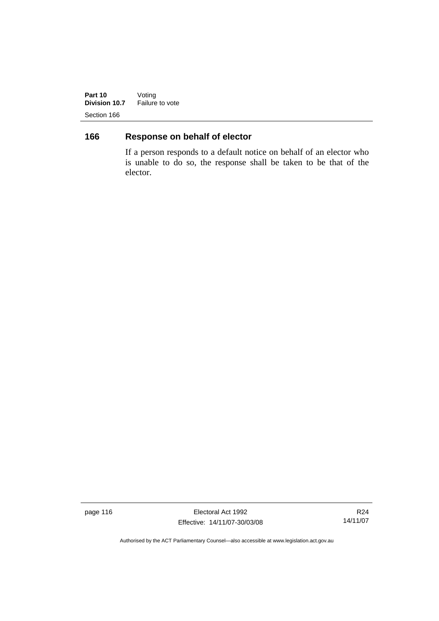**Part 10** Voting **Division 10.7** Failure to vote Section 166

# **166 Response on behalf of elector**

If a person responds to a default notice on behalf of an elector who is unable to do so, the response shall be taken to be that of the elector.

page 116 **Electoral Act 1992** Effective: 14/11/07-30/03/08

R24 14/11/07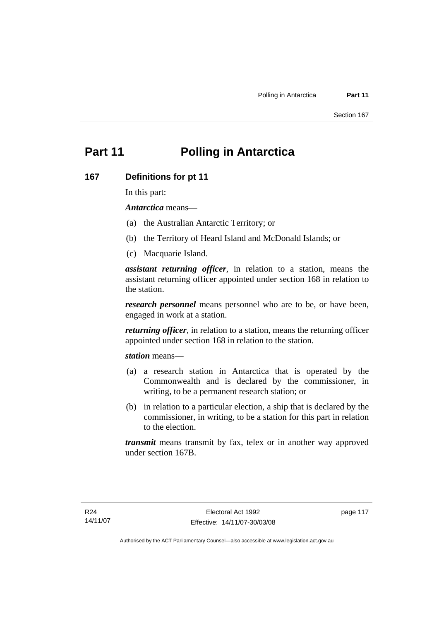# **Part 11 Polling in Antarctica**

#### **167 Definitions for pt 11**

In this part:

*Antarctica* means—

- (a) the Australian Antarctic Territory; or
- (b) the Territory of Heard Island and McDonald Islands; or
- (c) Macquarie Island.

*assistant returning officer*, in relation to a station, means the assistant returning officer appointed under section 168 in relation to the station.

*research personnel* means personnel who are to be, or have been, engaged in work at a station.

*returning officer*, in relation to a station, means the returning officer appointed under section 168 in relation to the station.

*station* means—

- (a) a research station in Antarctica that is operated by the Commonwealth and is declared by the commissioner, in writing, to be a permanent research station; or
- (b) in relation to a particular election, a ship that is declared by the commissioner, in writing, to be a station for this part in relation to the election.

*transmit* means transmit by fax, telex or in another way approved under section 167B.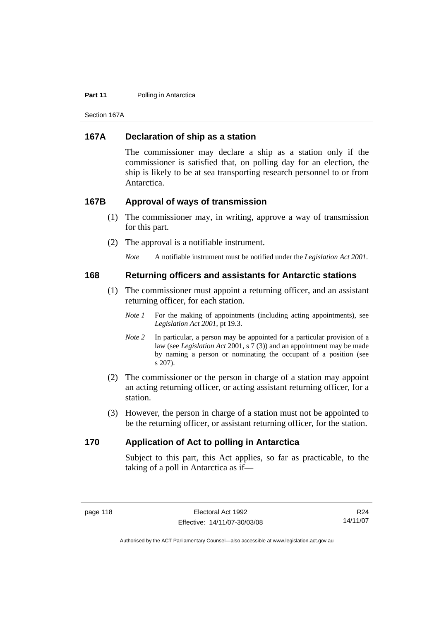#### **Part 11** Polling in Antarctica

Section 167A

### **167A Declaration of ship as a station**

The commissioner may declare a ship as a station only if the commissioner is satisfied that, on polling day for an election, the ship is likely to be at sea transporting research personnel to or from Antarctica.

#### **167B Approval of ways of transmission**

- (1) The commissioner may, in writing, approve a way of transmission for this part.
- (2) The approval is a notifiable instrument.

*Note* A notifiable instrument must be notified under the *Legislation Act 2001*.

#### **168 Returning officers and assistants for Antarctic stations**

- (1) The commissioner must appoint a returning officer, and an assistant returning officer, for each station.
	- *Note 1* For the making of appointments (including acting appointments), see *Legislation Act 2001*, pt 19.3.
	- *Note 2* In particular, a person may be appointed for a particular provision of a law (see *Legislation Act* 2001, s 7 (3)) and an appointment may be made by naming a person or nominating the occupant of a position (see s 207).
- (2) The commissioner or the person in charge of a station may appoint an acting returning officer, or acting assistant returning officer, for a station.
- (3) However, the person in charge of a station must not be appointed to be the returning officer, or assistant returning officer, for the station.

#### **170 Application of Act to polling in Antarctica**

Subject to this part, this Act applies, so far as practicable, to the taking of a poll in Antarctica as if—

R24 14/11/07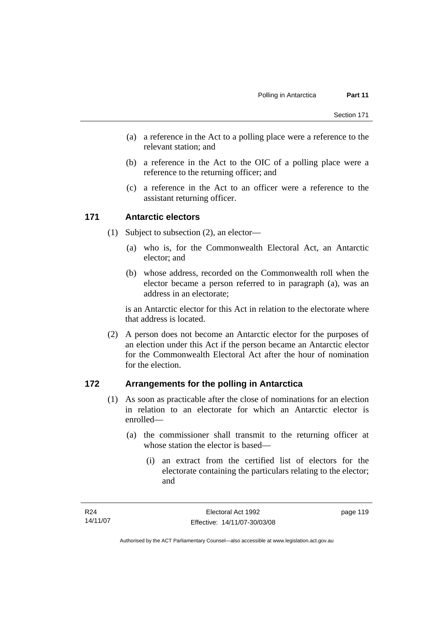- (a) a reference in the Act to a polling place were a reference to the relevant station; and
- (b) a reference in the Act to the OIC of a polling place were a reference to the returning officer; and
- (c) a reference in the Act to an officer were a reference to the assistant returning officer.

#### **171 Antarctic electors**

- (1) Subject to subsection (2), an elector—
	- (a) who is, for the Commonwealth Electoral Act, an Antarctic elector; and
	- (b) whose address, recorded on the Commonwealth roll when the elector became a person referred to in paragraph (a), was an address in an electorate;

is an Antarctic elector for this Act in relation to the electorate where that address is located.

 (2) A person does not become an Antarctic elector for the purposes of an election under this Act if the person became an Antarctic elector for the Commonwealth Electoral Act after the hour of nomination for the election.

#### **172 Arrangements for the polling in Antarctica**

- (1) As soon as practicable after the close of nominations for an election in relation to an electorate for which an Antarctic elector is enrolled—
	- (a) the commissioner shall transmit to the returning officer at whose station the elector is based—
		- (i) an extract from the certified list of electors for the electorate containing the particulars relating to the elector; and

Authorised by the ACT Parliamentary Counsel—also accessible at www.legislation.act.gov.au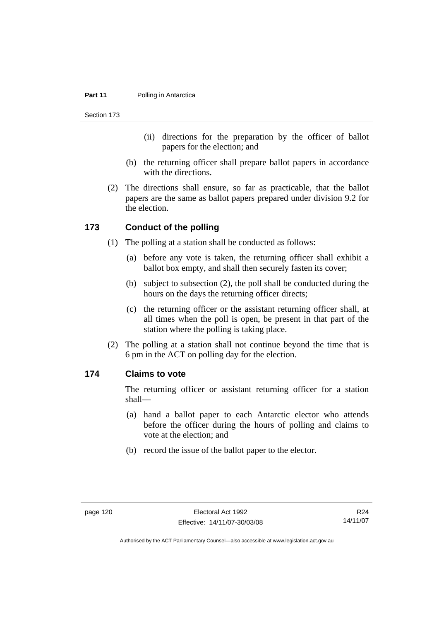#### **Part 11** Polling in Antarctica

Section 173

- (ii) directions for the preparation by the officer of ballot papers for the election; and
- (b) the returning officer shall prepare ballot papers in accordance with the directions.
- (2) The directions shall ensure, so far as practicable, that the ballot papers are the same as ballot papers prepared under division 9.2 for the election.

#### **173 Conduct of the polling**

- (1) The polling at a station shall be conducted as follows:
	- (a) before any vote is taken, the returning officer shall exhibit a ballot box empty, and shall then securely fasten its cover;
	- (b) subject to subsection (2), the poll shall be conducted during the hours on the days the returning officer directs;
	- (c) the returning officer or the assistant returning officer shall, at all times when the poll is open, be present in that part of the station where the polling is taking place.
- (2) The polling at a station shall not continue beyond the time that is 6 pm in the ACT on polling day for the election.

### **174 Claims to vote**

The returning officer or assistant returning officer for a station shall—

- (a) hand a ballot paper to each Antarctic elector who attends before the officer during the hours of polling and claims to vote at the election; and
- (b) record the issue of the ballot paper to the elector.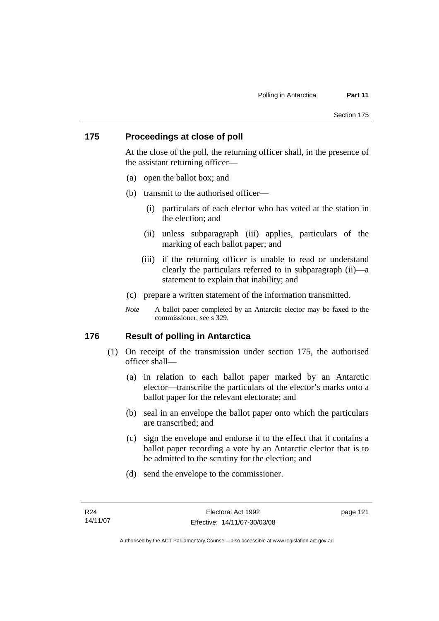#### **175 Proceedings at close of poll**

At the close of the poll, the returning officer shall, in the presence of the assistant returning officer—

- (a) open the ballot box; and
- (b) transmit to the authorised officer—
	- (i) particulars of each elector who has voted at the station in the election; and
	- (ii) unless subparagraph (iii) applies, particulars of the marking of each ballot paper; and
	- (iii) if the returning officer is unable to read or understand clearly the particulars referred to in subparagraph (ii)—a statement to explain that inability; and
- (c) prepare a written statement of the information transmitted.
- *Note* A ballot paper completed by an Antarctic elector may be faxed to the commissioner, see s 329.

#### **176 Result of polling in Antarctica**

- (1) On receipt of the transmission under section 175, the authorised officer shall—
	- (a) in relation to each ballot paper marked by an Antarctic elector—transcribe the particulars of the elector's marks onto a ballot paper for the relevant electorate; and
	- (b) seal in an envelope the ballot paper onto which the particulars are transcribed; and
	- (c) sign the envelope and endorse it to the effect that it contains a ballot paper recording a vote by an Antarctic elector that is to be admitted to the scrutiny for the election; and
	- (d) send the envelope to the commissioner.

page 121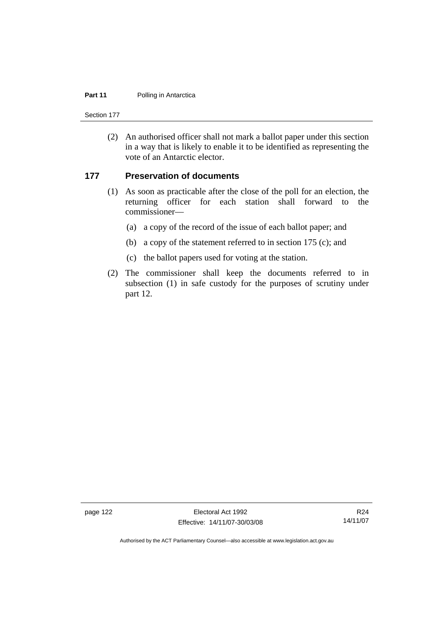#### **Part 11** Polling in Antarctica

Section 177

 (2) An authorised officer shall not mark a ballot paper under this section in a way that is likely to enable it to be identified as representing the vote of an Antarctic elector.

#### **177 Preservation of documents**

- (1) As soon as practicable after the close of the poll for an election, the returning officer for each station shall forward to the commissioner—
	- (a) a copy of the record of the issue of each ballot paper; and
	- (b) a copy of the statement referred to in section 175 (c); and
	- (c) the ballot papers used for voting at the station.
- (2) The commissioner shall keep the documents referred to in subsection (1) in safe custody for the purposes of scrutiny under part 12.

page 122 Electoral Act 1992 Effective: 14/11/07-30/03/08

R24 14/11/07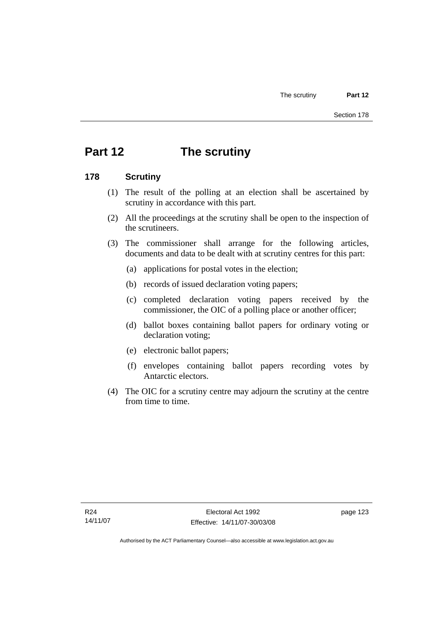# **Part 12 The scrutiny**

#### **178 Scrutiny**

- (1) The result of the polling at an election shall be ascertained by scrutiny in accordance with this part.
- (2) All the proceedings at the scrutiny shall be open to the inspection of the scrutineers.
- (3) The commissioner shall arrange for the following articles, documents and data to be dealt with at scrutiny centres for this part:
	- (a) applications for postal votes in the election;
	- (b) records of issued declaration voting papers;
	- (c) completed declaration voting papers received by the commissioner, the OIC of a polling place or another officer;
	- (d) ballot boxes containing ballot papers for ordinary voting or declaration voting;
	- (e) electronic ballot papers;
	- (f) envelopes containing ballot papers recording votes by Antarctic electors.
- (4) The OIC for a scrutiny centre may adjourn the scrutiny at the centre from time to time.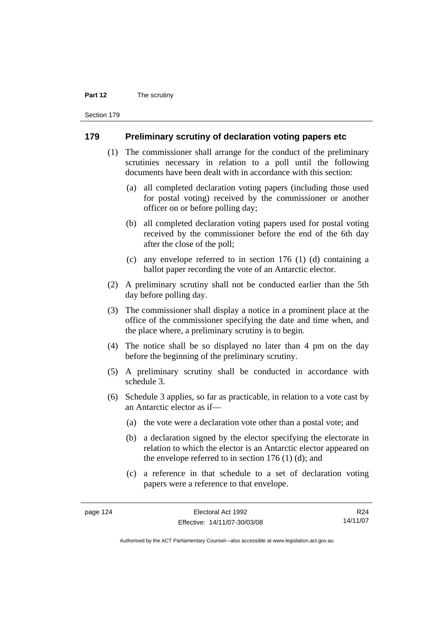#### **Part 12** The scrutiny

Section 179

#### **179 Preliminary scrutiny of declaration voting papers etc**

- (1) The commissioner shall arrange for the conduct of the preliminary scrutinies necessary in relation to a poll until the following documents have been dealt with in accordance with this section:
	- (a) all completed declaration voting papers (including those used for postal voting) received by the commissioner or another officer on or before polling day;
	- (b) all completed declaration voting papers used for postal voting received by the commissioner before the end of the 6th day after the close of the poll;
	- (c) any envelope referred to in section 176 (1) (d) containing a ballot paper recording the vote of an Antarctic elector.
- (2) A preliminary scrutiny shall not be conducted earlier than the 5th day before polling day.
- (3) The commissioner shall display a notice in a prominent place at the office of the commissioner specifying the date and time when, and the place where, a preliminary scrutiny is to begin.
- (4) The notice shall be so displayed no later than 4 pm on the day before the beginning of the preliminary scrutiny.
- (5) A preliminary scrutiny shall be conducted in accordance with schedule 3.
- (6) Schedule 3 applies, so far as practicable, in relation to a vote cast by an Antarctic elector as if—
	- (a) the vote were a declaration vote other than a postal vote; and
	- (b) a declaration signed by the elector specifying the electorate in relation to which the elector is an Antarctic elector appeared on the envelope referred to in section 176 (1) (d); and
	- (c) a reference in that schedule to a set of declaration voting papers were a reference to that envelope.

R24 14/11/07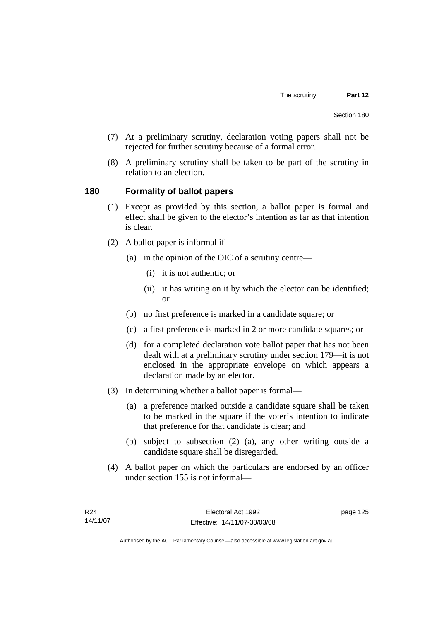- (7) At a preliminary scrutiny, declaration voting papers shall not be rejected for further scrutiny because of a formal error.
- (8) A preliminary scrutiny shall be taken to be part of the scrutiny in relation to an election.

#### **180 Formality of ballot papers**

- (1) Except as provided by this section, a ballot paper is formal and effect shall be given to the elector's intention as far as that intention is clear.
- (2) A ballot paper is informal if—
	- (a) in the opinion of the OIC of a scrutiny centre—
		- (i) it is not authentic; or
		- (ii) it has writing on it by which the elector can be identified; or
	- (b) no first preference is marked in a candidate square; or
	- (c) a first preference is marked in 2 or more candidate squares; or
	- (d) for a completed declaration vote ballot paper that has not been dealt with at a preliminary scrutiny under section 179—it is not enclosed in the appropriate envelope on which appears a declaration made by an elector.
- (3) In determining whether a ballot paper is formal—
	- (a) a preference marked outside a candidate square shall be taken to be marked in the square if the voter's intention to indicate that preference for that candidate is clear; and
	- (b) subject to subsection (2) (a), any other writing outside a candidate square shall be disregarded.
- (4) A ballot paper on which the particulars are endorsed by an officer under section 155 is not informal—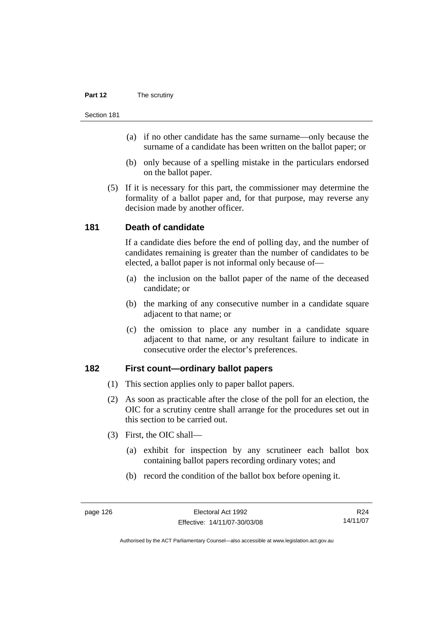#### **Part 12** The scrutiny

#### Section 181

- (a) if no other candidate has the same surname—only because the surname of a candidate has been written on the ballot paper; or
- (b) only because of a spelling mistake in the particulars endorsed on the ballot paper.
- (5) If it is necessary for this part, the commissioner may determine the formality of a ballot paper and, for that purpose, may reverse any decision made by another officer.

#### **181 Death of candidate**

If a candidate dies before the end of polling day, and the number of candidates remaining is greater than the number of candidates to be elected, a ballot paper is not informal only because of—

- (a) the inclusion on the ballot paper of the name of the deceased candidate; or
- (b) the marking of any consecutive number in a candidate square adjacent to that name; or
- (c) the omission to place any number in a candidate square adjacent to that name, or any resultant failure to indicate in consecutive order the elector's preferences.

#### **182 First count—ordinary ballot papers**

- (1) This section applies only to paper ballot papers.
- (2) As soon as practicable after the close of the poll for an election, the OIC for a scrutiny centre shall arrange for the procedures set out in this section to be carried out.
- (3) First, the OIC shall—
	- (a) exhibit for inspection by any scrutineer each ballot box containing ballot papers recording ordinary votes; and
	- (b) record the condition of the ballot box before opening it.

R24 14/11/07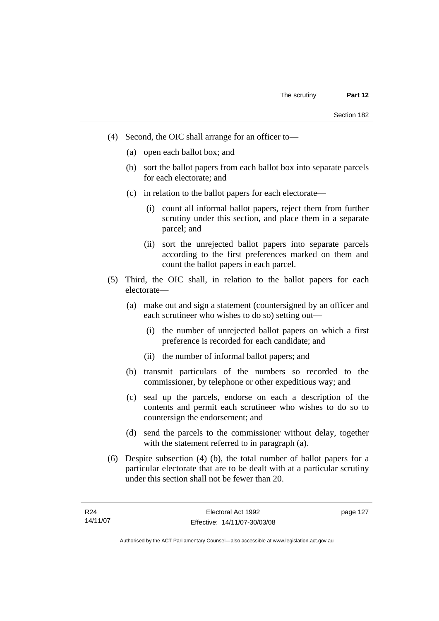- (4) Second, the OIC shall arrange for an officer to—
	- (a) open each ballot box; and
	- (b) sort the ballot papers from each ballot box into separate parcels for each electorate; and
	- (c) in relation to the ballot papers for each electorate—
		- (i) count all informal ballot papers, reject them from further scrutiny under this section, and place them in a separate parcel; and
		- (ii) sort the unrejected ballot papers into separate parcels according to the first preferences marked on them and count the ballot papers in each parcel.
- (5) Third, the OIC shall, in relation to the ballot papers for each electorate—
	- (a) make out and sign a statement (countersigned by an officer and each scrutineer who wishes to do so) setting out—
		- (i) the number of unrejected ballot papers on which a first preference is recorded for each candidate; and
		- (ii) the number of informal ballot papers; and
	- (b) transmit particulars of the numbers so recorded to the commissioner, by telephone or other expeditious way; and
	- (c) seal up the parcels, endorse on each a description of the contents and permit each scrutineer who wishes to do so to countersign the endorsement; and
	- (d) send the parcels to the commissioner without delay, together with the statement referred to in paragraph (a).
- (6) Despite subsection (4) (b), the total number of ballot papers for a particular electorate that are to be dealt with at a particular scrutiny under this section shall not be fewer than 20.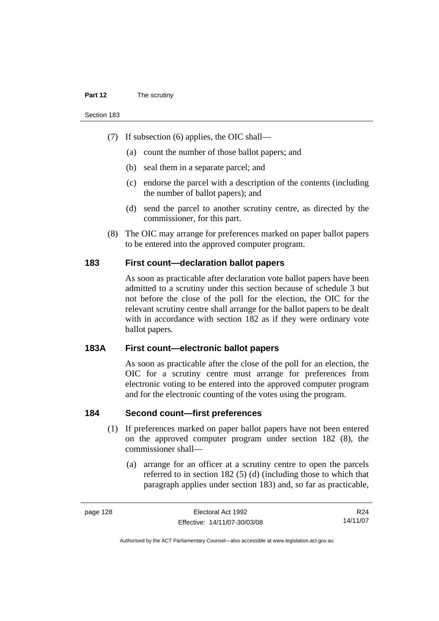#### **Part 12** The scrutiny

Section 183

- (7) If subsection (6) applies, the OIC shall—
	- (a) count the number of those ballot papers; and
	- (b) seal them in a separate parcel; and
	- (c) endorse the parcel with a description of the contents (including the number of ballot papers); and
	- (d) send the parcel to another scrutiny centre, as directed by the commissioner, for this part.
- (8) The OIC may arrange for preferences marked on paper ballot papers to be entered into the approved computer program.

#### **183 First count—declaration ballot papers**

As soon as practicable after declaration vote ballot papers have been admitted to a scrutiny under this section because of schedule 3 but not before the close of the poll for the election, the OIC for the relevant scrutiny centre shall arrange for the ballot papers to be dealt with in accordance with section 182 as if they were ordinary vote ballot papers.

#### **183A First count—electronic ballot papers**

As soon as practicable after the close of the poll for an election, the OIC for a scrutiny centre must arrange for preferences from electronic voting to be entered into the approved computer program and for the electronic counting of the votes using the program.

#### **184 Second count—first preferences**

- (1) If preferences marked on paper ballot papers have not been entered on the approved computer program under section 182 (8), the commissioner shall—
	- (a) arrange for an officer at a scrutiny centre to open the parcels referred to in section 182 (5) (d) (including those to which that paragraph applies under section 183) and, so far as practicable,

R24 14/11/07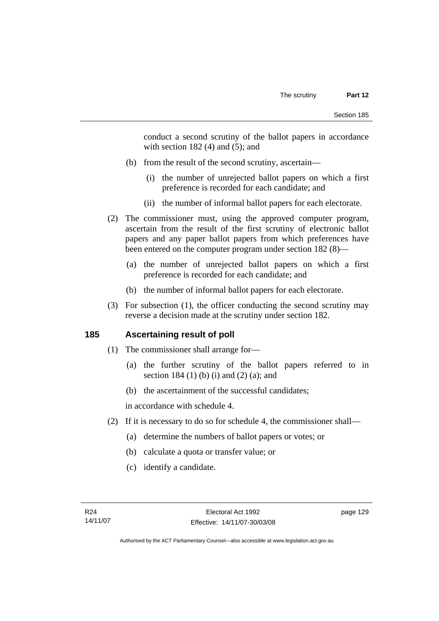conduct a second scrutiny of the ballot papers in accordance with section  $182(4)$  and  $(5)$ ; and

- (b) from the result of the second scrutiny, ascertain—
	- (i) the number of unrejected ballot papers on which a first preference is recorded for each candidate; and
	- (ii) the number of informal ballot papers for each electorate.
- (2) The commissioner must, using the approved computer program, ascertain from the result of the first scrutiny of electronic ballot papers and any paper ballot papers from which preferences have been entered on the computer program under section 182 (8)—
	- (a) the number of unrejected ballot papers on which a first preference is recorded for each candidate; and
	- (b) the number of informal ballot papers for each electorate.
- (3) For subsection (1), the officer conducting the second scrutiny may reverse a decision made at the scrutiny under section 182.

# **185 Ascertaining result of poll**

- (1) The commissioner shall arrange for—
	- (a) the further scrutiny of the ballot papers referred to in section 184 (1) (b) (i) and (2) (a); and
	- (b) the ascertainment of the successful candidates;

in accordance with schedule 4.

- (2) If it is necessary to do so for schedule 4, the commissioner shall—
	- (a) determine the numbers of ballot papers or votes; or
	- (b) calculate a quota or transfer value; or
	- (c) identify a candidate.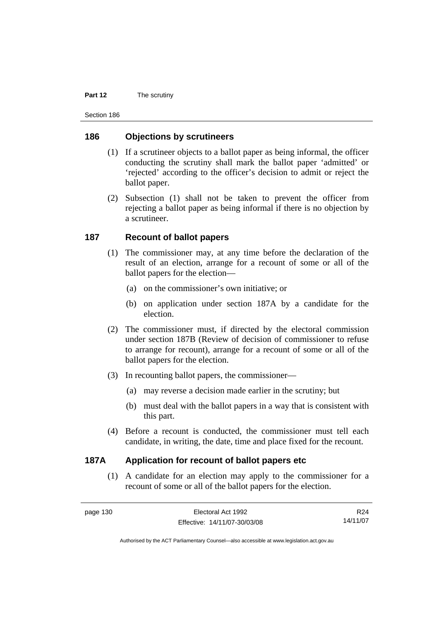#### **Part 12** The scrutiny

Section 186

#### **186 Objections by scrutineers**

- (1) If a scrutineer objects to a ballot paper as being informal, the officer conducting the scrutiny shall mark the ballot paper 'admitted' or 'rejected' according to the officer's decision to admit or reject the ballot paper.
- (2) Subsection (1) shall not be taken to prevent the officer from rejecting a ballot paper as being informal if there is no objection by a scrutineer.

#### **187 Recount of ballot papers**

- (1) The commissioner may, at any time before the declaration of the result of an election, arrange for a recount of some or all of the ballot papers for the election—
	- (a) on the commissioner's own initiative; or
	- (b) on application under section 187A by a candidate for the election.
- (2) The commissioner must, if directed by the electoral commission under section 187B (Review of decision of commissioner to refuse to arrange for recount), arrange for a recount of some or all of the ballot papers for the election.
- (3) In recounting ballot papers, the commissioner—
	- (a) may reverse a decision made earlier in the scrutiny; but
	- (b) must deal with the ballot papers in a way that is consistent with this part.
- (4) Before a recount is conducted, the commissioner must tell each candidate, in writing, the date, time and place fixed for the recount.

#### **187A Application for recount of ballot papers etc**

 (1) A candidate for an election may apply to the commissioner for a recount of some or all of the ballot papers for the election.

R24 14/11/07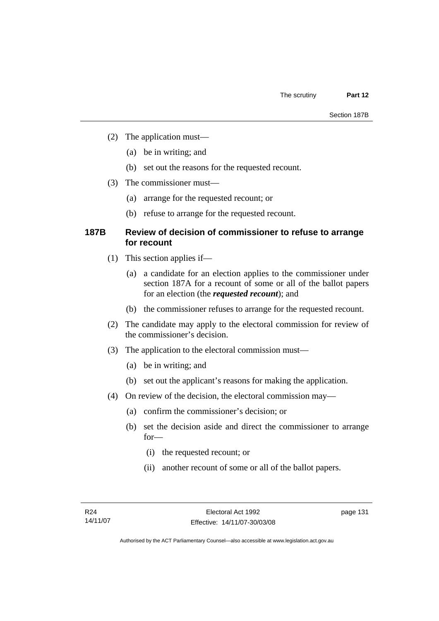- (2) The application must—
	- (a) be in writing; and
	- (b) set out the reasons for the requested recount.
- (3) The commissioner must—
	- (a) arrange for the requested recount; or
	- (b) refuse to arrange for the requested recount.

#### **187B Review of decision of commissioner to refuse to arrange for recount**

- (1) This section applies if—
	- (a) a candidate for an election applies to the commissioner under section 187A for a recount of some or all of the ballot papers for an election (the *requested recount*); and
	- (b) the commissioner refuses to arrange for the requested recount.
- (2) The candidate may apply to the electoral commission for review of the commissioner's decision.
- (3) The application to the electoral commission must—
	- (a) be in writing; and
	- (b) set out the applicant's reasons for making the application.
- (4) On review of the decision, the electoral commission may—
	- (a) confirm the commissioner's decision; or
	- (b) set the decision aside and direct the commissioner to arrange for—
		- (i) the requested recount; or
		- (ii) another recount of some or all of the ballot papers.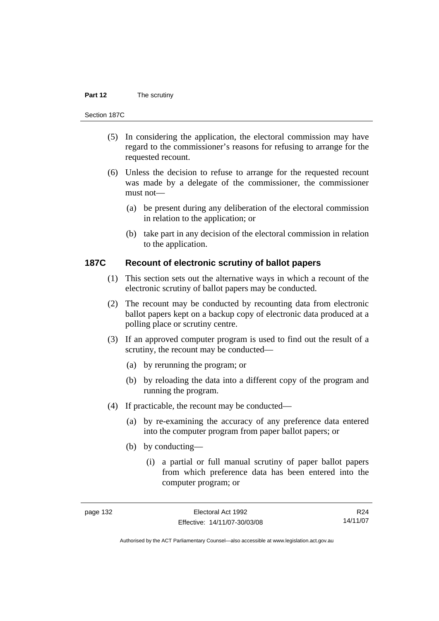#### **Part 12** The scrutiny

#### Section 187C

- (5) In considering the application, the electoral commission may have regard to the commissioner's reasons for refusing to arrange for the requested recount.
- (6) Unless the decision to refuse to arrange for the requested recount was made by a delegate of the commissioner, the commissioner must not—
	- (a) be present during any deliberation of the electoral commission in relation to the application; or
	- (b) take part in any decision of the electoral commission in relation to the application.

#### **187C Recount of electronic scrutiny of ballot papers**

- (1) This section sets out the alternative ways in which a recount of the electronic scrutiny of ballot papers may be conducted.
- (2) The recount may be conducted by recounting data from electronic ballot papers kept on a backup copy of electronic data produced at a polling place or scrutiny centre.
- (3) If an approved computer program is used to find out the result of a scrutiny, the recount may be conducted—
	- (a) by rerunning the program; or
	- (b) by reloading the data into a different copy of the program and running the program.
- (4) If practicable, the recount may be conducted—
	- (a) by re-examining the accuracy of any preference data entered into the computer program from paper ballot papers; or
	- (b) by conducting—
		- (i) a partial or full manual scrutiny of paper ballot papers from which preference data has been entered into the computer program; or

R24 14/11/07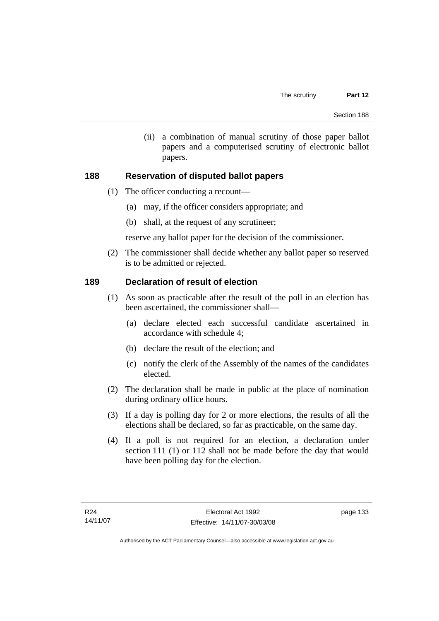(ii) a combination of manual scrutiny of those paper ballot papers and a computerised scrutiny of electronic ballot papers.

## **188 Reservation of disputed ballot papers**

- (1) The officer conducting a recount—
	- (a) may, if the officer considers appropriate; and
	- (b) shall, at the request of any scrutineer;

reserve any ballot paper for the decision of the commissioner.

 (2) The commissioner shall decide whether any ballot paper so reserved is to be admitted or rejected.

## **189 Declaration of result of election**

- (1) As soon as practicable after the result of the poll in an election has been ascertained, the commissioner shall—
	- (a) declare elected each successful candidate ascertained in accordance with schedule 4;
	- (b) declare the result of the election; and
	- (c) notify the clerk of the Assembly of the names of the candidates elected.
- (2) The declaration shall be made in public at the place of nomination during ordinary office hours.
- (3) If a day is polling day for 2 or more elections, the results of all the elections shall be declared, so far as practicable, on the same day.
- (4) If a poll is not required for an election, a declaration under section 111 (1) or 112 shall not be made before the day that would have been polling day for the election.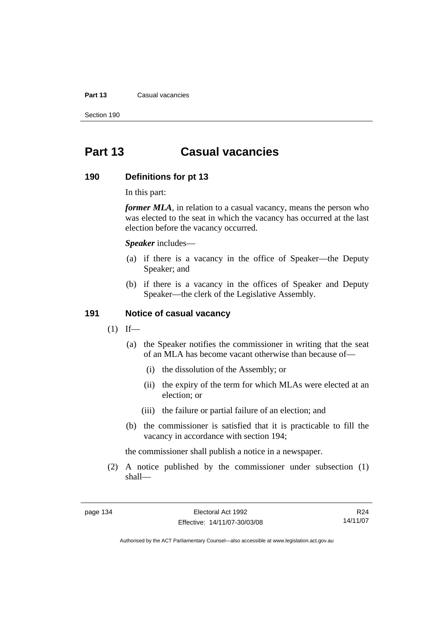#### **Part 13** Casual vacancies

Section 190

# **Part 13 Casual vacancies**

#### **190 Definitions for pt 13**

In this part:

*former MLA*, in relation to a casual vacancy, means the person who was elected to the seat in which the vacancy has occurred at the last election before the vacancy occurred.

*Speaker* includes—

- (a) if there is a vacancy in the office of Speaker—the Deputy Speaker; and
- (b) if there is a vacancy in the offices of Speaker and Deputy Speaker—the clerk of the Legislative Assembly.

#### **191 Notice of casual vacancy**

- $(1)$  If—
	- (a) the Speaker notifies the commissioner in writing that the seat of an MLA has become vacant otherwise than because of—
		- (i) the dissolution of the Assembly; or
		- (ii) the expiry of the term for which MLAs were elected at an election; or
		- (iii) the failure or partial failure of an election; and
	- (b) the commissioner is satisfied that it is practicable to fill the vacancy in accordance with section 194;

the commissioner shall publish a notice in a newspaper.

 (2) A notice published by the commissioner under subsection (1) shall—

R24 14/11/07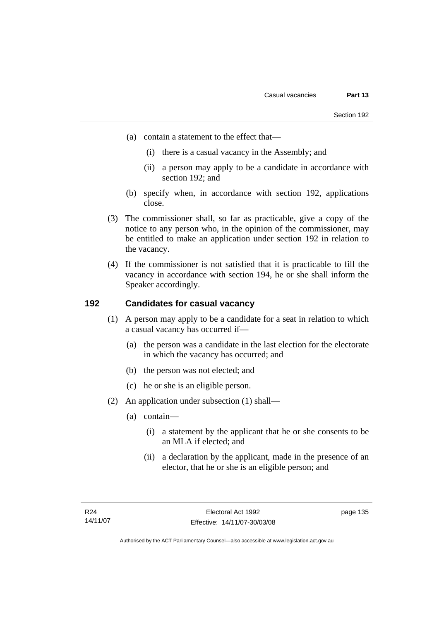- (a) contain a statement to the effect that—
	- (i) there is a casual vacancy in the Assembly; and
	- (ii) a person may apply to be a candidate in accordance with section 192; and
- (b) specify when, in accordance with section 192, applications close.
- (3) The commissioner shall, so far as practicable, give a copy of the notice to any person who, in the opinion of the commissioner, may be entitled to make an application under section 192 in relation to the vacancy.
- (4) If the commissioner is not satisfied that it is practicable to fill the vacancy in accordance with section 194, he or she shall inform the Speaker accordingly.

# **192 Candidates for casual vacancy**

- (1) A person may apply to be a candidate for a seat in relation to which a casual vacancy has occurred if—
	- (a) the person was a candidate in the last election for the electorate in which the vacancy has occurred; and
	- (b) the person was not elected; and
	- (c) he or she is an eligible person.
- (2) An application under subsection (1) shall—
	- (a) contain—
		- (i) a statement by the applicant that he or she consents to be an MLA if elected; and
		- (ii) a declaration by the applicant, made in the presence of an elector, that he or she is an eligible person; and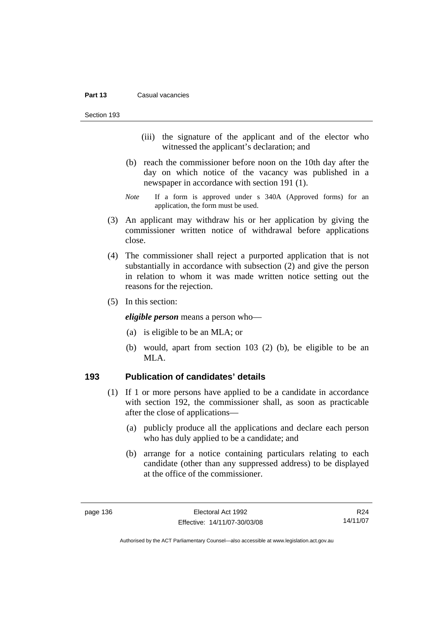#### **Part 13** Casual vacancies

Section 193

- (iii) the signature of the applicant and of the elector who witnessed the applicant's declaration; and
- (b) reach the commissioner before noon on the 10th day after the day on which notice of the vacancy was published in a newspaper in accordance with section 191 (1).
- *Note* If a form is approved under s 340A (Approved forms) for an application, the form must be used.
- (3) An applicant may withdraw his or her application by giving the commissioner written notice of withdrawal before applications close.
- (4) The commissioner shall reject a purported application that is not substantially in accordance with subsection (2) and give the person in relation to whom it was made written notice setting out the reasons for the rejection.
- (5) In this section:

*eligible person* means a person who—

- (a) is eligible to be an MLA; or
- (b) would, apart from section 103 (2) (b), be eligible to be an MLA.

#### **193 Publication of candidates' details**

- (1) If 1 or more persons have applied to be a candidate in accordance with section 192, the commissioner shall, as soon as practicable after the close of applications—
	- (a) publicly produce all the applications and declare each person who has duly applied to be a candidate; and
	- (b) arrange for a notice containing particulars relating to each candidate (other than any suppressed address) to be displayed at the office of the commissioner.

R24 14/11/07

Authorised by the ACT Parliamentary Counsel—also accessible at www.legislation.act.gov.au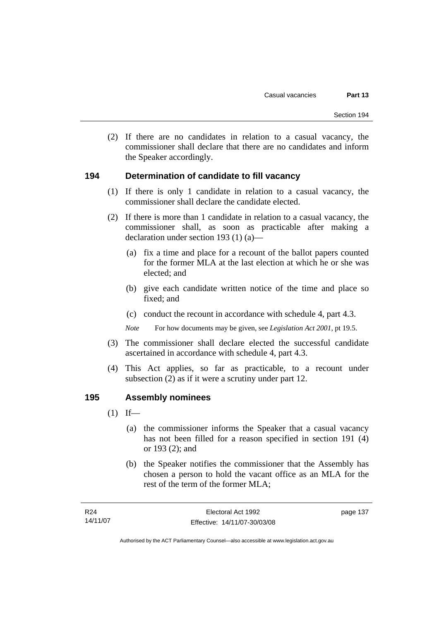(2) If there are no candidates in relation to a casual vacancy, the commissioner shall declare that there are no candidates and inform the Speaker accordingly.

#### **194 Determination of candidate to fill vacancy**

- (1) If there is only 1 candidate in relation to a casual vacancy, the commissioner shall declare the candidate elected.
- (2) If there is more than 1 candidate in relation to a casual vacancy, the commissioner shall, as soon as practicable after making a declaration under section 193 (1) (a)—
	- (a) fix a time and place for a recount of the ballot papers counted for the former MLA at the last election at which he or she was elected; and
	- (b) give each candidate written notice of the time and place so fixed; and
	- (c) conduct the recount in accordance with schedule 4, part 4.3.

*Note* For how documents may be given, see *Legislation Act 2001*, pt 19.5.

- (3) The commissioner shall declare elected the successful candidate ascertained in accordance with schedule 4, part 4.3.
- (4) This Act applies, so far as practicable, to a recount under subsection (2) as if it were a scrutiny under part 12.

#### **195 Assembly nominees**

- $(1)$  If—
	- (a) the commissioner informs the Speaker that a casual vacancy has not been filled for a reason specified in section 191 (4) or 193 (2); and
	- (b) the Speaker notifies the commissioner that the Assembly has chosen a person to hold the vacant office as an MLA for the rest of the term of the former MLA;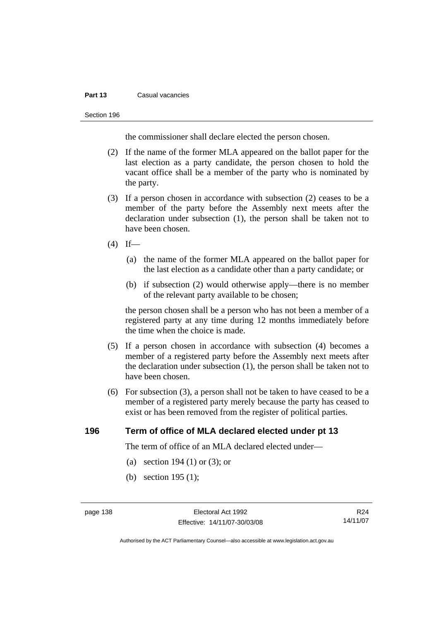#### **Part 13** Casual vacancies

#### Section 196

the commissioner shall declare elected the person chosen.

- (2) If the name of the former MLA appeared on the ballot paper for the last election as a party candidate, the person chosen to hold the vacant office shall be a member of the party who is nominated by the party.
- (3) If a person chosen in accordance with subsection (2) ceases to be a member of the party before the Assembly next meets after the declaration under subsection (1), the person shall be taken not to have been chosen.
- $(4)$  If—
	- (a) the name of the former MLA appeared on the ballot paper for the last election as a candidate other than a party candidate; or
	- (b) if subsection (2) would otherwise apply—there is no member of the relevant party available to be chosen;

the person chosen shall be a person who has not been a member of a registered party at any time during 12 months immediately before the time when the choice is made.

- (5) If a person chosen in accordance with subsection (4) becomes a member of a registered party before the Assembly next meets after the declaration under subsection (1), the person shall be taken not to have been chosen.
- (6) For subsection (3), a person shall not be taken to have ceased to be a member of a registered party merely because the party has ceased to exist or has been removed from the register of political parties.

## **196 Term of office of MLA declared elected under pt 13**

The term of office of an MLA declared elected under—

- (a) section 194 (1) or (3); or
- (b) section 195 (1);

R24 14/11/07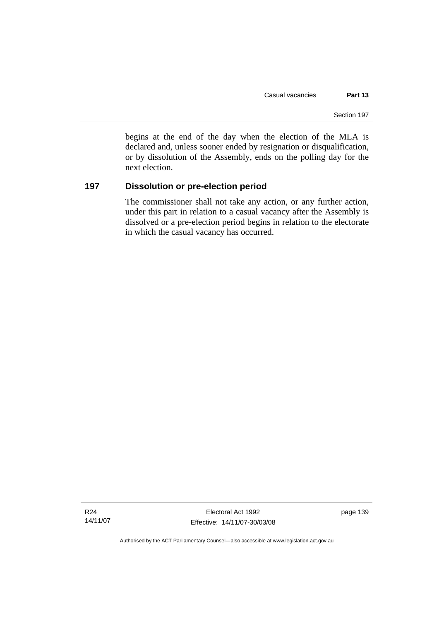begins at the end of the day when the election of the MLA is declared and, unless sooner ended by resignation or disqualification, or by dissolution of the Assembly, ends on the polling day for the next election.

## **197 Dissolution or pre-election period**

The commissioner shall not take any action, or any further action, under this part in relation to a casual vacancy after the Assembly is dissolved or a pre-election period begins in relation to the electorate in which the casual vacancy has occurred.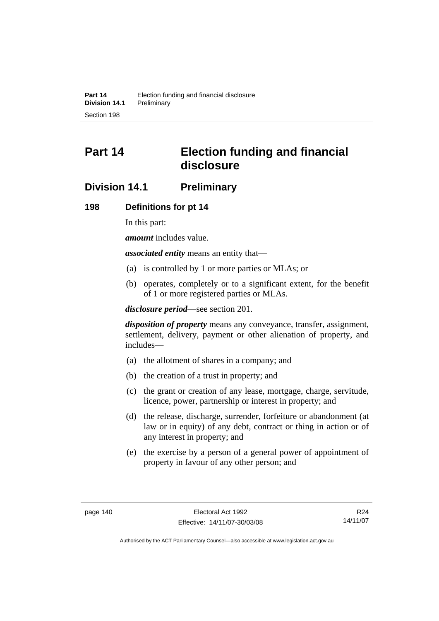# **Part 14 Election funding and financial disclosure**

# **Division 14.1 Preliminary**

#### **198 Definitions for pt 14**

In this part:

*amount* includes value.

*associated entity* means an entity that—

- (a) is controlled by 1 or more parties or MLAs; or
- (b) operates, completely or to a significant extent, for the benefit of 1 or more registered parties or MLAs.

*disclosure period*—see section 201.

*disposition of property* means any conveyance, transfer, assignment, settlement, delivery, payment or other alienation of property, and includes—

- (a) the allotment of shares in a company; and
- (b) the creation of a trust in property; and
- (c) the grant or creation of any lease, mortgage, charge, servitude, licence, power, partnership or interest in property; and
- (d) the release, discharge, surrender, forfeiture or abandonment (at law or in equity) of any debt, contract or thing in action or of any interest in property; and
- (e) the exercise by a person of a general power of appointment of property in favour of any other person; and

R24 14/11/07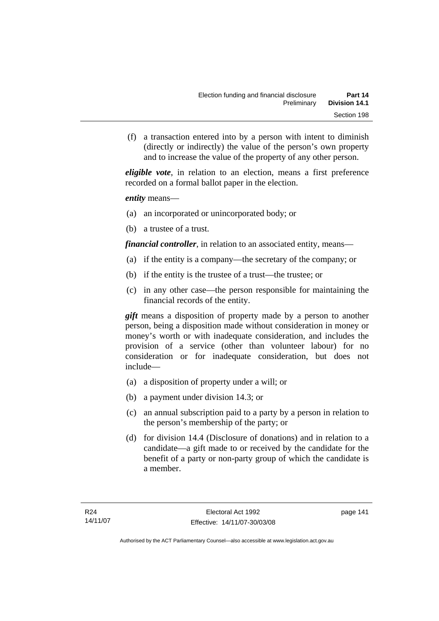(f) a transaction entered into by a person with intent to diminish (directly or indirectly) the value of the person's own property and to increase the value of the property of any other person.

*eligible vote*, in relation to an election, means a first preference recorded on a formal ballot paper in the election.

*entity* means—

- (a) an incorporated or unincorporated body; or
- (b) a trustee of a trust.

*financial controller*, in relation to an associated entity, means—

- (a) if the entity is a company—the secretary of the company; or
- (b) if the entity is the trustee of a trust—the trustee; or
- (c) in any other case—the person responsible for maintaining the financial records of the entity.

*gift* means a disposition of property made by a person to another person, being a disposition made without consideration in money or money's worth or with inadequate consideration, and includes the provision of a service (other than volunteer labour) for no consideration or for inadequate consideration, but does not include—

- (a) a disposition of property under a will; or
- (b) a payment under division 14.3; or
- (c) an annual subscription paid to a party by a person in relation to the person's membership of the party; or
- (d) for division 14.4 (Disclosure of donations) and in relation to a candidate—a gift made to or received by the candidate for the benefit of a party or non-party group of which the candidate is a member.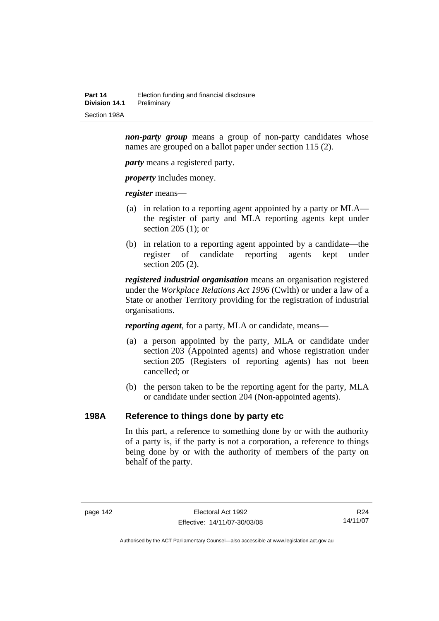*non-party group* means a group of non-party candidates whose names are grouped on a ballot paper under section 115 (2).

*party* means a registered party.

*property* includes money.

*register* means—

- (a) in relation to a reporting agent appointed by a party or MLA the register of party and MLA reporting agents kept under section 205 (1); or
- (b) in relation to a reporting agent appointed by a candidate—the register of candidate reporting agents kept under section 205 (2).

*registered industrial organisation* means an organisation registered under the *Workplace Relations Act 1996* (Cwlth) or under a law of a State or another Territory providing for the registration of industrial organisations.

*reporting agent*, for a party, MLA or candidate, means—

- (a) a person appointed by the party, MLA or candidate under section 203 (Appointed agents) and whose registration under section 205 (Registers of reporting agents) has not been cancelled; or
- (b) the person taken to be the reporting agent for the party, MLA or candidate under section 204 (Non-appointed agents).

#### **198A Reference to things done by party etc**

In this part, a reference to something done by or with the authority of a party is, if the party is not a corporation, a reference to things being done by or with the authority of members of the party on behalf of the party.

R24 14/11/07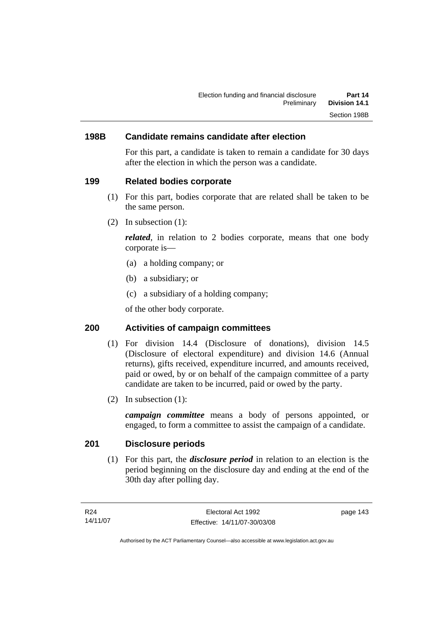## **198B Candidate remains candidate after election**

For this part, a candidate is taken to remain a candidate for 30 days after the election in which the person was a candidate.

#### **199 Related bodies corporate**

- (1) For this part, bodies corporate that are related shall be taken to be the same person.
- (2) In subsection (1):

*related*, in relation to 2 bodies corporate, means that one body corporate is—

- (a) a holding company; or
- (b) a subsidiary; or
- (c) a subsidiary of a holding company;

of the other body corporate.

## **200 Activities of campaign committees**

- (1) For division 14.4 (Disclosure of donations), division 14.5 (Disclosure of electoral expenditure) and division 14.6 (Annual returns), gifts received, expenditure incurred, and amounts received, paid or owed, by or on behalf of the campaign committee of a party candidate are taken to be incurred, paid or owed by the party.
- (2) In subsection (1):

*campaign committee* means a body of persons appointed, or engaged, to form a committee to assist the campaign of a candidate.

#### **201 Disclosure periods**

 (1) For this part, the *disclosure period* in relation to an election is the period beginning on the disclosure day and ending at the end of the 30th day after polling day.

page 143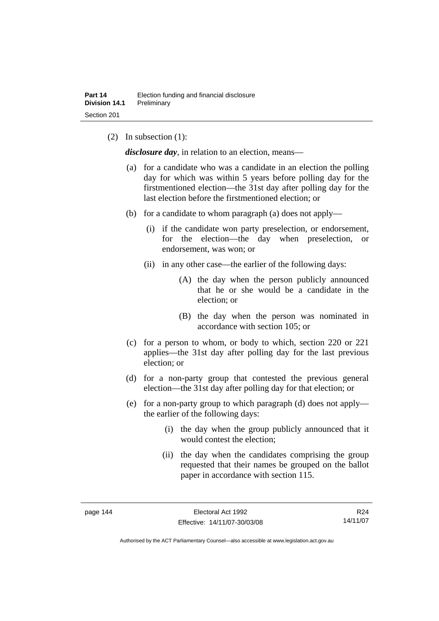(2) In subsection (1):

*disclosure day*, in relation to an election, means—

- (a) for a candidate who was a candidate in an election the polling day for which was within 5 years before polling day for the firstmentioned election—the 31st day after polling day for the last election before the firstmentioned election; or
- (b) for a candidate to whom paragraph (a) does not apply—
	- (i) if the candidate won party preselection, or endorsement, for the election—the day when preselection, or endorsement, was won; or
	- (ii) in any other case—the earlier of the following days:
		- (A) the day when the person publicly announced that he or she would be a candidate in the election; or
		- (B) the day when the person was nominated in accordance with section 105; or
- (c) for a person to whom, or body to which, section 220 or 221 applies—the 31st day after polling day for the last previous election; or
- (d) for a non-party group that contested the previous general election—the 31st day after polling day for that election; or
- (e) for a non-party group to which paragraph (d) does not apply the earlier of the following days:
	- (i) the day when the group publicly announced that it would contest the election;
	- (ii) the day when the candidates comprising the group requested that their names be grouped on the ballot paper in accordance with section 115.

R24 14/11/07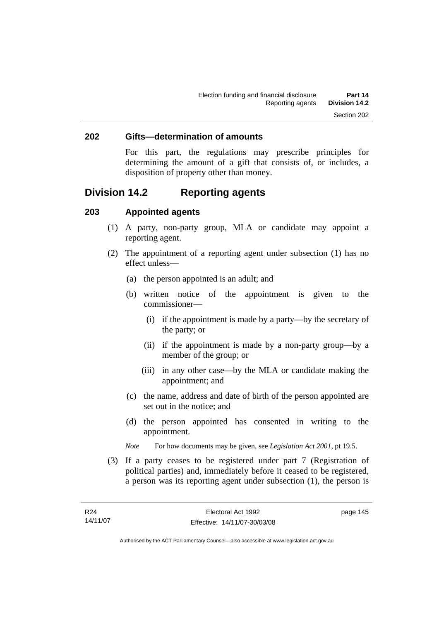#### **202 Gifts—determination of amounts**

For this part, the regulations may prescribe principles for determining the amount of a gift that consists of, or includes, a disposition of property other than money.

# **Division 14.2 Reporting agents**

#### **203 Appointed agents**

- (1) A party, non-party group, MLA or candidate may appoint a reporting agent.
- (2) The appointment of a reporting agent under subsection (1) has no effect unless—
	- (a) the person appointed is an adult; and
	- (b) written notice of the appointment is given to the commissioner—
		- (i) if the appointment is made by a party—by the secretary of the party; or
		- (ii) if the appointment is made by a non-party group—by a member of the group; or
		- (iii) in any other case—by the MLA or candidate making the appointment; and
	- (c) the name, address and date of birth of the person appointed are set out in the notice; and
	- (d) the person appointed has consented in writing to the appointment.
	- *Note* For how documents may be given, see *Legislation Act 2001*, pt 19.5.
- (3) If a party ceases to be registered under part 7 (Registration of political parties) and, immediately before it ceased to be registered, a person was its reporting agent under subsection (1), the person is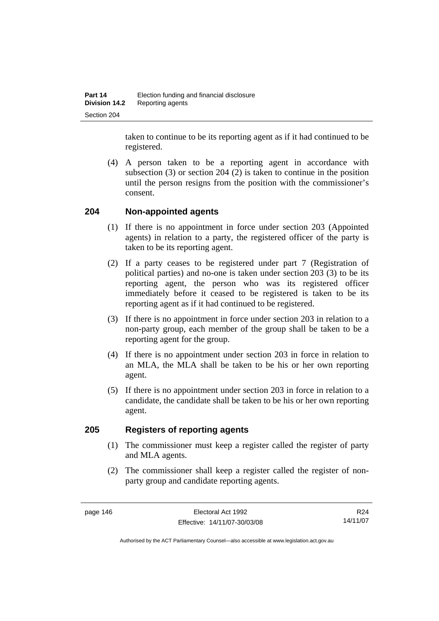taken to continue to be its reporting agent as if it had continued to be registered.

 (4) A person taken to be a reporting agent in accordance with subsection (3) or section 204 (2) is taken to continue in the position until the person resigns from the position with the commissioner's consent.

#### **204 Non-appointed agents**

- (1) If there is no appointment in force under section 203 (Appointed agents) in relation to a party, the registered officer of the party is taken to be its reporting agent.
- (2) If a party ceases to be registered under part 7 (Registration of political parties) and no-one is taken under section 203 (3) to be its reporting agent, the person who was its registered officer immediately before it ceased to be registered is taken to be its reporting agent as if it had continued to be registered.
- (3) If there is no appointment in force under section 203 in relation to a non-party group, each member of the group shall be taken to be a reporting agent for the group.
- (4) If there is no appointment under section 203 in force in relation to an MLA, the MLA shall be taken to be his or her own reporting agent.
- (5) If there is no appointment under section 203 in force in relation to a candidate, the candidate shall be taken to be his or her own reporting agent.

#### **205 Registers of reporting agents**

- (1) The commissioner must keep a register called the register of party and MLA agents.
- (2) The commissioner shall keep a register called the register of nonparty group and candidate reporting agents.

R24 14/11/07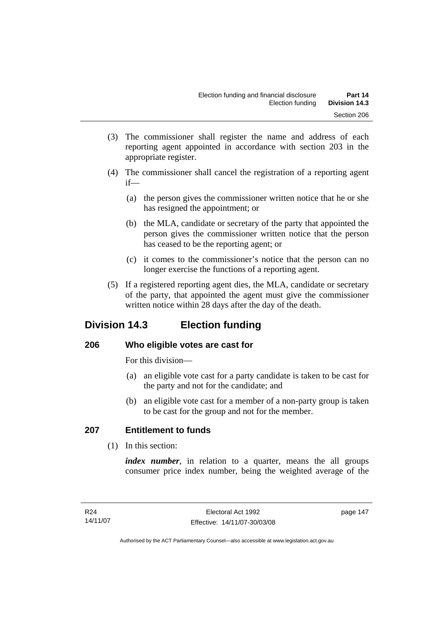- (3) The commissioner shall register the name and address of each reporting agent appointed in accordance with section 203 in the appropriate register.
- (4) The commissioner shall cancel the registration of a reporting agent if—
	- (a) the person gives the commissioner written notice that he or she has resigned the appointment; or
	- (b) the MLA, candidate or secretary of the party that appointed the person gives the commissioner written notice that the person has ceased to be the reporting agent; or
	- (c) it comes to the commissioner's notice that the person can no longer exercise the functions of a reporting agent.
- (5) If a registered reporting agent dies, the MLA, candidate or secretary of the party, that appointed the agent must give the commissioner written notice within 28 days after the day of the death.

# **Division 14.3 Election funding**

# **206 Who eligible votes are cast for**

For this division—

- (a) an eligible vote cast for a party candidate is taken to be cast for the party and not for the candidate; and
- (b) an eligible vote cast for a member of a non-party group is taken to be cast for the group and not for the member.

# **207 Entitlement to funds**

(1) In this section:

*index number*, in relation to a quarter, means the all groups consumer price index number, being the weighted average of the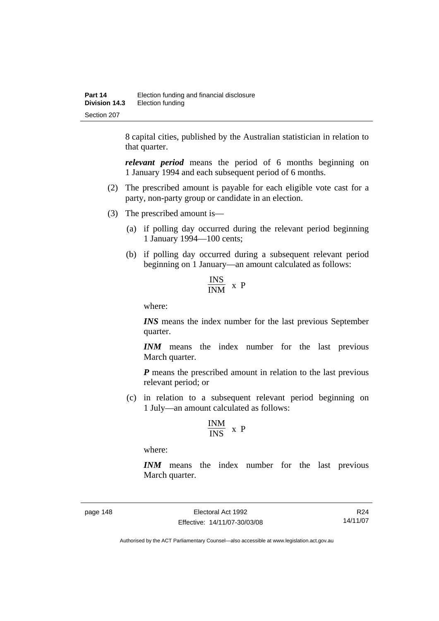8 capital cities, published by the Australian statistician in relation to that quarter.

*relevant period* means the period of 6 months beginning on 1 January 1994 and each subsequent period of 6 months.

- (2) The prescribed amount is payable for each eligible vote cast for a party, non-party group or candidate in an election.
- (3) The prescribed amount is—
	- (a) if polling day occurred during the relevant period beginning 1 January 1994—100 cents;
	- (b) if polling day occurred during a subsequent relevant period beginning on 1 January—an amount calculated as follows:

$$
\frac{\text{INS}}{\text{INM}} \times P
$$

where:

*INS* means the index number for the last previous September quarter.

*INM* means the index number for the last previous March quarter.

*P* means the prescribed amount in relation to the last previous relevant period; or

 (c) in relation to a subsequent relevant period beginning on 1 July—an amount calculated as follows:

$$
\frac{INM}{INS} \ x \ P
$$

where:

*INM* means the index number for the last previous March quarter.

page 148 Electoral Act 1992 Effective: 14/11/07-30/03/08

R24 14/11/07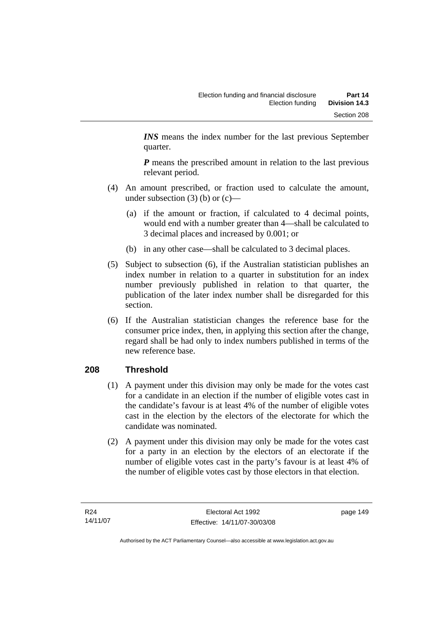*INS* means the index number for the last previous September quarter.

*P* means the prescribed amount in relation to the last previous relevant period.

- (4) An amount prescribed, or fraction used to calculate the amount, under subsection  $(3)$  (b) or  $(c)$ —
	- (a) if the amount or fraction, if calculated to 4 decimal points, would end with a number greater than 4—shall be calculated to 3 decimal places and increased by 0.001; or
	- (b) in any other case—shall be calculated to 3 decimal places.
- (5) Subject to subsection (6), if the Australian statistician publishes an index number in relation to a quarter in substitution for an index number previously published in relation to that quarter, the publication of the later index number shall be disregarded for this section.
- (6) If the Australian statistician changes the reference base for the consumer price index, then, in applying this section after the change, regard shall be had only to index numbers published in terms of the new reference base.

# **208 Threshold**

- (1) A payment under this division may only be made for the votes cast for a candidate in an election if the number of eligible votes cast in the candidate's favour is at least 4% of the number of eligible votes cast in the election by the electors of the electorate for which the candidate was nominated.
- (2) A payment under this division may only be made for the votes cast for a party in an election by the electors of an electorate if the number of eligible votes cast in the party's favour is at least 4% of the number of eligible votes cast by those electors in that election.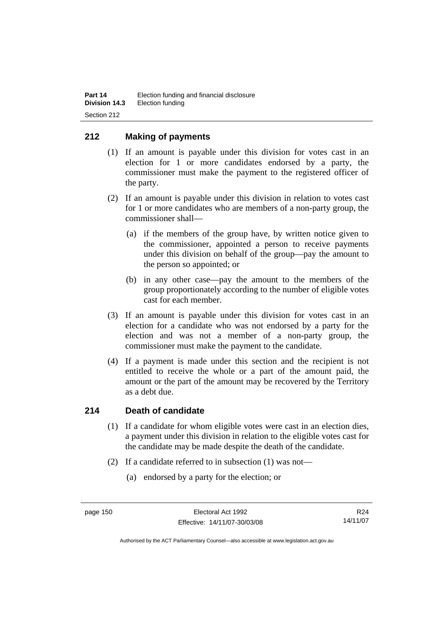## **212 Making of payments**

- (1) If an amount is payable under this division for votes cast in an election for 1 or more candidates endorsed by a party, the commissioner must make the payment to the registered officer of the party.
- (2) If an amount is payable under this division in relation to votes cast for 1 or more candidates who are members of a non-party group, the commissioner shall—
	- (a) if the members of the group have, by written notice given to the commissioner, appointed a person to receive payments under this division on behalf of the group—pay the amount to the person so appointed; or
	- (b) in any other case—pay the amount to the members of the group proportionately according to the number of eligible votes cast for each member.
- (3) If an amount is payable under this division for votes cast in an election for a candidate who was not endorsed by a party for the election and was not a member of a non-party group, the commissioner must make the payment to the candidate.
- (4) If a payment is made under this section and the recipient is not entitled to receive the whole or a part of the amount paid, the amount or the part of the amount may be recovered by the Territory as a debt due.

#### **214 Death of candidate**

- (1) If a candidate for whom eligible votes were cast in an election dies, a payment under this division in relation to the eligible votes cast for the candidate may be made despite the death of the candidate.
- (2) If a candidate referred to in subsection (1) was not—
	- (a) endorsed by a party for the election; or

R24 14/11/07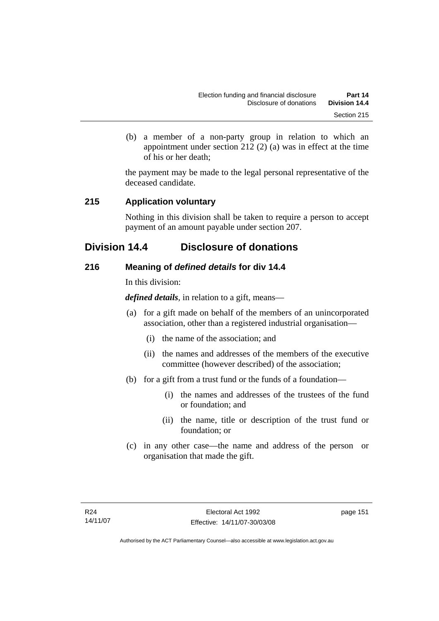(b) a member of a non-party group in relation to which an appointment under section 212 (2) (a) was in effect at the time of his or her death;

the payment may be made to the legal personal representative of the deceased candidate.

## **215 Application voluntary**

Nothing in this division shall be taken to require a person to accept payment of an amount payable under section 207.

# **Division 14.4 Disclosure of donations**

## **216 Meaning of** *defined details* **for div 14.4**

In this division:

*defined details*, in relation to a gift, means—

- (a) for a gift made on behalf of the members of an unincorporated association, other than a registered industrial organisation—
	- (i) the name of the association; and
	- (ii) the names and addresses of the members of the executive committee (however described) of the association;
- (b) for a gift from a trust fund or the funds of a foundation—
	- (i) the names and addresses of the trustees of the fund or foundation; and
	- (ii) the name, title or description of the trust fund or foundation; or
- (c) in any other case—the name and address of the person or organisation that made the gift.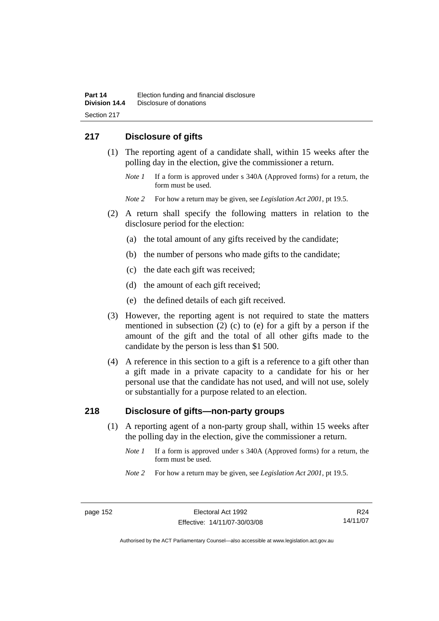# **217 Disclosure of gifts**

- (1) The reporting agent of a candidate shall, within 15 weeks after the polling day in the election, give the commissioner a return.
	- *Note 1* If a form is approved under s 340A (Approved forms) for a return, the form must be used.
	- *Note 2* For how a return may be given, see *Legislation Act 2001*, pt 19.5.
- (2) A return shall specify the following matters in relation to the disclosure period for the election:
	- (a) the total amount of any gifts received by the candidate;
	- (b) the number of persons who made gifts to the candidate;
	- (c) the date each gift was received;
	- (d) the amount of each gift received;
	- (e) the defined details of each gift received.
- (3) However, the reporting agent is not required to state the matters mentioned in subsection (2) (c) to (e) for a gift by a person if the amount of the gift and the total of all other gifts made to the candidate by the person is less than \$1 500.
- (4) A reference in this section to a gift is a reference to a gift other than a gift made in a private capacity to a candidate for his or her personal use that the candidate has not used, and will not use, solely or substantially for a purpose related to an election.

# **218 Disclosure of gifts—non-party groups**

- (1) A reporting agent of a non-party group shall, within 15 weeks after the polling day in the election, give the commissioner a return.
	- *Note 1* If a form is approved under s 340A (Approved forms) for a return, the form must be used.
	- *Note 2* For how a return may be given, see *Legislation Act 2001*, pt 19.5.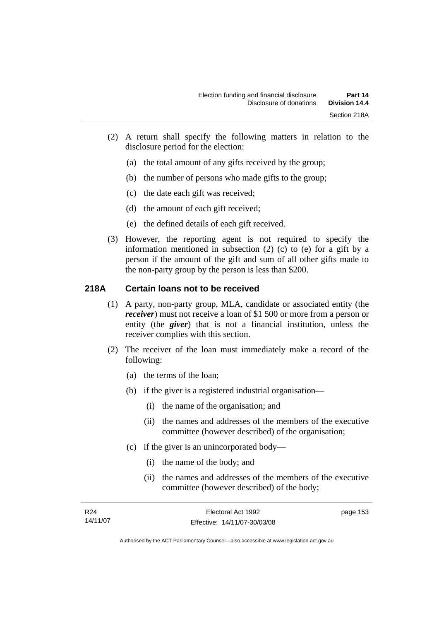- (2) A return shall specify the following matters in relation to the disclosure period for the election:
	- (a) the total amount of any gifts received by the group;
	- (b) the number of persons who made gifts to the group;
	- (c) the date each gift was received;
	- (d) the amount of each gift received;
	- (e) the defined details of each gift received.
- (3) However, the reporting agent is not required to specify the information mentioned in subsection (2) (c) to (e) for a gift by a person if the amount of the gift and sum of all other gifts made to the non-party group by the person is less than \$200.

## **218A Certain loans not to be received**

- (1) A party, non-party group, MLA, candidate or associated entity (the *receiver*) must not receive a loan of \$1 500 or more from a person or entity (the *giver*) that is not a financial institution, unless the receiver complies with this section.
- (2) The receiver of the loan must immediately make a record of the following:
	- (a) the terms of the loan;
	- (b) if the giver is a registered industrial organisation—
		- (i) the name of the organisation; and
		- (ii) the names and addresses of the members of the executive committee (however described) of the organisation;
	- (c) if the giver is an unincorporated body—
		- (i) the name of the body; and
		- (ii) the names and addresses of the members of the executive committee (however described) of the body;

| R24      | Electoral Act 1992           | page 153 |
|----------|------------------------------|----------|
| 14/11/07 | Effective: 14/11/07-30/03/08 |          |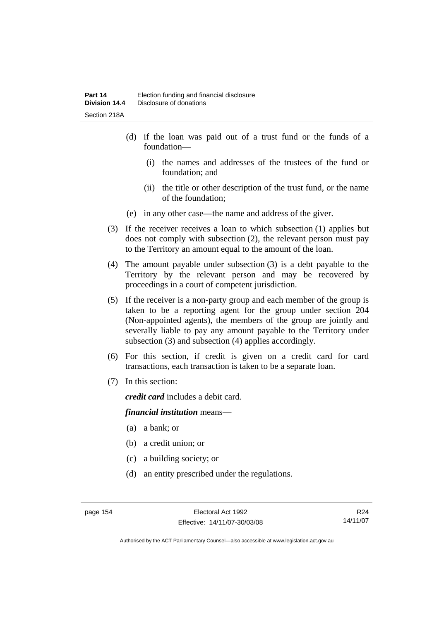- (d) if the loan was paid out of a trust fund or the funds of a foundation—
	- (i) the names and addresses of the trustees of the fund or foundation; and
	- (ii) the title or other description of the trust fund, or the name of the foundation;
- (e) in any other case—the name and address of the giver.
- (3) If the receiver receives a loan to which subsection (1) applies but does not comply with subsection (2), the relevant person must pay to the Territory an amount equal to the amount of the loan.
- (4) The amount payable under subsection (3) is a debt payable to the Territory by the relevant person and may be recovered by proceedings in a court of competent jurisdiction.
- (5) If the receiver is a non-party group and each member of the group is taken to be a reporting agent for the group under section 204 (Non-appointed agents), the members of the group are jointly and severally liable to pay any amount payable to the Territory under subsection (3) and subsection (4) applies accordingly.
- (6) For this section, if credit is given on a credit card for card transactions, each transaction is taken to be a separate loan.
- (7) In this section:

*credit card* includes a debit card.

#### *financial institution* means—

- (a) a bank; or
- (b) a credit union; or
- (c) a building society; or
- (d) an entity prescribed under the regulations.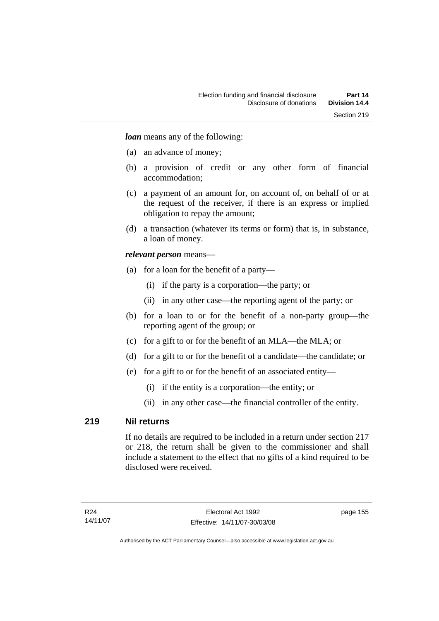*loan* means any of the following:

- (a) an advance of money;
- (b) a provision of credit or any other form of financial accommodation;
- (c) a payment of an amount for, on account of, on behalf of or at the request of the receiver, if there is an express or implied obligation to repay the amount;
- (d) a transaction (whatever its terms or form) that is, in substance, a loan of money.

#### *relevant person* means—

- (a) for a loan for the benefit of a party—
	- (i) if the party is a corporation—the party; or
	- (ii) in any other case—the reporting agent of the party; or
- (b) for a loan to or for the benefit of a non-party group—the reporting agent of the group; or
- (c) for a gift to or for the benefit of an MLA—the MLA; or
- (d) for a gift to or for the benefit of a candidate—the candidate; or
- (e) for a gift to or for the benefit of an associated entity—
	- (i) if the entity is a corporation—the entity; or
	- (ii) in any other case—the financial controller of the entity.

#### **219 Nil returns**

If no details are required to be included in a return under section 217 or 218, the return shall be given to the commissioner and shall include a statement to the effect that no gifts of a kind required to be disclosed were received.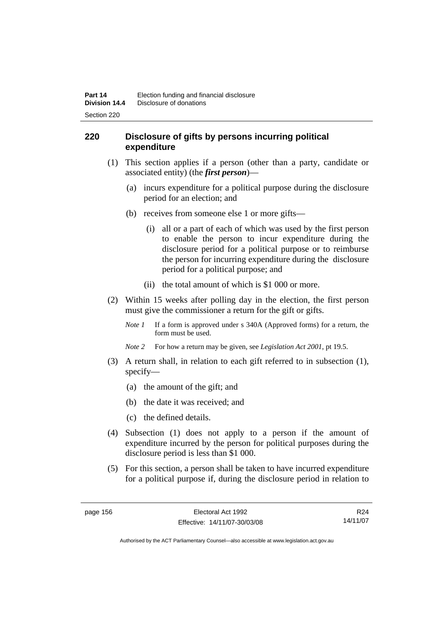## **220 Disclosure of gifts by persons incurring political expenditure**

- (1) This section applies if a person (other than a party, candidate or associated entity) (the *first person*)—
	- (a) incurs expenditure for a political purpose during the disclosure period for an election; and
	- (b) receives from someone else 1 or more gifts—
		- (i) all or a part of each of which was used by the first person to enable the person to incur expenditure during the disclosure period for a political purpose or to reimburse the person for incurring expenditure during the disclosure period for a political purpose; and
		- (ii) the total amount of which is \$1 000 or more.
- (2) Within 15 weeks after polling day in the election, the first person must give the commissioner a return for the gift or gifts.
	- *Note 1* If a form is approved under s 340A (Approved forms) for a return, the form must be used.
	- *Note 2* For how a return may be given, see *Legislation Act 2001*, pt 19.5.
- (3) A return shall, in relation to each gift referred to in subsection (1), specify—
	- (a) the amount of the gift; and
	- (b) the date it was received; and
	- (c) the defined details.
- (4) Subsection (1) does not apply to a person if the amount of expenditure incurred by the person for political purposes during the disclosure period is less than \$1 000.
- (5) For this section, a person shall be taken to have incurred expenditure for a political purpose if, during the disclosure period in relation to

R24 14/11/07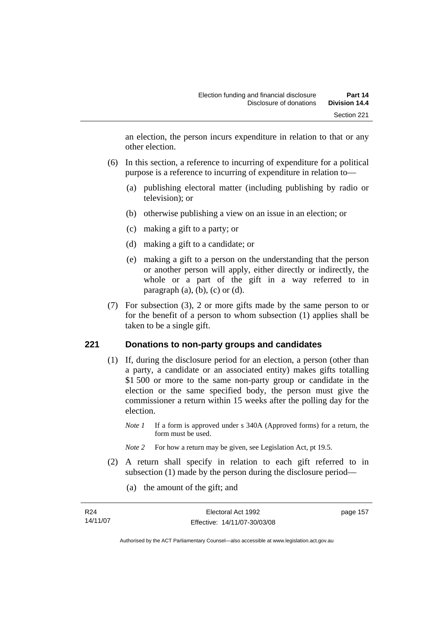an election, the person incurs expenditure in relation to that or any other election.

- (6) In this section, a reference to incurring of expenditure for a political purpose is a reference to incurring of expenditure in relation to—
	- (a) publishing electoral matter (including publishing by radio or television); or
	- (b) otherwise publishing a view on an issue in an election; or
	- (c) making a gift to a party; or
	- (d) making a gift to a candidate; or
	- (e) making a gift to a person on the understanding that the person or another person will apply, either directly or indirectly, the whole or a part of the gift in a way referred to in paragraph  $(a)$ ,  $(b)$ ,  $(c)$  or  $(d)$ .
- (7) For subsection (3), 2 or more gifts made by the same person to or for the benefit of a person to whom subsection (1) applies shall be taken to be a single gift.

#### **221 Donations to non-party groups and candidates**

- (1) If, during the disclosure period for an election, a person (other than a party, a candidate or an associated entity) makes gifts totalling \$1 500 or more to the same non-party group or candidate in the election or the same specified body, the person must give the commissioner a return within 15 weeks after the polling day for the election.
	- *Note 1* If a form is approved under s 340A (Approved forms) for a return, the form must be used.
	- *Note* 2 For how a return may be given, see Legislation Act, pt 19.5.
- (2) A return shall specify in relation to each gift referred to in subsection (1) made by the person during the disclosure period—
	- (a) the amount of the gift; and

| R24      | Electoral Act 1992           | page 157 |
|----------|------------------------------|----------|
| 14/11/07 | Effective: 14/11/07-30/03/08 |          |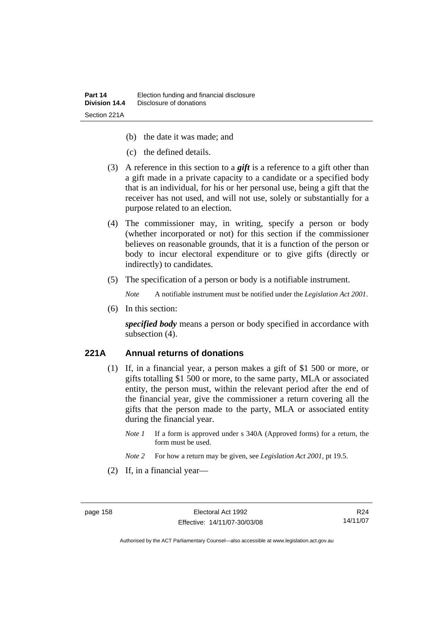- (b) the date it was made; and
- (c) the defined details.
- (3) A reference in this section to a *gift* is a reference to a gift other than a gift made in a private capacity to a candidate or a specified body that is an individual, for his or her personal use, being a gift that the receiver has not used, and will not use, solely or substantially for a purpose related to an election.
- (4) The commissioner may, in writing, specify a person or body (whether incorporated or not) for this section if the commissioner believes on reasonable grounds, that it is a function of the person or body to incur electoral expenditure or to give gifts (directly or indirectly) to candidates.
- (5) The specification of a person or body is a notifiable instrument.

*Note* A notifiable instrument must be notified under the *Legislation Act 2001*.

(6) In this section:

*specified body* means a person or body specified in accordance with subsection (4).

#### **221A Annual returns of donations**

- (1) If, in a financial year, a person makes a gift of \$1 500 or more, or gifts totalling \$1 500 or more, to the same party, MLA or associated entity, the person must, within the relevant period after the end of the financial year, give the commissioner a return covering all the gifts that the person made to the party, MLA or associated entity during the financial year.
	- *Note 1* If a form is approved under s 340A (Approved forms) for a return, the form must be used.
	- *Note 2* For how a return may be given, see *Legislation Act 2001*, pt 19.5.
- (2) If, in a financial year—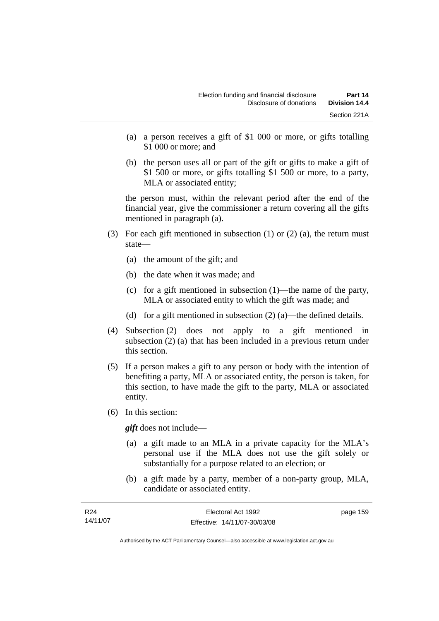- (a) a person receives a gift of \$1 000 or more, or gifts totalling \$1 000 or more; and
- (b) the person uses all or part of the gift or gifts to make a gift of \$1 500 or more, or gifts totalling \$1 500 or more, to a party, MLA or associated entity;

the person must, within the relevant period after the end of the financial year, give the commissioner a return covering all the gifts mentioned in paragraph (a).

- (3) For each gift mentioned in subsection (1) or (2) (a), the return must state—
	- (a) the amount of the gift; and
	- (b) the date when it was made; and
	- (c) for a gift mentioned in subsection (1)—the name of the party, MLA or associated entity to which the gift was made; and
	- (d) for a gift mentioned in subsection  $(2)$  (a)—the defined details.
- (4) Subsection (2) does not apply to a gift mentioned in subsection (2) (a) that has been included in a previous return under this section.
- (5) If a person makes a gift to any person or body with the intention of benefiting a party, MLA or associated entity, the person is taken, for this section, to have made the gift to the party, MLA or associated entity.
- (6) In this section:

*gift* does not include—

- (a) a gift made to an MLA in a private capacity for the MLA's personal use if the MLA does not use the gift solely or substantially for a purpose related to an election; or
- (b) a gift made by a party, member of a non-party group, MLA, candidate or associated entity.

| R <sub>24</sub> | Electoral Act 1992           | page 159 |
|-----------------|------------------------------|----------|
| 14/11/07        | Effective: 14/11/07-30/03/08 |          |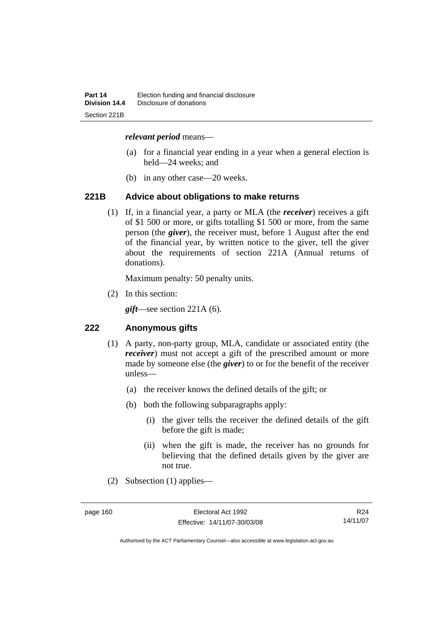#### *relevant period* means—

- (a) for a financial year ending in a year when a general election is held—24 weeks; and
- (b) in any other case—20 weeks.

#### **221B Advice about obligations to make returns**

 (1) If, in a financial year, a party or MLA (the *receiver*) receives a gift of \$1 500 or more, or gifts totalling \$1 500 or more, from the same person (the *giver*), the receiver must, before 1 August after the end of the financial year, by written notice to the giver, tell the giver about the requirements of section 221A (Annual returns of donations).

Maximum penalty: 50 penalty units.

(2) In this section:

*gift*—see section 221A (6).

#### **222 Anonymous gifts**

- (1) A party, non-party group, MLA, candidate or associated entity (the *receiver*) must not accept a gift of the prescribed amount or more made by someone else (the *giver*) to or for the benefit of the receiver unless—
	- (a) the receiver knows the defined details of the gift; or
	- (b) both the following subparagraphs apply:
		- (i) the giver tells the receiver the defined details of the gift before the gift is made;
		- (ii) when the gift is made, the receiver has no grounds for believing that the defined details given by the giver are not true.
- (2) Subsection (1) applies—

R24 14/11/07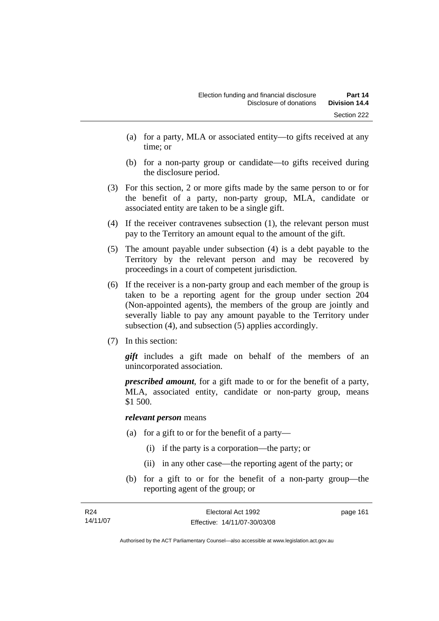- (a) for a party, MLA or associated entity—to gifts received at any time; or
- (b) for a non-party group or candidate—to gifts received during the disclosure period.
- (3) For this section, 2 or more gifts made by the same person to or for the benefit of a party, non-party group, MLA, candidate or associated entity are taken to be a single gift.
- (4) If the receiver contravenes subsection (1), the relevant person must pay to the Territory an amount equal to the amount of the gift.
- (5) The amount payable under subsection (4) is a debt payable to the Territory by the relevant person and may be recovered by proceedings in a court of competent jurisdiction.
- (6) If the receiver is a non-party group and each member of the group is taken to be a reporting agent for the group under section 204 (Non-appointed agents), the members of the group are jointly and severally liable to pay any amount payable to the Territory under subsection (4), and subsection (5) applies accordingly.
- (7) In this section:

*gift* includes a gift made on behalf of the members of an unincorporated association.

*prescribed amount*, for a gift made to or for the benefit of a party, MLA, associated entity, candidate or non-party group, means \$1 500.

#### *relevant person* means

- (a) for a gift to or for the benefit of a party—
	- (i) if the party is a corporation—the party; or
	- (ii) in any other case—the reporting agent of the party; or
- (b) for a gift to or for the benefit of a non-party group—the reporting agent of the group; or

| R24      | Electoral Act 1992           | page 161 |
|----------|------------------------------|----------|
| 14/11/07 | Effective: 14/11/07-30/03/08 |          |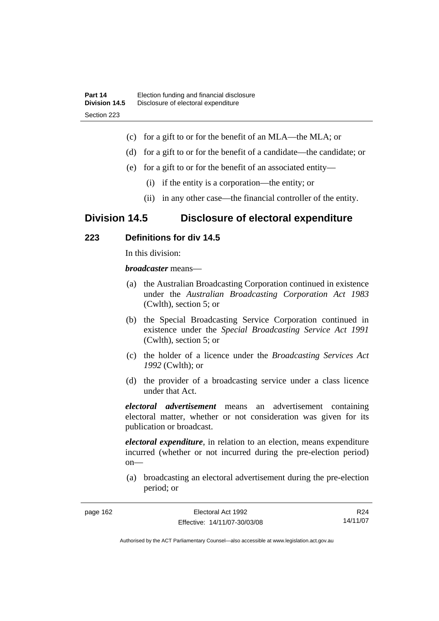- (c) for a gift to or for the benefit of an MLA—the MLA; or
- (d) for a gift to or for the benefit of a candidate—the candidate; or
- (e) for a gift to or for the benefit of an associated entity—
	- (i) if the entity is a corporation—the entity; or
	- (ii) in any other case—the financial controller of the entity.

# **Division 14.5 Disclosure of electoral expenditure**

## **223 Definitions for div 14.5**

In this division:

*broadcaster* means—

- (a) the Australian Broadcasting Corporation continued in existence under the *Australian Broadcasting Corporation Act 1983* (Cwlth), section 5; or
- (b) the Special Broadcasting Service Corporation continued in existence under the *Special Broadcasting Service Act 1991*  (Cwlth), section 5; or
- (c) the holder of a licence under the *Broadcasting Services Act 1992* (Cwlth); or
- (d) the provider of a broadcasting service under a class licence under that Act.

*electoral advertisement* means an advertisement containing electoral matter, whether or not consideration was given for its publication or broadcast.

*electoral expenditure*, in relation to an election, means expenditure incurred (whether or not incurred during the pre-election period) on—

 (a) broadcasting an electoral advertisement during the pre-election period; or

| page 162 | Electoral Act 1992           | R <sub>24</sub> |
|----------|------------------------------|-----------------|
|          | Effective: 14/11/07-30/03/08 | 14/11/07        |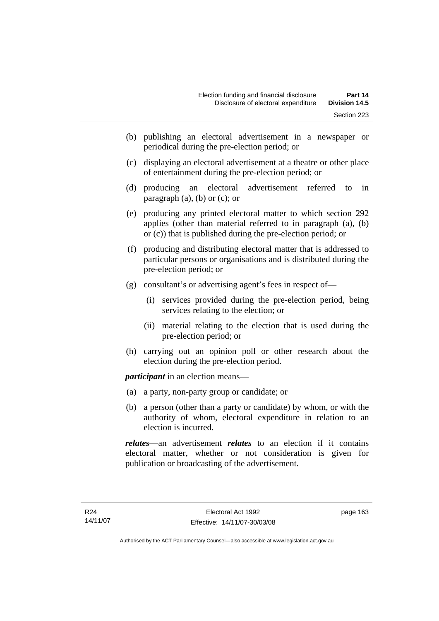- (b) publishing an electoral advertisement in a newspaper or periodical during the pre-election period; or
- (c) displaying an electoral advertisement at a theatre or other place of entertainment during the pre-election period; or
- (d) producing an electoral advertisement referred to in paragraph  $(a)$ ,  $(b)$  or  $(c)$ ; or
- (e) producing any printed electoral matter to which section 292 applies (other than material referred to in paragraph (a), (b) or (c)) that is published during the pre-election period; or
- (f) producing and distributing electoral matter that is addressed to particular persons or organisations and is distributed during the pre-election period; or
- (g) consultant's or advertising agent's fees in respect of—
	- (i) services provided during the pre-election period, being services relating to the election; or
	- (ii) material relating to the election that is used during the pre-election period; or
- (h) carrying out an opinion poll or other research about the election during the pre-election period.

*participant* in an election means—

- (a) a party, non-party group or candidate; or
- (b) a person (other than a party or candidate) by whom, or with the authority of whom, electoral expenditure in relation to an election is incurred.

*relates*—an advertisement *relates* to an election if it contains electoral matter, whether or not consideration is given for publication or broadcasting of the advertisement.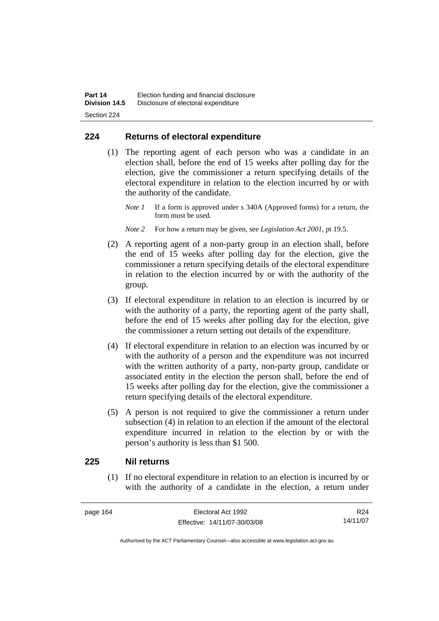## **224 Returns of electoral expenditure**

 (1) The reporting agent of each person who was a candidate in an election shall, before the end of 15 weeks after polling day for the election, give the commissioner a return specifying details of the electoral expenditure in relation to the election incurred by or with the authority of the candidate.

*Note 1* If a form is approved under s 340A (Approved forms) for a return, the form must be used.

- *Note 2* For how a return may be given, see *Legislation Act 2001*, pt 19.5.
- (2) A reporting agent of a non-party group in an election shall, before the end of 15 weeks after polling day for the election, give the commissioner a return specifying details of the electoral expenditure in relation to the election incurred by or with the authority of the group.
- (3) If electoral expenditure in relation to an election is incurred by or with the authority of a party, the reporting agent of the party shall, before the end of 15 weeks after polling day for the election, give the commissioner a return setting out details of the expenditure.
- (4) If electoral expenditure in relation to an election was incurred by or with the authority of a person and the expenditure was not incurred with the written authority of a party, non-party group, candidate or associated entity in the election the person shall, before the end of 15 weeks after polling day for the election, give the commissioner a return specifying details of the electoral expenditure.
- (5) A person is not required to give the commissioner a return under subsection (4) in relation to an election if the amount of the electoral expenditure incurred in relation to the election by or with the person's authority is less than \$1 500.

### **225 Nil returns**

 (1) If no electoral expenditure in relation to an election is incurred by or with the authority of a candidate in the election, a return under

page 164 Electoral Act 1992 Effective: 14/11/07-30/03/08

R24 14/11/07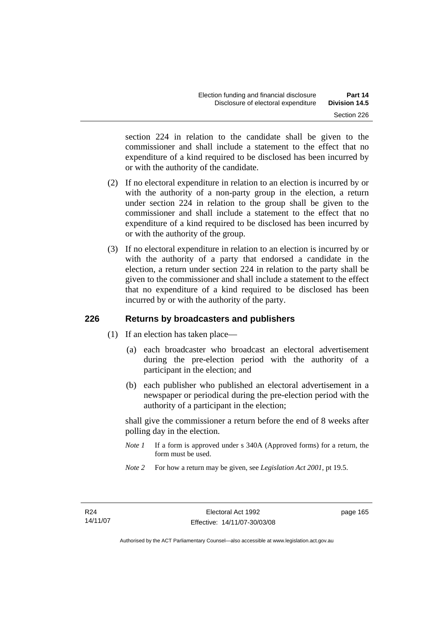section 224 in relation to the candidate shall be given to the commissioner and shall include a statement to the effect that no expenditure of a kind required to be disclosed has been incurred by or with the authority of the candidate.

- (2) If no electoral expenditure in relation to an election is incurred by or with the authority of a non-party group in the election, a return under section 224 in relation to the group shall be given to the commissioner and shall include a statement to the effect that no expenditure of a kind required to be disclosed has been incurred by or with the authority of the group.
- (3) If no electoral expenditure in relation to an election is incurred by or with the authority of a party that endorsed a candidate in the election, a return under section 224 in relation to the party shall be given to the commissioner and shall include a statement to the effect that no expenditure of a kind required to be disclosed has been incurred by or with the authority of the party.

# **226 Returns by broadcasters and publishers**

- (1) If an election has taken place—
	- (a) each broadcaster who broadcast an electoral advertisement during the pre-election period with the authority of a participant in the election; and
	- (b) each publisher who published an electoral advertisement in a newspaper or periodical during the pre-election period with the authority of a participant in the election;

shall give the commissioner a return before the end of 8 weeks after polling day in the election.

- *Note 1* If a form is approved under s 340A (Approved forms) for a return, the form must be used.
- *Note 2* For how a return may be given, see *Legislation Act 2001*, pt 19.5.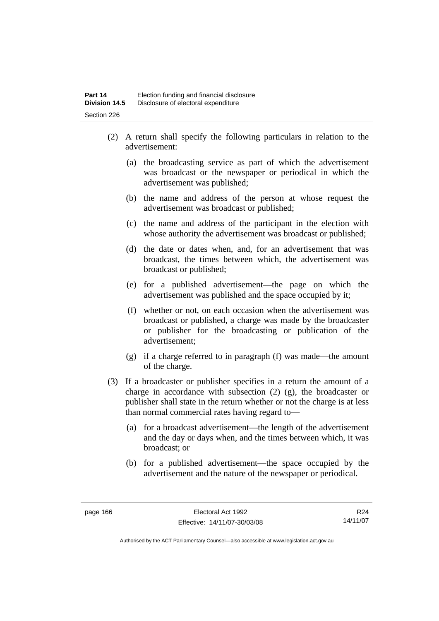- (2) A return shall specify the following particulars in relation to the advertisement:
	- (a) the broadcasting service as part of which the advertisement was broadcast or the newspaper or periodical in which the advertisement was published;
	- (b) the name and address of the person at whose request the advertisement was broadcast or published;
	- (c) the name and address of the participant in the election with whose authority the advertisement was broadcast or published;
	- (d) the date or dates when, and, for an advertisement that was broadcast, the times between which, the advertisement was broadcast or published;
	- (e) for a published advertisement—the page on which the advertisement was published and the space occupied by it;
	- (f) whether or not, on each occasion when the advertisement was broadcast or published, a charge was made by the broadcaster or publisher for the broadcasting or publication of the advertisement;
	- (g) if a charge referred to in paragraph (f) was made—the amount of the charge.
- (3) If a broadcaster or publisher specifies in a return the amount of a charge in accordance with subsection (2) (g), the broadcaster or publisher shall state in the return whether or not the charge is at less than normal commercial rates having regard to—
	- (a) for a broadcast advertisement—the length of the advertisement and the day or days when, and the times between which, it was broadcast; or
	- (b) for a published advertisement—the space occupied by the advertisement and the nature of the newspaper or periodical.

R24 14/11/07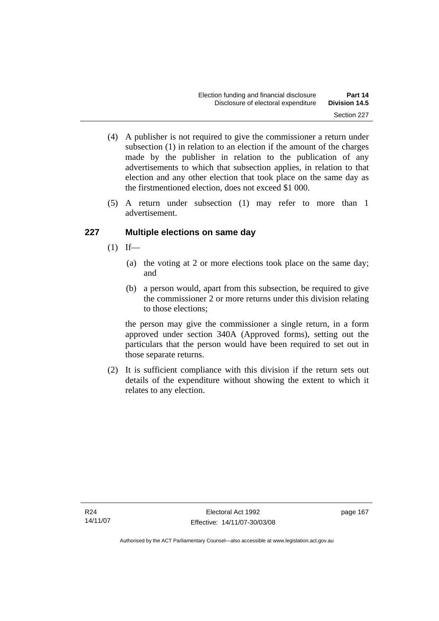- (4) A publisher is not required to give the commissioner a return under subsection (1) in relation to an election if the amount of the charges made by the publisher in relation to the publication of any advertisements to which that subsection applies, in relation to that election and any other election that took place on the same day as the firstmentioned election, does not exceed \$1 000.
- (5) A return under subsection (1) may refer to more than 1 advertisement.

# **227 Multiple elections on same day**

- $(1)$  If—
	- (a) the voting at 2 or more elections took place on the same day; and
	- (b) a person would, apart from this subsection, be required to give the commissioner 2 or more returns under this division relating to those elections;

the person may give the commissioner a single return, in a form approved under section 340A (Approved forms), setting out the particulars that the person would have been required to set out in those separate returns.

 (2) It is sufficient compliance with this division if the return sets out details of the expenditure without showing the extent to which it relates to any election.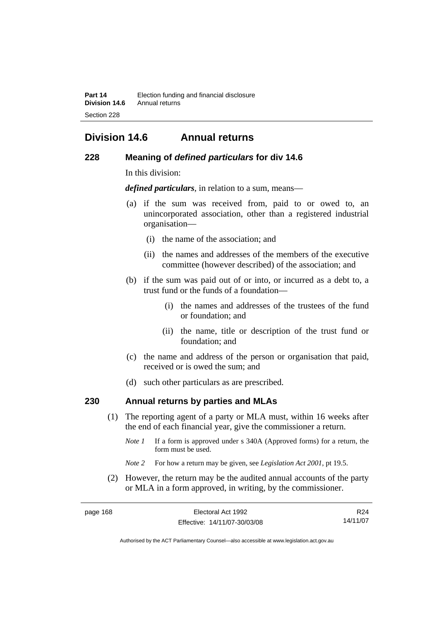# **Division 14.6 Annual returns**

### **228 Meaning of** *defined particulars* **for div 14.6**

In this division:

*defined particulars*, in relation to a sum, means—

- (a) if the sum was received from, paid to or owed to, an unincorporated association, other than a registered industrial organisation—
	- (i) the name of the association; and
	- (ii) the names and addresses of the members of the executive committee (however described) of the association; and
- (b) if the sum was paid out of or into, or incurred as a debt to, a trust fund or the funds of a foundation—
	- (i) the names and addresses of the trustees of the fund or foundation; and
	- (ii) the name, title or description of the trust fund or foundation; and
- (c) the name and address of the person or organisation that paid, received or is owed the sum; and
- (d) such other particulars as are prescribed.

## **230 Annual returns by parties and MLAs**

- (1) The reporting agent of a party or MLA must, within 16 weeks after the end of each financial year, give the commissioner a return.
	- *Note 1* If a form is approved under s 340A (Approved forms) for a return, the form must be used.
	- *Note 2* For how a return may be given, see *Legislation Act 2001*, pt 19.5.
- (2) However, the return may be the audited annual accounts of the party or MLA in a form approved, in writing, by the commissioner.

| page 168 | Electoral Act 1992           | R24      |
|----------|------------------------------|----------|
|          | Effective: 14/11/07-30/03/08 | 14/11/07 |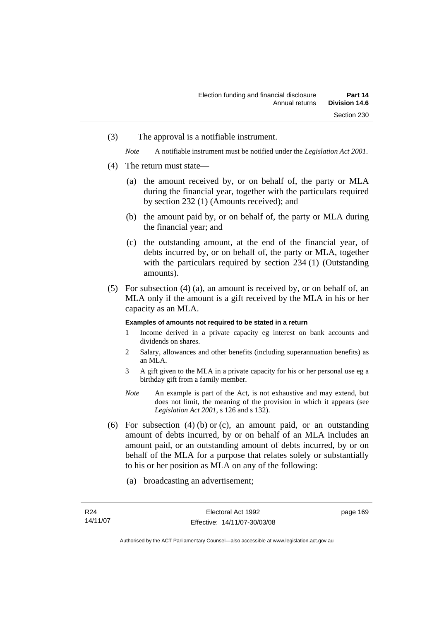(3) The approval is a notifiable instrument.

*Note* A notifiable instrument must be notified under the *Legislation Act 2001*.

- (4) The return must state—
	- (a) the amount received by, or on behalf of, the party or MLA during the financial year, together with the particulars required by section 232 (1) (Amounts received); and
	- (b) the amount paid by, or on behalf of, the party or MLA during the financial year; and
	- (c) the outstanding amount, at the end of the financial year, of debts incurred by, or on behalf of, the party or MLA, together with the particulars required by section 234 (1) (Outstanding amounts).
- (5) For subsection (4) (a), an amount is received by, or on behalf of, an MLA only if the amount is a gift received by the MLA in his or her capacity as an MLA.

### **Examples of amounts not required to be stated in a return**

- 1 Income derived in a private capacity eg interest on bank accounts and dividends on shares.
- 2 Salary, allowances and other benefits (including superannuation benefits) as an MLA.
- 3 A gift given to the MLA in a private capacity for his or her personal use eg a birthday gift from a family member.
- *Note* An example is part of the Act, is not exhaustive and may extend, but does not limit, the meaning of the provision in which it appears (see *Legislation Act 2001*, s 126 and s 132).
- (6) For subsection  $(4)$  (b) or (c), an amount paid, or an outstanding amount of debts incurred, by or on behalf of an MLA includes an amount paid, or an outstanding amount of debts incurred, by or on behalf of the MLA for a purpose that relates solely or substantially to his or her position as MLA on any of the following:
	- (a) broadcasting an advertisement;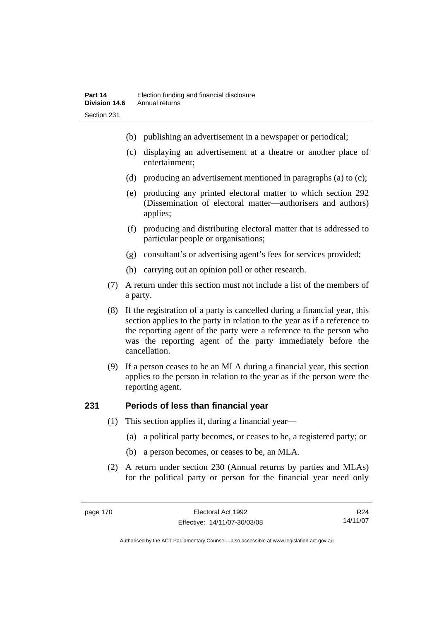- (b) publishing an advertisement in a newspaper or periodical;
- (c) displaying an advertisement at a theatre or another place of entertainment;
- (d) producing an advertisement mentioned in paragraphs (a) to (c);
- (e) producing any printed electoral matter to which section 292 (Dissemination of electoral matter—authorisers and authors) applies;
- (f) producing and distributing electoral matter that is addressed to particular people or organisations;
- (g) consultant's or advertising agent's fees for services provided;
- (h) carrying out an opinion poll or other research.
- (7) A return under this section must not include a list of the members of a party.
- (8) If the registration of a party is cancelled during a financial year, this section applies to the party in relation to the year as if a reference to the reporting agent of the party were a reference to the person who was the reporting agent of the party immediately before the cancellation.
- (9) If a person ceases to be an MLA during a financial year, this section applies to the person in relation to the year as if the person were the reporting agent.

# **231 Periods of less than financial year**

- (1) This section applies if, during a financial year—
	- (a) a political party becomes, or ceases to be, a registered party; or
	- (b) a person becomes, or ceases to be, an MLA.
- (2) A return under section 230 (Annual returns by parties and MLAs) for the political party or person for the financial year need only

R24 14/11/07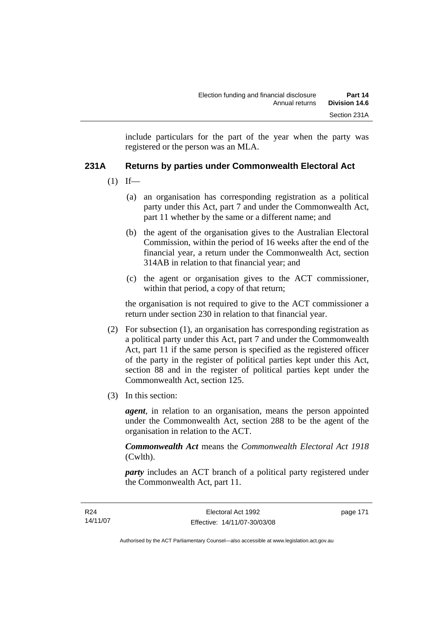include particulars for the part of the year when the party was registered or the person was an MLA.

# **231A Returns by parties under Commonwealth Electoral Act**

- $(1)$  If—
	- (a) an organisation has corresponding registration as a political party under this Act, part 7 and under the Commonwealth Act, part 11 whether by the same or a different name; and
	- (b) the agent of the organisation gives to the Australian Electoral Commission, within the period of 16 weeks after the end of the financial year, a return under the Commonwealth Act, section 314AB in relation to that financial year; and
	- (c) the agent or organisation gives to the ACT commissioner, within that period, a copy of that return;

the organisation is not required to give to the ACT commissioner a return under section 230 in relation to that financial year.

- (2) For subsection (1), an organisation has corresponding registration as a political party under this Act, part 7 and under the Commonwealth Act, part 11 if the same person is specified as the registered officer of the party in the register of political parties kept under this Act, section 88 and in the register of political parties kept under the Commonwealth Act, section 125.
- (3) In this section:

*agent*, in relation to an organisation, means the person appointed under the Commonwealth Act, section 288 to be the agent of the organisation in relation to the ACT.

*Commonwealth Act* means the *Commonwealth Electoral Act 1918* (Cwlth).

*party* includes an ACT branch of a political party registered under the Commonwealth Act, part 11.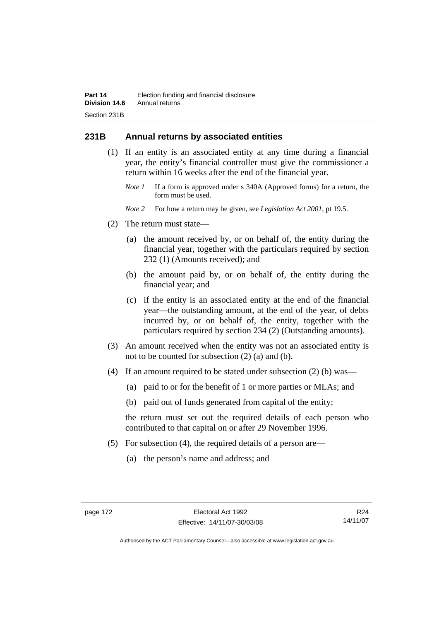# **231B Annual returns by associated entities**

- (1) If an entity is an associated entity at any time during a financial year, the entity's financial controller must give the commissioner a return within 16 weeks after the end of the financial year.
	- *Note 1* If a form is approved under s 340A (Approved forms) for a return, the form must be used.
	- *Note 2* For how a return may be given, see *Legislation Act 2001*, pt 19.5.
- (2) The return must state—
	- (a) the amount received by, or on behalf of, the entity during the financial year, together with the particulars required by section 232 (1) (Amounts received); and
	- (b) the amount paid by, or on behalf of, the entity during the financial year; and
	- (c) if the entity is an associated entity at the end of the financial year—the outstanding amount, at the end of the year, of debts incurred by, or on behalf of, the entity, together with the particulars required by section 234 (2) (Outstanding amounts).
- (3) An amount received when the entity was not an associated entity is not to be counted for subsection (2) (a) and (b).
- (4) If an amount required to be stated under subsection (2) (b) was—
	- (a) paid to or for the benefit of 1 or more parties or MLAs; and
	- (b) paid out of funds generated from capital of the entity;

the return must set out the required details of each person who contributed to that capital on or after 29 November 1996.

- (5) For subsection (4), the required details of a person are—
	- (a) the person's name and address; and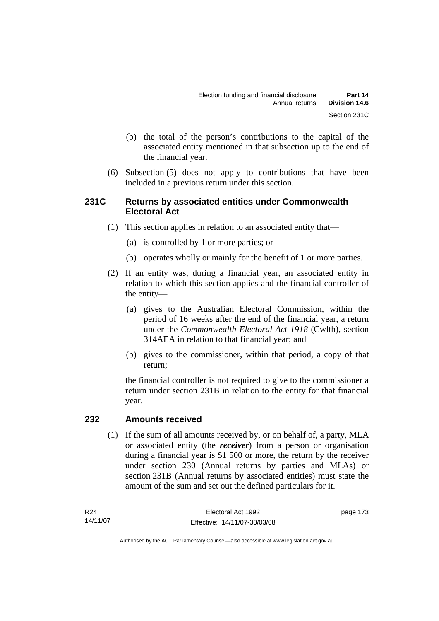- (b) the total of the person's contributions to the capital of the associated entity mentioned in that subsection up to the end of the financial year.
- (6) Subsection (5) does not apply to contributions that have been included in a previous return under this section.

# **231C Returns by associated entities under Commonwealth Electoral Act**

- (1) This section applies in relation to an associated entity that—
	- (a) is controlled by 1 or more parties; or
	- (b) operates wholly or mainly for the benefit of 1 or more parties.
- (2) If an entity was, during a financial year, an associated entity in relation to which this section applies and the financial controller of the entity—
	- (a) gives to the Australian Electoral Commission, within the period of 16 weeks after the end of the financial year, a return under the *Commonwealth Electoral Act 1918* (Cwlth), section 314AEA in relation to that financial year; and
	- (b) gives to the commissioner, within that period, a copy of that return;

the financial controller is not required to give to the commissioner a return under section 231B in relation to the entity for that financial year.

### **232 Amounts received**

 (1) If the sum of all amounts received by, or on behalf of, a party, MLA or associated entity (the *receiver*) from a person or organisation during a financial year is \$1 500 or more, the return by the receiver under section 230 (Annual returns by parties and MLAs) or section 231B (Annual returns by associated entities) must state the amount of the sum and set out the defined particulars for it.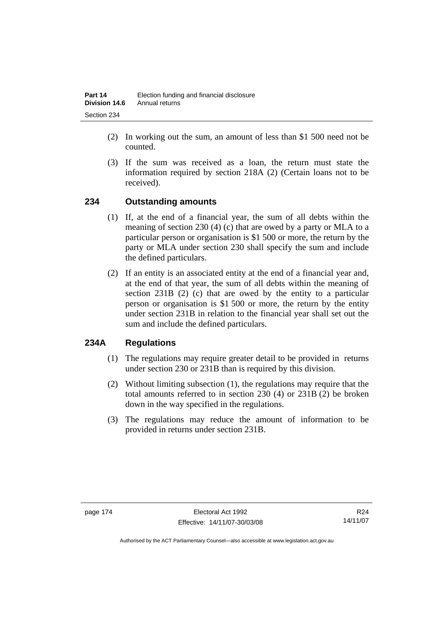- (2) In working out the sum, an amount of less than \$1 500 need not be counted.
- (3) If the sum was received as a loan, the return must state the information required by section 218A (2) (Certain loans not to be received).

# **234 Outstanding amounts**

- (1) If, at the end of a financial year, the sum of all debts within the meaning of section 230 (4) (c) that are owed by a party or MLA to a particular person or organisation is \$1 500 or more, the return by the party or MLA under section 230 shall specify the sum and include the defined particulars.
- (2) If an entity is an associated entity at the end of a financial year and, at the end of that year, the sum of all debts within the meaning of section 231B (2) (c) that are owed by the entity to a particular person or organisation is \$1 500 or more, the return by the entity under section 231B in relation to the financial year shall set out the sum and include the defined particulars.

# **234A Regulations**

- (1) The regulations may require greater detail to be provided in returns under section 230 or 231B than is required by this division.
- (2) Without limiting subsection (1), the regulations may require that the total amounts referred to in section 230 (4) or 231B (2) be broken down in the way specified in the regulations.
- (3) The regulations may reduce the amount of information to be provided in returns under section 231B.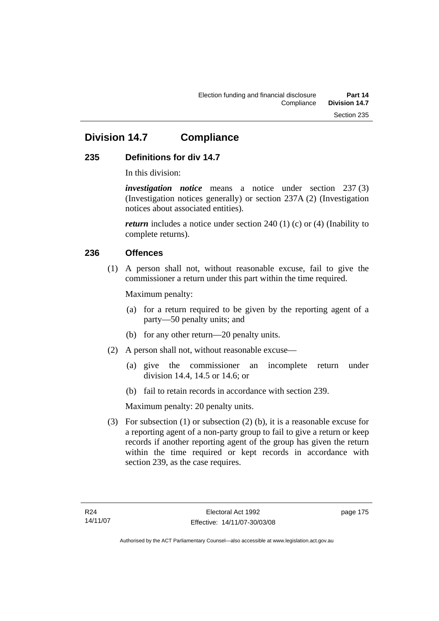# **Division 14.7 Compliance**

# **235 Definitions for div 14.7**

In this division:

*investigation notice* means a notice under section 237 (3) (Investigation notices generally) or section 237A (2) (Investigation notices about associated entities).

*return* includes a notice under section 240 (1) (c) or (4) (Inability to complete returns).

## **236 Offences**

 (1) A person shall not, without reasonable excuse, fail to give the commissioner a return under this part within the time required.

Maximum penalty:

- (a) for a return required to be given by the reporting agent of a party—50 penalty units; and
- (b) for any other return—20 penalty units.
- (2) A person shall not, without reasonable excuse—
	- (a) give the commissioner an incomplete return under division 14.4, 14.5 or 14.6; or
	- (b) fail to retain records in accordance with section 239.

Maximum penalty: 20 penalty units.

 (3) For subsection (1) or subsection (2) (b), it is a reasonable excuse for a reporting agent of a non-party group to fail to give a return or keep records if another reporting agent of the group has given the return within the time required or kept records in accordance with section 239, as the case requires.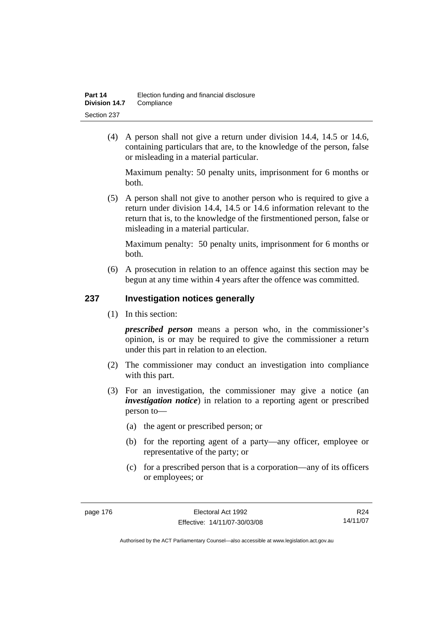(4) A person shall not give a return under division 14.4, 14.5 or 14.6, containing particulars that are, to the knowledge of the person, false or misleading in a material particular.

Maximum penalty: 50 penalty units, imprisonment for 6 months or both.

 (5) A person shall not give to another person who is required to give a return under division 14.4, 14.5 or 14.6 information relevant to the return that is, to the knowledge of the firstmentioned person, false or misleading in a material particular.

Maximum penalty: 50 penalty units, imprisonment for 6 months or both.

 (6) A prosecution in relation to an offence against this section may be begun at any time within 4 years after the offence was committed.

### **237 Investigation notices generally**

(1) In this section:

*prescribed person* means a person who, in the commissioner's opinion, is or may be required to give the commissioner a return under this part in relation to an election.

- (2) The commissioner may conduct an investigation into compliance with this part.
- (3) For an investigation, the commissioner may give a notice (an *investigation notice*) in relation to a reporting agent or prescribed person to—
	- (a) the agent or prescribed person; or
	- (b) for the reporting agent of a party—any officer, employee or representative of the party; or
	- (c) for a prescribed person that is a corporation—any of its officers or employees; or

R24 14/11/07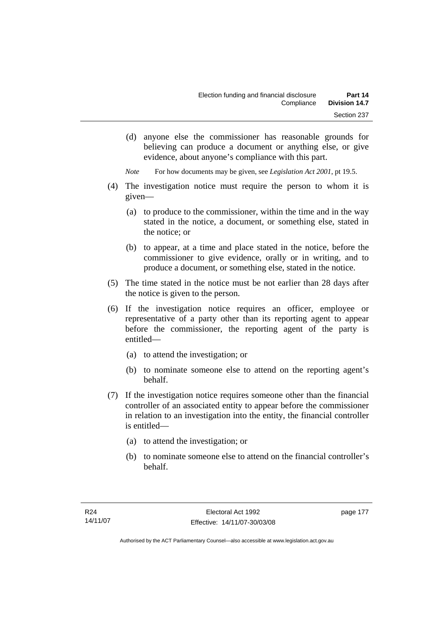(d) anyone else the commissioner has reasonable grounds for believing can produce a document or anything else, or give evidence, about anyone's compliance with this part.

*Note* For how documents may be given, see *Legislation Act 2001*, pt 19.5.

- (4) The investigation notice must require the person to whom it is given—
	- (a) to produce to the commissioner, within the time and in the way stated in the notice, a document, or something else, stated in the notice; or
	- (b) to appear, at a time and place stated in the notice, before the commissioner to give evidence, orally or in writing, and to produce a document, or something else, stated in the notice.
- (5) The time stated in the notice must be not earlier than 28 days after the notice is given to the person.
- (6) If the investigation notice requires an officer, employee or representative of a party other than its reporting agent to appear before the commissioner, the reporting agent of the party is entitled—
	- (a) to attend the investigation; or
	- (b) to nominate someone else to attend on the reporting agent's behalf.
- (7) If the investigation notice requires someone other than the financial controller of an associated entity to appear before the commissioner in relation to an investigation into the entity, the financial controller is entitled—
	- (a) to attend the investigation; or
	- (b) to nominate someone else to attend on the financial controller's behalf.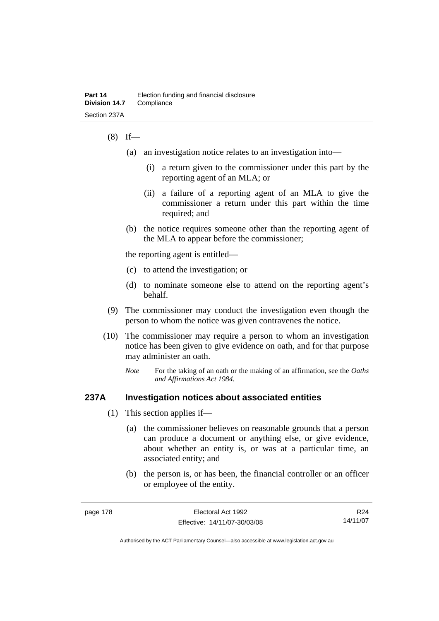### $(8)$  If—

- (a) an investigation notice relates to an investigation into—
	- (i) a return given to the commissioner under this part by the reporting agent of an MLA; or
	- (ii) a failure of a reporting agent of an MLA to give the commissioner a return under this part within the time required; and
- (b) the notice requires someone other than the reporting agent of the MLA to appear before the commissioner;

the reporting agent is entitled—

- (c) to attend the investigation; or
- (d) to nominate someone else to attend on the reporting agent's behalf.
- (9) The commissioner may conduct the investigation even though the person to whom the notice was given contravenes the notice.
- (10) The commissioner may require a person to whom an investigation notice has been given to give evidence on oath, and for that purpose may administer an oath.
	- *Note* For the taking of an oath or the making of an affirmation, see the *Oaths and Affirmations Act 1984.*

### **237A Investigation notices about associated entities**

- (1) This section applies if—
	- (a) the commissioner believes on reasonable grounds that a person can produce a document or anything else, or give evidence, about whether an entity is, or was at a particular time, an associated entity; and
	- (b) the person is, or has been, the financial controller or an officer or employee of the entity.

R24 14/11/07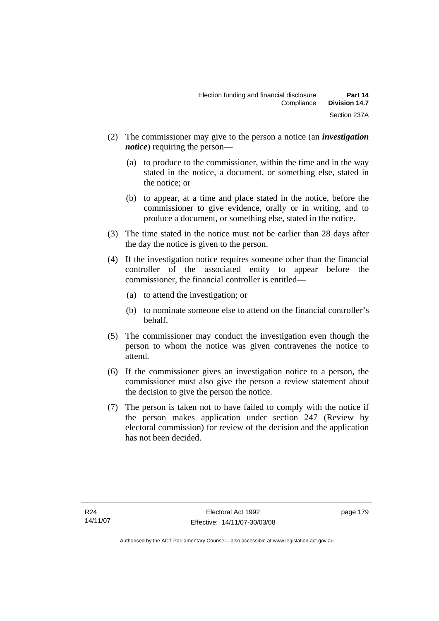- (2) The commissioner may give to the person a notice (an *investigation notice*) requiring the person—
	- (a) to produce to the commissioner, within the time and in the way stated in the notice, a document, or something else, stated in the notice; or
	- (b) to appear, at a time and place stated in the notice, before the commissioner to give evidence, orally or in writing, and to produce a document, or something else, stated in the notice.
- (3) The time stated in the notice must not be earlier than 28 days after the day the notice is given to the person.
- (4) If the investigation notice requires someone other than the financial controller of the associated entity to appear before the commissioner, the financial controller is entitled—
	- (a) to attend the investigation; or
	- (b) to nominate someone else to attend on the financial controller's behalf.
- (5) The commissioner may conduct the investigation even though the person to whom the notice was given contravenes the notice to attend.
- (6) If the commissioner gives an investigation notice to a person, the commissioner must also give the person a review statement about the decision to give the person the notice.
- (7) The person is taken not to have failed to comply with the notice if the person makes application under section 247 (Review by electoral commission) for review of the decision and the application has not been decided.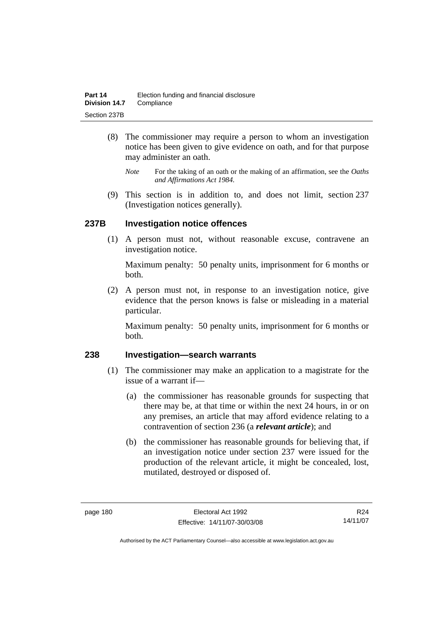- (8) The commissioner may require a person to whom an investigation notice has been given to give evidence on oath, and for that purpose may administer an oath.
	- *Note* For the taking of an oath or the making of an affirmation, see the *Oaths and Affirmations Act 1984.*
- (9) This section is in addition to, and does not limit, section 237 (Investigation notices generally).

### **237B Investigation notice offences**

 (1) A person must not, without reasonable excuse, contravene an investigation notice.

Maximum penalty: 50 penalty units, imprisonment for 6 months or both.

 (2) A person must not, in response to an investigation notice, give evidence that the person knows is false or misleading in a material particular.

Maximum penalty: 50 penalty units, imprisonment for 6 months or both.

### **238 Investigation—search warrants**

- (1) The commissioner may make an application to a magistrate for the issue of a warrant if—
	- (a) the commissioner has reasonable grounds for suspecting that there may be, at that time or within the next 24 hours, in or on any premises, an article that may afford evidence relating to a contravention of section 236 (a *relevant article*); and
	- (b) the commissioner has reasonable grounds for believing that, if an investigation notice under section 237 were issued for the production of the relevant article, it might be concealed, lost, mutilated, destroyed or disposed of.

R24 14/11/07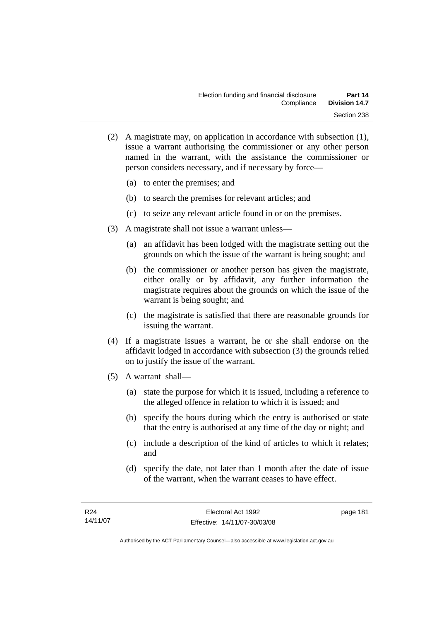- (2) A magistrate may, on application in accordance with subsection (1), issue a warrant authorising the commissioner or any other person named in the warrant, with the assistance the commissioner or person considers necessary, and if necessary by force—
	- (a) to enter the premises; and
	- (b) to search the premises for relevant articles; and
	- (c) to seize any relevant article found in or on the premises.
- (3) A magistrate shall not issue a warrant unless—
	- (a) an affidavit has been lodged with the magistrate setting out the grounds on which the issue of the warrant is being sought; and
	- (b) the commissioner or another person has given the magistrate, either orally or by affidavit, any further information the magistrate requires about the grounds on which the issue of the warrant is being sought; and
	- (c) the magistrate is satisfied that there are reasonable grounds for issuing the warrant.
- (4) If a magistrate issues a warrant, he or she shall endorse on the affidavit lodged in accordance with subsection (3) the grounds relied on to justify the issue of the warrant.
- (5) A warrant shall—
	- (a) state the purpose for which it is issued, including a reference to the alleged offence in relation to which it is issued; and
	- (b) specify the hours during which the entry is authorised or state that the entry is authorised at any time of the day or night; and
	- (c) include a description of the kind of articles to which it relates; and
	- (d) specify the date, not later than 1 month after the date of issue of the warrant, when the warrant ceases to have effect.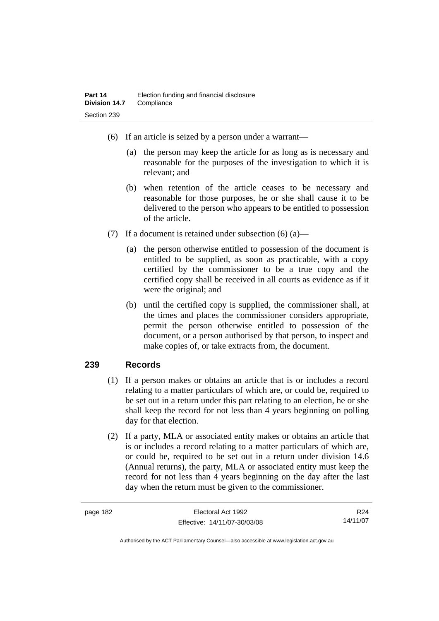- (6) If an article is seized by a person under a warrant—
	- (a) the person may keep the article for as long as is necessary and reasonable for the purposes of the investigation to which it is relevant; and
	- (b) when retention of the article ceases to be necessary and reasonable for those purposes, he or she shall cause it to be delivered to the person who appears to be entitled to possession of the article.
- (7) If a document is retained under subsection  $(6)$  (a)—
	- (a) the person otherwise entitled to possession of the document is entitled to be supplied, as soon as practicable, with a copy certified by the commissioner to be a true copy and the certified copy shall be received in all courts as evidence as if it were the original; and
	- (b) until the certified copy is supplied, the commissioner shall, at the times and places the commissioner considers appropriate, permit the person otherwise entitled to possession of the document, or a person authorised by that person, to inspect and make copies of, or take extracts from, the document.

### **239 Records**

- (1) If a person makes or obtains an article that is or includes a record relating to a matter particulars of which are, or could be, required to be set out in a return under this part relating to an election, he or she shall keep the record for not less than 4 years beginning on polling day for that election.
- (2) If a party, MLA or associated entity makes or obtains an article that is or includes a record relating to a matter particulars of which are, or could be, required to be set out in a return under division 14.6 (Annual returns), the party, MLA or associated entity must keep the record for not less than 4 years beginning on the day after the last day when the return must be given to the commissioner.

| page 182 | Electoral Act 1992           | R <sub>24</sub> |
|----------|------------------------------|-----------------|
|          | Effective: 14/11/07-30/03/08 | 14/11/07        |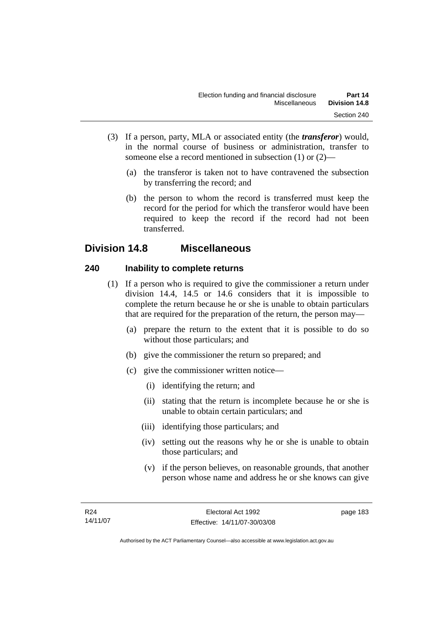- (3) If a person, party, MLA or associated entity (the *transferor*) would, in the normal course of business or administration, transfer to someone else a record mentioned in subsection (1) or (2)—
	- (a) the transferor is taken not to have contravened the subsection by transferring the record; and
	- (b) the person to whom the record is transferred must keep the record for the period for which the transferor would have been required to keep the record if the record had not been transferred.

# **Division 14.8 Miscellaneous**

# **240 Inability to complete returns**

- (1) If a person who is required to give the commissioner a return under division 14.4, 14.5 or 14.6 considers that it is impossible to complete the return because he or she is unable to obtain particulars that are required for the preparation of the return, the person may—
	- (a) prepare the return to the extent that it is possible to do so without those particulars; and
	- (b) give the commissioner the return so prepared; and
	- (c) give the commissioner written notice—
		- (i) identifying the return; and
		- (ii) stating that the return is incomplete because he or she is unable to obtain certain particulars; and
		- (iii) identifying those particulars; and
		- (iv) setting out the reasons why he or she is unable to obtain those particulars; and
		- (v) if the person believes, on reasonable grounds, that another person whose name and address he or she knows can give

page 183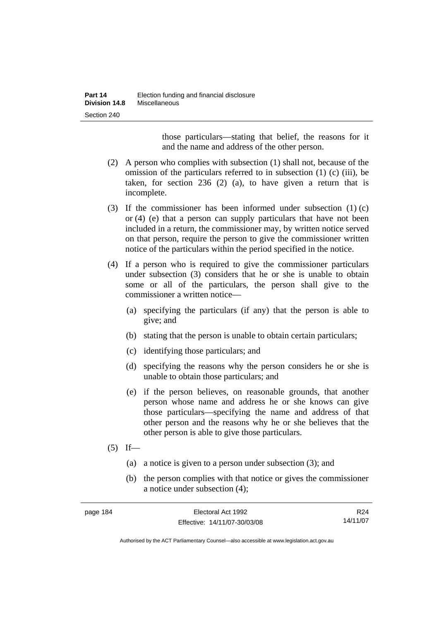those particulars—stating that belief, the reasons for it and the name and address of the other person.

- (2) A person who complies with subsection (1) shall not, because of the omission of the particulars referred to in subsection (1) (c) (iii), be taken, for section 236 (2) (a), to have given a return that is incomplete.
- (3) If the commissioner has been informed under subsection (1) (c) or (4) (e) that a person can supply particulars that have not been included in a return, the commissioner may, by written notice served on that person, require the person to give the commissioner written notice of the particulars within the period specified in the notice.
- (4) If a person who is required to give the commissioner particulars under subsection (3) considers that he or she is unable to obtain some or all of the particulars, the person shall give to the commissioner a written notice—
	- (a) specifying the particulars (if any) that the person is able to give; and
	- (b) stating that the person is unable to obtain certain particulars;
	- (c) identifying those particulars; and
	- (d) specifying the reasons why the person considers he or she is unable to obtain those particulars; and
	- (e) if the person believes, on reasonable grounds, that another person whose name and address he or she knows can give those particulars—specifying the name and address of that other person and the reasons why he or she believes that the other person is able to give those particulars.
- $(5)$  If—
	- (a) a notice is given to a person under subsection (3); and
	- (b) the person complies with that notice or gives the commissioner a notice under subsection (4);

| page 184 | Electoral Act 1992           | R <sub>24</sub> |
|----------|------------------------------|-----------------|
|          | Effective: 14/11/07-30/03/08 | 14/11/07        |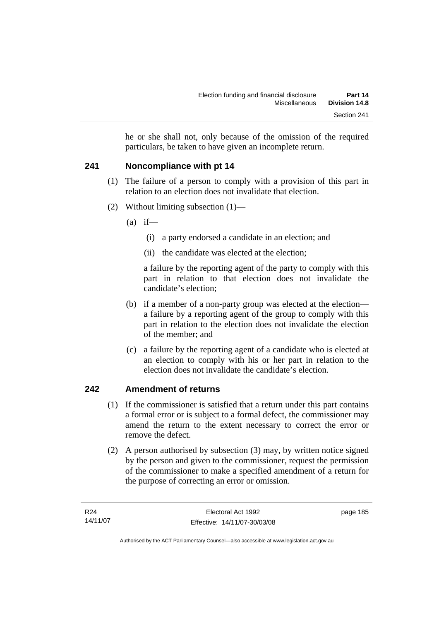he or she shall not, only because of the omission of the required particulars, be taken to have given an incomplete return.

# **241 Noncompliance with pt 14**

- (1) The failure of a person to comply with a provision of this part in relation to an election does not invalidate that election.
- (2) Without limiting subsection (1)—
	- $(a)$  if—
		- (i) a party endorsed a candidate in an election; and
		- (ii) the candidate was elected at the election;

a failure by the reporting agent of the party to comply with this part in relation to that election does not invalidate the candidate's election;

- (b) if a member of a non-party group was elected at the election a failure by a reporting agent of the group to comply with this part in relation to the election does not invalidate the election of the member; and
- (c) a failure by the reporting agent of a candidate who is elected at an election to comply with his or her part in relation to the election does not invalidate the candidate's election.

# **242 Amendment of returns**

- (1) If the commissioner is satisfied that a return under this part contains a formal error or is subject to a formal defect, the commissioner may amend the return to the extent necessary to correct the error or remove the defect.
- (2) A person authorised by subsection (3) may, by written notice signed by the person and given to the commissioner, request the permission of the commissioner to make a specified amendment of a return for the purpose of correcting an error or omission.

page 185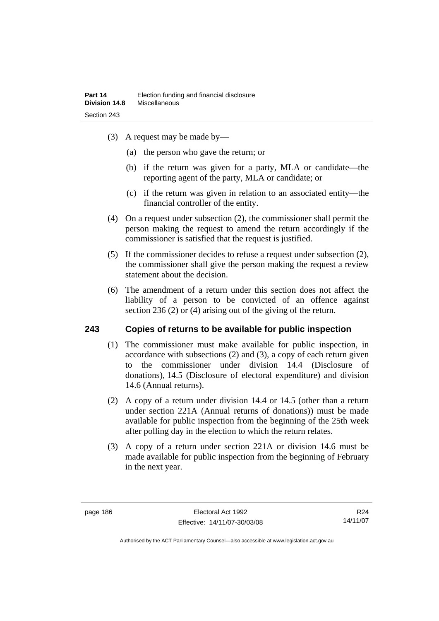- (3) A request may be made by—
	- (a) the person who gave the return; or
	- (b) if the return was given for a party, MLA or candidate—the reporting agent of the party, MLA or candidate; or
	- (c) if the return was given in relation to an associated entity—the financial controller of the entity.
- (4) On a request under subsection (2), the commissioner shall permit the person making the request to amend the return accordingly if the commissioner is satisfied that the request is justified.
- (5) If the commissioner decides to refuse a request under subsection (2), the commissioner shall give the person making the request a review statement about the decision.
- (6) The amendment of a return under this section does not affect the liability of a person to be convicted of an offence against section 236 (2) or (4) arising out of the giving of the return.

### **243 Copies of returns to be available for public inspection**

- (1) The commissioner must make available for public inspection, in accordance with subsections (2) and (3), a copy of each return given to the commissioner under division 14.4 (Disclosure of donations), 14.5 (Disclosure of electoral expenditure) and division 14.6 (Annual returns).
- (2) A copy of a return under division 14.4 or 14.5 (other than a return under section 221A (Annual returns of donations)) must be made available for public inspection from the beginning of the 25th week after polling day in the election to which the return relates.
- (3) A copy of a return under section 221A or division 14.6 must be made available for public inspection from the beginning of February in the next year.

R24 14/11/07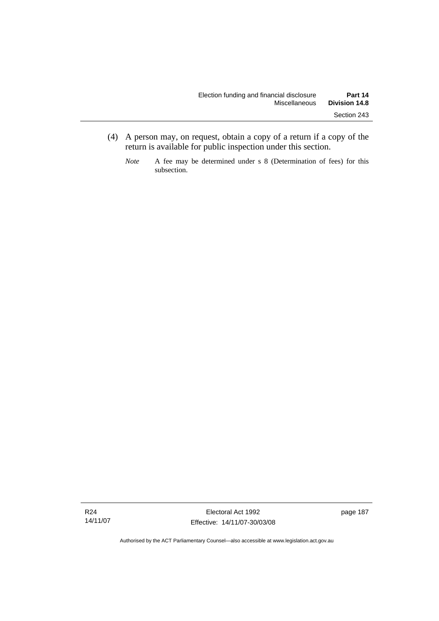- (4) A person may, on request, obtain a copy of a return if a copy of the return is available for public inspection under this section.
	- *Note* A fee may be determined under s 8 (Determination of fees) for this subsection.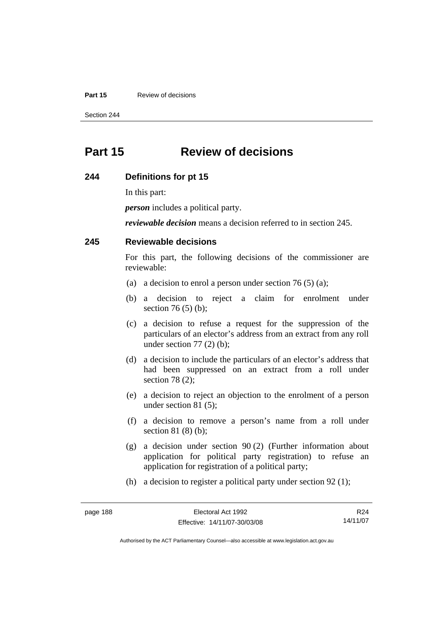#### **Part 15 Review of decisions**

Section 244

# **Part 15 Review of decisions**

#### **244 Definitions for pt 15**

In this part:

*person* includes a political party.

*reviewable decision* means a decision referred to in section 245.

### **245 Reviewable decisions**

For this part, the following decisions of the commissioner are reviewable:

- (a) a decision to enrol a person under section 76 (5) (a);
- (b) a decision to reject a claim for enrolment under section 76 (5) (b);
- (c) a decision to refuse a request for the suppression of the particulars of an elector's address from an extract from any roll under section  $77(2)$  (b);
- (d) a decision to include the particulars of an elector's address that had been suppressed on an extract from a roll under section 78 (2);
- (e) a decision to reject an objection to the enrolment of a person under section 81 (5);
- (f) a decision to remove a person's name from a roll under section 81 (8) (b);
- (g) a decision under section 90 (2) (Further information about application for political party registration) to refuse an application for registration of a political party;

(h) a decision to register a political party under section 92 (1);

| page 188 | Electoral Act 1992           | R <sub>24</sub> |
|----------|------------------------------|-----------------|
|          | Effective: 14/11/07-30/03/08 | 14/11/07        |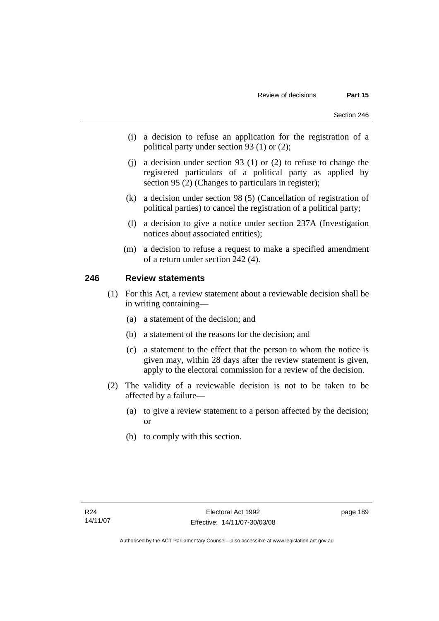- (i) a decision to refuse an application for the registration of a political party under section 93 (1) or (2);
- (j) a decision under section 93 (1) or (2) to refuse to change the registered particulars of a political party as applied by section 95 (2) (Changes to particulars in register);
- (k) a decision under section 98 (5) (Cancellation of registration of political parties) to cancel the registration of a political party;
- (l) a decision to give a notice under section 237A (Investigation notices about associated entities);
- (m) a decision to refuse a request to make a specified amendment of a return under section 242 (4).

## **246 Review statements**

- (1) For this Act, a review statement about a reviewable decision shall be in writing containing—
	- (a) a statement of the decision; and
	- (b) a statement of the reasons for the decision; and
	- (c) a statement to the effect that the person to whom the notice is given may, within 28 days after the review statement is given, apply to the electoral commission for a review of the decision.
- (2) The validity of a reviewable decision is not to be taken to be affected by a failure—
	- (a) to give a review statement to a person affected by the decision; or
	- (b) to comply with this section.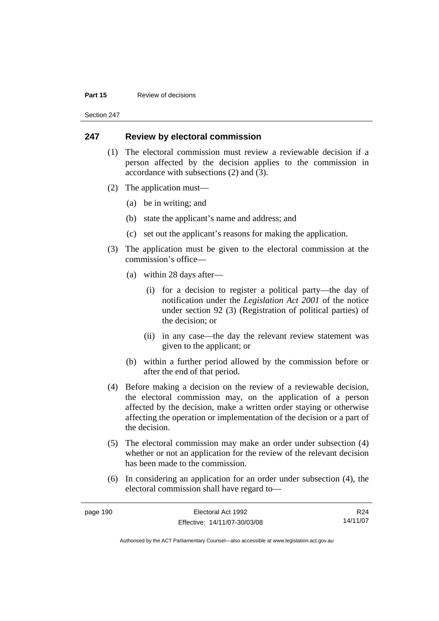#### **Part 15 Review of decisions**

Section 247

### **247 Review by electoral commission**

- (1) The electoral commission must review a reviewable decision if a person affected by the decision applies to the commission in accordance with subsections (2) and (3).
- (2) The application must—
	- (a) be in writing; and
	- (b) state the applicant's name and address; and
	- (c) set out the applicant's reasons for making the application.
- (3) The application must be given to the electoral commission at the commission's office—
	- (a) within 28 days after—
		- (i) for a decision to register a political party—the day of notification under the *Legislation Act 2001* of the notice under section 92 (3) (Registration of political parties) of the decision; or
		- (ii) in any case—the day the relevant review statement was given to the applicant; or
	- (b) within a further period allowed by the commission before or after the end of that period.
- (4) Before making a decision on the review of a reviewable decision, the electoral commission may, on the application of a person affected by the decision, make a written order staying or otherwise affecting the operation or implementation of the decision or a part of the decision.
- (5) The electoral commission may make an order under subsection (4) whether or not an application for the review of the relevant decision has been made to the commission.
- (6) In considering an application for an order under subsection (4), the electoral commission shall have regard to—

| page 190 | Electoral Act 1992           | R24      |
|----------|------------------------------|----------|
|          | Effective: 14/11/07-30/03/08 | 14/11/07 |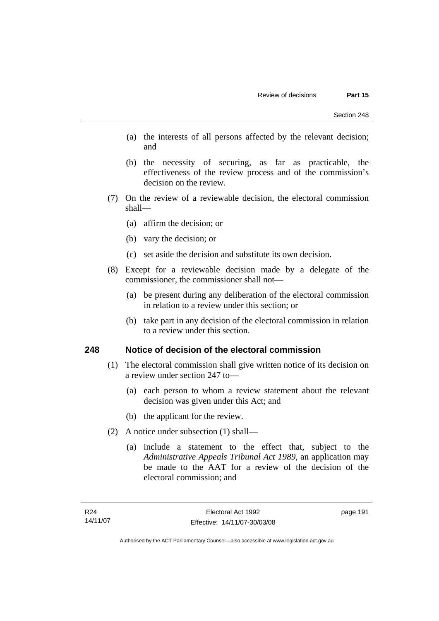- (a) the interests of all persons affected by the relevant decision; and
- (b) the necessity of securing, as far as practicable, the effectiveness of the review process and of the commission's decision on the review.
- (7) On the review of a reviewable decision, the electoral commission shall—
	- (a) affirm the decision; or
	- (b) vary the decision; or
	- (c) set aside the decision and substitute its own decision.
- (8) Except for a reviewable decision made by a delegate of the commissioner, the commissioner shall not—
	- (a) be present during any deliberation of the electoral commission in relation to a review under this section; or
	- (b) take part in any decision of the electoral commission in relation to a review under this section.

### **248 Notice of decision of the electoral commission**

- (1) The electoral commission shall give written notice of its decision on a review under section 247 to—
	- (a) each person to whom a review statement about the relevant decision was given under this Act; and
	- (b) the applicant for the review.
- (2) A notice under subsection (1) shall—
	- (a) include a statement to the effect that, subject to the *Administrative Appeals Tribunal Act 1989*, an application may be made to the AAT for a review of the decision of the electoral commission; and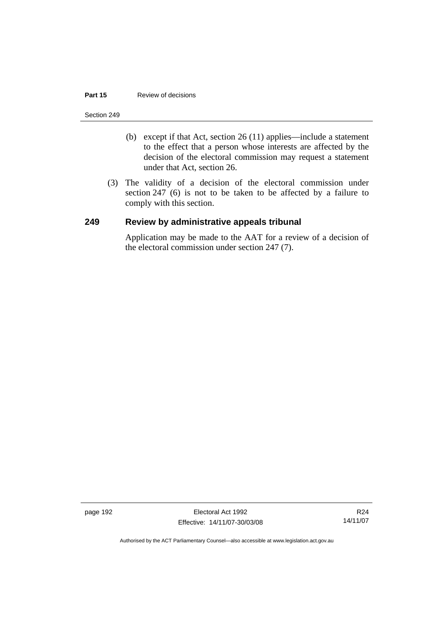#### **Part 15 Review of decisions**

#### Section 249

- (b) except if that Act, section 26 (11) applies—include a statement to the effect that a person whose interests are affected by the decision of the electoral commission may request a statement under that Act, section 26.
- (3) The validity of a decision of the electoral commission under section 247 (6) is not to be taken to be affected by a failure to comply with this section.

### **249 Review by administrative appeals tribunal**

Application may be made to the AAT for a review of a decision of the electoral commission under section 247 (7).

page 192 Electoral Act 1992 Effective: 14/11/07-30/03/08

R24 14/11/07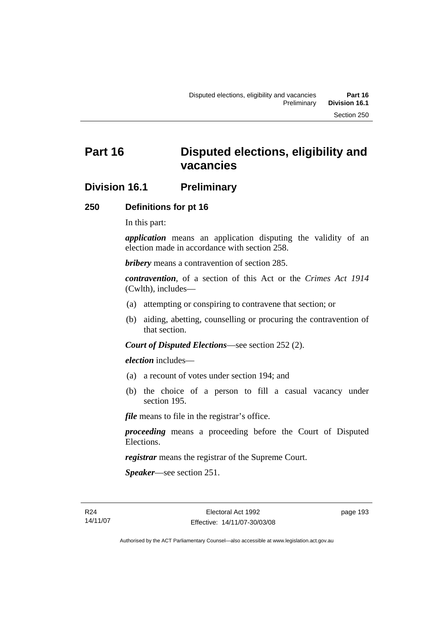# **Division 16.1 Preliminary**

### **250 Definitions for pt 16**

In this part:

*application* means an application disputing the validity of an election made in accordance with section 258.

*bribery* means a contravention of section 285.

*contravention*, of a section of this Act or the *Crimes Act 1914* (Cwlth), includes—

- (a) attempting or conspiring to contravene that section; or
- (b) aiding, abetting, counselling or procuring the contravention of that section.

*Court of Disputed Elections*—see section 252 (2).

*election* includes—

- (a) a recount of votes under section 194; and
- (b) the choice of a person to fill a casual vacancy under section 195.

*file* means to file in the registrar's office.

*proceeding* means a proceeding before the Court of Disputed Elections.

*registrar* means the registrar of the Supreme Court.

*Speaker*—see section 251.

R24 14/11/07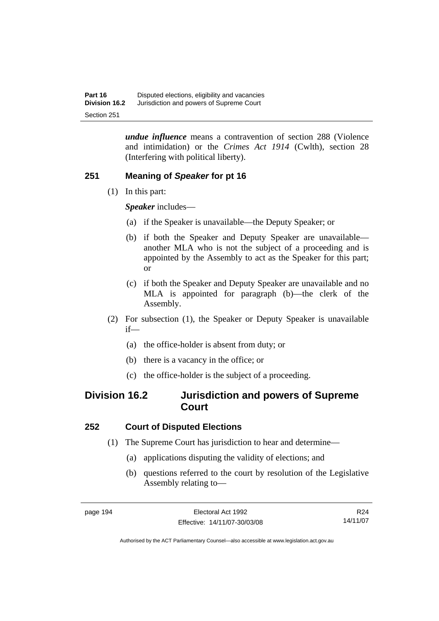*undue influence* means a contravention of section 288 (Violence and intimidation) or the *Crimes Act 1914* (Cwlth), section 28 (Interfering with political liberty).

# **251 Meaning of** *Speaker* **for pt 16**

(1) In this part:

*Speaker* includes—

- (a) if the Speaker is unavailable—the Deputy Speaker; or
- (b) if both the Speaker and Deputy Speaker are unavailable another MLA who is not the subject of a proceeding and is appointed by the Assembly to act as the Speaker for this part; or
- (c) if both the Speaker and Deputy Speaker are unavailable and no MLA is appointed for paragraph (b)—the clerk of the Assembly.
- (2) For subsection (1), the Speaker or Deputy Speaker is unavailable if—
	- (a) the office-holder is absent from duty; or
	- (b) there is a vacancy in the office; or
	- (c) the office-holder is the subject of a proceeding.

# **Division 16.2 Jurisdiction and powers of Supreme Court**

# **252 Court of Disputed Elections**

- (1) The Supreme Court has jurisdiction to hear and determine—
	- (a) applications disputing the validity of elections; and
	- (b) questions referred to the court by resolution of the Legislative Assembly relating to—

R24 14/11/07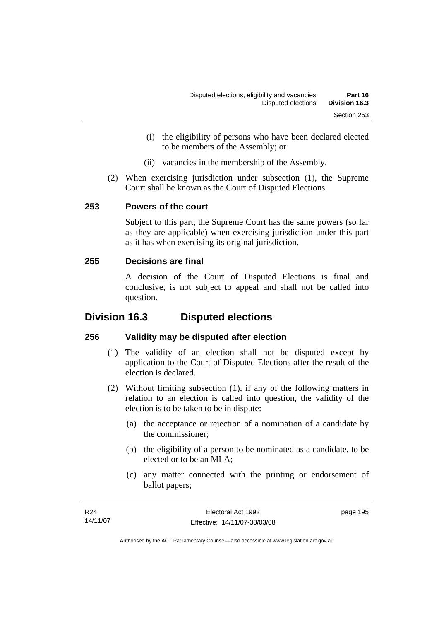- (i) the eligibility of persons who have been declared elected to be members of the Assembly; or
- (ii) vacancies in the membership of the Assembly.
- (2) When exercising jurisdiction under subsection (1), the Supreme Court shall be known as the Court of Disputed Elections.

## **253 Powers of the court**

Subject to this part, the Supreme Court has the same powers (so far as they are applicable) when exercising jurisdiction under this part as it has when exercising its original jurisdiction.

## **255 Decisions are final**

A decision of the Court of Disputed Elections is final and conclusive, is not subject to appeal and shall not be called into question.

# **Division 16.3 Disputed elections**

# **256 Validity may be disputed after election**

- (1) The validity of an election shall not be disputed except by application to the Court of Disputed Elections after the result of the election is declared.
- (2) Without limiting subsection (1), if any of the following matters in relation to an election is called into question, the validity of the election is to be taken to be in dispute:
	- (a) the acceptance or rejection of a nomination of a candidate by the commissioner;
	- (b) the eligibility of a person to be nominated as a candidate, to be elected or to be an MLA;
	- (c) any matter connected with the printing or endorsement of ballot papers;

| R24      | Electoral Act 1992           | page 195 |
|----------|------------------------------|----------|
| 14/11/07 | Effective: 14/11/07-30/03/08 |          |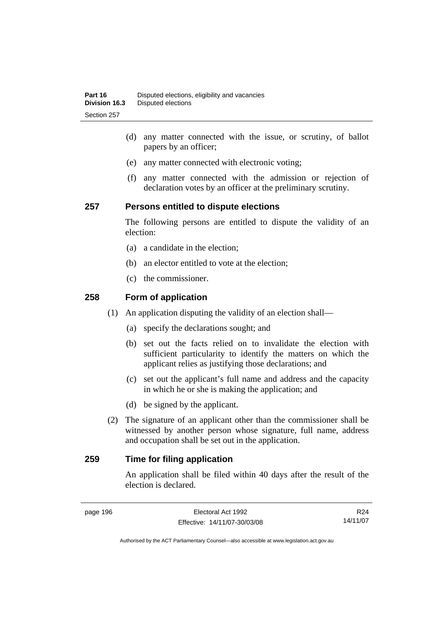- (d) any matter connected with the issue, or scrutiny, of ballot papers by an officer;
- (e) any matter connected with electronic voting;
- (f) any matter connected with the admission or rejection of declaration votes by an officer at the preliminary scrutiny.

### **257 Persons entitled to dispute elections**

The following persons are entitled to dispute the validity of an election:

- (a) a candidate in the election;
- (b) an elector entitled to vote at the election;
- (c) the commissioner.

### **258 Form of application**

- (1) An application disputing the validity of an election shall—
	- (a) specify the declarations sought; and
	- (b) set out the facts relied on to invalidate the election with sufficient particularity to identify the matters on which the applicant relies as justifying those declarations; and
	- (c) set out the applicant's full name and address and the capacity in which he or she is making the application; and
	- (d) be signed by the applicant.
- (2) The signature of an applicant other than the commissioner shall be witnessed by another person whose signature, full name, address and occupation shall be set out in the application.

# **259 Time for filing application**

An application shall be filed within 40 days after the result of the election is declared.

R24 14/11/07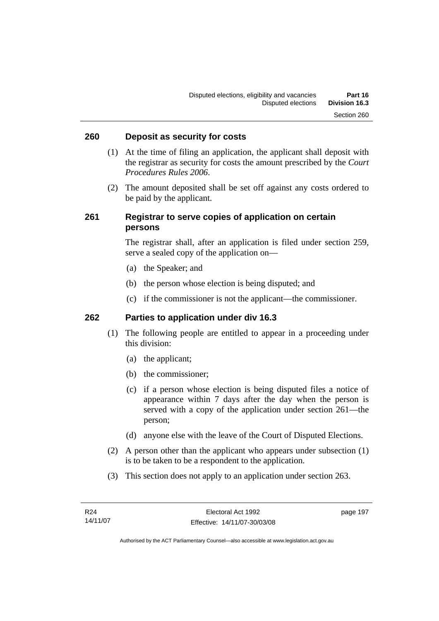### **260 Deposit as security for costs**

- (1) At the time of filing an application, the applicant shall deposit with the registrar as security for costs the amount prescribed by the *Court Procedures Rules 2006*.
- (2) The amount deposited shall be set off against any costs ordered to be paid by the applicant.

### **261 Registrar to serve copies of application on certain persons**

The registrar shall, after an application is filed under section 259, serve a sealed copy of the application on—

- (a) the Speaker; and
- (b) the person whose election is being disputed; and
- (c) if the commissioner is not the applicant—the commissioner.

### **262 Parties to application under div 16.3**

- (1) The following people are entitled to appear in a proceeding under this division:
	- (a) the applicant;
	- (b) the commissioner;
	- (c) if a person whose election is being disputed files a notice of appearance within 7 days after the day when the person is served with a copy of the application under section 261—the person;
	- (d) anyone else with the leave of the Court of Disputed Elections.
- (2) A person other than the applicant who appears under subsection (1) is to be taken to be a respondent to the application.
- (3) This section does not apply to an application under section 263.

page 197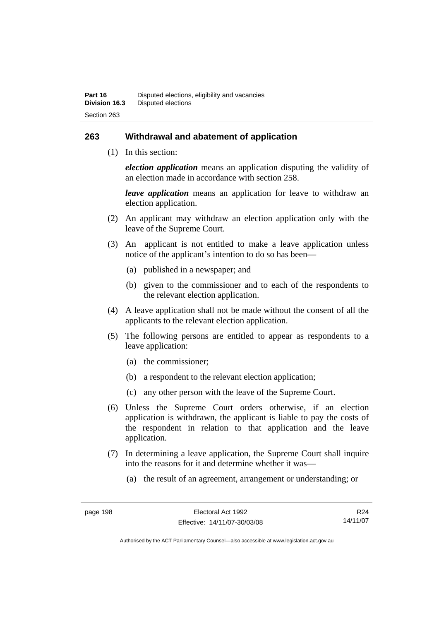### **263 Withdrawal and abatement of application**

(1) In this section:

*election application* means an application disputing the validity of an election made in accordance with section 258.

*leave application* means an application for leave to withdraw an election application.

- (2) An applicant may withdraw an election application only with the leave of the Supreme Court.
- (3) An applicant is not entitled to make a leave application unless notice of the applicant's intention to do so has been—
	- (a) published in a newspaper; and
	- (b) given to the commissioner and to each of the respondents to the relevant election application.
- (4) A leave application shall not be made without the consent of all the applicants to the relevant election application.
- (5) The following persons are entitled to appear as respondents to a leave application:
	- (a) the commissioner;
	- (b) a respondent to the relevant election application;
	- (c) any other person with the leave of the Supreme Court.
- (6) Unless the Supreme Court orders otherwise, if an election application is withdrawn, the applicant is liable to pay the costs of the respondent in relation to that application and the leave application.
- (7) In determining a leave application, the Supreme Court shall inquire into the reasons for it and determine whether it was—
	- (a) the result of an agreement, arrangement or understanding; or

R24 14/11/07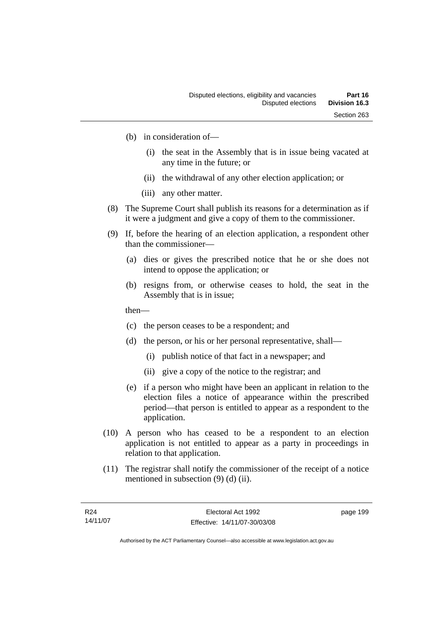- (b) in consideration of—
	- (i) the seat in the Assembly that is in issue being vacated at any time in the future; or
	- (ii) the withdrawal of any other election application; or
	- (iii) any other matter.
- (8) The Supreme Court shall publish its reasons for a determination as if it were a judgment and give a copy of them to the commissioner.
- (9) If, before the hearing of an election application, a respondent other than the commissioner—
	- (a) dies or gives the prescribed notice that he or she does not intend to oppose the application; or
	- (b) resigns from, or otherwise ceases to hold, the seat in the Assembly that is in issue;
	- then—
	- (c) the person ceases to be a respondent; and
	- (d) the person, or his or her personal representative, shall—
		- (i) publish notice of that fact in a newspaper; and
		- (ii) give a copy of the notice to the registrar; and
	- (e) if a person who might have been an applicant in relation to the election files a notice of appearance within the prescribed period—that person is entitled to appear as a respondent to the application.
- (10) A person who has ceased to be a respondent to an election application is not entitled to appear as a party in proceedings in relation to that application.
- (11) The registrar shall notify the commissioner of the receipt of a notice mentioned in subsection (9) (d) (ii).

page 199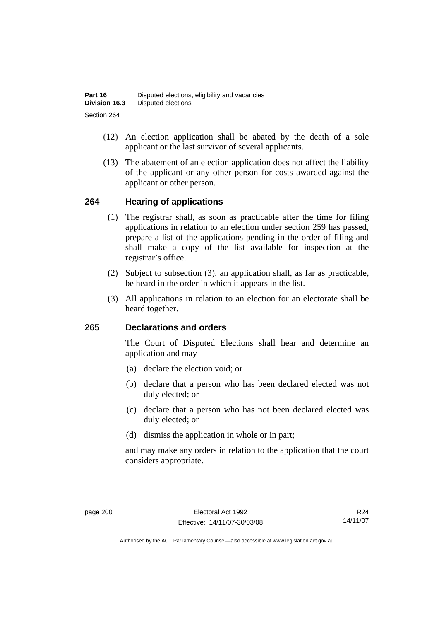- (12) An election application shall be abated by the death of a sole applicant or the last survivor of several applicants.
- (13) The abatement of an election application does not affect the liability of the applicant or any other person for costs awarded against the applicant or other person.

#### **264 Hearing of applications**

- (1) The registrar shall, as soon as practicable after the time for filing applications in relation to an election under section 259 has passed, prepare a list of the applications pending in the order of filing and shall make a copy of the list available for inspection at the registrar's office.
- (2) Subject to subsection (3), an application shall, as far as practicable, be heard in the order in which it appears in the list.
- (3) All applications in relation to an election for an electorate shall be heard together.

#### **265 Declarations and orders**

The Court of Disputed Elections shall hear and determine an application and may—

- (a) declare the election void; or
- (b) declare that a person who has been declared elected was not duly elected; or
- (c) declare that a person who has not been declared elected was duly elected; or
- (d) dismiss the application in whole or in part;

and may make any orders in relation to the application that the court considers appropriate.

R24 14/11/07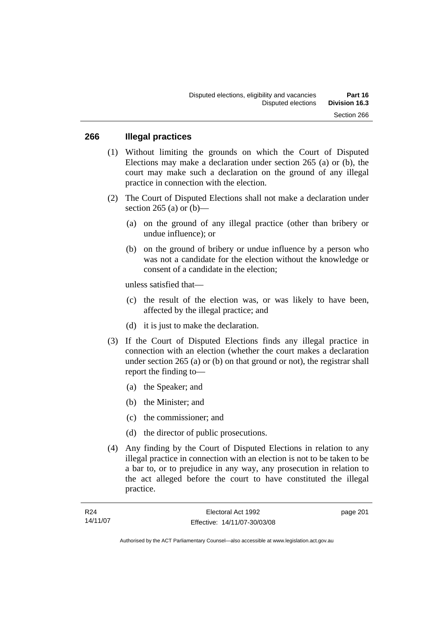#### **266 Illegal practices**

- (1) Without limiting the grounds on which the Court of Disputed Elections may make a declaration under section 265 (a) or (b), the court may make such a declaration on the ground of any illegal practice in connection with the election.
- (2) The Court of Disputed Elections shall not make a declaration under section 265 (a) or  $(b)$ —
	- (a) on the ground of any illegal practice (other than bribery or undue influence); or
	- (b) on the ground of bribery or undue influence by a person who was not a candidate for the election without the knowledge or consent of a candidate in the election;

unless satisfied that—

- (c) the result of the election was, or was likely to have been, affected by the illegal practice; and
- (d) it is just to make the declaration.
- (3) If the Court of Disputed Elections finds any illegal practice in connection with an election (whether the court makes a declaration under section 265 (a) or (b) on that ground or not), the registrar shall report the finding to—
	- (a) the Speaker; and
	- (b) the Minister; and
	- (c) the commissioner; and
	- (d) the director of public prosecutions.
- (4) Any finding by the Court of Disputed Elections in relation to any illegal practice in connection with an election is not to be taken to be a bar to, or to prejudice in any way, any prosecution in relation to the act alleged before the court to have constituted the illegal practice.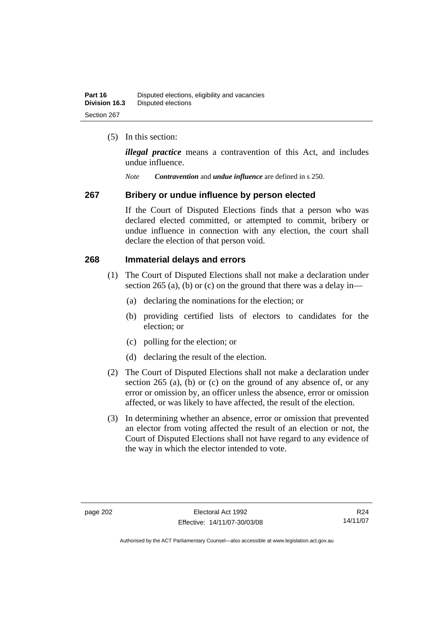(5) In this section:

*illegal practice* means a contravention of this Act, and includes undue influence.

*Note Contravention* and *undue influence* are defined in s 250.

#### **267 Bribery or undue influence by person elected**

If the Court of Disputed Elections finds that a person who was declared elected committed, or attempted to commit, bribery or undue influence in connection with any election, the court shall declare the election of that person void.

#### **268 Immaterial delays and errors**

- (1) The Court of Disputed Elections shall not make a declaration under section 265 (a), (b) or (c) on the ground that there was a delay in—
	- (a) declaring the nominations for the election; or
	- (b) providing certified lists of electors to candidates for the election; or
	- (c) polling for the election; or
	- (d) declaring the result of the election.
- (2) The Court of Disputed Elections shall not make a declaration under section 265 (a), (b) or (c) on the ground of any absence of, or any error or omission by, an officer unless the absence, error or omission affected, or was likely to have affected, the result of the election.
- (3) In determining whether an absence, error or omission that prevented an elector from voting affected the result of an election or not, the Court of Disputed Elections shall not have regard to any evidence of the way in which the elector intended to vote.

R24 14/11/07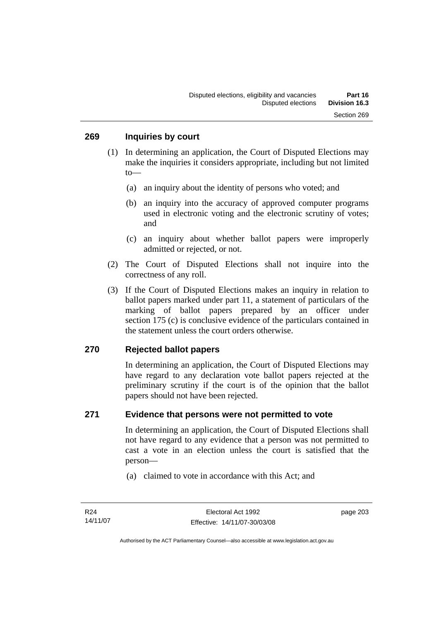- (1) In determining an application, the Court of Disputed Elections may make the inquiries it considers appropriate, including but not limited to—
	- (a) an inquiry about the identity of persons who voted; and
	- (b) an inquiry into the accuracy of approved computer programs used in electronic voting and the electronic scrutiny of votes; and
	- (c) an inquiry about whether ballot papers were improperly admitted or rejected, or not.
- (2) The Court of Disputed Elections shall not inquire into the correctness of any roll.
- (3) If the Court of Disputed Elections makes an inquiry in relation to ballot papers marked under part 11, a statement of particulars of the marking of ballot papers prepared by an officer under section 175 (c) is conclusive evidence of the particulars contained in the statement unless the court orders otherwise.

#### **270 Rejected ballot papers**

In determining an application, the Court of Disputed Elections may have regard to any declaration vote ballot papers rejected at the preliminary scrutiny if the court is of the opinion that the ballot papers should not have been rejected.

#### **271 Evidence that persons were not permitted to vote**

In determining an application, the Court of Disputed Elections shall not have regard to any evidence that a person was not permitted to cast a vote in an election unless the court is satisfied that the person—

(a) claimed to vote in accordance with this Act; and

page 203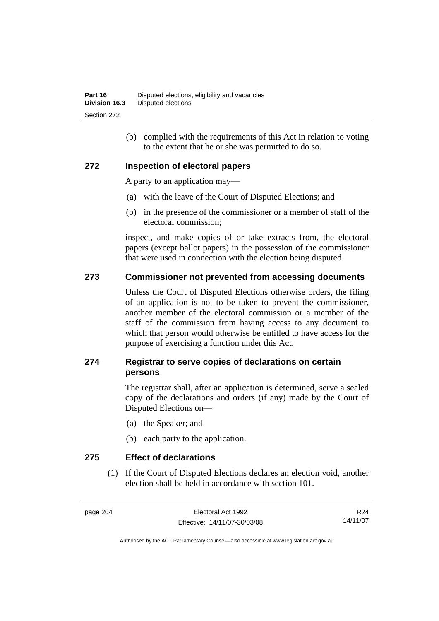(b) complied with the requirements of this Act in relation to voting to the extent that he or she was permitted to do so.

#### **272 Inspection of electoral papers**

A party to an application may—

- (a) with the leave of the Court of Disputed Elections; and
- (b) in the presence of the commissioner or a member of staff of the electoral commission;

inspect, and make copies of or take extracts from, the electoral papers (except ballot papers) in the possession of the commissioner that were used in connection with the election being disputed.

#### **273 Commissioner not prevented from accessing documents**

Unless the Court of Disputed Elections otherwise orders, the filing of an application is not to be taken to prevent the commissioner, another member of the electoral commission or a member of the staff of the commission from having access to any document to which that person would otherwise be entitled to have access for the purpose of exercising a function under this Act.

#### **274 Registrar to serve copies of declarations on certain persons**

The registrar shall, after an application is determined, serve a sealed copy of the declarations and orders (if any) made by the Court of Disputed Elections on—

- (a) the Speaker; and
- (b) each party to the application.

**275 Effect of declarations** 

 (1) If the Court of Disputed Elections declares an election void, another election shall be held in accordance with section 101.

page 204 Electoral Act 1992 Effective: 14/11/07-30/03/08

R24 14/11/07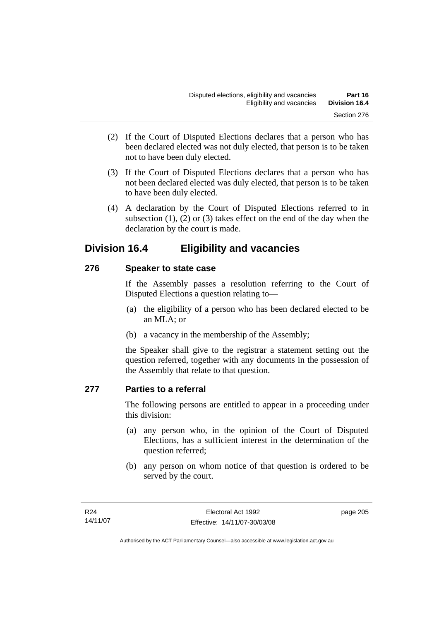- (2) If the Court of Disputed Elections declares that a person who has been declared elected was not duly elected, that person is to be taken not to have been duly elected.
- (3) If the Court of Disputed Elections declares that a person who has not been declared elected was duly elected, that person is to be taken to have been duly elected.
- (4) A declaration by the Court of Disputed Elections referred to in subsection  $(1)$ ,  $(2)$  or  $(3)$  takes effect on the end of the day when the declaration by the court is made.

## **Division 16.4 Eligibility and vacancies**

#### **276 Speaker to state case**

If the Assembly passes a resolution referring to the Court of Disputed Elections a question relating to—

- (a) the eligibility of a person who has been declared elected to be an MLA; or
- (b) a vacancy in the membership of the Assembly;

the Speaker shall give to the registrar a statement setting out the question referred, together with any documents in the possession of the Assembly that relate to that question.

#### **277 Parties to a referral**

The following persons are entitled to appear in a proceeding under this division:

- (a) any person who, in the opinion of the Court of Disputed Elections, has a sufficient interest in the determination of the question referred;
- (b) any person on whom notice of that question is ordered to be served by the court.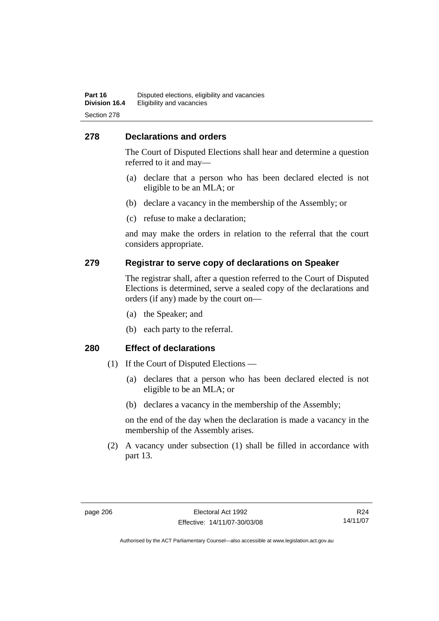#### **278 Declarations and orders**

The Court of Disputed Elections shall hear and determine a question referred to it and may—

- (a) declare that a person who has been declared elected is not eligible to be an MLA; or
- (b) declare a vacancy in the membership of the Assembly; or
- (c) refuse to make a declaration;

and may make the orders in relation to the referral that the court considers appropriate.

#### **279 Registrar to serve copy of declarations on Speaker**

The registrar shall, after a question referred to the Court of Disputed Elections is determined, serve a sealed copy of the declarations and orders (if any) made by the court on—

- (a) the Speaker; and
- (b) each party to the referral.

#### **280 Effect of declarations**

- (1) If the Court of Disputed Elections
	- (a) declares that a person who has been declared elected is not eligible to be an MLA; or
	- (b) declares a vacancy in the membership of the Assembly;

on the end of the day when the declaration is made a vacancy in the membership of the Assembly arises.

 (2) A vacancy under subsection (1) shall be filled in accordance with part 13.

R24 14/11/07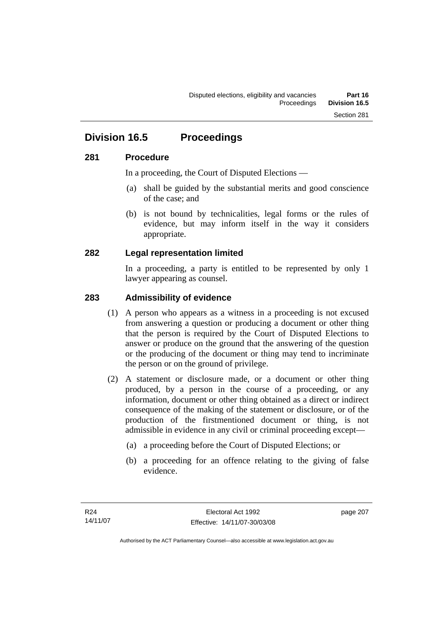## **Division 16.5 Proceedings**

#### **281 Procedure**

In a proceeding, the Court of Disputed Elections —

- (a) shall be guided by the substantial merits and good conscience of the case; and
- (b) is not bound by technicalities, legal forms or the rules of evidence, but may inform itself in the way it considers appropriate.

#### **282 Legal representation limited**

In a proceeding, a party is entitled to be represented by only 1 lawyer appearing as counsel.

#### **283 Admissibility of evidence**

- (1) A person who appears as a witness in a proceeding is not excused from answering a question or producing a document or other thing that the person is required by the Court of Disputed Elections to answer or produce on the ground that the answering of the question or the producing of the document or thing may tend to incriminate the person or on the ground of privilege.
- (2) A statement or disclosure made, or a document or other thing produced, by a person in the course of a proceeding, or any information, document or other thing obtained as a direct or indirect consequence of the making of the statement or disclosure, or of the production of the firstmentioned document or thing, is not admissible in evidence in any civil or criminal proceeding except—
	- (a) a proceeding before the Court of Disputed Elections; or
	- (b) a proceeding for an offence relating to the giving of false evidence.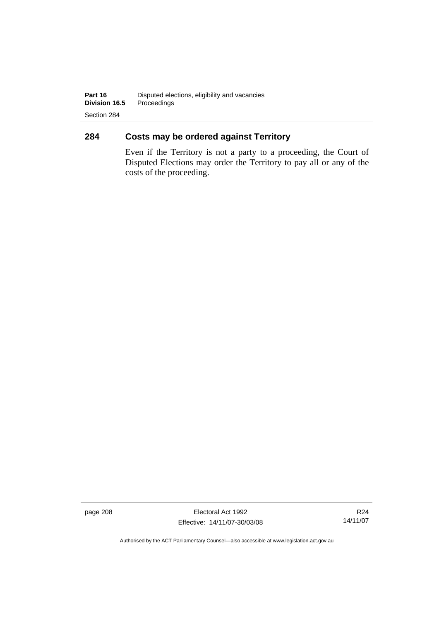### **284 Costs may be ordered against Territory**

Even if the Territory is not a party to a proceeding, the Court of Disputed Elections may order the Territory to pay all or any of the costs of the proceeding.

page 208 Electoral Act 1992 Effective: 14/11/07-30/03/08

R24 14/11/07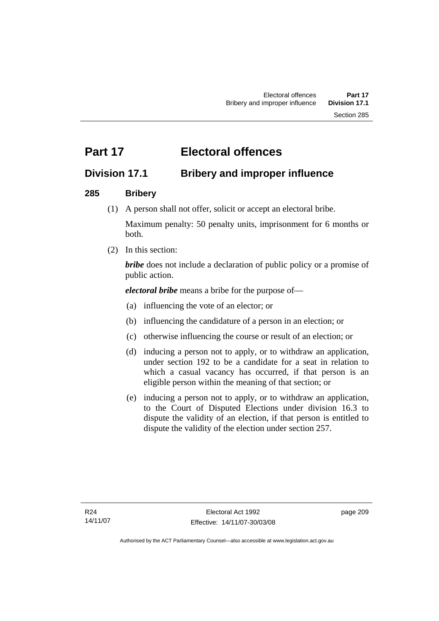# **Part 17 Electoral offences**

## **Division 17.1 Bribery and improper influence**

### **285 Bribery**

(1) A person shall not offer, solicit or accept an electoral bribe.

Maximum penalty: 50 penalty units, imprisonment for 6 months or both.

(2) In this section:

*bribe* does not include a declaration of public policy or a promise of public action.

*electoral bribe* means a bribe for the purpose of—

- (a) influencing the vote of an elector; or
- (b) influencing the candidature of a person in an election; or
- (c) otherwise influencing the course or result of an election; or
- (d) inducing a person not to apply, or to withdraw an application, under section 192 to be a candidate for a seat in relation to which a casual vacancy has occurred, if that person is an eligible person within the meaning of that section; or
- (e) inducing a person not to apply, or to withdraw an application, to the Court of Disputed Elections under division 16.3 to dispute the validity of an election, if that person is entitled to dispute the validity of the election under section 257.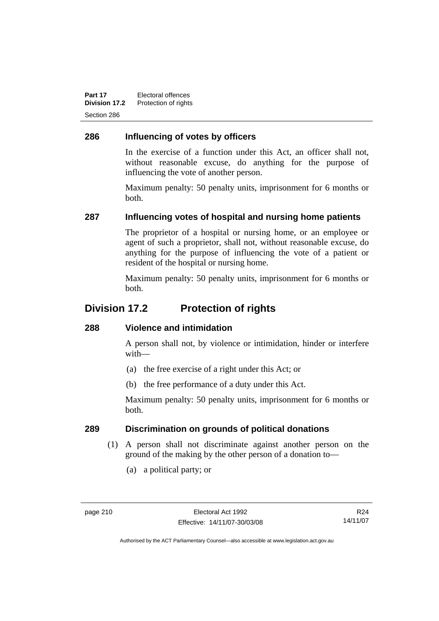**Part 17** Electoral offences **Division 17.2** Protection of rights Section 286

### **286 Influencing of votes by officers**

In the exercise of a function under this Act, an officer shall not, without reasonable excuse, do anything for the purpose of influencing the vote of another person.

Maximum penalty: 50 penalty units, imprisonment for 6 months or both.

#### **287 Influencing votes of hospital and nursing home patients**

The proprietor of a hospital or nursing home, or an employee or agent of such a proprietor, shall not, without reasonable excuse, do anything for the purpose of influencing the vote of a patient or resident of the hospital or nursing home.

Maximum penalty: 50 penalty units, imprisonment for 6 months or both.

## **Division 17.2 Protection of rights**

#### **288 Violence and intimidation**

A person shall not, by violence or intimidation, hinder or interfere with—

- (a) the free exercise of a right under this Act; or
- (b) the free performance of a duty under this Act.

Maximum penalty: 50 penalty units, imprisonment for 6 months or both.

#### **289 Discrimination on grounds of political donations**

- (1) A person shall not discriminate against another person on the ground of the making by the other person of a donation to—
	- (a) a political party; or

R24 14/11/07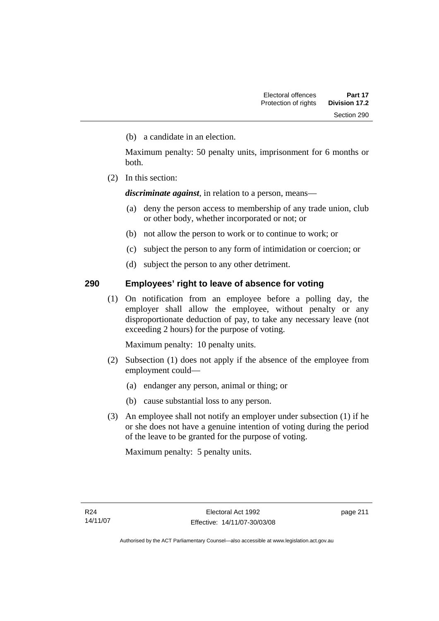(b) a candidate in an election.

Maximum penalty: 50 penalty units, imprisonment for 6 months or both.

(2) In this section:

*discriminate against*, in relation to a person, means—

- (a) deny the person access to membership of any trade union, club or other body, whether incorporated or not; or
- (b) not allow the person to work or to continue to work; or
- (c) subject the person to any form of intimidation or coercion; or
- (d) subject the person to any other detriment.

#### **290 Employees' right to leave of absence for voting**

 (1) On notification from an employee before a polling day, the employer shall allow the employee, without penalty or any disproportionate deduction of pay, to take any necessary leave (not exceeding 2 hours) for the purpose of voting.

Maximum penalty: 10 penalty units.

- (2) Subsection (1) does not apply if the absence of the employee from employment could—
	- (a) endanger any person, animal or thing; or
	- (b) cause substantial loss to any person.
- (3) An employee shall not notify an employer under subsection (1) if he or she does not have a genuine intention of voting during the period of the leave to be granted for the purpose of voting.

Maximum penalty: 5 penalty units.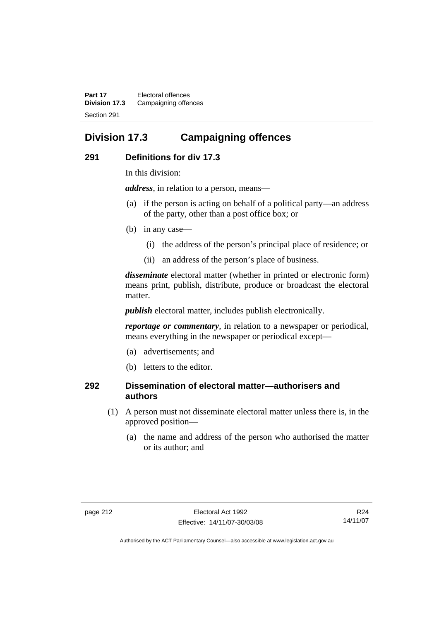**Part 17** Electoral offences **Division 17.3** Campaigning offences Section 291

## **Division 17.3 Campaigning offences**

#### **291 Definitions for div 17.3**

In this division:

*address*, in relation to a person, means—

- (a) if the person is acting on behalf of a political party—an address of the party, other than a post office box; or
- (b) in any case—
	- (i) the address of the person's principal place of residence; or
	- (ii) an address of the person's place of business.

*disseminate* electoral matter (whether in printed or electronic form) means print, publish, distribute, produce or broadcast the electoral matter.

*publish* electoral matter, includes publish electronically.

*reportage or commentary*, in relation to a newspaper or periodical, means everything in the newspaper or periodical except—

- (a) advertisements; and
- (b) letters to the editor.

#### **292 Dissemination of electoral matter—authorisers and authors**

- (1) A person must not disseminate electoral matter unless there is, in the approved position—
	- (a) the name and address of the person who authorised the matter or its author; and

R24 14/11/07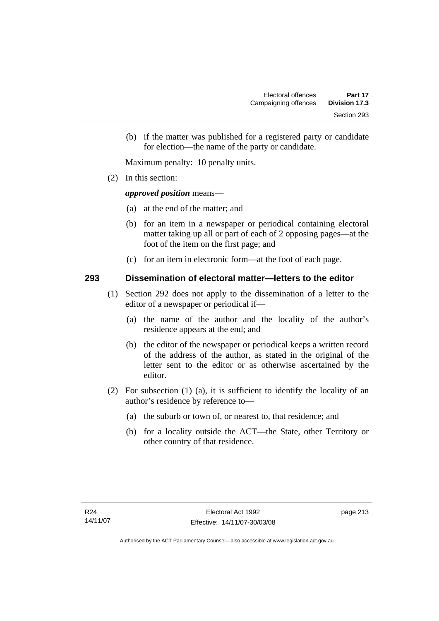(b) if the matter was published for a registered party or candidate for election—the name of the party or candidate.

Maximum penalty: 10 penalty units.

(2) In this section:

#### *approved position* means—

- (a) at the end of the matter; and
- (b) for an item in a newspaper or periodical containing electoral matter taking up all or part of each of 2 opposing pages—at the foot of the item on the first page; and
- (c) for an item in electronic form—at the foot of each page.

#### **293 Dissemination of electoral matter—letters to the editor**

- (1) Section 292 does not apply to the dissemination of a letter to the editor of a newspaper or periodical if—
	- (a) the name of the author and the locality of the author's residence appears at the end; and
	- (b) the editor of the newspaper or periodical keeps a written record of the address of the author, as stated in the original of the letter sent to the editor or as otherwise ascertained by the editor.
- (2) For subsection (1) (a), it is sufficient to identify the locality of an author's residence by reference to—
	- (a) the suburb or town of, or nearest to, that residence; and
	- (b) for a locality outside the ACT—the State, other Territory or other country of that residence.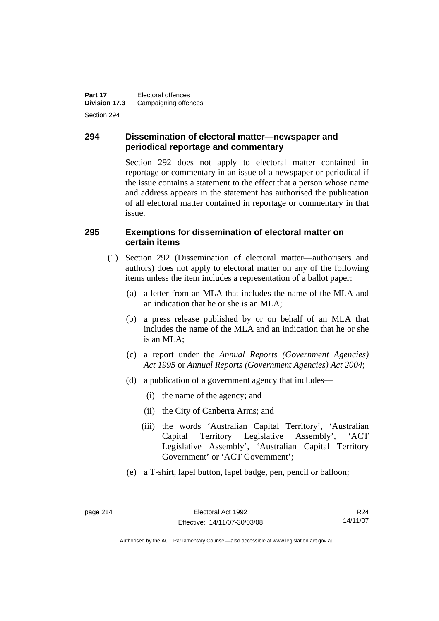**Part 17** Electoral offences **Division 17.3** Campaigning offences Section 294

#### **294 Dissemination of electoral matter—newspaper and periodical reportage and commentary**

Section 292 does not apply to electoral matter contained in reportage or commentary in an issue of a newspaper or periodical if the issue contains a statement to the effect that a person whose name and address appears in the statement has authorised the publication of all electoral matter contained in reportage or commentary in that issue.

#### **295 Exemptions for dissemination of electoral matter on certain items**

- (1) Section 292 (Dissemination of electoral matter—authorisers and authors) does not apply to electoral matter on any of the following items unless the item includes a representation of a ballot paper:
	- (a) a letter from an MLA that includes the name of the MLA and an indication that he or she is an MLA;
	- (b) a press release published by or on behalf of an MLA that includes the name of the MLA and an indication that he or she is an MLA;
	- (c) a report under the *Annual Reports (Government Agencies) Act 1995* or *Annual Reports (Government Agencies) Act 2004*;
	- (d) a publication of a government agency that includes—
		- (i) the name of the agency; and
		- (ii) the City of Canberra Arms; and
		- (iii) the words 'Australian Capital Territory', 'Australian Capital Territory Legislative Assembly', 'ACT Legislative Assembly', 'Australian Capital Territory Government' or 'ACT Government';
	- (e) a T-shirt, lapel button, lapel badge, pen, pencil or balloon;

R24 14/11/07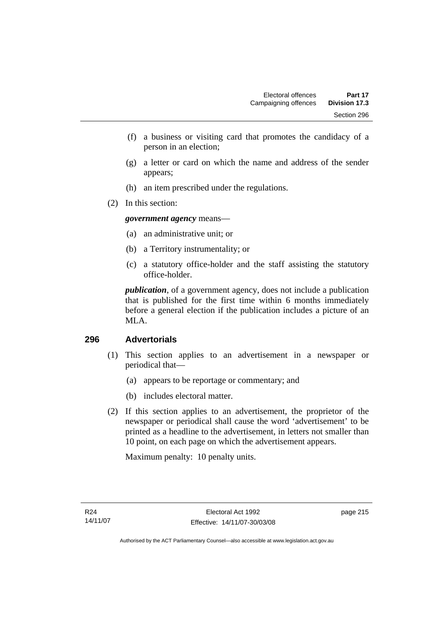- (f) a business or visiting card that promotes the candidacy of a person in an election;
- (g) a letter or card on which the name and address of the sender appears;
- (h) an item prescribed under the regulations.
- (2) In this section:

*government agency* means—

- (a) an administrative unit; or
- (b) a Territory instrumentality; or
- (c) a statutory office-holder and the staff assisting the statutory office-holder.

*publication*, of a government agency, does not include a publication that is published for the first time within 6 months immediately before a general election if the publication includes a picture of an MLA.

#### **296 Advertorials**

- (1) This section applies to an advertisement in a newspaper or periodical that—
	- (a) appears to be reportage or commentary; and
	- (b) includes electoral matter.
- (2) If this section applies to an advertisement, the proprietor of the newspaper or periodical shall cause the word 'advertisement' to be printed as a headline to the advertisement, in letters not smaller than 10 point, on each page on which the advertisement appears.

Maximum penalty: 10 penalty units.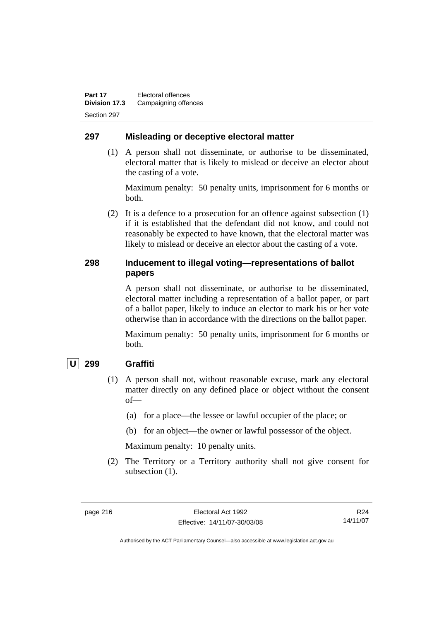#### **297 Misleading or deceptive electoral matter**

 (1) A person shall not disseminate, or authorise to be disseminated, electoral matter that is likely to mislead or deceive an elector about the casting of a vote.

Maximum penalty: 50 penalty units, imprisonment for 6 months or both.

 (2) It is a defence to a prosecution for an offence against subsection (1) if it is established that the defendant did not know, and could not reasonably be expected to have known, that the electoral matter was likely to mislead or deceive an elector about the casting of a vote.

#### **298 Inducement to illegal voting—representations of ballot papers**

A person shall not disseminate, or authorise to be disseminated, electoral matter including a representation of a ballot paper, or part of a ballot paper, likely to induce an elector to mark his or her vote otherwise than in accordance with the directions on the ballot paper.

Maximum penalty: 50 penalty units, imprisonment for 6 months or both.

#### **U 299 Graffiti**

- (1) A person shall not, without reasonable excuse, mark any electoral matter directly on any defined place or object without the consent of—
	- (a) for a place—the lessee or lawful occupier of the place; or
	- (b) for an object—the owner or lawful possessor of the object.

Maximum penalty: 10 penalty units.

 (2) The Territory or a Territory authority shall not give consent for subsection  $(1)$ .

R24 14/11/07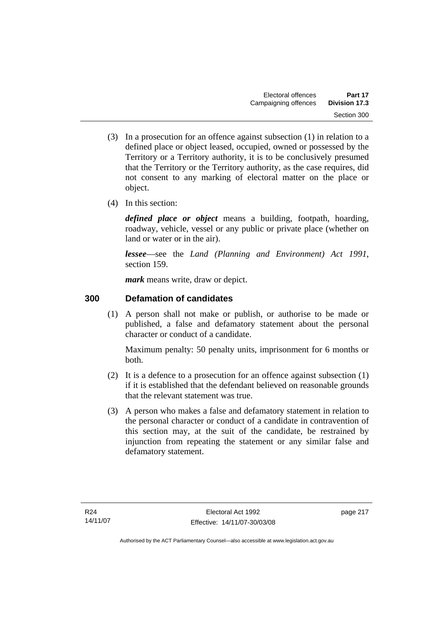- (3) In a prosecution for an offence against subsection (1) in relation to a defined place or object leased, occupied, owned or possessed by the Territory or a Territory authority, it is to be conclusively presumed that the Territory or the Territory authority, as the case requires, did not consent to any marking of electoral matter on the place or object.
- (4) In this section:

*defined place or object* means a building, footpath, hoarding, roadway, vehicle, vessel or any public or private place (whether on land or water or in the air).

*lessee*—see the *Land (Planning and Environment) Act 1991*, section 159.

*mark* means write, draw or depict.

## **300 Defamation of candidates**

 (1) A person shall not make or publish, or authorise to be made or published, a false and defamatory statement about the personal character or conduct of a candidate.

Maximum penalty: 50 penalty units, imprisonment for 6 months or both.

- (2) It is a defence to a prosecution for an offence against subsection (1) if it is established that the defendant believed on reasonable grounds that the relevant statement was true.
- (3) A person who makes a false and defamatory statement in relation to the personal character or conduct of a candidate in contravention of this section may, at the suit of the candidate, be restrained by injunction from repeating the statement or any similar false and defamatory statement.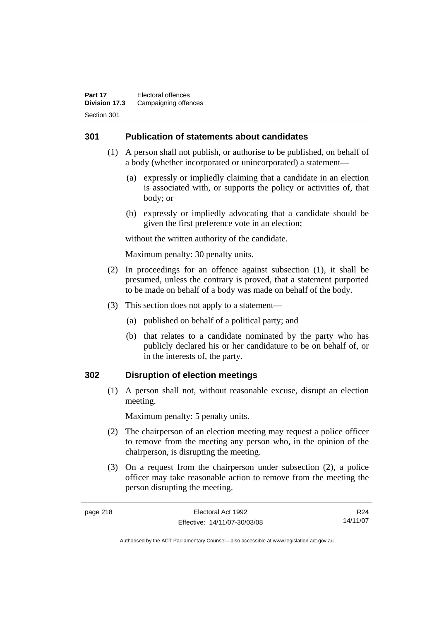#### **301 Publication of statements about candidates**

- (1) A person shall not publish, or authorise to be published, on behalf of a body (whether incorporated or unincorporated) a statement—
	- (a) expressly or impliedly claiming that a candidate in an election is associated with, or supports the policy or activities of, that body; or
	- (b) expressly or impliedly advocating that a candidate should be given the first preference vote in an election;

without the written authority of the candidate.

Maximum penalty: 30 penalty units.

- (2) In proceedings for an offence against subsection (1), it shall be presumed, unless the contrary is proved, that a statement purported to be made on behalf of a body was made on behalf of the body.
- (3) This section does not apply to a statement—
	- (a) published on behalf of a political party; and
	- (b) that relates to a candidate nominated by the party who has publicly declared his or her candidature to be on behalf of, or in the interests of, the party.

#### **302 Disruption of election meetings**

 (1) A person shall not, without reasonable excuse, disrupt an election meeting.

Maximum penalty: 5 penalty units.

- (2) The chairperson of an election meeting may request a police officer to remove from the meeting any person who, in the opinion of the chairperson, is disrupting the meeting.
- (3) On a request from the chairperson under subsection (2), a police officer may take reasonable action to remove from the meeting the person disrupting the meeting.

page 218 Electoral Act 1992

R24 14/11/07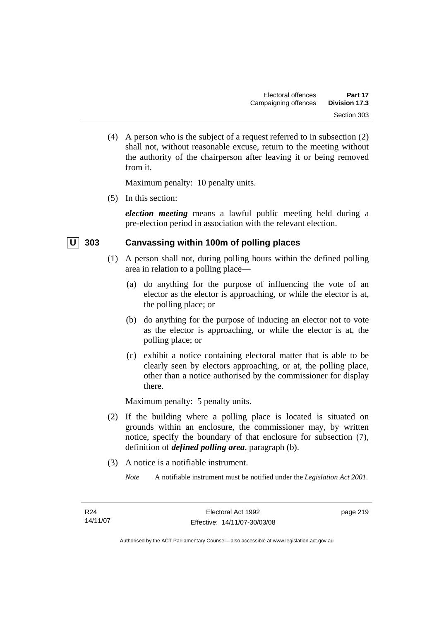(4) A person who is the subject of a request referred to in subsection (2) shall not, without reasonable excuse, return to the meeting without the authority of the chairperson after leaving it or being removed from it.

Maximum penalty: 10 penalty units.

(5) In this section:

*election meeting* means a lawful public meeting held during a pre-election period in association with the relevant election.

#### **U** 303 Canvassing within 100m of polling places

- (1) A person shall not, during polling hours within the defined polling area in relation to a polling place—
	- (a) do anything for the purpose of influencing the vote of an elector as the elector is approaching, or while the elector is at, the polling place; or
	- (b) do anything for the purpose of inducing an elector not to vote as the elector is approaching, or while the elector is at, the polling place; or
	- (c) exhibit a notice containing electoral matter that is able to be clearly seen by electors approaching, or at, the polling place, other than a notice authorised by the commissioner for display there.

Maximum penalty: 5 penalty units.

- (2) If the building where a polling place is located is situated on grounds within an enclosure, the commissioner may, by written notice, specify the boundary of that enclosure for subsection (7), definition of *defined polling area*, paragraph (b).
- (3) A notice is a notifiable instrument.
	- *Note* A notifiable instrument must be notified under the *Legislation Act 2001*.

page 219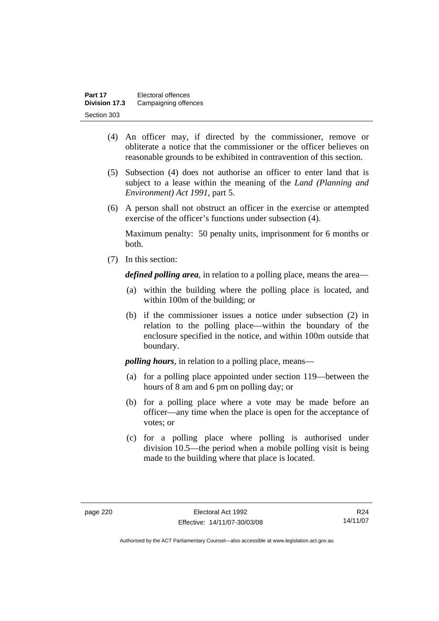| Part 17              | Electoral offences   |
|----------------------|----------------------|
| <b>Division 17.3</b> | Campaigning offences |
| Section 303          |                      |

- (4) An officer may, if directed by the commissioner, remove or obliterate a notice that the commissioner or the officer believes on reasonable grounds to be exhibited in contravention of this section.
- (5) Subsection (4) does not authorise an officer to enter land that is subject to a lease within the meaning of the *Land (Planning and Environment) Act 1991*, part 5.
- (6) A person shall not obstruct an officer in the exercise or attempted exercise of the officer's functions under subsection (4).

Maximum penalty: 50 penalty units, imprisonment for 6 months or both.

(7) In this section:

*defined polling area*, in relation to a polling place, means the area—

- (a) within the building where the polling place is located, and within 100m of the building; or
- (b) if the commissioner issues a notice under subsection (2) in relation to the polling place—within the boundary of the enclosure specified in the notice, and within 100m outside that boundary.

*polling hours*, in relation to a polling place, means—

- (a) for a polling place appointed under section 119—between the hours of 8 am and 6 pm on polling day; or
- (b) for a polling place where a vote may be made before an officer—any time when the place is open for the acceptance of votes; or
- (c) for a polling place where polling is authorised under division 10.5—the period when a mobile polling visit is being made to the building where that place is located.

R24 14/11/07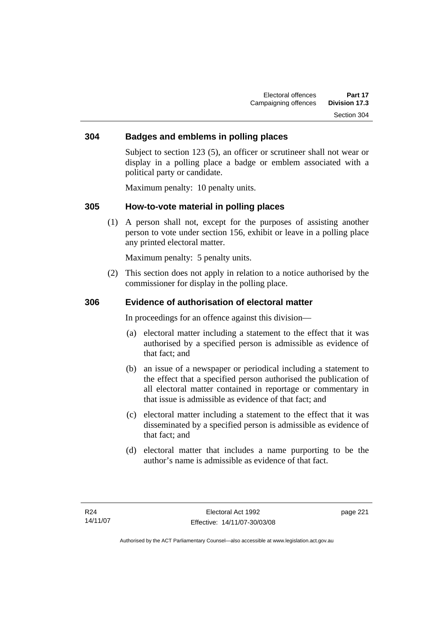#### **304 Badges and emblems in polling places**

Subject to section 123 (5), an officer or scrutineer shall not wear or display in a polling place a badge or emblem associated with a political party or candidate.

Maximum penalty: 10 penalty units.

#### **305 How-to-vote material in polling places**

 (1) A person shall not, except for the purposes of assisting another person to vote under section 156, exhibit or leave in a polling place any printed electoral matter.

Maximum penalty: 5 penalty units.

 (2) This section does not apply in relation to a notice authorised by the commissioner for display in the polling place.

#### **306 Evidence of authorisation of electoral matter**

In proceedings for an offence against this division—

- (a) electoral matter including a statement to the effect that it was authorised by a specified person is admissible as evidence of that fact; and
- (b) an issue of a newspaper or periodical including a statement to the effect that a specified person authorised the publication of all electoral matter contained in reportage or commentary in that issue is admissible as evidence of that fact; and
- (c) electoral matter including a statement to the effect that it was disseminated by a specified person is admissible as evidence of that fact; and
- (d) electoral matter that includes a name purporting to be the author's name is admissible as evidence of that fact.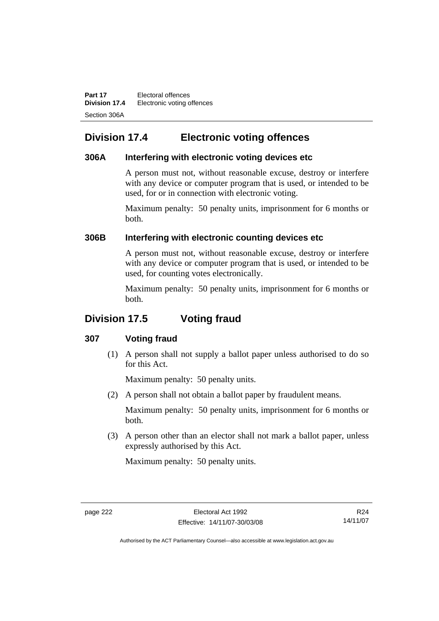**Part 17** Electoral offences **Division 17.4** Electronic voting offences Section 306A

## **Division 17.4 Electronic voting offences**

#### **306A Interfering with electronic voting devices etc**

A person must not, without reasonable excuse, destroy or interfere with any device or computer program that is used, or intended to be used, for or in connection with electronic voting.

Maximum penalty: 50 penalty units, imprisonment for 6 months or both.

#### **306B Interfering with electronic counting devices etc**

A person must not, without reasonable excuse, destroy or interfere with any device or computer program that is used, or intended to be used, for counting votes electronically.

Maximum penalty: 50 penalty units, imprisonment for 6 months or both.

## **Division 17.5 Voting fraud**

#### **307 Voting fraud**

 (1) A person shall not supply a ballot paper unless authorised to do so for this Act.

Maximum penalty: 50 penalty units.

(2) A person shall not obtain a ballot paper by fraudulent means.

Maximum penalty: 50 penalty units, imprisonment for 6 months or both.

 (3) A person other than an elector shall not mark a ballot paper, unless expressly authorised by this Act.

Maximum penalty: 50 penalty units.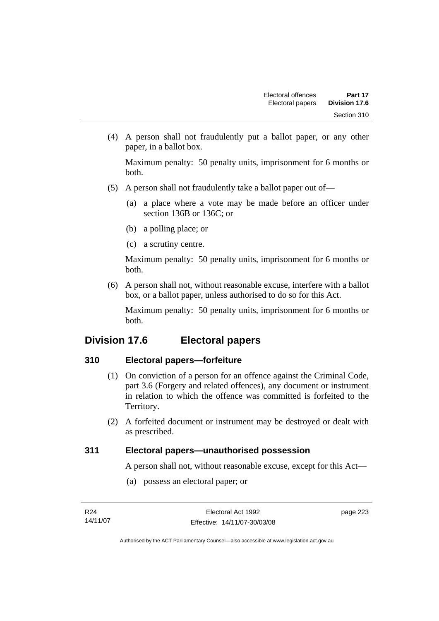(4) A person shall not fraudulently put a ballot paper, or any other paper, in a ballot box.

Maximum penalty: 50 penalty units, imprisonment for 6 months or both.

- (5) A person shall not fraudulently take a ballot paper out of—
	- (a) a place where a vote may be made before an officer under section 136B or 136C; or
	- (b) a polling place; or
	- (c) a scrutiny centre.

Maximum penalty: 50 penalty units, imprisonment for 6 months or both.

 (6) A person shall not, without reasonable excuse, interfere with a ballot box, or a ballot paper, unless authorised to do so for this Act.

Maximum penalty: 50 penalty units, imprisonment for 6 months or both.

## **Division 17.6 Electoral papers**

#### **310 Electoral papers—forfeiture**

- (1) On conviction of a person for an offence against the Criminal Code, part 3.6 (Forgery and related offences), any document or instrument in relation to which the offence was committed is forfeited to the Territory.
- (2) A forfeited document or instrument may be destroyed or dealt with as prescribed.

#### **311 Electoral papers—unauthorised possession**

A person shall not, without reasonable excuse, except for this Act—

(a) possess an electoral paper; or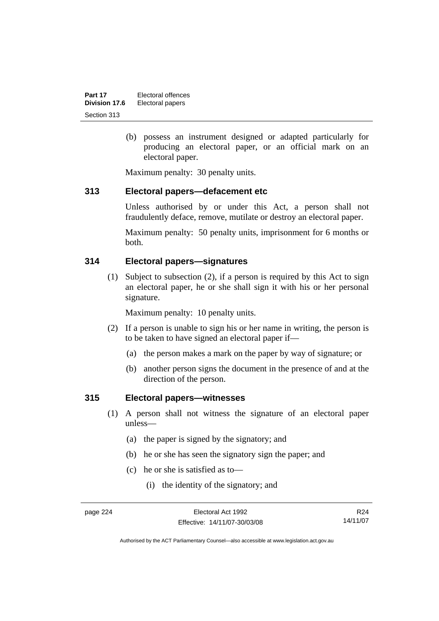| Part 17       | Electoral offences |
|---------------|--------------------|
| Division 17.6 | Electoral papers   |
| Section 313   |                    |

 (b) possess an instrument designed or adapted particularly for producing an electoral paper, or an official mark on an electoral paper.

Maximum penalty: 30 penalty units.

#### **313 Electoral papers—defacement etc**

Unless authorised by or under this Act, a person shall not fraudulently deface, remove, mutilate or destroy an electoral paper.

Maximum penalty: 50 penalty units, imprisonment for 6 months or both.

#### **314 Electoral papers—signatures**

 (1) Subject to subsection (2), if a person is required by this Act to sign an electoral paper, he or she shall sign it with his or her personal signature.

Maximum penalty: 10 penalty units.

- (2) If a person is unable to sign his or her name in writing, the person is to be taken to have signed an electoral paper if—
	- (a) the person makes a mark on the paper by way of signature; or
	- (b) another person signs the document in the presence of and at the direction of the person.

#### **315 Electoral papers—witnesses**

- (1) A person shall not witness the signature of an electoral paper unless—
	- (a) the paper is signed by the signatory; and
	- (b) he or she has seen the signatory sign the paper; and
	- (c) he or she is satisfied as to—
		- (i) the identity of the signatory; and

R24 14/11/07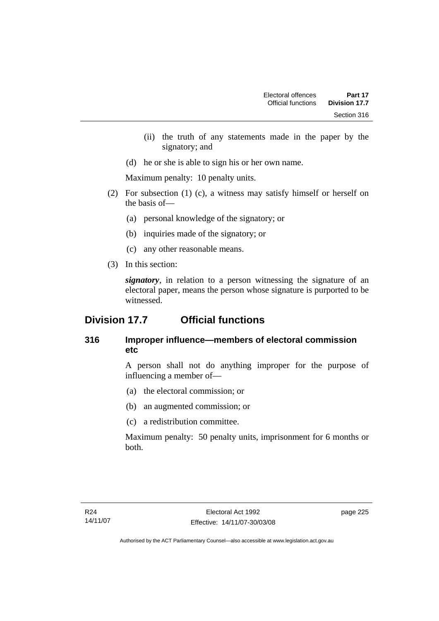- (ii) the truth of any statements made in the paper by the signatory; and
- (d) he or she is able to sign his or her own name.

Maximum penalty: 10 penalty units.

- (2) For subsection (1) (c), a witness may satisfy himself or herself on the basis of—
	- (a) personal knowledge of the signatory; or
	- (b) inquiries made of the signatory; or
	- (c) any other reasonable means.
- (3) In this section:

*signatory*, in relation to a person witnessing the signature of an electoral paper, means the person whose signature is purported to be witnessed.

## **Division 17.7 Official functions**

### **316 Improper influence—members of electoral commission etc**

A person shall not do anything improper for the purpose of influencing a member of—

- (a) the electoral commission; or
- (b) an augmented commission; or
- (c) a redistribution committee.

Maximum penalty: 50 penalty units, imprisonment for 6 months or both.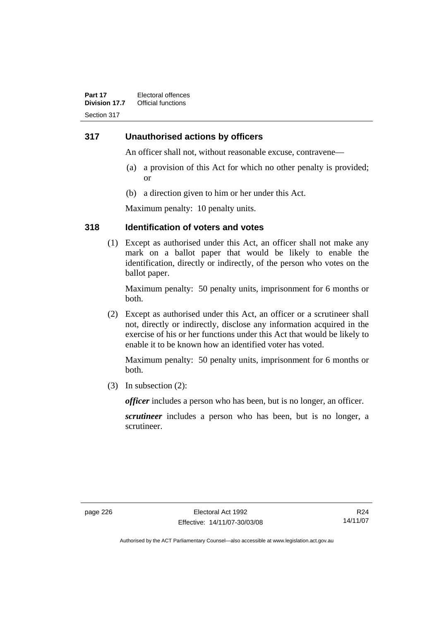#### **317 Unauthorised actions by officers**

An officer shall not, without reasonable excuse, contravene—

- (a) a provision of this Act for which no other penalty is provided; or
- (b) a direction given to him or her under this Act.

Maximum penalty: 10 penalty units.

#### **318 Identification of voters and votes**

 (1) Except as authorised under this Act, an officer shall not make any mark on a ballot paper that would be likely to enable the identification, directly or indirectly, of the person who votes on the ballot paper.

Maximum penalty: 50 penalty units, imprisonment for 6 months or both.

 (2) Except as authorised under this Act, an officer or a scrutineer shall not, directly or indirectly, disclose any information acquired in the exercise of his or her functions under this Act that would be likely to enable it to be known how an identified voter has voted.

Maximum penalty: 50 penalty units, imprisonment for 6 months or both.

(3) In subsection (2):

*officer* includes a person who has been, but is no longer, an officer.

*scrutineer* includes a person who has been, but is no longer, a scrutineer.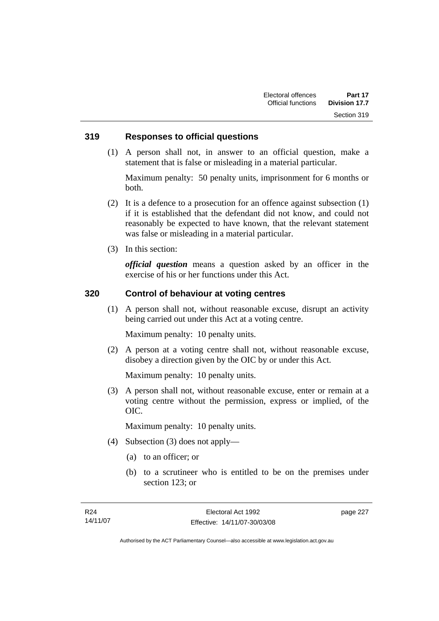#### **319 Responses to official questions**

 (1) A person shall not, in answer to an official question, make a statement that is false or misleading in a material particular.

Maximum penalty: 50 penalty units, imprisonment for 6 months or both.

- (2) It is a defence to a prosecution for an offence against subsection (1) if it is established that the defendant did not know, and could not reasonably be expected to have known, that the relevant statement was false or misleading in a material particular.
- (3) In this section:

*official question* means a question asked by an officer in the exercise of his or her functions under this Act.

#### **320 Control of behaviour at voting centres**

 (1) A person shall not, without reasonable excuse, disrupt an activity being carried out under this Act at a voting centre.

Maximum penalty: 10 penalty units.

 (2) A person at a voting centre shall not, without reasonable excuse, disobey a direction given by the OIC by or under this Act.

Maximum penalty: 10 penalty units.

 (3) A person shall not, without reasonable excuse, enter or remain at a voting centre without the permission, express or implied, of the OIC.

Maximum penalty: 10 penalty units.

- (4) Subsection (3) does not apply—
	- (a) to an officer; or
	- (b) to a scrutineer who is entitled to be on the premises under section 123; or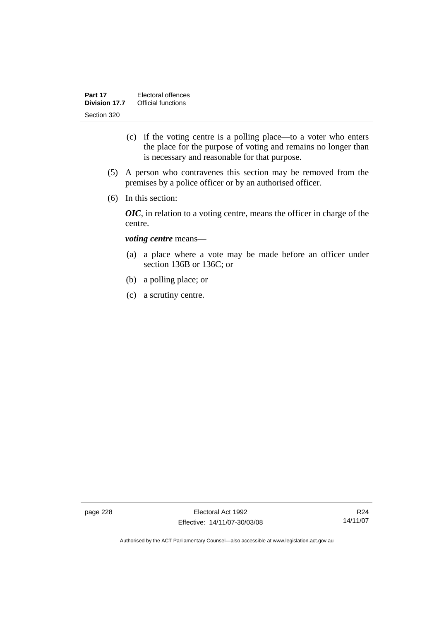- (c) if the voting centre is a polling place—to a voter who enters the place for the purpose of voting and remains no longer than is necessary and reasonable for that purpose.
- (5) A person who contravenes this section may be removed from the premises by a police officer or by an authorised officer.
- (6) In this section:

*OIC*, in relation to a voting centre, means the officer in charge of the centre.

#### *voting centre* means—

- (a) a place where a vote may be made before an officer under section 136B or 136C; or
- (b) a polling place; or
- (c) a scrutiny centre.

page 228 Electoral Act 1992 Effective: 14/11/07-30/03/08

R24 14/11/07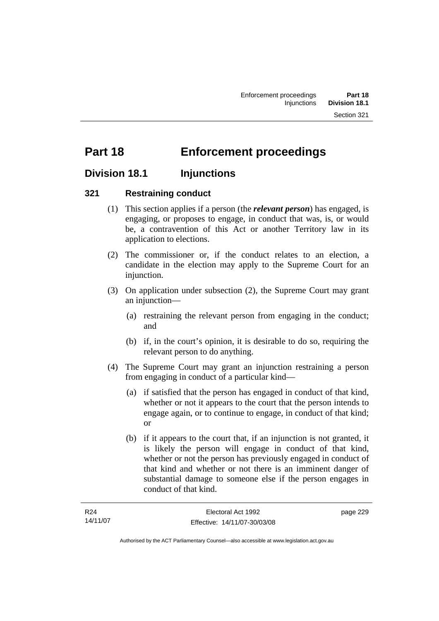# **Part 18 Enforcement proceedings**

## **Division 18.1 Injunctions**

#### **321 Restraining conduct**

- (1) This section applies if a person (the *relevant person*) has engaged, is engaging, or proposes to engage, in conduct that was, is, or would be, a contravention of this Act or another Territory law in its application to elections.
- (2) The commissioner or, if the conduct relates to an election, a candidate in the election may apply to the Supreme Court for an injunction.
- (3) On application under subsection (2), the Supreme Court may grant an injunction—
	- (a) restraining the relevant person from engaging in the conduct; and
	- (b) if, in the court's opinion, it is desirable to do so, requiring the relevant person to do anything.
- (4) The Supreme Court may grant an injunction restraining a person from engaging in conduct of a particular kind—
	- (a) if satisfied that the person has engaged in conduct of that kind, whether or not it appears to the court that the person intends to engage again, or to continue to engage, in conduct of that kind; or
	- (b) if it appears to the court that, if an injunction is not granted, it is likely the person will engage in conduct of that kind, whether or not the person has previously engaged in conduct of that kind and whether or not there is an imminent danger of substantial damage to someone else if the person engages in conduct of that kind.

| R24      | Electoral Act 1992           | page 229 |
|----------|------------------------------|----------|
| 14/11/07 | Effective: 14/11/07-30/03/08 |          |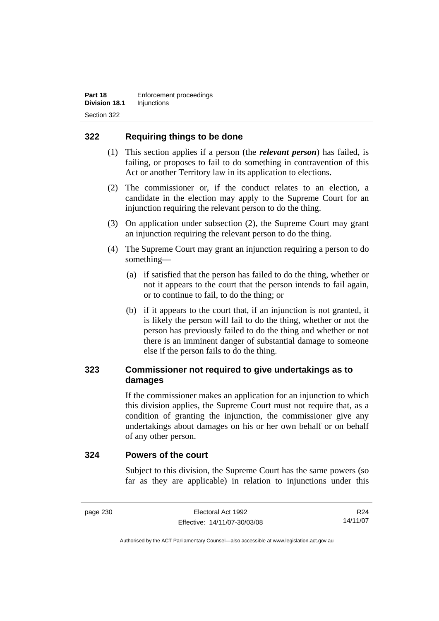#### **322 Requiring things to be done**

- (1) This section applies if a person (the *relevant person*) has failed, is failing, or proposes to fail to do something in contravention of this Act or another Territory law in its application to elections.
- (2) The commissioner or, if the conduct relates to an election, a candidate in the election may apply to the Supreme Court for an injunction requiring the relevant person to do the thing.
- (3) On application under subsection (2), the Supreme Court may grant an injunction requiring the relevant person to do the thing.
- (4) The Supreme Court may grant an injunction requiring a person to do something—
	- (a) if satisfied that the person has failed to do the thing, whether or not it appears to the court that the person intends to fail again, or to continue to fail, to do the thing; or
	- (b) if it appears to the court that, if an injunction is not granted, it is likely the person will fail to do the thing, whether or not the person has previously failed to do the thing and whether or not there is an imminent danger of substantial damage to someone else if the person fails to do the thing.

### **323 Commissioner not required to give undertakings as to damages**

If the commissioner makes an application for an injunction to which this division applies, the Supreme Court must not require that, as a condition of granting the injunction, the commissioner give any undertakings about damages on his or her own behalf or on behalf of any other person.

#### **324 Powers of the court**

Subject to this division, the Supreme Court has the same powers (so far as they are applicable) in relation to injunctions under this

R24 14/11/07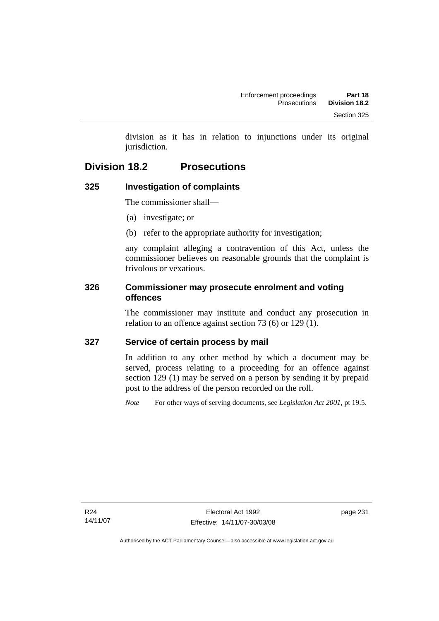division as it has in relation to injunctions under its original jurisdiction.

## **Division 18.2 Prosecutions**

## **325 Investigation of complaints**

The commissioner shall—

- (a) investigate; or
- (b) refer to the appropriate authority for investigation;

any complaint alleging a contravention of this Act, unless the commissioner believes on reasonable grounds that the complaint is frivolous or vexatious.

#### **326 Commissioner may prosecute enrolment and voting offences**

The commissioner may institute and conduct any prosecution in relation to an offence against section 73 (6) or 129 (1).

#### **327 Service of certain process by mail**

In addition to any other method by which a document may be served, process relating to a proceeding for an offence against section 129 (1) may be served on a person by sending it by prepaid post to the address of the person recorded on the roll.

*Note* For other ways of serving documents, see *Legislation Act 2001*, pt 19.5.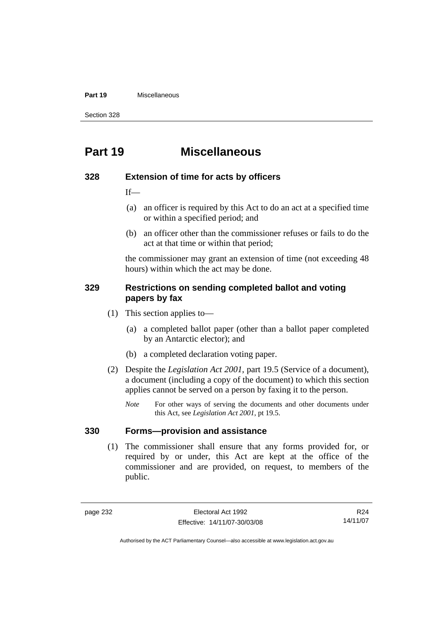#### **Part 19** Miscellaneous

Section 328

## **Part 19 Miscellaneous**

#### **328 Extension of time for acts by officers**

 $If$ —

- (a) an officer is required by this Act to do an act at a specified time or within a specified period; and
- (b) an officer other than the commissioner refuses or fails to do the act at that time or within that period;

the commissioner may grant an extension of time (not exceeding 48 hours) within which the act may be done.

#### **329 Restrictions on sending completed ballot and voting papers by fax**

- (1) This section applies to—
	- (a) a completed ballot paper (other than a ballot paper completed by an Antarctic elector); and
	- (b) a completed declaration voting paper.
- (2) Despite the *Legislation Act 2001*, part 19.5 (Service of a document), a document (including a copy of the document) to which this section applies cannot be served on a person by faxing it to the person.
	- *Note* For other ways of serving the documents and other documents under this Act, see *Legislation Act 2001*, pt 19.5.

#### **330 Forms—provision and assistance**

 (1) The commissioner shall ensure that any forms provided for, or required by or under, this Act are kept at the office of the commissioner and are provided, on request, to members of the public.

R24 14/11/07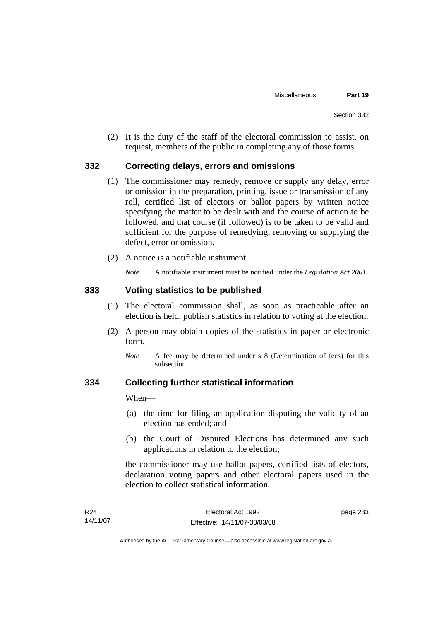(2) It is the duty of the staff of the electoral commission to assist, on request, members of the public in completing any of those forms.

#### **332 Correcting delays, errors and omissions**

- (1) The commissioner may remedy, remove or supply any delay, error or omission in the preparation, printing, issue or transmission of any roll, certified list of electors or ballot papers by written notice specifying the matter to be dealt with and the course of action to be followed, and that course (if followed) is to be taken to be valid and sufficient for the purpose of remedying, removing or supplying the defect, error or omission.
- (2) A notice is a notifiable instrument.

*Note* A notifiable instrument must be notified under the *Legislation Act 2001*.

#### **333 Voting statistics to be published**

- (1) The electoral commission shall, as soon as practicable after an election is held, publish statistics in relation to voting at the election.
- (2) A person may obtain copies of the statistics in paper or electronic form.
	- *Note* A fee may be determined under s 8 (Determination of fees) for this subsection.

#### **334 Collecting further statistical information**

When—

- (a) the time for filing an application disputing the validity of an election has ended; and
- (b) the Court of Disputed Elections has determined any such applications in relation to the election;

the commissioner may use ballot papers, certified lists of electors, declaration voting papers and other electoral papers used in the election to collect statistical information.

| R <sub>24</sub> | Electoral Act 1992           | page 233 |
|-----------------|------------------------------|----------|
| 14/11/07        | Effective: 14/11/07-30/03/08 |          |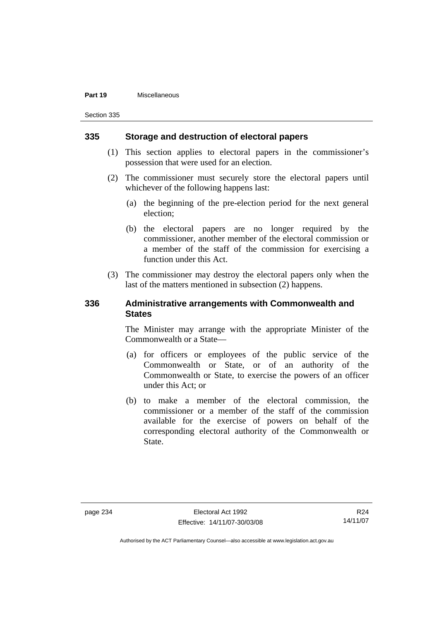#### **Part 19** Miscellaneous

Section 335

#### **335 Storage and destruction of electoral papers**

- (1) This section applies to electoral papers in the commissioner's possession that were used for an election.
- (2) The commissioner must securely store the electoral papers until whichever of the following happens last:
	- (a) the beginning of the pre-election period for the next general election;
	- (b) the electoral papers are no longer required by the commissioner, another member of the electoral commission or a member of the staff of the commission for exercising a function under this Act.
- (3) The commissioner may destroy the electoral papers only when the last of the matters mentioned in subsection (2) happens.

#### **336 Administrative arrangements with Commonwealth and States**

The Minister may arrange with the appropriate Minister of the Commonwealth or a State—

- (a) for officers or employees of the public service of the Commonwealth or State, or of an authority of the Commonwealth or State, to exercise the powers of an officer under this Act; or
- (b) to make a member of the electoral commission, the commissioner or a member of the staff of the commission available for the exercise of powers on behalf of the corresponding electoral authority of the Commonwealth or State.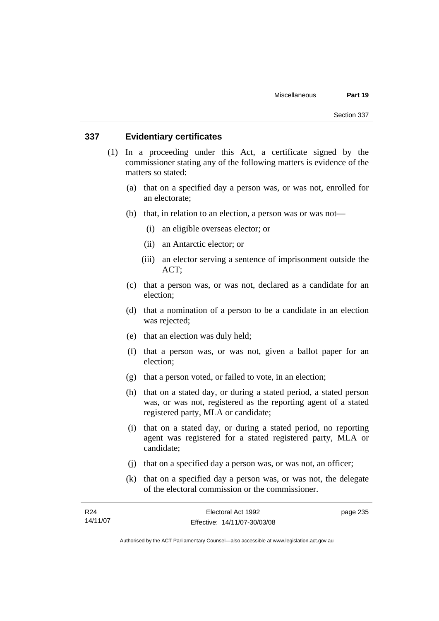### **337 Evidentiary certificates**

- (1) In a proceeding under this Act, a certificate signed by the commissioner stating any of the following matters is evidence of the matters so stated:
	- (a) that on a specified day a person was, or was not, enrolled for an electorate;
	- (b) that, in relation to an election, a person was or was not—
		- (i) an eligible overseas elector; or
		- (ii) an Antarctic elector; or
		- (iii) an elector serving a sentence of imprisonment outside the ACT;
	- (c) that a person was, or was not, declared as a candidate for an election;
	- (d) that a nomination of a person to be a candidate in an election was rejected;
	- (e) that an election was duly held;
	- (f) that a person was, or was not, given a ballot paper for an election;
	- (g) that a person voted, or failed to vote, in an election;
	- (h) that on a stated day, or during a stated period, a stated person was, or was not, registered as the reporting agent of a stated registered party, MLA or candidate;
	- (i) that on a stated day, or during a stated period, no reporting agent was registered for a stated registered party, MLA or candidate;
	- (j) that on a specified day a person was, or was not, an officer;
	- (k) that on a specified day a person was, or was not, the delegate of the electoral commission or the commissioner.

| R24      | Electoral Act 1992           | page 235 |
|----------|------------------------------|----------|
| 14/11/07 | Effective: 14/11/07-30/03/08 |          |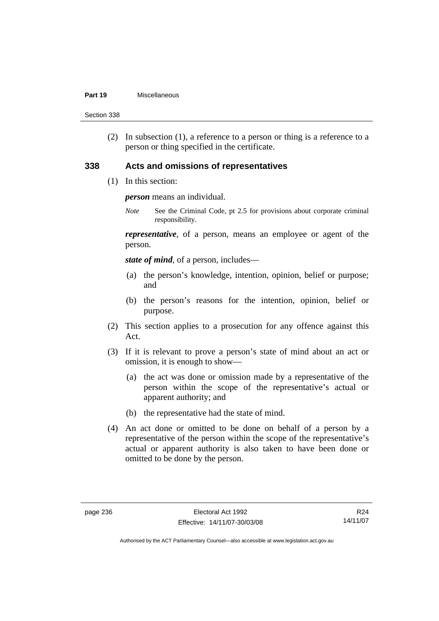#### **Part 19** Miscellaneous

Section 338

 (2) In subsection (1), a reference to a person or thing is a reference to a person or thing specified in the certificate.

#### **338 Acts and omissions of representatives**

(1) In this section:

*person* means an individual.

*Note* See the Criminal Code, pt 2.5 for provisions about corporate criminal responsibility.

*representative*, of a person, means an employee or agent of the person.

*state of mind*, of a person, includes—

- (a) the person's knowledge, intention, opinion, belief or purpose; and
- (b) the person's reasons for the intention, opinion, belief or purpose.
- (2) This section applies to a prosecution for any offence against this Act.
- (3) If it is relevant to prove a person's state of mind about an act or omission, it is enough to show—
	- (a) the act was done or omission made by a representative of the person within the scope of the representative's actual or apparent authority; and
	- (b) the representative had the state of mind.
- (4) An act done or omitted to be done on behalf of a person by a representative of the person within the scope of the representative's actual or apparent authority is also taken to have been done or omitted to be done by the person.

R24 14/11/07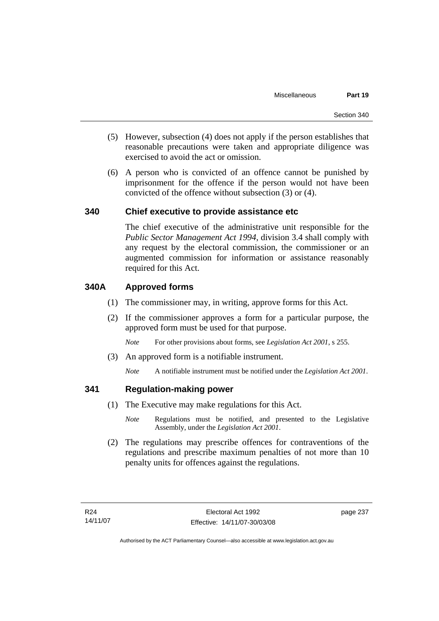- (5) However, subsection (4) does not apply if the person establishes that reasonable precautions were taken and appropriate diligence was exercised to avoid the act or omission.
- (6) A person who is convicted of an offence cannot be punished by imprisonment for the offence if the person would not have been convicted of the offence without subsection (3) or (4).

### **340 Chief executive to provide assistance etc**

The chief executive of the administrative unit responsible for the *Public Sector Management Act 1994*, division 3.4 shall comply with any request by the electoral commission, the commissioner or an augmented commission for information or assistance reasonably required for this Act.

### **340A Approved forms**

- (1) The commissioner may, in writing, approve forms for this Act.
- (2) If the commissioner approves a form for a particular purpose, the approved form must be used for that purpose.

*Note* For other provisions about forms, see *Legislation Act 2001*, s 255.

- (3) An approved form is a notifiable instrument.
	- *Note* A notifiable instrument must be notified under the *Legislation Act 2001*.

### **341 Regulation-making power**

- (1) The Executive may make regulations for this Act.
	- *Note* Regulations must be notified, and presented to the Legislative Assembly, under the *Legislation Act 2001*.
- (2) The regulations may prescribe offences for contraventions of the regulations and prescribe maximum penalties of not more than 10 penalty units for offences against the regulations.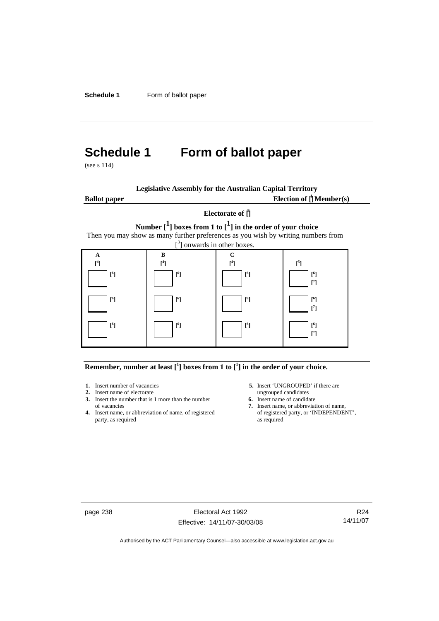**Schedule 1** Form of ballot paper

# **Schedule 1 Form of ballot paper**

(see s 114)

| <b>Legislative Assembly for the Australian Capital Territory</b> |  |  |  |  |  |  |  |
|------------------------------------------------------------------|--|--|--|--|--|--|--|
|------------------------------------------------------------------|--|--|--|--|--|--|--|

**Ballot paper** 

Election of  $\mathbf{\hat{\mathsf{\Gamma}}}$  Member(s)

### **Electorate of [ 2 ] Number [1] boxes from 1 to [1] in the order of your choice**  Then you may show as many further preferences as you wish by writing numbers from



#### **Remember, number at least**  $\begin{bmatrix} 1 \end{bmatrix}$  boxes from 1 to  $\begin{bmatrix} 1 \end{bmatrix}$  in the order of your choice.

- 
- **2.** Insert name of electorate ungrouped candidates<br> **3.** Insert the number that is 1 more than the number<br> **6.** Insert name of candidate **3.** Insert the number that is 1 more than the number
- **4.** Insert name, or abbreviation of name, of registered party, as required as required
- **1.** Insert number of vacancies **5.** Insert 'UNGROUPED' if there are **2.** Insert name of electorate **1.** Insert name of electorate
	-
	- of vacancies **7.** Insert name, or abbreviation of name,  $\frac{1}{2}$  Insert name, or abbreviation of name, of registered party, or 'INDEPENDENT',

page 238 Electoral Act 1992 Effective: 14/11/07-30/03/08

R24 14/11/07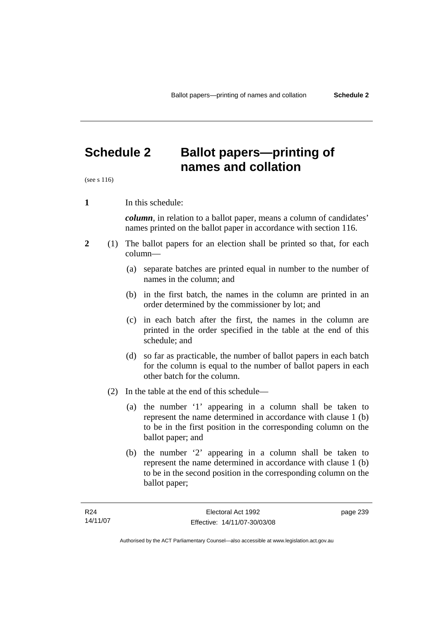**names and collation** 

# **Schedule 2 Ballot papers—printing of**

(see s 116)

**1** In this schedule:

*column*, in relation to a ballot paper, means a column of candidates' names printed on the ballot paper in accordance with section 116.

- **2** (1) The ballot papers for an election shall be printed so that, for each column—
	- (a) separate batches are printed equal in number to the number of names in the column; and
	- (b) in the first batch, the names in the column are printed in an order determined by the commissioner by lot; and
	- (c) in each batch after the first, the names in the column are printed in the order specified in the table at the end of this schedule; and
	- (d) so far as practicable, the number of ballot papers in each batch for the column is equal to the number of ballot papers in each other batch for the column.
	- (2) In the table at the end of this schedule—
		- (a) the number '1' appearing in a column shall be taken to represent the name determined in accordance with clause 1 (b) to be in the first position in the corresponding column on the ballot paper; and
		- (b) the number '2' appearing in a column shall be taken to represent the name determined in accordance with clause 1 (b) to be in the second position in the corresponding column on the ballot paper;

page 239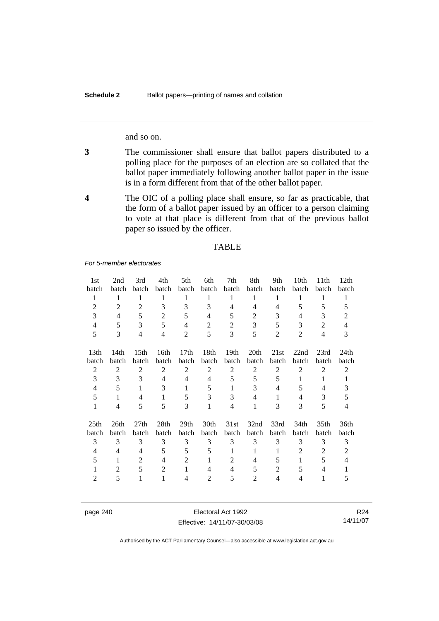and so on.

- **3** The commissioner shall ensure that ballot papers distributed to a polling place for the purposes of an election are so collated that the ballot paper immediately following another ballot paper in the issue is in a form different from that of the other ballot paper.
- **4** The OIC of a polling place shall ensure, so far as practicable, that the form of a ballot paper issued by an officer to a person claiming to vote at that place is different from that of the previous ballot paper so issued by the officer.

#### TABLE

*For 5-member electorates*

| 1st                       | 2nd            | 3rd              | 4th            | 5th              | 6th            | 7th              | 8th            | 9th            | 10th             | 11 <sup>th</sup> | 12th           |
|---------------------------|----------------|------------------|----------------|------------------|----------------|------------------|----------------|----------------|------------------|------------------|----------------|
| batch                     | batch          | batch            | batch          | batch            | batch          | batch            | batch          | batch          | batch            | batch            | batch          |
| 1                         | 1              | 1                | 1              | 1                | 1              | 1                | 1              | 1              | 1                | 1                | $\mathbf{1}$   |
| $\overline{2}$            | $\overline{2}$ | $\overline{2}$   | 3              | 3                | 3              | 4                | 4              | $\overline{4}$ | 5                | 5                | 5              |
| 3                         | $\overline{4}$ | 5                | $\overline{2}$ | 5                | 4              | 5                | 2              | 3              | 4                | 3                | $\overline{2}$ |
| $\overline{4}$            | 5              | 3                | 5              | 4                | $\overline{2}$ | 2                | 3              | 5              | 3                | 2                | $\overline{4}$ |
| 5                         | 3              | $\overline{4}$   | $\overline{4}$ | $\overline{2}$   | 5              | 3                | 5              | $\overline{2}$ | $\overline{2}$   | $\overline{4}$   | 3              |
|                           |                |                  |                |                  |                |                  |                |                |                  |                  |                |
| 13 <sub>th</sub>          | 14th           | 15 <sup>th</sup> | 16th           | 17 <sub>th</sub> | 18th           | 19 <sub>th</sub> | 20th           | 21st           | 22nd             | 23rd             | 24th           |
| batch                     | batch          | batch            | batch          | batch            | batch          | batch            | batch          | batch          | batch            | batch            | batch          |
| $\mathfrak{2}$            | 2              | 2                | 2              | $\overline{2}$   | $\overline{2}$ | $\overline{c}$   | 2              | $\overline{c}$ | 2                | $\overline{2}$   | $\overline{2}$ |
| 3                         | 3              | 3                | $\overline{4}$ | $\overline{4}$   | 4              | 5                | 5              | 5              | $\mathbf{1}$     | 1                | 1              |
| 4                         | 5              | 1                | 3              | 1                | 5              | 1                | 3              | 4              | 5                | 4                | 3              |
| 5                         | $\mathbf{1}$   | $\overline{4}$   | $\mathbf{1}$   | 5                | 3              | 3                | $\overline{4}$ | 1              | $\overline{4}$   | 3                | 5              |
| 1                         | 4              | 5                | 5              | 3                | 1              | 4                | 1              | 3              | 3                | 5                | 4              |
|                           |                |                  |                |                  |                |                  |                |                |                  |                  |                |
| 25 <sup>th</sup><br>batch | 26th<br>batch  | 27 <sub>th</sub> | 28th<br>batch  | 29th<br>batch    | 30th<br>batch  | 31st<br>batch    | 32nd<br>batch  | 33rd           | 34 <sub>th</sub> | 35 <sub>th</sub> | 36th           |
|                           |                | batch            |                |                  |                |                  |                | batch          | batch            | batch            | batch          |
| 3                         | 3              | 3                | 3              | 3                | 3              | 3                | 3              | 3              | 3                | 3                | 3              |
| 4                         | 4              | $\overline{4}$   | 5              | 5                | 5              | 1                | 1              | 1              | $\overline{2}$   | 2                | $\overline{2}$ |
| 5                         | 1              | $\overline{2}$   | $\overline{4}$ | $\overline{2}$   | 1              | 2                | $\overline{4}$ | 5              | $\mathbf{1}$     | 5                | $\overline{4}$ |
| 1                         | $\overline{2}$ | 5                | $\overline{2}$ | $\mathbf{1}$     | 4              | 4                | 5              | $\overline{2}$ | 5                | 4                | 1              |
| 2                         | 5              | 1                | 1              | 4                | 2              | 5                | 2              | $\overline{4}$ | 4                | 1                | 5              |

page 240 Electoral Act 1992 Effective: 14/11/07-30/03/08

R24 14/11/07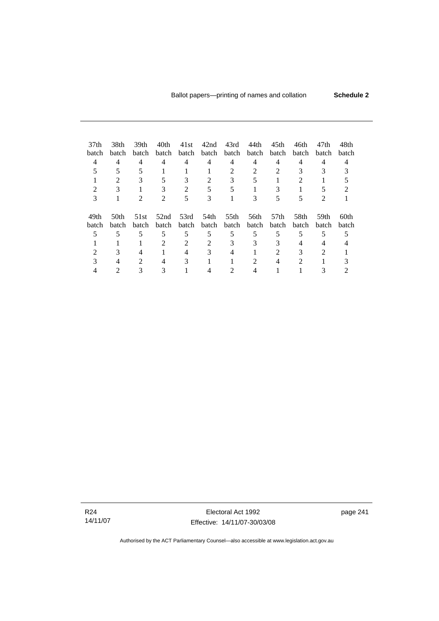| 37 <sub>th</sub><br>batch<br>4<br>3 | 38th<br>batch<br>$\overline{4}$<br>$\mathfrak{D}$<br>3 | 39th<br>batch<br>4<br>3<br>2 | 40th<br>batch<br>4<br>3<br>$\mathcal{D}_{\cdot}$ | 41st<br>batch<br>4<br>3<br>$\mathfrak{D}$ | 42nd<br>batch<br>4<br>$\mathfrak{D}$<br>5<br>3 | 43rd<br>batch<br>4<br>$\mathcal{D}_{\mathcal{L}}$<br>3 | 44th<br>batch<br>4<br>$\mathfrak{D}$<br>3 | 45th<br>batch<br>4<br>$\mathfrak{D}$<br>3<br>5 | 46th<br>batch<br>$\overline{4}$<br>3<br>5 | 47th<br>batch<br>4<br>3<br>$\mathfrak{D}$ | 48th<br>batch             |  |
|-------------------------------------|--------------------------------------------------------|------------------------------|--------------------------------------------------|-------------------------------------------|------------------------------------------------|--------------------------------------------------------|-------------------------------------------|------------------------------------------------|-------------------------------------------|-------------------------------------------|---------------------------|--|
| 49th<br>batch                       | 50 <sub>th</sub><br>batch                              | 51st<br><b>batch</b>         | 52nd<br>batch                                    | 53rd<br>batch                             | 54th<br><b>batch</b>                           | 55th<br>batch                                          | 56th<br>batch                             | 57 <sub>th</sub><br><b>batch</b>               | 58th<br><b>batch</b>                      | 59th<br>batch                             | 60 <sub>th</sub><br>batch |  |
| 5                                   | 5                                                      | 5                            | 5                                                | 5                                         | 5                                              | 5                                                      | 5                                         | 5                                              | 5                                         | 5                                         |                           |  |
|                                     |                                                        |                              | $\mathfrak{D}$                                   | $\mathfrak{D}$                            | $\mathfrak{D}$                                 | 3                                                      | 3                                         | 3                                              | 4                                         |                                           |                           |  |
| 2                                   | 3                                                      | 4                            |                                                  | 4                                         | 3                                              | 4                                                      |                                           | $\overline{\mathcal{L}}$                       | 3                                         | 2                                         |                           |  |
| 3                                   | 4                                                      | $\mathcal{D}_{\cdot}$        | 4                                                | 3                                         |                                                |                                                        |                                           | 4                                              | 2                                         |                                           |                           |  |
|                                     |                                                        |                              |                                                  |                                           |                                                |                                                        |                                           |                                                |                                           |                                           |                           |  |

R24 14/11/07

Electoral Act 1992 Effective: 14/11/07-30/03/08 page 241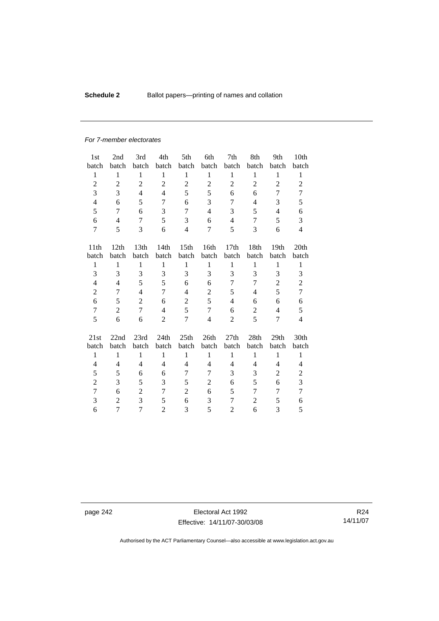# **Schedule 2 Ballot papers—printing of names and collation**

#### *For 7-member electorates*

| 1st              | 2nd            | 3rd              | 4th            | 5th              | 6th            | 7th              | 8th            | 9th            | 10th           |
|------------------|----------------|------------------|----------------|------------------|----------------|------------------|----------------|----------------|----------------|
| batch            | batch          | batch            | batch          | batch            | batch          | batch            | batch          | batch          | batch          |
| $\mathbf{1}$     | $\mathbf{1}$   | $\mathbf{1}$     | $\mathbf{1}$   | $\mathbf{1}$     | $\mathbf{1}$   | $\mathbf{1}$     | $\mathbf{1}$   | 1              | $\mathbf{1}$   |
| $\overline{c}$   | $\overline{2}$ | $\overline{c}$   | $\overline{2}$ | $\overline{2}$   | $\overline{c}$ | $\overline{c}$   | $\overline{2}$ | $\overline{2}$ | $\overline{c}$ |
| 3                | 3              | $\overline{4}$   | $\overline{4}$ | 5                | 5              | 6                | 6              | 7              | 7              |
| $\overline{4}$   | 6              | 5                | 7              | 6                | 3              | 7                | $\overline{4}$ | 3              | 5              |
| 5                | 7              | 6                | 3              | 7                | $\overline{4}$ | 3                | 5              | $\overline{4}$ | 6              |
| 6                | $\overline{4}$ | 7                | 5              | 3                | 6              | $\overline{4}$   | 7              | 5              | 3              |
| 7                | 5              | 3                | 6              | $\overline{4}$   | 7              | 5                | 3              | 6              | $\overline{4}$ |
| 11 <sup>th</sup> | 12th           | 13 <sub>th</sub> | 14th           | 15 <sub>th</sub> | 16th           | 17 <sub>th</sub> | 18th           | 19th           | 20th           |
| batch            | batch          | batch            | batch          | batch            | batch          | batch            | batch          | batch          | batch          |
| $\mathbf{1}$     | $\mathbf{1}$   | $\mathbf{1}$     | $\mathbf{1}$   | $\mathbf{1}$     | $\mathbf{1}$   | $\mathbf{1}$     | $\mathbf{1}$   | $\mathbf{1}$   | $\mathbf{1}$   |
| 3                | 3              | 3                | 3              | 3                | 3              | 3                | 3              | 3              | 3              |
| 4                | $\overline{4}$ | 5                | 5              | 6                | 6              | 7                | 7              | $\overline{2}$ | $\overline{c}$ |
| $\overline{c}$   | 7              | $\overline{4}$   | 7              | $\overline{4}$   | $\overline{c}$ | 5                | 4              | 5              | $\overline{7}$ |
| 6                | 5              | $\overline{2}$   | 6              | $\overline{c}$   | 5              | $\overline{4}$   | 6              | 6              | 6              |
| $\overline{7}$   | $\overline{2}$ | $\tau$           | 4              | 5                | 7              | 6                | $\overline{2}$ | $\overline{4}$ | 5              |
| 5                | 6              | 6                | $\overline{2}$ | 7                | $\overline{4}$ | $\overline{2}$   | 5              | 7              | $\overline{4}$ |
| 21st             | 22nd           | 23rd             | 24th           | 25th             | 26th           | 27th             | 28th           | 29th           | 30th           |
| batch            | batch          | batch            | batch          | batch            | batch          | batch            | batch          | batch          | batch          |
| $\mathbf{1}$     | $\mathbf{1}$   | $\mathbf{1}$     | $\mathbf{1}$   | $\mathbf{1}$     | $\mathbf{1}$   | $\mathbf{1}$     | $\mathbf{1}$   | $\mathbf{1}$   | $\mathbf{1}$   |
| 4                | 4              | $\overline{4}$   | 4              | 4                | 4              | 4                | $\overline{4}$ | $\overline{4}$ | 4              |
| 5                | 5              | 6                | 6              | 7                | 7              | 3                | 3              | $\overline{2}$ | $\overline{c}$ |
| $\overline{2}$   | 3              | 5                | 3              | 5                | $\overline{c}$ | 6                | 5              | 6              | 3              |
| $\overline{7}$   | 6              | $\overline{2}$   | 7              | $\overline{2}$   | 6              | 5                | 7              | 7              | $\overline{7}$ |
| 3                | $\overline{2}$ | 3                | 5              | 6                | 3              | 7                | $\overline{2}$ | 5              | 6              |
| 6                | 7              | 7                | $\overline{2}$ | 3                | 5              | $\overline{2}$   | 6              | 3              | 5              |

page 242 Electoral Act 1992 Effective: 14/11/07-30/03/08

R24 14/11/07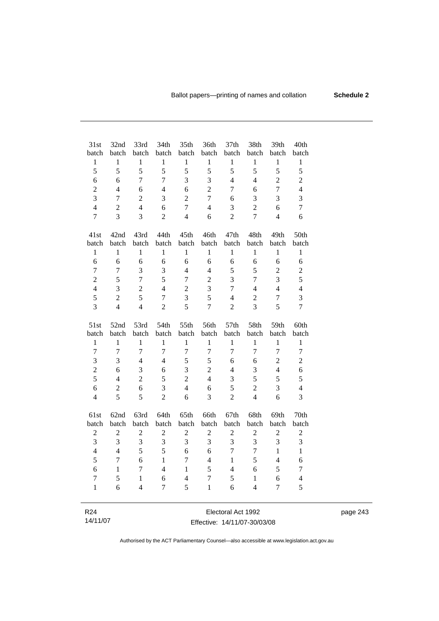| 31st                    | 32nd           | 33rd             | 34th             | 35th           | 36th           | 37 <sub>th</sub>   | 38th                     | 39th             | 40th                |
|-------------------------|----------------|------------------|------------------|----------------|----------------|--------------------|--------------------------|------------------|---------------------|
| batch                   | batch          | batch            | batch            | batch          | batch          | batch              | batch                    | batch            | batch               |
| $\mathbf{1}$            | $\,1$          | $\,1$            | $\,1$            | $\,1$          | $\,1$          | $\mathbf{1}$       | $\,1$                    | $\,1$            | $\,1$               |
| 5                       | 5              | 5                | 5                | 5              | 5              | 5                  | 5                        | 5                | 5                   |
| 6                       | 6              | $\overline{7}$   | $\overline{7}$   | 3              | 3              | $\overline{4}$     | $\overline{\mathcal{L}}$ | $\overline{c}$   | $\overline{c}$      |
| $\overline{c}$          | $\overline{4}$ | 6                | $\overline{4}$   | 6              | $\overline{c}$ | 7                  | 6                        | $\boldsymbol{7}$ | $\overline{4}$      |
| 3                       | $\overline{7}$ | $\overline{2}$   | $\mathfrak{Z}$   | $\overline{2}$ | $\overline{7}$ | 6                  | 3                        | 3                | 3                   |
| $\overline{4}$          | $\overline{2}$ | $\overline{4}$   | 6                | $\overline{7}$ | $\overline{4}$ | 3                  | $\overline{2}$           | 6                | $\overline{7}$      |
| $\overline{7}$          | $\overline{3}$ | 3                | $\overline{2}$   | $\overline{4}$ | 6              | $\overline{2}$     | $\overline{7}$           | $\overline{4}$   | 6                   |
| 41st                    | 42nd           | 43rd             | 44th             | 45th           | 46th           | 47th               | 48th                     | 49th             | 50th                |
| batch                   | batch          | batch            | batch            | batch          | batch          | batch              | batch                    | batch            | batch               |
| $\mathbf{1}$            | $\,1$          | $\,1$            | $\,1$            | $\mathbf{1}$   | $\,1$          | $\mathbf{1}$       | $\mathbf{1}$             | $\mathbf{1}$     | $\mathbf{1}$        |
| 6                       | 6              | 6                | 6                | 6              | 6              | 6                  | 6                        | 6                |                     |
| $\overline{7}$          | $\overline{7}$ | 3                | 3                | $\overline{4}$ | $\overline{4}$ | 5                  | 5                        | $\sqrt{2}$       | $\sqrt{6}$          |
| $\overline{2}$          | 5              |                  | 5                | $\overline{7}$ | $\overline{c}$ | 3                  | $\overline{7}$           | 3                | $\overline{c}$<br>5 |
|                         | $\overline{3}$ | $\tau$           |                  |                |                | $\overline{7}$     | $\overline{4}$           | $\overline{4}$   |                     |
| $\overline{4}$          |                | $\overline{2}$   | $\overline{4}$   | $\overline{c}$ | $\overline{3}$ |                    |                          |                  | $\overline{4}$      |
| 5                       | $\overline{2}$ | 5                | $\overline{7}$   | 3              | 5              | $\overline{4}$     | $\overline{2}$           | $\overline{7}$   | 3                   |
| 3                       | $\overline{4}$ | $\overline{4}$   | $\overline{2}$   | 5              | $\overline{7}$ | $\overline{2}$     | 3                        | 5                | $\overline{7}$      |
| 51st                    | 52nd           | 53rd             | 54th             | 55th           | 56th           | 57th               | 58th                     | 59th             | 60th                |
| batch                   | batch          | batch            | batch            | batch          | batch          | batch              | batch                    | batch            | batch               |
| $\mathbf{1}$            | $\mathbf{1}$   | $\mathbf{1}$     | $\mathbf{1}$     | $\mathbf{1}$   | $\mathbf{1}$   | $\mathbf{1}$       | $\mathbf{1}$             | $\mathbf{1}$     | $\mathbf{1}$        |
| $\overline{7}$          | $\overline{7}$ | $\overline{7}$   | $\overline{7}$   | $\overline{7}$ | $\overline{7}$ | $\overline{7}$     | $\overline{7}$           | $\boldsymbol{7}$ | $\tau$              |
| $\overline{\mathbf{3}}$ | 3              | $\overline{4}$   | $\overline{4}$   | 5              | 5              | 6                  | 6                        | $\sqrt{2}$       | $\overline{c}$      |
| $\overline{c}$          | 6              | 3                | 6                | 3              | $\overline{c}$ | $\overline{4}$     | 3                        | $\overline{4}$   | 6                   |
| 5                       | $\overline{4}$ | $\overline{c}$   | 5                | $\overline{2}$ | $\overline{4}$ | 3                  | 5                        | 5                | 5                   |
| 6                       | $\sqrt{2}$     | 6                | 3                | $\overline{4}$ | 6              | 5                  | $\overline{2}$           | 3                | $\overline{4}$      |
| $\overline{4}$          | 5              | 5                | $\overline{2}$   | 6              | 3              | $\overline{2}$     | $\overline{4}$           | 6                | 3                   |
|                         |                |                  |                  |                |                |                    |                          |                  |                     |
| 61st                    | 62nd           | 63rd             | 64th             | 65th           | 66th           | 67th               | 68th                     | 69th             | 70th                |
| batch                   | batch          | batch            | batch            | batch          | batch          | batch              | batch                    | batch            | batch               |
| $\boldsymbol{2}$        | $\sqrt{2}$     | $\sqrt{2}$       | $\sqrt{2}$       | $\sqrt{2}$     | $\sqrt{2}$     | $\boldsymbol{2}$   | $\mathbf{2}$             | $\sqrt{2}$       | $\boldsymbol{2}$    |
| 3                       | $\mathfrak{Z}$ | $\mathfrak{Z}$   | $\mathfrak{Z}$   | 3              | 3              | $\mathfrak{Z}$     | 3                        | 3                | $\mathfrak{Z}$      |
| $\overline{4}$          | $\overline{4}$ | 5                | 5                | 6              | 6              | $\overline{7}$     | $\overline{7}$           | $\mathbf{1}$     | $\mathbf{1}$        |
| 5                       | $\overline{7}$ | 6                | $\mathbf{1}$     | $\overline{7}$ | $\overline{4}$ | $\mathbf{1}$       | 5                        | $\overline{4}$   | 6                   |
| 6                       | $\mathbf{1}$   | $\boldsymbol{7}$ | $\overline{4}$   | $\mathbf{1}$   | 5              | $\overline{4}$     | 6                        | 5                | $\overline{7}$      |
| $\overline{7}$          | 5              | $\mathbf{1}$     | 6                | $\overline{4}$ | $\overline{7}$ | 5                  | $\mathbf{1}$             | 6                | $\overline{4}$      |
| $\mathbf{1}$            | 6              | $\overline{4}$   | $\boldsymbol{7}$ | 5              | $\mathbf{1}$   | 6                  | $\overline{4}$           | $\overline{7}$   | 5                   |
|                         |                |                  |                  |                |                |                    |                          |                  |                     |
| R24                     |                |                  |                  |                |                | Electoral Act 1992 |                          |                  |                     |

14/11/07

Electoral Act 1992 Effective: 14/11/07-30/03/08 page 243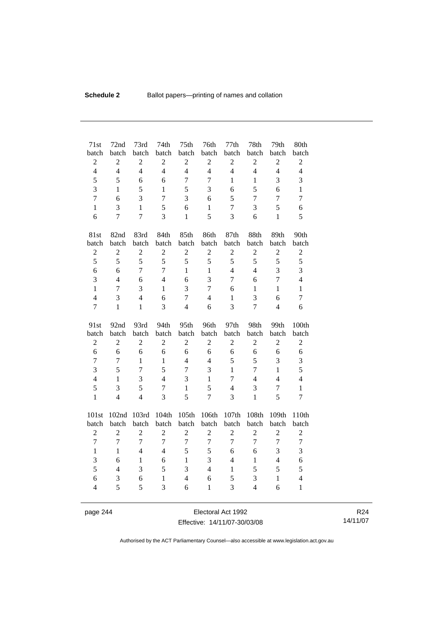| 71st             | 72nd             | 73rd           | 74th           | 75 <sup>th</sup> | 76th           | 77th           | 78th           | 79th             | 80th           |
|------------------|------------------|----------------|----------------|------------------|----------------|----------------|----------------|------------------|----------------|
| batch            | batch            | batch          | batch          | batch            | batch          | batch          | batch          | batch            | batch          |
| $\overline{c}$   | $\overline{c}$   | $\overline{c}$ | $\overline{2}$ | $\overline{2}$   | $\mathbf{2}$   | $\overline{2}$ | $\overline{2}$ | $\boldsymbol{2}$ | $\mathbf{2}$   |
| $\overline{4}$   | $\overline{4}$   | $\overline{4}$ | $\overline{4}$ | $\overline{4}$   | $\overline{4}$ | $\overline{4}$ | $\overline{4}$ | $\overline{4}$   | $\overline{4}$ |
| 5                | 5                | 6              | 6              | $\overline{7}$   | $\overline{7}$ | $\mathbf{1}$   | $\mathbf{1}$   | 3                | 3              |
| 3                | $\mathbf{1}$     | 5              | $\mathbf{1}$   | 5                | 3              | 6              | 5              | 6                | $\mathbf{1}$   |
| $\overline{7}$   | 6                | $\overline{3}$ | $\overline{7}$ | 3                | 6              | 5              | $\overline{7}$ | $\overline{7}$   | $\overline{7}$ |
| $\mathbf{1}$     | 3                | $\mathbf{1}$   | 5              | 6                | $\mathbf{1}$   | $\overline{7}$ | 3              | 5                | 6              |
| 6                | $\overline{7}$   | $\overline{7}$ | 3              | $\mathbf{1}$     | 5              | 3              | 6              | $\mathbf{1}$     | 5              |
| 81st             | 82nd             | 83rd           | 84th           | 85th             | 86th           | 87th           | 88th           | 89th             | 90th           |
| batch            | batch            | batch          | batch          | batch            | batch          | batch          | batch          | batch            | batch          |
| $\sqrt{2}$       | $\boldsymbol{2}$ | $\overline{c}$ | $\sqrt{2}$     | $\overline{2}$   | $\mathbf{2}$   | $\overline{2}$ | $\overline{2}$ | $\overline{c}$   | $\overline{c}$ |
| 5                | 5                | 5              | 5              | 5                | 5              | 5              | 5              | 5                | 5              |
| 6                | 6                | $\overline{7}$ | $\overline{7}$ | $\mathbf{1}$     | $\mathbf{1}$   | $\overline{4}$ | $\overline{4}$ | 3                | 3              |
| 3                | $\overline{4}$   | 6              | $\overline{4}$ | 6                | 3              | $\overline{7}$ | 6              | $\overline{7}$   | $\overline{4}$ |
| $\mathbf{1}$     | 7                | 3              | $\mathbf{1}$   | 3                | $\overline{7}$ | 6              | $\mathbf{1}$   | $\mathbf{1}$     | $\mathbf{1}$   |
| $\overline{4}$   | 3                | $\overline{4}$ | 6              | $\overline{7}$   | $\overline{4}$ | $\mathbf{1}$   | 3              | 6                | $\tau$         |
| $\overline{7}$   | $\mathbf{1}$     | $\mathbf{1}$   | $\overline{3}$ | $\overline{4}$   | 6              | $\overline{3}$ | $\overline{7}$ | $\overline{4}$   | 6              |
| 91st             | 92nd             | 93rd           | 94th           | 95th             | 96th           | 97th           | 98th           | 99th             | 100th          |
| batch            | batch            | batch          | batch          | batch            | batch          | batch          | batch          | batch            | batch          |
| $\overline{2}$   | $\overline{2}$   | $\overline{2}$ | $\overline{2}$ | $\overline{2}$   | $\overline{2}$ | $\overline{2}$ | $\overline{2}$ | $\overline{2}$   | $\overline{2}$ |
| 6                | 6                | 6              | 6              | 6                | 6              | 6              | 6              | 6                | 6              |
| $\overline{7}$   | $\overline{7}$   | $\mathbf{1}$   | $\mathbf{1}$   | $\overline{4}$   | $\overline{4}$ | 5              | 5              | 3                | 3              |
| 3                | 5                | $\overline{7}$ | 5              | $\overline{7}$   | 3              | $\mathbf{1}$   | $\overline{7}$ | $\mathbf{1}$     | 5              |
| $\overline{4}$   | $\mathbf{1}$     | $\overline{3}$ | $\overline{4}$ | $\overline{3}$   | $\mathbf{1}$   | $\tau$         | $\overline{4}$ | $\overline{4}$   | $\overline{4}$ |
| 5                | 3                | 5              | $\overline{7}$ | $\mathbf{1}$     | 5              | $\overline{4}$ | 3              | $\tau$           | $\mathbf{1}$   |
| $\mathbf{1}$     | $\overline{4}$   | $\overline{4}$ | 3              | 5                | $\overline{7}$ | 3              | $\mathbf{1}$   | 5                | $\overline{7}$ |
| 101st            | 102nd            | 103rd          | 104th          | 105th            | 106th          | 107th          | 108th          | 109th            | 110th          |
| batch            | batch            | batch          | batch          | batch            | batch          | batch          | batch          | batch            | batch          |
| $\overline{2}$   | $\overline{2}$   | $\overline{c}$ | $\overline{2}$ | $\overline{2}$   | $\mathfrak{2}$ | $\overline{2}$ | $\overline{c}$ | $\overline{2}$   | $\mathbf{2}$   |
| $\boldsymbol{7}$ | $\overline{7}$   | $\overline{7}$ | $\overline{7}$ | $\boldsymbol{7}$ | $\overline{7}$ | $\overline{7}$ | $\overline{7}$ | $\boldsymbol{7}$ | $\overline{7}$ |
| $\mathbf{1}$     | $\mathbf{1}$     | $\overline{4}$ | $\overline{4}$ | 5                | 5              | $\sqrt{6}$     | $\sqrt{6}$     | 3                | 3              |
| 3                | 6                | $\mathbf{1}$   | 6              | $\mathbf{1}$     | 3              | $\overline{4}$ | $\mathbf{1}$   | $\overline{4}$   | 6              |
| 5                | $\overline{4}$   | 3              | 5              | 3                | $\overline{4}$ | $\mathbf{1}$   | 5              | 5                | 5              |
| 6                | 3                | 6              | $\mathbf{1}$   | $\overline{4}$   | 6              | 5              | 3              | $\mathbf{1}$     | $\overline{4}$ |
| $\overline{4}$   | 5                | 5              | 3              | 6                | $\mathbf{1}$   | 3              | $\overline{4}$ | 6                | $\mathbf{1}$   |

page 244 Electoral Act 1992 Effective: 14/11/07-30/03/08

R24 14/11/07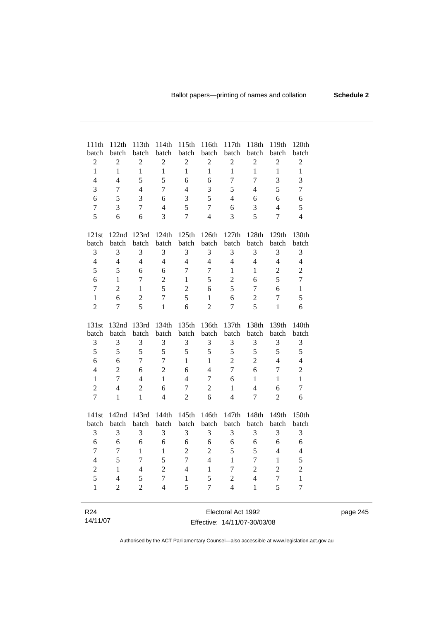| 111th<br>batch          | 112th<br>batch | 113th<br>batch | 114th<br>batch          | 115th<br>batch | 116th<br>batch   | 117th<br>batch     | 118th<br>batch | 119th<br>batch | 120th<br>batch   |
|-------------------------|----------------|----------------|-------------------------|----------------|------------------|--------------------|----------------|----------------|------------------|
| $\overline{c}$          | $\overline{c}$ | $\mathbf{2}$   | $\sqrt{2}$              | $\overline{2}$ | $\mathbf{2}$     | $\overline{2}$     | $\overline{c}$ | $\sqrt{2}$     | $\boldsymbol{2}$ |
| $\mathbf{1}$            | $\mathbf{1}$   | $\mathbf{1}$   | $\mathbf{1}$            | $\mathbf{1}$   | $\mathbf{1}$     | $\mathbf{1}$       | $\mathbf{1}$   | $\mathbf{1}$   | $\mathbf{1}$     |
| $\overline{\mathbf{4}}$ | $\overline{4}$ | 5              | 5                       | 6              | 6                | $\overline{7}$     | $\overline{7}$ | 3              | 3                |
| 3                       | $\overline{7}$ | $\overline{4}$ | $\overline{7}$          | $\overline{4}$ | 3                | 5                  | $\overline{4}$ | 5              | $\boldsymbol{7}$ |
| 6                       | 5              | 3              | 6                       | 3              | 5                | $\overline{4}$     | 6              | 6              | 6                |
| $\overline{7}$          | 3              | $\overline{7}$ | $\overline{\mathbf{4}}$ | 5              | $\boldsymbol{7}$ | 6                  | 3              | $\overline{4}$ | 5                |
| 5                       | 6              | 6              | 3                       | $\overline{7}$ | $\overline{4}$   | 3                  | 5              | $\overline{7}$ | $\overline{4}$   |
|                         |                |                |                         |                |                  |                    |                |                |                  |
| 121st                   | 122nd          | 123rd          | 124th                   | 125th          | 126th            | 127th              | 128th          | 129th          | 130th            |
| batch                   | batch          | batch          | batch                   | batch          | batch            | batch              | batch          | batch          | batch            |
| 3                       | 3              | 3              | 3                       | 3              | 3                | 3                  | 3              | 3              | 3                |
| $\overline{4}$          | $\overline{4}$ | $\overline{4}$ | $\overline{4}$          | $\overline{4}$ | $\overline{4}$   | $\overline{4}$     | $\overline{4}$ | $\overline{4}$ | $\overline{4}$   |
| 5                       | 5              | 6              | 6                       | $\overline{7}$ | $\overline{7}$   | 1                  | $\mathbf{1}$   | $\overline{c}$ | $\overline{c}$   |
| 6                       | $\mathbf{1}$   | $\tau$         | $\overline{2}$          | $\mathbf{1}$   | 5                | $\overline{2}$     | 6              | 5              | $\overline{7}$   |
| $\tau$                  | $\overline{2}$ | $\mathbf{1}$   | 5                       | $\overline{2}$ | 6                | 5                  | $\overline{7}$ | 6              | $\mathbf{1}$     |
| $\mathbf{1}$            | 6              | $\overline{2}$ | $\overline{7}$          | 5              | $\mathbf{1}$     | 6                  | $\overline{c}$ | $\overline{7}$ | 5                |
| $\overline{2}$          | $\overline{7}$ | 5              | $\mathbf{1}$            | 6              | $\overline{2}$   | $\overline{7}$     | 5              | $\mathbf{1}$   | 6                |
| 131st                   | 132nd          | 133rd          | 134th                   | 135th          | 136th            | 137th              | 138th          | 139th          | 140th            |
| batch                   | batch          | batch          | batch                   | batch          | batch            | batch              | batch          | batch          | batch            |
| $\mathfrak{Z}$          | $\mathfrak{Z}$ | 3              | 3                       | 3              | $\mathfrak{Z}$   | $\mathfrak{Z}$     | 3              | 3              | $\mathfrak{Z}$   |
| 5                       | 5              | 5              | 5                       | 5              | 5                | 5                  | 5              | 5              | $\sqrt{5}$       |
| 6                       | 6              | 7              | $\overline{7}$          | $\mathbf{1}$   | $\mathbf{1}$     | $\overline{2}$     | $\overline{2}$ | $\overline{4}$ | $\overline{4}$   |
| $\overline{4}$          | $\overline{2}$ | 6              | $\overline{2}$          | 6              | $\overline{4}$   | $\overline{7}$     | 6              | $\overline{7}$ | $\overline{c}$   |
| $\mathbf{1}$            | $\overline{7}$ | $\overline{4}$ | $\mathbf{1}$            | $\overline{4}$ | $\boldsymbol{7}$ | 6                  | $\mathbf{1}$   | $\mathbf{1}$   | $\mathbf{1}$     |
| $\overline{c}$          | $\overline{4}$ | $\overline{c}$ | 6                       | $\overline{7}$ | $\overline{c}$   | $\mathbf{1}$       | $\overline{4}$ | 6              | $\boldsymbol{7}$ |
| $\overline{7}$          | $\mathbf{1}$   | $\mathbf{1}$   | $\overline{4}$          | $\overline{2}$ | 6                | $\overline{4}$     | $\overline{7}$ | $\overline{2}$ | 6                |
| 141st                   | 142nd          | 143rd          | 144th                   | 145th          | 146th            | 147th              | 148th          | 149th          | 150th            |
| batch                   | batch          | batch          | batch                   | batch          | batch            | batch              | batch          | batch          | batch            |
| 3                       | $\mathfrak{Z}$ | 3              | 3                       | $\mathfrak{Z}$ | 3                | 3                  | 3              | 3              | 3                |
| 6                       | 6              | 6              | 6                       | 6              | 6                | 6                  | 6              | 6              | 6                |
| 7                       | $\tau$         | $\mathbf{1}$   | $\,1$                   | $\sqrt{2}$     | $\overline{2}$   | 5                  | 5              | $\overline{4}$ | $\overline{4}$   |
| $\overline{4}$          | 5              | $\overline{7}$ | 5                       | $\overline{7}$ | $\overline{4}$   | $\mathbf{1}$       | $\overline{7}$ | $\mathbf{1}$   | 5                |
| $\overline{c}$          | $\mathbf{1}$   | $\overline{4}$ | $\overline{2}$          | $\overline{4}$ | $\mathbf{1}$     | $\overline{7}$     | $\overline{2}$ | $\overline{2}$ | $\overline{c}$   |
| 5                       | $\overline{4}$ | 5              | $\overline{7}$          | $\mathbf{1}$   | 5                | $\overline{2}$     | $\overline{4}$ | $\overline{7}$ | $\,1$            |
| $\mathbf{1}$            | $\overline{2}$ | $\overline{c}$ | $\overline{4}$          | 5              | $\overline{7}$   | $\overline{4}$     | $\mathbf{1}$   | 5              | $\overline{7}$   |
|                         |                |                |                         |                |                  |                    |                |                |                  |
| R <sub>24</sub>         |                |                |                         |                |                  | Electoral Act 1992 |                |                |                  |

### 14/11/07

 $\overline{\phantom{0}}$ 

Electoral Act 1992 Effective: 14/11/07-30/03/08 page 245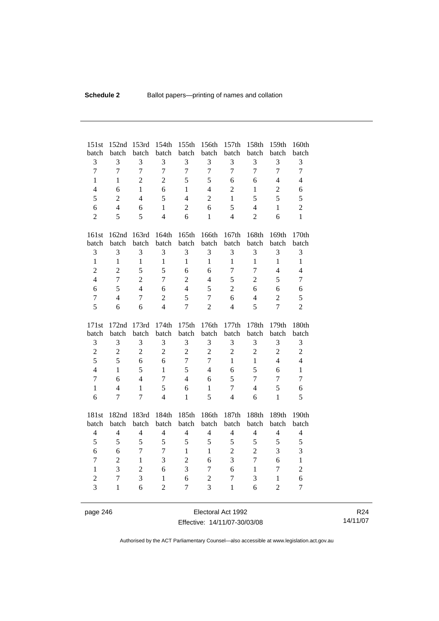| 151st<br>batch | 152nd<br>batch   | 153rd<br>batch | 154th<br>batch | 155th<br>batch | 156th<br>batch | 157th<br>batch | 158th<br>batch | 159th<br>batch   | 160th<br>batch |
|----------------|------------------|----------------|----------------|----------------|----------------|----------------|----------------|------------------|----------------|
| 3              | 3                | 3              | 3              | 3              | 3              | 3              | 3              | 3                | 3              |
| $\overline{7}$ | $\overline{7}$   | $\overline{7}$ | $\overline{7}$ | $\overline{7}$ | $\overline{7}$ | $\overline{7}$ | $\overline{7}$ | $\overline{7}$   | $\overline{7}$ |
| $\mathbf{1}$   | $\mathbf{1}$     | $\overline{2}$ | $\overline{2}$ | 5              | 5              | 6              | 6              | $\overline{4}$   | $\overline{4}$ |
| $\overline{4}$ | 6                | $\mathbf{1}$   | 6              | $\mathbf{1}$   | $\overline{4}$ | $\overline{2}$ | $\mathbf{1}$   | $\overline{2}$   | 6              |
| 5              | $\overline{2}$   | $\overline{4}$ | 5              | $\overline{4}$ | $\overline{2}$ | 1              | 5              | 5                | 5              |
| 6              | $\overline{4}$   | 6              | $\mathbf{1}$   | $\overline{2}$ | 6              | 5              | $\overline{4}$ | $\mathbf{1}$     | $\overline{2}$ |
| $\overline{2}$ | 5                | 5              | $\overline{4}$ | 6              | $\mathbf{1}$   | $\overline{4}$ | $\overline{2}$ | 6                | $\mathbf{1}$   |
|                |                  |                |                |                |                |                |                |                  |                |
| 161st          | 162nd            | 163rd          | 164th          | 165th          | 166th          | 167th          | 168th          | 169th            | 170th          |
| batch          | batch            | batch          | batch          | batch          | batch          | batch          | batch          | batch            | batch          |
| 3              | 3                | 3              | 3              | 3              | 3              | 3              | 3              | 3                | 3              |
| $\mathbf{1}$   | $\mathbf{1}$     | $\mathbf{1}$   | $\mathbf{1}$   | $\mathbf{1}$   | $\mathbf{1}$   | $\mathbf{1}$   | $\mathbf{1}$   | $\mathbf{1}$     | $\mathbf{1}$   |
| $\overline{2}$ | $\overline{2}$   | 5              | 5              | 6              | 6              | 7              | $\overline{7}$ | $\overline{4}$   | $\overline{4}$ |
| $\overline{4}$ | $\overline{7}$   | $\overline{c}$ | $\overline{7}$ | $\overline{2}$ | 4              | 5              | $\overline{2}$ | 5                | $\overline{7}$ |
| 6              | 5                | $\overline{4}$ | 6              | $\overline{4}$ | 5              | $\overline{2}$ | 6              | 6                | 6              |
| $\overline{7}$ | $\overline{4}$   | $\overline{7}$ | $\overline{2}$ | 5              | $\overline{7}$ | 6              | $\overline{4}$ | $\overline{2}$   | 5              |
| 5              | 6                | 6              | $\overline{4}$ | $\overline{7}$ | $\overline{2}$ | $\overline{4}$ | 5              | $\overline{7}$   | $\overline{2}$ |
|                |                  |                |                |                |                |                |                |                  |                |
| 171st          | 172nd            | 173rd          | 174th          | 175th          | 176th          | 177th          | 178th          | 179th            | 180th          |
| batch          | batch            | batch          | batch          | batch          | batch          | batch          | batch          | batch            | batch          |
| 3              | 3                | 3              | 3              | $\mathfrak{Z}$ | 3              | 3              | 3              | $\mathfrak{Z}$   | 3              |
| $\overline{c}$ | $\boldsymbol{2}$ | $\overline{c}$ | $\overline{2}$ | $\overline{2}$ | $\overline{2}$ | $\overline{2}$ | $\overline{2}$ | $\boldsymbol{2}$ | $\overline{2}$ |
| 5              | 5                | 6              | 6              | $\overline{7}$ | $\overline{7}$ | $\mathbf{1}$   | $\mathbf{1}$   | $\overline{4}$   | $\overline{4}$ |
| $\overline{4}$ | $\mathbf{1}$     | 5              | $\mathbf{1}$   | 5              | $\overline{4}$ | 6              | 5              | 6                | $\mathbf{1}$   |
| $\overline{7}$ | 6                | $\overline{4}$ | $\overline{7}$ | $\overline{4}$ | 6              | 5              | $\overline{7}$ | $\overline{7}$   | $\overline{7}$ |
| $\mathbf{1}$   | 4                | $\mathbf{1}$   | 5              | 6              | $\mathbf{1}$   | $\overline{7}$ | $\overline{4}$ | 5                | 6              |
| 6              | $\overline{7}$   | $\overline{7}$ | $\overline{4}$ | $\mathbf{1}$   | 5              | $\overline{4}$ | 6              | $\mathbf{1}$     | 5              |
|                |                  |                |                |                |                |                |                |                  |                |
| 181st<br>batch | 182nd<br>batch   | 183rd<br>batch | 184th<br>batch | 185th<br>batch | 186th<br>batch | 187th<br>batch | 188th<br>batch | 189th<br>batch   | 190th<br>batch |
| $\overline{4}$ | $\overline{4}$   | $\overline{4}$ | $\overline{4}$ | $\overline{4}$ | $\overline{4}$ | $\overline{4}$ | $\overline{4}$ | $\overline{4}$   | $\overline{4}$ |
| 5              | 5                | 5              | 5              | 5              | 5              | 5              | 5              | 5                | 5              |
| 6              | 6                | 7              | $\overline{7}$ | $\mathbf{1}$   | $\mathbf{1}$   | $\overline{2}$ | $\overline{2}$ | 3                | 3              |
| $\overline{7}$ | $\overline{2}$   | $\mathbf{1}$   | 3              | $\overline{c}$ | 6              | 3              | $\overline{7}$ | 6                | $\mathbf 1$    |
| $\mathbf{1}$   | 3                | $\overline{2}$ | 6              | 3              | $\tau$         | 6              | $\mathbf{1}$   | $\tau$           | $\overline{c}$ |
| $\overline{c}$ | $\overline{7}$   | 3              | $\mathbf{1}$   | 6              | $\overline{2}$ | $\overline{7}$ | 3              | 1                | 6              |
| $\overline{3}$ | $\mathbf{1}$     | 6              | $\overline{2}$ | $\overline{7}$ | $\overline{3}$ | $\mathbf{1}$   | 6              | $\overline{2}$   | $\overline{7}$ |

page 246 Electoral Act 1992 Effective: 14/11/07-30/03/08

R24 14/11/07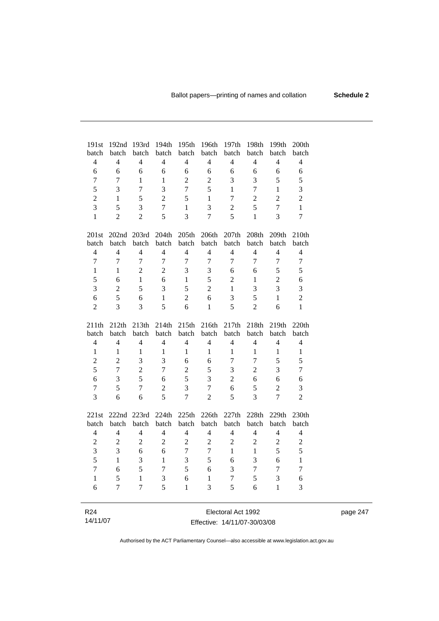| 191st<br>batch  | 192nd<br>batch | 193rd<br>batch | 194th                   | 195th<br>batch           | 196th<br>batch | 197th                   | 198th<br>batch | 199th<br>batch | 200th<br>batch   |
|-----------------|----------------|----------------|-------------------------|--------------------------|----------------|-------------------------|----------------|----------------|------------------|
| $\overline{4}$  | $\overline{4}$ | $\overline{4}$ | batch<br>$\overline{4}$ | $\overline{4}$           | $\overline{4}$ | batch<br>$\overline{4}$ | $\overline{4}$ | $\overline{4}$ | $\overline{4}$   |
| 6               | 6              | 6              | 6                       | 6                        | 6              | 6                       | 6              | 6              |                  |
|                 |                |                |                         |                          |                |                         |                |                | 6                |
| $\overline{7}$  | $\overline{7}$ | $\mathbf{1}$   | $\mathbf{1}$            | $\overline{c}$           | $\overline{2}$ | 3                       | 3              | 5              | 5                |
| 5               | 3              | $\overline{7}$ | 3                       | $\overline{7}$           | 5              | $\mathbf{1}$            | $\overline{7}$ | $\mathbf{1}$   | $\overline{3}$   |
| $\overline{2}$  | $\mathbf{1}$   | 5              | $\overline{2}$          | 5                        | $\mathbf{1}$   | $\overline{7}$          | $\overline{2}$ | $\overline{2}$ | $\overline{2}$   |
| $\overline{3}$  | 5              | 3              | $\overline{7}$          | $\mathbf{1}$             | 3              | $\overline{2}$          | 5              | $\overline{7}$ | $\mathbf{1}$     |
| 1               | $\overline{2}$ | $\overline{2}$ | 5                       | 3                        | $\overline{7}$ | 5                       | $\mathbf{1}$   | 3              | $\boldsymbol{7}$ |
| 201st           | 202nd          | 203rd          | 204th                   | 205th                    | 206th          | 207th                   | 208th          | 209th          | 210th            |
| batch           | batch          | batch          | batch                   | batch                    | batch          | batch                   | batch          | batch          | batch            |
| $\overline{4}$  | $\overline{4}$ | $\overline{4}$ | $\overline{4}$          | $\overline{\mathcal{L}}$ | $\overline{4}$ | $\overline{4}$          | $\overline{4}$ | $\overline{4}$ | $\overline{4}$   |
| $\overline{7}$  | $\overline{7}$ | $\overline{7}$ | $\overline{7}$          | $\overline{7}$           | 7              | $\overline{7}$          | $\overline{7}$ | $\overline{7}$ | $\tau$           |
| $\mathbf{1}$    | $\mathbf{1}$   | $\overline{2}$ | $\overline{2}$          | 3                        | 3              | 6                       | 6              | 5              | 5                |
| 5               | 6              | $\mathbf{1}$   | 6                       | $\mathbf{1}$             | 5              | $\overline{2}$          | $\mathbf{1}$   | $\overline{2}$ | 6                |
| 3               | $\overline{2}$ | 5              | $\overline{3}$          | 5                        | $\overline{2}$ | $\mathbf{1}$            | 3              | 3              | 3                |
| 6               | 5              | 6              | $\mathbf{1}$            | $\overline{2}$           | 6              | 3                       | 5              | $\mathbf{1}$   | $\overline{c}$   |
| $\overline{2}$  | $\overline{3}$ | 3              | 5                       | 6                        | $\mathbf{1}$   | 5                       | $\overline{2}$ | 6              | $\mathbf{1}$     |
| 211th           | 212th          | 213th          | 214th                   | 215th                    | 216th          | 217th                   | 218th          | 219th          | 220th            |
| batch           | batch          | batch          | batch                   | batch                    | batch          | batch                   | batch          | batch          | batch            |
| $\overline{4}$  | $\overline{4}$ | $\overline{4}$ | $\overline{4}$          | $\overline{4}$           | $\overline{4}$ | $\overline{4}$          | $\overline{4}$ | 4              | $\overline{4}$   |
| $\mathbf{1}$    | $\mathbf{1}$   | 1              | $\mathbf{1}$            | $\mathbf{1}$             | $\mathbf{1}$   | $\mathbf{1}$            | $\mathbf{1}$   | $\mathbf{1}$   | $\mathbf{1}$     |
| $\overline{2}$  | $\overline{2}$ | 3              | 3                       | 6                        | 6              | $\overline{7}$          | $\overline{7}$ | 5              | 5                |
| 5               | $\overline{7}$ | $\overline{2}$ | $\overline{7}$          | $\overline{2}$           | 5              | 3                       | $\overline{2}$ | 3              | $\boldsymbol{7}$ |
| 6               | 3              | 5              | 6                       | 5                        | 3              | $\overline{c}$          | 6              | 6              | 6                |
| $\overline{7}$  | 5              | $\overline{7}$ | $\overline{2}$          | 3                        | $\overline{7}$ | 6                       | 5              | $\overline{2}$ | 3                |
| 3               | 6              | 6              | 5                       | $\overline{7}$           | $\overline{2}$ | 5                       | $\overline{3}$ | $\overline{7}$ | $\overline{2}$   |
|                 |                |                |                         |                          |                |                         |                |                |                  |
| 221st           | 222nd          | 223rd          | 224th                   | 225th                    | 226th          | 227th                   | 228th          | 229th          | 230th            |
| batch           | batch          | batch          | batch                   | batch                    | batch          | batch                   | batch          | batch          | batch            |
| $\overline{4}$  | $\overline{4}$ | $\overline{4}$ | $\overline{4}$          | $\overline{4}$           | $\overline{4}$ | $\overline{4}$          | $\overline{4}$ | $\overline{4}$ | 4                |
| $\overline{2}$  | $\overline{2}$ | $\overline{2}$ | $\overline{2}$          | $\sqrt{2}$               | $\overline{2}$ | $\overline{2}$          | $\overline{2}$ | $\overline{2}$ | $\sqrt{2}$       |
| 3               | 3              | 6              | 6                       | $\boldsymbol{7}$         | $\overline{7}$ | $\mathbf{1}$            | $\mathbf{1}$   | 5              | 5                |
| 5               | $\mathbf{1}$   | 3              | $\mathbf{1}$            | 3                        | 5              | 6                       | 3              | 6              | $\mathbf{1}$     |
| $\overline{7}$  | 6              | 5              | $\overline{7}$          | 5                        | 6              | 3                       | $\overline{7}$ | $\overline{7}$ | $\boldsymbol{7}$ |
| $\mathbf{1}$    | 5              | $\mathbf{1}$   | 3                       | 6                        | $\mathbf{1}$   | $\boldsymbol{7}$        | 5              | 3              | $\epsilon$       |
| 6               | 7              | $\overline{7}$ | 5                       | 1                        | 3              | 5                       | 6              | $\mathbf{1}$   | 3                |
|                 |                |                |                         |                          |                |                         |                |                |                  |
| R <sub>24</sub> |                |                |                         |                          |                | Electoral Act 1992      |                |                |                  |

#### Effective: 14/11/07-30/03/08

14/11/07

 $\overline{\phantom{0}}$ 

page 247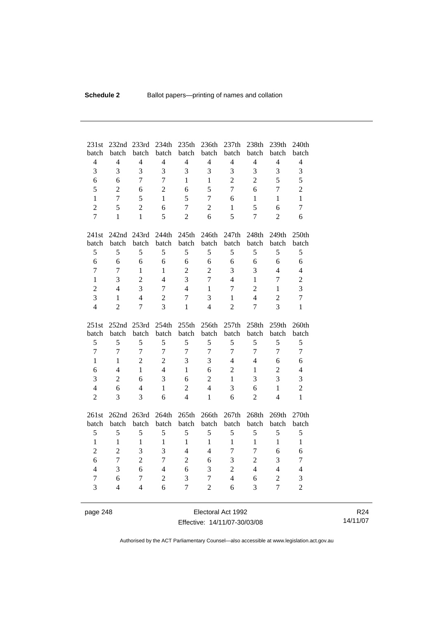| 231st               | 232nd          | 233rd               | 234th               | 235th                            | 236th                    | 237th               | 238th          | 239th                            | 240th                          |
|---------------------|----------------|---------------------|---------------------|----------------------------------|--------------------------|---------------------|----------------|----------------------------------|--------------------------------|
| batch               | batch          | batch               | batch               | batch                            | batch                    | batch               | batch          | batch                            | batch                          |
| $\overline{4}$      | $\overline{4}$ | $\overline{4}$      | $\overline{4}$      | $\overline{4}$                   | $\overline{4}$           | $\overline{4}$      | $\overline{4}$ | $\overline{4}$                   | $\overline{4}$                 |
| $\overline{3}$      | 3              | $\overline{3}$      | $\overline{3}$      | $\overline{3}$                   | 3                        | 3                   | $\overline{3}$ | 3                                | $\overline{3}$                 |
| 6                   | 6              | $\overline{7}$      | $\overline{7}$      | $\mathbf{1}$                     | $\mathbf{1}$             | $\overline{2}$      | $\overline{2}$ | 5                                | 5                              |
| 5                   | $\overline{2}$ | 6                   | $\overline{2}$      | 6                                | 5                        | $\overline{7}$      | 6              | $\overline{7}$                   | $\overline{2}$                 |
| $\mathbf{1}$        | $\overline{7}$ | 5                   | $\mathbf{1}$        | 5                                | 7                        | 6                   | 1              | $\mathbf{1}$                     | $\mathbf{1}$                   |
| $\overline{2}$      | 5              | $\overline{2}$      | 6                   | $\overline{7}$                   | $\overline{2}$           | $\mathbf{1}$        | 5              | 6                                | $\overline{7}$                 |
| $\overline{7}$      | 1              | $\mathbf{1}$        | 5                   | $\overline{2}$                   | 6                        | 5                   | $\overline{7}$ | $\overline{2}$                   | 6                              |
| 241st               | 242nd 243rd    |                     | 244th               | 245th                            | 246th                    | 247th               | 248th          | 249th                            | 250th                          |
| batch               | batch          | batch               | batch               | batch                            | batch                    | batch               | batch          | batch                            | batch                          |
| 5                   | 5              | 5                   | 5                   | 5                                | 5                        | 5                   | 5              | 5                                | 5                              |
| 6                   | 6              | 6                   | 6                   | 6                                | 6                        | 6                   | 6              | 6                                | 6                              |
| $\overline{7}$      | $\overline{7}$ | $\mathbf{1}$        | $\mathbf{1}$        | $\overline{2}$                   | $\overline{2}$           | 3                   | 3              | $\overline{4}$                   | $\overline{4}$                 |
| $\mathbf{1}$        | 3              | $\overline{2}$      | 4                   | $\overline{3}$                   | $\overline{7}$           | $\overline{4}$      | $\mathbf{1}$   | $\overline{7}$                   | $\overline{2}$                 |
| $\overline{c}$      | $\overline{4}$ | $\overline{3}$      | $\overline{7}$      | $\overline{4}$                   | $\mathbf{1}$             | $\overline{7}$      | $\overline{2}$ | $\mathbf{1}$                     | $\overline{\mathbf{3}}$        |
| 3                   | $\mathbf{1}$   | $\overline{4}$      | $\overline{2}$      | $\overline{7}$                   | 3                        | $\mathbf{1}$        | $\overline{4}$ | $\overline{2}$                   | $\overline{7}$                 |
| $\overline{4}$      | $\overline{2}$ | 7                   | 3                   | 1                                | $\overline{4}$           | $\overline{2}$      | $\overline{7}$ | 3                                | 1                              |
|                     |                |                     |                     |                                  |                          |                     |                |                                  |                                |
| 251st               |                |                     |                     |                                  |                          |                     |                |                                  |                                |
| batch               | 252nd<br>batch | 253rd<br>batch      | 254th<br>batch      | 255th<br>batch                   | 256th<br>batch           | 257th<br>batch      | 258th<br>batch | 259th<br>batch                   | 260th<br>batch                 |
| 5                   | 5              | 5                   | 5                   | 5                                | 5                        | 5                   | 5              | 5                                | 5                              |
| $\overline{7}$      | $\overline{7}$ | $\overline{7}$      | $\overline{7}$      | $\overline{7}$                   | $\tau$                   | $\overline{7}$      | $\overline{7}$ | $\overline{7}$                   | $\overline{7}$                 |
| $\mathbf{1}$        | 1              | $\overline{2}$      | $\overline{2}$      | 3                                | 3                        | $\overline{4}$      | $\overline{4}$ | 6                                | 6                              |
| 6                   | $\overline{4}$ | $\mathbf{1}$        | $\overline{4}$      | $\mathbf{1}$                     | 6                        | $\overline{2}$      | $\mathbf{1}$   | $\overline{2}$                   | $\overline{4}$                 |
| 3                   | $\overline{2}$ | 6                   | 3                   | 6                                | $\overline{2}$           | $\mathbf{1}$        | 3              | 3                                | 3                              |
| $\overline{4}$      | 6              | $\overline{4}$      | $\mathbf{1}$        |                                  | $\overline{4}$           |                     | 6              | $\mathbf{1}$                     |                                |
| $\overline{c}$      | 3              | 3                   | 6                   | $\overline{c}$<br>$\overline{4}$ | $\mathbf{1}$             | 3<br>6              | $\overline{2}$ | $\overline{4}$                   | $\overline{c}$<br>$\mathbf{1}$ |
|                     |                |                     |                     |                                  |                          |                     |                |                                  |                                |
| 261st               | 262nd          | 263rd               | 264th               | 265th                            | 266th                    | 267th               | 268th          | 269th                            | 270th                          |
| batch               | batch          | batch               | batch               | batch                            | batch                    | batch               | batch          | batch                            | batch                          |
| 5                   | $\mathfrak s$  | 5                   | 5                   | 5                                | 5                        | 5                   | 5              | 5                                | 5                              |
| $\mathbf{1}$        | $\mathbf{1}$   | $\mathbf{1}$        | $\mathbf{1}$        | $\mathbf{1}$                     | $\mathbf{1}$             | $\mathbf{1}$        | $\mathbf{1}$   | $\mathbf{1}$                     | $\mathbf{1}$                   |
| $\overline{2}$      | $\overline{2}$ | $\overline{3}$      | 3                   | $\overline{4}$                   | $\overline{4}$           | 7                   | $\overline{7}$ | 6                                | 6                              |
| 6                   | $\overline{7}$ | $\overline{2}$      | $\overline{7}$      | $\overline{2}$                   | 6                        | 3                   | $\overline{2}$ | 3                                | $\overline{7}$                 |
| $\overline{4}$      | 3              | 6                   | $\overline{4}$      | 6                                | 3                        | $\overline{2}$      | $\overline{4}$ | $\overline{4}$                   | $\overline{4}$                 |
| $\overline{7}$<br>3 | 6<br>4         | 7<br>$\overline{4}$ | $\overline{2}$<br>6 | $\overline{3}$<br>$\overline{7}$ | $\tau$<br>$\overline{2}$ | $\overline{4}$<br>6 | 6<br>3         | $\overline{2}$<br>$\overline{7}$ | 3<br>$\overline{2}$            |

page 248 Electoral Act 1992 Effective: 14/11/07-30/03/08

R24 14/11/07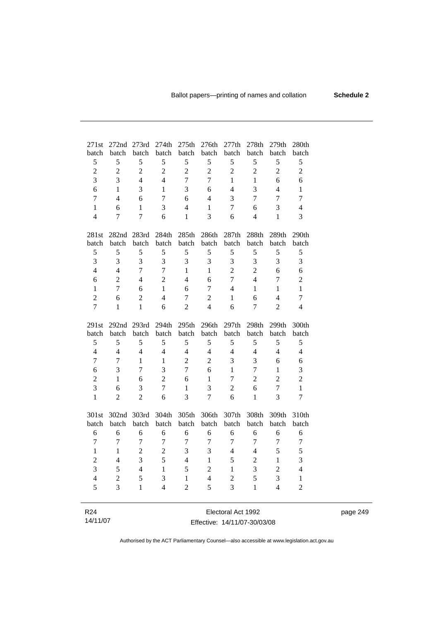| 271st                          | 272nd               | 273rd                          | 274th          | 275 <sub>th</sub> | 276th               | 277th               | 278th          | 279 <sub>th</sub>   | 280th                    |
|--------------------------------|---------------------|--------------------------------|----------------|-------------------|---------------------|---------------------|----------------|---------------------|--------------------------|
| batch                          | batch               | batch<br>5                     | batch<br>5     | batch<br>5        | batch               | batch               | batch<br>5     | batch               | batch                    |
| 5<br>$\overline{c}$            | 5<br>$\overline{2}$ | $\overline{2}$                 | $\overline{c}$ | $\overline{2}$    | 5<br>$\overline{c}$ | 5<br>$\overline{2}$ | $\overline{2}$ | 5<br>$\overline{c}$ | 5                        |
| 3                              | 3                   | $\overline{4}$                 | $\overline{4}$ | $\overline{7}$    | $\overline{7}$      | $\mathbf{1}$        | $\mathbf{1}$   | 6                   | $\boldsymbol{2}$<br>6    |
| 6                              | 1                   | 3                              |                | 3                 |                     | $\overline{4}$      | 3              | $\overline{4}$      |                          |
| $\overline{7}$                 | $\overline{4}$      |                                | $\,1\,$        |                   | 6<br>$\overline{4}$ |                     | $\overline{7}$ |                     | $\mathbf{1}$             |
|                                |                     | 6                              | $\overline{7}$ | 6                 |                     | 3                   |                | $\overline{7}$      | $\overline{7}$           |
| $\mathbf{1}$<br>$\overline{4}$ | 6<br>7              | $\mathbf{1}$<br>$\overline{7}$ | 3<br>6         | $\overline{4}$    | $\mathbf{1}$<br>3   | $\overline{7}$      | 6              | 3<br>$\mathbf{1}$   | $\overline{4}$           |
|                                |                     |                                |                | 1                 |                     | 6                   | $\overline{4}$ |                     | 3                        |
| 281st                          | 282nd               | 283rd                          | 284th          | 285th             | 286th               | 287th               | 288th          | 289th               | 290th                    |
| batch                          | batch               | batch                          | batch          | batch             | batch               | batch               | batch          | batch               | batch                    |
| 5                              | 5                   | 5                              | 5              | 5                 | 5                   | $\sqrt{5}$          | 5              | 5                   | $\mathfrak s$            |
| 3                              | 3                   | 3                              | 3              | 3                 | 3                   | 3                   | 3              | 3                   | 3                        |
| $\overline{4}$                 | $\overline{4}$      | $\overline{7}$                 | $\overline{7}$ | $\mathbf{1}$      | $\mathbf{1}$        | $\overline{2}$      | $\overline{2}$ | 6                   | 6                        |
| 6                              | $\overline{2}$      | $\overline{4}$                 | $\overline{2}$ | $\overline{4}$    | 6                   | $\overline{7}$      | $\overline{4}$ | $\overline{7}$      | $\overline{c}$           |
| $\mathbf{1}$                   | $\overline{7}$      | 6                              | $\mathbf{1}$   | 6                 | 7                   | $\overline{4}$      | 1              | $\mathbf{1}$        | $\mathbf{1}$             |
| $\overline{c}$                 | 6                   | $\overline{2}$                 | $\overline{4}$ | $\overline{7}$    | $\overline{c}$      | $\mathbf{1}$        | 6              | $\overline{4}$      | $\overline{7}$           |
| $\overline{7}$                 | 1                   | $\mathbf{1}$                   | 6              | $\overline{2}$    | $\overline{4}$      | 6                   | $\overline{7}$ | $\overline{2}$      | $\overline{\mathcal{L}}$ |
| 291st                          | 292 <sub>nd</sub>   | 293rd                          | 294th          | 295 <sub>th</sub> | 296th               | 297th               | 298th          | 299th               | 300th                    |
| batch                          | batch               | batch                          | batch          | batch             | batch               | batch               | batch          | batch               | batch                    |
| 5                              | 5                   | 5                              | 5              | 5                 | 5                   | 5                   | 5              | 5                   | 5                        |
| $\overline{4}$                 | $\overline{4}$      | $\overline{4}$                 | $\overline{4}$ | $\overline{4}$    | $\overline{4}$      | $\overline{4}$      | $\overline{4}$ | $\overline{4}$      | $\overline{4}$           |
| 7                              | 7                   | 1                              | $\,1$          | $\overline{2}$    | $\overline{c}$      | 3                   | 3              | 6                   | 6                        |
| 6                              | 3                   | $\tau$                         | $\overline{3}$ | $\overline{7}$    | 6                   | $\mathbf{1}$        | $\overline{7}$ | $\mathbf{1}$        | 3                        |
| $\overline{2}$                 | 1                   | 6                              | $\overline{2}$ | 6                 | $\mathbf{1}$        | $\overline{7}$      | $\overline{2}$ | $\overline{2}$      | $\overline{c}$           |
| $\overline{3}$                 | 6                   | 3                              | $\overline{7}$ | 1                 | 3                   | $\overline{2}$      | 6              | $\overline{7}$      | $\mathbf{1}$             |
| $\mathbf{1}$                   | $\overline{2}$      | $\overline{2}$                 | 6              | 3                 | $\overline{7}$      | 6                   | 1              | 3                   | $\overline{7}$           |
| 301st                          | 302nd               | 303rd                          | 304th          | 305th             | 306th               | 307th               | 308th          | 309th               | 310th                    |
| batch                          | batch               | batch                          | batch          | batch             | batch               | batch               | batch          | batch               | batch                    |
| 6                              | 6                   | 6                              | 6              | 6                 | 6                   | 6                   | 6              | 6                   | 6                        |
| 7                              | 7                   | 7                              | $\overline{7}$ | 7                 | 7                   | 7                   | 7              | 7                   | $\tau$                   |
| $\mathbf{1}$                   | 1                   | $\overline{2}$                 | $\overline{2}$ | 3                 | 3                   | $\overline{4}$      | $\overline{4}$ | 5                   | 5                        |
| $\overline{2}$                 | $\overline{4}$      | $\overline{3}$                 | 5              | $\overline{4}$    | $\mathbf{1}$        | 5                   | $\overline{2}$ | $\mathbf{1}$        | 3                        |
| $\overline{3}$                 | 5                   | $\overline{4}$                 | $\mathbf{1}$   | 5                 | $\overline{2}$      | 1                   | 3              | $\overline{2}$      | $\overline{4}$           |
| $\overline{4}$                 | $\overline{2}$      | 5                              | 3              | $\mathbf{1}$      | $\overline{4}$      | $\overline{2}$      | 5              | 3                   | $\mathbf{1}$             |
| 5                              | 3                   | 1                              | $\overline{4}$ | $\overline{2}$    | 5                   | 3                   | $\mathbf{1}$   | $\overline{4}$      | $\overline{c}$           |
|                                |                     |                                |                |                   |                     |                     |                |                     |                          |
| R <sub>24</sub>                |                     |                                |                |                   |                     | Electoral Act 1992  |                |                     |                          |

| R <sub>24</sub> | Electoral Act 1992           |
|-----------------|------------------------------|
| 14/11/07        | Effective: 14/11/07-30/03/08 |

L.

page 249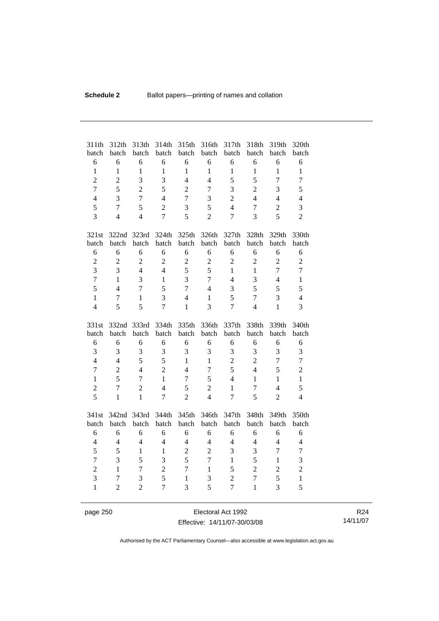| 311th<br>batch | 312th<br>batch | 313th<br>batch | 314th<br>batch           | 315th<br>batch | 316th<br>batch | 317th<br>batch | 318th<br>batch | 319th<br>batch | 320th<br>batch |
|----------------|----------------|----------------|--------------------------|----------------|----------------|----------------|----------------|----------------|----------------|
| 6              | 6              | 6              | 6                        | 6              | 6              | 6              | 6              | 6              | 6              |
| $\mathbf{1}$   | $\mathbf{1}$   | $\mathbf{1}$   | $\mathbf{1}$             | $\mathbf{1}$   | $\mathbf{1}$   | $\mathbf{1}$   | $\mathbf{1}$   | $\mathbf{1}$   | $\mathbf{1}$   |
| $\overline{2}$ | $\overline{2}$ | 3              | $\overline{3}$           | $\overline{4}$ | $\overline{4}$ | 5              | 5              | $\overline{7}$ | $\overline{7}$ |
| $\overline{7}$ | 5              | $\overline{2}$ | 5                        | $\overline{2}$ | $\tau$         | 3              | $\overline{2}$ | 3              | 5              |
| $\overline{4}$ | 3              | $\overline{7}$ | $\overline{4}$           | $\overline{7}$ | 3              | $\overline{2}$ | $\overline{4}$ | $\overline{4}$ | $\overline{4}$ |
| 5              | $\overline{7}$ | 5              | $\overline{2}$           | 3              | 5              | $\overline{4}$ | $\overline{7}$ | $\overline{2}$ | 3              |
| $\overline{3}$ | $\overline{4}$ | $\overline{4}$ | $\overline{7}$           | 5              | $\overline{2}$ | 7              | 3              | 5              | $\overline{2}$ |
|                |                |                |                          |                |                |                |                |                |                |
| 321st          | 322nd 323rd    |                | 324th                    | 325th          | 326th          | 327th          | 328th          | 329th          | 330th          |
| batch          | batch          | batch          | batch                    | batch          | batch          | batch          | batch          | batch          | batch          |
| 6              | 6              | 6              | 6                        | 6              | 6              | 6              | 6              | 6              | 6              |
| $\overline{c}$ | $\overline{2}$ | $\overline{2}$ | $\overline{2}$           | $\sqrt{2}$     | $\overline{2}$ | $\overline{2}$ | $\overline{2}$ | $\overline{2}$ | $\overline{c}$ |
| $\overline{3}$ | 3              | $\overline{4}$ | $\overline{4}$           | 5              | 5              | $\mathbf{1}$   | $\mathbf{1}$   | $\overline{7}$ | $\overline{7}$ |
| $\overline{7}$ | $\mathbf{1}$   | 3              | $\mathbf{1}$             | 3              | $\overline{7}$ | $\overline{4}$ | 3              | $\overline{4}$ | $\mathbf{1}$   |
| 5              | $\overline{4}$ | $\overline{7}$ | 5                        | $\overline{7}$ | $\overline{4}$ | 3              | 5              | 5              | 5              |
| $\mathbf{1}$   | $\tau$         | $\mathbf{1}$   | 3                        | $\overline{4}$ | $\mathbf{1}$   | 5              | $\overline{7}$ | 3              | $\overline{4}$ |
| $\overline{4}$ | 5              | 5              | $\overline{7}$           | 1              | 3              | 7              | $\overline{4}$ | $\mathbf{1}$   | 3              |
|                |                |                |                          |                |                |                |                |                |                |
|                |                |                |                          |                |                |                |                |                |                |
| 331st          | 332nd          | 333rd          | 334th                    | 335th          | 336th          | 337th          | 338th          | 339th          | 340th          |
| batch          | batch          | batch          | batch                    | batch          | batch          | batch          | batch          | batch          | batch          |
| 6              | 6              | 6              | 6                        | 6              | 6              | 6              | 6              | 6              | 6              |
| 3              | 3              | 3              | 3                        | 3              | 3              | 3              | 3              | 3              | 3              |
| $\overline{4}$ | $\overline{4}$ | 5              | 5                        | $\mathbf{1}$   | 1              | $\overline{2}$ | $\overline{2}$ | $\overline{7}$ | $\overline{7}$ |
| $\overline{7}$ | $\overline{2}$ | $\overline{4}$ | $\overline{2}$           | $\overline{4}$ | $\tau$         | 5              | $\overline{4}$ | 5              | $\overline{2}$ |
| $\mathbf{1}$   | 5              | $\overline{7}$ | $\mathbf{1}$             | $\overline{7}$ | 5              | $\overline{4}$ | $\mathbf{1}$   | $\mathbf{1}$   | $\mathbf{1}$   |
| $\overline{c}$ | $\overline{7}$ | $\overline{2}$ | $\overline{4}$           | 5              | $\overline{2}$ | $\mathbf{1}$   | $\overline{7}$ | $\overline{4}$ | 5              |
| 5              | $\mathbf{1}$   | $\mathbf{1}$   | $\overline{7}$           | $\overline{2}$ | $\overline{4}$ | $\overline{7}$ | 5              | $\overline{2}$ | $\overline{4}$ |
|                |                |                |                          |                |                |                |                |                |                |
| 341st          | 342nd 343rd    |                | 344th                    | 345th          | 346th          | 347th          | 348th          | 349th          | 350th          |
| batch          | batch          | batch          | batch                    | batch          | batch          | batch          | batch          | batch          | batch          |
| 6              | 6              | 6              | 6                        | 6              | 6              | 6              | 6              | 6              | 6              |
| $\overline{4}$ | $\overline{4}$ | $\overline{4}$ | $\overline{\mathcal{L}}$ | $\overline{4}$ | $\overline{4}$ | $\overline{4}$ | $\overline{4}$ | $\overline{4}$ | $\overline{4}$ |
| 5              | 5              | $\mathbf{1}$   | $\mathbf{1}$             | $\overline{2}$ | $\overline{2}$ | 3              | 3              | $\tau$         | $\tau$         |
| $\overline{7}$ | 3              | 5              | 3                        | 5              | $\overline{7}$ | $\mathbf{1}$   | 5              | $\mathbf{1}$   | 3              |
| $\overline{2}$ | $\mathbf{1}$   | 7              | $\overline{2}$           | $\overline{7}$ | $\mathbf{1}$   | 5              | $\overline{2}$ | $\overline{2}$ | $\overline{c}$ |
| 3              | $\overline{7}$ | 3              | 5                        | $\mathbf{1}$   | 3              | $\overline{c}$ | $\overline{7}$ | 5              | $\mathbf{1}$   |
| $\mathbf{1}$   | $\overline{2}$ | $\overline{2}$ | $\overline{7}$           | 3              | 5              | $\overline{7}$ | $\mathbf{1}$   | 3              | 5              |

page 250 Electoral Act 1992 Effective: 14/11/07-30/03/08

R24 14/11/07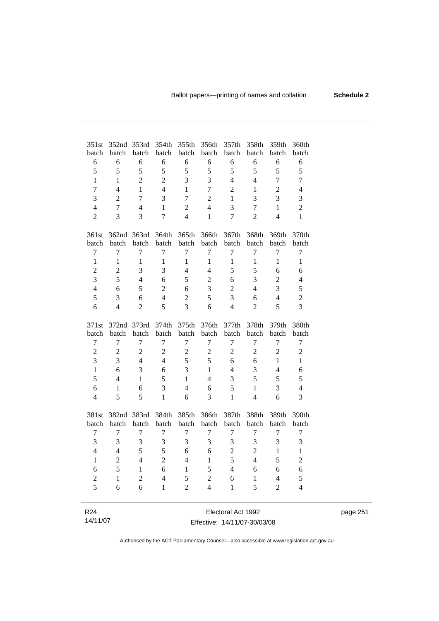| 351st           | 352nd                    | 353rd          | 354th          | 355th                    | 356th                    | 357th              | 358th          | 359th          | 360th            |
|-----------------|--------------------------|----------------|----------------|--------------------------|--------------------------|--------------------|----------------|----------------|------------------|
| batch           | batch                    | batch          | batch          | batch                    | batch                    | batch              | batch          | batch          | batch            |
| 6               | 6                        | 6              | 6              | 6                        | 6                        | 6                  | 6              | 6              | 6                |
| 5               | 5                        | 5              | 5              | 5                        | 5                        | 5                  | 5              | 5              | 5                |
| 1               | 1                        | $\overline{2}$ | $\overline{2}$ | $\overline{3}$           | 3                        | $\overline{4}$     | $\overline{4}$ | $\overline{7}$ | $\overline{7}$   |
| $\overline{7}$  | $\overline{\mathcal{L}}$ | $\mathbf{1}$   | $\overline{4}$ | $\mathbf{1}$             | $\overline{7}$           | $\overline{2}$     | 1              | $\overline{2}$ | $\overline{4}$   |
| $\overline{3}$  | $\overline{2}$           | 7              | $\overline{3}$ | $\overline{7}$           | $\overline{2}$           | $\mathbf{1}$       | 3              | 3              | 3                |
| $\overline{4}$  | 7                        | 4              | $\mathbf{1}$   | $\overline{2}$           | $\overline{\mathcal{L}}$ | $\overline{3}$     | $\overline{7}$ | $\mathbf{1}$   | $\overline{c}$   |
| $\overline{2}$  | $\overline{3}$           | 3              | $\overline{7}$ | $\overline{\mathcal{L}}$ | $\mathbf{1}$             | $\overline{7}$     | $\overline{2}$ | $\overline{4}$ | $\mathbf{1}$     |
| 361st           | 362nd                    | 363rd          | 364th          | 365th                    | 366th                    | 367th              | 368th          | 369th          | 370th            |
| batch           | batch                    | batch          | batch          | batch                    | batch                    | batch              | batch          | batch          | batch            |
| $\overline{7}$  | 7                        | 7              | $\overline{7}$ | $\overline{7}$           | 7                        | $\overline{7}$     | $\overline{7}$ | 7              | $\boldsymbol{7}$ |
| $\mathbf{1}$    | $\mathbf{1}$             | 1              | 1              | $\mathbf{1}$             | $\mathbf{1}$             | 1                  | $\mathbf{1}$   | 1              | $\mathbf{1}$     |
| $\overline{c}$  | $\overline{c}$           | 3              | 3              | $\overline{4}$           | $\overline{4}$           | 5                  | 5              | 6              | 6                |
| 3               | 5                        | $\overline{4}$ | 6              | 5                        | $\overline{c}$           | 6                  | 3              | $\overline{2}$ | $\overline{4}$   |
| $\overline{4}$  | 6                        | 5              | $\overline{c}$ | 6                        | 3                        | $\overline{c}$     | $\overline{4}$ | $\overline{3}$ | 5                |
| 5               | 3                        | 6              | $\overline{4}$ | $\overline{2}$           | 5                        | 3                  | 6              | $\overline{4}$ | $\overline{c}$   |
| 6               | 4                        | $\overline{2}$ | 5              | 3                        | 6                        | $\overline{4}$     | $\overline{2}$ | 5              | 3                |
| 371st           | 372nd                    | 373rd          | 374th          | 375th                    | 376th                    | 377th              | 378th          | 379th          | 380th            |
| batch           | batch                    | batch          | batch          | batch                    | batch                    | batch              | batch          | batch          | batch            |
| $\overline{7}$  | $\overline{7}$           | $\overline{7}$ | $\overline{7}$ | $\overline{7}$           | $\overline{7}$           | $\boldsymbol{7}$   | $\overline{7}$ | $\overline{7}$ | $\overline{7}$   |
| $\overline{2}$  | $\overline{c}$           | $\overline{2}$ | $\overline{2}$ | $\overline{2}$           | $\overline{c}$           | $\overline{2}$     | $\overline{c}$ | $\overline{2}$ | $\overline{c}$   |
| 3               | 3                        | $\overline{4}$ | $\overline{4}$ | 5                        | 5                        | 6                  | 6              | $\mathbf{1}$   | $\mathbf{1}$     |
| $\mathbf{1}$    | 6                        | 3              | 6              | 3                        | $\mathbf{1}$             | $\overline{4}$     | 3              | $\overline{4}$ | 6                |
| 5               | $\overline{4}$           | $\mathbf{1}$   | 5              | $\mathbf{1}$             | $\overline{4}$           | 3                  | 5              | 5              | 5                |
| 6               | $\mathbf{1}$             | 6              | 3              | $\overline{4}$           | 6                        | 5                  | $\mathbf{1}$   | 3              | $\overline{4}$   |
| $\overline{4}$  | 5                        | 5              | $\mathbf{1}$   | 6                        | 3                        | $\mathbf{1}$       | $\overline{4}$ | 6              | 3                |
| 381st           | 382nd                    | 383rd          | 384th          | 385th                    | 386th                    | 387th              | 388th          | 389th          | 390th            |
| batch           | batch                    | batch          | batch          | batch                    | batch                    | batch              | batch          | batch          | batch            |
| $\overline{7}$  | $\overline{7}$           | 7              | $\overline{7}$ | 7                        | $\overline{7}$           | $\overline{7}$     | $\overline{7}$ | $\overline{7}$ | $\boldsymbol{7}$ |
| 3               | 3                        | 3              | 3              | 3                        | 3                        | 3                  | 3              | 3              | 3                |
| $\overline{4}$  | $\overline{4}$           | 5              | 5              | 6                        | 6                        | $\overline{2}$     | $\overline{2}$ | $\mathbf{1}$   | $\mathbf{1}$     |
| $\mathbf{1}$    | $\overline{2}$           | $\overline{4}$ | $\overline{2}$ | $\overline{\mathcal{L}}$ | $\mathbf{1}$             | 5                  | $\overline{4}$ | 5              | $\overline{c}$   |
| 6               | 5                        | $\mathbf{1}$   | 6              | 1                        | 5                        | $\overline{4}$     | 6              | 6              | 6                |
| $\overline{c}$  | $\mathbf{1}$             | $\overline{c}$ | $\overline{4}$ | 5                        | $\overline{2}$           | 6                  | 1              | $\overline{4}$ | 5                |
| $\overline{5}$  | 6                        | 6              | 1              | $\overline{2}$           | $\overline{4}$           | 1                  | 5              | $\overline{2}$ | $\overline{4}$   |
|                 |                          |                |                |                          |                          |                    |                |                |                  |
| R <sub>24</sub> |                          |                |                |                          |                          | Electoral Act 1992 |                |                |                  |

| 14/11/07 |  |  |  |  |
|----------|--|--|--|--|
|----------|--|--|--|--|

Electoral Act 1992 Effective: 14/11/07-30/03/08 page 251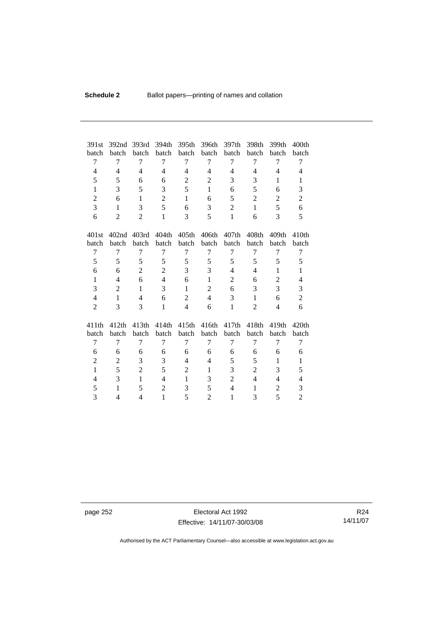| 391st          | 392nd          | 393rd             | 394th          | 395th             | 396th          | 397th          | 398th             | 399th          | 400th             |
|----------------|----------------|-------------------|----------------|-------------------|----------------|----------------|-------------------|----------------|-------------------|
| batch          | batch          | batch             | batch          | batch             | batch          | batch          | batch             | batch          | batch             |
| 7              | 7              | 7                 | 7              | 7                 | 7              | 7              | 7                 | 7              | 7                 |
| $\overline{4}$ | $\overline{4}$ | $\overline{4}$    | 4              | $\overline{4}$    | $\overline{4}$ | $\overline{4}$ | 4                 | $\overline{4}$ | 4                 |
| 5              | 5              | 6                 | 6              | $\mathbf{2}$      | $\overline{2}$ | 3              | 3                 | 1              | $\mathbf{1}$      |
| $\mathbf{1}$   | 3              | 5                 | 3              | 5                 | $\mathbf{1}$   | 6              | 5                 | 6              | 3                 |
| $\overline{2}$ | 6              | $\mathbf{1}$      | $\overline{2}$ | $\mathbf{1}$      | 6              | 5              | $\overline{2}$    | $\overline{2}$ | $\overline{c}$    |
| 3              | $\mathbf{1}$   | 3                 | 5              | 6                 | 3              | $\overline{2}$ | $\mathbf{1}$      | 5              | 6                 |
| 6              | $\overline{2}$ | $\overline{2}$    | $\mathbf{1}$   | 3                 | 5              | 1              | 6                 | $\overline{3}$ | 5                 |
|                |                |                   |                |                   |                |                |                   |                |                   |
| 401st          | 402nd          | 403rd             | 404th          | 405 <sub>th</sub> | 406th          | 407th          | 408th             | 409th          | 410 <sub>th</sub> |
| batch          | batch          | batch             | batch          | batch             | batch          | batch          | batch             | batch          | batch             |
| 7              | 7              | 7                 | 7              | 7                 | 7              | 7              | 7                 | 7              | 7                 |
| 5              | 5              | 5                 | 5              | 5                 | 5              | 5              | 5                 | 5              | 5                 |
| 6              | 6              | $\overline{2}$    | $\overline{2}$ | 3                 | 3              | 4              | 4                 | 1              | $\mathbf{1}$      |
| $\mathbf{1}$   | $\overline{4}$ | 6                 | $\overline{4}$ | 6                 | $\mathbf{1}$   | 2              | 6                 | $\overline{2}$ | $\overline{4}$    |
| 3              | $\overline{2}$ | $\mathbf{1}$      | 3              | $\mathbf{1}$      | $\mathbf{2}$   | 6              | 3                 | 3              | 3                 |
| $\overline{4}$ | $\mathbf{1}$   | $\overline{4}$    | 6              | $\overline{2}$    | $\overline{4}$ | 3              | 1                 | 6              | $\overline{c}$    |
| $\overline{2}$ | 3              | 3                 | $\mathbf{1}$   | $\overline{4}$    | 6              | 1              | 2                 | $\overline{4}$ | 6                 |
|                |                |                   |                |                   |                |                |                   |                |                   |
| 411th          | 412th          | 413 <sub>th</sub> | 414th          | 415 <sub>th</sub> | 416th          | 417th          | 418 <sub>th</sub> | 419th          | 420th             |
| batch          | batch          | batch             | batch          | batch             | batch          | batch          | batch             | batch          | batch             |
| 7              | 7              | 7                 | 7              | 7                 | 7              | 7              | 7                 | 7              | 7                 |
| 6              | 6              | 6                 | 6              | 6                 | 6              | 6              | 6                 | 6              | 6                 |
| 2              | 2              | 3                 | 3              | $\overline{4}$    | $\overline{4}$ | 5              | 5                 | 1              | $\mathbf{1}$      |
| $\mathbf{1}$   | 5              | $\overline{c}$    | 5              | $\overline{2}$    | $\mathbf{1}$   | 3              | $\overline{c}$    | 3              | 5                 |
| $\overline{4}$ | 3              | 1                 | $\overline{4}$ | 1                 | 3              | $\overline{2}$ | $\overline{4}$    | $\overline{4}$ | 4                 |
| 5              | $\mathbf{1}$   | 5                 | $\overline{2}$ | 3                 | 5              | $\overline{4}$ | 1                 | 2              | 3                 |
| 3              | 4              | 4                 | $\mathbf{1}$   | 5                 | $\overline{2}$ | $\mathbf{1}$   | 3                 | 5              | $\overline{2}$    |

page 252 Electoral Act 1992 Effective: 14/11/07-30/03/08

R24 14/11/07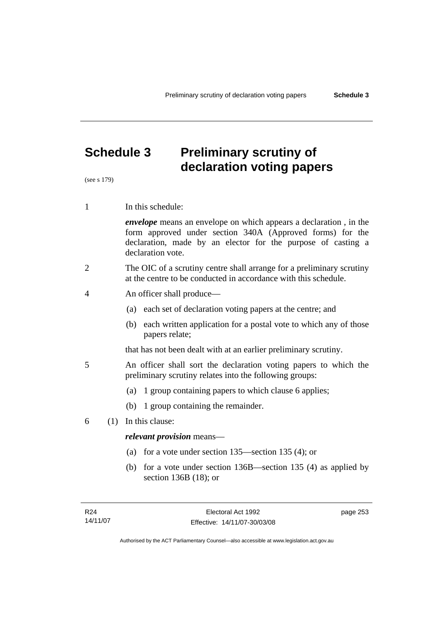# **Schedule 3 Preliminary scrutiny of declaration voting papers**

(see s 179)

1 In this schedule:

*envelope* means an envelope on which appears a declaration , in the form approved under section 340A (Approved forms) for the declaration, made by an elector for the purpose of casting a declaration vote.

- 2 The OIC of a scrutiny centre shall arrange for a preliminary scrutiny at the centre to be conducted in accordance with this schedule.
- 4 An officer shall produce—
	- (a) each set of declaration voting papers at the centre; and
	- (b) each written application for a postal vote to which any of those papers relate;

that has not been dealt with at an earlier preliminary scrutiny.

- 5 An officer shall sort the declaration voting papers to which the preliminary scrutiny relates into the following groups:
	- (a) 1 group containing papers to which clause 6 applies;
	- (b) 1 group containing the remainder.
- 6 (1) In this clause:

### *relevant provision* means—

- (a) for a vote under section 135—section 135 (4); or
- (b) for a vote under section 136B—section 135 (4) as applied by section 136B (18); or

page 253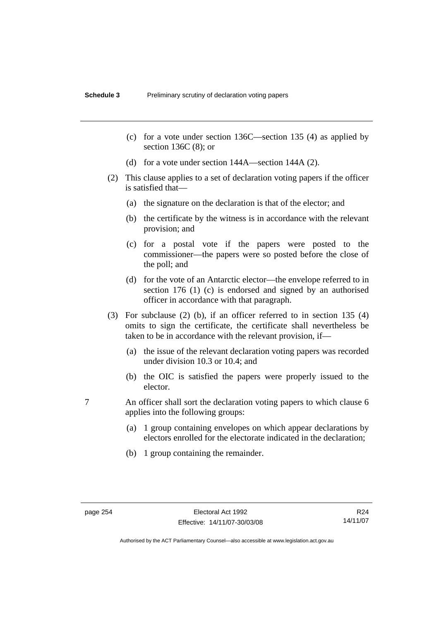- (c) for a vote under section 136C—section 135 (4) as applied by section 136C (8); or
- (d) for a vote under section 144A—section 144A (2).
- (2) This clause applies to a set of declaration voting papers if the officer is satisfied that—
	- (a) the signature on the declaration is that of the elector; and
	- (b) the certificate by the witness is in accordance with the relevant provision; and
	- (c) for a postal vote if the papers were posted to the commissioner—the papers were so posted before the close of the poll; and
	- (d) for the vote of an Antarctic elector—the envelope referred to in section 176 (1) (c) is endorsed and signed by an authorised officer in accordance with that paragraph.
- (3) For subclause (2) (b), if an officer referred to in section 135 (4) omits to sign the certificate, the certificate shall nevertheless be taken to be in accordance with the relevant provision, if—
	- (a) the issue of the relevant declaration voting papers was recorded under division 10.3 or 10.4; and
	- (b) the OIC is satisfied the papers were properly issued to the elector.
- 7 An officer shall sort the declaration voting papers to which clause 6 applies into the following groups:
	- (a) 1 group containing envelopes on which appear declarations by electors enrolled for the electorate indicated in the declaration;
	- (b) 1 group containing the remainder.

R24 14/11/07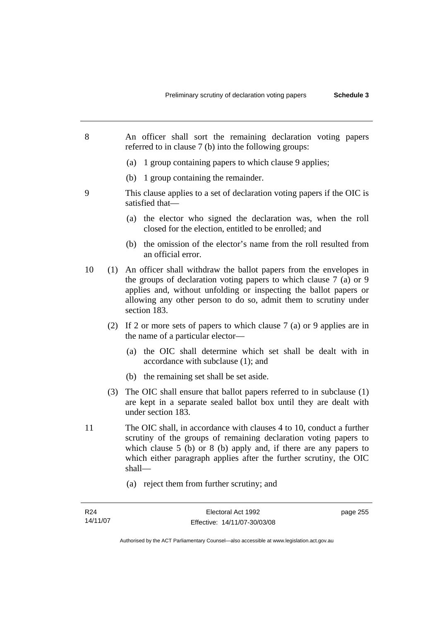- 8 An officer shall sort the remaining declaration voting papers referred to in clause 7 (b) into the following groups:
	- (a) 1 group containing papers to which clause 9 applies;
	- (b) 1 group containing the remainder.
- 9 This clause applies to a set of declaration voting papers if the OIC is satisfied that—
	- (a) the elector who signed the declaration was, when the roll closed for the election, entitled to be enrolled; and
	- (b) the omission of the elector's name from the roll resulted from an official error.
- 10 (1) An officer shall withdraw the ballot papers from the envelopes in the groups of declaration voting papers to which clause 7 (a) or 9 applies and, without unfolding or inspecting the ballot papers or allowing any other person to do so, admit them to scrutiny under section 183.
	- (2) If 2 or more sets of papers to which clause 7 (a) or 9 applies are in the name of a particular elector—
		- (a) the OIC shall determine which set shall be dealt with in accordance with subclause (1); and
		- (b) the remaining set shall be set aside.
	- (3) The OIC shall ensure that ballot papers referred to in subclause (1) are kept in a separate sealed ballot box until they are dealt with under section 183.
- 11 The OIC shall, in accordance with clauses 4 to 10, conduct a further scrutiny of the groups of remaining declaration voting papers to which clause 5 (b) or 8 (b) apply and, if there are any papers to which either paragraph applies after the further scrutiny, the OIC shall—
	- (a) reject them from further scrutiny; and

page 255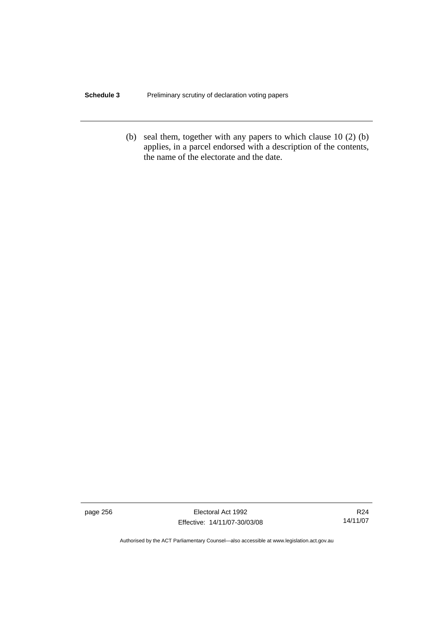### **Schedule 3** Preliminary scrutiny of declaration voting papers

 (b) seal them, together with any papers to which clause 10 (2) (b) applies, in a parcel endorsed with a description of the contents, the name of the electorate and the date.

page 256 Electoral Act 1992 Effective: 14/11/07-30/03/08

R24 14/11/07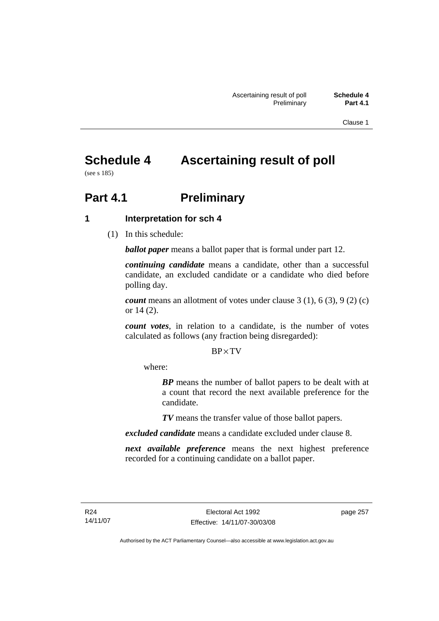Clause 1

# **Schedule 4 Ascertaining result of poll**

(see s 185)

# **Part 4.1** Preliminary

# **1 Interpretation for sch 4**

(1) In this schedule:

*ballot paper* means a ballot paper that is formal under part 12.

*continuing candidate* means a candidate, other than a successful candidate, an excluded candidate or a candidate who died before polling day.

*count* means an allotment of votes under clause 3 (1), 6 (3), 9 (2) (c) or 14 (2).

*count votes*, in relation to a candidate, is the number of votes calculated as follows (any fraction being disregarded):

### BP× TV

where:

*BP* means the number of ballot papers to be dealt with at a count that record the next available preference for the candidate.

*TV* means the transfer value of those ballot papers.

*excluded candidate* means a candidate excluded under clause 8.

*next available preference* means the next highest preference recorded for a continuing candidate on a ballot paper.

page 257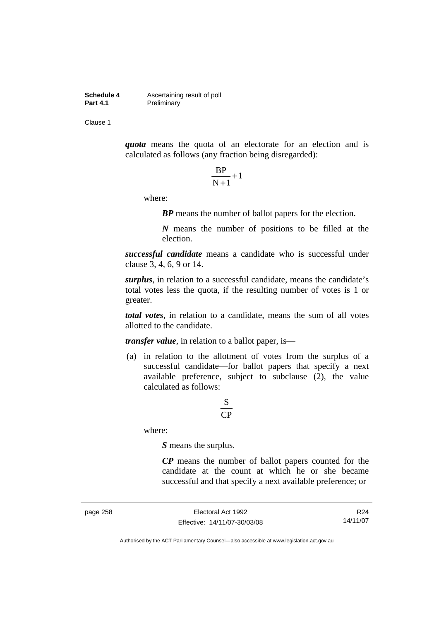**Schedule 4 Ascertaining result of poll**<br>**Part 4.1 Preliminary Preliminary** 

Clause 1

*quota* means the quota of an electorate for an election and is calculated as follows (any fraction being disregarded):

$$
\frac{\text{BP}}{\text{N}+1}+1
$$

where:

*BP* means the number of ballot papers for the election.

*N* means the number of positions to be filled at the election.

*successful candidate* means a candidate who is successful under clause 3, 4, 6, 9 or 14.

*surplus*, in relation to a successful candidate, means the candidate's total votes less the quota, if the resulting number of votes is 1 or greater.

*total votes*, in relation to a candidate, means the sum of all votes allotted to the candidate.

*transfer value*, in relation to a ballot paper, is—

 (a) in relation to the allotment of votes from the surplus of a successful candidate—for ballot papers that specify a next available preference, subject to subclause (2), the value calculated as follows:

# CP S

where:

*S* means the surplus.

*CP* means the number of ballot papers counted for the candidate at the count at which he or she became successful and that specify a next available preference; or

page 258 Electoral Act 1992 Effective: 14/11/07-30/03/08

R24 14/11/07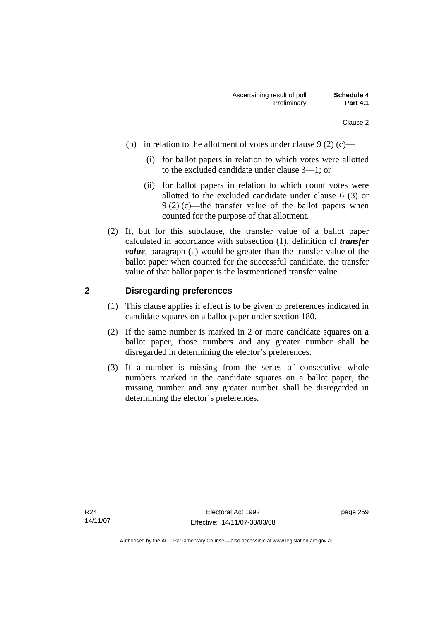- (b) in relation to the allotment of votes under clause  $9(2)$  (c)—
	- (i) for ballot papers in relation to which votes were allotted to the excluded candidate under clause 3—1; or
	- (ii) for ballot papers in relation to which count votes were allotted to the excluded candidate under clause 6 (3) or 9 (2) (c)—the transfer value of the ballot papers when counted for the purpose of that allotment.
- (2) If, but for this subclause, the transfer value of a ballot paper calculated in accordance with subsection (1), definition of *transfer value*, paragraph (a) would be greater than the transfer value of the ballot paper when counted for the successful candidate, the transfer value of that ballot paper is the lastmentioned transfer value.

### **2 Disregarding preferences**

- (1) This clause applies if effect is to be given to preferences indicated in candidate squares on a ballot paper under section 180.
- (2) If the same number is marked in 2 or more candidate squares on a ballot paper, those numbers and any greater number shall be disregarded in determining the elector's preferences.
- (3) If a number is missing from the series of consecutive whole numbers marked in the candidate squares on a ballot paper, the missing number and any greater number shall be disregarded in determining the elector's preferences.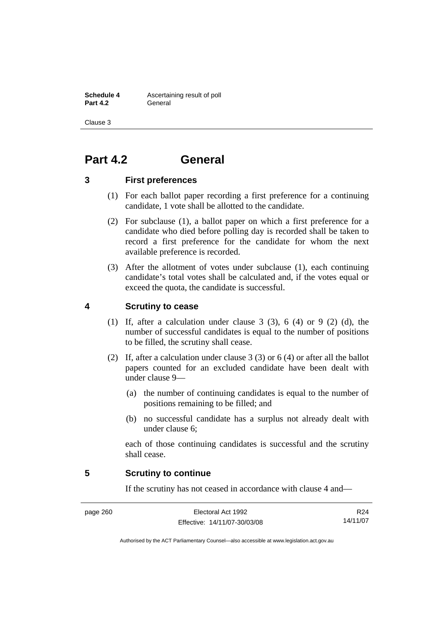**Schedule 4 Ascertaining result of poll Part 4.2** General

Clause 3

# **Part 4.2 General**

### **3 First preferences**

- (1) For each ballot paper recording a first preference for a continuing candidate, 1 vote shall be allotted to the candidate.
- (2) For subclause (1), a ballot paper on which a first preference for a candidate who died before polling day is recorded shall be taken to record a first preference for the candidate for whom the next available preference is recorded.
- (3) After the allotment of votes under subclause (1), each continuing candidate's total votes shall be calculated and, if the votes equal or exceed the quota, the candidate is successful.

# **4 Scrutiny to cease**

- (1) If, after a calculation under clause 3 (3), 6 (4) or 9 (2) (d), the number of successful candidates is equal to the number of positions to be filled, the scrutiny shall cease.
- (2) If, after a calculation under clause 3 (3) or 6 (4) or after all the ballot papers counted for an excluded candidate have been dealt with under clause 9—
	- (a) the number of continuing candidates is equal to the number of positions remaining to be filled; and
	- (b) no successful candidate has a surplus not already dealt with under clause 6;

each of those continuing candidates is successful and the scrutiny shall cease.

### **5 Scrutiny to continue**

If the scrutiny has not ceased in accordance with clause 4 and—

page 260 Electoral Act 1992 Effective: 14/11/07-30/03/08

R24 14/11/07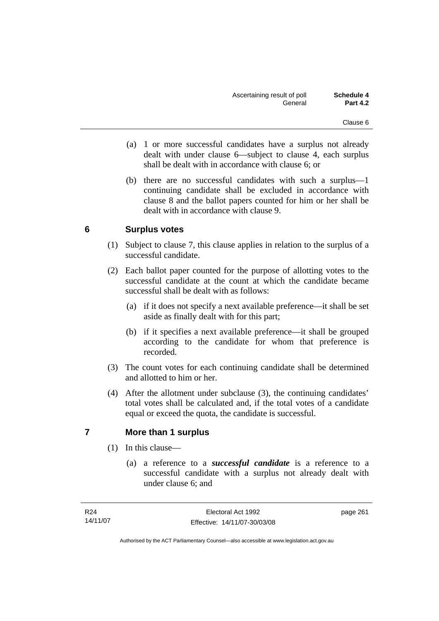- (a) 1 or more successful candidates have a surplus not already dealt with under clause 6—subject to clause 4, each surplus shall be dealt with in accordance with clause 6; or
- (b) there are no successful candidates with such a surplus—1 continuing candidate shall be excluded in accordance with clause 8 and the ballot papers counted for him or her shall be dealt with in accordance with clause 9.

# **6 Surplus votes**

- (1) Subject to clause 7, this clause applies in relation to the surplus of a successful candidate.
- (2) Each ballot paper counted for the purpose of allotting votes to the successful candidate at the count at which the candidate became successful shall be dealt with as follows:
	- (a) if it does not specify a next available preference—it shall be set aside as finally dealt with for this part;
	- (b) if it specifies a next available preference—it shall be grouped according to the candidate for whom that preference is recorded.
- (3) The count votes for each continuing candidate shall be determined and allotted to him or her.
- (4) After the allotment under subclause (3), the continuing candidates' total votes shall be calculated and, if the total votes of a candidate equal or exceed the quota, the candidate is successful.

### **7 More than 1 surplus**

- (1) In this clause—
	- (a) a reference to a *successful candidate* is a reference to a successful candidate with a surplus not already dealt with under clause 6; and

page 261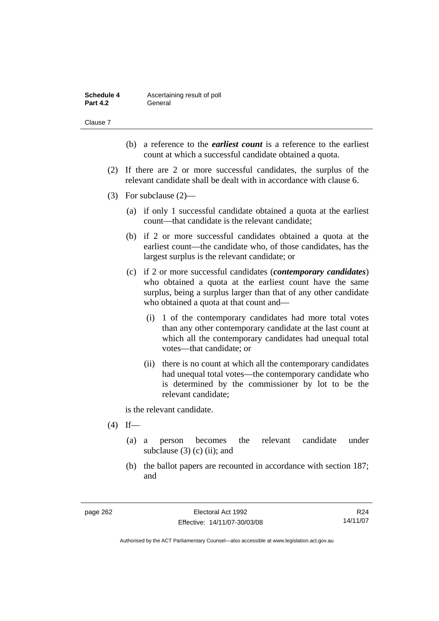| Schedule 4      | Ascertaining result of poll |
|-----------------|-----------------------------|
| <b>Part 4.2</b> | General                     |

Clause 7

- (b) a reference to the *earliest count* is a reference to the earliest count at which a successful candidate obtained a quota.
- (2) If there are 2 or more successful candidates, the surplus of the relevant candidate shall be dealt with in accordance with clause 6.
- (3) For subclause (2)—
	- (a) if only 1 successful candidate obtained a quota at the earliest count—that candidate is the relevant candidate;
	- (b) if 2 or more successful candidates obtained a quota at the earliest count—the candidate who, of those candidates, has the largest surplus is the relevant candidate; or
	- (c) if 2 or more successful candidates (*contemporary candidates*) who obtained a quota at the earliest count have the same surplus, being a surplus larger than that of any other candidate who obtained a quota at that count and—
		- (i) 1 of the contemporary candidates had more total votes than any other contemporary candidate at the last count at which all the contemporary candidates had unequal total votes—that candidate; or
		- (ii) there is no count at which all the contemporary candidates had unequal total votes—the contemporary candidate who is determined by the commissioner by lot to be the relevant candidate;

is the relevant candidate.

- $(4)$  If—
	- (a) a person becomes the relevant candidate under subclause  $(3)$  (c) (ii); and
	- (b) the ballot papers are recounted in accordance with section 187; and

R24 14/11/07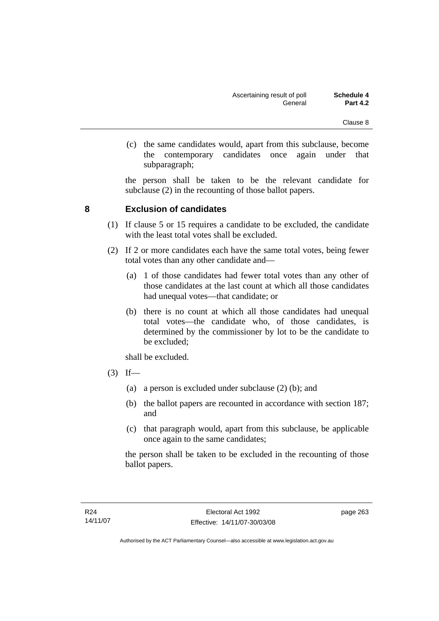(c) the same candidates would, apart from this subclause, become the contemporary candidates once again under that subparagraph;

the person shall be taken to be the relevant candidate for subclause (2) in the recounting of those ballot papers.

### **8 Exclusion of candidates**

- (1) If clause 5 or 15 requires a candidate to be excluded, the candidate with the least total votes shall be excluded.
- (2) If 2 or more candidates each have the same total votes, being fewer total votes than any other candidate and—
	- (a) 1 of those candidates had fewer total votes than any other of those candidates at the last count at which all those candidates had unequal votes—that candidate; or
	- (b) there is no count at which all those candidates had unequal total votes—the candidate who, of those candidates, is determined by the commissioner by lot to be the candidate to be excluded;

shall be excluded.

- $(3)$  If—
	- (a) a person is excluded under subclause (2) (b); and
	- (b) the ballot papers are recounted in accordance with section 187; and
	- (c) that paragraph would, apart from this subclause, be applicable once again to the same candidates;

the person shall be taken to be excluded in the recounting of those ballot papers.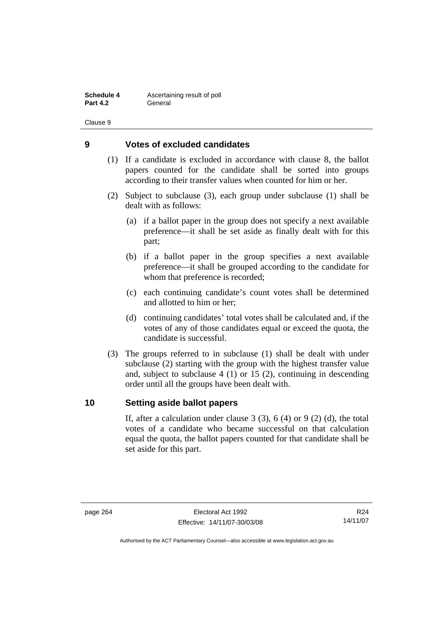**Schedule 4 Ascertaining result of poll Part 4.2** General

Clause 9

### **9 Votes of excluded candidates**

- (1) If a candidate is excluded in accordance with clause 8, the ballot papers counted for the candidate shall be sorted into groups according to their transfer values when counted for him or her.
- (2) Subject to subclause (3), each group under subclause (1) shall be dealt with as follows:
	- (a) if a ballot paper in the group does not specify a next available preference—it shall be set aside as finally dealt with for this part;
	- (b) if a ballot paper in the group specifies a next available preference—it shall be grouped according to the candidate for whom that preference is recorded;
	- (c) each continuing candidate's count votes shall be determined and allotted to him or her;
	- (d) continuing candidates' total votes shall be calculated and, if the votes of any of those candidates equal or exceed the quota, the candidate is successful.
- (3) The groups referred to in subclause (1) shall be dealt with under subclause (2) starting with the group with the highest transfer value and, subject to subclause 4 (1) or 15 (2), continuing in descending order until all the groups have been dealt with.

### **10 Setting aside ballot papers**

If, after a calculation under clause  $3(3)$ ,  $6(4)$  or  $9(2)(d)$ , the total votes of a candidate who became successful on that calculation equal the quota, the ballot papers counted for that candidate shall be set aside for this part.

R24 14/11/07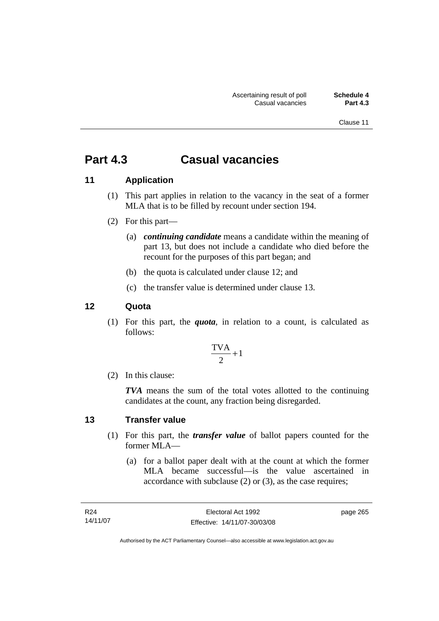Clause 11

# **Part 4.3 Casual vacancies**

### **11 Application**

- (1) This part applies in relation to the vacancy in the seat of a former MLA that is to be filled by recount under section 194.
- (2) For this part—
	- (a) *continuing candidate* means a candidate within the meaning of part 13, but does not include a candidate who died before the recount for the purposes of this part began; and
	- (b) the quota is calculated under clause 12; and
	- (c) the transfer value is determined under clause 13.

### **12 Quota**

 (1) For this part, the *quota*, in relation to a count, is calculated as follows:

$$
\frac{\text{TVA}}{2} + 1
$$

(2) In this clause:

*TVA* means the sum of the total votes allotted to the continuing candidates at the count, any fraction being disregarded.

### **13 Transfer value**

- (1) For this part, the *transfer value* of ballot papers counted for the former MLA—
	- (a) for a ballot paper dealt with at the count at which the former MLA became successful—is the value ascertained in accordance with subclause (2) or (3), as the case requires;

| R <sub>24</sub> | Electoral Act 1992           | page 265 |
|-----------------|------------------------------|----------|
| 14/11/07        | Effective: 14/11/07-30/03/08 |          |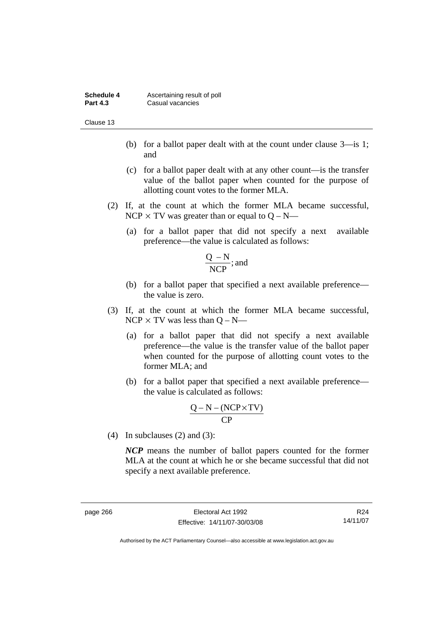| Schedule 4      | Ascertaining result of poll |
|-----------------|-----------------------------|
| <b>Part 4.3</b> | Casual vacancies            |

Clause 13

- (b) for a ballot paper dealt with at the count under clause 3—is 1; and
- (c) for a ballot paper dealt with at any other count—is the transfer value of the ballot paper when counted for the purpose of allotting count votes to the former MLA.
- (2) If, at the count at which the former MLA became successful,  $NCP \times TV$  was greater than or equal to  $Q - N$ —
	- (a) for a ballot paper that did not specify a next available preference—the value is calculated as follows:

$$
\frac{Q - N}{NCP}
$$
; and

- (b) for a ballot paper that specified a next available preference the value is zero.
- (3) If, at the count at which the former MLA became successful,  $NCP \times TV$  was less than  $O-N$ —
	- (a) for a ballot paper that did not specify a next available preference—the value is the transfer value of the ballot paper when counted for the purpose of allotting count votes to the former MLA; and
	- (b) for a ballot paper that specified a next available preference the value is calculated as follows:

$$
\frac{Q-N-(NCP \times TV)}{CP}
$$

(4) In subclauses (2) and (3):

*NCP* means the number of ballot papers counted for the former MLA at the count at which he or she became successful that did not specify a next available preference.

R24 14/11/07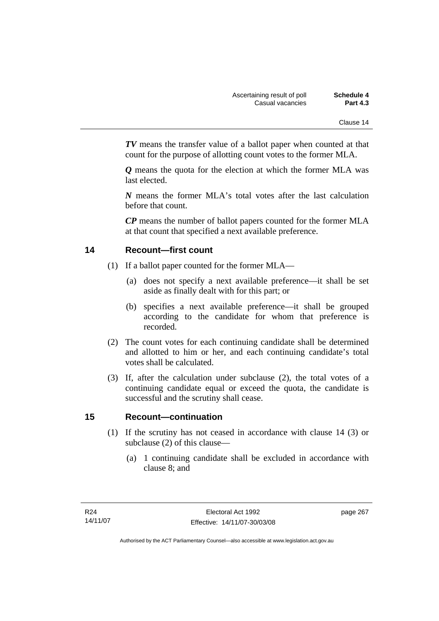*TV* means the transfer value of a ballot paper when counted at that count for the purpose of allotting count votes to the former MLA.

*Q* means the quota for the election at which the former MLA was last elected.

*N* means the former MLA's total votes after the last calculation before that count.

*CP* means the number of ballot papers counted for the former MLA at that count that specified a next available preference.

### **14 Recount—first count**

- (1) If a ballot paper counted for the former MLA—
	- (a) does not specify a next available preference—it shall be set aside as finally dealt with for this part; or
	- (b) specifies a next available preference—it shall be grouped according to the candidate for whom that preference is recorded.
- (2) The count votes for each continuing candidate shall be determined and allotted to him or her, and each continuing candidate's total votes shall be calculated.
- (3) If, after the calculation under subclause (2), the total votes of a continuing candidate equal or exceed the quota, the candidate is successful and the scrutiny shall cease.

### **15 Recount—continuation**

- (1) If the scrutiny has not ceased in accordance with clause 14 (3) or subclause (2) of this clause—
	- (a) 1 continuing candidate shall be excluded in accordance with clause 8; and

page 267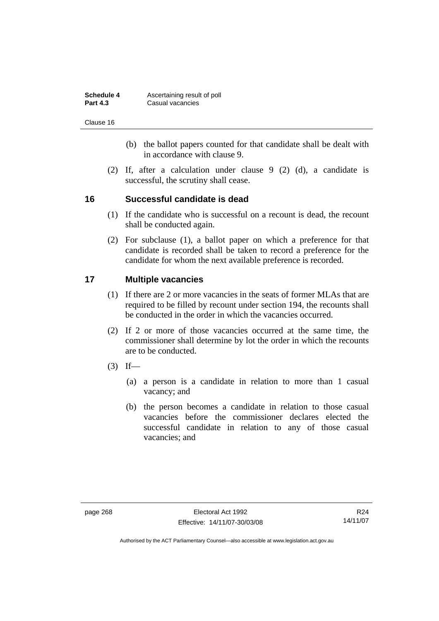| Schedule 4      | Ascertaining result of poll |
|-----------------|-----------------------------|
| <b>Part 4.3</b> | Casual vacancies            |

Clause 16

- (b) the ballot papers counted for that candidate shall be dealt with in accordance with clause 9.
- (2) If, after a calculation under clause 9 (2) (d), a candidate is successful, the scrutiny shall cease.

### **16 Successful candidate is dead**

- (1) If the candidate who is successful on a recount is dead, the recount shall be conducted again.
- (2) For subclause (1), a ballot paper on which a preference for that candidate is recorded shall be taken to record a preference for the candidate for whom the next available preference is recorded.

### **17 Multiple vacancies**

- (1) If there are 2 or more vacancies in the seats of former MLAs that are required to be filled by recount under section 194, the recounts shall be conducted in the order in which the vacancies occurred.
- (2) If 2 or more of those vacancies occurred at the same time, the commissioner shall determine by lot the order in which the recounts are to be conducted.
- $(3)$  If—
	- (a) a person is a candidate in relation to more than 1 casual vacancy; and
	- (b) the person becomes a candidate in relation to those casual vacancies before the commissioner declares elected the successful candidate in relation to any of those casual vacancies; and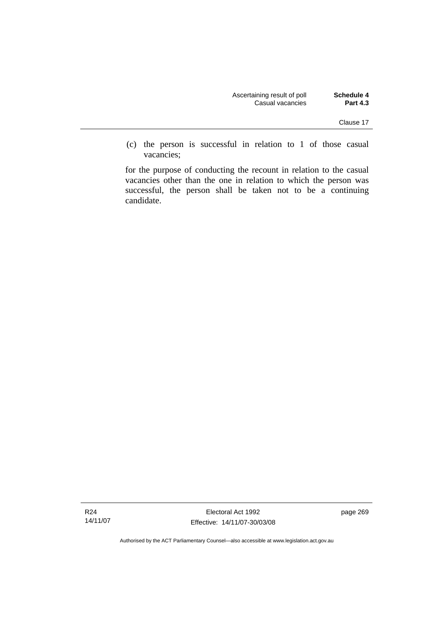| Schedule 4      | Ascertaining result of poll |
|-----------------|-----------------------------|
| <b>Part 4.3</b> | Casual vacancies            |

 (c) the person is successful in relation to 1 of those casual vacancies;

for the purpose of conducting the recount in relation to the casual vacancies other than the one in relation to which the person was successful, the person shall be taken not to be a continuing candidate.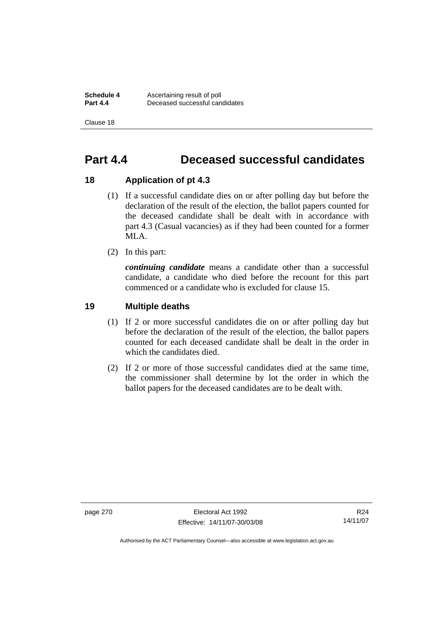**Schedule 4 Ascertaining result of poll**<br>**Part 4.4 Deceased successful can Part 4.4** Deceased successful candidates

Clause 18

# **Part 4.4 Deceased successful candidates**

### **18 Application of pt 4.3**

- (1) If a successful candidate dies on or after polling day but before the declaration of the result of the election, the ballot papers counted for the deceased candidate shall be dealt with in accordance with part 4.3 (Casual vacancies) as if they had been counted for a former MLA.
- (2) In this part:

*continuing candidate* means a candidate other than a successful candidate, a candidate who died before the recount for this part commenced or a candidate who is excluded for clause 15.

### **19 Multiple deaths**

- (1) If 2 or more successful candidates die on or after polling day but before the declaration of the result of the election, the ballot papers counted for each deceased candidate shall be dealt in the order in which the candidates died.
- (2) If 2 or more of those successful candidates died at the same time, the commissioner shall determine by lot the order in which the ballot papers for the deceased candidates are to be dealt with.

R24 14/11/07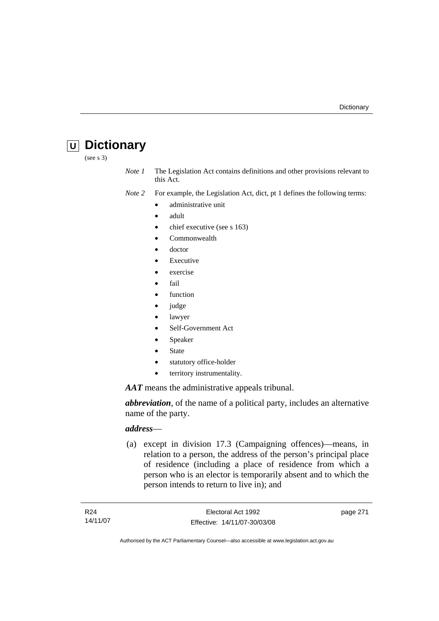# **U Dictionary**

(see s 3)

*Note 1* The Legislation Act contains definitions and other provisions relevant to this Act.

*Note 2* For example, the Legislation Act, dict, pt 1 defines the following terms:

- administrative unit
	- adult
	- chief executive (see s 163)
	- Commonwealth
	- doctor
	- **Executive**
	- exercise
	- fail
	- function
- judge
- lawyer
- Self-Government Act
- **Speaker**
- **State**
- statutory office-holder
- territory instrumentality.

*AAT* means the administrative appeals tribunal.

*abbreviation*, of the name of a political party, includes an alternative name of the party.

# *address*—

 (a) except in division 17.3 (Campaigning offences)—means, in relation to a person, the address of the person's principal place of residence (including a place of residence from which a person who is an elector is temporarily absent and to which the person intends to return to live in); and

page 271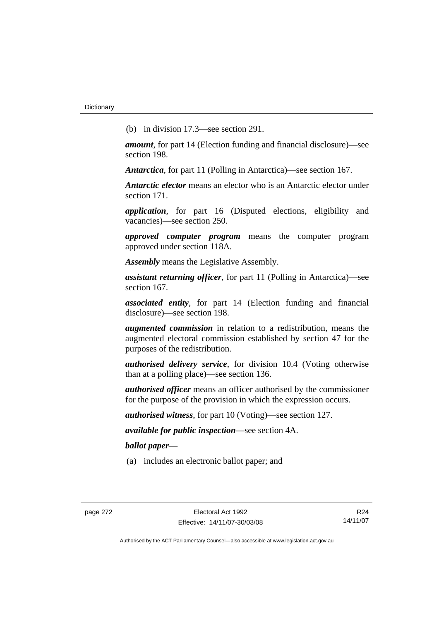(b) in division 17.3—see section 291.

*amount*, for part 14 (Election funding and financial disclosure)—see section 198.

*Antarctica*, for part 11 (Polling in Antarctica)—see section 167.

*Antarctic elector* means an elector who is an Antarctic elector under section 171.

*application*, for part 16 (Disputed elections, eligibility and vacancies)—see section 250.

*approved computer program* means the computer program approved under section 118A.

*Assembly* means the Legislative Assembly.

*assistant returning officer*, for part 11 (Polling in Antarctica)—see section 167.

*associated entity*, for part 14 (Election funding and financial disclosure)—see section 198.

*augmented commission* in relation to a redistribution, means the augmented electoral commission established by section 47 for the purposes of the redistribution.

*authorised delivery service*, for division 10.4 (Voting otherwise than at a polling place)—see section 136.

*authorised officer* means an officer authorised by the commissioner for the purpose of the provision in which the expression occurs.

*authorised witness*, for part 10 (Voting)—see section 127.

*available for public inspection*—see section 4A.

*ballot paper*—

(a) includes an electronic ballot paper; and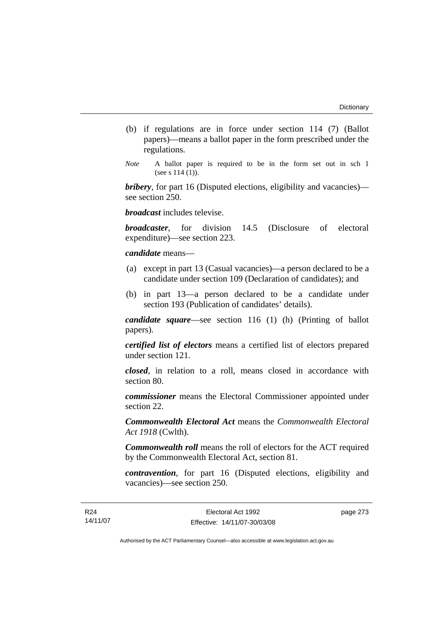- (b) if regulations are in force under section 114 (7) (Ballot papers)—means a ballot paper in the form prescribed under the regulations.
- *Note* A ballot paper is required to be in the form set out in sch 1 (see s 114 (1)).

*bribery*, for part 16 (Disputed elections, eligibility and vacancies) see section 250.

*broadcast* includes televise.

*broadcaster*, for division 14.5 (Disclosure of electoral expenditure)—see section 223.

# *candidate* means—

- (a) except in part 13 (Casual vacancies)—a person declared to be a candidate under section 109 (Declaration of candidates); and
- (b) in part 13—a person declared to be a candidate under section 193 (Publication of candidates' details).

*candidate square*—see section 116 (1) (h) (Printing of ballot papers).

*certified list of electors* means a certified list of electors prepared under section 121.

*closed*, in relation to a roll, means closed in accordance with section 80.

*commissioner* means the Electoral Commissioner appointed under section 22.

*Commonwealth Electoral Act* means the *Commonwealth Electoral Act 1918* (Cwlth).

*Commonwealth roll* means the roll of electors for the ACT required by the Commonwealth Electoral Act, section 81.

*contravention*, for part 16 (Disputed elections, eligibility and vacancies)—see section 250.

page 273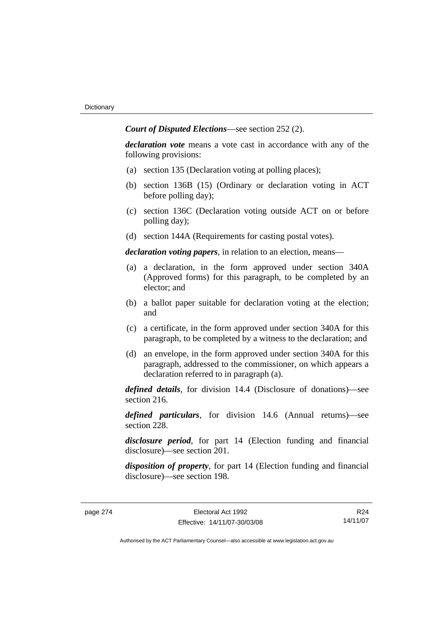*Court of Disputed Elections*—see section 252 (2).

*declaration vote* means a vote cast in accordance with any of the following provisions:

- (a) section 135 (Declaration voting at polling places);
- (b) section 136B (15) (Ordinary or declaration voting in ACT before polling day);
- (c) section 136C (Declaration voting outside ACT on or before polling day);
- (d) section 144A (Requirements for casting postal votes).

*declaration voting papers*, in relation to an election, means—

- (a) a declaration, in the form approved under section 340A (Approved forms) for this paragraph, to be completed by an elector; and
- (b) a ballot paper suitable for declaration voting at the election; and
- (c) a certificate, in the form approved under section 340A for this paragraph, to be completed by a witness to the declaration; and
- (d) an envelope, in the form approved under section 340A for this paragraph, addressed to the commissioner, on which appears a declaration referred to in paragraph (a).

*defined details*, for division 14.4 (Disclosure of donations)—see section 216.

*defined particulars*, for division 14.6 (Annual returns)—see section 228.

*disclosure period*, for part 14 (Election funding and financial disclosure)—see section 201.

*disposition of property*, for part 14 (Election funding and financial disclosure)—see section 198.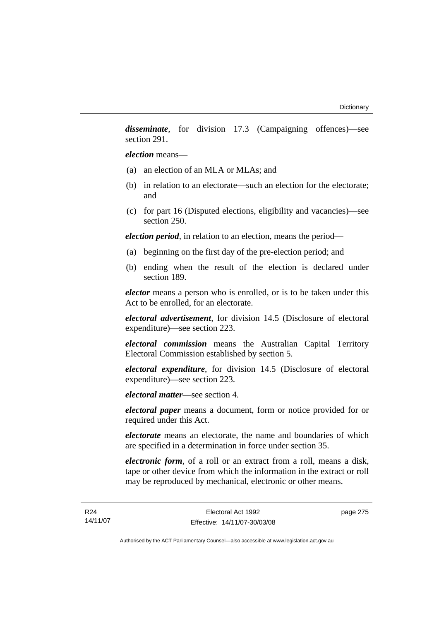*disseminate*, for division 17.3 (Campaigning offences)—see section 291.

*election* means—

- (a) an election of an MLA or MLAs; and
- (b) in relation to an electorate—such an election for the electorate; and
- (c) for part 16 (Disputed elections, eligibility and vacancies)—see section 250.

*election period*, in relation to an election, means the period—

- (a) beginning on the first day of the pre-election period; and
- (b) ending when the result of the election is declared under section 189.

*elector* means a person who is enrolled, or is to be taken under this Act to be enrolled, for an electorate.

*electoral advertisement*, for division 14.5 (Disclosure of electoral expenditure)—see section 223.

*electoral commission* means the Australian Capital Territory Electoral Commission established by section 5.

*electoral expenditure*, for division 14.5 (Disclosure of electoral expenditure)—see section 223.

*electoral matter*—see section 4.

*electoral paper* means a document, form or notice provided for or required under this Act.

*electorate* means an electorate, the name and boundaries of which are specified in a determination in force under section 35.

*electronic form*, of a roll or an extract from a roll, means a disk, tape or other device from which the information in the extract or roll may be reproduced by mechanical, electronic or other means.

page 275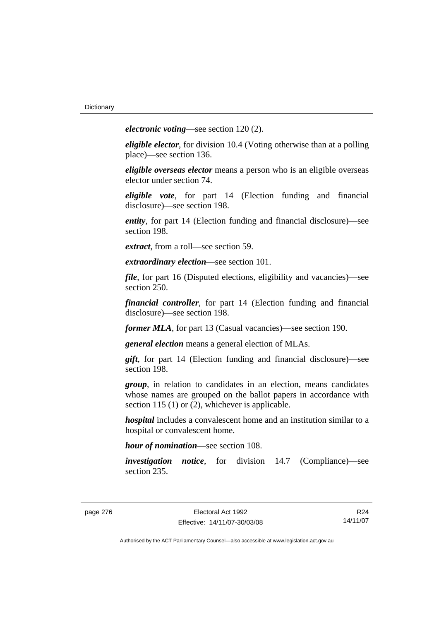*electronic voting*—see section 120 (2).

*eligible elector*, for division 10.4 (Voting otherwise than at a polling place)—see section 136.

*eligible overseas elector* means a person who is an eligible overseas elector under section 74.

*eligible vote*, for part 14 (Election funding and financial disclosure)—see section 198.

*entity*, for part 14 (Election funding and financial disclosure)—see section 198.

*extract*, from a roll—see section 59.

*extraordinary election*—see section 101.

*file*, for part 16 (Disputed elections, eligibility and vacancies)—see section 250.

*financial controller*, for part 14 (Election funding and financial disclosure)—see section 198.

*former MLA*, for part 13 (Casual vacancies)—see section 190.

*general election* means a general election of MLAs.

*gift*, for part 14 (Election funding and financial disclosure)—see section 198.

*group*, in relation to candidates in an election, means candidates whose names are grouped on the ballot papers in accordance with section 115 (1) or (2), whichever is applicable.

*hospital* includes a convalescent home and an institution similar to a hospital or convalescent home.

*hour of nomination*—see section 108.

*investigation notice*, for division 14.7 (Compliance)—see section 235.

R24 14/11/07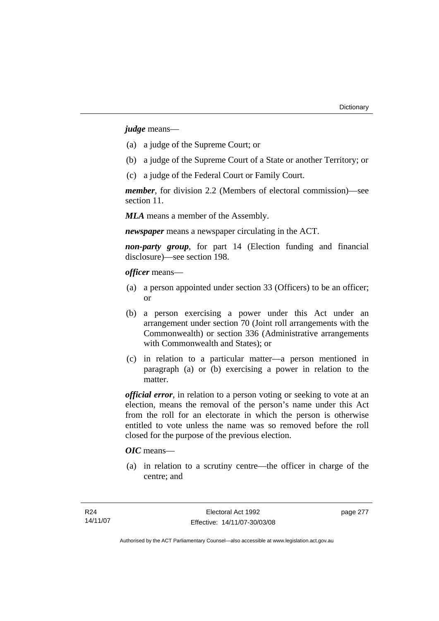*judge* means—

- (a) a judge of the Supreme Court; or
- (b) a judge of the Supreme Court of a State or another Territory; or
- (c) a judge of the Federal Court or Family Court.

*member*, for division 2.2 (Members of electoral commission)—see section 11.

*MLA* means a member of the Assembly.

*newspaper* means a newspaper circulating in the ACT.

*non-party group*, for part 14 (Election funding and financial disclosure)—see section 198.

*officer* means—

- (a) a person appointed under section 33 (Officers) to be an officer; or
- (b) a person exercising a power under this Act under an arrangement under section 70 (Joint roll arrangements with the Commonwealth) or section 336 (Administrative arrangements with Commonwealth and States); or
- (c) in relation to a particular matter—a person mentioned in paragraph (a) or (b) exercising a power in relation to the matter.

*official error*, in relation to a person voting or seeking to vote at an election, means the removal of the person's name under this Act from the roll for an electorate in which the person is otherwise entitled to vote unless the name was so removed before the roll closed for the purpose of the previous election.

# *OIC* means—

 (a) in relation to a scrutiny centre—the officer in charge of the centre; and

page 277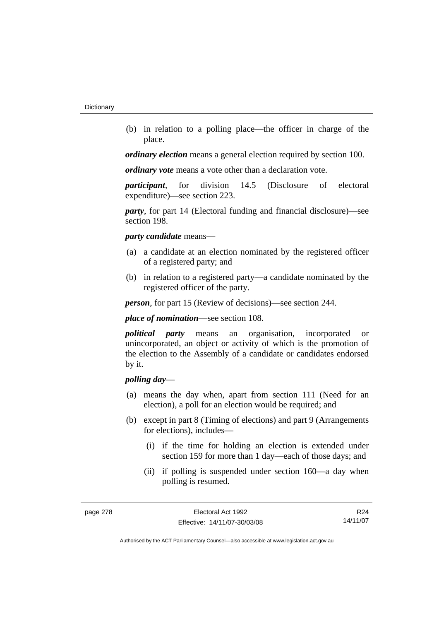(b) in relation to a polling place—the officer in charge of the place.

*ordinary election* means a general election required by section 100.

*ordinary vote* means a vote other than a declaration vote.

*participant*, for division 14.5 (Disclosure of electoral expenditure)—see section 223.

*party*, for part 14 (Electoral funding and financial disclosure)—see section 198.

#### *party candidate* means—

- (a) a candidate at an election nominated by the registered officer of a registered party; and
- (b) in relation to a registered party—a candidate nominated by the registered officer of the party.

*person*, for part 15 (Review of decisions)—see section 244.

*place of nomination*—see section 108.

*political party* means an organisation, incorporated or unincorporated, an object or activity of which is the promotion of the election to the Assembly of a candidate or candidates endorsed by it.

# *polling day*—

- (a) means the day when, apart from section 111 (Need for an election), a poll for an election would be required; and
- (b) except in part 8 (Timing of elections) and part 9 (Arrangements for elections), includes—
	- (i) if the time for holding an election is extended under section 159 for more than 1 day—each of those days; and
	- (ii) if polling is suspended under section 160—a day when polling is resumed.

R24 14/11/07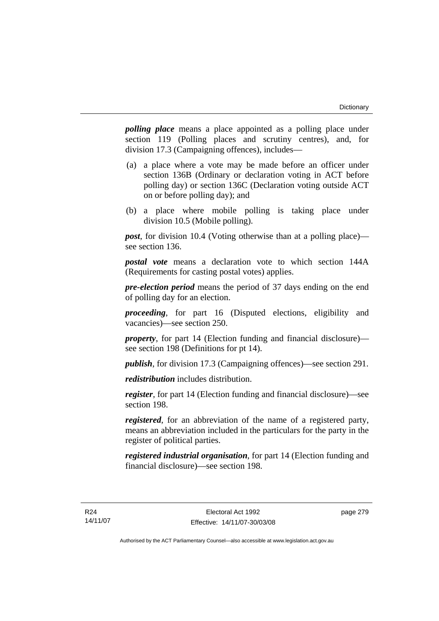*polling place* means a place appointed as a polling place under section 119 (Polling places and scrutiny centres), and, for division 17.3 (Campaigning offences), includes—

- (a) a place where a vote may be made before an officer under section 136B (Ordinary or declaration voting in ACT before polling day) or section 136C (Declaration voting outside ACT on or before polling day); and
- (b) a place where mobile polling is taking place under division 10.5 (Mobile polling).

*post*, for division 10.4 (Voting otherwise than at a polling place) see section 136.

*postal vote* means a declaration vote to which section 144A (Requirements for casting postal votes) applies.

*pre-election period* means the period of 37 days ending on the end of polling day for an election.

*proceeding*, for part 16 (Disputed elections, eligibility and vacancies)—see section 250.

*property*, for part 14 (Election funding and financial disclosure) see section 198 (Definitions for pt 14).

*publish*, for division 17.3 (Campaigning offences)—see section 291.

*redistribution* includes distribution.

*register*, for part 14 (Election funding and financial disclosure)—see section 198.

*registered*, for an abbreviation of the name of a registered party, means an abbreviation included in the particulars for the party in the register of political parties.

*registered industrial organisation*, for part 14 (Election funding and financial disclosure)—see section 198.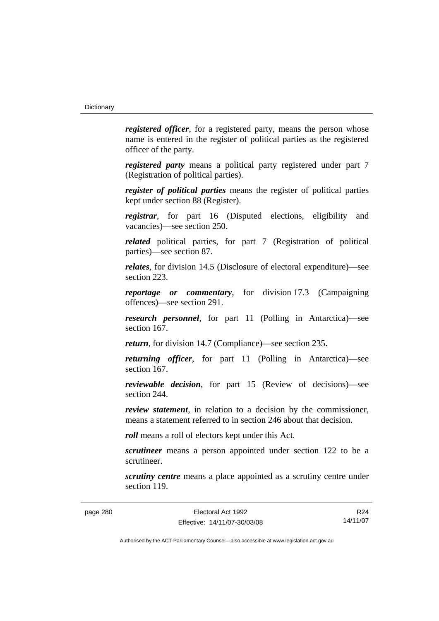*registered officer*, for a registered party, means the person whose name is entered in the register of political parties as the registered officer of the party.

*registered party* means a political party registered under part 7 (Registration of political parties).

*register of political parties* means the register of political parties kept under section 88 (Register).

*registrar*, for part 16 (Disputed elections, eligibility and vacancies)—see section 250.

*related* political parties, for part 7 (Registration of political parties)—see section 87.

*relates*, for division 14.5 (Disclosure of electoral expenditure)—see section 223.

*reportage or commentary*, for division 17.3 (Campaigning offences)—see section 291.

*research personnel*, for part 11 (Polling in Antarctica)—see section 167.

*return*, for division 14.7 (Compliance)—see section 235.

*returning officer*, for part 11 (Polling in Antarctica)—see section 167.

*reviewable decision*, for part 15 (Review of decisions)—see section 244.

*review statement*, in relation to a decision by the commissioner, means a statement referred to in section 246 about that decision.

*roll* means a roll of electors kept under this Act.

*scrutineer* means a person appointed under section 122 to be a scrutineer.

*scrutiny centre* means a place appointed as a scrutiny centre under section 119.

R24 14/11/07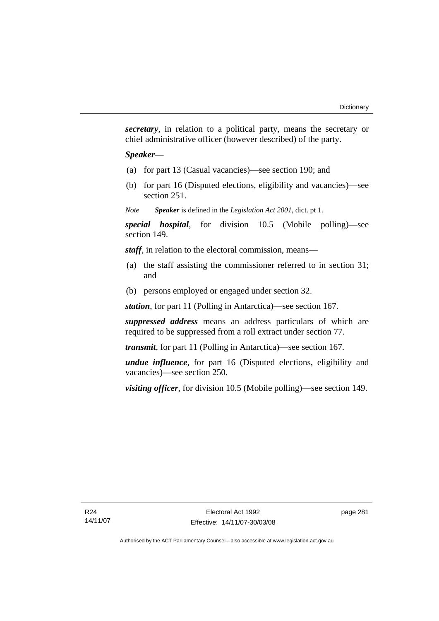*secretary*, in relation to a political party, means the secretary or chief administrative officer (however described) of the party.

# *Speaker*—

- (a) for part 13 (Casual vacancies)—see section 190; and
- (b) for part 16 (Disputed elections, eligibility and vacancies)—see section 251.

*Note Speaker* is defined in the *Legislation Act 2001*, dict. pt 1.

*special hospital*, for division 10.5 (Mobile polling)—see section 149.

*staff*, in relation to the electoral commission, means—

- (a) the staff assisting the commissioner referred to in section 31; and
- (b) persons employed or engaged under section 32.

*station*, for part 11 (Polling in Antarctica)—see section 167.

*suppressed address* means an address particulars of which are required to be suppressed from a roll extract under section 77.

*transmit*, for part 11 (Polling in Antarctica)—see section 167.

*undue influence*, for part 16 (Disputed elections, eligibility and vacancies)—see section 250.

*visiting officer*, for division 10.5 (Mobile polling)—see section 149.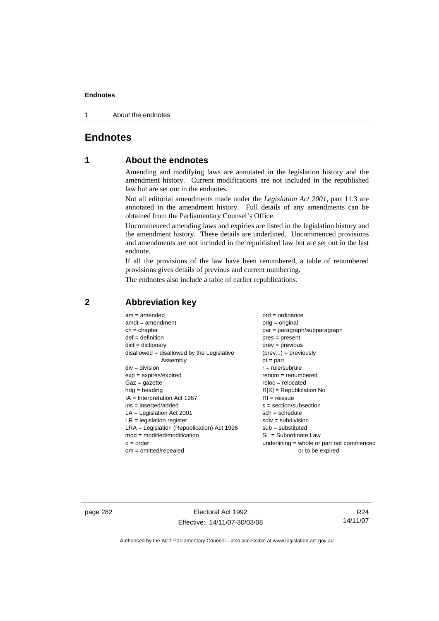1 About the endnotes

# **Endnotes**

# **1 About the endnotes**

Amending and modifying laws are annotated in the legislation history and the amendment history. Current modifications are not included in the republished law but are set out in the endnotes.

Not all editorial amendments made under the *Legislation Act 2001*, part 11.3 are annotated in the amendment history. Full details of any amendments can be obtained from the Parliamentary Counsel's Office.

Uncommenced amending laws and expiries are listed in the legislation history and the amendment history. These details are underlined. Uncommenced provisions and amendments are not included in the republished law but are set out in the last endnote.

If all the provisions of the law have been renumbered, a table of renumbered provisions gives details of previous and current numbering.

The endnotes also include a table of earlier republications.

| $am = amended$                               | $ord = ordinance$                         |
|----------------------------------------------|-------------------------------------------|
| $amdt = amendment$                           | $orig = original$                         |
| $ch = chapter$                               | par = paragraph/subparagraph              |
| $def = definition$                           | $pres = present$                          |
| $dict = dictionary$                          | $prev = previous$                         |
| $disallowed = disallowed by the Legislative$ | $(\text{prev}) = \text{previously}$       |
| Assembly                                     | $pt = part$                               |
| $div = division$                             | $r = rule/subrule$                        |
| $exp = expires/expired$                      | $renum = renumbered$                      |
| $Gaz = gazette$                              | $reloc = relocated$                       |
| $hdg =$ heading                              | $R[X]$ = Republication No                 |
| $IA = Interpretation Act 1967$               | $RI = reissue$                            |
| $ins = inserted/added$                       | $s = section/subsection$                  |
| $LA =$ Legislation Act 2001                  | $sch = schedule$                          |
| $LR =$ legislation register                  | $sdiv = subdivision$                      |
| $LRA =$ Legislation (Republication) Act 1996 | $sub = substituted$                       |
| $mod = modified/modification$                | $SL = Subordinate$ Law                    |
| $o = order$                                  | underlining = whole or part not commenced |
| $om = omitted/report$                        | or to be expired                          |
|                                              |                                           |

# **2 Abbreviation key**

page 282 Electoral Act 1992 Effective: 14/11/07-30/03/08

R24 14/11/07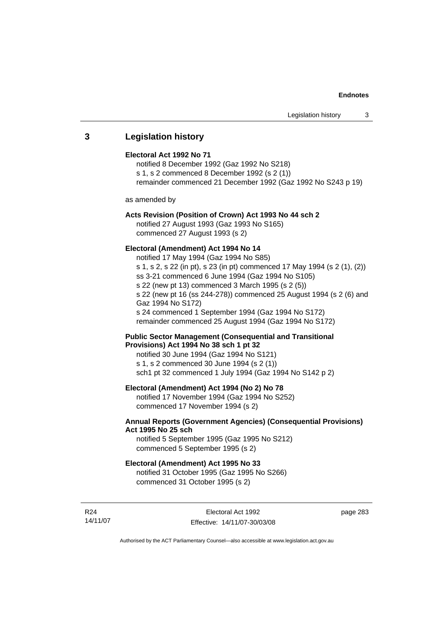# **3 Legislation history**

# **Electoral Act 1992 No 71**

notified 8 December 1992 (Gaz 1992 No S218) s 1, s 2 commenced 8 December 1992 (s 2 (1)) remainder commenced 21 December 1992 (Gaz 1992 No S243 p 19)

as amended by

# **Acts Revision (Position of Crown) Act 1993 No 44 sch 2**

notified 27 August 1993 (Gaz 1993 No S165) commenced 27 August 1993 (s 2)

# **Electoral (Amendment) Act 1994 No 14**

notified 17 May 1994 (Gaz 1994 No S85) s 1, s 2, s 22 (in pt), s 23 (in pt) commenced 17 May 1994 (s 2 (1), (2)) ss 3-21 commenced 6 June 1994 (Gaz 1994 No S105) s 22 (new pt 13) commenced 3 March 1995 (s 2 (5)) s 22 (new pt 16 (ss 244-278)) commenced 25 August 1994 (s 2 (6) and Gaz 1994 No S172) s 24 commenced 1 September 1994 (Gaz 1994 No S172) remainder commenced 25 August 1994 (Gaz 1994 No S172)

# **Public Sector Management (Consequential and Transitional Provisions) Act 1994 No 38 sch 1 pt 32**

notified 30 June 1994 (Gaz 1994 No S121) s 1, s 2 commenced 30 June 1994 (s 2 (1)) sch1 pt 32 commenced 1 July 1994 (Gaz 1994 No S142 p 2)

# **Electoral (Amendment) Act 1994 (No 2) No 78**

notified 17 November 1994 (Gaz 1994 No S252) commenced 17 November 1994 (s 2)

# **Annual Reports (Government Agencies) (Consequential Provisions) Act 1995 No 25 sch**

notified 5 September 1995 (Gaz 1995 No S212) commenced 5 September 1995 (s 2)

### **Electoral (Amendment) Act 1995 No 33**

notified 31 October 1995 (Gaz 1995 No S266) commenced 31 October 1995 (s 2)

R24 14/11/07 page 283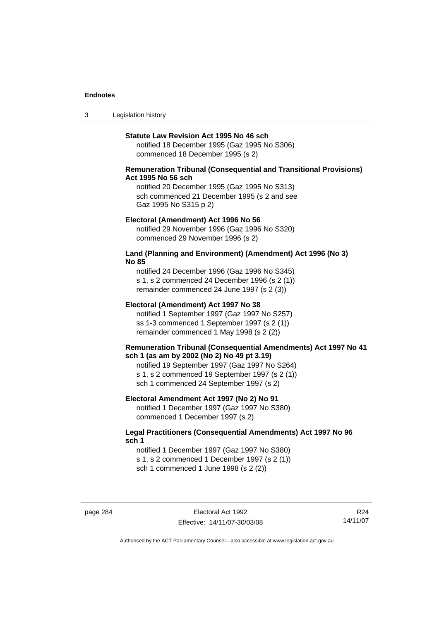3 Legislation history

#### **Statute Law Revision Act 1995 No 46 sch**

notified 18 December 1995 (Gaz 1995 No S306) commenced 18 December 1995 (s 2)

# **Remuneration Tribunal (Consequential and Transitional Provisions) Act 1995 No 56 sch**

notified 20 December 1995 (Gaz 1995 No S313) sch commenced 21 December 1995 (s 2 and see Gaz 1995 No S315 p 2)

#### **Electoral (Amendment) Act 1996 No 56**

notified 29 November 1996 (Gaz 1996 No S320) commenced 29 November 1996 (s 2)

# **Land (Planning and Environment) (Amendment) Act 1996 (No 3) No 85**

notified 24 December 1996 (Gaz 1996 No S345) s 1, s 2 commenced 24 December 1996 (s 2 (1)) remainder commenced 24 June 1997 (s 2 (3))

# **Electoral (Amendment) Act 1997 No 38**

notified 1 September 1997 (Gaz 1997 No S257) ss 1-3 commenced 1 September 1997 (s 2 (1)) remainder commenced 1 May 1998 (s 2 (2))

### **Remuneration Tribunal (Consequential Amendments) Act 1997 No 41 sch 1 (as am by 2002 (No 2) No 49 pt 3.19)**

notified 19 September 1997 (Gaz 1997 No S264) s 1, s 2 commenced 19 September 1997 (s 2 (1)) sch 1 commenced 24 September 1997 (s 2)

# **Electoral Amendment Act 1997 (No 2) No 91**

notified 1 December 1997 (Gaz 1997 No S380) commenced 1 December 1997 (s 2)

# **Legal Practitioners (Consequential Amendments) Act 1997 No 96 sch 1**

notified 1 December 1997 (Gaz 1997 No S380) s 1, s 2 commenced 1 December 1997 (s 2 (1)) sch 1 commenced 1 June 1998 (s 2 (2))

page 284 Electoral Act 1992 Effective: 14/11/07-30/03/08

R24 14/11/07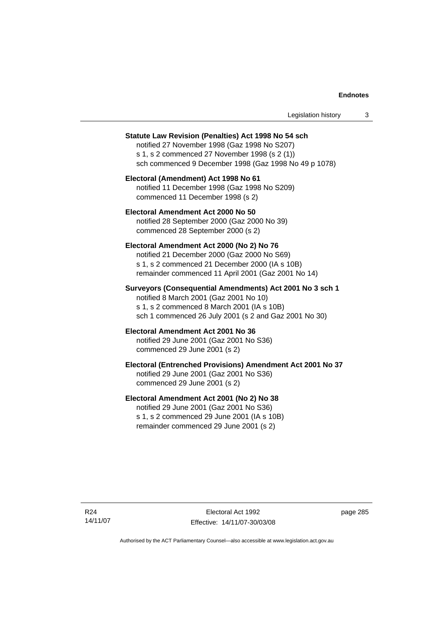| Legislation history |  |
|---------------------|--|
|---------------------|--|

#### **Statute Law Revision (Penalties) Act 1998 No 54 sch**

notified 27 November 1998 (Gaz 1998 No S207) s 1, s 2 commenced 27 November 1998 (s 2 (1)) sch commenced 9 December 1998 (Gaz 1998 No 49 p 1078)

# **Electoral (Amendment) Act 1998 No 61**  notified 11 December 1998 (Gaz 1998 No S209) commenced 11 December 1998 (s 2)

# **Electoral Amendment Act 2000 No 50**  notified 28 September 2000 (Gaz 2000 No 39) commenced 28 September 2000 (s 2)

#### **Electoral Amendment Act 2000 (No 2) No 76**

notified 21 December 2000 (Gaz 2000 No S69) s 1, s 2 commenced 21 December 2000 (IA s 10B) remainder commenced 11 April 2001 (Gaz 2001 No 14)

# **Surveyors (Consequential Amendments) Act 2001 No 3 sch 1**

notified 8 March 2001 (Gaz 2001 No 10) s 1, s 2 commenced 8 March 2001 (IA s 10B) sch 1 commenced 26 July 2001 (s 2 and Gaz 2001 No 30)

# **Electoral Amendment Act 2001 No 36**

notified 29 June 2001 (Gaz 2001 No S36) commenced 29 June 2001 (s 2)

# **Electoral (Entrenched Provisions) Amendment Act 2001 No 37**

notified 29 June 2001 (Gaz 2001 No S36) commenced 29 June 2001 (s 2)

# **Electoral Amendment Act 2001 (No 2) No 38**

notified 29 June 2001 (Gaz 2001 No S36) s 1, s 2 commenced 29 June 2001 (IA s 10B) remainder commenced 29 June 2001 (s 2)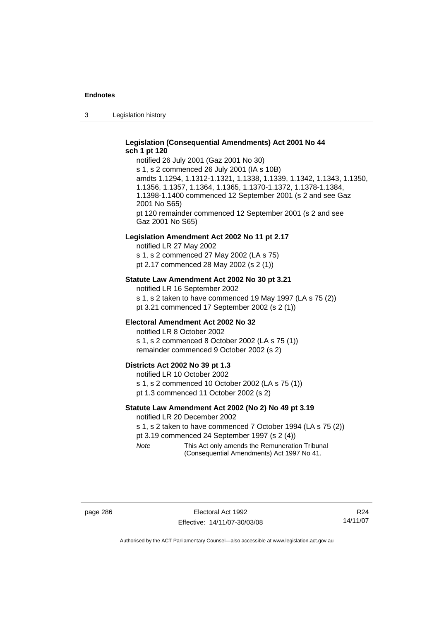3 Legislation history

# **Legislation (Consequential Amendments) Act 2001 No 44 sch 1 pt 120**

notified 26 July 2001 (Gaz 2001 No 30) s 1, s 2 commenced 26 July 2001 (IA s 10B) amdts 1.1294, 1.1312-1.1321, 1.1338, 1.1339, 1.1342, 1.1343, 1.1350, 1.1356, 1.1357, 1.1364, 1.1365, 1.1370-1.1372, 1.1378-1.1384, 1.1398-1.1400 commenced 12 September 2001 (s 2 and see Gaz 2001 No S65) pt 120 remainder commenced 12 September 2001 (s 2 and see Gaz 2001 No S65)

#### **Legislation Amendment Act 2002 No 11 pt 2.17**

notified LR 27 May 2002 s 1, s 2 commenced 27 May 2002 (LA s 75) pt 2.17 commenced 28 May 2002 (s 2 (1))

# **Statute Law Amendment Act 2002 No 30 pt 3.21**

notified LR 16 September 2002 s 1, s 2 taken to have commenced 19 May 1997 (LA s 75 (2)) pt 3.21 commenced 17 September 2002 (s 2 (1))

#### **Electoral Amendment Act 2002 No 32**

notified LR 8 October 2002 s 1, s 2 commenced 8 October 2002 (LA s 75 (1)) remainder commenced 9 October 2002 (s 2)

#### **Districts Act 2002 No 39 pt 1.3**

notified LR 10 October 2002 s 1, s 2 commenced 10 October 2002 (LA s 75 (1)) pt 1.3 commenced 11 October 2002 (s 2)

# **Statute Law Amendment Act 2002 (No 2) No 49 pt 3.19**

notified LR 20 December 2002

s 1, s 2 taken to have commenced 7 October 1994 (LA s 75 (2)) pt 3.19 commenced 24 September 1997 (s 2 (4))

*Note* This Act only amends the Remuneration Tribunal (Consequential Amendments) Act 1997 No 41.

R24 14/11/07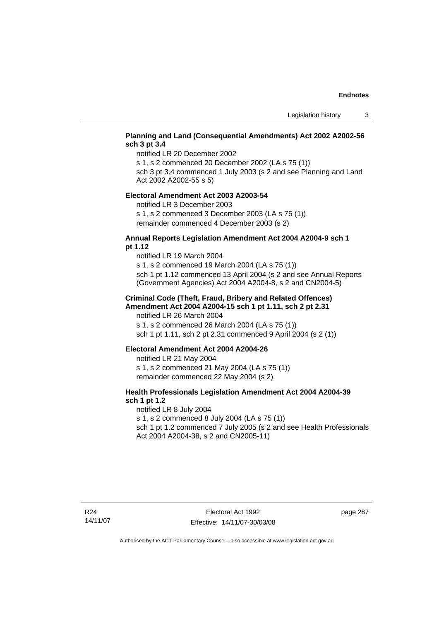# **Planning and Land (Consequential Amendments) Act 2002 A2002-56 sch 3 pt 3.4**

notified LR 20 December 2002

s 1, s 2 commenced 20 December 2002 (LA s 75 (1))

sch 3 pt 3.4 commenced 1 July 2003 (s 2 and see Planning and Land Act 2002 A2002-55 s 5)

#### **Electoral Amendment Act 2003 A2003-54**

notified LR 3 December 2003

s 1, s 2 commenced 3 December 2003 (LA s 75 (1)) remainder commenced 4 December 2003 (s 2)

# **Annual Reports Legislation Amendment Act 2004 A2004-9 sch 1 pt 1.12**

notified LR 19 March 2004 s 1, s 2 commenced 19 March 2004 (LA s 75 (1)) sch 1 pt 1.12 commenced 13 April 2004 (s 2 and see Annual Reports (Government Agencies) Act 2004 A2004-8, s 2 and CN2004-5)

# **Criminal Code (Theft, Fraud, Bribery and Related Offences) Amendment Act 2004 A2004-15 sch 1 pt 1.11, sch 2 pt 2.31**

notified LR 26 March 2004 s 1, s 2 commenced 26 March 2004 (LA s 75 (1)) sch 1 pt 1.11, sch 2 pt 2.31 commenced 9 April 2004 (s 2 (1))

# **Electoral Amendment Act 2004 A2004-26**

notified LR 21 May 2004 s 1, s 2 commenced 21 May 2004 (LA s 75 (1)) remainder commenced 22 May 2004 (s 2)

# **Health Professionals Legislation Amendment Act 2004 A2004-39 sch 1 pt 1.2**

notified LR 8 July 2004 s 1, s 2 commenced 8 July 2004 (LA s 75 (1)) sch 1 pt 1.2 commenced 7 July 2005 (s 2 and see Health Professionals Act 2004 A2004-38, s 2 and CN2005-11)

page 287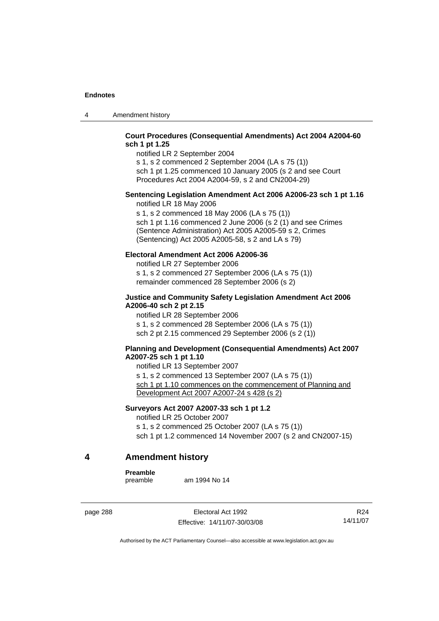4 Amendment history

# **Court Procedures (Consequential Amendments) Act 2004 A2004-60 sch 1 pt 1.25**

notified LR 2 September 2004 s 1, s 2 commenced 2 September 2004 (LA s 75 (1))

sch 1 pt 1.25 commenced 10 January 2005 (s 2 and see Court Procedures Act 2004 A2004-59, s 2 and CN2004-29)

# **Sentencing Legislation Amendment Act 2006 A2006-23 sch 1 pt 1.16**

notified LR 18 May 2006

s 1, s 2 commenced 18 May 2006 (LA s 75 (1)) sch 1 pt 1.16 commenced 2 June 2006 (s 2 (1) and see Crimes (Sentence Administration) Act 2005 A2005-59 s 2, Crimes (Sentencing) Act 2005 A2005-58, s 2 and LA s 79)

# **Electoral Amendment Act 2006 A2006-36**

notified LR 27 September 2006 s 1, s 2 commenced 27 September 2006 (LA s 75 (1)) remainder commenced 28 September 2006 (s 2)

# **Justice and Community Safety Legislation Amendment Act 2006 A2006-40 sch 2 pt 2.15**

notified LR 28 September 2006 s 1, s 2 commenced 28 September 2006 (LA s 75 (1)) sch 2 pt 2.15 commenced 29 September 2006 (s 2 (1))

# **Planning and Development (Consequential Amendments) Act 2007 A2007-25 sch 1 pt 1.10**

notified LR 13 September 2007 s 1, s 2 commenced 13 September 2007 (LA s 75 (1)) sch 1 pt 1.10 commences on the commencement of Planning and Development Act 2007 A2007-24 s 428 (s 2)

# **Surveyors Act 2007 A2007-33 sch 1 pt 1.2**

notified LR 25 October 2007 s 1, s 2 commenced 25 October 2007 (LA s 75 (1)) sch 1 pt 1.2 commenced 14 November 2007 (s 2 and CN2007-15)

# **4 Amendment history**

**Preamble** 

am 1994 No 14

page 288 Electoral Act 1992 Effective: 14/11/07-30/03/08

R24 14/11/07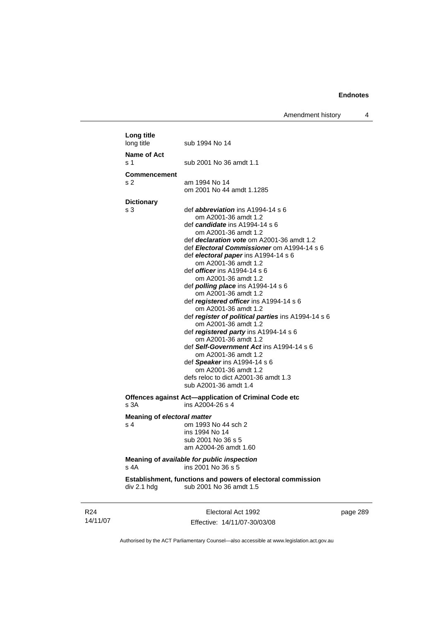Amendment history 4

| Long title<br>long title    | sub 1994 No 14                                              |
|-----------------------------|-------------------------------------------------------------|
| Name of Act                 |                                                             |
| s 1                         | sub 2001 No 36 amdt 1.1                                     |
| <b>Commencement</b>         |                                                             |
| s 2                         | am 1994 No 14                                               |
|                             | om 2001 No 44 amdt 1.1285                                   |
| <b>Dictionary</b>           |                                                             |
| s <sub>3</sub>              | def <i>abbreviation</i> ins A1994-14 s 6                    |
|                             | om A2001-36 amdt 1.2                                        |
|                             | def candidate ins A1994-14 s 6                              |
|                             | om A2001-36 amdt 1.2                                        |
|                             | def <i>declaration vote</i> om A2001-36 amdt 1.2            |
|                             | def Electoral Commissioner om A1994-14 s 6                  |
|                             | def electoral paper ins A1994-14 s 6                        |
|                             | om A2001-36 amdt 1.2<br>def <i>officer</i> ins A1994-14 s 6 |
|                             | om A2001-36 amdt 1.2                                        |
|                             | def <i>polling place</i> ins A1994-14 s 6                   |
|                             | om A2001-36 amdt 1.2                                        |
|                             | def registered officer ins A1994-14 s 6                     |
|                             | om A2001-36 amdt 1.2                                        |
|                             | def register of political parties ins A1994-14 s 6          |
|                             | om A2001-36 amdt 1.2                                        |
|                             | def registered party ins A1994-14 s 6                       |
|                             | om A2001-36 amdt 1.2                                        |
|                             | def Self-Government Act ins A1994-14 s 6                    |
|                             | om A2001-36 amdt 1.2                                        |
|                             | def Speaker ins A1994-14 s 6<br>om A2001-36 amdt 1.2        |
|                             | defs reloc to dict A2001-36 amdt 1.3                        |
|                             | sub A2001-36 amdt 1.4                                       |
|                             | Offences against Act-application of Criminal Code etc       |
| s 3A                        | ins A2004-26 s 4                                            |
| Meaning of electoral matter |                                                             |
| s 4                         | om 1993 No 44 sch 2                                         |
|                             | ins 1994 No 14                                              |
|                             | sub 2001 No 36 s 5                                          |
|                             | am A2004-26 amdt 1.60                                       |
|                             | Meaning of available for public inspection                  |
| s 4A                        | ins 2001 No 36 s 5                                          |
|                             | Establishment, functions and powers of electoral commission |
| div 2.1 hdg                 | sub 2001 No 36 amdt 1.5                                     |
|                             |                                                             |
|                             | Flectoral Act 1992                                          |

R24 14/11/07

Electoral Act 1992 Effective: 14/11/07-30/03/08 page 289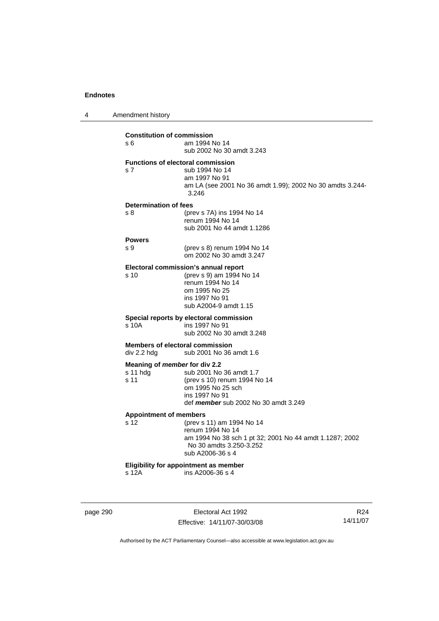4 Amendment history

**Constitution of commission**  s 6 am 1994 No 14 sub 2002 No 30 amdt 3.243 **Functions of electoral commission**  s 7 sub 1994 No 14 am 1997 No 91 am LA (see 2001 No 36 amdt 1.99); 2002 No 30 amdts 3.244- 3.246 **Determination of fees**  s 8 (prev s 7A) ins 1994 No 14 renum 1994 No 14 sub 2001 No 44 amdt 1.1286 **Powers**  s 9 (prev s 8) renum 1994 No 14 om 2002 No 30 amdt 3.247 **Electoral commission's annual report**  s 10 (prev s 9) am 1994 No 14 renum 1994 No 14 om 1995 No 25 ins 1997 No 91 sub A2004-9 amdt 1.15 **Special reports by electoral commission**  s 10A ins 1997 No 91 sub 2002 No 30 amdt 3.248 **Members of electoral commission**<br>div 2.2 hdg sub 2001 No 36 sub 2001 No 36 amdt 1.6 **Meaning of** *member* **for div 2.2**  s 11 hdg sub 2001 No 36 amdt 1.7 s 11 (prev s 10) renum 1994 No 14 om 1995 No 25 sch ins 1997 No 91 def *member* sub 2002 No 30 amdt 3.249 **Appointment of members**  s 12 (prev s 11) am 1994 No 14 renum 1994 No 14 am 1994 No 38 sch 1 pt 32; 2001 No 44 amdt 1.1287; 2002 No 30 amdts 3.250-3.252 sub A2006-36 s 4 **Eligibility for appointment as member**   $ins A2006-36 s 4$ 

page 290 **Electoral Act 1992** Effective: 14/11/07-30/03/08

R24 14/11/07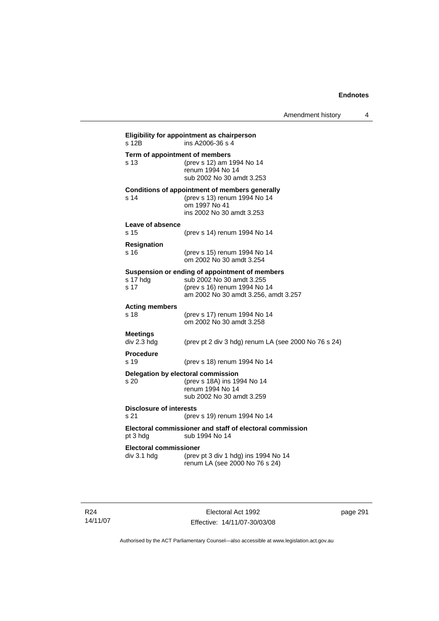| s 12B                                        | Eligibility for appointment as chairperson<br>ins A2006-36 s 4                                                                                      |
|----------------------------------------------|-----------------------------------------------------------------------------------------------------------------------------------------------------|
| Term of appointment of members<br>s 13       | (prev s 12) am 1994 No 14<br>renum 1994 No 14<br>sub 2002 No 30 amdt 3.253                                                                          |
| s 14                                         | <b>Conditions of appointment of members generally</b><br>(prev s 13) renum 1994 No 14<br>om 1997 No 41<br>ins 2002 No 30 amdt 3.253                 |
| Leave of absence<br>s 15                     | (prev s 14) renum 1994 No 14                                                                                                                        |
| <b>Resignation</b><br>s 16                   | (prev s 15) renum 1994 No 14<br>om 2002 No 30 amdt 3.254                                                                                            |
| s 17 hdg<br>s 17                             | Suspension or ending of appointment of members<br>sub 2002 No 30 amdt 3.255<br>(prev s 16) renum 1994 No 14<br>am 2002 No 30 amdt 3.256, amdt 3.257 |
| <b>Acting members</b><br>s 18                | (prev s 17) renum 1994 No 14<br>om 2002 No 30 amdt 3.258                                                                                            |
| <b>Meetings</b><br>div 2.3 hdg               | (prev pt 2 div 3 hdg) renum LA (see 2000 No 76 s 24)                                                                                                |
| <b>Procedure</b><br>s 19                     | (prev s 18) renum 1994 No 14                                                                                                                        |
| s 20                                         | Delegation by electoral commission<br>(prev s 18A) ins 1994 No 14<br>renum 1994 No 14<br>sub 2002 No 30 amdt 3.259                                  |
| <b>Disclosure of interests</b><br>s 21       | (prev s 19) renum 1994 No 14                                                                                                                        |
| pt 3 hdg                                     | Electoral commissioner and staff of electoral commission<br>sub 1994 No 14                                                                          |
| <b>Electoral commissioner</b><br>div 3.1 hdg | (prev pt 3 div 1 hdg) ins 1994 No 14<br>renum LA (see 2000 No 76 s 24)                                                                              |

R24 14/11/07

Electoral Act 1992 Effective: 14/11/07-30/03/08 page 291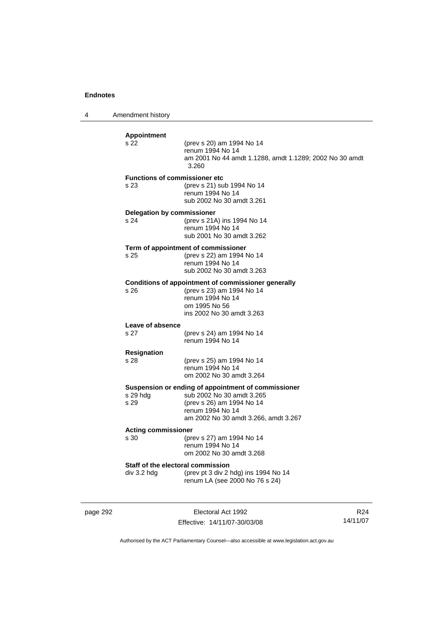4 Amendment history

| <b>Appointment</b><br>s 22                | (prev s 20) am 1994 No 14<br>renum 1994 No 14<br>am 2001 No 44 amdt 1.1288, amdt 1.1289; 2002 No 30 amdt<br>3.260                                                         |
|-------------------------------------------|---------------------------------------------------------------------------------------------------------------------------------------------------------------------------|
| s 23                                      | <b>Functions of commissioner etc</b><br>(prev s 21) sub 1994 No 14<br>renum 1994 No 14<br>sub 2002 No 30 amdt 3.261                                                       |
| <b>Delegation by commissioner</b><br>s 24 | (prev s 21A) ins 1994 No 14<br>renum 1994 No 14<br>sub 2001 No 30 amdt 3.262                                                                                              |
| s 25                                      | Term of appointment of commissioner<br>(prev s 22) am 1994 No 14<br>renum 1994 No 14<br>sub 2002 No 30 amdt 3.263                                                         |
| s 26                                      | Conditions of appointment of commissioner generally<br>(prev s 23) am 1994 No 14<br>renum 1994 No 14<br>om 1995 No 56<br>ins 2002 No 30 amdt 3.263                        |
| Leave of absence<br>s 27                  | (prev s 24) am 1994 No 14<br>renum 1994 No 14                                                                                                                             |
| <b>Resignation</b><br>s 28                | (prev s 25) am 1994 No 14<br>renum 1994 No 14<br>om 2002 No 30 amdt 3.264                                                                                                 |
| s 29 hdg<br>s 29                          | Suspension or ending of appointment of commissioner<br>sub 2002 No 30 amdt 3.265<br>(prev s 26) am 1994 No 14<br>renum 1994 No 14<br>am 2002 No 30 amdt 3.266, amdt 3.267 |
| <b>Acting commissioner</b><br>s 30        | (prev s 27) am 1994 No 14<br>renum 1994 No 14<br>om 2002 No 30 amdt 3.268                                                                                                 |
| div 3.2 hdg                               | Staff of the electoral commission<br>(prev pt 3 div 2 hdg) ins 1994 No 14<br>renum LA (see 2000 No 76 s 24)                                                               |

page 292 Electoral Act 1992 Effective: 14/11/07-30/03/08

R24 14/11/07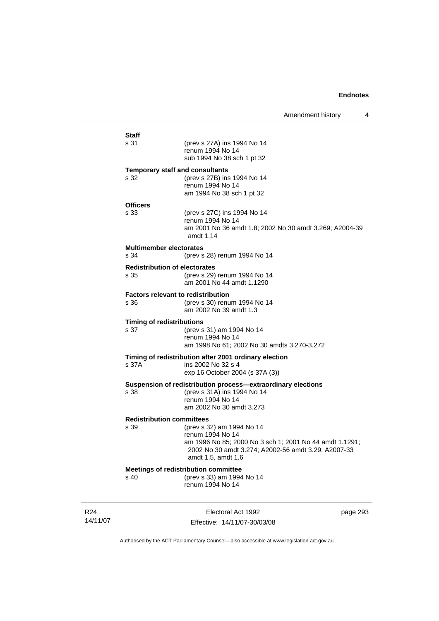| Staff<br>s 31                             | (prev s 27A) ins 1994 No 14<br>renum 1994 No 14                             |          |
|-------------------------------------------|-----------------------------------------------------------------------------|----------|
|                                           | sub 1994 No 38 sch 1 pt 32                                                  |          |
| <b>Temporary staff and consultants</b>    |                                                                             |          |
| s 32                                      | (prev s 27B) ins 1994 No 14<br>renum 1994 No 14                             |          |
|                                           | am 1994 No 38 sch 1 pt 32                                                   |          |
| <b>Officers</b>                           |                                                                             |          |
| s 33                                      | (prev s 27C) ins 1994 No 14                                                 |          |
|                                           | renum 1994 No 14                                                            |          |
|                                           | am 2001 No 36 amdt 1.8; 2002 No 30 amdt 3.269; A2004-39<br>amdt 1.14        |          |
| <b>Multimember electorates</b>            |                                                                             |          |
| s 34                                      | (prev s 28) renum 1994 No 14                                                |          |
| <b>Redistribution of electorates</b>      |                                                                             |          |
| s 35                                      | (prev s 29) renum 1994 No 14                                                |          |
|                                           | am 2001 No 44 amdt 1.1290                                                   |          |
| <b>Factors relevant to redistribution</b> |                                                                             |          |
| s 36                                      | (prev s 30) renum 1994 No 14<br>am 2002 No 39 amdt 1.3                      |          |
| <b>Timing of redistributions</b>          |                                                                             |          |
| s 37                                      | (prev s 31) am 1994 No 14                                                   |          |
|                                           | renum 1994 No 14<br>am 1998 No 61; 2002 No 30 amdts 3.270-3.272             |          |
|                                           |                                                                             |          |
| s 37A                                     | Timing of redistribution after 2001 ordinary election<br>ins 2002 No 32 s 4 |          |
|                                           | exp 16 October 2004 (s 37A (3))                                             |          |
|                                           | Suspension of redistribution process-extraordinary elections                |          |
| s 38                                      | (prev s 31A) ins 1994 No 14                                                 |          |
|                                           | renum 1994 No 14                                                            |          |
|                                           | am 2002 No 30 amdt 3.273                                                    |          |
| <b>Redistribution committees</b>          |                                                                             |          |
| s 39                                      | (prev s 32) am 1994 No 14                                                   |          |
|                                           | renum 1994 No 14<br>am 1996 No 85; 2000 No 3 sch 1; 2001 No 44 amdt 1.1291; |          |
|                                           | 2002 No 30 amdt 3.274; A2002-56 amdt 3.29; A2007-33                         |          |
|                                           | amdt 1.5, amdt 1.6                                                          |          |
|                                           | <b>Meetings of redistribution committee</b>                                 |          |
| s 40                                      | (prev s 33) am 1994 No 14                                                   |          |
|                                           | renum 1994 No 14                                                            |          |
|                                           |                                                                             |          |
|                                           | Electoral Act 1992                                                          | page 293 |
|                                           |                                                                             |          |

R24 14/11/07

Effective: 14/11/07-30/03/08

page 293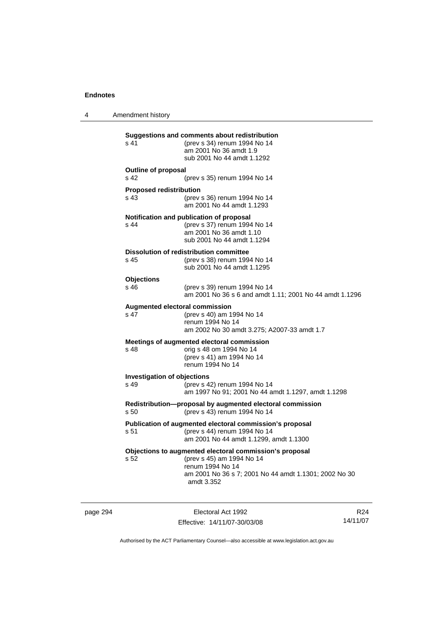4 Amendment history

**Suggestions and comments about redistribution**  s 41 (prev s 34) renum 1994 No 14 am 2001 No 36 amdt 1.9 sub 2001 No 44 amdt 1.1292 **Outline of proposal**  s 42 (prev s 35) renum 1994 No 14 **Proposed redistribution**  s 43 (prev s 36) renum 1994 No 14 am 2001 No 44 amdt 1.1293 **Notification and publication of proposal**  s 44 (prev s 37) renum 1994 No 14 am 2001 No 36 amdt 1.10 sub 2001 No 44 amdt 1.1294 **Dissolution of redistribution committee**  s 45 (prev s 38) renum 1994 No 14 sub 2001 No 44 amdt 1.1295 **Objections**  s 46 (prev s 39) renum 1994 No 14 am 2001 No 36 s 6 and amdt 1.11; 2001 No 44 amdt 1.1296 **Augmented electoral commission**  s 47 (prev s 40) am 1994 No 14 renum 1994 No 14 am 2002 No 30 amdt 3.275; A2007-33 amdt 1.7 **Meetings of augmented electoral commission**  s 48 orig s 48 om 1994 No 14 (prev s 41) am 1994 No 14 renum 1994 No 14 **Investigation of objections**  s 49 (prev s 42) renum 1994 No 14 am 1997 No 91; 2001 No 44 amdt 1.1297, amdt 1.1298 **Redistribution—proposal by augmented electoral commission**  s 50 (prev s 43) renum 1994 No 14 **Publication of augmented electoral commission's proposal**  s 51 (prev s 44) renum 1994 No 14 am 2001 No 44 amdt 1.1299, amdt 1.1300 **Objections to augmented electoral commission's proposal**  s 52 (prev s 45) am 1994 No 14 renum 1994 No 14 am 2001 No 36 s 7; 2001 No 44 amdt 1.1301; 2002 No 30 amdt 3.352

page 294 Electoral Act 1992 Effective: 14/11/07-30/03/08

R24 14/11/07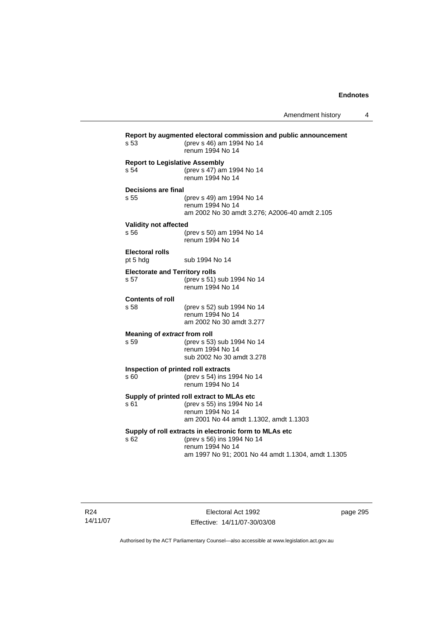| s 53                                          | Report by augmented electoral commission and public announcement<br>(prev s 46) am 1994 No 14<br>renum 1994 No 14                                              |
|-----------------------------------------------|----------------------------------------------------------------------------------------------------------------------------------------------------------------|
| <b>Report to Legislative Assembly</b><br>s 54 | (prev s 47) am 1994 No 14<br>renum 1994 No 14                                                                                                                  |
| Decisions are final<br>s 55                   | (prev s 49) am 1994 No 14<br>renum 1994 No 14<br>am 2002 No 30 amdt 3.276; A2006-40 amdt 2.105                                                                 |
| Validity not affected<br>s 56                 | (prev s 50) am 1994 No 14<br>renum 1994 No 14                                                                                                                  |
| <b>Electoral rolls</b><br>pt 5 hdg            | sub 1994 No 14                                                                                                                                                 |
| <b>Electorate and Territory rolls</b><br>s 57 | (prev s 51) sub 1994 No 14<br>renum 1994 No 14                                                                                                                 |
| <b>Contents of roll</b><br>s 58               | (prev s 52) sub 1994 No 14<br>renum 1994 No 14<br>am 2002 No 30 amdt 3.277                                                                                     |
| Meaning of extract from roll<br>s 59          | (prev s 53) sub 1994 No 14<br>renum 1994 No 14<br>sub 2002 No 30 amdt 3.278                                                                                    |
| Inspection of printed roll extracts<br>s 60   | (prev s 54) ins 1994 No 14<br>renum 1994 No 14                                                                                                                 |
| s 61                                          | Supply of printed roll extract to MLAs etc<br>(prev s 55) ins 1994 No 14<br>renum 1994 No 14<br>am 2001 No 44 amdt 1.1302, amdt 1.1303                         |
| s <sub>62</sub>                               | Supply of roll extracts in electronic form to MLAs etc<br>(prev s 56) ins 1994 No 14<br>renum 1994 No 14<br>am 1997 No 91; 2001 No 44 amdt 1.1304, amdt 1.1305 |
|                                               |                                                                                                                                                                |

R24 14/11/07

Electoral Act 1992 Effective: 14/11/07-30/03/08 page 295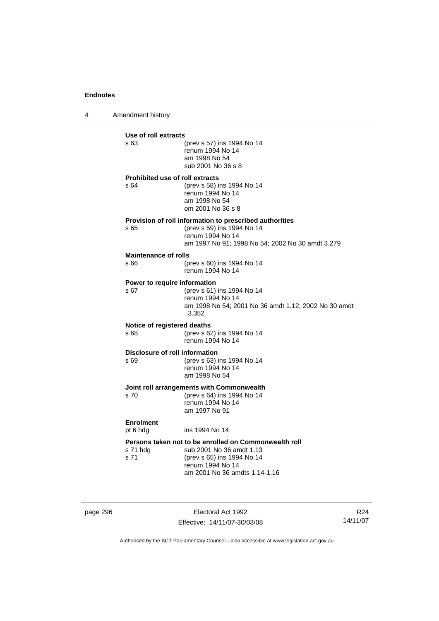4 Amendment history

| Use of roll extracts                   |                                                                                                                 |
|----------------------------------------|-----------------------------------------------------------------------------------------------------------------|
| s 63                                   | (prev s 57) ins 1994 No 14<br>renum 1994 No 14<br>am 1998 No 54<br>sub 2001 No 36 s 8                           |
| <b>Prohibited use of roll extracts</b> |                                                                                                                 |
| s 64                                   | (prev s 58) ins 1994 No 14<br>renum 1994 No 14<br>am 1998 No 54<br>om 2001 No 36 s 8                            |
|                                        | Provision of roll information to prescribed authorities                                                         |
| s 65                                   | (prev s 59) ins 1994 No 14<br>renum 1994 No 14<br>am 1997 No 91; 1998 No 54; 2002 No 30 amdt 3.279              |
| <b>Maintenance of rolls</b>            |                                                                                                                 |
| s 66                                   | (prev s 60) ins 1994 No 14<br>renum 1994 No 14                                                                  |
| Power to require information           |                                                                                                                 |
| s 67                                   | (prev s 61) ins 1994 No 14<br>renum 1994 No 14<br>am 1998 No 54; 2001 No 36 amdt 1.12; 2002 No 30 amdt<br>3.352 |
| Notice of registered deaths            |                                                                                                                 |
| \$68                                   | (prev s 62) ins 1994 No 14<br>renum 1994 No 14                                                                  |
| Disclosure of roll information         |                                                                                                                 |
| s 69                                   | (prev s 63) ins 1994 No 14<br>renum 1994 No 14<br>am 1998 No 54                                                 |
|                                        | Joint roll arrangements with Commonwealth                                                                       |
| s 70                                   | (prev s 64) ins 1994 No 14<br>renum 1994 No 14<br>am 1997 No 91                                                 |
| <b>Enrolment</b>                       |                                                                                                                 |
| pt 6 hdg                               | ins 1994 No 14                                                                                                  |
| s 71 hdg<br>s 71                       | Persons taken not to be enrolled on Commonwealth roll<br>sub 2001 No 36 amdt 1.13                               |
|                                        | (prev s 65) ins 1994 No 14                                                                                      |

page 296 Electoral Act 1992 Effective: 14/11/07-30/03/08

R24 14/11/07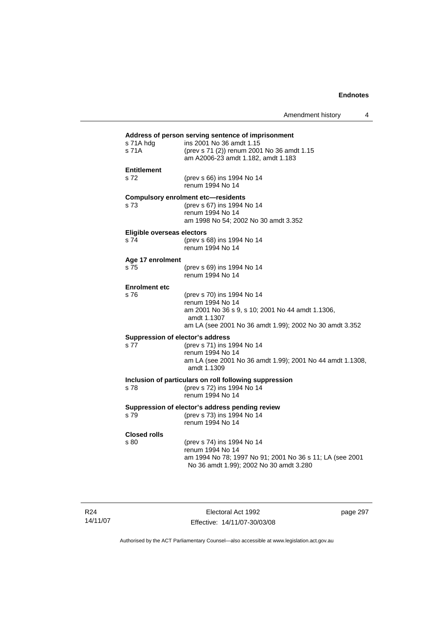| Address of person serving sentence of imprisonment<br>s 71A hdg | ins 2001 No 36 amdt 1.15                                                                            |
|-----------------------------------------------------------------|-----------------------------------------------------------------------------------------------------|
| s 71A                                                           | (prev s 71 (2)) renum 2001 No 36 amdt 1.15<br>am A2006-23 amdt 1.182, amdt 1.183                    |
| <b>Entitlement</b>                                              |                                                                                                     |
| s 72                                                            | (prev s 66) ins 1994 No 14<br>renum 1994 No 14                                                      |
|                                                                 | <b>Compulsory enrolment etc-residents</b>                                                           |
| s <sub>73</sub>                                                 | (prev s 67) ins 1994 No 14<br>renum 1994 No 14                                                      |
|                                                                 | am 1998 No 54; 2002 No 30 amdt 3.352                                                                |
| Eligible overseas electors                                      |                                                                                                     |
| s 74                                                            | (prev s 68) ins 1994 No 14                                                                          |
|                                                                 | renum 1994 No 14                                                                                    |
| Age 17 enrolment                                                |                                                                                                     |
| s 75                                                            | (prev s 69) ins 1994 No 14<br>renum 1994 No 14                                                      |
| <b>Enrolment etc</b>                                            |                                                                                                     |
| s76                                                             | (prev s 70) ins 1994 No 14                                                                          |
|                                                                 | renum 1994 No 14<br>am 2001 No 36 s 9, s 10; 2001 No 44 amdt 1.1306,                                |
|                                                                 | amdt 1.1307                                                                                         |
|                                                                 | am LA (see 2001 No 36 amdt 1.99); 2002 No 30 amdt 3.352                                             |
|                                                                 | Suppression of elector's address                                                                    |
| s 77                                                            | (prev s 71) ins 1994 No 14<br>renum 1994 No 14                                                      |
|                                                                 | am LA (see 2001 No 36 amdt 1.99); 2001 No 44 amdt 1.1308,                                           |
|                                                                 | amdt 1.1309                                                                                         |
|                                                                 | Inclusion of particulars on roll following suppression                                              |
| s 78                                                            | (prev s 72) ins 1994 No 14<br>renum 1994 No 14                                                      |
|                                                                 | Suppression of elector's address pending review                                                     |
| s 79                                                            | (prev s 73) ins 1994 No 14<br>renum 1994 No 14                                                      |
| <b>Closed rolls</b>                                             |                                                                                                     |
| s 80                                                            | (prev s 74) ins 1994 No 14                                                                          |
|                                                                 | renum 1994 No 14                                                                                    |
|                                                                 | am 1994 No 78; 1997 No 91; 2001 No 36 s 11; LA (see 2001<br>No 36 amdt 1.99); 2002 No 30 amdt 3.280 |

R24 14/11/07

Electoral Act 1992 Effective: 14/11/07-30/03/08 page 297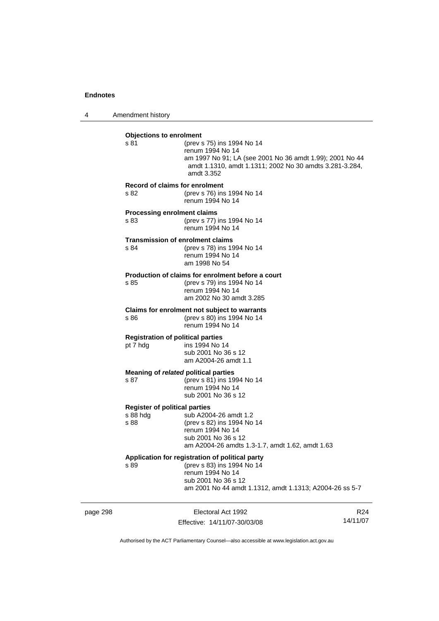4 Amendment history

| <b>Objections to enrolment</b><br>s 81                   | (prev s 75) ins 1994 No 14<br>renum 1994 No 14<br>am 1997 No 91; LA (see 2001 No 36 amdt 1.99); 2001 No 44<br>amdt 1.1310, amdt 1.1311; 2002 No 30 amdts 3.281-3.284,<br>amdt 3.352 |
|----------------------------------------------------------|-------------------------------------------------------------------------------------------------------------------------------------------------------------------------------------|
| <b>Record of claims for enrolment</b><br>s 82            | (prev s 76) ins 1994 No 14<br>renum 1994 No 14                                                                                                                                      |
| <b>Processing enrolment claims</b><br>s 83               | (prev s 77) ins 1994 No 14<br>renum 1994 No 14                                                                                                                                      |
| <b>Transmission of enrolment claims</b><br>s 84          | (prev s 78) ins 1994 No 14<br>renum 1994 No 14<br>am 1998 No 54                                                                                                                     |
| s 85                                                     | Production of claims for enrolment before a court<br>(prev s 79) ins 1994 No 14<br>renum 1994 No 14<br>am 2002 No 30 amdt 3.285                                                     |
| s 86                                                     | Claims for enrolment not subject to warrants<br>(prev s 80) ins 1994 No 14<br>renum 1994 No 14                                                                                      |
| <b>Registration of political parties</b><br>pt 7 hdg     | ins 1994 No 14<br>sub 2001 No 36 s 12<br>am A2004-26 amdt 1.1                                                                                                                       |
| Meaning of related political parties<br>s 87             | (prev s 81) ins 1994 No 14<br>renum 1994 No 14<br>sub 2001 No 36 s 12                                                                                                               |
| <b>Register of political parties</b><br>s 88 hdg<br>s 88 | sub A2004-26 amdt 1.2<br>(prev s 82) ins 1994 No 14<br>renum 1994 No 14<br>sub 2001 No 36 s 12<br>am A2004-26 amdts 1.3-1.7, amdt 1.62, amdt 1.63                                   |
| s 89                                                     | Application for registration of political party<br>(prev s 83) ins 1994 No 14<br>renum 1994 No 14<br>sub 2001 No 36 s 12<br>am 2001 No 44 amdt 1.1312, amdt 1.1313; A2004-26 ss 5-7 |

page 298 Electoral Act 1992 Effective: 14/11/07-30/03/08

R24 14/11/07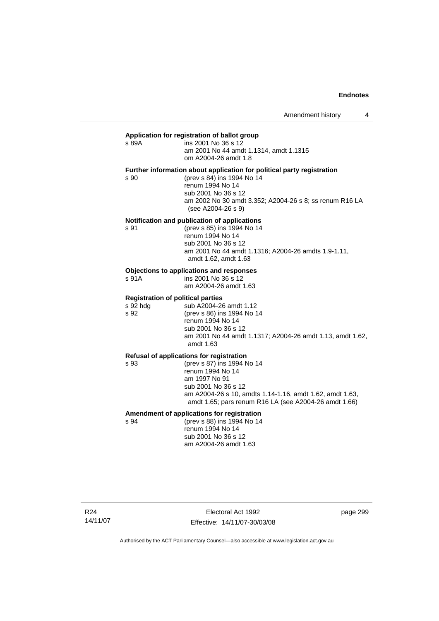#### **Application for registration of ballot group**   $s$  89 $A$

| s 89A | ins 2001 No 36 s 12                    |
|-------|----------------------------------------|
|       | am 2001 No 44 amdt 1.1314, amdt 1.1315 |
|       | om A2004-26 amdt 1.8                   |

### **Further information about application for political party registration**

s 90 (prev s 84) ins 1994 No 14 renum 1994 No 14 sub 2001 No 36 s 12 am 2002 No 30 amdt 3.352; A2004-26 s 8; ss renum R16 LA (see A2004-26 s 9)

#### **Notification and publication of applications**

s 91 (prev s 85) ins 1994 No 14 renum 1994 No 14 sub 2001 No 36 s 12 am 2001 No 44 amdt 1.1316; A2004-26 amdts 1.9-1.11, amdt 1.62, amdt 1.63

#### **Objections to applications and responses**

s 91A ins 2001 No 36 s 12

am A2004-26 amdt 1.63

#### **Registration of political parties**

| s 92 hdg | sub A2004-26 amdt 1.12                                                 |
|----------|------------------------------------------------------------------------|
| s 92     | (prev s 86) ins 1994 No 14                                             |
|          | renum 1994 No 14                                                       |
|          | sub 2001 No 36 s 12                                                    |
|          | am 2001 No 44 amdt 1.1317; A2004-26 amdt 1.13, amdt 1.62,<br>amdt 1.63 |
|          |                                                                        |

#### **Refusal of applications for registration**

s 93 (prev s 87) ins 1994 No 14 renum 1994 No 14 am 1997 No 91 sub 2001 No 36 s 12 am A2004-26 s 10, amdts 1.14-1.16, amdt 1.62, amdt 1.63, amdt 1.65; pars renum R16 LA (see A2004-26 amdt 1.66)

#### **Amendment of applications for registration**

s 94 (prev s 88) ins 1994 No 14 renum 1994 No 14 sub 2001 No 36 s 12 am A2004-26 amdt 1.63

R24 14/11/07

Electoral Act 1992 Effective: 14/11/07-30/03/08 page 299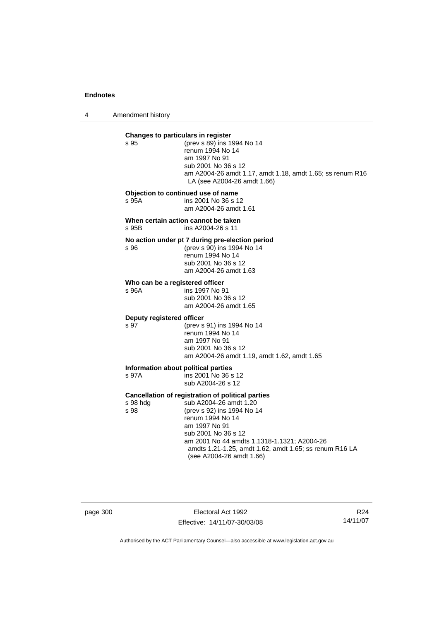4 Amendment history

| Changes to particulars in register           |                                                                                                                                                                                                                                                                                                            |  |
|----------------------------------------------|------------------------------------------------------------------------------------------------------------------------------------------------------------------------------------------------------------------------------------------------------------------------------------------------------------|--|
| s 95                                         | (prev s 89) ins 1994 No 14<br>renum 1994 No 14<br>am 1997 No 91<br>sub 2001 No 36 s 12<br>am A2004-26 amdt 1.17, amdt 1.18, amdt 1.65; ss renum R16<br>LA (see A2004-26 amdt 1.66)                                                                                                                         |  |
| s 95A                                        | Objection to continued use of name<br>ins 2001 No 36 s 12<br>am A2004-26 amdt 1.61                                                                                                                                                                                                                         |  |
| s 95B                                        | When certain action cannot be taken<br>ins A2004-26 s 11                                                                                                                                                                                                                                                   |  |
| s 96                                         | No action under pt 7 during pre-election period<br>(prev s 90) ins 1994 No 14<br>renum 1994 No 14<br>sub 2001 No 36 s 12<br>am A2004-26 amdt 1.63                                                                                                                                                          |  |
| Who can be a registered officer<br>s 96A     | ins 1997 No 91<br>sub 2001 No 36 s 12<br>am A2004-26 amdt 1.65                                                                                                                                                                                                                                             |  |
| Deputy registered officer<br>s 97            | (prev s 91) ins 1994 No 14<br>renum 1994 No 14<br>am 1997 No 91<br>sub 2001 No 36 s 12<br>am A2004-26 amdt 1.19, amdt 1.62, amdt 1.65                                                                                                                                                                      |  |
| Information about political parties<br>s 97A | ins 2001 No 36 s 12<br>sub A2004-26 s 12                                                                                                                                                                                                                                                                   |  |
| s 98 hdg<br>s 98                             | Cancellation of registration of political parties<br>sub A2004-26 amdt 1.20<br>(prev s 92) ins 1994 No 14<br>renum 1994 No 14<br>am 1997 No 91<br>sub 2001 No 36 s 12<br>am 2001 No 44 amdts 1.1318-1.1321; A2004-26<br>amdts 1.21-1.25, amdt 1.62, amdt 1.65; ss renum R16 LA<br>(see A2004-26 amdt 1.66) |  |

page 300 Electoral Act 1992 Effective: 14/11/07-30/03/08

R24 14/11/07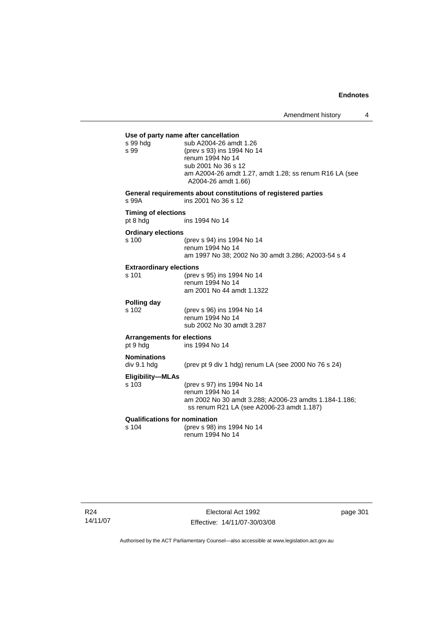| s 99 hdg<br>s 99                              | Use of party name after cancellation<br>sub A2004-26 amdt 1.26<br>(prev s 93) ins 1994 No 14<br>renum 1994 No 14<br>sub 2001 No 36 s 12<br>am A2004-26 amdt 1.27, amdt 1.28; ss renum R16 LA (see<br>A2004-26 amdt 1.66) |
|-----------------------------------------------|--------------------------------------------------------------------------------------------------------------------------------------------------------------------------------------------------------------------------|
| s 99A                                         | General requirements about constitutions of registered parties<br>ins 2001 No 36 s 12                                                                                                                                    |
| <b>Timing of elections</b><br>pt 8 hdg        | ins 1994 No 14                                                                                                                                                                                                           |
| <b>Ordinary elections</b><br>s 100            | (prev s 94) ins 1994 No 14<br>renum 1994 No 14<br>am 1997 No 38; 2002 No 30 amdt 3.286; A2003-54 s 4                                                                                                                     |
| <b>Extraordinary elections</b><br>s 101       | (prev s 95) ins 1994 No 14<br>renum 1994 No 14<br>am 2001 No 44 amdt 1.1322                                                                                                                                              |
| Polling day<br>s 102                          | (prev s 96) ins 1994 No 14<br>renum 1994 No 14<br>sub 2002 No 30 amdt 3.287                                                                                                                                              |
| <b>Arrangements for elections</b><br>pt 9 hdg | ins 1994 No 14                                                                                                                                                                                                           |
| <b>Nominations</b><br>div 9.1 hdg             | (prev pt 9 div 1 hdg) renum LA (see 2000 No 76 s 24)                                                                                                                                                                     |
| <b>Eligibility-MLAs</b><br>s 103              | (prev s 97) ins 1994 No 14<br>renum 1994 No 14<br>am 2002 No 30 amdt 3.288; A2006-23 amdts 1.184-1.186;<br>ss renum R21 LA (see A2006-23 amdt 1.187)                                                                     |
| <b>Qualifications for nomination</b><br>s 104 | (prev s 98) ins 1994 No 14<br>renum 1994 No 14                                                                                                                                                                           |

R24 14/11/07

Electoral Act 1992 Effective: 14/11/07-30/03/08 page 301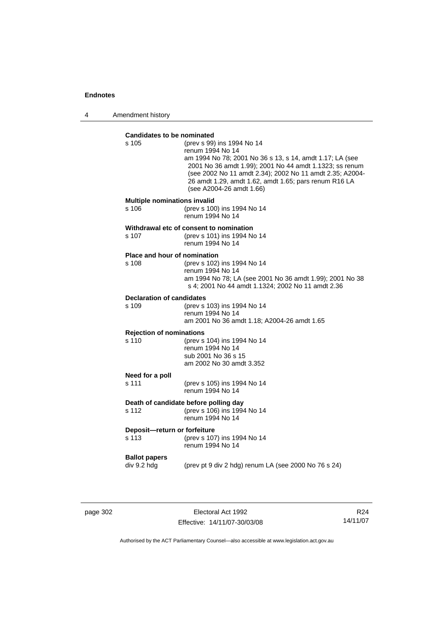4 Amendment history

# **Candidates to be nominated**

| Candidates to be nominated                   |                                                                                                                                                                                                                                                                                                                        |
|----------------------------------------------|------------------------------------------------------------------------------------------------------------------------------------------------------------------------------------------------------------------------------------------------------------------------------------------------------------------------|
| s 105                                        | (prev s 99) ins 1994 No 14<br>renum 1994 No 14<br>am 1994 No 78; 2001 No 36 s 13, s 14, amdt 1.17; LA (see<br>2001 No 36 amdt 1.99); 2001 No 44 amdt 1.1323; ss renum<br>(see 2002 No 11 amdt 2.34); 2002 No 11 amdt 2.35; A2004-<br>26 amdt 1.29, amdt 1.62, amdt 1.65; pars renum R16 LA<br>(see A2004-26 amdt 1.66) |
| <b>Multiple nominations invalid</b><br>s 106 | (prev s 100) ins 1994 No 14<br>renum 1994 No 14                                                                                                                                                                                                                                                                        |
| s 107                                        | Withdrawal etc of consent to nomination<br>(prev s 101) ins 1994 No 14<br>renum 1994 No 14                                                                                                                                                                                                                             |
| Place and hour of nomination<br>s 108        | (prev s 102) ins 1994 No 14<br>renum 1994 No 14<br>am 1994 No 78; LA (see 2001 No 36 amdt 1.99); 2001 No 38<br>s 4; 2001 No 44 amdt 1.1324; 2002 No 11 amdt 2.36                                                                                                                                                       |
| <b>Declaration of candidates</b><br>s 109    | (prev s 103) ins 1994 No 14<br>renum 1994 No 14<br>am 2001 No 36 amdt 1.18; A2004-26 amdt 1.65                                                                                                                                                                                                                         |
| <b>Rejection of nominations</b><br>$s$ 110   | (prev s 104) ins 1994 No 14<br>renum 1994 No 14<br>sub 2001 No 36 s 15<br>am 2002 No 30 amdt 3.352                                                                                                                                                                                                                     |
| Need for a poll<br>s 111                     | (prev s 105) ins 1994 No 14<br>renum 1994 No 14                                                                                                                                                                                                                                                                        |
| s 112                                        | Death of candidate before polling day<br>(prev s 106) ins 1994 No 14<br>renum 1994 No 14                                                                                                                                                                                                                               |
| Deposit-return or forfeiture<br>s 113        | (prev s 107) ins 1994 No 14<br>renum 1994 No 14                                                                                                                                                                                                                                                                        |
| <b>Ballot papers</b><br>div 9.2 hdg          | (prev pt 9 div 2 hdg) renum LA (see 2000 No 76 s 24)                                                                                                                                                                                                                                                                   |
|                                              |                                                                                                                                                                                                                                                                                                                        |

page 302 Electoral Act 1992 Effective: 14/11/07-30/03/08

R24 14/11/07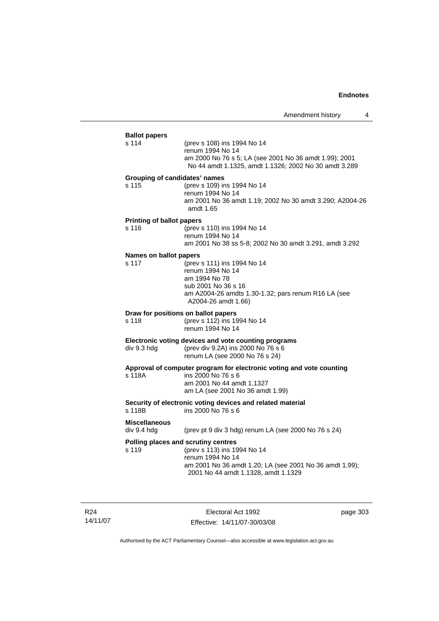| <b>Ballot papers</b><br>s 114             | (prev s 108) ins 1994 No 14<br>renum 1994 No 14<br>am 2000 No 76 s 5; LA (see 2001 No 36 amdt 1.99); 2001<br>No 44 amdt 1.1325, amdt 1.1326; 2002 No 30 amdt 3.289                       |
|-------------------------------------------|------------------------------------------------------------------------------------------------------------------------------------------------------------------------------------------|
| Grouping of candidates' names<br>s 115    | (prev s 109) ins 1994 No 14<br>renum 1994 No 14<br>am 2001 No 36 amdt 1.19; 2002 No 30 amdt 3.290; A2004-26<br>amdt 1.65                                                                 |
| <b>Printing of ballot papers</b><br>s 116 | (prev s 110) ins 1994 No 14<br>renum 1994 No 14<br>am 2001 No 38 ss 5-8; 2002 No 30 amdt 3.291, amdt 3.292                                                                               |
| Names on ballot papers<br>s 117           | (prev s 111) ins 1994 No 14<br>renum 1994 No 14<br>am 1994 No 78<br>sub 2001 No 36 s 16<br>am A2004-26 amdts 1.30-1.32; pars renum R16 LA (see<br>A2004-26 amdt 1.66)                    |
| s 118                                     | Draw for positions on ballot papers<br>(prev s 112) ins 1994 No 14<br>renum 1994 No 14                                                                                                   |
| div 9.3 hdg                               | Electronic voting devices and vote counting programs<br>(prev div 9.2A) ins 2000 No 76 s 6<br>renum LA (see 2000 No 76 s 24)                                                             |
| s 118A                                    | Approval of computer program for electronic voting and vote counting<br>ins 2000 No 76 s 6<br>am 2001 No 44 amdt 1.1327<br>am LA (see 2001 No 36 amdt 1.99)                              |
| s 118B                                    | Security of electronic voting devices and related material<br>ins 2000 No 76 s 6                                                                                                         |
| <b>Miscellaneous</b><br>div 9.4 hdg       | (prev pt 9 div 3 hdg) renum LA (see 2000 No 76 s 24)                                                                                                                                     |
| s 119                                     | Polling places and scrutiny centres<br>(prev s 113) ins 1994 No 14<br>renum 1994 No 14<br>am 2001 No 36 amdt 1.20; LA (see 2001 No 36 amdt 1.99);<br>2001 No 44 amdt 1.1328, amdt 1.1329 |

R24 14/11/07

Electoral Act 1992 Effective: 14/11/07-30/03/08 page 303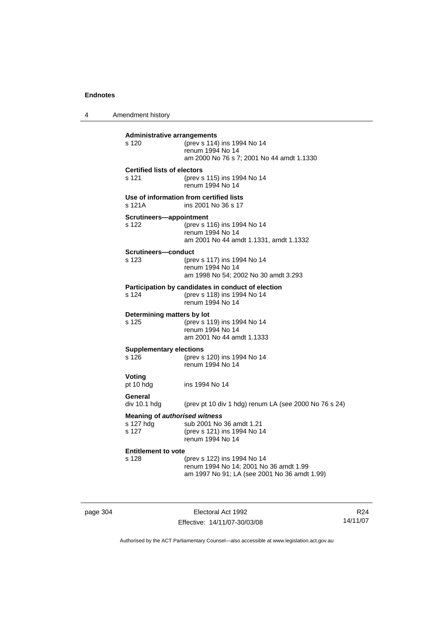4 Amendment history **Administrative arrangements** s 120 (prev s 114) ins 1994 No 14 renum 1994 No 14 am 2000 No 76 s 7; 2001 No 44 amdt 1.1330 **Certified lists of electors** s 121 (prev s 115) ins 1994 No 14 renum 1994 No 14 **Use of information from certified lists**<br>s 121A **ins 2001** No 36 s 17 ins 2001 No 36 s 17 **Scrutineers—appointment** s 122 (prev s 116) ins 1994 No 14 renum 1994 No 14 am 2001 No 44 amdt 1.1331, amdt 1.1332 **Scrutineers—conduct** s 123 (prev s 117) ins 1994 No 14 renum 1994 No 14 am 1998 No 54; 2002 No 30 amdt 3.293 **Participation by candidates in conduct of election**<br>s 124 (prev s 118) ins 1994 No 14 (prev s 118) ins 1994 No 14 renum 1994 No 14 **Determining matters by lot** s 125 (prev s 119) ins 1994 No 14 renum 1994 No 14 am 2001 No 44 amdt 1.1333 **Supplementary elections** s 126 (prev s 120) ins 1994 No 14 renum 1994 No 14 **Voting** pt 10 hdg ins 1994 No 14 **General**  div 10.1 hdg (prev pt 10 div 1 hdg) renum LA (see 2000 No 76 s 24) **Meaning of** *authorised witness* s 127 hdg sub 2001 No 36 amdt 1.21<br>s 127 (prev s 121) ins 1994 No 1 (prev s 121) ins 1994 No 14 renum 1994 No 14 **Entitlement to vote**  s 128 (prev s 122) ins 1994 No 14 renum 1994 No 14; 2001 No 36 amdt 1.99 am 1997 No 91; LA (see 2001 No 36 amdt 1.99)

page 304 Electoral Act 1992 Effective: 14/11/07-30/03/08

R24 14/11/07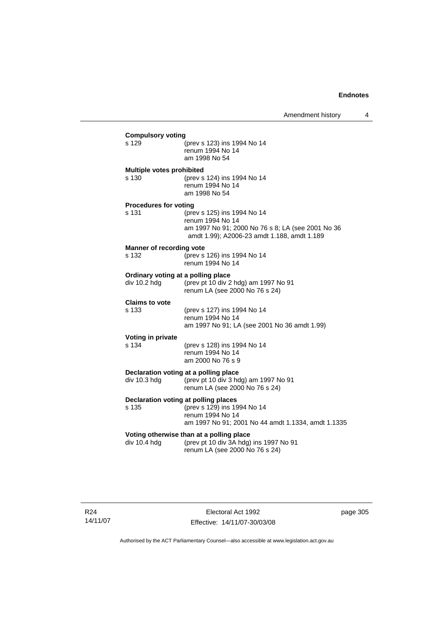| s 129                                    | (prev s 123) ins 1994 No 14<br>renum 1994 No 14<br>am 1998 No 54                                                                                    |
|------------------------------------------|-----------------------------------------------------------------------------------------------------------------------------------------------------|
| Multiple votes prohibited<br>s 130       | (prev s 124) ins 1994 No 14<br>renum 1994 No 14<br>am 1998 No 54                                                                                    |
| <b>Procedures for voting</b><br>s 131    | (prev s 125) ins 1994 No 14<br>renum 1994 No 14<br>am 1997 No 91; 2000 No 76 s 8; LA (see 2001 No 36<br>amdt 1.99); A2006-23 amdt 1.188, amdt 1.189 |
| <b>Manner of recording vote</b><br>s 132 | (prev s 126) ins 1994 No 14<br>renum 1994 No 14                                                                                                     |
| div 10.2 hdg                             | Ordinary voting at a polling place<br>(prev pt 10 div 2 hdg) am 1997 No 91<br>renum LA (see 2000 No 76 s 24)                                        |
| <b>Claims to vote</b><br>s 133           | (prev s 127) ins 1994 No 14<br>renum 1994 No 14<br>am 1997 No 91; LA (see 2001 No 36 amdt 1.99)                                                     |
| Voting in private<br>s 134               | (prev s 128) ins 1994 No 14<br>renum 1994 No 14<br>am 2000 No 76 s 9                                                                                |
| div 10.3 hdg                             | Declaration voting at a polling place<br>(prev pt 10 div 3 hdg) am 1997 No 91<br>renum LA (see 2000 No 76 s 24)                                     |
| s 135                                    | Declaration voting at polling places<br>(prev s 129) ins 1994 No 14<br>renum 1994 No 14<br>am 1997 No 91; 2001 No 44 amdt 1.1334, amdt 1.1335       |
| div 10.4 hda                             | Voting otherwise than at a polling place<br>(prev pt 10 div 3A hdg) ins 1997 No 91<br>renum LA (see 2000 No 76 s 24)                                |

page 305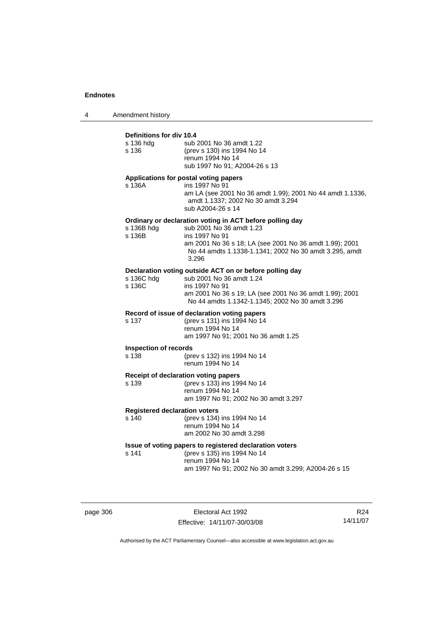4 Amendment history

# **Definitions for div 10.4**

| s 136 hdg<br>s 136                            | sub 2001 No 36 amdt 1.22<br>(prev s 130) ins 1994 No 14<br>renum 1994 No 14<br>sub 1997 No 91; A2004-26 s 13                                                                                                                         |
|-----------------------------------------------|--------------------------------------------------------------------------------------------------------------------------------------------------------------------------------------------------------------------------------------|
| s 136A                                        | Applications for postal voting papers<br>ins 1997 No 91<br>am LA (see 2001 No 36 amdt 1.99); 2001 No 44 amdt 1.1336,<br>amdt 1.1337; 2002 No 30 amdt 3.294<br>sub A2004-26 s 14                                                      |
| s 136B hdg<br>s 136B                          | Ordinary or declaration voting in ACT before polling day<br>sub 2001 No 36 amdt 1.23<br>ins 1997 No 91<br>am 2001 No 36 s 18; LA (see 2001 No 36 amdt 1.99); 2001<br>No 44 amdts 1.1338-1.1341; 2002 No 30 amdt 3.295, amdt<br>3.296 |
| s 136C hdg<br>s 136C                          | Declaration voting outside ACT on or before polling day<br>sub 2001 No 36 amdt 1.24<br>ins 1997 No 91<br>am 2001 No 36 s 19; LA (see 2001 No 36 amdt 1.99); 2001<br>No 44 amdts 1.1342-1.1345; 2002 No 30 amdt 3.296                 |
| s 137                                         | Record of issue of declaration voting papers<br>(prev s 131) ins 1994 No 14<br>renum 1994 No 14<br>am 1997 No 91; 2001 No 36 amdt 1.25                                                                                               |
| <b>Inspection of records</b><br>s 138         | (prev s 132) ins 1994 No 14<br>renum 1994 No 14                                                                                                                                                                                      |
| s 139                                         | Receipt of declaration voting papers<br>(prev s 133) ins 1994 No 14<br>renum 1994 No 14<br>am 1997 No 91; 2002 No 30 amdt 3.297                                                                                                      |
| <b>Registered declaration voters</b><br>s 140 | (prev s 134) ins 1994 No 14<br>renum 1994 No 14<br>am 2002 No 30 amdt 3.298                                                                                                                                                          |
| s 141                                         | Issue of voting papers to registered declaration voters<br>(prev s 135) ins 1994 No 14<br>renum 1994 No 14<br>am 1997 No 91; 2002 No 30 amdt 3.299; A2004-26 s 15                                                                    |

page 306 Electoral Act 1992 Effective: 14/11/07-30/03/08

R24 14/11/07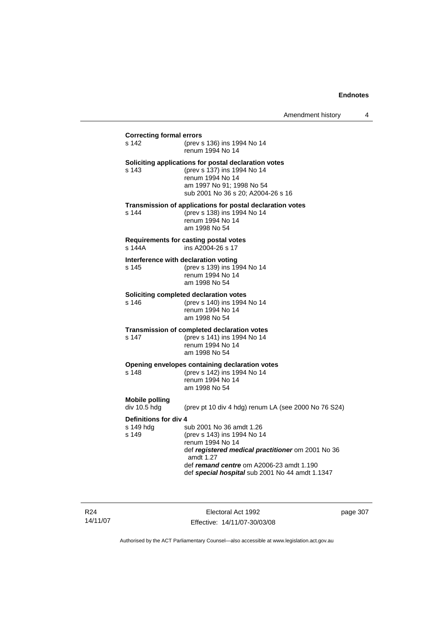## **Correcting formal errors** s 142 (prev s 136) ins 1994 No 14 renum 1994 No 14 **Soliciting applications for postal declaration votes** s 143 (prev s 137) ins 1994 No 14 renum 1994 No 14 am 1997 No 91; 1998 No 54 sub 2001 No 36 s 20; A2004-26 s 16 **Transmission of applications for postal declaration votes** s 144 (prev s 138) ins 1994 No 14 renum 1994 No 14 am 1998 No 54 **Requirements for casting postal votes**  s 144A ins A2004-26 s 17 **Interference with declaration voting** s 145 (prev s 139) ins 1994 No 14 renum 1994 No 14 am 1998 No 54 **Soliciting completed declaration votes**<br>s 146 (prev s 140) ins 1994 (prev s 140) ins 1994 No 14 renum 1994 No 14 am 1998 No 54 **Transmission of completed declaration votes** s 147 (prev s 141) ins 1994 No 14 renum 1994 No 14 am 1998 No 54 **Opening envelopes containing declaration votes** s 148 (prev s 142) ins 1994 No 14 renum 1994 No 14 am 1998 No 54 **Mobile polling**  (prev pt 10 div 4 hdg) renum LA (see 2000 No 76 S24) **Definitions for div 4**<br>s 149 hdq s sub 2001 No 36 amdt 1.26 s 149 (prev s 143) ins 1994 No 14 renum 1994 No 14 def *registered medical practitioner* om 2001 No 36 amdt 1.27 def *remand centre* om A2006-23 amdt 1.190 def *special hospital* sub 2001 No 44 amdt 1.1347

R24 14/11/07

Electoral Act 1992 Effective: 14/11/07-30/03/08 page 307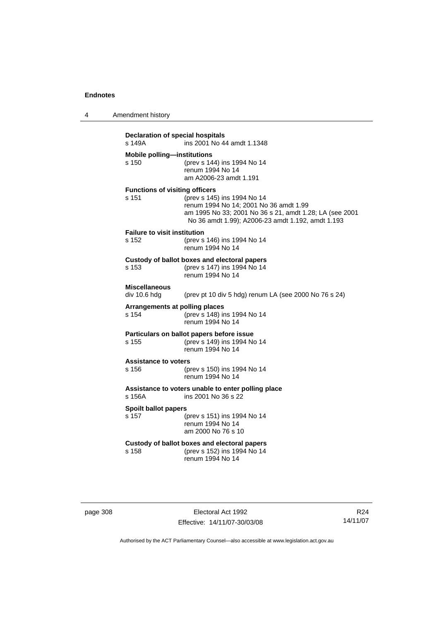| 4        | Amendment history                                                        |                                                                                                                                                                                       |  |  |
|----------|--------------------------------------------------------------------------|---------------------------------------------------------------------------------------------------------------------------------------------------------------------------------------|--|--|
|          | Declaration of special hospitals<br>ins 2001 No 44 amdt 1.1348<br>s 149A |                                                                                                                                                                                       |  |  |
|          | <b>Mobile polling-institutions</b><br>s 150                              | (prev s 144) ins 1994 No 14<br>renum 1994 No 14<br>am A2006-23 amdt 1.191                                                                                                             |  |  |
|          | <b>Functions of visiting officers</b><br>s 151                           | (prev s 145) ins 1994 No 14<br>renum 1994 No 14; 2001 No 36 amdt 1.99<br>am 1995 No 33; 2001 No 36 s 21, amdt 1.28; LA (see 2001<br>No 36 amdt 1.99); A2006-23 amdt 1.192, amdt 1.193 |  |  |
|          | <b>Failure to visit institution</b><br>s 152                             | (prev s 146) ins 1994 No 14<br>renum 1994 No 14                                                                                                                                       |  |  |
|          | s 153                                                                    | Custody of ballot boxes and electoral papers<br>(prev s 147) ins 1994 No 14<br>renum 1994 No 14                                                                                       |  |  |
|          | <b>Miscellaneous</b><br>div 10.6 hdg                                     | (prev pt 10 div 5 hdg) renum LA (see 2000 No 76 s 24)                                                                                                                                 |  |  |
|          | Arrangements at polling places<br>s 154                                  | (prev s 148) ins 1994 No 14<br>renum 1994 No 14                                                                                                                                       |  |  |
|          | s 155                                                                    | Particulars on ballot papers before issue<br>(prev s 149) ins 1994 No 14<br>renum 1994 No 14                                                                                          |  |  |
|          | <b>Assistance to voters</b><br>s 156                                     | (prev s 150) ins 1994 No 14<br>renum 1994 No 14                                                                                                                                       |  |  |
|          | s 156A                                                                   | Assistance to voters unable to enter polling place<br>ins 2001 No 36 s 22                                                                                                             |  |  |
|          | <b>Spoilt ballot papers</b><br>s 157                                     | (prev s 151) ins 1994 No 14<br>renum 1994 No 14<br>am 2000 No 76 s 10                                                                                                                 |  |  |
|          | s 158                                                                    | Custody of ballot boxes and electoral papers<br>(prev s 152) ins 1994 No 14<br>renum 1994 No 14                                                                                       |  |  |
|          |                                                                          |                                                                                                                                                                                       |  |  |
| page 308 |                                                                          | Electoral Act 1992                                                                                                                                                                    |  |  |

Effective: 14/11/07-30/03/08

R24 14/11/07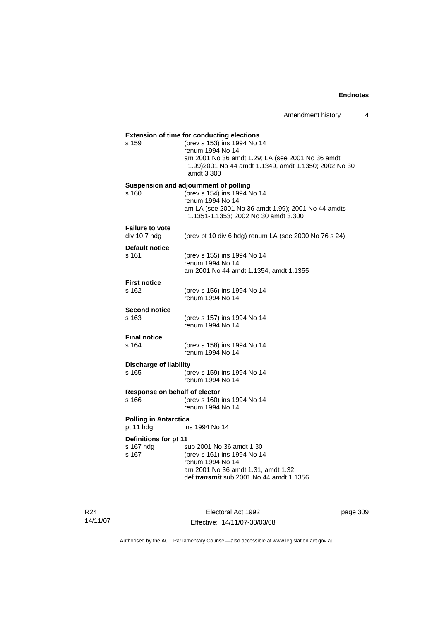| s 159                         | (prev s 153) ins 1994 No 14<br>renum 1994 No 14<br>am 2001 No 36 amdt 1.29; LA (see 2001 No 36 amdt |
|-------------------------------|-----------------------------------------------------------------------------------------------------|
|                               | 1.99) 2001 No 44 amdt 1.1349, amdt 1.1350; 2002 No 30<br>amdt 3.300                                 |
|                               | Suspension and adjournment of polling                                                               |
| s 160                         | (prev s 154) ins 1994 No 14<br>renum 1994 No 14                                                     |
|                               | am LA (see 2001 No 36 amdt 1.99); 2001 No 44 amdts<br>1.1351-1.1353; 2002 No 30 amdt 3.300          |
| <b>Failure to vote</b>        |                                                                                                     |
| div 10.7 hdg                  | (prev pt 10 div 6 hdg) renum LA (see 2000 No 76 s 24)                                               |
| <b>Default notice</b>         |                                                                                                     |
| s 161                         | (prev s 155) ins 1994 No 14<br>renum 1994 No 14                                                     |
|                               | am 2001 No 44 amdt 1.1354, amdt 1.1355                                                              |
| <b>First notice</b>           |                                                                                                     |
| s 162                         | (prev s 156) ins 1994 No 14                                                                         |
|                               | renum 1994 No 14                                                                                    |
| <b>Second notice</b><br>s 163 | (prev s 157) ins 1994 No 14                                                                         |
|                               | renum 1994 No 14                                                                                    |
| <b>Final notice</b>           |                                                                                                     |
| s 164                         | (prev s 158) ins 1994 No 14                                                                         |
|                               | renum 1994 No 14                                                                                    |
| <b>Discharge of liability</b> |                                                                                                     |
| s 165                         | (prev s 159) ins 1994 No 14<br>renum 1994 No 14                                                     |
| Response on behalf of elector |                                                                                                     |
| s 166                         | (prev s 160) ins 1994 No 14<br>renum 1994 No 14                                                     |
| <b>Polling in Antarctica</b>  |                                                                                                     |
| pt 11 hdg                     | ins 1994 No 14                                                                                      |
| Definitions for pt 11         |                                                                                                     |
| s 167 hdg<br>s 167            | sub 2001 No 36 amdt 1.30<br>(prev s 161) ins 1994 No 14                                             |
|                               | renum 1994 No 14                                                                                    |
|                               | am 2001 No 36 amdt 1.31, amdt 1.32                                                                  |
|                               | def <i>transmit</i> sub 2001 No 44 amdt 1.1356                                                      |
|                               |                                                                                                     |

R24 14/11/07

Electoral Act 1992 Effective: 14/11/07-30/03/08 page 309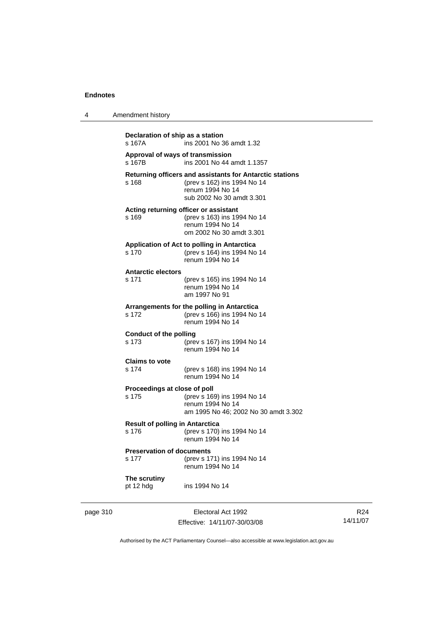4 Amendment history

| s 167A                                          | ins 2001 No 36 amdt 1.32                                                                                                                 |
|-------------------------------------------------|------------------------------------------------------------------------------------------------------------------------------------------|
| s 167B                                          | Approval of ways of transmission<br>ins 2001 No 44 amdt 1.1357                                                                           |
| s 168                                           | Returning officers and assistants for Antarctic stations<br>(prev s 162) ins 1994 No 14<br>renum 1994 No 14<br>sub 2002 No 30 amdt 3.301 |
| s 169                                           | Acting returning officer or assistant<br>(prev s 163) ins 1994 No 14<br>renum 1994 No 14<br>om 2002 No 30 amdt 3.301                     |
| s 170                                           | Application of Act to polling in Antarctica<br>(prev s 164) ins 1994 No 14<br>renum 1994 No 14                                           |
| <b>Antarctic electors</b><br>s 171              | (prev s 165) ins 1994 No 14<br>renum 1994 No 14<br>am 1997 No 91                                                                         |
| s 172                                           | Arrangements for the polling in Antarctica<br>(prev s 166) ins 1994 No 14<br>renum 1994 No 14                                            |
| <b>Conduct of the polling</b><br>s 173          | (prev s 167) ins 1994 No 14<br>renum 1994 No 14                                                                                          |
| <b>Claims to vote</b><br>s 174                  | (prev s 168) ins 1994 No 14<br>renum 1994 No 14                                                                                          |
| Proceedings at close of poll<br>s 175           | (prev s 169) ins 1994 No 14<br>renum 1994 No 14<br>am 1995 No 46; 2002 No 30 amdt 3.302                                                  |
| <b>Result of polling in Antarctica</b><br>s 176 | (prev s 170) ins 1994 No 14<br>renum 1994 No 14                                                                                          |
| <b>Preservation of documents</b><br>s 177       | (prev s 171) ins 1994 No 14<br>renum 1994 No 14                                                                                          |
| The scrutiny<br>pt 12 hdg                       | ins 1994 No 14                                                                                                                           |

page 310 **Electoral Act 1992** Effective: 14/11/07-30/03/08

R24 14/11/07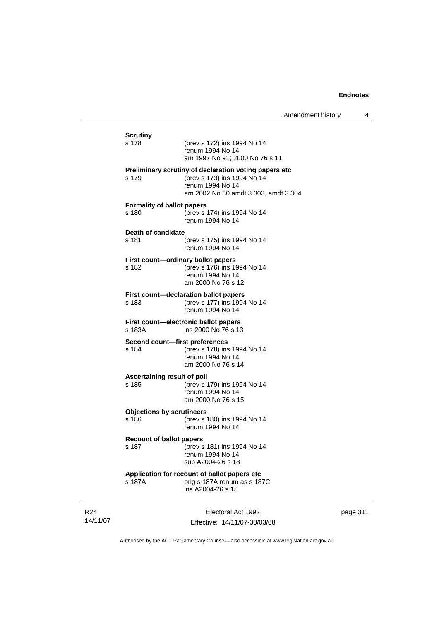| <b>Scrutiny</b><br>s 178                   | (prev s 172) ins 1994 No 14<br>renum 1994 No 14<br>am 1997 No 91; 2000 No 76 s 11                                                                |
|--------------------------------------------|--------------------------------------------------------------------------------------------------------------------------------------------------|
| s 179                                      | Preliminary scrutiny of declaration voting papers etc<br>(prev s 173) ins 1994 No 14<br>renum 1994 No 14<br>am 2002 No 30 amdt 3.303, amdt 3.304 |
| <b>Formality of ballot papers</b><br>s 180 | (prev s 174) ins 1994 No 14<br>renum 1994 No 14                                                                                                  |
| Death of candidate<br>s 181                | (prev s 175) ins 1994 No 14<br>renum 1994 No 14                                                                                                  |
| s 182                                      | First count-ordinary ballot papers<br>(prev s 176) ins 1994 No 14<br>renum 1994 No 14<br>am 2000 No 76 s 12                                      |
| s 183                                      | First count-declaration ballot papers<br>(prev s 177) ins 1994 No 14<br>renum 1994 No 14                                                         |
| s 183A                                     | First count-electronic ballot papers<br>ins 2000 No 76 s 13                                                                                      |
| s 184                                      | Second count-first preferences<br>(prev s 178) ins 1994 No 14<br>renum 1994 No 14<br>am 2000 No 76 s 14                                          |
| Ascertaining result of poll<br>s 185       | (prev s 179) ins 1994 No 14<br>renum 1994 No 14<br>am 2000 No 76 s 15                                                                            |
| <b>Objections by scrutineers</b><br>s 186  | (prev s 180) ins 1994 No 14<br>renum 1994 No 14                                                                                                  |
| <b>Recount of ballot papers</b><br>s 187   | (prev s 181) ins 1994 No 14<br>renum 1994 No 14<br>sub A2004-26 s 18                                                                             |
| s 187A                                     | Application for recount of ballot papers etc<br>orig s 187A renum as s 187C<br>ins A2004-26 s 18                                                 |

R24 14/11/07

Electoral Act 1992 Effective: 14/11/07-30/03/08 page 311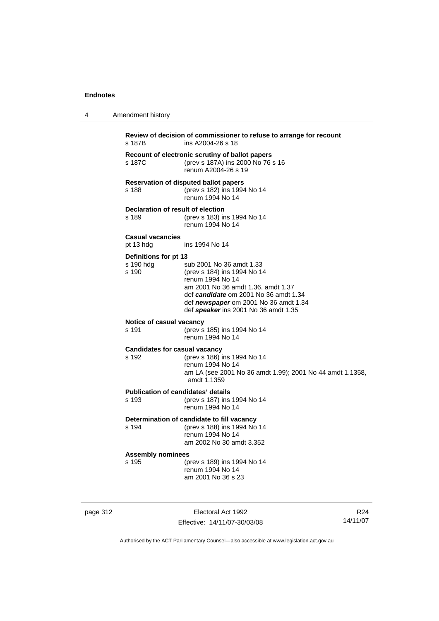4 Amendment history

| s 187B                                        | ins A2004-26 s 18                                                                                                                                                                                                                           |
|-----------------------------------------------|---------------------------------------------------------------------------------------------------------------------------------------------------------------------------------------------------------------------------------------------|
| s 187C                                        | Recount of electronic scrutiny of ballot papers<br>(prev s 187A) ins 2000 No 76 s 16<br>renum A2004-26 s 19                                                                                                                                 |
| s 188                                         | <b>Reservation of disputed ballot papers</b><br>(prev s 182) ins 1994 No 14<br>renum 1994 No 14                                                                                                                                             |
| Declaration of result of election<br>s 189    | (prev s 183) ins 1994 No 14<br>renum 1994 No 14                                                                                                                                                                                             |
| <b>Casual vacancies</b><br>pt 13 hdg          | ins 1994 No 14                                                                                                                                                                                                                              |
| Definitions for pt 13<br>s 190 hdg<br>s.190   | sub 2001 No 36 amdt 1.33<br>(prev s 184) ins 1994 No 14<br>renum 1994 No 14<br>am 2001 No 36 amdt 1.36, amdt 1.37<br>def candidate om 2001 No 36 amdt 1.34<br>def newspaper om 2001 No 36 amdt 1.34<br>def speaker ins 2001 No 36 amdt 1.35 |
| Notice of casual vacancy<br>s 191             | (prev s 185) ins 1994 No 14<br>renum 1994 No 14                                                                                                                                                                                             |
| <b>Candidates for casual vacancy</b><br>s 192 | (prev s 186) ins 1994 No 14<br>renum 1994 No 14<br>am LA (see 2001 No 36 amdt 1.99); 2001 No 44 amdt 1.1358,<br>amdt 1.1359                                                                                                                 |
| s 193                                         | <b>Publication of candidates' details</b><br>(prev s 187) ins 1994 No 14<br>renum 1994 No 14                                                                                                                                                |
| s 194                                         | Determination of candidate to fill vacancy<br>(prev s 188) ins 1994 No 14<br>renum 1994 No 14<br>am 2002 No 30 amdt 3.352                                                                                                                   |
| <b>Assembly nominees</b><br>s 195             | (prev s 189) ins 1994 No 14<br>renum 1994 No 14<br>am 2001 No 36 s 23                                                                                                                                                                       |

page 312 **Electoral Act 1992** Effective: 14/11/07-30/03/08

R24 14/11/07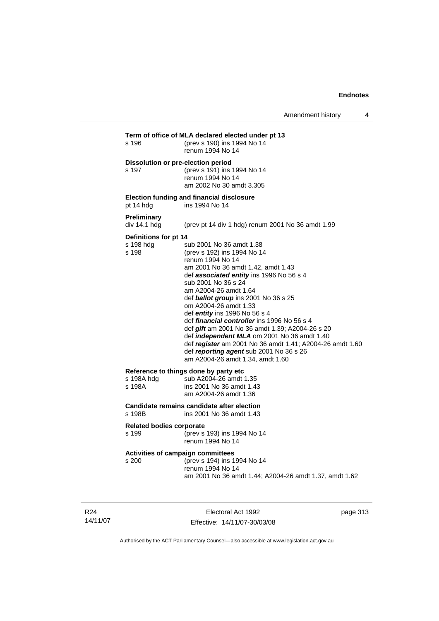| s 196                                       | (prev s 190) ins 1994 No 14<br>renum 1994 No 14                                                                                                                                                                                                                                                                                                                                                                                                                                                                                                                                                                                  |
|---------------------------------------------|----------------------------------------------------------------------------------------------------------------------------------------------------------------------------------------------------------------------------------------------------------------------------------------------------------------------------------------------------------------------------------------------------------------------------------------------------------------------------------------------------------------------------------------------------------------------------------------------------------------------------------|
| s 197                                       | Dissolution or pre-election period<br>(prev s 191) ins 1994 No 14<br>renum 1994 No 14<br>am 2002 No 30 amdt 3.305                                                                                                                                                                                                                                                                                                                                                                                                                                                                                                                |
| pt 14 hdg                                   | <b>Election funding and financial disclosure</b><br>ins 1994 No 14                                                                                                                                                                                                                                                                                                                                                                                                                                                                                                                                                               |
| <b>Preliminary</b><br>div 14.1 hdg          | (prev pt 14 div 1 hdg) renum 2001 No 36 amdt 1.99                                                                                                                                                                                                                                                                                                                                                                                                                                                                                                                                                                                |
| Definitions for pt 14<br>s 198 hdg<br>s 198 | sub 2001 No 36 amdt 1.38<br>(prev s 192) ins 1994 No 14<br>renum 1994 No 14<br>am 2001 No 36 amdt 1.42, amdt 1.43<br>def associated entity ins 1996 No 56 s 4<br>sub 2001 No 36 s 24<br>am A2004-26 amdt 1.64<br>def <b>ballot group</b> ins 2001 No 36 s 25<br>om A2004-26 amdt 1.33<br>def <i>entity</i> ins 1996 No 56 s 4<br>def <i>financial controller</i> ins 1996 No 56 s 4<br>def gift am 2001 No 36 amdt 1.39; A2004-26 s 20<br>def independent MLA om 2001 No 36 amdt 1.40<br>def register am 2001 No 36 amdt 1.41; A2004-26 amdt 1.60<br>def reporting agent sub 2001 No 36 s 26<br>am A2004-26 amdt 1.34, amdt 1.60 |
| s 198A hdg<br>s 198A                        | Reference to things done by party etc<br>sub A2004-26 amdt 1.35<br>ins 2001 No 36 amdt 1.43<br>am A2004-26 amdt 1.36                                                                                                                                                                                                                                                                                                                                                                                                                                                                                                             |
| s 198B                                      | Candidate remains candidate after election<br>ins 2001 No 36 amdt 1.43                                                                                                                                                                                                                                                                                                                                                                                                                                                                                                                                                           |
| <b>Related bodies corporate</b><br>s 199    | (prev s 193) ins 1994 No 14<br>renum 1994 No 14                                                                                                                                                                                                                                                                                                                                                                                                                                                                                                                                                                                  |
| s 200                                       | Activities of campaign committees<br>(prev s 194) ins 1994 No 14<br>renum 1994 No 14<br>am 2001 No 36 amdt 1.44; A2004-26 amdt 1.37, amdt 1.62                                                                                                                                                                                                                                                                                                                                                                                                                                                                                   |

R24 14/11/07

Electoral Act 1992 Effective: 14/11/07-30/03/08 page 313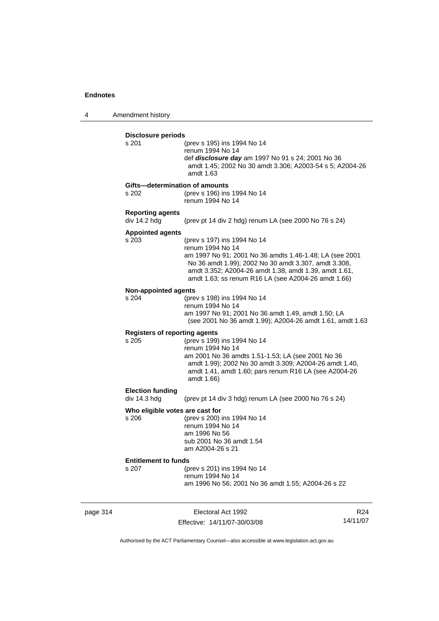4 Amendment history

| <b>Disclosure periods</b><br>s 201   | (prev s 195) ins 1994 No 14                                                                                   |
|--------------------------------------|---------------------------------------------------------------------------------------------------------------|
|                                      | renum 1994 No 14                                                                                              |
|                                      | def <i>disclosure day</i> am 1997 No 91 s 24; 2001 No 36                                                      |
|                                      | amdt 1.45; 2002 No 30 amdt 3.306; A2003-54 s 5; A2004-26                                                      |
|                                      | amdt 1.63                                                                                                     |
|                                      | Gifts-determination of amounts                                                                                |
| s 202                                | (prev s 196) ins 1994 No 14                                                                                   |
|                                      | renum 1994 No 14                                                                                              |
| <b>Reporting agents</b>              |                                                                                                               |
| div 14.2 hdg                         | (prev pt 14 div 2 hdg) renum LA (see 2000 No 76 s 24)                                                         |
| <b>Appointed agents</b>              |                                                                                                               |
| s 203                                | (prev s 197) ins 1994 No 14                                                                                   |
|                                      | renum 1994 No 14                                                                                              |
|                                      | am 1997 No 91; 2001 No 36 amdts 1.46-1.48; LA (see 2001                                                       |
|                                      | No 36 amdt 1.99); 2002 No 30 amdt 3.307, amdt 3.308,<br>amdt 3.352; A2004-26 amdt 1.38, amdt 1.39, amdt 1.61, |
|                                      | amdt 1.63; ss renum R16 LA (see A2004-26 amdt 1.66)                                                           |
|                                      |                                                                                                               |
| <b>Non-appointed agents</b><br>s 204 | (prev s 198) ins 1994 No 14                                                                                   |
|                                      | renum 1994 No 14                                                                                              |
|                                      | am 1997 No 91; 2001 No 36 amdt 1.49, amdt 1.50; LA                                                            |
|                                      | (see 2001 No 36 amdt 1.99); A2004-26 amdt 1.61, amdt 1.63                                                     |
|                                      | <b>Registers of reporting agents</b>                                                                          |
| s 205                                | (prev s 199) ins 1994 No 14                                                                                   |
|                                      | renum 1994 No 14                                                                                              |
|                                      | am 2001 No 36 amdts 1.51-1.53; LA (see 2001 No 36                                                             |
|                                      | amdt 1.99); 2002 No 30 amdt 3.309; A2004-26 amdt 1.40,                                                        |
|                                      | amdt 1.41, amdt 1.60; pars renum R16 LA (see A2004-26                                                         |
|                                      | amdt 1.66)                                                                                                    |
| <b>Election funding</b>              |                                                                                                               |
| div 14.3 hdg                         | (prev pt 14 div 3 hdg) renum LA (see 2000 No 76 s 24)                                                         |
|                                      | Who eligible votes are cast for                                                                               |
| s 206                                | (prev s 200) ins 1994 No 14                                                                                   |
|                                      | renum 1994 No 14                                                                                              |
|                                      | am 1996 No 56                                                                                                 |
|                                      | sub 2001 No 36 amdt 1.54<br>am A2004-26 s 21                                                                  |
|                                      |                                                                                                               |
| <b>Entitlement to funds</b><br>s 207 | (prev s 201) ins 1994 No 14                                                                                   |
|                                      | renum 1994 No 14                                                                                              |
|                                      | am 1996 No 56; 2001 No 36 amdt 1.55; A2004-26 s 22                                                            |

page 314 Electoral Act 1992 Effective: 14/11/07-30/03/08

R24 14/11/07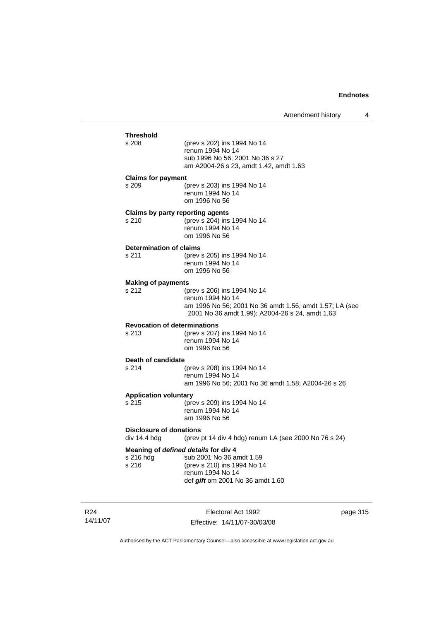| <b>Threshold</b>                               |                                                                                                            |  |
|------------------------------------------------|------------------------------------------------------------------------------------------------------------|--|
| s 208                                          | (prev s 202) ins 1994 No 14<br>renum 1994 No 14<br>sub 1996 No 56; 2001 No 36 s 27                         |  |
|                                                | am A2004-26 s 23, amdt 1.42, amdt 1.63                                                                     |  |
| <b>Claims for payment</b><br>s 209             | (prev s 203) ins 1994 No 14                                                                                |  |
|                                                | renum 1994 No 14<br>om 1996 No 56                                                                          |  |
| Claims by party reporting agents               |                                                                                                            |  |
| s 210                                          | (prev s 204) ins 1994 No 14<br>renum 1994 No 14<br>om 1996 No 56                                           |  |
| <b>Determination of claims</b>                 |                                                                                                            |  |
| s 211                                          | (prev s 205) ins 1994 No 14                                                                                |  |
|                                                | renum 1994 No 14<br>om 1996 No 56                                                                          |  |
| <b>Making of payments</b>                      |                                                                                                            |  |
| s 212                                          | (prev s 206) ins 1994 No 14<br>renum 1994 No 14                                                            |  |
|                                                | am 1996 No 56; 2001 No 36 amdt 1.56, amdt 1.57; LA (see<br>2001 No 36 amdt 1.99); A2004-26 s 24, amdt 1.63 |  |
| <b>Revocation of determinations</b>            |                                                                                                            |  |
| s.213                                          | (prev s 207) ins 1994 No 14                                                                                |  |
|                                                | renum 1994 No 14<br>om 1996 No 56                                                                          |  |
| Death of candidate                             |                                                                                                            |  |
| s 214                                          | (prev s 208) ins 1994 No 14<br>renum 1994 No 14                                                            |  |
|                                                | am 1996 No 56; 2001 No 36 amdt 1.58; A2004-26 s 26                                                         |  |
| <b>Application voluntary</b><br>s.215          | (prev s 209) ins 1994 No 14                                                                                |  |
|                                                | renum 1994 No 14<br>am 1996 No 56                                                                          |  |
| <b>Disclosure of donations</b><br>div 14.4 hdg | (prev pt 14 div 4 hdg) renum LA (see 2000 No 76 s 24)                                                      |  |
| Meaning of defined details for div 4           |                                                                                                            |  |
| s 216 hdg                                      | sub 2001 No 36 amdt 1.59                                                                                   |  |
| s 216                                          | (prev s 210) ins 1994 No 14                                                                                |  |
|                                                | renum 1994 No 14<br>def <i>gift</i> om 2001 No 36 amdt 1.60                                                |  |
|                                                |                                                                                                            |  |

R24 14/11/07

Electoral Act 1992 Effective: 14/11/07-30/03/08 page 315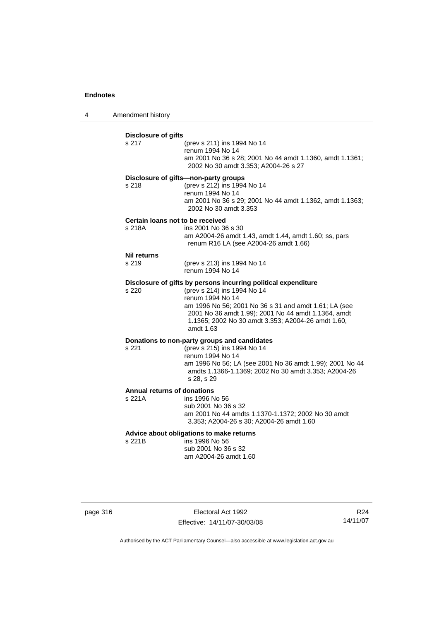4 Amendment history

|                                              | (prev s 211) ins 1994 No 14<br>renum 1994 No 14<br>am 2001 No 36 s 28; 2001 No 44 amdt 1.1360, amdt 1.1361;<br>2002 No 30 amdt 3.353; A2004-26 s 27                                                                                                                                                  |
|----------------------------------------------|------------------------------------------------------------------------------------------------------------------------------------------------------------------------------------------------------------------------------------------------------------------------------------------------------|
| s 218                                        | Disclosure of gifts-non-party groups<br>(prev s 212) ins 1994 No 14<br>renum 1994 No 14<br>am 2001 No 36 s 29; 2001 No 44 amdt 1.1362, amdt 1.1363;<br>2002 No 30 amdt 3.353                                                                                                                         |
| s 218A                                       | Certain loans not to be received<br>ins 2001 No 36 s 30<br>am A2004-26 amdt 1.43, amdt 1.44, amdt 1.60; ss, pars<br>renum R16 LA (see A2004-26 amdt 1.66)                                                                                                                                            |
| <b>Nil returns</b><br>s 219                  | (prev s 213) ins 1994 No 14<br>renum 1994 No 14                                                                                                                                                                                                                                                      |
| s 220                                        | Disclosure of gifts by persons incurring political expenditure<br>(prev s 214) ins 1994 No 14<br>renum 1994 No 14<br>am 1996 No 56; 2001 No 36 s 31 and amdt 1.61; LA (see<br>2001 No 36 amdt 1.99); 2001 No 44 amdt 1.1364, amdt<br>1.1365; 2002 No 30 amdt 3.353; A2004-26 amdt 1.60,<br>amdt 1.63 |
| s 221                                        | Donations to non-party groups and candidates<br>(prev s 215) ins 1994 No 14<br>renum 1994 No 14<br>am 1996 No 56; LA (see 2001 No 36 amdt 1.99); 2001 No 44<br>amdts 1.1366-1.1369; 2002 No 30 amdt 3.353; A2004-26<br>s 28, s 29                                                                    |
| <b>Annual returns of donations</b><br>s 221A | ins 1996 No 56<br>sub 2001 No 36 s 32<br>am 2001 No 44 amdts 1.1370-1.1372; 2002 No 30 amdt<br>3.353; A2004-26 s 30; A2004-26 amdt 1.60                                                                                                                                                              |
| s 221B                                       | Advice about obligations to make returns<br>ins 1996 No 56<br>sub 2001 No 36 s 32<br>am A2004-26 amdt 1.60                                                                                                                                                                                           |

page 316 **Electoral Act 1992** Effective: 14/11/07-30/03/08

R24 14/11/07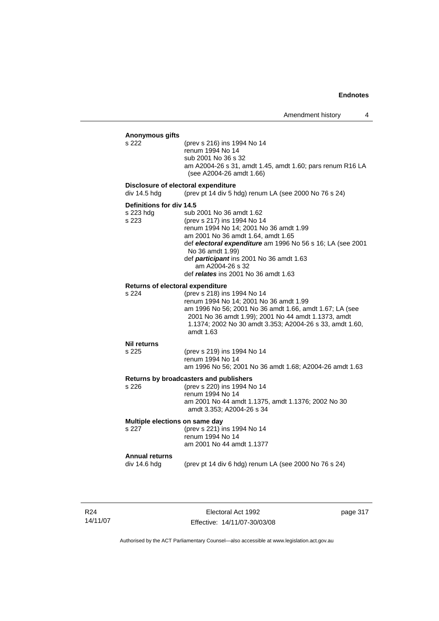| Anonymous gifts<br>s 222                            | (prev s 216) ins 1994 No 14<br>renum 1994 No 14<br>sub 2001 No 36 s 32<br>am A2004-26 s 31, amdt 1.45, amdt 1.60; pars renum R16 LA<br>(see A2004-26 amdt 1.66)                                                                                                                                                                   |
|-----------------------------------------------------|-----------------------------------------------------------------------------------------------------------------------------------------------------------------------------------------------------------------------------------------------------------------------------------------------------------------------------------|
| Disclosure of electoral expenditure<br>div 14.5 hdg | (prev pt 14 div 5 hdg) renum LA (see 2000 No 76 s 24)                                                                                                                                                                                                                                                                             |
| Definitions for div 14.5<br>s 223 hdg<br>s 223      | sub 2001 No 36 amdt 1.62<br>(prev s 217) ins 1994 No 14<br>renum 1994 No 14; 2001 No 36 amdt 1.99<br>am 2001 No 36 amdt 1.64, amdt 1.65<br>def electoral expenditure am 1996 No 56 s 16; LA (see 2001<br>No 36 amdt 1.99)<br>def participant ins 2001 No 36 amdt 1.63<br>am A2004-26 s 32<br>def relates ins 2001 No 36 amdt 1.63 |
| Returns of electoral expenditure<br>s 224           | (prev s 218) ins 1994 No 14<br>renum 1994 No 14; 2001 No 36 amdt 1.99<br>am 1996 No 56; 2001 No 36 amdt 1.66, amdt 1.67; LA (see<br>2001 No 36 amdt 1.99); 2001 No 44 amdt 1.1373, amdt<br>1.1374; 2002 No 30 amdt 3.353; A2004-26 s 33, amdt 1.60,<br>amdt 1.63                                                                  |
| <b>Nil returns</b><br>s 225                         | (prev s 219) ins 1994 No 14<br>renum 1994 No 14<br>am 1996 No 56; 2001 No 36 amdt 1.68; A2004-26 amdt 1.63                                                                                                                                                                                                                        |
| s 226                                               | Returns by broadcasters and publishers<br>(prev s 220) ins 1994 No 14<br>renum 1994 No 14<br>am 2001 No 44 amdt 1.1375, amdt 1.1376; 2002 No 30<br>amdt 3.353; A2004-26 s 34                                                                                                                                                      |
| Multiple elections on same day<br>s 227             | (prev s 221) ins 1994 No 14<br>renum 1994 No 14<br>am 2001 No 44 amdt 1.1377                                                                                                                                                                                                                                                      |
| <b>Annual returns</b><br>div 14.6 hdg               | (prev pt 14 div 6 hdg) renum LA (see 2000 No 76 s 24)                                                                                                                                                                                                                                                                             |

R24 14/11/07

Electoral Act 1992 Effective: 14/11/07-30/03/08 page 317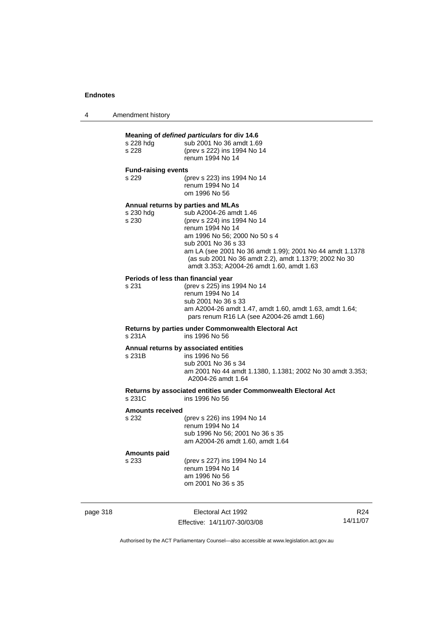| Amendment history<br>4 |  |
|------------------------|--|
|------------------------|--|

| Meaning of defined particulars for div 14.6  |                                                                                                                                                                                                                                                                                                                                           |  |  |
|----------------------------------------------|-------------------------------------------------------------------------------------------------------------------------------------------------------------------------------------------------------------------------------------------------------------------------------------------------------------------------------------------|--|--|
| s 228 hdg<br>s 228                           | sub 2001 No 36 amdt 1.69<br>(prev s 222) ins 1994 No 14<br>renum 1994 No 14                                                                                                                                                                                                                                                               |  |  |
| <b>Fund-raising events</b>                   |                                                                                                                                                                                                                                                                                                                                           |  |  |
| s 229                                        | (prev s 223) ins 1994 No 14<br>renum 1994 No 14<br>om 1996 No 56                                                                                                                                                                                                                                                                          |  |  |
| s 230 hdg<br>s 230                           | Annual returns by parties and MLAs<br>sub A2004-26 amdt 1.46<br>(prev s 224) ins 1994 No 14<br>renum 1994 No 14<br>am 1996 No 56; 2000 No 50 s 4<br>sub 2001 No 36 s 33<br>am LA (see 2001 No 36 amdt 1.99); 2001 No 44 amdt 1.1378<br>(as sub 2001 No 36 amdt 2.2), amdt 1.1379; 2002 No 30<br>amdt 3.353; A2004-26 amdt 1.60, amdt 1.63 |  |  |
| Periods of less than financial year<br>s 231 | (prev s 225) ins 1994 No 14<br>renum 1994 No 14<br>sub 2001 No 36 s 33<br>am A2004-26 amdt 1.47, amdt 1.60, amdt 1.63, amdt 1.64;<br>pars renum R16 LA (see A2004-26 amdt 1.66)                                                                                                                                                           |  |  |
| s 231A                                       | Returns by parties under Commonwealth Electoral Act<br>ins 1996 No 56                                                                                                                                                                                                                                                                     |  |  |
| s 231B                                       | Annual returns by associated entities<br>ins 1996 No 56<br>sub 2001 No 36 s 34<br>am 2001 No 44 amdt 1.1380, 1.1381; 2002 No 30 amdt 3.353;<br>A2004-26 amdt 1.64                                                                                                                                                                         |  |  |
| s 231C                                       | Returns by associated entities under Commonwealth Electoral Act<br>ins 1996 No 56                                                                                                                                                                                                                                                         |  |  |
| <b>Amounts received</b>                      |                                                                                                                                                                                                                                                                                                                                           |  |  |
| s 232                                        | (prev s 226) ins 1994 No 14<br>renum 1994 No 14<br>sub 1996 No 56; 2001 No 36 s 35<br>am A2004-26 amdt 1.60, amdt 1.64                                                                                                                                                                                                                    |  |  |
| <b>Amounts paid</b><br>s 233                 | (prev s 227) ins 1994 No 14<br>renum 1994 No 14<br>am 1996 No 56<br>om 2001 No 36 s 35                                                                                                                                                                                                                                                    |  |  |

page 318 Electoral Act 1992 Effective: 14/11/07-30/03/08

R24 14/11/07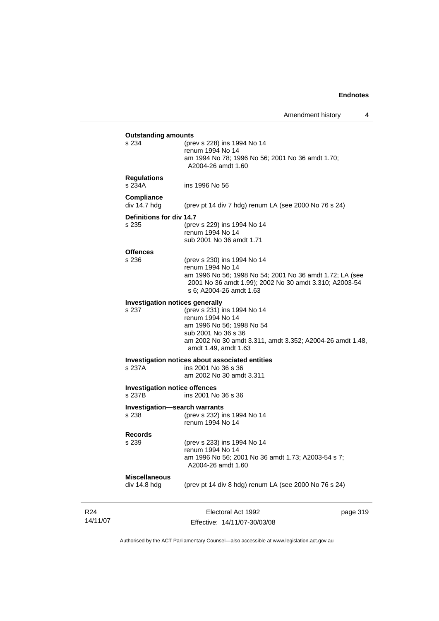| s 234<br>(prev s 228) ins 1994 No 14<br>renum 1994 No 14<br>am 1994 No 78; 1996 No 56; 2001 No 36 amdt 1.70;<br>A2004-26 amdt 1.60<br><b>Regulations</b><br>ins 1996 No 56<br>Compliance<br>div 14.7 hdg<br>(prev pt 14 div 7 hdg) renum LA (see 2000 No 76 s 24)<br>Definitions for div 14.7<br>s 235<br>(prev s 229) ins 1994 No 14<br>renum 1994 No 14<br>sub 2001 No 36 amdt 1.71<br>s 236<br>(prev s 230) ins 1994 No 14<br>renum 1994 No 14<br>am 1996 No 56; 1998 No 54; 2001 No 36 amdt 1.72; LA (see<br>2001 No 36 amdt 1.99); 2002 No 30 amdt 3.310; A2003-54<br>s 6; A2004-26 amdt 1.63<br>Investigation notices generally<br>(prev s 231) ins 1994 No 14<br>s 237<br>renum 1994 No 14<br>am 1996 No 56; 1998 No 54<br>sub 2001 No 36 s 36<br>am 2002 No 30 amdt 3.311, amdt 3.352; A2004-26 amdt 1.48,<br>amdt 1.49, amdt 1.63<br>Investigation notices about associated entities<br>s 237A<br>ins 2001 No 36 s 36<br>am 2002 No 30 amdt 3.311<br><b>Investigation notice offences</b><br>ins 2001 No 36 s 36<br>Investigation-search warrants<br>(prev s 232) ins 1994 No 14<br>renum 1994 No 14<br>Records<br>s 239<br>(prev s 233) ins 1994 No 14<br>renum 1994 No 14<br>am 1996 No 56; 2001 No 36 amdt 1.73; A2003-54 s 7;<br>A2004-26 amdt 1.60<br><b>Miscellaneous</b><br>(prev pt 14 div 8 hdg) renum LA (see 2000 No 76 s 24) | <b>Outstanding amounts</b> |                    |          |
|---------------------------------------------------------------------------------------------------------------------------------------------------------------------------------------------------------------------------------------------------------------------------------------------------------------------------------------------------------------------------------------------------------------------------------------------------------------------------------------------------------------------------------------------------------------------------------------------------------------------------------------------------------------------------------------------------------------------------------------------------------------------------------------------------------------------------------------------------------------------------------------------------------------------------------------------------------------------------------------------------------------------------------------------------------------------------------------------------------------------------------------------------------------------------------------------------------------------------------------------------------------------------------------------------------------------------------------------------|----------------------------|--------------------|----------|
|                                                                                                                                                                                                                                                                                                                                                                                                                                                                                                                                                                                                                                                                                                                                                                                                                                                                                                                                                                                                                                                                                                                                                                                                                                                                                                                                                   |                            |                    |          |
|                                                                                                                                                                                                                                                                                                                                                                                                                                                                                                                                                                                                                                                                                                                                                                                                                                                                                                                                                                                                                                                                                                                                                                                                                                                                                                                                                   |                            |                    |          |
|                                                                                                                                                                                                                                                                                                                                                                                                                                                                                                                                                                                                                                                                                                                                                                                                                                                                                                                                                                                                                                                                                                                                                                                                                                                                                                                                                   | s 234A                     |                    |          |
|                                                                                                                                                                                                                                                                                                                                                                                                                                                                                                                                                                                                                                                                                                                                                                                                                                                                                                                                                                                                                                                                                                                                                                                                                                                                                                                                                   |                            |                    |          |
|                                                                                                                                                                                                                                                                                                                                                                                                                                                                                                                                                                                                                                                                                                                                                                                                                                                                                                                                                                                                                                                                                                                                                                                                                                                                                                                                                   |                            |                    |          |
|                                                                                                                                                                                                                                                                                                                                                                                                                                                                                                                                                                                                                                                                                                                                                                                                                                                                                                                                                                                                                                                                                                                                                                                                                                                                                                                                                   |                            |                    |          |
|                                                                                                                                                                                                                                                                                                                                                                                                                                                                                                                                                                                                                                                                                                                                                                                                                                                                                                                                                                                                                                                                                                                                                                                                                                                                                                                                                   |                            |                    |          |
|                                                                                                                                                                                                                                                                                                                                                                                                                                                                                                                                                                                                                                                                                                                                                                                                                                                                                                                                                                                                                                                                                                                                                                                                                                                                                                                                                   |                            |                    |          |
|                                                                                                                                                                                                                                                                                                                                                                                                                                                                                                                                                                                                                                                                                                                                                                                                                                                                                                                                                                                                                                                                                                                                                                                                                                                                                                                                                   |                            |                    |          |
|                                                                                                                                                                                                                                                                                                                                                                                                                                                                                                                                                                                                                                                                                                                                                                                                                                                                                                                                                                                                                                                                                                                                                                                                                                                                                                                                                   | <b>Offences</b>            |                    |          |
|                                                                                                                                                                                                                                                                                                                                                                                                                                                                                                                                                                                                                                                                                                                                                                                                                                                                                                                                                                                                                                                                                                                                                                                                                                                                                                                                                   |                            |                    |          |
|                                                                                                                                                                                                                                                                                                                                                                                                                                                                                                                                                                                                                                                                                                                                                                                                                                                                                                                                                                                                                                                                                                                                                                                                                                                                                                                                                   |                            |                    |          |
|                                                                                                                                                                                                                                                                                                                                                                                                                                                                                                                                                                                                                                                                                                                                                                                                                                                                                                                                                                                                                                                                                                                                                                                                                                                                                                                                                   |                            |                    |          |
|                                                                                                                                                                                                                                                                                                                                                                                                                                                                                                                                                                                                                                                                                                                                                                                                                                                                                                                                                                                                                                                                                                                                                                                                                                                                                                                                                   |                            |                    |          |
|                                                                                                                                                                                                                                                                                                                                                                                                                                                                                                                                                                                                                                                                                                                                                                                                                                                                                                                                                                                                                                                                                                                                                                                                                                                                                                                                                   |                            |                    |          |
|                                                                                                                                                                                                                                                                                                                                                                                                                                                                                                                                                                                                                                                                                                                                                                                                                                                                                                                                                                                                                                                                                                                                                                                                                                                                                                                                                   |                            |                    |          |
|                                                                                                                                                                                                                                                                                                                                                                                                                                                                                                                                                                                                                                                                                                                                                                                                                                                                                                                                                                                                                                                                                                                                                                                                                                                                                                                                                   |                            |                    |          |
|                                                                                                                                                                                                                                                                                                                                                                                                                                                                                                                                                                                                                                                                                                                                                                                                                                                                                                                                                                                                                                                                                                                                                                                                                                                                                                                                                   |                            |                    |          |
|                                                                                                                                                                                                                                                                                                                                                                                                                                                                                                                                                                                                                                                                                                                                                                                                                                                                                                                                                                                                                                                                                                                                                                                                                                                                                                                                                   |                            |                    |          |
|                                                                                                                                                                                                                                                                                                                                                                                                                                                                                                                                                                                                                                                                                                                                                                                                                                                                                                                                                                                                                                                                                                                                                                                                                                                                                                                                                   |                            |                    |          |
|                                                                                                                                                                                                                                                                                                                                                                                                                                                                                                                                                                                                                                                                                                                                                                                                                                                                                                                                                                                                                                                                                                                                                                                                                                                                                                                                                   |                            |                    |          |
|                                                                                                                                                                                                                                                                                                                                                                                                                                                                                                                                                                                                                                                                                                                                                                                                                                                                                                                                                                                                                                                                                                                                                                                                                                                                                                                                                   |                            |                    |          |
|                                                                                                                                                                                                                                                                                                                                                                                                                                                                                                                                                                                                                                                                                                                                                                                                                                                                                                                                                                                                                                                                                                                                                                                                                                                                                                                                                   |                            |                    |          |
|                                                                                                                                                                                                                                                                                                                                                                                                                                                                                                                                                                                                                                                                                                                                                                                                                                                                                                                                                                                                                                                                                                                                                                                                                                                                                                                                                   |                            |                    |          |
|                                                                                                                                                                                                                                                                                                                                                                                                                                                                                                                                                                                                                                                                                                                                                                                                                                                                                                                                                                                                                                                                                                                                                                                                                                                                                                                                                   |                            |                    |          |
|                                                                                                                                                                                                                                                                                                                                                                                                                                                                                                                                                                                                                                                                                                                                                                                                                                                                                                                                                                                                                                                                                                                                                                                                                                                                                                                                                   | s 237B                     |                    |          |
|                                                                                                                                                                                                                                                                                                                                                                                                                                                                                                                                                                                                                                                                                                                                                                                                                                                                                                                                                                                                                                                                                                                                                                                                                                                                                                                                                   |                            |                    |          |
|                                                                                                                                                                                                                                                                                                                                                                                                                                                                                                                                                                                                                                                                                                                                                                                                                                                                                                                                                                                                                                                                                                                                                                                                                                                                                                                                                   | s 238                      |                    |          |
|                                                                                                                                                                                                                                                                                                                                                                                                                                                                                                                                                                                                                                                                                                                                                                                                                                                                                                                                                                                                                                                                                                                                                                                                                                                                                                                                                   |                            |                    |          |
|                                                                                                                                                                                                                                                                                                                                                                                                                                                                                                                                                                                                                                                                                                                                                                                                                                                                                                                                                                                                                                                                                                                                                                                                                                                                                                                                                   |                            |                    |          |
|                                                                                                                                                                                                                                                                                                                                                                                                                                                                                                                                                                                                                                                                                                                                                                                                                                                                                                                                                                                                                                                                                                                                                                                                                                                                                                                                                   |                            |                    |          |
|                                                                                                                                                                                                                                                                                                                                                                                                                                                                                                                                                                                                                                                                                                                                                                                                                                                                                                                                                                                                                                                                                                                                                                                                                                                                                                                                                   |                            |                    |          |
|                                                                                                                                                                                                                                                                                                                                                                                                                                                                                                                                                                                                                                                                                                                                                                                                                                                                                                                                                                                                                                                                                                                                                                                                                                                                                                                                                   |                            |                    |          |
|                                                                                                                                                                                                                                                                                                                                                                                                                                                                                                                                                                                                                                                                                                                                                                                                                                                                                                                                                                                                                                                                                                                                                                                                                                                                                                                                                   |                            |                    |          |
|                                                                                                                                                                                                                                                                                                                                                                                                                                                                                                                                                                                                                                                                                                                                                                                                                                                                                                                                                                                                                                                                                                                                                                                                                                                                                                                                                   |                            |                    |          |
|                                                                                                                                                                                                                                                                                                                                                                                                                                                                                                                                                                                                                                                                                                                                                                                                                                                                                                                                                                                                                                                                                                                                                                                                                                                                                                                                                   | div 14.8 hdg               |                    |          |
|                                                                                                                                                                                                                                                                                                                                                                                                                                                                                                                                                                                                                                                                                                                                                                                                                                                                                                                                                                                                                                                                                                                                                                                                                                                                                                                                                   |                            |                    |          |
|                                                                                                                                                                                                                                                                                                                                                                                                                                                                                                                                                                                                                                                                                                                                                                                                                                                                                                                                                                                                                                                                                                                                                                                                                                                                                                                                                   |                            | Electoral Act 1992 | page 319 |

Authorised by the ACT Parliamentary Counsel—also accessible at www.legislation.act.gov.au

Effective: 14/11/07-30/03/08

R24 14/11/07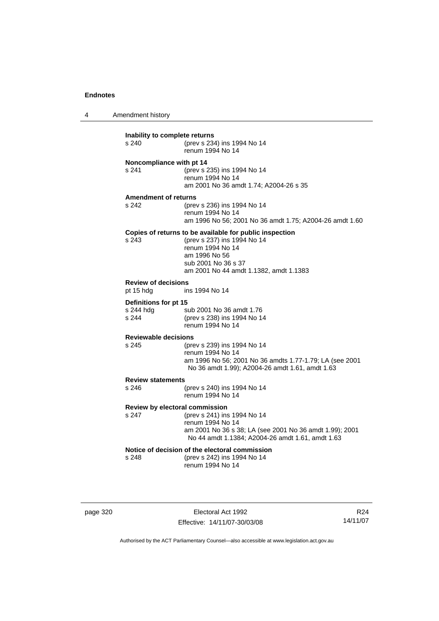4 Amendment history

| Inability to complete returns<br>s 240         | (prev s 234) ins 1994 No 14<br>renum 1994 No 14                                                                                                                                              |  |
|------------------------------------------------|----------------------------------------------------------------------------------------------------------------------------------------------------------------------------------------------|--|
| Noncompliance with pt 14<br>s 241              | (prev s 235) ins 1994 No 14<br>renum 1994 No 14<br>am 2001 No 36 amdt 1.74; A2004-26 s 35                                                                                                    |  |
| <b>Amendment of returns</b>                    |                                                                                                                                                                                              |  |
| s 242                                          | (prev s 236) ins 1994 No 14<br>renum 1994 No 14<br>am 1996 No 56; 2001 No 36 amdt 1.75; A2004-26 amdt 1.60                                                                                   |  |
| s.243                                          | Copies of returns to be available for public inspection<br>(prev s 237) ins 1994 No 14<br>renum 1994 No 14<br>am 1996 No 56<br>sub 2001 No 36 s 37<br>am 2001 No 44 amdt 1.1382, amdt 1.1383 |  |
| <b>Review of decisions</b>                     |                                                                                                                                                                                              |  |
| pt 15 hdg                                      | ins 1994 No 14                                                                                                                                                                               |  |
| Definitions for pt 15                          |                                                                                                                                                                                              |  |
| s 244 hdg<br>s 244                             | sub 2001 No 36 amdt 1.76<br>(prev s 238) ins 1994 No 14<br>renum 1994 No 14                                                                                                                  |  |
| <b>Reviewable decisions</b>                    |                                                                                                                                                                                              |  |
| s 245                                          | (prev s 239) ins 1994 No 14<br>renum 1994 No 14<br>am 1996 No 56; 2001 No 36 amdts 1.77-1.79; LA (see 2001<br>No 36 amdt 1.99); A2004-26 amdt 1.61, amdt 1.63                                |  |
| <b>Review statements</b>                       |                                                                                                                                                                                              |  |
| s 246                                          | (prev s 240) ins 1994 No 14<br>renum 1994 No 14                                                                                                                                              |  |
| Review by electoral commission                 |                                                                                                                                                                                              |  |
| s 247                                          | (prev s 241) ins 1994 No 14<br>renum 1994 No 14<br>am 2001 No 36 s 38; LA (see 2001 No 36 amdt 1.99); 2001<br>No 44 amdt 1.1384; A2004-26 amdt 1.61, amdt 1.63                               |  |
| Notice of decision of the electoral commission |                                                                                                                                                                                              |  |
| s 248                                          | (prev s 242) ins 1994 No 14<br>renum 1994 No 14                                                                                                                                              |  |

page 320 Electoral Act 1992 Effective: 14/11/07-30/03/08

R24 14/11/07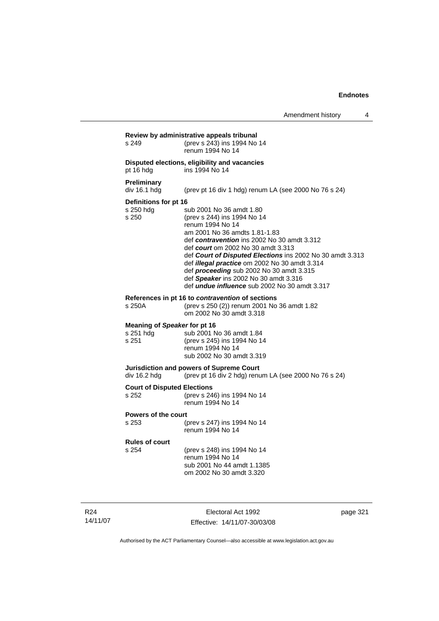| s 249                                              | (prev s 243) ins 1994 No 14<br>renum 1994 No 14                                                                                                                                                                                                                                                                                                                                                                                                              |
|----------------------------------------------------|--------------------------------------------------------------------------------------------------------------------------------------------------------------------------------------------------------------------------------------------------------------------------------------------------------------------------------------------------------------------------------------------------------------------------------------------------------------|
| pt 16 hdg                                          | Disputed elections, eligibility and vacancies<br>ins 1994 No 14                                                                                                                                                                                                                                                                                                                                                                                              |
| <b>Preliminary</b><br>div 16.1 hdg                 | (prev pt 16 div 1 hdg) renum LA (see 2000 No 76 s 24)                                                                                                                                                                                                                                                                                                                                                                                                        |
| Definitions for pt 16<br>s 250 hdg<br>s 250        | sub 2001 No 36 amdt 1.80<br>(prev s 244) ins 1994 No 14<br>renum 1994 No 14<br>am 2001 No 36 amdts 1.81-1.83<br>def contravention ins 2002 No 30 amdt 3.312<br>def court om 2002 No 30 amdt 3.313<br>def Court of Disputed Elections ins 2002 No 30 amdt 3.313<br>def illegal practice om 2002 No 30 amdt 3.314<br>def proceeding sub 2002 No 30 amdt 3.315<br>def Speaker ins 2002 No 30 amdt 3.316<br>def <i>undue influence</i> sub 2002 No 30 amdt 3.317 |
| s 250A                                             | References in pt 16 to contravention of sections<br>(prev s 250 (2)) renum 2001 No 36 amdt 1.82<br>om 2002 No 30 amdt 3.318                                                                                                                                                                                                                                                                                                                                  |
| Meaning of Speaker for pt 16<br>s 251 hdg<br>s 251 | sub 2001 No 36 amdt 1.84<br>(prev s 245) ins 1994 No 14<br>renum 1994 No 14<br>sub 2002 No 30 amdt 3.319                                                                                                                                                                                                                                                                                                                                                     |
| div 16.2 hdg                                       | Jurisdiction and powers of Supreme Court<br>(prev pt 16 div 2 hdg) renum LA (see 2000 No 76 s 24)                                                                                                                                                                                                                                                                                                                                                            |
| <b>Court of Disputed Elections</b><br>s 252        | (prev s 246) ins 1994 No 14<br>renum 1994 No 14                                                                                                                                                                                                                                                                                                                                                                                                              |
| <b>Powers of the court</b><br>s 253                | (prev s 247) ins 1994 No 14<br>renum 1994 No 14                                                                                                                                                                                                                                                                                                                                                                                                              |
| <b>Rules of court</b><br>s 254                     | (prev s 248) ins 1994 No 14<br>renum 1994 No 14<br>sub 2001 No 44 amdt 1.1385<br>om 2002 No 30 amdt 3.320                                                                                                                                                                                                                                                                                                                                                    |

R24 14/11/07

Electoral Act 1992 Effective: 14/11/07-30/03/08 page 321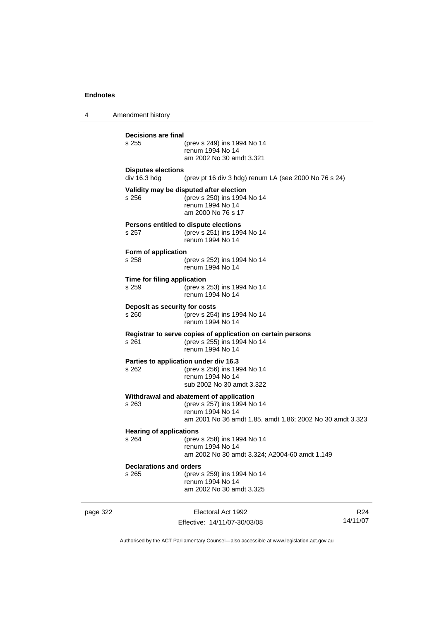4 Amendment history page 322 Electoral Act 1992 R24 **Decisions are final** (prev s 249) ins 1994 No 14 renum 1994 No 14 am 2002 No 30 amdt 3.321 **Disputes elections**  div 16.3 hdg (prev pt 16 div 3 hdg) renum LA (see 2000 No 76 s 24) **Validity may be disputed after election** s 256 (prev s 250) ins 1994 No 14 renum 1994 No 14 am 2000 No 76 s 17 **Persons entitled to dispute elections**<br>s 257 (prev s 251) ins 199 s 257 (prev s 251) ins 1994 No 14 renum 1994 No 14 **Form of application** s 258 (prev s 252) ins 1994 No 14 renum 1994 No 14 **Time for filing application** s 259 (prev s 253) ins 1994 No 14 renum 1994 No 14 **Deposit as security for costs** s 260 (prev s 254) ins 1994 No 14 renum 1994 No 14 **Registrar to serve copies of application on certain persons** s 261 (prev s 255) ins 1994 No 14 renum 1994 No 14 **Parties to application under div 16.3**<br>s 262 (prev s 256) ins 19 (prev s 256) ins 1994 No 14 renum 1994 No 14 sub 2002 No 30 amdt 3.322 **Withdrawal and abatement of application** s 263 (prev s 257) ins 1994 No 14 renum 1994 No 14 am 2001 No 36 amdt 1.85, amdt 1.86; 2002 No 30 amdt 3.323 **Hearing of applications**<br>s 264 (prev s 264 (prev s 258) ins 1994 No 14 renum 1994 No 14 am 2002 No 30 amdt 3.324; A2004-60 amdt 1.149 **Declarations and orders** s 265 (prev s 259) ins 1994 No 14 renum 1994 No 14 am 2002 No 30 amdt 3.325

Authorised by the ACT Parliamentary Counsel—also accessible at www.legislation.act.gov.au

14/11/07

Effective: 14/11/07-30/03/08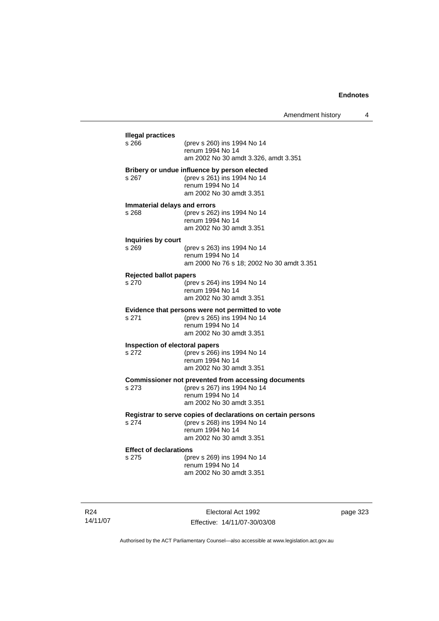| <b>Illegal practices</b><br>s 266 | (prev s 260) ins 1994 No 14<br>renum 1994 No 14              |
|-----------------------------------|--------------------------------------------------------------|
|                                   | am 2002 No 30 amdt 3.326, amdt 3.351                         |
|                                   | Bribery or undue influence by person elected                 |
| s 267                             | (prev s 261) ins 1994 No 14<br>renum 1994 No 14              |
|                                   | am 2002 No 30 amdt 3.351                                     |
| s 268                             | Immaterial delays and errors<br>(prev s 262) ins 1994 No 14  |
|                                   | renum 1994 No 14                                             |
|                                   | am 2002 No 30 amdt 3.351                                     |
| Inquiries by court                |                                                              |
| s 269                             | (prev s 263) ins 1994 No 14<br>renum 1994 No 14              |
|                                   | am 2000 No 76 s 18; 2002 No 30 amdt 3.351                    |
| <b>Rejected ballot papers</b>     |                                                              |
| s 270                             | (prev s 264) ins 1994 No 14<br>renum 1994 No 14              |
|                                   | am 2002 No 30 amdt 3.351                                     |
|                                   | Evidence that persons were not permitted to vote             |
| s 271                             | (prev s 265) ins 1994 No 14<br>renum 1994 No 14              |
|                                   | am 2002 No 30 amdt 3.351                                     |
|                                   | Inspection of electoral papers                               |
| s 272                             | (prev s 266) ins 1994 No 14<br>renum 1994 No 14              |
|                                   | am 2002 No 30 amdt 3.351                                     |
|                                   | <b>Commissioner not prevented from accessing documents</b>   |
| s 273                             | (prev s 267) ins 1994 No 14<br>renum 1994 No 14              |
|                                   | am 2002 No 30 amdt 3.351                                     |
|                                   | Registrar to serve copies of declarations on certain persons |
| s 274                             | (prev s 268) ins 1994 No 14<br>renum 1994 No 14              |
|                                   | am 2002 No 30 amdt 3.351                                     |
| <b>Effect of declarations</b>     |                                                              |
| s 275                             | (prev s 269) ins 1994 No 14<br>renum 1994 No 14              |
|                                   | am 2002 No 30 amdt 3.351                                     |

R24 14/11/07

Electoral Act 1992 Effective: 14/11/07-30/03/08 page 323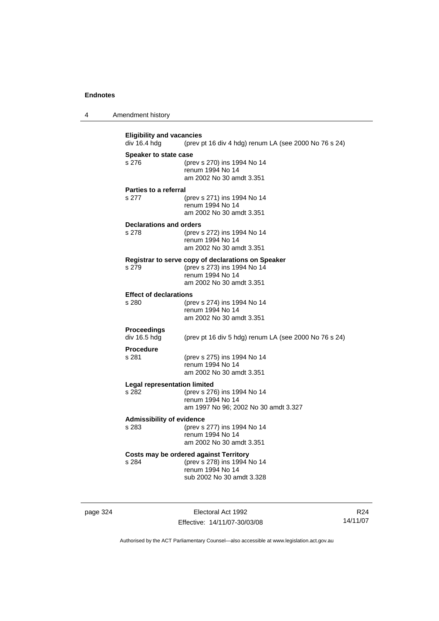| $\boldsymbol{\Lambda}$ | Amendment history |  |
|------------------------|-------------------|--|
|------------------------|-------------------|--|

**Eligibility and vacancies**<br>div 16.4 hdg (prev p (prev pt 16 div 4 hdg) renum LA (see 2000 No 76 s 24) **Speaker to state case** s 276 (prev s 270) ins 1994 No 14 renum 1994 No 14 am 2002 No 30 amdt 3.351 **Parties to a referral** s 277 (prev s 271) ins 1994 No 14 renum 1994 No 14 am 2002 No 30 amdt 3.351 **Declarations and orders** s 278 (prev s 272) ins 1994 No 14 renum 1994 No 14 am 2002 No 30 amdt 3.351 **Registrar to serve copy of declarations on Speaker** s 279 (prev s 273) ins 1994 No 14 renum 1994 No 14 am 2002 No 30 amdt 3.351 **Effect of declarations**<br>s 280 (pre (prev s 274) ins 1994 No 14 renum 1994 No 14 am 2002 No 30 amdt 3.351 **Proceedings**  div 16.5 hdg (prev pt 16 div 5 hdg) renum LA (see 2000 No 76 s 24) **Procedure** s 281 (prev s 275) ins 1994 No 14 renum 1994 No 14 am 2002 No 30 amdt 3.351 **Legal representation limited**<br>s 282 (prev s 276) (prev s 276) ins 1994 No 14 renum 1994 No 14 am 1997 No 96; 2002 No 30 amdt 3.327 **Admissibility of evidence** s 283 (prev s 277) ins 1994 No 14 renum 1994 No 14 am 2002 No 30 amdt 3.351 **Costs may be ordered against Territory** s 284 (prev s 278) ins 1994 No 14 renum 1994 No 14 sub 2002 No 30 amdt 3.328

page 324 Electoral Act 1992 Effective: 14/11/07-30/03/08

R24 14/11/07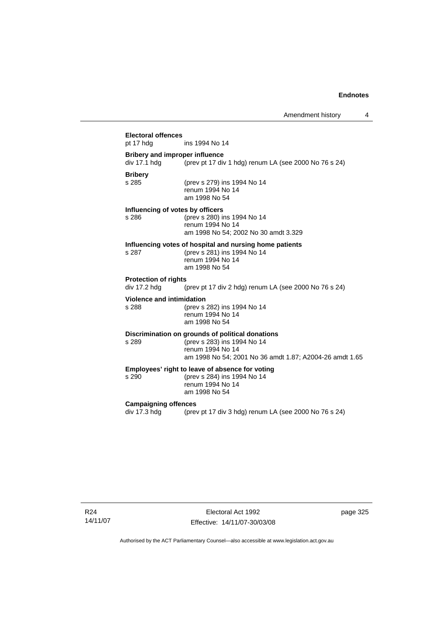# **Electoral offences** ins 1994 No 14 **Bribery and improper influence**  div 17.1 hdg (prev pt 17 div 1 hdg) renum LA (see 2000 No 76 s 24) **Bribery** (prev s 279) ins 1994 No 14 renum 1994 No 14 am 1998 No 54 **Influencing of votes by officers** s 286 (prev s 280) ins 1994 No 14 renum 1994 No 14 am 1998 No 54; 2002 No 30 amdt 3.329 **Influencing votes of hospital and nursing home patients** s 287 (prev s 281) ins 1994 No 14 renum 1994 No 14 am 1998 No 54 **Protection of rights**  div 17.2 hdg (prev pt 17 div 2 hdg) renum LA (see 2000 No 76 s 24) **Violence and intimidation** s 288 (prev s 282) ins 1994 No 14 renum 1994 No 14 am 1998 No 54 **Discrimination on grounds of political donations** s 289 (prev s 283) ins 1994 No 14 renum 1994 No 14 am 1998 No 54; 2001 No 36 amdt 1.87; A2004-26 amdt 1.65 **Employees' right to leave of absence for voting**<br>s 290 (prev s 284) ins 1994 No 14 (prev s 284) ins 1994 No 14 renum 1994 No 14 am 1998 No 54 **Campaigning offences**  div 17.3 hdg (prev pt 17 div 3 hdg) renum LA (see 2000 No 76 s 24)

R24 14/11/07

Electoral Act 1992 Effective: 14/11/07-30/03/08 page 325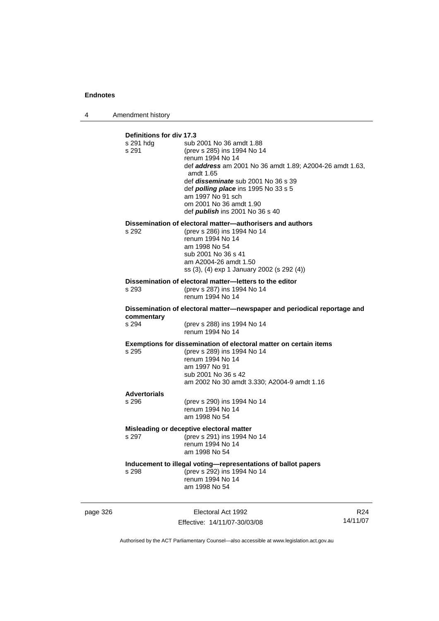4 Amendment history

| Definitions for div 17.3<br>s 291 hdg<br>s 291 | sub 2001 No 36 amdt 1.88<br>(prev s 285) ins 1994 No 14<br>renum 1994 No 14<br>def <b>address</b> am 2001 No 36 amdt 1.89; A2004-26 amdt 1.63,<br>amdt 1.65<br>def <i>disseminate</i> sub 2001 No 36 s 39<br>def <i>polling place</i> ins 1995 No 33 s 5<br>am 1997 No 91 sch<br>om 2001 No 36 amdt 1.90<br>def <i>publish</i> ins 2001 No 36 s 40 |
|------------------------------------------------|----------------------------------------------------------------------------------------------------------------------------------------------------------------------------------------------------------------------------------------------------------------------------------------------------------------------------------------------------|
| s 292                                          | Dissemination of electoral matter-authorisers and authors<br>(prev s 286) ins 1994 No 14                                                                                                                                                                                                                                                           |
|                                                | renum 1994 No 14                                                                                                                                                                                                                                                                                                                                   |
|                                                | am 1998 No 54<br>sub 2001 No 36 s 41                                                                                                                                                                                                                                                                                                               |
|                                                | am A2004-26 amdt 1.50                                                                                                                                                                                                                                                                                                                              |
|                                                | ss (3), (4) exp 1 January 2002 (s 292 (4))                                                                                                                                                                                                                                                                                                         |
| s 293                                          | Dissemination of electoral matter-letters to the editor<br>(prev s 287) ins 1994 No 14                                                                                                                                                                                                                                                             |
|                                                | renum 1994 No 14                                                                                                                                                                                                                                                                                                                                   |
| commentary                                     | Dissemination of electoral matter-newspaper and periodical reportage and                                                                                                                                                                                                                                                                           |
| s 294                                          | (prev s 288) ins 1994 No 14<br>renum 1994 No 14                                                                                                                                                                                                                                                                                                    |
|                                                | Exemptions for dissemination of electoral matter on certain items                                                                                                                                                                                                                                                                                  |
| s 295                                          | (prev s 289) ins 1994 No 14<br>renum 1994 No 14                                                                                                                                                                                                                                                                                                    |
|                                                | am 1997 No 91                                                                                                                                                                                                                                                                                                                                      |
|                                                | sub 2001 No 36 s 42<br>am 2002 No 30 amdt 3.330; A2004-9 amdt 1.16                                                                                                                                                                                                                                                                                 |
| <b>Advertorials</b>                            |                                                                                                                                                                                                                                                                                                                                                    |
| s 296                                          | (prev s 290) ins 1994 No 14<br>renum 1994 No 14                                                                                                                                                                                                                                                                                                    |
|                                                | am 1998 No 54                                                                                                                                                                                                                                                                                                                                      |
|                                                | Misleading or deceptive electoral matter                                                                                                                                                                                                                                                                                                           |
| s 297                                          | (prev s 291) ins 1994 No 14<br>renum 1994 No 14                                                                                                                                                                                                                                                                                                    |
|                                                | am 1998 No 54                                                                                                                                                                                                                                                                                                                                      |
|                                                | Inducement to illegal voting-representations of ballot papers                                                                                                                                                                                                                                                                                      |
| s 298                                          | (prev s 292) ins 1994 No 14<br>renum 1994 No 14                                                                                                                                                                                                                                                                                                    |
|                                                | am 1998 No 54                                                                                                                                                                                                                                                                                                                                      |
|                                                |                                                                                                                                                                                                                                                                                                                                                    |

page 326 Electoral Act 1992 Effective: 14/11/07-30/03/08

R24 14/11/07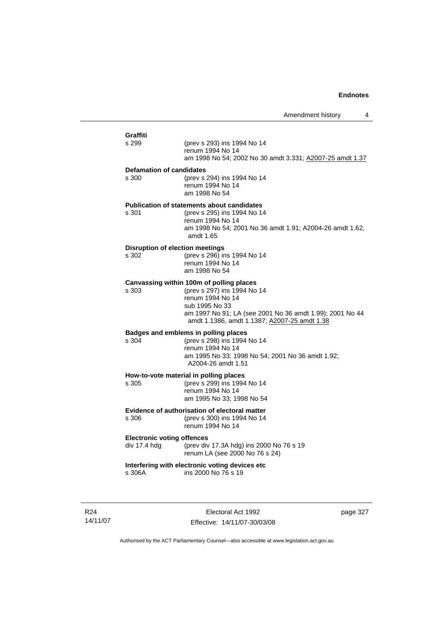## **Graffiti** (prev s 293) ins 1994 No 14 renum 1994 No 14 am 1998 No 54; 2002 No 30 amdt 3.331; A2007-25 amdt 1.37 **Defamation of candidates** s 300 (prev s 294) ins 1994 No 14 renum 1994 No 14 am 1998 No 54 **Publication of statements about candidates** s 301 (prev s 295) ins 1994 No 14 renum 1994 No 14 am 1998 No 54; 2001 No 36 amdt 1.91; A2004-26 amdt 1.62, amdt 1.65 **Disruption of election meetings**<br>s 302 (prev s 296) in (prev s 296) ins 1994 No 14 renum 1994 No 14 am 1998 No 54 **Canvassing within 100m of polling places** s 303 (prev s 297) ins 1994 No 14 renum 1994 No 14 sub 1995 No 33 am 1997 No 91; LA (see 2001 No 36 amdt 1.99); 2001 No 44 amdt 1.1386, amdt 1.1387; A2007-25 amdt 1.38 **Badges and emblems in polling places** (prev s 298) ins 1994 No 14 renum 1994 No 14 am 1995 No 33; 1998 No 54; 2001 No 36 amdt 1.92; A2004-26 amdt 1.51 **How-to-vote material in polling places** s 305 (prev s 299) ins 1994 No 14 renum 1994 No 14 am 1995 No 33; 1998 No 54 **Evidence of authorisation of electoral matter** s 306 (prev s 300) ins 1994 No 14 renum 1994 No 14 **Electronic voting offences** div 17.4 hdg (prev div 17.3A hdg) ins 2000 No 76 s 19 renum LA (see 2000 No 76 s 24)

#### **Interfering with electronic voting devices etc** ins 2000 No 76 s 19

R24 14/11/07

Electoral Act 1992 Effective: 14/11/07-30/03/08 page 327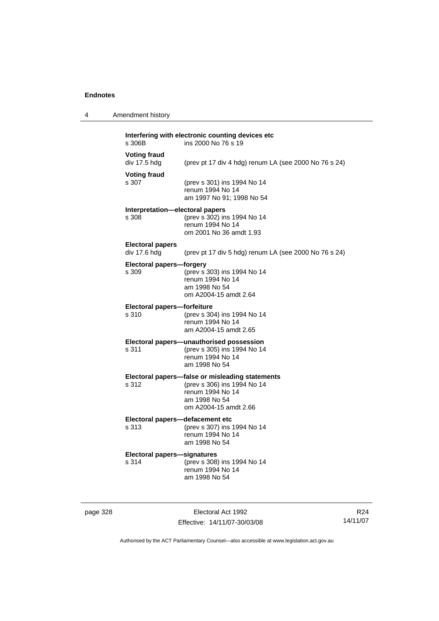4 Amendment history

| s 306B                                   | ins 2000 No 76 s 19                                                                                                                          |
|------------------------------------------|----------------------------------------------------------------------------------------------------------------------------------------------|
| <b>Voting fraud</b><br>div 17.5 hdg      | (prev pt 17 div 4 hdg) renum LA (see 2000 No 76 s 24)                                                                                        |
| <b>Voting fraud</b><br>s 307             | (prev s 301) ins 1994 No 14<br>renum 1994 No 14<br>am 1997 No 91; 1998 No 54                                                                 |
| Interpretation-electoral papers<br>s 308 | (prev s 302) ins 1994 No 14<br>renum 1994 No 14<br>om 2001 No 36 amdt 1.93                                                                   |
| <b>Electoral papers</b><br>div 17.6 hdg  | (prev pt 17 div 5 hdg) renum LA (see 2000 No 76 s 24)                                                                                        |
| <b>Electoral papers-forgery</b><br>s 309 | (prev s 303) ins 1994 No 14<br>renum 1994 No 14<br>am 1998 No 54<br>om A2004-15 amdt 2.64                                                    |
| Electoral papers-forfeiture<br>s 310     | (prev s 304) ins 1994 No 14<br>renum 1994 No 14<br>am A2004-15 amdt 2.65                                                                     |
| s 311                                    | Electoral papers-unauthorised possession<br>(prev s 305) ins 1994 No 14<br>renum 1994 No 14<br>am 1998 No 54                                 |
| s 312                                    | Electoral papers-false or misleading statements<br>(prev s 306) ins 1994 No 14<br>renum 1994 No 14<br>am 1998 No 54<br>om A2004-15 amdt 2.66 |
|                                          |                                                                                                                                              |

#### **Electoral papers—defacement etc**<br>s 313 (prev s 307) ins s 313 (prev s 307) ins 1994 No 14 renum 1994 No 14

 am 1998 No 54 **Electoral papers—signatures** (prev s 308) ins 1994 No 14 renum 1994 No 14 am 1998 No 54

page 328 Electoral Act 1992 Effective: 14/11/07-30/03/08

R24 14/11/07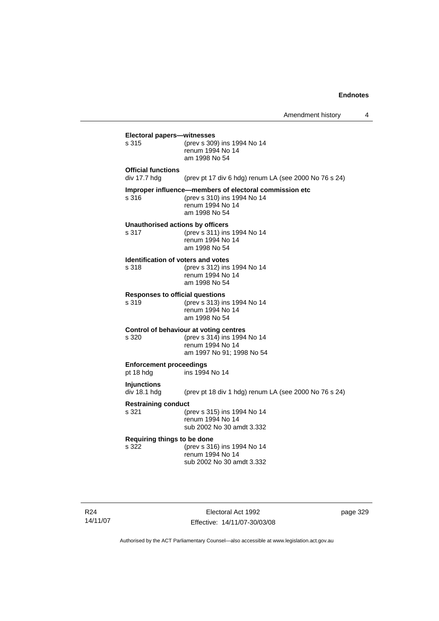$\overline{4}$ 

|                                                    | Amendment history                                                                                                          |
|----------------------------------------------------|----------------------------------------------------------------------------------------------------------------------------|
| Electoral papers-witnesses<br>s 315                | (prev s 309) ins 1994 No 14<br>renum 1994 No 14<br>am 1998 No 54                                                           |
| <b>Official functions</b><br>div 17.7 hdg          | (prev pt 17 div 6 hdg) renum LA (see 2000 No 76 s 24)                                                                      |
| s 316                                              | Improper influence-members of electoral commission etc<br>(prev s 310) ins 1994 No 14<br>renum 1994 No 14<br>am 1998 No 54 |
| <b>Unauthorised actions by officers</b><br>s 317   | (prev s 311) ins 1994 No 14<br>renum 1994 No 14<br>am 1998 No 54                                                           |
| <b>Identification of voters and votes</b><br>s 318 | (prev s 312) ins 1994 No 14<br>renum 1994 No 14<br>am 1998 No 54                                                           |
| <b>Responses to official questions</b><br>s 319    | (prev s 313) ins 1994 No 14<br>renum 1994 No 14<br>am 1998 No 54                                                           |
| s 320                                              | Control of behaviour at voting centres<br>(prev s 314) ins 1994 No 14<br>renum 1994 No 14<br>am 1997 No 91; 1998 No 54     |
| <b>Enforcement proceedings</b><br>pt 18 hdg        | ins 1994 No 14                                                                                                             |
| <b>Injunctions</b><br>div 18.1 hdg                 | (prev pt 18 div 1 hdg) renum LA (see 2000 No 76 s 24)                                                                      |
| <b>Restraining conduct</b><br>s 321                | (prev s 315) ins 1994 No 14<br>renum 1994 No 14<br>sub 2002 No 30 amdt 3.332                                               |
| Requiring things to be done<br>s 322               | (prev s 316) ins 1994 No 14<br>renum 1994 No 14<br>sub 2002 No 30 amdt 3.332                                               |
|                                                    |                                                                                                                            |

Electoral Act 1992 Effective: 14/11/07-30/03/08 page 329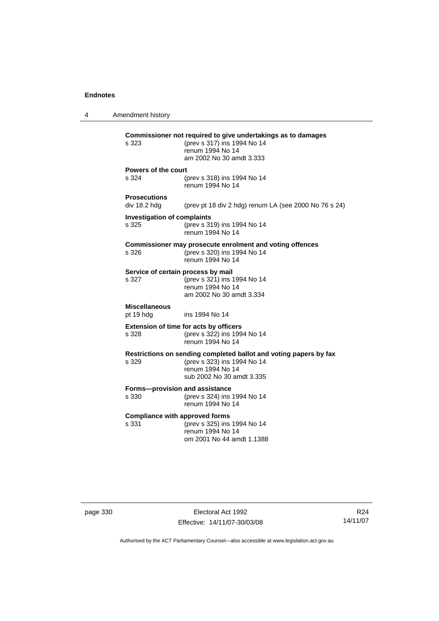4 Amendment history **Commissioner not required to give undertakings as to damages** s 323 (prev s 317) ins 1994 No 14 renum 1994 No 14 am 2002 No 30 amdt 3.333 **Powers of the court** s 324 (prev s 318) ins 1994 No 14 renum 1994 No 14 **Prosecutions**  (prev pt 18 div 2 hdg) renum LA (see 2000 No 76 s 24) **Investigation of complaints** s 325 (prev s 319) ins 1994 No 14 renum 1994 No 14 **Commissioner may prosecute enrolment and voting offences** s 326 (prev s 320) ins 1994 No 14 renum 1994 No 14 **Service of certain process by mail**<br>s 327 (prev s 321) ins 1 s 327 (prev s 321) ins 1994 No 14 renum 1994 No 14 am 2002 No 30 amdt 3.334 **Miscellaneous** pt 19 hdg ins 1994 No 14 **Extension of time for acts by officers** s 328 (prev s 322) ins 1994 No 14 renum 1994 No 14 **Restrictions on sending completed ballot and voting papers by fax** s 329 (prev s 323) ins 1994 No 14 renum 1994 No 14 sub 2002 No 30 amdt 3.335 **Forms—provision and assistance**<br>s 330 (prev s 324) ins (prev s 324) ins 1994 No 14 renum 1994 No 14 **Compliance with approved forms** s 331 (prev s 325) ins 1994 No 14 renum 1994 No 14 om 2001 No 44 amdt 1.1388

page 330 Electoral Act 1992 Effective: 14/11/07-30/03/08

R24 14/11/07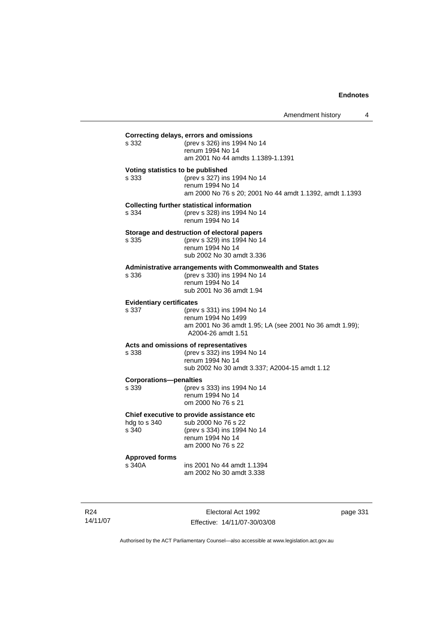| s 332                                    | Correcting delays, errors and omissions<br>(prev s 326) ins 1994 No 14<br>renum 1994 No 14<br>am 2001 No 44 amdts 1.1389-1.1391                 |
|------------------------------------------|-------------------------------------------------------------------------------------------------------------------------------------------------|
| s 333                                    | Voting statistics to be published<br>(prev s 327) ins 1994 No 14<br>renum 1994 No 14<br>am 2000 No 76 s 20; 2001 No 44 amdt 1.1392, amdt 1.1393 |
| s 334                                    | <b>Collecting further statistical information</b><br>(prev s 328) ins 1994 No 14<br>renum 1994 No 14                                            |
| s 335                                    | Storage and destruction of electoral papers<br>(prev s 329) ins 1994 No 14<br>renum 1994 No 14<br>sub 2002 No 30 amdt 3.336                     |
| s 336                                    | <b>Administrative arrangements with Commonwealth and States</b><br>(prev s 330) ins 1994 No 14<br>renum 1994 No 14<br>sub 2001 No 36 amdt 1.94  |
| <b>Evidentiary certificates</b><br>s 337 | (prev s 331) ins 1994 No 14<br>renum 1994 No 1499<br>am 2001 No 36 amdt 1.95; LA (see 2001 No 36 amdt 1.99);<br>A2004-26 amdt 1.51              |
| s 338                                    | Acts and omissions of representatives<br>(prev s 332) ins 1994 No 14<br>renum 1994 No 14<br>sub 2002 No 30 amdt 3.337; A2004-15 amdt 1.12       |
| <b>Corporations-penalties</b><br>s 339   | (prev s 333) ins 1994 No 14<br>renum 1994 No 14<br>om 2000 No 76 s 21                                                                           |
| hdg to s 340<br>s 340                    | Chief executive to provide assistance etc<br>sub 2000 No 76 s 22<br>(prev s 334) ins 1994 No 14<br>renum 1994 No 14<br>am 2000 No 76 s 22       |
| <b>Approved forms</b><br>s 340A          | ins 2001 No 44 amdt 1.1394<br>am 2002 No 30 amdt 3.338                                                                                          |

R24 14/11/07

Electoral Act 1992 Effective: 14/11/07-30/03/08 page 331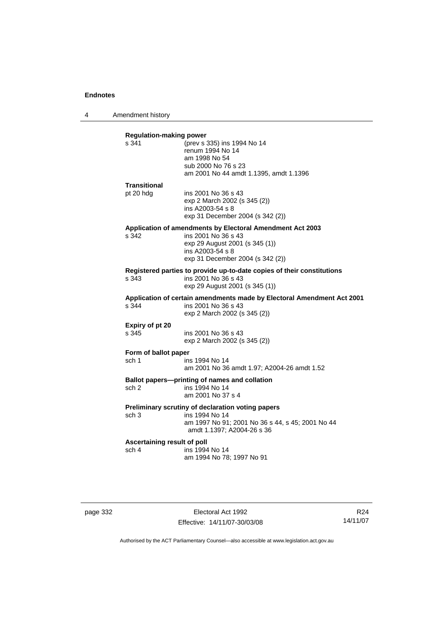4 Amendment history

| s 341                                | <b>Regulation-making power</b><br>(prev s 335) ins 1994 No 14                                 |
|--------------------------------------|-----------------------------------------------------------------------------------------------|
|                                      | renum 1994 No 14                                                                              |
|                                      | am 1998 No 54                                                                                 |
|                                      | sub 2000 No 76 s 23                                                                           |
|                                      | am 2001 No 44 amdt 1.1395, amdt 1.1396                                                        |
| Transitional                         |                                                                                               |
| pt 20 hdg                            | ins 2001 No 36 s 43                                                                           |
|                                      | exp 2 March 2002 (s 345 (2))<br>ins A2003-54 s 8                                              |
|                                      | exp 31 December 2004 (s 342 (2))                                                              |
|                                      | Application of amendments by Electoral Amendment Act 2003                                     |
| s 342                                | ins 2001 No 36 s 43                                                                           |
|                                      | exp 29 August 2001 (s 345 (1))                                                                |
|                                      | ins A2003-54 s 8                                                                              |
|                                      | exp 31 December 2004 (s 342 (2))                                                              |
|                                      | Registered parties to provide up-to-date copies of their constitutions                        |
| s 343                                | ins 2001 No 36 s 43<br>exp 29 August 2001 (s 345 (1))                                         |
|                                      |                                                                                               |
| s.344                                | Application of certain amendments made by Electoral Amendment Act 2001<br>ins 2001 No 36 s 43 |
|                                      | exp 2 March 2002 (s 345 (2))                                                                  |
| Expiry of pt 20                      |                                                                                               |
| s 345                                | ins 2001 No 36 s 43                                                                           |
|                                      | exp 2 March 2002 (s 345 (2))                                                                  |
| Form of ballot paper                 |                                                                                               |
| sch 1                                | ins 1994 No 14                                                                                |
|                                      | am 2001 No 36 amdt 1.97; A2004-26 amdt 1.52                                                   |
|                                      |                                                                                               |
|                                      | Ballot papers---printing of names and collation                                               |
| sch 2                                | ins 1994 No 14                                                                                |
|                                      | am 2001 No 37 s 4                                                                             |
|                                      | Preliminary scrutiny of declaration voting papers                                             |
| sch 3                                | ins 1994 No 14                                                                                |
|                                      | am 1997 No 91; 2001 No 36 s 44, s 45; 2001 No 44                                              |
|                                      | amdt 1.1397; A2004-26 s 36                                                                    |
| Ascertaining result of poll<br>sch 4 | ins 1994 No 14                                                                                |

page 332 Electoral Act 1992 Effective: 14/11/07-30/03/08

R24 14/11/07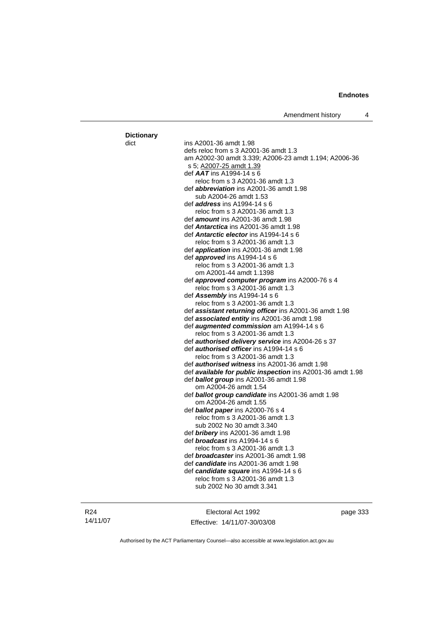### dict ins A2001-36 amdt 1.98 defs reloc from s 3 A2001-36 amdt 1.3 am A2002-30 amdt 3.339; A2006-23 amdt 1.194; A2006-36 s 5; A2007-25 amdt 1.39 def *AAT* ins A1994-14 s 6 reloc from s 3 A2001-36 amdt 1.3 def *abbreviation* ins A2001-36 amdt 1.98 sub A2004-26 amdt 1.53 def *address* ins A1994-14 s 6 reloc from s 3 A2001-36 amdt 1.3 def *amount* ins A2001-36 amdt 1.98 def *Antarctica* ins A2001-36 amdt 1.98 def *Antarctic elector* ins A1994-14 s 6 reloc from s 3 A2001-36 amdt 1.3 def *application* ins A2001-36 amdt 1.98 def *approved* ins A1994-14 s 6 reloc from s 3 A2001-36 amdt 1.3 om A2001-44 amdt 1.1398 def *approved computer program* ins A2000-76 s 4 reloc from s 3 A2001-36 amdt 1.3 def *Assembly* ins A1994-14 s 6 reloc from s 3 A2001-36 amdt 1.3 def *assistant returning officer* ins A2001-36 amdt 1.98 def *associated entity* ins A2001-36 amdt 1.98 def *augmented commission* am A1994-14 s 6 reloc from s 3 A2001-36 amdt 1.3 def *authorised delivery service* ins A2004-26 s 37 def *authorised officer* ins A1994-14 s 6 reloc from s 3 A2001-36 amdt 1.3 def *authorised witness* ins A2001-36 amdt 1.98 def *available for public inspection* ins A2001-36 amdt 1.98 def *ballot group* ins A2001-36 amdt 1.98 om A2004-26 amdt 1.54 def *ballot group candidate* ins A2001-36 amdt 1.98 om A2004-26 amdt 1.55 def *ballot paper* ins A2000-76 s 4 reloc from s 3 A2001-36 amdt 1.3 sub 2002 No 30 amdt 3.340 def *bribery* ins A2001-36 amdt 1.98 def *broadcast* ins A1994-14 s 6 reloc from s 3 A2001-36 amdt 1.3 def *broadcaster* ins A2001-36 amdt 1.98 def *candidate* ins A2001-36 amdt 1.98 def *candidate square* ins A1994-14 s 6 reloc from s 3 A2001-36 amdt 1.3 sub 2002 No 30 amdt 3.341

R24 14/11/07 **Dictionary**

Electoral Act 1992 Effective: 14/11/07-30/03/08 page 333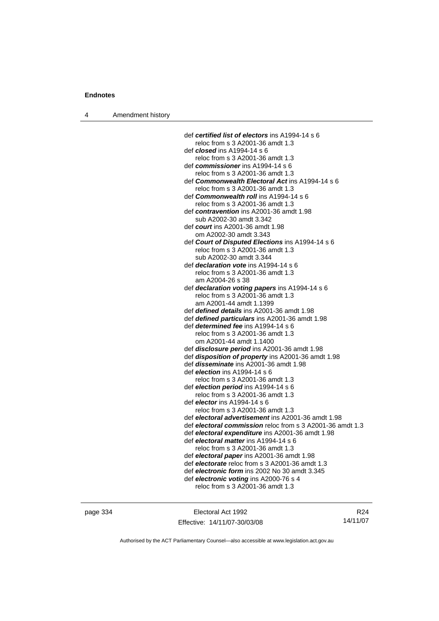|  | Amendment history |  |
|--|-------------------|--|
|--|-------------------|--|

| def certified list of electors ins A1994-14 s 6           |
|-----------------------------------------------------------|
| reloc from s 3 A2001-36 amdt 1.3                          |
| def <i>closed</i> ins A1994-14 s 6                        |
| reloc from s 3 A2001-36 amdt 1.3                          |
| def commissioner ins A1994-14 s 6                         |
| reloc from s 3 A2001-36 amdt 1.3                          |
| def Commonwealth Electoral Act ins A1994-14 s 6           |
| reloc from s 3 A2001-36 amdt 1.3                          |
| def <i>Commonwealth roll</i> ins A1994-14 s 6             |
| reloc from s 3 A2001-36 amdt 1.3                          |
| def contravention ins A2001-36 amdt 1.98                  |
| sub A2002-30 amdt 3.342                                   |
| def <i>court</i> ins A2001-36 amdt 1.98                   |
| om A2002-30 amdt 3.343                                    |
| def Court of Disputed Elections ins A1994-14 s 6          |
| reloc from s 3 A2001-36 amdt 1.3                          |
| sub A2002-30 amdt 3.344                                   |
| def <i>declaration vote</i> ins A1994-14 s 6              |
| reloc from s 3 A2001-36 amdt 1.3                          |
| am A2004-26 s 38                                          |
| def declaration voting papers ins A1994-14 s 6            |
| reloc from s 3 A2001-36 amdt 1.3                          |
| am A2001-44 amdt 1.1399                                   |
| def defined details ins A2001-36 amdt 1.98                |
| def defined particulars ins A2001-36 amdt 1.98            |
| def <i>determined fee</i> ins A1994-14 s 6                |
| reloc from s 3 A2001-36 amdt 1.3                          |
| om A2001-44 amdt 1.1400                                   |
| def disclosure period ins A2001-36 amdt 1.98              |
| def disposition of property ins A2001-36 amdt 1.98        |
| def <i>disseminate</i> ins A2001-36 amdt 1.98             |
| def <i>election</i> ins A1994-14 s 6                      |
| reloc from s 3 A2001-36 amdt 1.3                          |
| def election period ins A1994-14 s 6                      |
| reloc from s 3 A2001-36 amdt 1.3                          |
| def <i>elector</i> ins A1994-14 s 6                       |
| reloc from s 3 A2001-36 amdt 1.3                          |
| def electoral advertisement ins A2001-36 amdt 1.98        |
| def electoral commission reloc from s 3 A2001-36 amdt 1.3 |
| def electoral expenditure ins A2001-36 amdt 1.98          |
| def electoral matter ins A1994-14 s 6                     |
| reloc from s 3 A2001-36 amdt 1.3                          |
| def electoral paper ins A2001-36 amdt 1.98                |
| def electorate reloc from s 3 A2001-36 amdt 1.3           |
| def electronic form ins 2002 No 30 amdt 3.345             |
| def electronic voting ins A2000-76 s 4                    |
| reloc from s 3 A2001-36 amdt 1.3                          |

page 334 Electoral Act 1992 Effective: 14/11/07-30/03/08

R24 14/11/07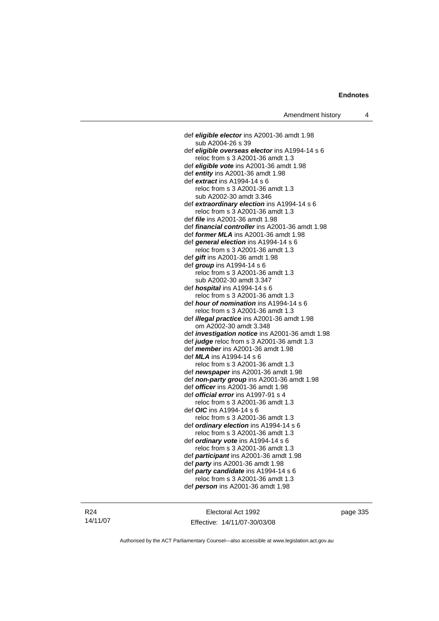def *eligible elector* ins A2001-36 amdt 1.98 sub A2004-26 s 39 def *eligible overseas elector* ins A1994-14 s 6 reloc from s 3 A2001-36 amdt 1.3 def *eligible vote* ins A2001-36 amdt 1.98 def *entity* ins A2001-36 amdt 1.98 def *extract* ins A1994-14 s 6 reloc from s 3 A2001-36 amdt 1.3 sub A2002-30 amdt 3.346 def *extraordinary election* ins A1994-14 s 6 reloc from s 3 A2001-36 amdt 1.3 def *file* ins A2001-36 amdt 1.98 def *financial controller* ins A2001-36 amdt 1.98 def *former MLA* ins A2001-36 amdt 1.98 def *general election* ins A1994-14 s 6 reloc from s 3 A2001-36 amdt 1.3 def *gift* ins A2001-36 amdt 1.98 def *group* ins A1994-14 s 6 reloc from s 3 A2001-36 amdt 1.3 sub A2002-30 amdt 3.347 def *hospital* ins A1994-14 s 6 reloc from s 3 A2001-36 amdt 1.3 def *hour of nomination* ins A1994-14 s 6 reloc from s 3 A2001-36 amdt 1.3 def *illegal practice* ins A2001-36 amdt 1.98 om A2002-30 amdt 3.348 def *investigation notice* ins A2001-36 amdt 1.98 def *judge* reloc from s 3 A2001-36 amdt 1.3 def *member* ins A2001-36 amdt 1.98 def *MLA* ins A1994-14 s 6 reloc from s 3 A2001-36 amdt 1.3 def *newspaper* ins A2001-36 amdt 1.98 def *non-party group* ins A2001-36 amdt 1.98 def *officer* ins A2001-36 amdt 1.98 def *official error* ins A1997-91 s 4 reloc from s 3 A2001-36 amdt 1.3 def *OIC* ins A1994-14 s 6 reloc from s 3 A2001-36 amdt 1.3 def *ordinary election* ins A1994-14 s 6 reloc from s 3 A2001-36 amdt 1.3 def *ordinary vote* ins A1994-14 s 6 reloc from s 3 A2001-36 amdt 1.3 def *participant* ins A2001-36 amdt 1.98 def *party* ins A2001-36 amdt 1.98 def *party candidate* ins A1994-14 s 6 reloc from s 3 A2001-36 amdt 1.3 def *person* ins A2001-36 amdt 1.98

Electoral Act 1992 Effective: 14/11/07-30/03/08 page 335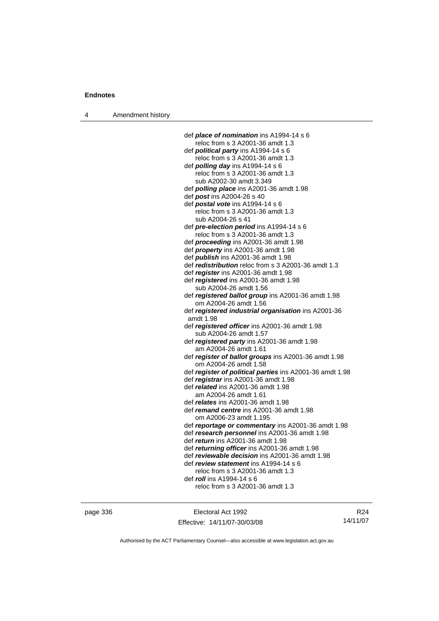4 Amendment history

| def <b>place of nomination</b> ins A1994-14 s 6                             |
|-----------------------------------------------------------------------------|
| reloc from s 3 A2001-36 amdt 1.3                                            |
| def <b>political party</b> ins $A1994-14 s 6$                               |
| reloc from s 3 A2001-36 amdt 1.3                                            |
| def <i>polling day</i> ins A1994-14 s 6                                     |
| reloc from s 3 A2001-36 amdt 1.3                                            |
| sub A2002-30 amdt 3.349                                                     |
| def <i>polling place</i> ins A2001-36 amdt 1.98                             |
| def post ins A2004-26 s 40                                                  |
| def postal vote ins A1994-14 s 6                                            |
| reloc from s 3 A2001-36 amdt 1.3                                            |
| sub A2004-26 s 41                                                           |
| def pre-election period ins A1994-14 s 6                                    |
| reloc from s 3 A2001-36 amdt 1.3                                            |
| def <i>proceeding</i> ins A2001-36 amdt 1.98                                |
| def <i>property</i> ins A2001-36 amdt 1.98                                  |
| def publish ins A2001-36 amdt 1.98                                          |
| def redistribution reloc from s 3 A2001-36 amdt 1.3                         |
| def register ins A2001-36 amdt 1.98                                         |
| def registered ins A2001-36 amdt 1.98                                       |
| sub A2004-26 amdt 1.56                                                      |
|                                                                             |
| def registered ballot group ins A2001-36 amdt 1.98<br>om A2004-26 amdt 1.56 |
|                                                                             |
| def registered industrial organisation ins A2001-36                         |
| amdt 1.98                                                                   |
| def registered officer ins A2001-36 amdt 1.98                               |
| sub A2004-26 amdt 1.57                                                      |
| def registered party ins A2001-36 amdt 1.98                                 |
| am A2004-26 amdt 1.61                                                       |
| def register of ballot groups ins A2001-36 amdt 1.98                        |
| om A2004-26 amdt 1.58                                                       |
| def register of political parties ins A2001-36 amdt 1.98                    |
| def registrar ins A2001-36 amdt 1.98                                        |
| def <i>related</i> ins A2001-36 amdt 1.98                                   |
| am A2004-26 amdt 1.61                                                       |
| def <i>relates</i> ins A2001-36 amdt 1.98                                   |
| def remand centre ins A2001-36 amdt 1.98                                    |
| om A2006-23 amdt 1.195                                                      |
| def reportage or commentary ins A2001-36 amdt 1.98                          |
| def research personnel ins A2001-36 amdt 1.98                               |
| def <i>return</i> ins A2001-36 amdt 1.98                                    |
| def returning officer ins A2001-36 amdt 1.98                                |
| def reviewable decision ins A2001-36 amdt 1.98                              |
| def review statement ins A1994-14 s 6                                       |
| reloc from s 3 A2001-36 amdt 1.3                                            |
| def roll ins A1994-14 s 6                                                   |
| reloc from s 3 A2001-36 amdt 1.3                                            |
|                                                                             |

page 336 Electoral Act 1992 Effective: 14/11/07-30/03/08

R24 14/11/07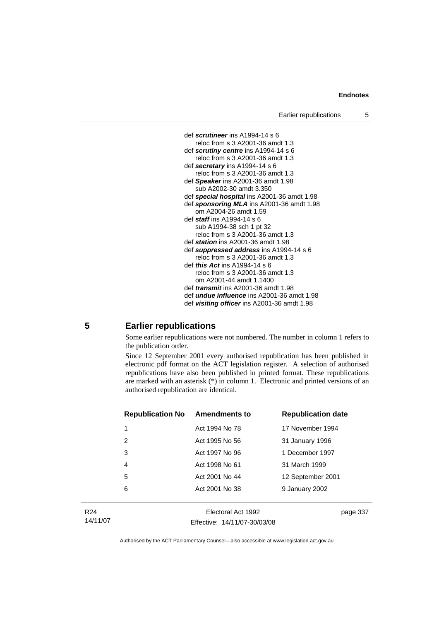

## **5 Earlier republications**

Some earlier republications were not numbered. The number in column 1 refers to the publication order.

Since 12 September 2001 every authorised republication has been published in electronic pdf format on the ACT legislation register. A selection of authorised republications have also been published in printed format. These republications are marked with an asterisk (\*) in column 1. Electronic and printed versions of an authorised republication are identical.

| <b>Republication No</b> | <b>Amendments to</b> | <b>Republication date</b> |
|-------------------------|----------------------|---------------------------|
| 1                       | Act 1994 No 78       | 17 November 1994          |
| 2                       | Act 1995 No 56       | 31 January 1996           |
| 3                       | Act 1997 No 96       | 1 December 1997           |
| 4                       | Act 1998 No 61       | 31 March 1999             |
| 5                       | Act 2001 No 44       | 12 September 2001         |
| 6                       | Act 2001 No 38       | 9 January 2002            |
|                         |                      |                           |

R24 14/11/07

Electoral Act 1992 Effective: 14/11/07-30/03/08 page 337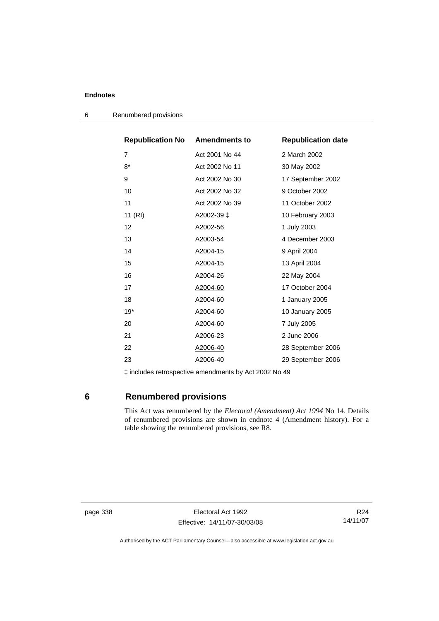| <b>Republication No Amendments to</b> |                | <b>Republication date</b> |
|---------------------------------------|----------------|---------------------------|
| 7                                     | Act 2001 No 44 | 2 March 2002              |
| $8*$                                  | Act 2002 No 11 | 30 May 2002               |
| 9                                     | Act 2002 No 30 | 17 September 2002         |
| 10                                    | Act 2002 No 32 | 9 October 2002            |
| 11                                    | Act 2002 No 39 | 11 October 2002           |
| 11 (RI)                               | A2002-39 ‡     | 10 February 2003          |
| 12                                    | A2002-56       | 1 July 2003               |
| 13                                    | A2003-54       | 4 December 2003           |
| 14                                    | A2004-15       | 9 April 2004              |
| 15                                    | A2004-15       | 13 April 2004             |
| 16                                    | A2004-26       | 22 May 2004               |
| 17                                    | A2004-60       | 17 October 2004           |
| 18                                    | A2004-60       | 1 January 2005            |
| $19*$                                 | A2004-60       | 10 January 2005           |
| 20                                    | A2004-60       | 7 July 2005               |
| 21                                    | A2006-23       | 2 June 2006               |
| 22                                    | A2006-40       | 28 September 2006         |
| 23                                    | A2006-40       | 29 September 2006         |

6 Renumbered provisions

‡ includes retrospective amendments by Act 2002 No 49

# **6 Renumbered provisions**

 This Act was renumbered by the *Electoral (Amendment) Act 1994* No 14. Details of renumbered provisions are shown in endnote 4 (Amendment history). For a table showing the renumbered provisions, see R8.

page 338 Electoral Act 1992 Effective: 14/11/07-30/03/08

R24 14/11/07